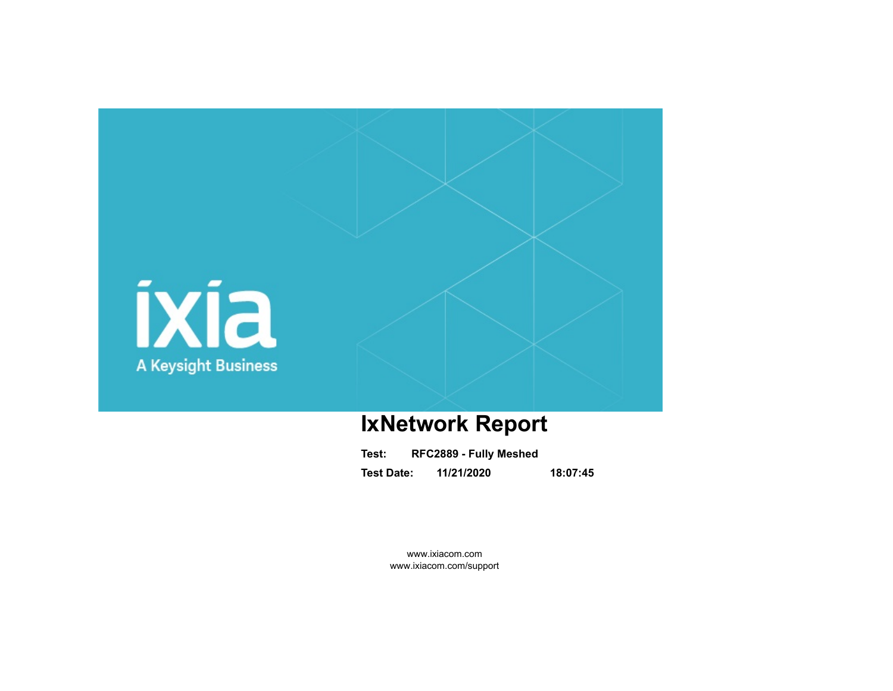

# **IxNetwork Report**

| Test:             | RFC2889 - Fully Meshed |          |
|-------------------|------------------------|----------|
| <b>Test Date:</b> | 11/21/2020             | 18:07:45 |

www.ixiacom.com www.ixiacom.com/support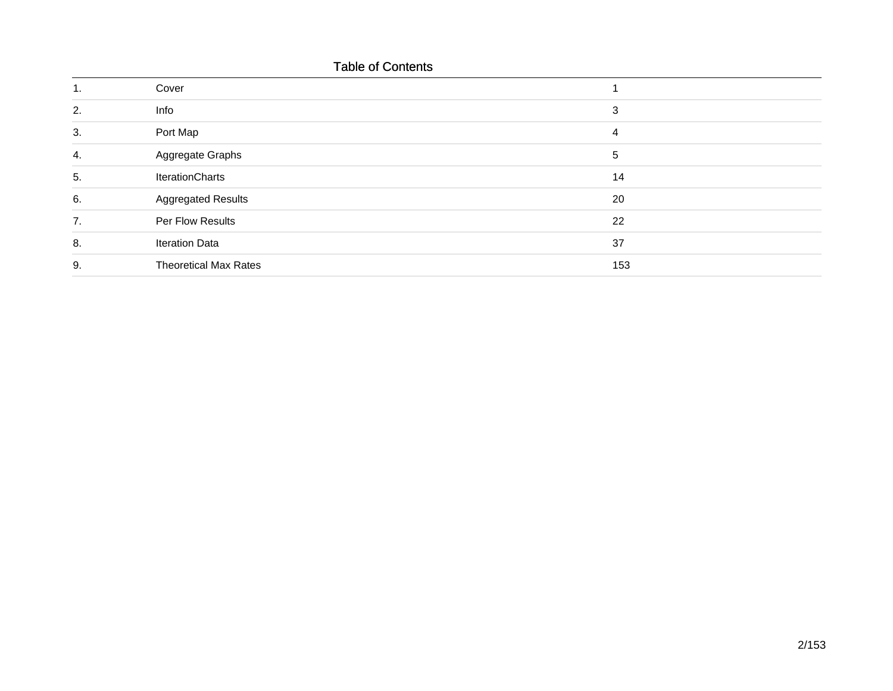### Table of Contents

| ч. | Cover                        |     |
|----|------------------------------|-----|
| 2. | Info                         | 3   |
| 3. | Port Map                     | 4   |
| 4. | Aggregate Graphs             | 5   |
| 5. | IterationCharts              | 14  |
| 6. | <b>Aggregated Results</b>    | 20  |
| 7. | Per Flow Results             | 22  |
| 8. | <b>Iteration Data</b>        | 37  |
| 9. | <b>Theoretical Max Rates</b> | 153 |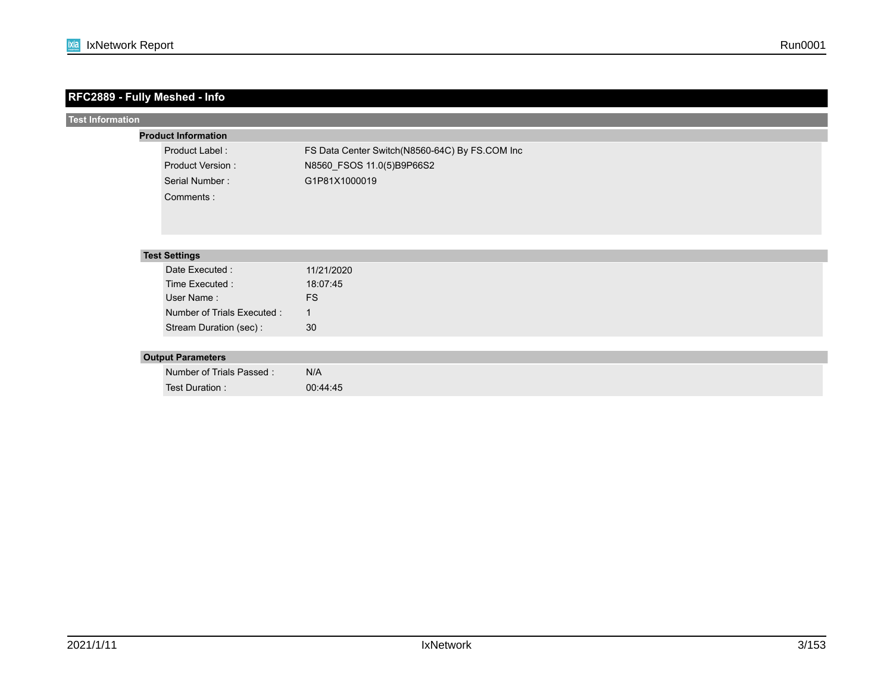| RFC2889 - Fully Meshed - Info |                             |                                                |
|-------------------------------|-----------------------------|------------------------------------------------|
| <b>Test Information</b>       |                             |                                                |
|                               | <b>Product Information</b>  |                                                |
|                               | Product Label:              | FS Data Center Switch(N8560-64C) By FS.COM Inc |
|                               | <b>Product Version:</b>     | N8560_FSOS 11.0(5)B9P66S2                      |
|                               | Serial Number:              | G1P81X1000019                                  |
|                               | Comments:                   |                                                |
|                               |                             |                                                |
|                               |                             |                                                |
|                               |                             |                                                |
|                               | <b>Test Settings</b>        |                                                |
|                               | Date Executed :             | 11/21/2020                                     |
|                               | Time Executed :             | 18:07:45                                       |
|                               | User Name:                  | <b>FS</b>                                      |
|                               | Number of Trials Executed : | $\mathbf 1$                                    |
|                               | Stream Duration (sec) :     | 30                                             |
|                               |                             |                                                |
|                               | <b>Output Parameters</b>    |                                                |
|                               | Number of Trials Passed:    | N/A                                            |
|                               | Test Duration :             | 00:44:45                                       |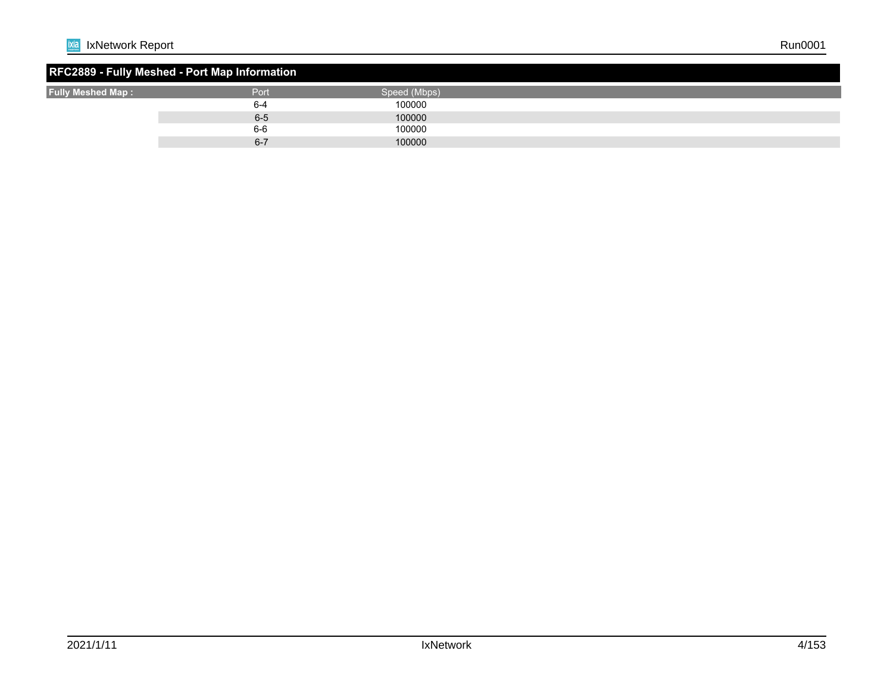#### **RFC2889 - Fully Meshed - Port Map Information Fully Meshed Map :** Port Speed (Mbps)<br>
Fully Meshed Map : Speed (Mbps)<br>  $6-4$  100000 6-4 100000 6-5 100000 100000 6-7 100000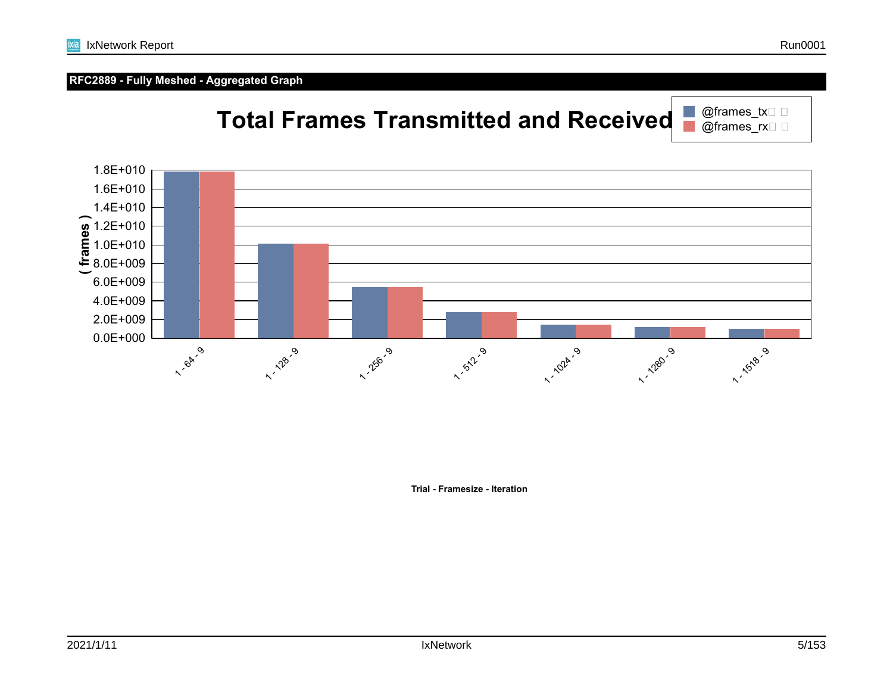### **RFC2889 - Fully Meshed - Aggregated Graph**



**Trial - Framesize - Iteration**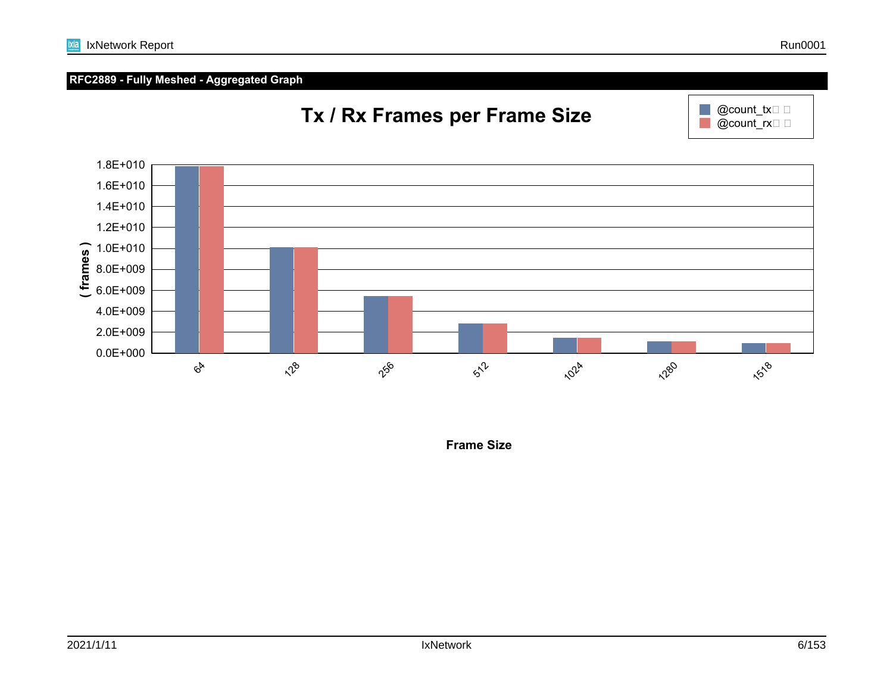

0.0E+000 2.0E+009 4.0E+009 6.0E+009 8.0E+009  $\begin{array}{c} 0.0 \to 0.06 \\ \hline \text{E} & 8.0 \to 0.09 \\ \text{E} & 6.0 \to 0.09 \end{array}$ 1.2E+010 1.4E+010 1.6E+010  $6<sup>k</sup>$  $x^2$ 256  $5\degree$ **102**4 **1280** 1518

**Frame Size**

### **RFC2889 - Fully Meshed - Aggregated Graph**



## **Tx / Rx Frames per Frame Size**

 $@count\_tx \Box$  $@count$ <sub>rx</sub> $\square$   $\square$ 

 $\mathbb{R}^n$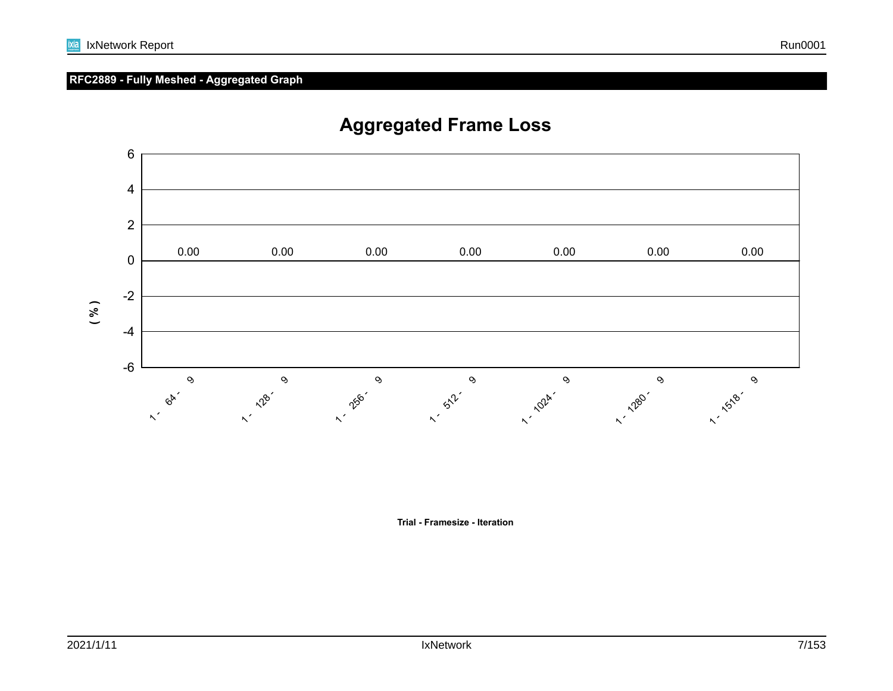**Trial - Framesize - Iteration**

### **RFC2889 - Fully Meshed - Aggregated Graph**



## **Aggregated Frame Loss**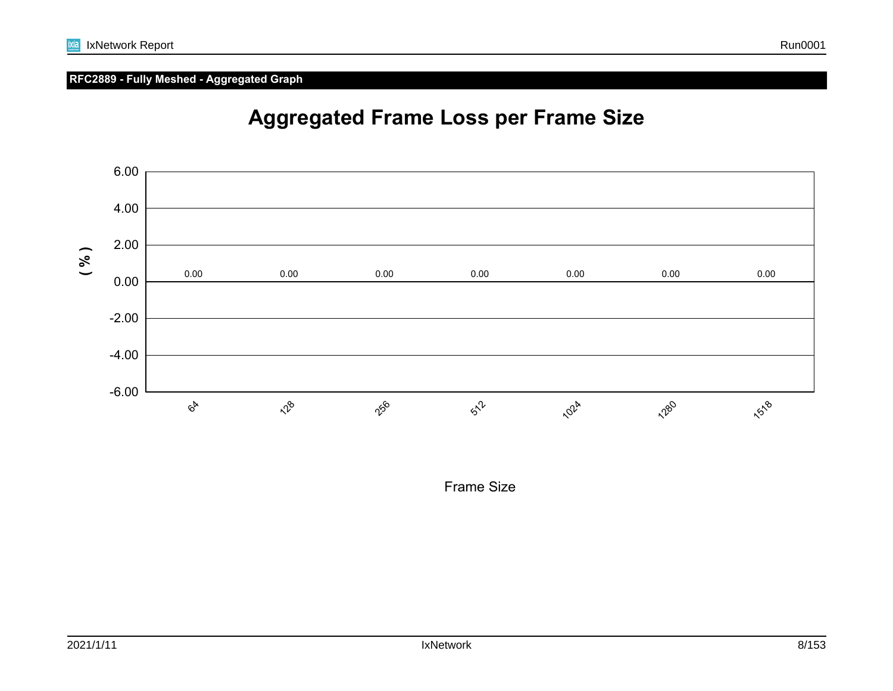#### **RFC2889 - Fully Meshed - Aggregated Graph**





Frame Size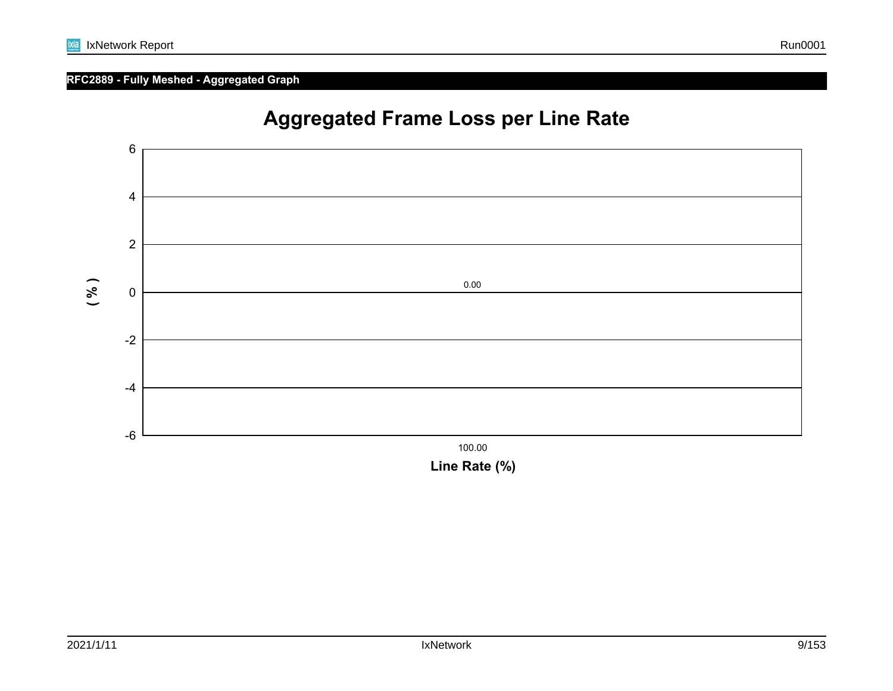### **RFC2889 - Fully Meshed - Aggregated Graph**



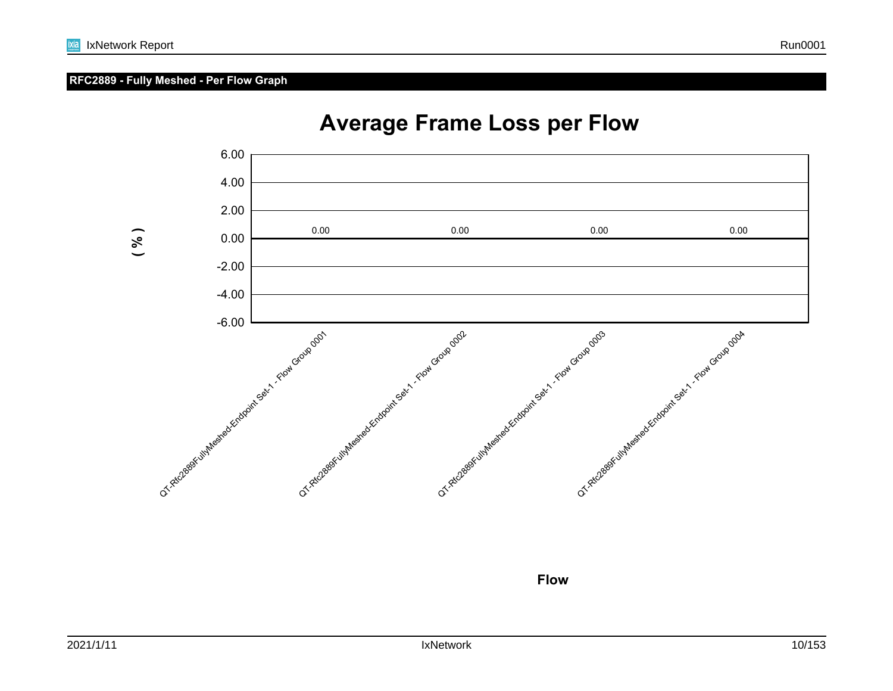#### **RFC2889 - Fully Meshed - Per Flow Graph**



## **Average Frame Loss per Flow**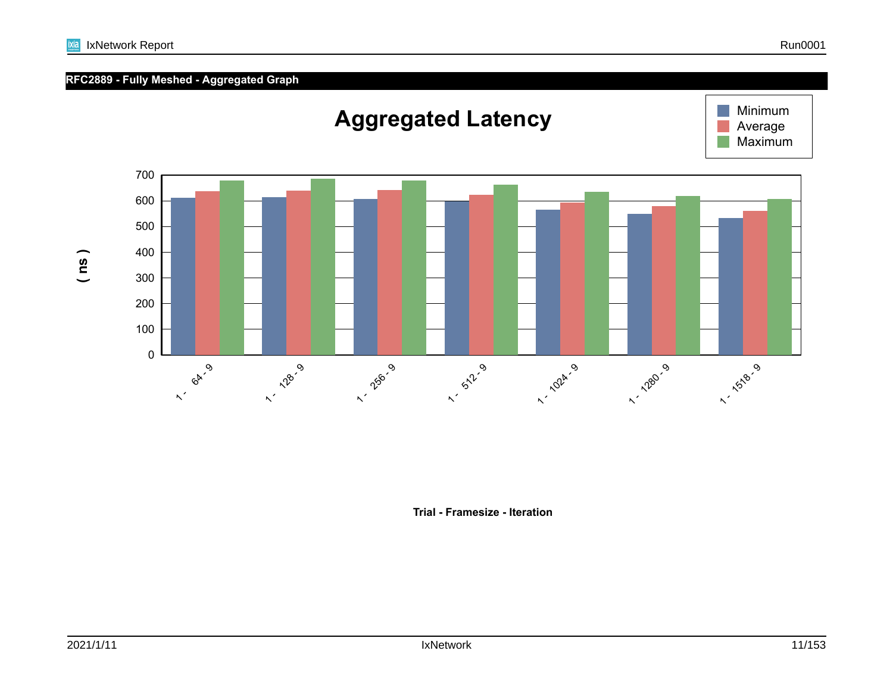

IxNetwork Report Run0001

**Trial - Framesize - Iteration**

**ixia**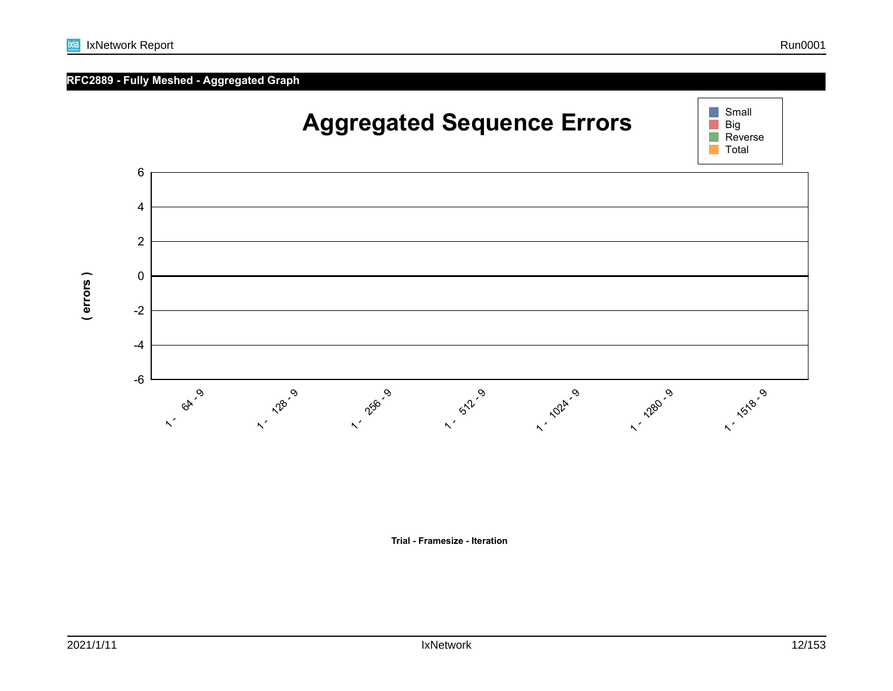### **RFC2889 - Fully Meshed - Aggregated Graph**



**Trial - Framesize - Iteration**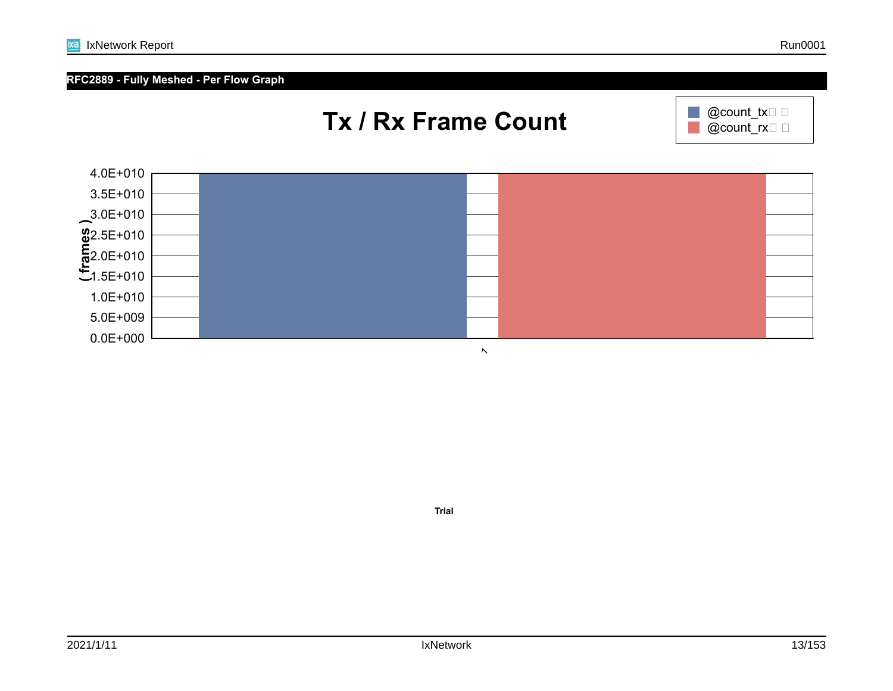

**Trial**

ixia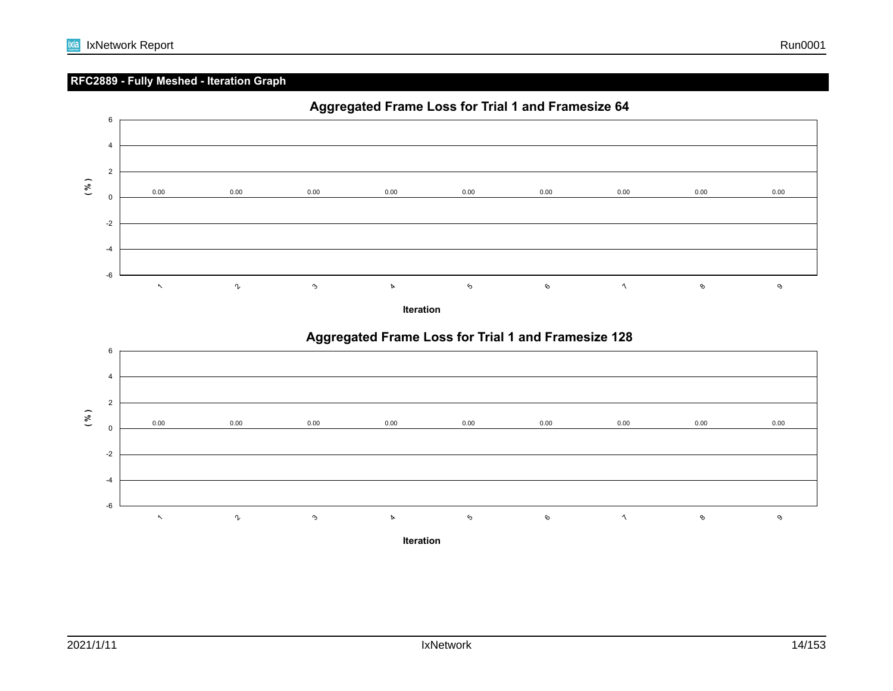### **RFC2889 - Fully Meshed - Iteration Graph**



**Iteration**



### **Aggregated Frame Loss for Trial 1 and Framesize 128**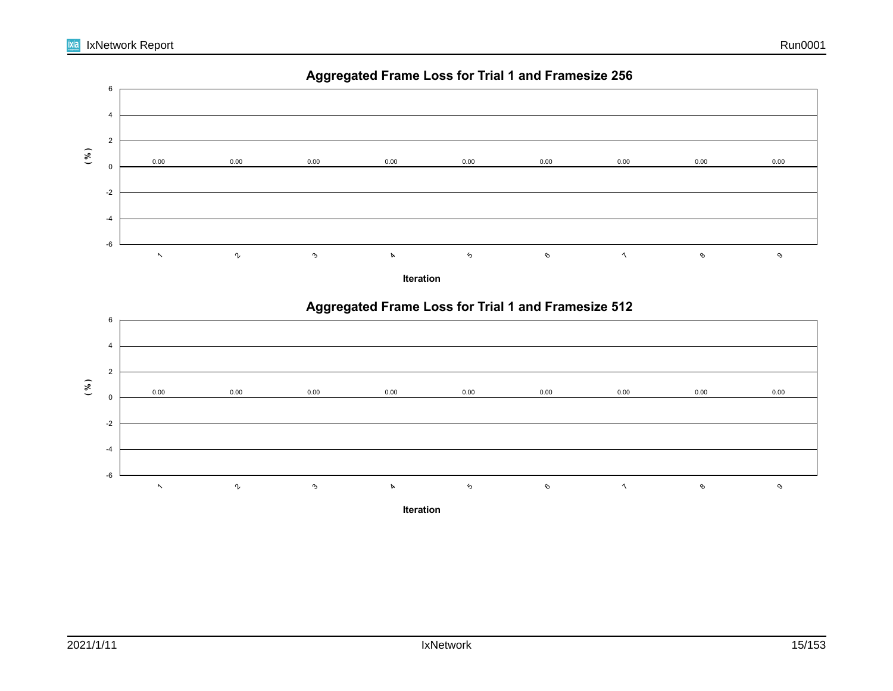



**Iteration**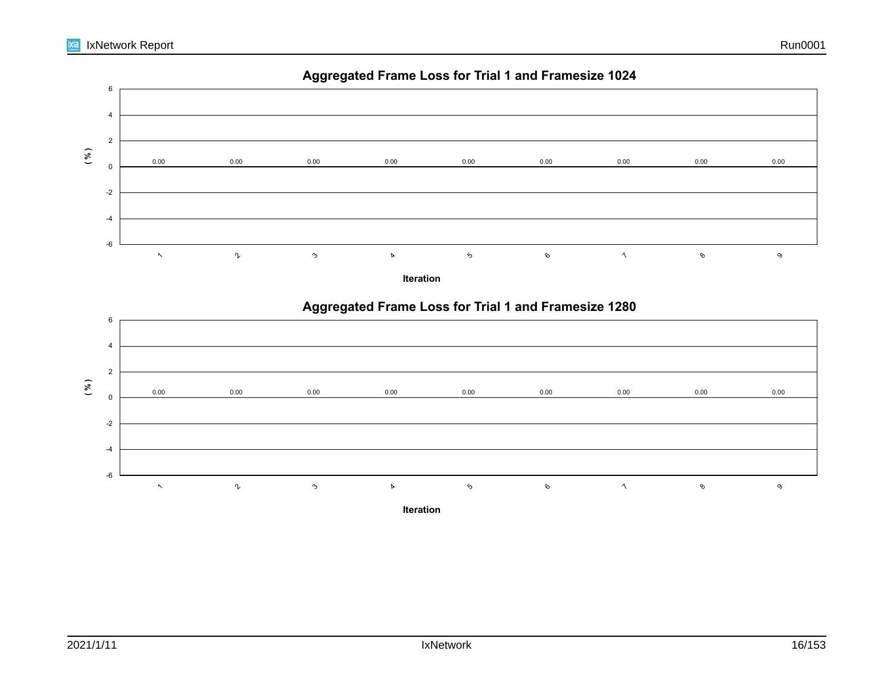

**Iteration**

 $\mathbf{\hat{c}}$ 

0.00 0.00 0.00 0.00 0.00 0.00 0.00 0.00 0.00

6

7

8

4

-6

 $\ddot{\phantom{1}}$ 

 $\gamma$ 

3

-4

-2

0

9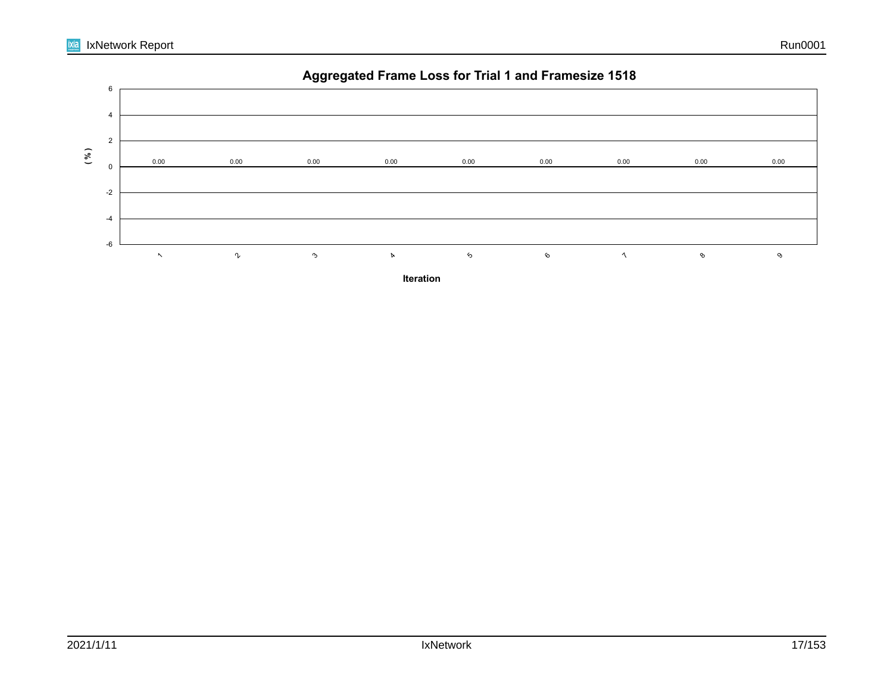

**Iteration**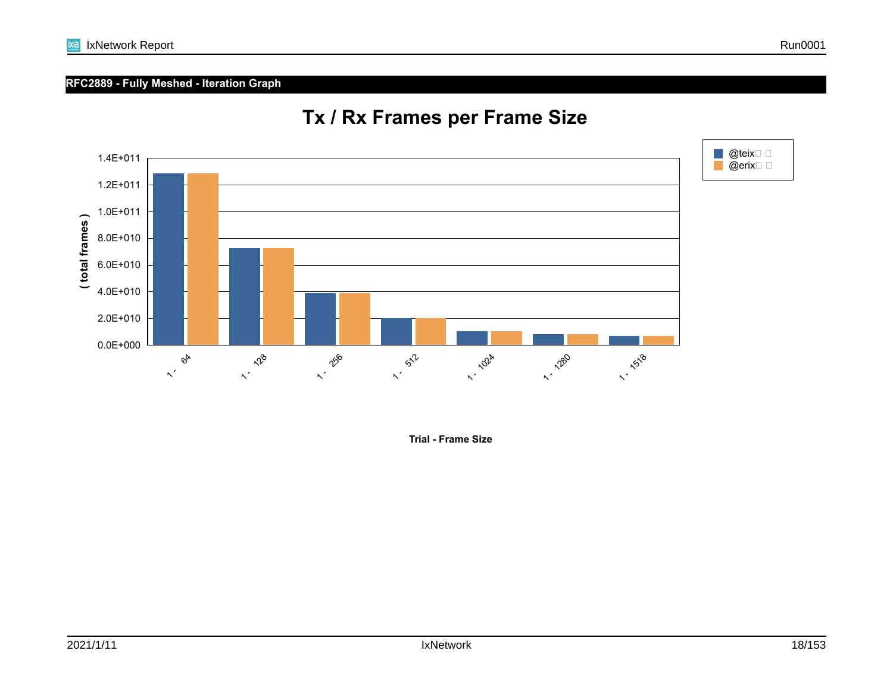

**RFC2889 - Fully Meshed - Iteration Graph**

8.0E+010

1.0E+011

1.2E+011

1.4E+011

ixia

@teix□ □ @erix□ □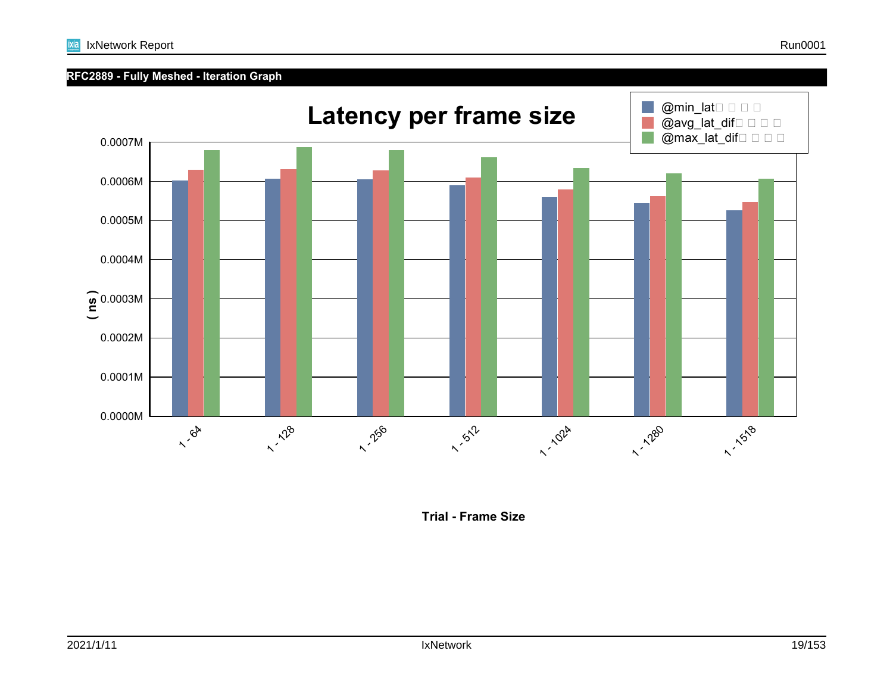#### **RFC2889 - Fully Meshed - Iteration Graph**



**Trial - Frame Size**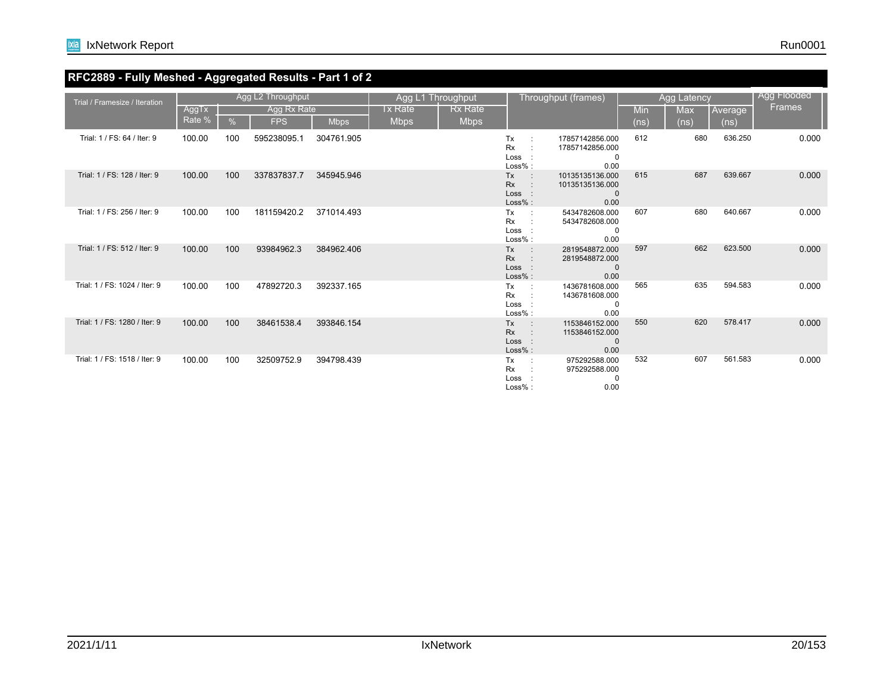

#### **RFC2889 - Fully Meshed - Aggregated Results - Part 1 of 2**

| Trial / Framesize / Iteration |                 |     | Agg L2 Throughput         |             | Agg L1 Throughput      |                               |                                                                             | Throughput (frames)                                        |             | <b>Agg Latency</b>              |                 | Agg Flooded   |
|-------------------------------|-----------------|-----|---------------------------|-------------|------------------------|-------------------------------|-----------------------------------------------------------------------------|------------------------------------------------------------|-------------|---------------------------------|-----------------|---------------|
|                               | AggTx<br>Rate % | %   | Agg Rx Rate<br><b>FPS</b> | <b>Mbps</b> | Tx Rate<br><b>Mbps</b> | <b>Rx Rate</b><br><b>Mbps</b> |                                                                             |                                                            | Min<br>(ns) | <b>Max</b><br>(n <sub>s</sub> ) | Average<br>(ns) | <b>Frames</b> |
| Trial: 1 / FS: 64 / Iter: 9   | 100.00          | 100 | 595238095.1               | 304761.905  |                        |                               | Tx<br><b>Rx</b><br>Loss<br>Loss%:                                           | 17857142856.000<br>17857142856.000<br>0<br>0.00            | 612         | 680                             | 636.250         | 0.000         |
| Trial: 1 / FS: 128 / Iter: 9  | 100.00          | 100 | 337837837.7               | 345945.946  |                        |                               | <b>Tx</b><br>$\overline{\phantom{a}}$ :<br><b>Rx</b><br>Loss :<br>$Loss%$ : | 10135135136.000<br>10135135136.000<br>$\mathbf{0}$<br>0.00 | 615         | 687                             | 639.667         | 0.000         |
| Trial: 1 / FS: 256 / Iter: 9  | 100.00          | 100 | 181159420.2               | 371014.493  |                        |                               | Tx<br><b>Rx</b><br>Loss :<br>$Loss%$ :                                      | 5434782608.000<br>5434782608.000<br>$\Omega$<br>0.00       | 607         | 680                             | 640.667         | 0.000         |
| Trial: 1 / FS: 512 / Iter: 9  | 100.00          | 100 | 93984962.3                | 384962.406  |                        |                               | Tx<br>$\sim$ 100<br><b>Rx</b><br>$\sim$ 10<br>Loss :<br>$Loss%$ :           | 2819548872.000<br>2819548872.000<br>$\mathbf{0}$<br>0.00   | 597         | 662                             | 623.500         | 0.000         |
| Trial: 1 / FS: 1024 / Iter: 9 | 100.00          | 100 | 47892720.3                | 392337.165  |                        |                               | Tx<br><b>Rx</b><br>Loss<br>Loss%:                                           | 1436781608.000<br>1436781608.000<br>0<br>0.00              | 565         | 635                             | 594.583         | 0.000         |
| Trial: 1 / FS: 1280 / Iter: 9 | 100.00          | 100 | 38461538.4                | 393846.154  |                        |                               | <b>Tx</b><br>$\sim$ 10<br><b>Rx</b><br>Loss :<br>Loss% :                    | 1153846152.000<br>1153846152.000<br>$\mathbf{0}$<br>0.00   | 550         | 620                             | 578.417         | 0.000         |
| Trial: 1 / FS: 1518 / Iter: 9 | 100.00          | 100 | 32509752.9                | 394798.439  |                        |                               | Tx<br><b>Rx</b><br>Loss :<br>Loss%:                                         | 975292588.000<br>975292588.000<br>$\mathbf 0$<br>0.00      | 532         | 607                             | 561.583         | 0.000         |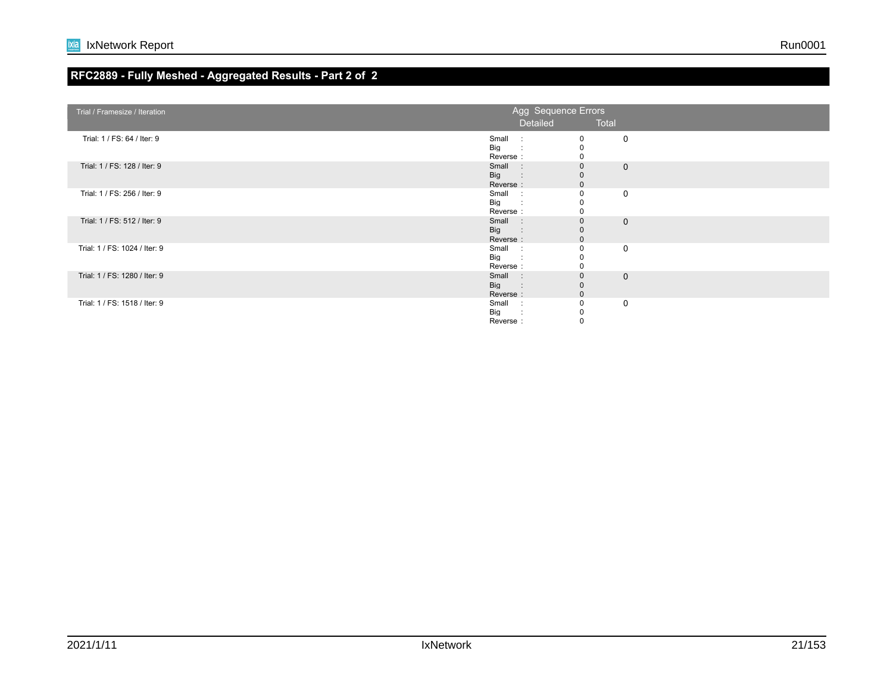#### **RFC2889 - Fully Meshed - Aggregated Results - Part 2 of 2**

| Trial / Framesize / Iteration | Agg Sequence Errors |                        |              |
|-------------------------------|---------------------|------------------------|--------------|
|                               | Detailed            | <b>Example 7</b> Total |              |
|                               |                     |                        |              |
| Trial: 1 / FS: 64 / Iter: 9   | Small :             | 0                      | $\mathbf 0$  |
|                               | Big :               |                        |              |
|                               | Reverse:            | $\mathbf 0$            |              |
|                               |                     |                        |              |
| Trial: 1 / FS: 128 / Iter: 9  | Small :             | $\mathbf 0$            | $\mathbf{0}$ |
|                               | Big :               |                        |              |
|                               | Reverse:            |                        |              |
| Trial: 1 / FS: 256 / Iter: 9  | Small :             | $\mathbf 0$            | $\mathbf 0$  |
|                               | Big:                |                        |              |
|                               | Reverse:            |                        |              |
| Trial: 1 / FS: 512 / Iter: 9  | Small :             | $\mathbf 0$            | $\mathbf{0}$ |
|                               |                     |                        |              |
|                               | Big:                |                        |              |
|                               | Reverse:            |                        |              |
| Trial: 1 / FS: 1024 / Iter: 9 | Small :             |                        | $\mathbf 0$  |
|                               | Big :               |                        |              |
|                               | Reverse:            |                        |              |
| Trial: 1 / FS: 1280 / Iter: 9 | Small :             | $\mathbf{0}$           | $\Omega$     |
|                               | Big :               |                        |              |
|                               | Reverse:            |                        |              |
| Trial: 1 / FS: 1518 / Iter: 9 | Small :             |                        |              |
|                               |                     |                        | $\mathbf 0$  |
|                               | Big<br>$\mathbf{r}$ |                        |              |
|                               | Reverse:            |                        |              |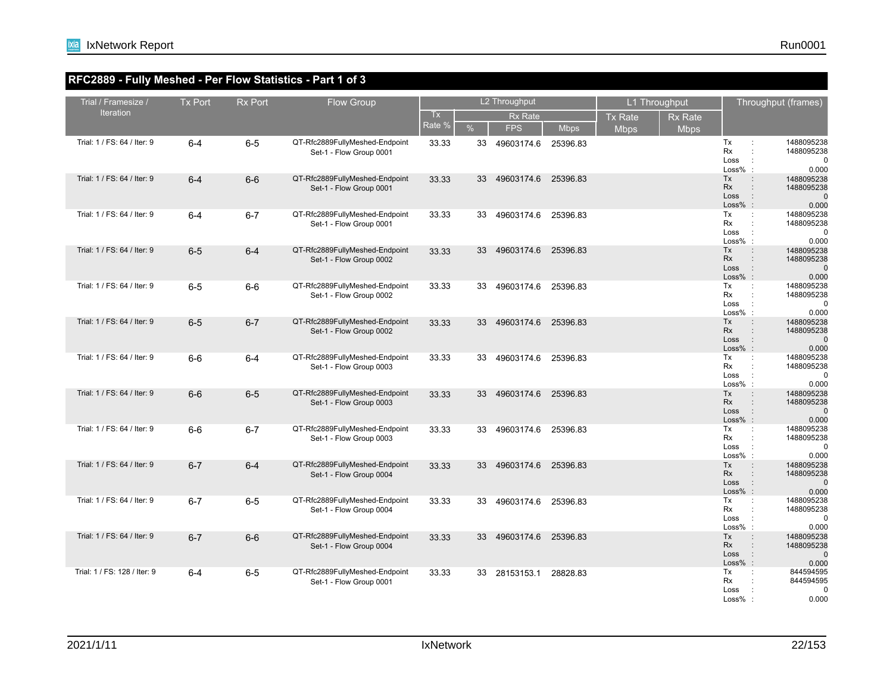#### **RFC2889 - Fully Meshed - Per Flow Statistics - Part 1 of 3**

| Trial / Framesize /          | <b>Tx Port</b> | <b>Rx Port</b> | Flow Group                                                |              |               | L2 Throughput       |             |                | L1 Throughput  |                                                       | Throughput (frames)                                                   |
|------------------------------|----------------|----------------|-----------------------------------------------------------|--------------|---------------|---------------------|-------------|----------------|----------------|-------------------------------------------------------|-----------------------------------------------------------------------|
| <b>Iteration</b>             |                |                |                                                           | Tx<br>Rate % |               | <b>Rx Rate</b>      |             | <b>Tx Rate</b> | <b>Rx Rate</b> |                                                       |                                                                       |
|                              |                |                |                                                           |              | $\frac{9}{6}$ | <b>FPS</b>          | <b>Mbps</b> | <b>Mbps</b>    | <b>Mbps</b>    |                                                       |                                                                       |
| Trial: 1 / FS: 64 / Iter: 9  | $6 - 4$        | $6-5$          | QT-Rfc2889FullyMeshed-Endpoint<br>Set-1 - Flow Group 0001 | 33.33        | 33            | 49603174.6 25396.83 |             |                |                | Tx<br>Rx<br>Loss<br>$\cdot$<br>Loss%                  | 1488095238<br>÷<br>1488095238<br>÷<br>$\Omega$<br>0.000               |
| Trial: 1 / FS: 64 / Iter: 9  | $6 - 4$        | $6-6$          | QT-Rfc2889FullyMeshed-Endpoint<br>Set-1 - Flow Group 0001 | 33.33        | 33            | 49603174.6          | 25396.83    |                |                | Tx<br><b>Rx</b><br>Loss<br>$Loss%$ :                  | 1488095238<br>1488095238<br>0.000                                     |
| Trial: 1 / FS: 64 / Iter: 9  | $6 - 4$        | $6 - 7$        | QT-Rfc2889FullyMeshed-Endpoint<br>Set-1 - Flow Group 0001 | 33.33        | 33            | 49603174.6          | 25396.83    |                |                | Tx<br>Rx<br>Loss<br>Loss%                             | 1488095238<br>$\ddot{\phantom{a}}$<br>1488095238<br>$\Omega$<br>0.000 |
| Trial: 1 / FS: 64 / Iter: 9  | $6-5$          | $6 - 4$        | QT-Rfc2889FullyMeshed-Endpoint<br>Set-1 - Flow Group 0002 | 33.33        | 33            | 49603174.6          | 25396.83    |                |                | Tx<br><b>Rx</b><br>Loss<br>$\cdot$ :<br>Loss%         | 1488095238<br>1488095238<br>$\Omega$<br>0.000                         |
| Trial: 1 / FS: 64 / Iter: 9  | $6-5$          | $6-6$          | QT-Rfc2889FullyMeshed-Endpoint<br>Set-1 - Flow Group 0002 | 33.33        | 33            | 49603174.6          | 25396.83    |                |                | Tx<br>Rx<br>Loss<br>Loss%                             | 1488095238<br>÷<br>1488095238<br>$\Omega$<br>0.000                    |
| Trial: 1 / FS: 64 / Iter: 9  | $6-5$          | $6 - 7$        | QT-Rfc2889FullyMeshed-Endpoint<br>Set-1 - Flow Group 0002 | 33.33        | 33            | 49603174.6          | 25396.83    |                |                | Tx<br><b>Rx</b><br>Loss<br>$Loss%$ :                  | 1488095238<br>1488095238<br>$\pm$<br>0.000                            |
| Trial: 1 / FS: 64 / Iter: 9  | $6-6$          | $6-4$          | QT-Rfc2889FullyMeshed-Endpoint<br>Set-1 - Flow Group 0003 | 33.33        | 33            | 49603174.6 25396.83 |             |                |                | Tx<br>Rx<br>Loss<br>$\ddot{\phantom{a}}$<br>$Loss%$ : | 1488095238<br>$\ddot{\phantom{a}}$<br>1488095238<br>$\Omega$<br>0.000 |
| Trial: 1 / FS: 64 / Iter: 9  | $6-6$          | $6-5$          | QT-Rfc2889FullyMeshed-Endpoint<br>Set-1 - Flow Group 0003 | 33.33        | 33            | 49603174.6          | 25396.83    |                |                | Tx<br><b>Rx</b><br>Loss<br>Loss%<br>G.                | 1488095238<br>1488095238<br>$\pm$<br>$\Omega$<br>0.000                |
| Trial: 1 / FS: 64 / Iter: 9  | $6-6$          | $6 - 7$        | QT-Rfc2889FullyMeshed-Endpoint<br>Set-1 - Flow Group 0003 | 33.33        | 33            | 49603174.6          | 25396.83    |                |                | Tx<br>Rx<br>Loss<br>$\cdot$ :<br>Loss%                | 1488095238<br>1488095238<br>$\Omega$<br>0.000                         |
| Trial: 1 / FS: 64 / Iter: 9  | $6 - 7$        | $6 - 4$        | QT-Rfc2889FullyMeshed-Endpoint<br>Set-1 - Flow Group 0004 | 33.33        | 33            | 49603174.6          | 25396.83    |                |                | Tx<br><b>Rx</b><br>Loss<br>$Loss\%$ :                 | 1488095238<br>1488095238<br>$\therefore$<br>0.000                     |
| Trial: 1 / FS: 64 / Iter: 9  | $6 - 7$        | $6-5$          | QT-Rfc2889FullyMeshed-Endpoint<br>Set-1 - Flow Group 0004 | 33.33        | 33            | 49603174.6          | 25396.83    |                |                | Tx<br><b>Rx</b><br>Loss<br>÷<br>$Loss\%$ :            | 1488095238<br>$\ddot{\phantom{a}}$<br>1488095238<br>0.000             |
| Trial: 1 / FS: 64 / Iter: 9  | $6 - 7$        | $6-6$          | QT-Rfc2889FullyMeshed-Endpoint<br>Set-1 - Flow Group 0004 | 33.33        | 33            | 49603174.6          | 25396.83    |                |                | Tx<br><b>Rx</b><br>Loss<br>$Loss%$ :                  | 1488095238<br>1488095238<br>$\ddot{\phantom{a}}$<br>$\Omega$<br>0.000 |
| Trial: 1 / FS: 128 / Iter: 9 | $6 - 4$        | $6-5$          | QT-Rfc2889FullyMeshed-Endpoint<br>Set-1 - Flow Group 0001 | 33.33        | 33            | 28153153.1          | 28828.83    |                |                | Tx<br>Rx<br>Loss<br>Loss%                             | 844594595<br>844594595<br>$\Omega$<br>0.000                           |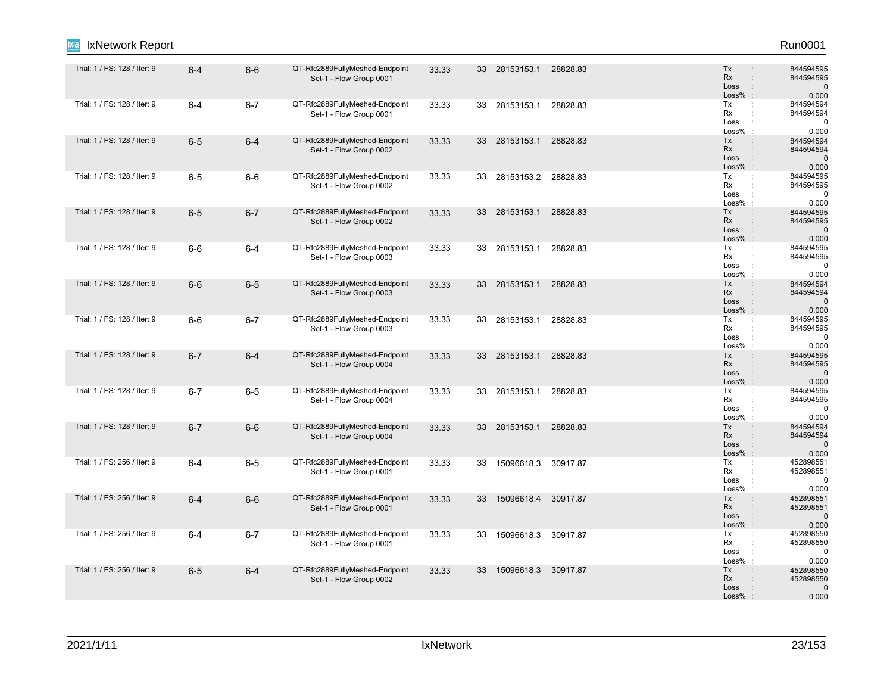| Run0001                                     |                                                                |          |                        |    |       |                                                           |         |         | IxNetwork Report             |
|---------------------------------------------|----------------------------------------------------------------|----------|------------------------|----|-------|-----------------------------------------------------------|---------|---------|------------------------------|
| 844594595<br>844594595<br>$\Omega$<br>0.000 | Tx<br><b>Rx</b><br>Loss<br>$\therefore$<br>Loss%               | 28828.83 | 33 28153153.1          |    | 33.33 | QT-Rfc2889FullyMeshed-Endpoint<br>Set-1 - Flow Group 0001 | $6-6$   | $6 - 4$ | Trial: 1 / FS: 128 / Iter: 9 |
| 844594594<br>844594594<br>$\Omega$<br>0.000 | Tx<br>÷<br>Rx<br>Loss<br>$\cdot$<br>Loss%                      | 28828.83 | 28153153.1             | 33 | 33.33 | QT-Rfc2889FullyMeshed-Endpoint<br>Set-1 - Flow Group 0001 | $6 - 7$ | $6 - 4$ | Trial: 1 / FS: 128 / Iter: 9 |
| 844594594<br>844594594<br>C<br>0.000        | Tx<br>Rx<br>Loss<br>$\ddot{\phantom{a}}$<br>Loss%<br>$\cdot$ : | 28828.83 | 28153153.1             | 33 | 33.33 | QT-Rfc2889FullyMeshed-Endpoint<br>Set-1 - Flow Group 0002 | $6 - 4$ | $6-5$   | Trial: 1 / FS: 128 / Iter: 9 |
| 844594595<br>844594595<br>0<br>0.000        | Tx<br>Rx<br>Loss<br>$\cdot$<br>$Loss\%$ :                      |          | 33 28153153.2 28828.83 |    | 33.33 | QT-Rfc2889FullyMeshed-Endpoint<br>Set-1 - Flow Group 0002 | 6-6     | $6-5$   | Trial: 1 / FS: 128 / Iter: 9 |
| 844594595<br>844594595<br>0.000             | Tx<br><b>Rx</b><br>Loss<br>$\therefore$<br>$Loss%$ :           | 28828.83 | 28153153.1             | 33 | 33.33 | QT-Rfc2889FullyMeshed-Endpoint<br>Set-1 - Flow Group 0002 | $6 - 7$ | $6-5$   | Trial: 1 / FS: 128 / Iter: 9 |
| 844594595<br>844594595<br>$\Omega$<br>0.000 | Tx<br>÷<br>Rx<br>Loss<br>÷<br>Loss%                            | 28828.83 | 28153153.1             | 33 | 33.33 | QT-Rfc2889FullyMeshed-Endpoint<br>Set-1 - Flow Group 0003 | $6 - 4$ | $6-6$   | Trial: 1 / FS: 128 / Iter: 9 |
| 844594594<br>844594594<br>$\Omega$<br>0.000 | Tx<br><b>Rx</b><br>Loss<br>$\ddot{\phantom{a}}$<br>$Loss\%$ :  | 28828.83 | 33 28153153.1          |    | 33.33 | QT-Rfc2889FullyMeshed-Endpoint<br>Set-1 - Flow Group 0003 | $6-5$   | $6-6$   | Trial: 1 / FS: 128 / Iter: 9 |
| 844594595<br>844594595<br>$\Omega$<br>0.000 | Tx<br>Rx<br>Loss<br>÷<br>$Loss\%$ :                            | 28828.83 | 33 28153153.1          |    | 33.33 | QT-Rfc2889FullyMeshed-Endpoint<br>Set-1 - Flow Group 0003 | $6 - 7$ | $6-6$   | Trial: 1 / FS: 128 / Iter: 9 |
| 844594595<br>844594595<br>$\Omega$<br>0.000 | Tx<br><b>Rx</b><br>Loss<br>$Loss%$ :                           | 28828.83 | 33 28153153.1          |    | 33.33 | QT-Rfc2889FullyMeshed-Endpoint<br>Set-1 - Flow Group 0004 | $6 - 4$ | $6 - 7$ | Trial: 1 / FS: 128 / Iter: 9 |
| 844594595<br>844594595<br>0<br>0.000        | Tx<br>÷<br>Rx<br>Loss<br>$\cdot$ :<br>Loss%                    | 28828.83 | 28153153.1             | 33 | 33.33 | QT-Rfc2889FullyMeshed-Endpoint<br>Set-1 - Flow Group 0004 | $6-5$   | $6 - 7$ | Trial: 1 / FS: 128 / Iter: 9 |
| 844594594<br>844594594<br>$\Omega$<br>0.000 | Tx<br><b>Rx</b><br>Loss<br>$Loss\%$ :                          | 28828.83 | 33 28153153.1          |    | 33.33 | QT-Rfc2889FullyMeshed-Endpoint<br>Set-1 - Flow Group 0004 | $6-6$   | $6 - 7$ | Trial: 1 / FS: 128 / Iter: 9 |
| 452898551<br>452898551<br>ſ<br>0.000        | Tx<br>Rx<br>$\ddot{\phantom{a}}$<br>Loss<br>Loss%              | 30917.87 | 15096618.3             | 33 | 33.33 | QT-Rfc2889FullyMeshed-Endpoint<br>Set-1 - Flow Group 0001 | $6-5$   | $6 - 4$ | Trial: 1 / FS: 256 / Iter: 9 |
| 452898551<br>452898551<br>0.000             | Tx<br><b>Rx</b><br>Loss<br>$Loss\%$ :                          | 30917.87 | 15096618.4             | 33 | 33.33 | QT-Rfc2889FullyMeshed-Endpoint<br>Set-1 - Flow Group 0001 | $6-6$   | $6 - 4$ | Trial: 1 / FS: 256 / Iter: 9 |
| 452898550<br>452898550<br>$\Omega$<br>0.000 | Tx<br>$\ddot{\phantom{a}}$<br>Rx<br>Loss<br>÷<br>Loss%         | 30917.87 | 15096618.3             | 33 | 33.33 | QT-Rfc2889FullyMeshed-Endpoint<br>Set-1 - Flow Group 0001 | $6 - 7$ | $6 - 4$ | Trial: 1 / FS: 256 / Iter: 9 |
| 452898550<br>452898550<br>C<br>0.000        | Tx<br>Rx<br>Loss<br>$Loss%$ :                                  | 30917.87 | 15096618.3             | 33 | 33.33 | QT-Rfc2889FullyMeshed-Endpoint<br>Set-1 - Flow Group 0002 | $6 - 4$ | $6-5$   | Trial: 1 / FS: 256 / Iter: 9 |
|                                             |                                                                |          |                        |    |       |                                                           |         |         |                              |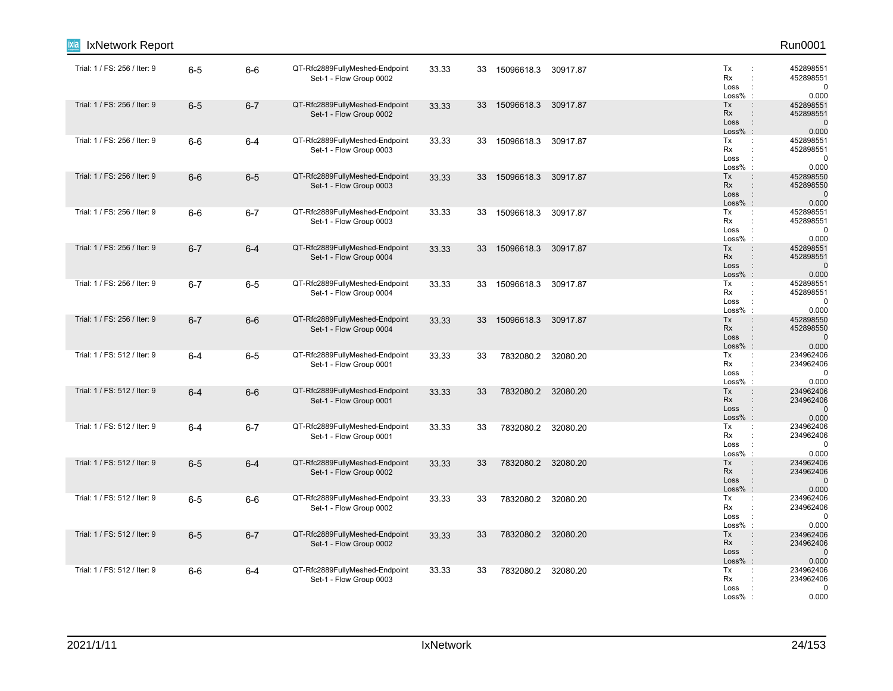| Run0001                                     |                                                                                      |          |                    |    |       |                                                           |         |         | IxNetwork Report             |
|---------------------------------------------|--------------------------------------------------------------------------------------|----------|--------------------|----|-------|-----------------------------------------------------------|---------|---------|------------------------------|
| 452898551<br>452898551<br>0.000             | Tx<br>÷<br>Rx<br>÷<br>Loss<br>$\cdot$<br>Loss%                                       | 30917.87 | 15096618.3         | 33 | 33.33 | QT-Rfc2889FullyMeshed-Endpoint<br>Set-1 - Flow Group 0002 | $6-6$   | $6-5$   | Trial: 1 / FS: 256 / Iter: 9 |
| 452898551<br>452898551<br>0.000             | Tx<br>$\ddot{\phantom{a}}$<br>Rx<br>Loss<br>$\ddot{\phantom{a}}$<br>$Loss%$ :        | 30917.87 | 15096618.3         | 33 | 33.33 | QT-Rfc2889FullyMeshed-Endpoint<br>Set-1 - Flow Group 0002 | $6 - 7$ | $6-5$   | Trial: 1 / FS: 256 / Iter: 9 |
| 452898551<br>452898551<br>$\Omega$<br>0.000 | Tx<br>Rx<br>$\cdot$<br>Loss<br>Loss%<br>$\cdot$                                      | 30917.87 | 15096618.3         | 33 | 33.33 | QT-Rfc2889FullyMeshed-Endpoint<br>Set-1 - Flow Group 0003 | $6 - 4$ | $6-6$   | Trial: 1 / FS: 256 / Iter: 9 |
| 452898550<br>452898550<br>0.000             | Tx<br>Rx<br>Loss<br>$\ddot{\phantom{a}}$<br>$Loss\%$ :                               | 30917.87 | 15096618.3         | 33 | 33.33 | QT-Rfc2889FullyMeshed-Endpoint<br>Set-1 - Flow Group 0003 | $6-5$   | $6-6$   | Trial: 1 / FS: 256 / Iter: 9 |
| 452898551<br>452898551<br>0.000             | Tx<br>÷<br>Rx<br>Loss<br>$\ddot{\phantom{a}}$<br>Loss%                               | 30917.87 | 15096618.3         | 33 | 33.33 | QT-Rfc2889FullyMeshed-Endpoint<br>Set-1 - Flow Group 0003 | $6 - 7$ | $6-6$   | Trial: 1 / FS: 256 / Iter: 9 |
| 452898551<br>452898551<br>0.000             | Tx<br><b>Rx</b><br>Loss<br>÷<br>$Loss%$ :                                            | 30917.87 | 15096618.3         | 33 | 33.33 | QT-Rfc2889FullyMeshed-Endpoint<br>Set-1 - Flow Group 0004 | $6 - 4$ | $6 - 7$ | Trial: 1 / FS: 256 / Iter: 9 |
| 452898551<br>452898551<br>$\Omega$<br>0.000 | Tx<br>$\ddot{\phantom{a}}$<br>Rx<br>Loss<br>$\ddot{\phantom{a}}$<br>Loss%            | 30917.87 | 15096618.3         | 33 | 33.33 | QT-Rfc2889FullyMeshed-Endpoint<br>Set-1 - Flow Group 0004 | $6-5$   | $6 - 7$ | Trial: 1 / FS: 256 / Iter: 9 |
| 452898550<br>452898550<br>$\Omega$<br>0.000 | Tx<br>Rx<br>Loss<br>$\ddot{\phantom{a}}$<br>$Loss%$ :                                | 30917.87 | 15096618.3         | 33 | 33.33 | QT-Rfc2889FullyMeshed-Endpoint<br>Set-1 - Flow Group 0004 | $6-6$   | $6 - 7$ | Trial: 1 / FS: 256 / Iter: 9 |
| 234962406<br>234962406<br>$\Omega$<br>0.000 | Tx<br>÷<br>Rx<br>Loss<br>$\ddot{\phantom{a}}$<br>$Loss\%$ :                          | 32080.20 | 7832080.2          | 33 | 33.33 | QT-Rfc2889FullyMeshed-Endpoint<br>Set-1 - Flow Group 0001 | $6-5$   | $6-4$   | Trial: 1 / FS: 512 / Iter: 9 |
| 234962406<br>234962406<br>0.000             | Tx<br>$\ddot{\phantom{a}}$<br><b>Rx</b><br>Loss<br>$\ddot{\phantom{a}}$<br>$Loss%$ : | 32080.20 | 7832080.2          | 33 | 33.33 | QT-Rfc2889FullyMeshed-Endpoint<br>Set-1 - Flow Group 0001 | $6-6$   | $6 - 4$ | Trial: 1 / FS: 512 / Iter: 9 |
| 234962406<br>234962406<br>$\Omega$<br>0.000 | Tx<br>÷<br>Rx<br>Loss<br>$\ddot{\phantom{a}}$<br>Loss%                               |          | 7832080.2 32080.20 | 33 | 33.33 | QT-Rfc2889FullyMeshed-Endpoint<br>Set-1 - Flow Group 0001 | $6 - 7$ | $6-4$   | Trial: 1 / FS: 512 / Iter: 9 |
| 234962406<br>234962406<br>C<br>0.000        | Tx<br><b>Rx</b><br>Loss<br>$\cdot$ :<br>Loss%<br>$\therefore$                        | 32080.20 | 7832080.2          | 33 | 33.33 | QT-Rfc2889FullyMeshed-Endpoint<br>Set-1 - Flow Group 0002 | $6 - 4$ | $6-5$   | Trial: 1 / FS: 512 / Iter: 9 |
| 234962406<br>234962406<br>$\Omega$<br>0.000 | Tx<br>Rx<br>Loss<br>$\cdot$<br>Loss%                                                 |          | 7832080.2 32080.20 | 33 | 33.33 | QT-Rfc2889FullyMeshed-Endpoint<br>Set-1 - Flow Group 0002 | $6-6$   | $6-5$   | Trial: 1 / FS: 512 / Iter: 9 |
| 234962406<br>234962406<br>0.000             | Tx<br><b>Rx</b><br>Loss<br>$\ddot{\phantom{a}}$<br>$Loss\%$ :                        | 32080.20 | 7832080.2          | 33 | 33.33 | QT-Rfc2889FullyMeshed-Endpoint<br>Set-1 - Flow Group 0002 | $6 - 7$ | $6-5$   | Trial: 1 / FS: 512 / Iter: 9 |
| 234962406<br>234962406<br>$\Omega$<br>0.000 | Tx<br>÷<br>Rx<br>Loss<br>Loss%                                                       | 32080.20 | 7832080.2          | 33 | 33.33 | QT-Rfc2889FullyMeshed-Endpoint<br>Set-1 - Flow Group 0003 | $6 - 4$ | $6-6$   | Trial: 1 / FS: 512 / Iter: 9 |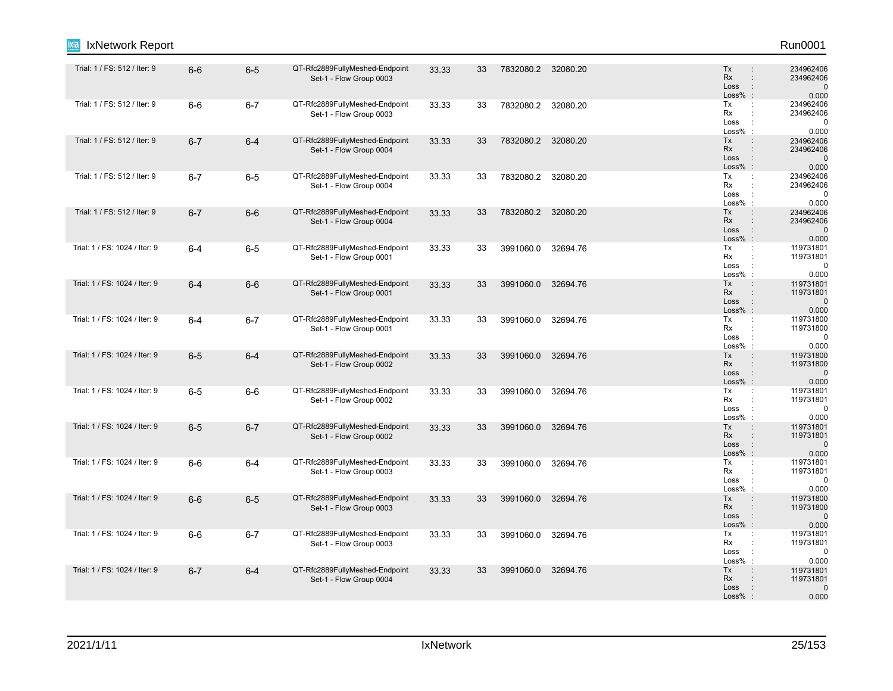| Run0001                                     |                                                                                                              |          |           |    |       |                                                           |         |         | IxNetwork Report              |
|---------------------------------------------|--------------------------------------------------------------------------------------------------------------|----------|-----------|----|-------|-----------------------------------------------------------|---------|---------|-------------------------------|
| 234962406<br>234962406<br>0.000             | Tx<br>$\ddot{\phantom{a}}$<br>Rx<br>$\ddot{\phantom{a}}$<br>Loss<br>$\ddot{\phantom{a}}$<br>Loss%<br>$\cdot$ | 32080.20 | 7832080.2 | 33 | 33.33 | QT-Rfc2889FullyMeshed-Endpoint<br>Set-1 - Flow Group 0003 | $6-5$   | $6-6$   | Trial: 1 / FS: 512 / Iter: 9  |
| 234962406<br>234962406<br>0.000             | Tx<br>÷<br>Rx<br>÷<br>Loss<br>÷<br>Loss%<br>$\cdot$                                                          | 32080.20 | 7832080.2 | 33 | 33.33 | QT-Rfc2889FullyMeshed-Endpoint<br>Set-1 - Flow Group 0003 | $6 - 7$ | $6-6$   | Trial: 1 / FS: 512 / Iter: 9  |
| 234962406<br>234962406<br>0.000             | Tx<br><b>Rx</b><br>$\ddot{\phantom{a}}$<br>Loss<br>$\ddot{\phantom{a}}$<br>$Loss%$ :                         | 32080.20 | 7832080.2 | 33 | 33.33 | QT-Rfc2889FullyMeshed-Endpoint<br>Set-1 - Flow Group 0004 | $6 - 4$ | $6 - 7$ | Trial: 1 / FS: 512 / Iter: 9  |
| 234962406<br>234962406<br>0.000             | Tx<br>÷<br>Rx<br>Loss<br>$\ddot{\phantom{a}}$<br>$Loss\%$ :                                                  | 32080.20 | 7832080.2 | 33 | 33.33 | QT-Rfc2889FullyMeshed-Endpoint<br>Set-1 - Flow Group 0004 | $6-5$   | $6 - 7$ | Trial: 1 / FS: 512 / Iter: 9  |
| 234962406<br>234962406<br>0.000             | Tx<br>$\ddot{\phantom{a}}$<br><b>Rx</b><br>Loss<br>$\ddot{\phantom{a}}$<br>$Loss%$ :                         | 32080.20 | 7832080.2 | 33 | 33.33 | QT-Rfc2889FullyMeshed-Endpoint<br>Set-1 - Flow Group 0004 | $6-6$   | $6 - 7$ | Trial: 1 / FS: 512 / Iter: 9  |
| 119731801<br>119731801<br>0.000             | Tx<br>÷<br>Rx<br>Loss<br>$\ddot{\phantom{a}}$<br>Loss%<br>$\cdot$ :                                          | 32694.76 | 3991060.0 | 33 | 33.33 | QT-Rfc2889FullyMeshed-Endpoint<br>Set-1 - Flow Group 0001 | $6-5$   | $6 - 4$ | Trial: 1 / FS: 1024 / Iter: 9 |
| 119731801<br>119731801<br>0.000             | Tx<br><b>Rx</b><br>Loss<br>÷<br>$Loss\%$ :                                                                   | 32694.76 | 3991060.0 | 33 | 33.33 | QT-Rfc2889FullyMeshed-Endpoint<br>Set-1 - Flow Group 0001 | $6-6$   | $6 - 4$ | Trial: 1 / FS: 1024 / Iter: 9 |
| 119731800<br>119731800<br>0.000             | Tx<br>Rx<br>Loss<br>÷<br>$Loss%$ :                                                                           | 32694.76 | 3991060.0 | 33 | 33.33 | QT-Rfc2889FullyMeshed-Endpoint<br>Set-1 - Flow Group 0001 | $6 - 7$ | $6 - 4$ | Trial: 1 / FS: 1024 / Iter: 9 |
| 119731800<br>119731800<br>0.000             | Tx<br>$\ddot{\phantom{a}}$<br>Rx<br>$\ddot{\phantom{a}}$<br>Loss<br>$\ddot{\phantom{a}}$<br>$Loss%$ :        | 32694.76 | 3991060.0 | 33 | 33.33 | QT-Rfc2889FullyMeshed-Endpoint<br>Set-1 - Flow Group 0002 | $6 - 4$ | $6-5$   | Trial: 1 / FS: 1024 / Iter: 9 |
| 119731801<br>119731801<br>0.000             | Tx<br>÷<br>Rx<br>Loss<br>÷<br>Loss%                                                                          | 32694.76 | 3991060.0 | 33 | 33.33 | QT-Rfc2889FullyMeshed-Endpoint<br>Set-1 - Flow Group 0002 | $6-6$   | $6-5$   | Trial: 1 / FS: 1024 / Iter: 9 |
| 119731801<br>119731801<br>$\Omega$<br>0.000 | Tx<br><b>Rx</b><br>Loss<br>$\ddot{\phantom{a}}$<br>$Loss%$ :                                                 | 32694.76 | 3991060.0 | 33 | 33.33 | QT-Rfc2889FullyMeshed-Endpoint<br>Set-1 - Flow Group 0002 | $6 - 7$ | $6-5$   | Trial: 1 / FS: 1024 / Iter: 9 |
| 119731801<br>119731801<br>0.000             | Tx<br>Rx<br>Loss<br>$\ddot{\cdot}$<br>Loss%<br>$\ddot{\phantom{a}}$                                          | 32694.76 | 3991060.0 | 33 | 33.33 | QT-Rfc2889FullyMeshed-Endpoint<br>Set-1 - Flow Group 0003 | $6-4$   | $6-6$   | Trial: 1 / FS: 1024 / Iter: 9 |
| 119731800<br>119731800<br>0.000             | Tx<br>$\ddot{\phantom{a}}$<br><b>Rx</b><br>Loss<br>$\ddot{\phantom{a}}$<br>$Loss%$ :                         | 32694.76 | 3991060.0 | 33 | 33.33 | QT-Rfc2889FullyMeshed-Endpoint<br>Set-1 - Flow Group 0003 | $6-5$   | $6-6$   | Trial: 1 / FS: 1024 / Iter: 9 |
| 119731801<br>119731801<br>0.000             | Tx<br>÷<br>Rx<br>÷<br>Loss<br>÷<br>Loss%                                                                     | 32694.76 | 3991060.0 | 33 | 33.33 | QT-Rfc2889FullyMeshed-Endpoint<br>Set-1 - Flow Group 0003 | $6 - 7$ | $6-6$   | Trial: 1 / FS: 1024 / Iter: 9 |
| 119731801<br>119731801<br>0.000             | Tx<br>$\ddot{\phantom{a}}$<br>Rx<br>Loss<br>$\ddot{\phantom{a}}$<br>$Loss%$ :                                | 32694.76 | 3991060.0 | 33 | 33.33 | QT-Rfc2889FullyMeshed-Endpoint<br>Set-1 - Flow Group 0004 | $6 - 4$ | $6 - 7$ | Trial: 1 / FS: 1024 / Iter: 9 |
|                                             |                                                                                                              |          |           |    |       |                                                           |         |         |                               |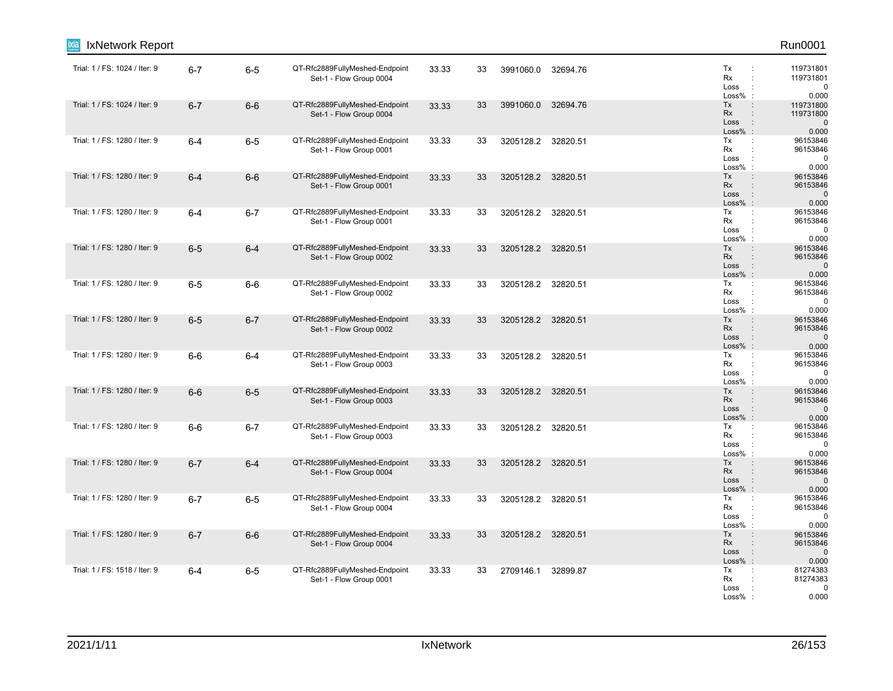| Run0001                                     |                                                                                      |          |                    |    |       |                                                           |         |         | IxNetwork Report              |
|---------------------------------------------|--------------------------------------------------------------------------------------|----------|--------------------|----|-------|-----------------------------------------------------------|---------|---------|-------------------------------|
| 119731801<br>119731801<br>$\Omega$<br>0.000 | Tx<br>Rx<br>Loss<br>$\cdot$<br>Loss%                                                 | 32694.76 | 3991060.0          | 33 | 33.33 | QT-Rfc2889FullyMeshed-Endpoint<br>Set-1 - Flow Group 0004 | $6-5$   | $6 - 7$ | Trial: 1 / FS: 1024 / Iter: 9 |
| 119731800<br>119731800<br>0.000             | Tx<br>Rx<br>Loss<br>$\ddot{\phantom{a}}$<br>$Loss%$ :                                | 32694.76 | 3991060.0          | 33 | 33.33 | QT-Rfc2889FullyMeshed-Endpoint<br>Set-1 - Flow Group 0004 | $6-6$   | $6 - 7$ | Trial: 1 / FS: 1024 / Iter: 9 |
| 96153846<br>96153846<br>$\Omega$<br>0.000   | Tx<br>Rx<br>$\cdot$<br>Loss<br>Loss%<br>$\cdot$                                      |          | 3205128.2 32820.51 | 33 | 33.33 | QT-Rfc2889FullyMeshed-Endpoint<br>Set-1 - Flow Group 0001 | $6-5$   | $6 - 4$ | Trial: 1 / FS: 1280 / Iter: 9 |
| 96153846<br>96153846<br>ſ<br>0.000          | Tx<br>Rx<br>Loss<br>$\ddot{\phantom{a}}$<br>$Loss\%$ :                               | 32820.51 | 3205128.2          | 33 | 33.33 | QT-Rfc2889FullyMeshed-Endpoint<br>Set-1 - Flow Group 0001 | $6-6$   | $6 - 4$ | Trial: 1 / FS: 1280 / Iter: 9 |
| 96153846<br>96153846<br>0.000               | Tx<br>$\ddot{\phantom{a}}$<br>Rx<br>Loss<br>Loss%                                    |          | 3205128.2 32820.51 | 33 | 33.33 | QT-Rfc2889FullyMeshed-Endpoint<br>Set-1 - Flow Group 0001 | $6 - 7$ | $6 - 4$ | Trial: 1 / FS: 1280 / Iter: 9 |
| 96153846<br>96153846<br>$\Omega$<br>0.000   | Tx<br><b>Rx</b><br>Loss<br>÷<br>$Loss%$ :                                            |          | 3205128.2 32820.51 | 33 | 33.33 | QT-Rfc2889FullyMeshed-Endpoint<br>Set-1 - Flow Group 0002 | $6 - 4$ | $6-5$   | Trial: 1 / FS: 1280 / Iter: 9 |
| 96153846<br>96153846<br>$\Omega$<br>0.000   | Tx<br>÷<br>Rx<br>Loss<br>Loss%                                                       | 32820.51 | 3205128.2          | 33 | 33.33 | QT-Rfc2889FullyMeshed-Endpoint<br>Set-1 - Flow Group 0002 | $6-6$   | $6-5$   | Trial: 1 / FS: 1280 / Iter: 9 |
| 96153846<br>96153846<br>$\Omega$<br>0.000   | Tx<br>Rx<br>Loss<br>$\ddot{\phantom{a}}$<br>$Loss%$ :                                | 32820.51 | 3205128.2          | 33 | 33.33 | QT-Rfc2889FullyMeshed-Endpoint<br>Set-1 - Flow Group 0002 | $6 - 7$ | $6-5$   | Trial: 1 / FS: 1280 / Iter: 9 |
| 96153846<br>96153846<br>$\Omega$<br>0.000   | Tx<br>÷<br>Rx<br>Loss<br>$\cdot$<br>$Loss\%$ :                                       | 32820.51 | 3205128.2          | 33 | 33.33 | QT-Rfc2889FullyMeshed-Endpoint<br>Set-1 - Flow Group 0003 | $6 - 4$ | $6-6$   | Trial: 1 / FS: 1280 / Iter: 9 |
| 96153846<br>96153846<br>0.000               | Tx<br>$\ddot{\phantom{a}}$<br><b>Rx</b><br>Loss<br>$\ddot{\phantom{a}}$<br>$Loss%$ : |          | 3205128.2 32820.51 | 33 | 33.33 | QT-Rfc2889FullyMeshed-Endpoint<br>Set-1 - Flow Group 0003 | $6-5$   | $6-6$   | Trial: 1 / FS: 1280 / Iter: 9 |
| 96153846<br>96153846<br>$\Omega$<br>0.000   | Tx<br>÷<br>Rx<br>Loss<br>$\ddot{\phantom{a}}$<br>Loss%                               |          | 3205128.2 32820.51 | 33 | 33.33 | QT-Rfc2889FullyMeshed-Endpoint<br>Set-1 - Flow Group 0003 | $6 - 7$ | $6-6$   | Trial: 1 / FS: 1280 / Iter: 9 |
| 96153846<br>96153846<br>C<br>0.000          | Tx<br><b>Rx</b><br>Loss<br>$Loss%$ :                                                 |          | 3205128.2 32820.51 | 33 | 33.33 | QT-Rfc2889FullyMeshed-Endpoint<br>Set-1 - Flow Group 0004 | $6 - 4$ | $6 - 7$ | Trial: 1 / FS: 1280 / Iter: 9 |
| 96153846<br>96153846<br>$\Omega$<br>0.000   | Tx<br>Rx<br>Loss<br>$\cdot$<br>Loss%                                                 | 32820.51 | 3205128.2          | 33 | 33.33 | QT-Rfc2889FullyMeshed-Endpoint<br>Set-1 - Flow Group 0004 | $6-5$   | $6 - 7$ | Trial: 1 / FS: 1280 / Iter: 9 |
| 96153846<br>96153846<br>0.000               | Tx<br><b>Rx</b><br>Loss<br>$\ddot{\phantom{a}}$<br>$Loss\%$ :                        | 32820.51 | 3205128.2          | 33 | 33.33 | QT-Rfc2889FullyMeshed-Endpoint<br>Set-1 - Flow Group 0004 | $6-6$   | $6 - 7$ | Trial: 1 / FS: 1280 / Iter: 9 |
| 81274383<br>81274383<br>$\Omega$<br>0.000   | Tx<br>$\ddot{\phantom{a}}$<br>Rx<br>Loss<br>Loss%                                    | 32899.87 | 2709146.1          | 33 | 33.33 | QT-Rfc2889FullyMeshed-Endpoint<br>Set-1 - Flow Group 0001 | $6-5$   | $6 - 4$ | Trial: 1 / FS: 1518 / Iter: 9 |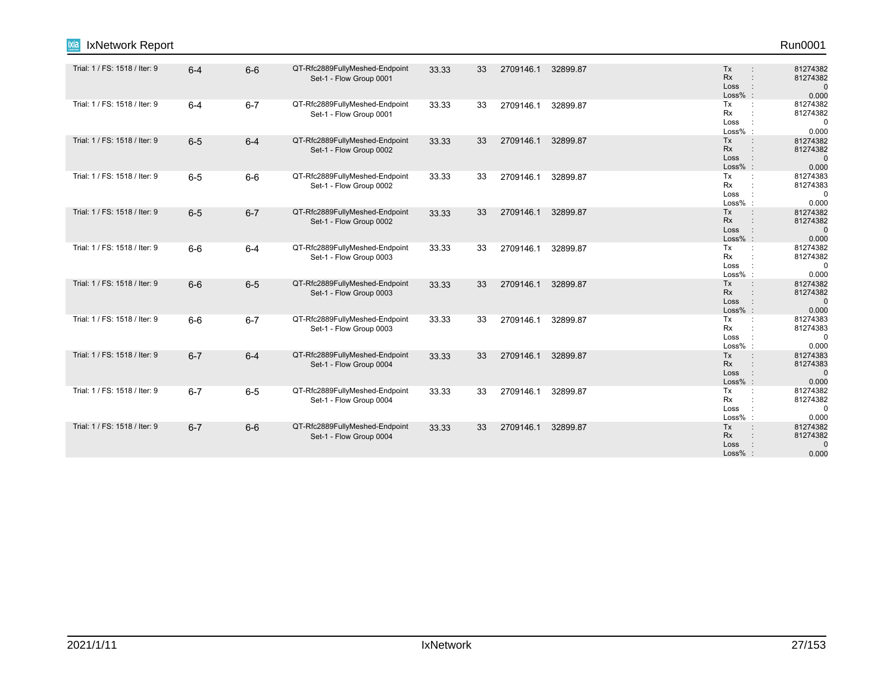| Run0001                                      |                                                                       |          |           |    |       |                                                           |         |         | IxNetwork Report<br>iixia     |
|----------------------------------------------|-----------------------------------------------------------------------|----------|-----------|----|-------|-----------------------------------------------------------|---------|---------|-------------------------------|
| 81274382<br>81274382<br>$\Omega$<br>0.000    | Tx<br>$\ddot{\phantom{a}}$<br>Rx<br>÷<br>Loss<br>Loss% :              | 32899.87 | 2709146.1 | 33 | 33.33 | QT-Rfc2889FullyMeshed-Endpoint<br>Set-1 - Flow Group 0001 | $6-6$   | $6 - 4$ | Trial: 1 / FS: 1518 / Iter: 9 |
| 81274382<br>81274382<br>$\mathbf 0$<br>0.000 | Tx<br>Rx<br>Loss<br>$\cdot$<br>$Loss%$ :                              | 32899.87 | 2709146.1 | 33 | 33.33 | QT-Rfc2889FullyMeshed-Endpoint<br>Set-1 - Flow Group 0001 | $6 - 7$ | $6 - 4$ | Trial: 1 / FS: 1518 / Iter: 9 |
| 81274382<br>81274382<br>$\Omega$<br>0.000    | Tx<br><b>Rx</b><br>Loss<br>Loss% :                                    | 32899.87 | 2709146.1 | 33 | 33.33 | QT-Rfc2889FullyMeshed-Endpoint<br>Set-1 - Flow Group 0002 | $6 - 4$ | $6-5$   | Trial: 1 / FS: 1518 / Iter: 9 |
| 81274383<br>81274383<br>$\mathbf 0$<br>0.000 | Tx<br>Rx<br>Loss<br>Loss%                                             | 32899.87 | 2709146.1 | 33 | 33.33 | QT-Rfc2889FullyMeshed-Endpoint<br>Set-1 - Flow Group 0002 | $6-6$   | $6-5$   | Trial: 1 / FS: 1518 / Iter: 9 |
| 81274382<br>81274382<br>$\Omega$<br>0.000    | Tx<br>Rx<br>Loss<br>Loss% :                                           | 32899.87 | 2709146.1 | 33 | 33.33 | QT-Rfc2889FullyMeshed-Endpoint<br>Set-1 - Flow Group 0002 | $6 - 7$ | $6-5$   | Trial: 1 / FS: 1518 / Iter: 9 |
| 81274382<br>81274382<br>$\mathbf 0$<br>0.000 | Tx<br>$\cdot$ :<br><b>Rx</b><br>Loss<br>$Loss%$ :                     | 32899.87 | 2709146.1 | 33 | 33.33 | QT-Rfc2889FullyMeshed-Endpoint<br>Set-1 - Flow Group 0003 | $6 - 4$ | $6-6$   | Trial: 1 / FS: 1518 / Iter: 9 |
| 81274382<br>81274382<br>$\mathbf 0$<br>0.000 | Tx<br>$\ddot{\phantom{a}}$<br>Rx<br>Loss<br>$\therefore$<br>$Loss%$ : | 32899.87 | 2709146.1 | 33 | 33.33 | QT-Rfc2889FullyMeshed-Endpoint<br>Set-1 - Flow Group 0003 | $6-5$   | $6-6$   | Trial: 1 / FS: 1518 / Iter: 9 |
| 81274383<br>81274383<br>$\Omega$<br>0.000    | Tx<br>Rx<br>Loss<br>Loss% :                                           | 32899.87 | 2709146.1 | 33 | 33.33 | QT-Rfc2889FullyMeshed-Endpoint<br>Set-1 - Flow Group 0003 | $6 - 7$ | $6-6$   | Trial: 1 / FS: 1518 / Iter: 9 |
| 81274383<br>81274383<br>$\Omega$<br>0.000    | Tx<br>Rx<br>Loss<br>$\therefore$<br>Loss% :                           | 32899.87 | 2709146.1 | 33 | 33.33 | QT-Rfc2889FullyMeshed-Endpoint<br>Set-1 - Flow Group 0004 | $6 - 4$ | $6 - 7$ | Trial: 1 / FS: 1518 / Iter: 9 |
| 81274382<br>81274382<br>$\Omega$<br>0.000    | Tx<br>Rx<br>Loss<br>Loss% :                                           | 32899.87 | 2709146.1 | 33 | 33.33 | QT-Rfc2889FullyMeshed-Endpoint<br>Set-1 - Flow Group 0004 | $6-5$   | $6 - 7$ | Trial: 1 / FS: 1518 / Iter: 9 |
| 81274382<br>81274382<br>$\mathbf 0$<br>0.000 | Tx<br>Rx<br>Loss<br>Loss%                                             | 32899.87 | 2709146.1 | 33 | 33.33 | QT-Rfc2889FullyMeshed-Endpoint<br>Set-1 - Flow Group 0004 | $6-6$   | $6 - 7$ | Trial: 1 / FS: 1518 / Iter: 9 |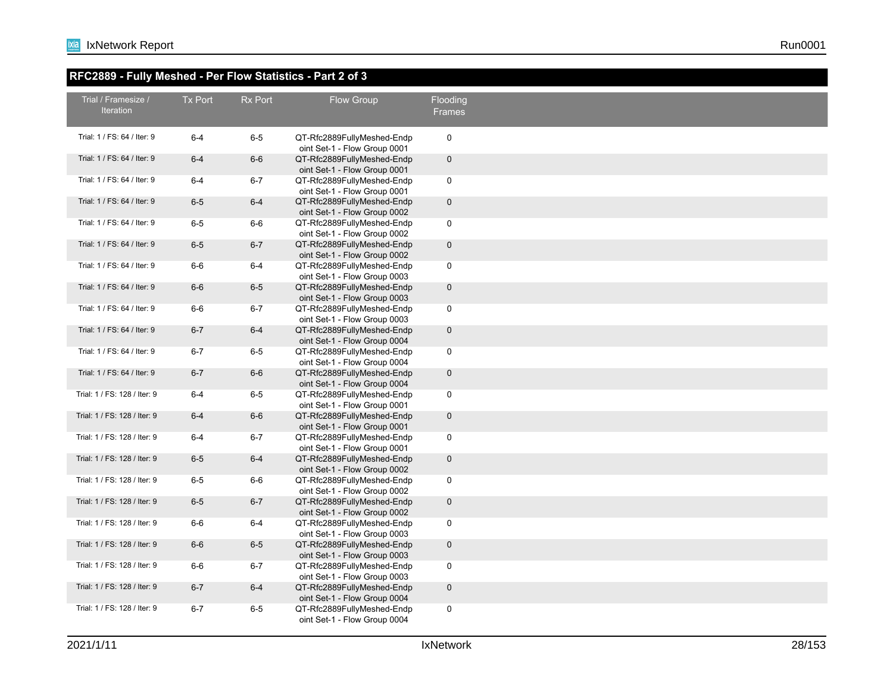#### **RFC2889 - Fully Meshed - Per Flow Statistics - Part 2 of 3**

| Trial / Framesize /          | Tx Port | <b>Rx Port</b> |                                                            |                           |
|------------------------------|---------|----------------|------------------------------------------------------------|---------------------------|
| <b>Iteration</b>             |         |                | Flow Group                                                 | Flooding<br><b>Frames</b> |
|                              |         |                |                                                            |                           |
| Trial: 1 / FS: 64 / Iter: 9  | $6 - 4$ | $6-5$          | QT-Rfc2889FullyMeshed-Endp<br>oint Set-1 - Flow Group 0001 | $\mathbf 0$               |
| Trial: 1 / FS: 64 / Iter: 9  | $6 - 4$ | $6-6$          | QT-Rfc2889FullyMeshed-Endp<br>oint Set-1 - Flow Group 0001 | $\mathbf 0$               |
| Trial: 1 / FS: 64 / Iter: 9  | $6 - 4$ | $6 - 7$        | QT-Rfc2889FullyMeshed-Endp<br>oint Set-1 - Flow Group 0001 | $\mathbf 0$               |
| Trial: 1 / FS: 64 / Iter: 9  | $6-5$   | $6-4$          | QT-Rfc2889FullyMeshed-Endp<br>oint Set-1 - Flow Group 0002 | $\mathbf 0$               |
| Trial: 1 / FS: 64 / Iter: 9  | $6-5$   | $6-6$          | QT-Rfc2889FullyMeshed-Endp<br>oint Set-1 - Flow Group 0002 | $\mathbf 0$               |
| Trial: 1 / FS: 64 / Iter: 9  | $6-5$   | $6 - 7$        | QT-Rfc2889FullyMeshed-Endp<br>oint Set-1 - Flow Group 0002 | $\mathbf 0$               |
| Trial: 1 / FS: 64 / Iter: 9  | $6-6$   | $6-4$          | QT-Rfc2889FullyMeshed-Endp<br>oint Set-1 - Flow Group 0003 | $\mathbf 0$               |
| Trial: 1 / FS: 64 / Iter: 9  | $6-6$   | $6-5$          | QT-Rfc2889FullyMeshed-Endp<br>oint Set-1 - Flow Group 0003 | $\mathbf 0$               |
| Trial: 1 / FS: 64 / Iter: 9  | $6-6$   | $6 - 7$        | QT-Rfc2889FullyMeshed-Endp<br>oint Set-1 - Flow Group 0003 | $\mathbf 0$               |
| Trial: 1 / FS: 64 / Iter: 9  | $6 - 7$ | $6-4$          | QT-Rfc2889FullyMeshed-Endp<br>oint Set-1 - Flow Group 0004 | $\mathbf 0$               |
| Trial: 1 / FS: 64 / Iter: 9  | $6 - 7$ | $6-5$          | QT-Rfc2889FullyMeshed-Endp<br>oint Set-1 - Flow Group 0004 | $\mathbf 0$               |
| Trial: 1 / FS: 64 / Iter: 9  | $6 - 7$ | $6-6$          | QT-Rfc2889FullyMeshed-Endp<br>oint Set-1 - Flow Group 0004 | $\mathbf 0$               |
| Trial: 1 / FS: 128 / Iter: 9 | $6 - 4$ | $6-5$          | QT-Rfc2889FullyMeshed-Endp<br>oint Set-1 - Flow Group 0001 | $\mathbf 0$               |
| Trial: 1 / FS: 128 / Iter: 9 | $6 - 4$ | $6-6$          | QT-Rfc2889FullyMeshed-Endp<br>oint Set-1 - Flow Group 0001 | $\mathbf 0$               |
| Trial: 1 / FS: 128 / Iter: 9 | $6 - 4$ | $6 - 7$        | QT-Rfc2889FullyMeshed-Endp<br>oint Set-1 - Flow Group 0001 | $\mathbf 0$               |
| Trial: 1 / FS: 128 / Iter: 9 | $6-5$   | $6-4$          | QT-Rfc2889FullyMeshed-Endp<br>oint Set-1 - Flow Group 0002 | $\mathbf 0$               |
| Trial: 1 / FS: 128 / Iter: 9 | $6-5$   | $6-6$          | QT-Rfc2889FullyMeshed-Endp<br>oint Set-1 - Flow Group 0002 | $\mathbf 0$               |
| Trial: 1 / FS: 128 / Iter: 9 | $6-5$   | $6 - 7$        | QT-Rfc2889FullyMeshed-Endp<br>oint Set-1 - Flow Group 0002 | $\mathbf 0$               |
| Trial: 1 / FS: 128 / Iter: 9 | $6-6$   | $6-4$          | QT-Rfc2889FullyMeshed-Endp<br>oint Set-1 - Flow Group 0003 | $\mathbf 0$               |
| Trial: 1 / FS: 128 / Iter: 9 | $6-6$   | $6-5$          | QT-Rfc2889FullyMeshed-Endp<br>oint Set-1 - Flow Group 0003 | $\mathbf 0$               |
| Trial: 1 / FS: 128 / Iter: 9 | $6-6$   | $6 - 7$        | QT-Rfc2889FullyMeshed-Endp<br>oint Set-1 - Flow Group 0003 | $\mathbf 0$               |
| Trial: 1 / FS: 128 / Iter: 9 | $6 - 7$ | $6-4$          | QT-Rfc2889FullyMeshed-Endp<br>oint Set-1 - Flow Group 0004 | $\mathbf 0$               |
| Trial: 1 / FS: 128 / Iter: 9 | $6 - 7$ | $6-5$          | QT-Rfc2889FullyMeshed-Endp<br>oint Set-1 - Flow Group 0004 | $\mathbf 0$               |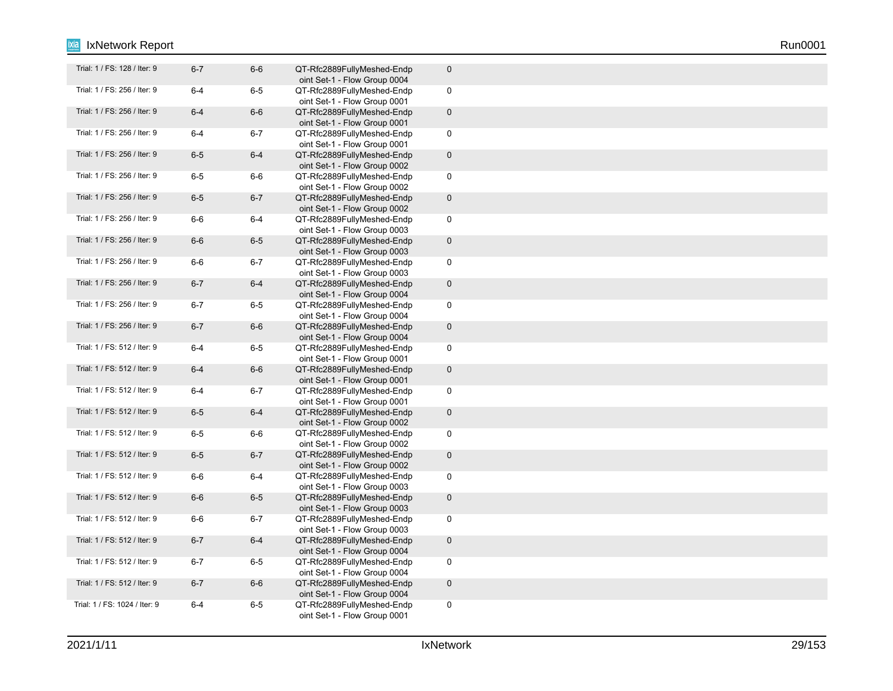| Trial: 1 / FS: 128 / Iter: 9  | $6 - 7$ | $6-6$   | QT-Rfc2889FullyMeshed-Endp<br>oint Set-1 - Flow Group 0004 | $\mathbf 0$  |
|-------------------------------|---------|---------|------------------------------------------------------------|--------------|
| Trial: 1 / FS: 256 / Iter: 9  | $6 - 4$ | $6-5$   | QT-Rfc2889FullyMeshed-Endp                                 | 0            |
| Trial: 1 / FS: 256 / Iter: 9  | $6 - 4$ | $6-6$   | oint Set-1 - Flow Group 0001<br>QT-Rfc2889FullyMeshed-Endp | $\pmb{0}$    |
|                               |         |         | oint Set-1 - Flow Group 0001                               |              |
| Trial: 1 / FS: 256 / Iter: 9  | $6 - 4$ | $6 - 7$ | QT-Rfc2889FullyMeshed-Endp<br>oint Set-1 - Flow Group 0001 | 0            |
| Trial: 1 / FS: 256 / Iter: 9  | $6-5$   | $6 - 4$ | QT-Rfc2889FullyMeshed-Endp<br>oint Set-1 - Flow Group 0002 | $\pmb{0}$    |
| Trial: 1 / FS: 256 / Iter: 9  | $6-5$   | $6-6$   | QT-Rfc2889FullyMeshed-Endp<br>oint Set-1 - Flow Group 0002 | 0            |
| Trial: 1 / FS: 256 / Iter: 9  | $6-5$   | $6 - 7$ | QT-Rfc2889FullyMeshed-Endp<br>oint Set-1 - Flow Group 0002 | $\pmb{0}$    |
| Trial: 1 / FS: 256 / Iter: 9  | $6-6$   | $6-4$   | QT-Rfc2889FullyMeshed-Endp                                 | 0            |
|                               |         |         | oint Set-1 - Flow Group 0003                               |              |
| Trial: 1 / FS: 256 / Iter: 9  | $6-6$   | $6-5$   | QT-Rfc2889FullyMeshed-Endp<br>oint Set-1 - Flow Group 0003 | $\pmb{0}$    |
| Trial: 1 / FS: 256 / Iter: 9  | $6-6$   | $6 - 7$ | QT-Rfc2889FullyMeshed-Endp<br>oint Set-1 - Flow Group 0003 | 0            |
| Trial: 1 / FS: 256 / Iter: 9  | $6 - 7$ | $6-4$   | QT-Rfc2889FullyMeshed-Endp<br>oint Set-1 - Flow Group 0004 | $\mathbf 0$  |
| Trial: 1 / FS: 256 / Iter: 9  | $6 - 7$ | $6-5$   | QT-Rfc2889FullyMeshed-Endp<br>oint Set-1 - Flow Group 0004 | $\mathsf 0$  |
| Trial: 1 / FS: 256 / Iter: 9  | $6 - 7$ | $6-6$   | QT-Rfc2889FullyMeshed-Endp<br>oint Set-1 - Flow Group 0004 | $\mathbf 0$  |
| Trial: 1 / FS: 512 / Iter: 9  | $6 - 4$ | $6-5$   | QT-Rfc2889FullyMeshed-Endp                                 | $\pmb{0}$    |
| Trial: 1 / FS: 512 / Iter: 9  | $6-4$   | $6-6$   | oint Set-1 - Flow Group 0001<br>QT-Rfc2889FullyMeshed-Endp | $\pmb{0}$    |
| Trial: 1 / FS: 512 / Iter: 9  | $6 - 4$ | $6 - 7$ | oint Set-1 - Flow Group 0001<br>QT-Rfc2889FullyMeshed-Endp | $\mathsf 0$  |
| Trial: 1 / FS: 512 / Iter: 9  |         |         | oint Set-1 - Flow Group 0001                               |              |
|                               | $6-5$   | $6-4$   | QT-Rfc2889FullyMeshed-Endp<br>oint Set-1 - Flow Group 0002 | $\mathbf{0}$ |
| Trial: 1 / FS: 512 / Iter: 9  | $6-5$   | $6-6$   | QT-Rfc2889FullyMeshed-Endp<br>oint Set-1 - Flow Group 0002 | 0            |
| Trial: 1 / FS: 512 / Iter: 9  | $6-5$   | $6 - 7$ | QT-Rfc2889FullyMeshed-Endp<br>oint Set-1 - Flow Group 0002 | $\pmb{0}$    |
| Trial: 1 / FS: 512 / Iter: 9  | $6-6$   | $6-4$   | QT-Rfc2889FullyMeshed-Endp<br>oint Set-1 - Flow Group 0003 | 0            |
| Trial: 1 / FS: 512 / Iter: 9  | $6-6$   | $6-5$   | QT-Rfc2889FullyMeshed-Endp<br>oint Set-1 - Flow Group 0003 | $\pmb{0}$    |
| Trial: 1 / FS: 512 / Iter: 9  | $6-6$   | $6 - 7$ | QT-Rfc2889FullyMeshed-Endp<br>oint Set-1 - Flow Group 0003 | $\mathsf 0$  |
| Trial: 1 / FS: 512 / Iter: 9  | $6 - 7$ | $6-4$   | QT-Rfc2889FullyMeshed-Endp<br>oint Set-1 - Flow Group 0004 | $\pmb{0}$    |
| Trial: 1 / FS: 512 / Iter: 9  | $6 - 7$ | $6-5$   | QT-Rfc2889FullyMeshed-Endp                                 | $\pmb{0}$    |
| Trial: 1 / FS: 512 / Iter: 9  | $6 - 7$ | $6-6$   | oint Set-1 - Flow Group 0004<br>QT-Rfc2889FullyMeshed-Endp | $\pmb{0}$    |
| Trial: 1 / FS: 1024 / Iter: 9 | $6 - 4$ | $6-5$   | oint Set-1 - Flow Group 0004<br>QT-Rfc2889FullyMeshed-Endp | 0            |
|                               |         |         | oint Set-1 - Flow Group 0001                               |              |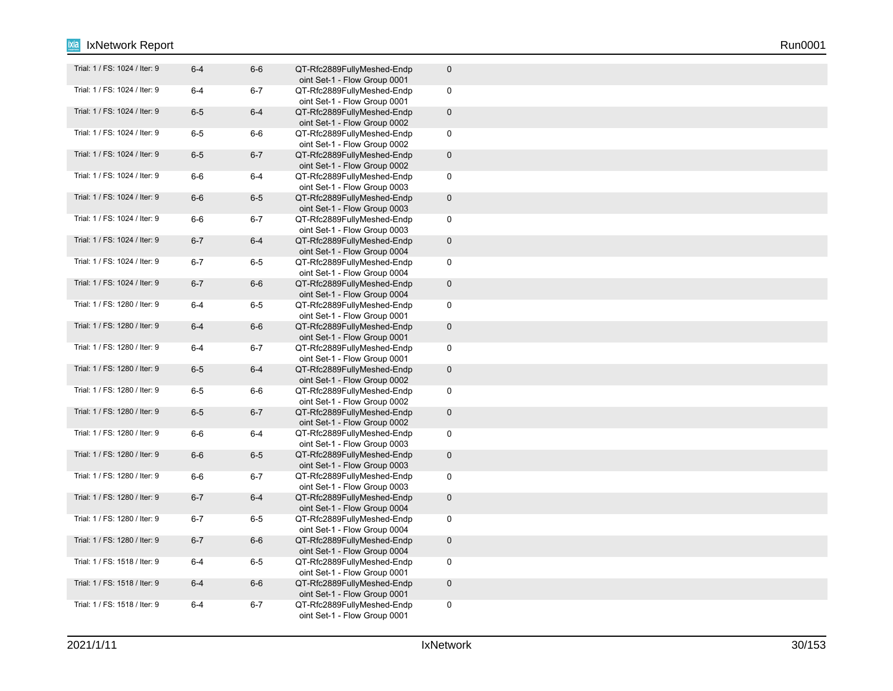| Trial: 1 / FS: 1024 / Iter: 9 | $6 - 4$ | $6-6$   | QT-Rfc2889FullyMeshed-Endp<br>oint Set-1 - Flow Group 0001 | $\pmb{0}$           |
|-------------------------------|---------|---------|------------------------------------------------------------|---------------------|
| Trial: 1 / FS: 1024 / Iter: 9 | $6 - 4$ | $6 - 7$ | QT-Rfc2889FullyMeshed-Endp<br>oint Set-1 - Flow Group 0001 | $\pmb{0}$           |
| Trial: 1 / FS: 1024 / Iter: 9 | $6-5$   | $6-4$   | QT-Rfc2889FullyMeshed-Endp<br>oint Set-1 - Flow Group 0002 | $\mathbf 0$         |
| Trial: 1 / FS: 1024 / Iter: 9 | $6-5$   | $6-6$   | QT-Rfc2889FullyMeshed-Endp<br>oint Set-1 - Flow Group 0002 | $\pmb{0}$           |
| Trial: 1 / FS: 1024 / Iter: 9 | $6-5$   | $6 - 7$ | QT-Rfc2889FullyMeshed-Endp<br>oint Set-1 - Flow Group 0002 | $\mathbf 0$         |
| Trial: 1 / FS: 1024 / Iter: 9 | $6-6$   | $6-4$   | QT-Rfc2889FullyMeshed-Endp<br>oint Set-1 - Flow Group 0003 | $\mathbf 0$         |
| Trial: 1 / FS: 1024 / Iter: 9 | $6-6$   | $6-5$   | QT-Rfc2889FullyMeshed-Endp<br>oint Set-1 - Flow Group 0003 | $\pmb{0}$           |
| Trial: 1 / FS: 1024 / Iter: 9 | $6-6$   | $6 - 7$ | QT-Rfc2889FullyMeshed-Endp<br>oint Set-1 - Flow Group 0003 | $\pmb{0}$           |
| Trial: 1 / FS: 1024 / Iter: 9 | $6 - 7$ | $6-4$   | QT-Rfc2889FullyMeshed-Endp<br>oint Set-1 - Flow Group 0004 | $\pmb{0}$           |
| Trial: 1 / FS: 1024 / Iter: 9 | $6 - 7$ | $6-5$   | QT-Rfc2889FullyMeshed-Endp<br>oint Set-1 - Flow Group 0004 | $\mathbf 0$         |
| Trial: 1 / FS: 1024 / Iter: 9 | $6 - 7$ | $6-6$   | QT-Rfc2889FullyMeshed-Endp<br>oint Set-1 - Flow Group 0004 | $\mathsf{O}\xspace$ |
| Trial: 1 / FS: 1280 / Iter: 9 | $6 - 4$ | $6-5$   | QT-Rfc2889FullyMeshed-Endp<br>oint Set-1 - Flow Group 0001 | $\mathbf 0$         |
| Trial: 1 / FS: 1280 / Iter: 9 | $6 - 4$ | $6-6$   | QT-Rfc2889FullyMeshed-Endp<br>oint Set-1 - Flow Group 0001 | $\pmb{0}$           |
| Trial: 1 / FS: 1280 / Iter: 9 | $6 - 4$ | $6 - 7$ | QT-Rfc2889FullyMeshed-Endp<br>oint Set-1 - Flow Group 0001 | $\pmb{0}$           |
| Trial: 1 / FS: 1280 / Iter: 9 | $6-5$   | $6 - 4$ | QT-Rfc2889FullyMeshed-Endp<br>oint Set-1 - Flow Group 0002 | $\mathbf 0$         |
| Trial: 1 / FS: 1280 / Iter: 9 | $6-5$   | $6-6$   | QT-Rfc2889FullyMeshed-Endp<br>oint Set-1 - Flow Group 0002 | $\mathbf 0$         |
| Trial: 1 / FS: 1280 / Iter: 9 | $6-5$   | $6 - 7$ | QT-Rfc2889FullyMeshed-Endp<br>oint Set-1 - Flow Group 0002 | $\pmb{0}$           |
| Trial: 1 / FS: 1280 / Iter: 9 | $6-6$   | $6-4$   | QT-Rfc2889FullyMeshed-Endp<br>oint Set-1 - Flow Group 0003 | $\mathbf 0$         |
| Trial: 1 / FS: 1280 / Iter: 9 | $6-6$   | $6-5$   | QT-Rfc2889FullyMeshed-Endp<br>oint Set-1 - Flow Group 0003 | $\pmb{0}$           |
| Trial: 1 / FS: 1280 / Iter: 9 | $6-6$   | $6 - 7$ | QT-Rfc2889FullyMeshed-Endp<br>oint Set-1 - Flow Group 0003 | $\mathbf 0$         |
| Trial: 1 / FS: 1280 / Iter: 9 | $6 - 7$ | $6 - 4$ | QT-Rfc2889FullyMeshed-Endp<br>oint Set-1 - Flow Group 0004 | $\mathbf 0$         |
| Trial: 1 / FS: 1280 / Iter: 9 | $6 - 7$ | $6-5$   | QT-Rfc2889FullyMeshed-Endp<br>oint Set-1 - Flow Group 0004 | $\mathbf 0$         |
| Trial: 1 / FS: 1280 / Iter: 9 | $6 - 7$ | $6-6$   | QT-Rfc2889FullyMeshed-Endp<br>oint Set-1 - Flow Group 0004 | $\pmb{0}$           |
| Trial: 1 / FS: 1518 / Iter: 9 | $6 - 4$ | $6-5$   | QT-Rfc2889FullyMeshed-Endp<br>oint Set-1 - Flow Group 0001 | $\mathbf 0$         |
| Trial: 1 / FS: 1518 / Iter: 9 | $6-4$   | $6-6$   | QT-Rfc2889FullyMeshed-Endp<br>oint Set-1 - Flow Group 0001 | $\mathsf{O}\xspace$ |
| Trial: 1 / FS: 1518 / Iter: 9 | $6 - 4$ | $6 - 7$ | QT-Rfc2889FullyMeshed-Endp<br>oint Set-1 - Flow Group 0001 | $\pmb{0}$           |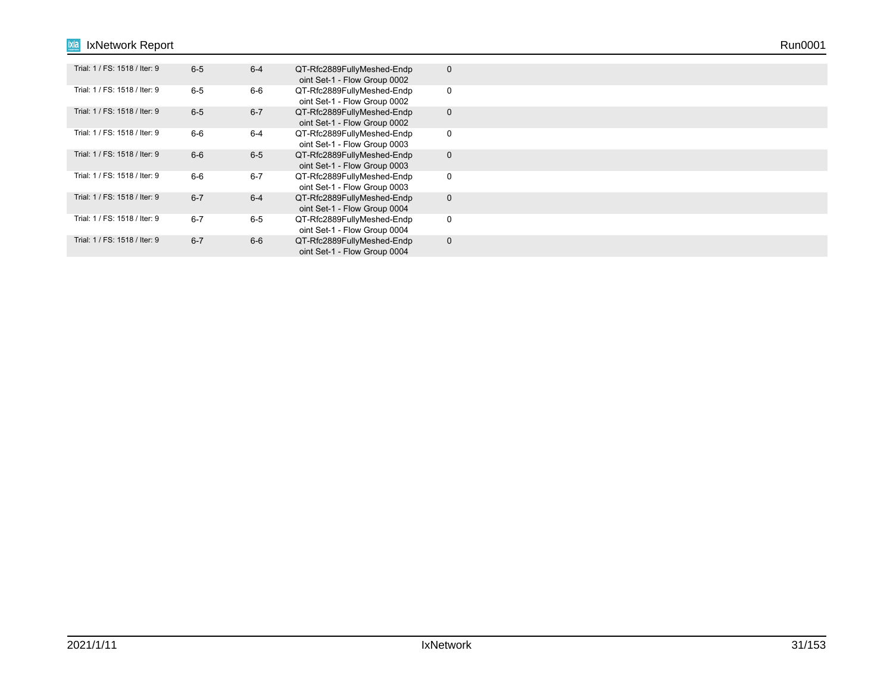| Trial: 1 / FS: 1518 / Iter: 9 | $6-5$   | $6 - 4$ | QT-Rfc2889FullyMeshed-Endp<br>oint Set-1 - Flow Group 0002 | $\mathbf{0}$ |
|-------------------------------|---------|---------|------------------------------------------------------------|--------------|
| Trial: 1 / FS: 1518 / Iter: 9 | $6 - 5$ | 6-6     | QT-Rfc2889FullyMeshed-Endp<br>oint Set-1 - Flow Group 0002 | 0            |
| Trial: 1 / FS: 1518 / Iter: 9 | $6-5$   | $6 - 7$ | QT-Rfc2889FullyMeshed-Endp<br>oint Set-1 - Flow Group 0002 | $\mathbf{0}$ |
| Trial: 1 / FS: 1518 / Iter: 9 | $6-6$   | $6 - 4$ | QT-Rfc2889FullyMeshed-Endp<br>oint Set-1 - Flow Group 0003 | 0            |
| Trial: 1 / FS: 1518 / Iter: 9 | $6 - 6$ | $6-5$   | QT-Rfc2889FullyMeshed-Endp<br>oint Set-1 - Flow Group 0003 | $\mathbf{0}$ |
| Trial: 1 / FS: 1518 / Iter: 9 | $6-6$   | $6 - 7$ | QT-Rfc2889FullyMeshed-Endp<br>oint Set-1 - Flow Group 0003 | 0            |
| Trial: 1 / FS: 1518 / Iter: 9 | $6 - 7$ | $6 - 4$ | QT-Rfc2889FullyMeshed-Endp<br>oint Set-1 - Flow Group 0004 | $\mathbf{0}$ |
| Trial: 1 / FS: 1518 / Iter: 9 | $6 - 7$ | $6 - 5$ | QT-Rfc2889FullyMeshed-Endp<br>oint Set-1 - Flow Group 0004 | 0            |
| Trial: 1 / FS: 1518 / Iter: 9 | $6 - 7$ | $6-6$   | QT-Rfc2889FullyMeshed-Endp<br>oint Set-1 - Flow Group 0004 | $\mathbf{0}$ |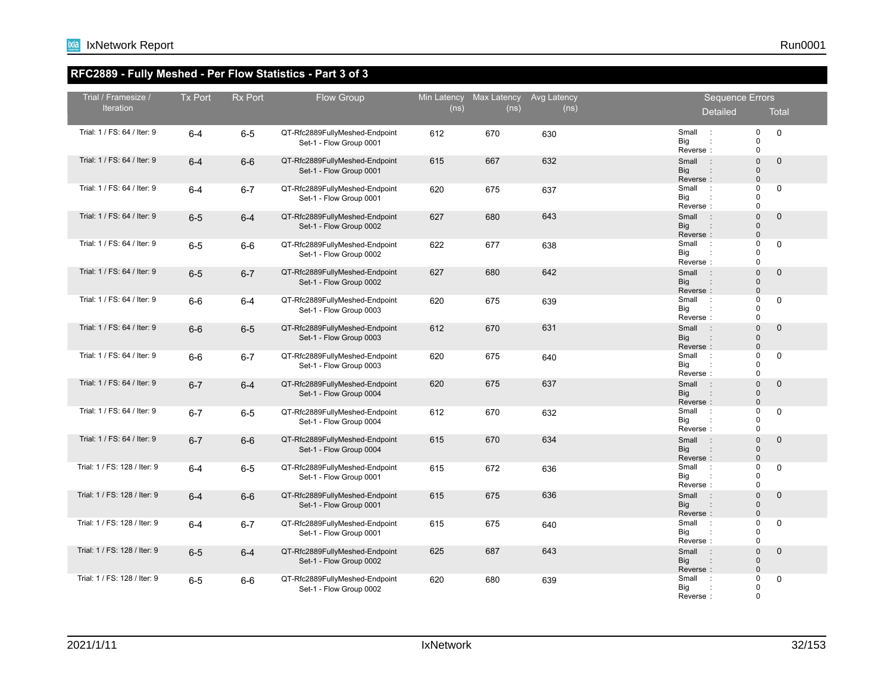## **RFC2889 - Fully Meshed - Per Flow Statistics - Part 3 of 3**

| Trial / Framesize /          | <b>Tx Port</b> | <b>Rx Port</b> | Flow Group                                                | Min Latency | <b>Max Latency</b> | Avg Latency |                                 | Sequence Errors                                    |                                                           |  |
|------------------------------|----------------|----------------|-----------------------------------------------------------|-------------|--------------------|-------------|---------------------------------|----------------------------------------------------|-----------------------------------------------------------|--|
| <b>Iteration</b>             |                |                |                                                           | (ns)        | (n <sub>s</sub> )  | (ns)        |                                 | Detailed                                           | <b>Total</b>                                              |  |
| Trial: 1 / FS: 64 / Iter: 9  | $6 - 4$        | $6-5$          | QT-Rfc2889FullyMeshed-Endpoint<br>Set-1 - Flow Group 0001 | 612         | 670                | 630         | Small<br>Big<br>Reverse:        | $\therefore$                                       | $\pmb{0}$<br>$\mathbf 0$<br>$\pmb{0}$<br>$\mathbf 0$      |  |
| Trial: 1 / FS: 64 / Iter: 9  | $6 - 4$        | $6-6$          | QT-Rfc2889FullyMeshed-Endpoint<br>Set-1 - Flow Group 0001 | 615         | 667                | 632         | Small<br><b>Big</b><br>Reverse: | $\overline{a}$ :                                   | $\mathbf{0}$<br>$\mathbf 0$<br>$\pmb{0}$<br>$\Omega$      |  |
| Trial: 1 / FS: 64 / Iter: 9  | $6 - 4$        | $6 - 7$        | QT-Rfc2889FullyMeshed-Endpoint<br>Set-1 - Flow Group 0001 | 620         | 675                | 637         | Small<br>Big<br>Reverse:        | $\mathbb{R}^2$                                     | $\mathbf 0$<br>$\mathbf 0$<br>$\mathbf 0$<br>$\mathbf 0$  |  |
| Trial: 1 / FS: 64 / Iter: 9  | $6 - 5$        | $6-4$          | QT-Rfc2889FullyMeshed-Endpoint<br>Set-1 - Flow Group 0002 | 627         | 680                | 643         | Small<br><b>Big</b><br>Reverse: | $\overline{a}$ :                                   | $\mathbf 0$<br>$\Omega$<br>$\mathbf 0$<br>$\Omega$        |  |
| Trial: 1 / FS: 64 / Iter: 9  | $6-5$          | $6-6$          | QT-Rfc2889FullyMeshed-Endpoint<br>Set-1 - Flow Group 0002 | 622         | 677                | 638         | Small<br>Big<br>Reverse:        | $\sim$ 1                                           | $\mathbf 0$<br>$\mathbf 0$<br>0<br>$\mathbf 0$            |  |
| Trial: 1 / FS: 64 / Iter: 9  | $6-5$          | $6 - 7$        | QT-Rfc2889FullyMeshed-Endpoint<br>Set-1 - Flow Group 0002 | 627         | 680                | 642         | Small<br><b>Big</b><br>Reverse: | $\overline{a}$ :                                   | $\Omega$<br>$\pmb{0}$<br>$\mathbf 0$<br>$\mathbf 0$       |  |
| Trial: 1 / FS: 64 / Iter: 9  | $6-6$          | $6-4$          | QT-Rfc2889FullyMeshed-Endpoint<br>Set-1 - Flow Group 0003 | 620         | 675                | 639         | Small<br>Big<br>Reverse:        | $\mathbb{R}^2$                                     | $\Omega$<br>$\mathbf 0$<br>0<br>$\mathbf 0$               |  |
| Trial: 1 / FS: 64 / Iter: 9  | $6-6$          | $6-5$          | QT-Rfc2889FullyMeshed-Endpoint<br>Set-1 - Flow Group 0003 | 612         | 670                | 631         | Small<br><b>Big</b><br>Reverse: | $\cdot$ :                                          | $\mathbf 0$<br>$\mathbf 0$<br>0<br>$\pmb{0}$              |  |
| Trial: 1 / FS: 64 / Iter: 9  | $6-6$          | $6 - 7$        | QT-Rfc2889FullyMeshed-Endpoint<br>Set-1 - Flow Group 0003 | 620         | 675                | 640         | Small<br>Big<br>Reverse:        | $\sim$ 1.                                          | $\mathbf 0$<br>$\mathbf 0$<br>$\mathbf 0$<br>$\Omega$     |  |
| Trial: 1 / FS: 64 / Iter: 9  | $6 - 7$        | $6-4$          | QT-Rfc2889FullyMeshed-Endpoint<br>Set-1 - Flow Group 0004 | 620         | 675                | 637         | Small<br><b>Big</b><br>Reverse: | $\cdot$ :<br>÷                                     | $\mathbf 0$<br>$\mathbf 0$<br>0<br>$\mathbf{0}$           |  |
| Trial: 1 / FS: 64 / Iter: 9  | $6 - 7$        | $6-5$          | QT-Rfc2889FullyMeshed-Endpoint<br>Set-1 - Flow Group 0004 | 612         | 670                | 632         | Small<br>Big<br>Reverse:        | $\cdot$ :                                          | $\mathbf 0$<br>0<br>$\Omega$<br>$\mathbf 0$               |  |
| Trial: 1 / FS: 64 / Iter: 9  | $6 - 7$        | $6-6$          | QT-Rfc2889FullyMeshed-Endpoint<br>Set-1 - Flow Group 0004 | 615         | 670                | 634         | Small<br><b>Big</b><br>Reverse: | $\overline{\phantom{a}}$ :<br>$\ddot{\phantom{a}}$ | $\mathbf 0$<br>$\mathbf 0$<br>$\mathbf 0$<br>$\mathbf{0}$ |  |
| Trial: 1 / FS: 128 / Iter: 9 | $6 - 4$        | $6-5$          | QT-Rfc2889FullyMeshed-Endpoint<br>Set-1 - Flow Group 0001 | 615         | 672                | 636         | Small<br>Big<br>Reverse:        | $\mathbb{R}^2$<br>÷                                | $\mathbf 0$<br>0<br>$\Omega$<br>$\Omega$                  |  |
| Trial: 1 / FS: 128 / Iter: 9 | $6-4$          | $6-6$          | QT-Rfc2889FullyMeshed-Endpoint<br>Set-1 - Flow Group 0001 | 615         | 675                | 636         | Small<br><b>Big</b><br>Reverse: | $\sim$ 1                                           | $\mathbf 0$<br>$\mathbf 0$<br>$\mathbf 0$<br>$\Omega$     |  |
| Trial: 1 / FS: 128 / Iter: 9 | $6 - 4$        | $6 - 7$        | QT-Rfc2889FullyMeshed-Endpoint<br>Set-1 - Flow Group 0001 | 615         | 675                | 640         | Small<br>Big<br>Reverse:        | $\sim$ 1.                                          | $\mathbf 0$<br>0<br>$\Omega$<br>$\mathbf 0$               |  |
| Trial: 1 / FS: 128 / Iter: 9 | $6-5$          | $6-4$          | QT-Rfc2889FullyMeshed-Endpoint<br>Set-1 - Flow Group 0002 | 625         | 687                | 643         | Small<br><b>Big</b><br>Reverse: | $\mathbb{R}^2$<br>$\ddot{\phantom{a}}$             | $\mathbf 0$<br>0<br>$\pmb{0}$<br>$\Omega$                 |  |
| Trial: 1 / FS: 128 / Iter: 9 | $6-5$          | $6-6$          | QT-Rfc2889FullyMeshed-Endpoint<br>Set-1 - Flow Group 0002 | 620         | 680                | 639         | Small<br>Big<br>Reverse:        | $\cdot$ :                                          | 0<br>0<br>$\mathbf 0$<br>$\Omega$                         |  |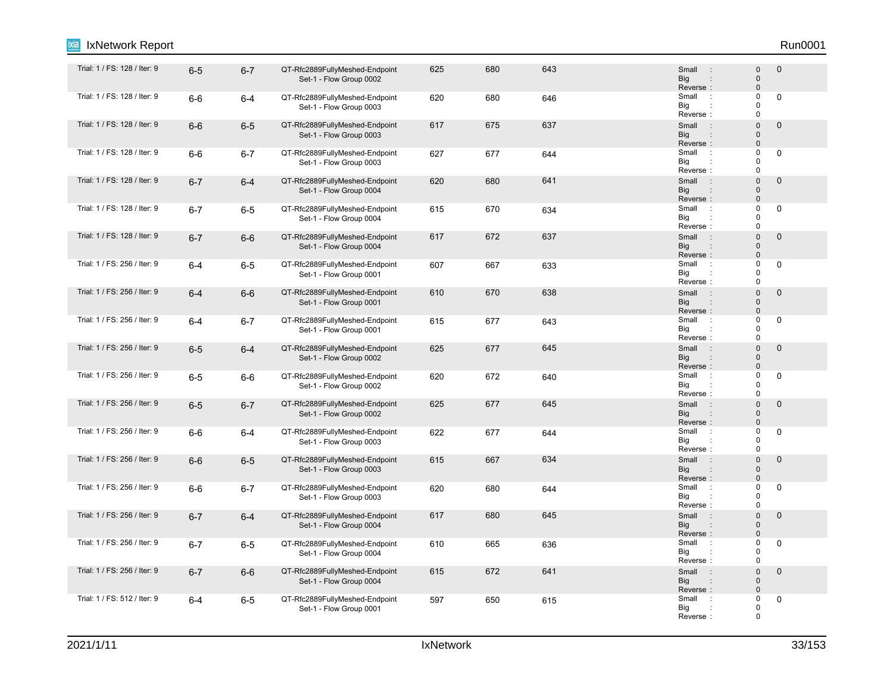| Trial: 1 / FS: 128 / Iter: 9 | $6-5$   | $6 - 7$ | QT-Rfc2889FullyMeshed-Endpoint<br>Set-1 - Flow Group 0002 | 625 | 680 | 643 | Small<br><b>Big</b><br>Reverse:                        | 0<br>0<br>0                                  | $\mathbf 0$  |
|------------------------------|---------|---------|-----------------------------------------------------------|-----|-----|-----|--------------------------------------------------------|----------------------------------------------|--------------|
| Trial: 1 / FS: 128 / Iter: 9 | $6-6$   | $6-4$   | QT-Rfc2889FullyMeshed-Endpoint<br>Set-1 - Flow Group 0003 | 620 | 680 | 646 | Small<br>$\cdot$ :<br>Big<br>Reverse:                  | 0<br>0<br>0                                  | $\mathbf 0$  |
| Trial: 1 / FS: 128 / Iter: 9 | $6-6$   | $6-5$   | QT-Rfc2889FullyMeshed-Endpoint<br>Set-1 - Flow Group 0003 | 617 | 675 | 637 | Small<br>$\overline{\phantom{a}}$ :<br>Big<br>Reverse: | $\mathbf{0}$<br>$\mathbf{0}$<br>$\mathbf{0}$ | 0            |
| Trial: 1 / FS: 128 / Iter: 9 | $6-6$   | $6 - 7$ | QT-Rfc2889FullyMeshed-Endpoint<br>Set-1 - Flow Group 0003 | 627 | 677 | 644 | Small<br>$\mathbb{R}^2$<br>Big<br>Reverse:             | 0<br>0<br>0                                  | 0            |
| Trial: 1 / FS: 128 / Iter: 9 | $6 - 7$ | $6-4$   | QT-Rfc2889FullyMeshed-Endpoint<br>Set-1 - Flow Group 0004 | 620 | 680 | 641 | Small<br>$\cdot$<br><b>Big</b><br>Reverse:             | $\Omega$<br>$\mathbf{0}$<br>$\mathbf{0}$     | 0            |
| Trial: 1 / FS: 128 / Iter: 9 | $6 - 7$ | $6-5$   | QT-Rfc2889FullyMeshed-Endpoint<br>Set-1 - Flow Group 0004 | 615 | 670 | 634 | Small<br>$\therefore$<br>Big<br>Reverse:               | 0<br>0<br>0                                  | 0            |
| Trial: 1 / FS: 128 / Iter: 9 | $6 - 7$ | $6-6$   | QT-Rfc2889FullyMeshed-Endpoint<br>Set-1 - Flow Group 0004 | 617 | 672 | 637 | Small<br>$\cdot$ :<br><b>Big</b><br>Reverse:           | $\mathbf{0}$<br>$\mathbf{0}$<br>$\mathbf{0}$ | $\mathbf 0$  |
| Trial: 1 / FS: 256 / Iter: 9 | $6-4$   | $6-5$   | QT-Rfc2889FullyMeshed-Endpoint<br>Set-1 - Flow Group 0001 | 607 | 667 | 633 | Small<br>$\cdot$<br>Big<br>Reverse:                    | 0<br>0<br>0                                  | 0            |
| Trial: 1 / FS: 256 / Iter: 9 | $6 - 4$ | $6-6$   | QT-Rfc2889FullyMeshed-Endpoint<br>Set-1 - Flow Group 0001 | 610 | 670 | 638 | Small<br>$\therefore$<br><b>Big</b><br>Reverse:        | $\Omega$<br>0<br>0                           | $\mathbf{0}$ |
| Trial: 1 / FS: 256 / Iter: 9 | $6-4$   | $6 - 7$ | QT-Rfc2889FullyMeshed-Endpoint<br>Set-1 - Flow Group 0001 | 615 | 677 | 643 | Small<br>$\cdot$<br>Big<br>Reverse:                    | 0<br>0<br>0                                  | 0            |
| Trial: 1 / FS: 256 / Iter: 9 | $6-5$   | $6 - 4$ | QT-Rfc2889FullyMeshed-Endpoint<br>Set-1 - Flow Group 0002 | 625 | 677 | 645 | Small<br><b>Big</b><br>Reverse:                        | $\overline{0}$<br>0<br>0                     | 0            |
| Trial: 1 / FS: 256 / Iter: 9 | $6-5$   | 6-6     | QT-Rfc2889FullyMeshed-Endpoint<br>Set-1 - Flow Group 0002 | 620 | 672 | 640 | Small<br>$\cdot$ :<br>Big<br>Reverse:                  | 0<br>0<br>0                                  | $\mathbf 0$  |
| Trial: 1 / FS: 256 / Iter: 9 | $6-5$   | $6 - 7$ | QT-Rfc2889FullyMeshed-Endpoint<br>Set-1 - Flow Group 0002 | 625 | 677 | 645 | Small<br>$\sim$ :<br><b>Big</b><br>Reverse:            | $\overline{0}$<br>0<br>0                     | 0            |
| Trial: 1 / FS: 256 / Iter: 9 | $6-6$   | 6-4     | QT-Rfc2889FullyMeshed-Endpoint<br>Set-1 - Flow Group 0003 | 622 | 677 | 644 | Small<br>$\cdot$ :<br>Big<br>Reverse:                  | 0<br>0<br>0                                  | 0            |
| Trial: 1 / FS: 256 / Iter: 9 | $6-6$   | $6-5$   | QT-Rfc2889FullyMeshed-Endpoint<br>Set-1 - Flow Group 0003 | 615 | 667 | 634 | Small<br>$\cdot$<br><b>Big</b><br>Reverse:             | 0<br>$\mathbf{0}$<br>$\mathbf{0}$            | 0            |
| Trial: 1 / FS: 256 / Iter: 9 | $6-6$   | $6 - 7$ | QT-Rfc2889FullyMeshed-Endpoint<br>Set-1 - Flow Group 0003 | 620 | 680 | 644 | Small<br>$\ddot{\phantom{a}}$<br>Big<br>Reverse:       | 0<br>0<br>0                                  | $\mathbf 0$  |
| Trial: 1 / FS: 256 / Iter: 9 | $6 - 7$ | $6-4$   | QT-Rfc2889FullyMeshed-Endpoint<br>Set-1 - Flow Group 0004 | 617 | 680 | 645 | Small<br>$\therefore$<br><b>Big</b><br>Reverse:        | $\mathbf{0}$<br>$\mathbf{0}$<br>$\mathbf{0}$ | 0            |
| Trial: 1 / FS: 256 / Iter: 9 | $6 - 7$ | $6-5$   | QT-Rfc2889FullyMeshed-Endpoint<br>Set-1 - Flow Group 0004 | 610 | 665 | 636 | Small<br>$\ddot{\phantom{1}}$<br>Big<br>Reverse:       | 0<br>$\Omega$<br>0                           | 0            |
| Trial: 1 / FS: 256 / Iter: 9 | $6 - 7$ | $6-6$   | QT-Rfc2889FullyMeshed-Endpoint<br>Set-1 - Flow Group 0004 | 615 | 672 | 641 | Small<br>$\cdot$ :<br><b>Big</b><br>Reverse:           | $\mathbf{0}$<br>$\mathbf{0}$<br>$\mathbf{0}$ | $\mathbf 0$  |
| Trial: 1 / FS: 512 / Iter: 9 | $6-4$   | $6-5$   | QT-Rfc2889FullyMeshed-Endpoint<br>Set-1 - Flow Group 0001 | 597 | 650 | 615 | Small<br>$\ddot{\phantom{a}}$<br>Big<br>Reverse:       | 0<br>0<br>0                                  | 0            |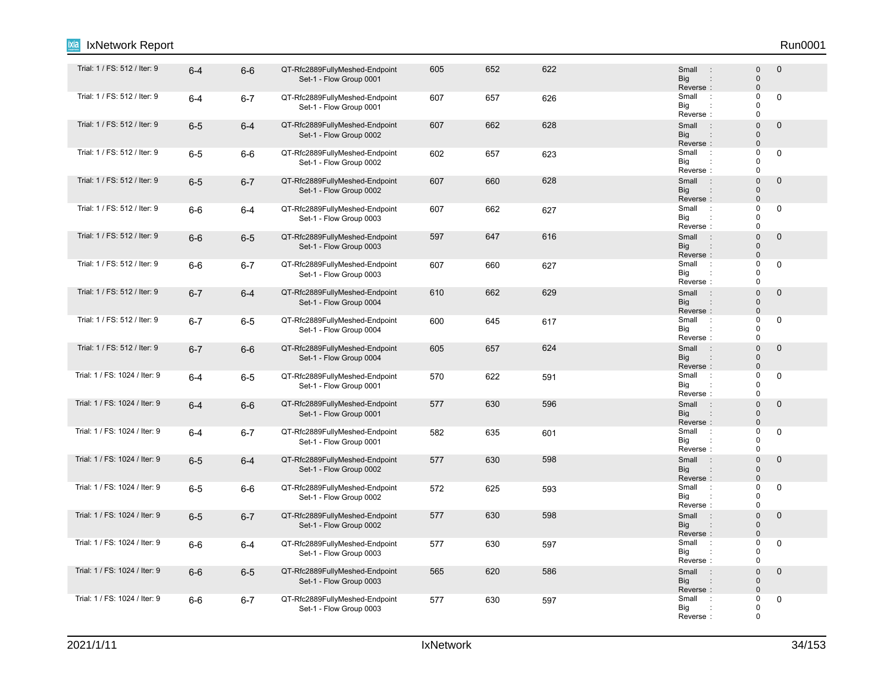| Trial: 1 / FS: 512 / Iter: 9  | $6-4$   | $6-6$   | QT-Rfc2889FullyMeshed-Endpoint<br>Set-1 - Flow Group 0001 | 605 | 652 | 622 | Small<br><b>Big</b><br>Reverse:                     | 0<br>$\mathbf 0$<br>$\mathbf{0}$             | $\mathbf 0$    |
|-------------------------------|---------|---------|-----------------------------------------------------------|-----|-----|-----|-----------------------------------------------------|----------------------------------------------|----------------|
| Trial: 1 / FS: 512 / Iter: 9  | $6-4$   | $6 - 7$ | QT-Rfc2889FullyMeshed-Endpoint<br>Set-1 - Flow Group 0001 | 607 | 657 | 626 | Small<br>$\cdot$ :<br>Big<br>Reverse:               | 0<br>0<br>0                                  | 0              |
| Trial: 1 / FS: 512 / Iter: 9  | $6-5$   | $6 - 4$ | QT-Rfc2889FullyMeshed-Endpoint<br>Set-1 - Flow Group 0002 | 607 | 662 | 628 | Small<br>$\overline{a}$ :<br><b>Big</b><br>Reverse: | $\mathbf{0}$<br>0<br>$\mathbf{0}$            | 0              |
| Trial: 1 / FS: 512 / Iter: 9  | $6-5$   | $6-6$   | QT-Rfc2889FullyMeshed-Endpoint<br>Set-1 - Flow Group 0002 | 602 | 657 | 623 | Small<br>$\cdot$<br>Big<br>Reverse:                 | 0<br>0<br>0                                  | 0              |
| Trial: 1 / FS: 512 / Iter: 9  | $6-5$   | $6 - 7$ | QT-Rfc2889FullyMeshed-Endpoint<br>Set-1 - Flow Group 0002 | 607 | 660 | 628 | Small<br>$\pm$<br><b>Big</b><br>Reverse:            | $\mathbf{0}$<br>0<br>0                       | 0              |
| Trial: 1 / FS: 512 / Iter: 9  | $6-6$   | 6-4     | QT-Rfc2889FullyMeshed-Endpoint<br>Set-1 - Flow Group 0003 | 607 | 662 | 627 | Small<br>$\therefore$<br>Big<br>Reverse:            | 0<br>0<br>0                                  | 0              |
| Trial: 1 / FS: 512 / Iter: 9  | $6-6$   | $6-5$   | QT-Rfc2889FullyMeshed-Endpoint<br>Set-1 - Flow Group 0003 | 597 | 647 | 616 | Small<br>$\therefore$<br><b>Big</b><br>Reverse:     | 0<br>0<br>0                                  | $\pmb{0}$      |
| Trial: 1 / FS: 512 / Iter: 9  | $6-6$   | $6 - 7$ | QT-Rfc2889FullyMeshed-Endpoint<br>Set-1 - Flow Group 0003 | 607 | 660 | 627 | Small<br>$\ddot{\phantom{a}}$<br>Big<br>Reverse:    | 0<br>$\Omega$<br>0                           | 0              |
| Trial: 1 / FS: 512 / Iter: 9  | $6 - 7$ | $6 - 4$ | QT-Rfc2889FullyMeshed-Endpoint<br>Set-1 - Flow Group 0004 | 610 | 662 | 629 | Small<br>$\cdot$ :<br><b>Big</b><br>Reverse:        | $\overline{0}$<br>0<br>$\mathbf{0}$          | $\mathbf 0$    |
| Trial: 1 / FS: 512 / Iter: 9  | $6 - 7$ | $6-5$   | QT-Rfc2889FullyMeshed-Endpoint<br>Set-1 - Flow Group 0004 | 600 | 645 | 617 | Small<br>$\cdot$ :<br>Big<br>Reverse:               | 0<br>0<br>0                                  | 0              |
| Trial: 1 / FS: 512 / Iter: 9  | $6 - 7$ | $6-6$   | QT-Rfc2889FullyMeshed-Endpoint<br>Set-1 - Flow Group 0004 | 605 | 657 | 624 | Small<br><b>Big</b><br>Reverse:                     | $\Omega$<br>$\mathbf{0}$<br>$\mathbf{0}$     | $\overline{0}$ |
| Trial: 1 / FS: 1024 / Iter: 9 | $6-4$   | $6-5$   | QT-Rfc2889FullyMeshed-Endpoint<br>Set-1 - Flow Group 0001 | 570 | 622 | 591 | Small<br>$\ddot{\phantom{a}}$<br>Big<br>Reverse:    | 0<br>0<br>0                                  | 0              |
| Trial: 1 / FS: 1024 / Iter: 9 | $6-4$   | $6-6$   | QT-Rfc2889FullyMeshed-Endpoint<br>Set-1 - Flow Group 0001 | 577 | 630 | 596 | Small<br>$\overline{a}$ :<br><b>Big</b><br>Reverse: | $\mathbf{0}$<br>$\mathbf{0}$<br>0            | 0              |
| Trial: 1 / FS: 1024 / Iter: 9 | $6 - 4$ | $6 - 7$ | QT-Rfc2889FullyMeshed-Endpoint<br>Set-1 - Flow Group 0001 | 582 | 635 | 601 | Small<br>$\cdot$ :<br>Big<br>Reverse:               | 0<br>0<br>0                                  | 0              |
| Trial: 1 / FS: 1024 / Iter: 9 | $6-5$   | $6-4$   | QT-Rfc2889FullyMeshed-Endpoint<br>Set-1 - Flow Group 0002 | 577 | 630 | 598 | Small<br>$\cdot$<br><b>Big</b><br>Reverse:          | 0<br>0<br>0                                  | 0              |
| Trial: 1 / FS: 1024 / Iter: 9 | $6-5$   | 6-6     | QT-Rfc2889FullyMeshed-Endpoint<br>Set-1 - Flow Group 0002 | 572 | 625 | 593 | Small<br>$\ddot{\phantom{a}}$<br>Big<br>Reverse:    | 0<br>0<br>0                                  | 0              |
| Trial: 1 / FS: 1024 / Iter: 9 | $6-5$   | $6 - 7$ | QT-Rfc2889FullyMeshed-Endpoint<br>Set-1 - Flow Group 0002 | 577 | 630 | 598 | Small<br>$\therefore$<br><b>Big</b><br>Reverse:     | 0<br>$\mathbf{0}$<br>0                       | 0              |
| Trial: 1 / FS: 1024 / Iter: 9 | $6-6$   | 6-4     | QT-Rfc2889FullyMeshed-Endpoint<br>Set-1 - Flow Group 0003 | 577 | 630 | 597 | Small<br>$\cdot$ :<br>Big<br>Reverse:               | 0<br>$\Omega$<br>0                           | 0              |
| Trial: 1 / FS: 1024 / Iter: 9 | $6-6$   | $6-5$   | QT-Rfc2889FullyMeshed-Endpoint<br>Set-1 - Flow Group 0003 | 565 | 620 | 586 | Small<br>$\therefore$<br><b>Big</b><br>Reverse:     | $\mathbf{0}$<br>$\mathbf{0}$<br>$\mathbf{0}$ | $\pmb{0}$      |
| Trial: 1 / FS: 1024 / Iter: 9 | $6-6$   | $6 - 7$ | QT-Rfc2889FullyMeshed-Endpoint<br>Set-1 - Flow Group 0003 | 577 | 630 | 597 | Small<br>$\ddot{\phantom{a}}$<br>Big<br>Reverse:    | 0<br>0<br>0                                  | 0              |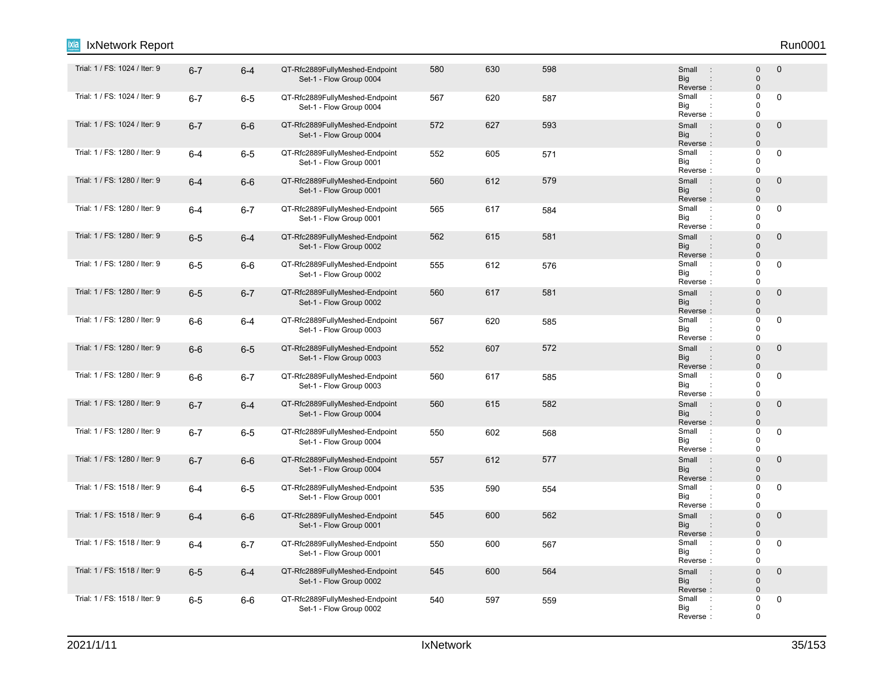| Trial: 1 / FS: 1024 / Iter: 9 | $6 - 7$ | $6-4$   | QT-Rfc2889FullyMeshed-Endpoint<br>Set-1 - Flow Group 0004 | 580 | 630 | 598 | Small<br>$\therefore$<br>Big<br>Reverse:                             | $\mathbf{0}$<br>$\pmb{0}$<br>$\mathbf{0}$ | $\mathbf 0$ |
|-------------------------------|---------|---------|-----------------------------------------------------------|-----|-----|-----|----------------------------------------------------------------------|-------------------------------------------|-------------|
| Trial: 1 / FS: 1024 / Iter: 9 | $6 - 7$ | $6-5$   | QT-Rfc2889FullyMeshed-Endpoint<br>Set-1 - Flow Group 0004 | 567 | 620 | 587 | Small<br>$\sim$ 1.<br>Big<br>Reverse:                                | $\Omega$<br>0<br>0                        | 0           |
| Trial: 1 / FS: 1024 / Iter: 9 | $6 - 7$ | $6-6$   | QT-Rfc2889FullyMeshed-Endpoint<br>Set-1 - Flow Group 0004 | 572 | 627 | 593 | Small<br>$\cdot$ :<br><b>Big</b><br>:<br>Reverse:                    | $\Omega$<br>$\mathbf 0$<br>$\Omega$       | $\mathbf 0$ |
| Trial: 1 / FS: 1280 / Iter: 9 | $6 - 4$ | $6-5$   | QT-Rfc2889FullyMeshed-Endpoint<br>Set-1 - Flow Group 0001 | 552 | 605 | 571 | Small<br>$\mathbb{R}^2$<br>Big<br>Reverse:                           | $\Omega$<br>$\Omega$<br>$\Omega$          | 0           |
| Trial: 1 / FS: 1280 / Iter: 9 | $6 - 4$ | $6-6$   | QT-Rfc2889FullyMeshed-Endpoint<br>Set-1 - Flow Group 0001 | 560 | 612 | 579 | Small<br>$\therefore$<br><b>Big</b><br>Reverse:                      | $\Omega$<br>$\mathbf{0}$<br>$\mathsf 0$   | $\mathbf 0$ |
| Trial: 1 / FS: 1280 / Iter: 9 | $6 - 4$ | $6 - 7$ | QT-Rfc2889FullyMeshed-Endpoint<br>Set-1 - Flow Group 0001 | 565 | 617 | 584 | Small<br>$\therefore$<br>Big<br>Reverse:                             | 0<br>$\Omega$<br>$\Omega$                 | $\mathbf 0$ |
| Trial: 1 / FS: 1280 / Iter: 9 | $6-5$   | $6 - 4$ | QT-Rfc2889FullyMeshed-Endpoint<br>Set-1 - Flow Group 0002 | 562 | 615 | 581 | Small<br>$\therefore$<br><b>Big</b><br>Reverse:                      | $\Omega$<br>$\mathbf{0}$<br>$\Omega$      | $\bf 0$     |
| Trial: 1 / FS: 1280 / Iter: 9 | $6-5$   | 6-6     | QT-Rfc2889FullyMeshed-Endpoint<br>Set-1 - Flow Group 0002 | 555 | 612 | 576 | Small<br>$\cdot$<br>Big<br>Reverse:                                  | $\mathbf 0$<br>$\Omega$<br>0              | 0           |
| Trial: 1 / FS: 1280 / Iter: 9 | $6-5$   | $6 - 7$ | QT-Rfc2889FullyMeshed-Endpoint<br>Set-1 - Flow Group 0002 | 560 | 617 | 581 | Small<br>$\sim$ 1<br><b>Big</b><br>Reverse:                          | $\Omega$<br>$\mathsf 0$<br>$\Omega$       | $\mathbf 0$ |
| Trial: 1 / FS: 1280 / Iter: 9 | $6-6$   | $6 - 4$ | QT-Rfc2889FullyMeshed-Endpoint<br>Set-1 - Flow Group 0003 | 567 | 620 | 585 | Small<br>$\mathbb{R}^2$<br>Big<br>Reverse:                           | $\mathbf 0$<br>$\Omega$<br>$\mathbf 0$    | 0           |
| Trial: 1 / FS: 1280 / Iter: 9 | $6-6$   | $6-5$   | QT-Rfc2889FullyMeshed-Endpoint<br>Set-1 - Flow Group 0003 | 552 | 607 | 572 | Small<br>$\mathbb{R}^2$<br>Big<br>Reverse:                           | $\Omega$<br>$\Omega$<br>$\Omega$          | $\bf 0$     |
| Trial: 1 / FS: 1280 / Iter: 9 | $6-6$   | $6 - 7$ | QT-Rfc2889FullyMeshed-Endpoint<br>Set-1 - Flow Group 0003 | 560 | 617 | 585 | Small<br>$\cdot$ :<br>Big<br>Reverse:                                | $\Omega$<br>$\Omega$<br>$\Omega$          | 0           |
| Trial: 1 / FS: 1280 / Iter: 9 | $6 - 7$ | $6 - 4$ | QT-Rfc2889FullyMeshed-Endpoint<br>Set-1 - Flow Group 0004 | 560 | 615 | 582 | Small<br>$\cdot$ :<br><b>Big</b><br>$\ddot{\phantom{a}}$<br>Reverse: | $\Omega$<br>$\mathsf 0$<br>$\Omega$       | $\mathbf 0$ |
| Trial: 1 / FS: 1280 / Iter: 9 | $6 - 7$ | $6-5$   | QT-Rfc2889FullyMeshed-Endpoint<br>Set-1 - Flow Group 0004 | 550 | 602 | 568 | Small<br>$\mathbb{R}^2$<br>Big<br>Reverse:                           | $\Omega$<br>$\Omega$<br>$\mathbf 0$       | $\pmb{0}$   |
| Trial: 1 / FS: 1280 / Iter: 9 | $6 - 7$ | $6-6$   | QT-Rfc2889FullyMeshed-Endpoint<br>Set-1 - Flow Group 0004 | 557 | 612 | 577 | Small<br>$\therefore$<br><b>Big</b><br>Reverse:                      | $\Omega$<br>$\mathbf{0}$<br>$\Omega$      | $\mathbf 0$ |
| Trial: 1 / FS: 1518 / Iter: 9 | $6 - 4$ | $6-5$   | QT-Rfc2889FullyMeshed-Endpoint<br>Set-1 - Flow Group 0001 | 535 | 590 | 554 | Small<br>$\cdot$<br>Big<br>Reverse:                                  | $\Omega$<br>0<br>0                        | 0           |
| Trial: 1 / FS: 1518 / Iter: 9 | $6 - 4$ | $6-6$   | QT-Rfc2889FullyMeshed-Endpoint<br>Set-1 - Flow Group 0001 | 545 | 600 | 562 | Small<br>$\cdot$ :<br><b>Big</b><br>$\ddot{\phantom{a}}$<br>Reverse: | $\Omega$<br>$\Omega$<br>$\Omega$          | $\mathbf 0$ |
| Trial: 1 / FS: 1518 / Iter: 9 | $6 - 4$ | $6 - 7$ | QT-Rfc2889FullyMeshed-Endpoint<br>Set-1 - Flow Group 0001 | 550 | 600 | 567 | Small<br>$\cdot$ :<br>Big<br>$\ddot{\cdot}$<br>Reverse:              | $\Omega$<br>$\mathbf 0$<br>$\mathbf 0$    | 0           |
| Trial: 1 / FS: 1518 / Iter: 9 | $6-5$   | $6-4$   | QT-Rfc2889FullyMeshed-Endpoint<br>Set-1 - Flow Group 0002 | 545 | 600 | 564 | Small<br>$\therefore$<br><b>Big</b><br>Reverse:                      | $\Omega$<br>$\mathbf{0}$<br>$\Omega$      | $\mathbf 0$ |
| Trial: 1 / FS: 1518 / Iter: 9 | $6 - 5$ | $6-6$   | QT-Rfc2889FullyMeshed-Endpoint<br>Set-1 - Flow Group 0002 | 540 | 597 | 559 | Small<br>$\ddot{\phantom{a}}$ :<br>Big<br>Reverse:                   | 0<br>$\mathbf 0$<br>$\mathbf 0$           | $\mathbf 0$ |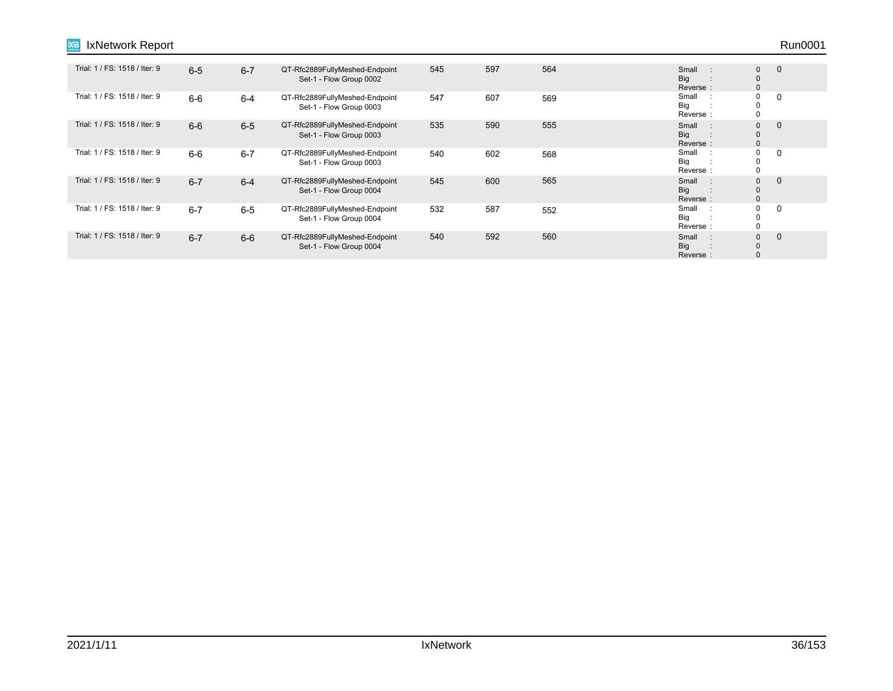| Trial: 1 / FS: 1518 / Iter: 9 | $6 - 5$ | $6 - 7$ | QT-Rfc2889FullyMeshed-Endpoint<br>Set-1 - Flow Group 0002 | 545 | 597 | 564 | Small<br>$\mathbb{R}^2$<br><b>Big</b><br>Reverse: | $\mathbf 0$<br>$\mathbf 0$<br>$\mathbf{0}$ | $\mathbf{0}$ |
|-------------------------------|---------|---------|-----------------------------------------------------------|-----|-----|-----|---------------------------------------------------|--------------------------------------------|--------------|
| Trial: 1 / FS: 1518 / Iter: 9 | $6-6$   | $6 - 4$ | QT-Rfc2889FullyMeshed-Endpoint<br>Set-1 - Flow Group 0003 | 547 | 607 | 569 | Small<br>$\mathbb{R}^2$<br>Big<br>Reverse:        | 0<br>$\mathbf 0$<br>$\mathbf 0$            | 0            |
| Trial: 1 / FS: 1518 / Iter: 9 | $6-6$   | $6 - 5$ | QT-Rfc2889FullyMeshed-Endpoint<br>Set-1 - Flow Group 0003 | 535 | 590 | 555 | Small<br>$\cdot$ :<br><b>Big</b><br>Reverse:      | $\mathbf 0$<br>$\mathbf{0}$<br>$\mathbf 0$ | $\Omega$     |
| Trial: 1 / FS: 1518 / Iter: 9 | $6-6$   | $6 - 7$ | QT-Rfc2889FullyMeshed-Endpoint<br>Set-1 - Flow Group 0003 | 540 | 602 | 568 | Small<br>$\cdot$ :<br>Big<br>Reverse:             | 0<br>$\mathbf 0$<br>$\mathbf 0$            | $\Omega$     |
| Trial: 1 / FS: 1518 / Iter: 9 | $6 - 7$ | $6 - 4$ | QT-Rfc2889FullyMeshed-Endpoint<br>Set-1 - Flow Group 0004 | 545 | 600 | 565 | Small<br>Г÷.<br><b>Big</b><br>Reverse:            | $\mathbf{0}$<br>$\mathbf 0$<br>$\mathbf 0$ | $\Omega$     |
| Trial: 1 / FS: 1518 / Iter: 9 | $6 - 7$ | $6 - 5$ | QT-Rfc2889FullyMeshed-Endpoint<br>Set-1 - Flow Group 0004 | 532 | 587 | 552 | Small<br>$\mathbb{R}^2$<br>Big<br>Reverse:        | 0<br>0<br>$\Omega$                         | $\Omega$     |
| Trial: 1 / FS: 1518 / Iter: 9 | $6 - 7$ | $6-6$   | QT-Rfc2889FullyMeshed-Endpoint<br>Set-1 - Flow Group 0004 | 540 | 592 | 560 | Small<br>U.<br>Big<br>Reverse:                    | $\mathbf{0}$<br>$\mathbf 0$<br>$\Omega$    | $\Omega$     |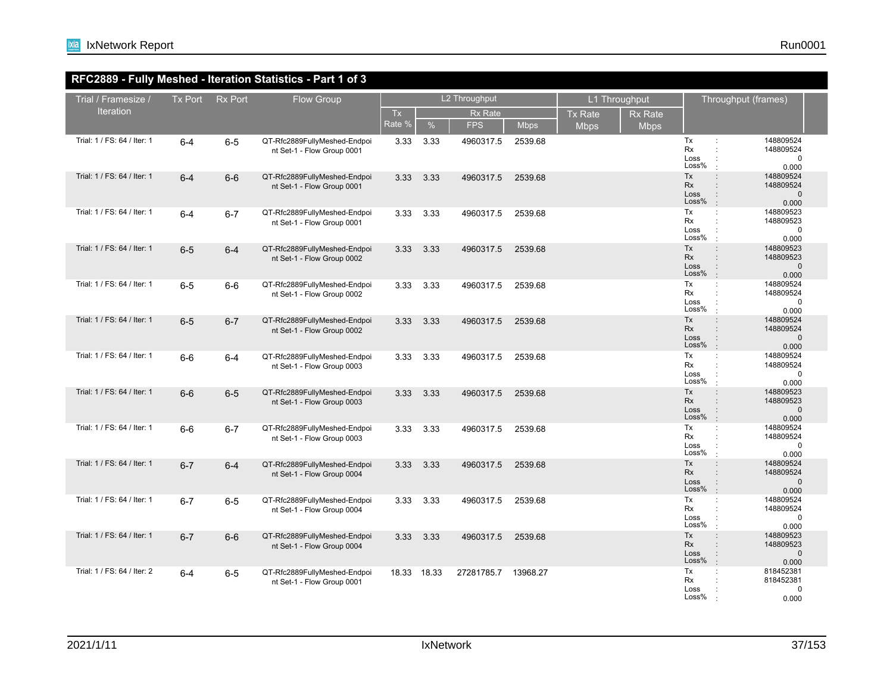## **RFC2889 - Fully Meshed - Iteration Statistics - Part 1 of 3**

| Trial / Framesize /         | <b>Tx Port</b> | <b>Rx Port</b> | <b>Flow Group</b>                                          | L2 Throughput |       |                |             | L1 Throughput  |                |                                  | Throughput (frames)                                                                                                                      |
|-----------------------------|----------------|----------------|------------------------------------------------------------|---------------|-------|----------------|-------------|----------------|----------------|----------------------------------|------------------------------------------------------------------------------------------------------------------------------------------|
| <b>Iteration</b>            |                |                |                                                            | <b>Tx</b>     |       | <b>Rx Rate</b> |             | <b>Tx Rate</b> | <b>Rx Rate</b> |                                  |                                                                                                                                          |
|                             |                |                |                                                            | Rate %        | $\%$  | <b>FPS</b>     | <b>Mbps</b> | <b>Mbps</b>    | <b>Mbps</b>    |                                  |                                                                                                                                          |
| Trial: 1 / FS: 64 / Iter: 1 | $6-4$          | $6-5$          | QT-Rfc2889FullyMeshed-Endpoi<br>nt Set-1 - Flow Group 0001 | 3.33          | 3.33  | 4960317.5      | 2539.68     |                |                | Tx<br>Rx<br>Loss<br>Loss%        | 148809524<br>÷<br>148809524<br>÷<br>$\mathbf 0$<br>$\ddot{\phantom{a}}$<br>0.000                                                         |
| Trial: 1 / FS: 64 / Iter: 1 | $6 - 4$        | $6-6$          | QT-Rfc2889FullyMeshed-Endpoi<br>nt Set-1 - Flow Group 0001 | 3.33          | 3.33  | 4960317.5      | 2539.68     |                |                | Tx<br><b>Rx</b><br>Loss<br>Loss% | 148809524<br>$\ddot{\phantom{a}}$<br>148809524<br>$\ddot{\phantom{a}}$<br>$\mathbf 0$<br>$\vdots$<br>$\pm$<br>0.000                      |
| Trial: 1 / FS: 64 / Iter: 1 | $6 - 4$        | $6 - 7$        | QT-Rfc2889FullyMeshed-Endpoi<br>nt Set-1 - Flow Group 0001 | 3.33          | 3.33  | 4960317.5      | 2539.68     |                |                | Tx<br>Rx<br>Loss<br>Loss%        | 148809523<br>$\ddot{\phantom{a}}$<br>148809523<br>$\ddot{\phantom{a}}$<br>$\ddot{\phantom{a}}$<br>0<br>0.000<br>$\ddot{\phantom{a}}$     |
| Trial: 1 / FS: 64 / Iter: 1 | $6-5$          | $6 - 4$        | QT-Rfc2889FullyMeshed-Endpoi<br>nt Set-1 - Flow Group 0002 | 3.33          | 3.33  | 4960317.5      | 2539.68     |                |                | Tx<br>Rx<br>Loss<br>Loss%        | $\ddot{\phantom{a}}$<br>148809523<br>148809523<br>$\ddot{\phantom{a}}$<br>$\colon$<br>$\mathbf 0$<br>$\cdot$<br>0.000                    |
| Trial: 1 / FS: 64 / Iter: 1 | $6-5$          | $6-6$          | QT-Rfc2889FullyMeshed-Endpoi<br>nt Set-1 - Flow Group 0002 | 3.33          | 3.33  | 4960317.5      | 2539.68     |                |                | Tx<br>Rx<br>Loss<br>Loss%        | 148809524<br>÷<br>148809524<br>$\ddot{\phantom{a}}$<br>$\mathbf 0$<br>$\ddot{\cdot}$<br>0.000<br>$\ddot{\phantom{a}}$                    |
| Trial: 1 / FS: 64 / Iter: 1 | $6-5$          | $6 - 7$        | QT-Rfc2889FullyMeshed-Endpoi<br>nt Set-1 - Flow Group 0002 | 3.33          | 3.33  | 4960317.5      | 2539.68     |                |                | Tx<br>Rx<br>Loss<br>Loss%        | $\ddot{\phantom{a}}$<br>148809524<br>$\ddot{\phantom{a}}$<br>148809524<br>$\mathbf 0$<br>$\vdots$<br>$\pm$<br>0.000                      |
| Trial: 1 / FS: 64 / Iter: 1 | $6-6$          | $6 - 4$        | QT-Rfc2889FullyMeshed-Endpoi<br>nt Set-1 - Flow Group 0003 | 3.33          | 3.33  | 4960317.5      | 2539.68     |                |                | Tx<br>Rx<br>Loss<br>Loss%        | 148809524<br>$\mathbb{C}^2$<br>148809524<br>$\ddot{\phantom{a}}$<br>$\ddot{\phantom{a}}$<br>$\mathbf 0$<br>$\ddot{\phantom{a}}$<br>0.000 |
| Trial: 1 / FS: 64 / Iter: 1 | $6-6$          | $6-5$          | QT-Rfc2889FullyMeshed-Endpoi<br>nt Set-1 - Flow Group 0003 | 3.33          | 3.33  | 4960317.5      | 2539.68     |                |                | Tx<br>Rx<br>Loss<br>Loss%        | 148809523<br>$\ddot{\phantom{a}}$<br>148809523<br>$\ddot{\phantom{a}}$<br>$\mathbf 0$<br>$\colon$<br>$\pm$<br>0.000                      |
| Trial: 1 / FS: 64 / Iter: 1 | $6-6$          | $6 - 7$        | QT-Rfc2889FullyMeshed-Endpoi<br>nt Set-1 - Flow Group 0003 | 3.33          | 3.33  | 4960317.5      | 2539.68     |                |                | Tx<br>Rx<br>Loss<br>Loss%        | 148809524<br>÷<br>148809524<br>$\ddot{\phantom{a}}$<br>÷<br>$\mathbf 0$<br>$\ddot{\phantom{a}}$<br>0.000                                 |
| Trial: 1 / FS: 64 / Iter: 1 | $6 - 7$        | $6-4$          | QT-Rfc2889FullyMeshed-Endpoi<br>nt Set-1 - Flow Group 0004 | 3.33          | 3.33  | 4960317.5      | 2539.68     |                |                | Tx<br><b>Rx</b><br>Loss<br>Loss% | 148809524<br>$\ddot{\phantom{a}}$<br>$\ddot{\phantom{a}}$<br>148809524<br>$\mathbf 0$<br>$\ddot{\phantom{a}}$<br>$\pm$<br>0.000          |
| Trial: 1 / FS: 64 / Iter: 1 | $6 - 7$        | $6-5$          | QT-Rfc2889FullyMeshed-Endpoi<br>nt Set-1 - Flow Group 0004 | 3.33          | 3.33  | 4960317.5      | 2539.68     |                |                | Tx<br>Rx<br>Loss<br>Loss%        | 148809524<br>$\div$<br>148809524<br>÷<br>$\ddot{\phantom{a}}$<br>$\mathbf 0$<br>$\div$<br>0.000                                          |
| Trial: 1 / FS: 64 / Iter: 1 | $6 - 7$        | $6-6$          | QT-Rfc2889FullyMeshed-Endpoi<br>nt Set-1 - Flow Group 0004 | 3.33          | 3.33  | 4960317.5      | 2539.68     |                |                | Tx<br><b>Rx</b><br>Loss<br>Loss% | 148809523<br>$\ddot{\phantom{a}}$<br>148809523<br>$\ddot{\phantom{a}}$<br>$\div$<br>$\mathbf 0$<br>$\pm$<br>0.000                        |
| Trial: 1 / FS: 64 / Iter: 2 | $6 - 4$        | $6-5$          | QT-Rfc2889FullyMeshed-Endpoi<br>nt Set-1 - Flow Group 0001 | 18.33         | 18.33 | 27281785.7     | 13968.27    |                |                | Tx<br>Rx<br>Loss<br>Loss%        | 818452381<br>÷<br>818452381<br>$\ddot{\phantom{a}}$<br>$\mathbf 0$<br>0.000                                                              |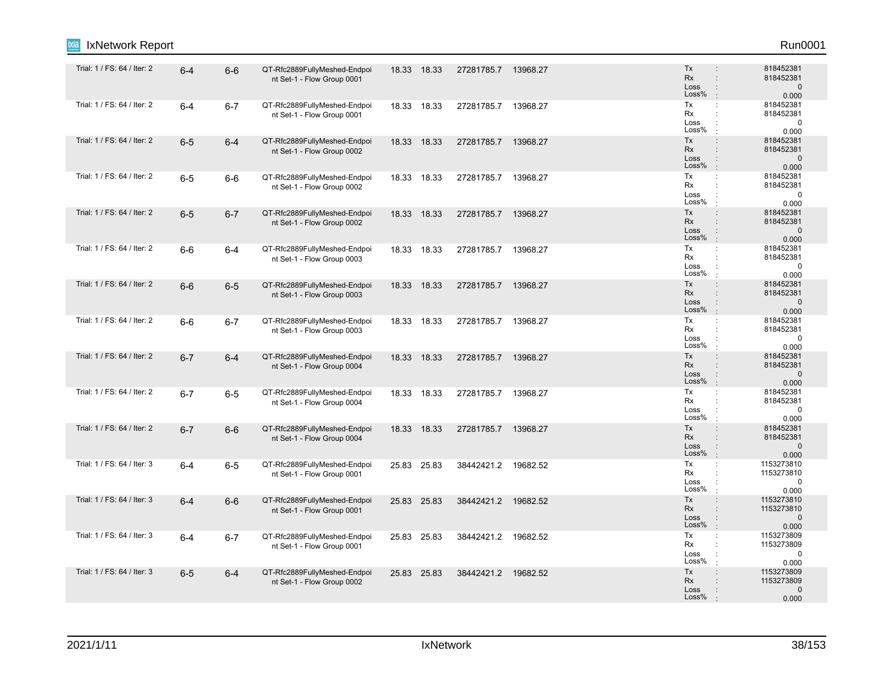| <b>IxNetwork Report</b><br>Ixia |         |         |                                                            |       |             |                     |          |                                                                                                   | Run0001                                          |
|---------------------------------|---------|---------|------------------------------------------------------------|-------|-------------|---------------------|----------|---------------------------------------------------------------------------------------------------|--------------------------------------------------|
| Trial: 1 / FS: 64 / Iter: 2     | $6 - 4$ | $6-6$   | QT-Rfc2889FullyMeshed-Endpoi<br>nt Set-1 - Flow Group 0001 |       | 18.33 18.33 | 27281785.7 13968.27 |          | <b>Tx</b><br>$\ddot{\phantom{a}}$<br>Rx<br>÷.<br>Loss<br>$\ddot{\phantom{a}}$<br>Loss%<br>ċ       | 818452381<br>818452381<br>$\mathbf 0$<br>0.000   |
| Trial: 1 / FS: 64 / Iter: 2     | $6 - 4$ | $6 - 7$ | QT-Rfc2889FullyMeshed-Endpoi<br>nt Set-1 - Flow Group 0001 |       | 18.33 18.33 | 27281785.7          | 13968.27 | Tx<br>÷<br><b>Rx</b><br>÷<br>Loss<br>$\ddot{\cdot}$<br>Loss%<br>÷                                 | 818452381<br>818452381<br>$\mathbf 0$<br>0.000   |
| Trial: 1 / FS: 64 / Iter: 2     | $6-5$   | $6 - 4$ | QT-Rfc2889FullyMeshed-Endpoi<br>nt Set-1 - Flow Group 0002 |       | 18.33 18.33 | 27281785.7          | 13968.27 | Tx<br>÷<br>Rx<br>÷.<br>Loss<br>$\ddot{\phantom{a}}$<br>Loss%<br>$\cdot$                           | 818452381<br>818452381<br>$\mathbf 0$<br>0.000   |
| Trial: 1 / FS: 64 / Iter: 2     | $6-5$   | $6-6$   | QT-Rfc2889FullyMeshed-Endpoi<br>nt Set-1 - Flow Group 0002 | 18.33 | 18.33       | 27281785.7 13968.27 |          | Tx<br>÷<br><b>Rx</b><br>÷<br>Loss<br>$\ddot{\cdot}$<br>Loss%<br>÷                                 | 818452381<br>818452381<br>$\mathbf 0$<br>0.000   |
| Trial: 1 / FS: 64 / Iter: 2     | $6-5$   | $6 - 7$ | QT-Rfc2889FullyMeshed-Endpoi<br>nt Set-1 - Flow Group 0002 |       | 18.33 18.33 | 27281785.7          | 13968.27 | Tx<br>÷<br>Rx<br>÷<br>Loss<br>$\ddot{\phantom{a}}$<br>Loss%<br>$\ddot{\phantom{a}}$               | 818452381<br>818452381<br>$\mathbf{0}$<br>0.000  |
| Trial: 1 / FS: 64 / Iter: 2     | $6-6$   | $6 - 4$ | QT-Rfc2889FullyMeshed-Endpoi<br>nt Set-1 - Flow Group 0003 |       | 18.33 18.33 | 27281785.7          | 13968.27 | Tx<br>$\ddot{\phantom{a}}$<br>Rx<br>÷<br>Loss<br>÷<br>Loss%<br>$\cdot$                            | 818452381<br>818452381<br>$\mathbf 0$<br>0.000   |
| Trial: 1 / FS: 64 / Iter: 2     | $6-6$   | $6-5$   | QT-Rfc2889FullyMeshed-Endpoi<br>nt Set-1 - Flow Group 0003 | 18.33 | 18.33       | 27281785.7          | 13968.27 | Tx<br>÷.<br>Rx<br>$\ddot{\phantom{a}}$<br>Loss<br>$\ddot{\phantom{a}}$<br>Loss%<br>÷              | 818452381<br>818452381<br>$\mathbf{0}$<br>0.000  |
| Trial: 1 / FS: 64 / Iter: 2     | $6-6$   | $6 - 7$ | QT-Rfc2889FullyMeshed-Endpoi<br>nt Set-1 - Flow Group 0003 | 18.33 | 18.33       | 27281785.7 13968.27 |          | Tx<br>÷<br>Rx<br>÷<br>Loss<br>÷<br>Loss%<br>$\cdot$                                               | 818452381<br>818452381<br>$\mathbf 0$<br>0.000   |
| Trial: 1 / FS: 64 / Iter: 2     | $6 - 7$ | $6-4$   | QT-Rfc2889FullyMeshed-Endpoi<br>nt Set-1 - Flow Group 0004 |       | 18.33 18.33 | 27281785.7          | 13968.27 | Tx<br>÷<br>Rx<br>$\ddot{\phantom{a}}$<br>Loss<br>÷<br>Loss%<br>÷                                  | 818452381<br>818452381<br>$\mathbf{0}$<br>0.000  |
| Trial: 1 / FS: 64 / Iter: 2     | $6 - 7$ | $6-5$   | QT-Rfc2889FullyMeshed-Endpoi<br>nt Set-1 - Flow Group 0004 |       | 18.33 18.33 | 27281785.7          | 13968.27 | Tx<br>÷<br>Rx<br>$\ddot{\cdot}$<br>Loss<br>÷<br>Loss%<br>$\cdot$                                  | 818452381<br>818452381<br>$\mathbf 0$<br>0.000   |
| Trial: 1 / FS: 64 / Iter: 2     | $6 - 7$ | $6-6$   | QT-Rfc2889FullyMeshed-Endpoi<br>nt Set-1 - Flow Group 0004 | 18.33 | 18.33       | 27281785.7          | 13968.27 | Tx<br>÷<br>Rx<br>$\ddot{\phantom{a}}$<br>$\ddot{\phantom{a}}$<br>Loss<br>Loss%<br>÷               | 818452381<br>818452381<br>$\mathbf 0$<br>0.000   |
| Trial: 1 / FS: 64 / Iter: 3     | $6 - 4$ | $6-5$   | QT-Rfc2889FullyMeshed-Endpoi<br>nt Set-1 - Flow Group 0001 |       | 25.83 25.83 | 38442421.2 19682.52 |          | Tx<br>÷<br>Rx<br>÷<br>Loss<br>÷<br>Loss%<br>÷                                                     | 1153273810<br>1153273810<br>$\mathbf 0$<br>0.000 |
| Trial: 1 / FS: 64 / Iter: 3     | $6 - 4$ | $6-6$   | QT-Rfc2889FullyMeshed-Endpoi<br>nt Set-1 - Flow Group 0001 |       | 25.83 25.83 | 38442421.2          | 19682.52 | Tx<br>÷<br>Rx<br>÷.<br>Loss<br>$\ddot{\phantom{a}}$<br>Loss%<br>$\ddot{\phantom{a}}$              | 1153273810<br>1153273810<br>$\mathbf 0$<br>0.000 |
| Trial: 1 / FS: 64 / Iter: 3     | $6 - 4$ | $6 - 7$ | QT-Rfc2889FullyMeshed-Endpoi<br>nt Set-1 - Flow Group 0001 |       | 25.83 25.83 | 38442421.2          | 19682.52 | Tx<br>÷<br>Rx<br>÷<br>Loss<br>$\ddot{\cdot}$<br>Loss%<br>÷                                        | 1153273809<br>1153273809<br>$\mathbf 0$<br>0.000 |
| Trial: 1 / FS: 64 / Iter: 3     | $6-5$   | $6 - 4$ | QT-Rfc2889FullyMeshed-Endpoi<br>nt Set-1 - Flow Group 0002 |       | 25.83 25.83 | 38442421.2          | 19682.52 | Tx<br>$\ddot{\phantom{a}}$<br>Rx<br>$\ddot{\phantom{a}}$<br>Loss<br>$\ddot{\phantom{a}}$<br>Loss% | 1153273809<br>1153273809<br>$\mathbf 0$<br>0.000 |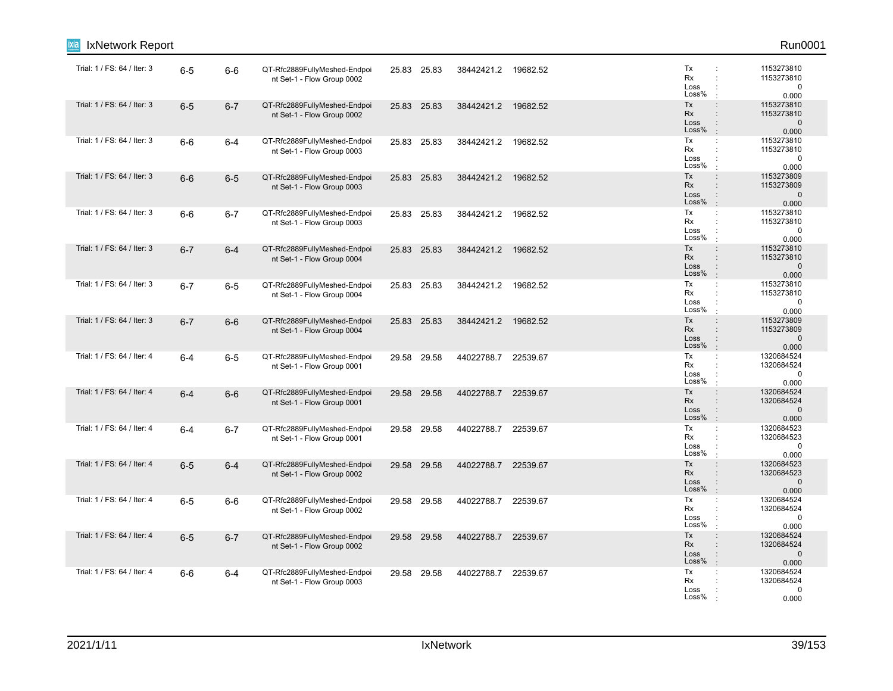|                             | IxNetwork Report |         |         |                                                            |       |             |                     |          |                                                                                                                     | Run0001                                           |
|-----------------------------|------------------|---------|---------|------------------------------------------------------------|-------|-------------|---------------------|----------|---------------------------------------------------------------------------------------------------------------------|---------------------------------------------------|
| Trial: 1 / FS: 64 / Iter: 3 |                  | $6-5$   | $6-6$   | QT-Rfc2889FullyMeshed-Endpoi<br>nt Set-1 - Flow Group 0002 |       | 25.83 25.83 | 38442421.2 19682.52 |          | Tx<br>Rx<br>÷<br>Loss<br>Loss%                                                                                      | 1153273810<br>1153273810<br>0<br>0.000            |
| Trial: 1 / FS: 64 / Iter: 3 |                  | $6-5$   | $6 - 7$ | QT-Rfc2889FullyMeshed-Endpoi<br>nt Set-1 - Flow Group 0002 | 25.83 | 25.83       | 38442421.2          | 19682.52 | Tx<br>$\ddot{\phantom{a}}$<br>Rx<br>$\ddot{\phantom{a}}$<br>Loss<br>$\ddot{\phantom{a}}$<br>Loss%<br>$\cdot$        | 1153273810<br>1153273810<br>$\mathbf 0$<br>0.000  |
| Trial: 1 / FS: 64 / Iter: 3 |                  | $6-6$   | $6 - 4$ | QT-Rfc2889FullyMeshed-Endpoi<br>nt Set-1 - Flow Group 0003 |       | 25.83 25.83 | 38442421.2 19682.52 |          | Tx<br>÷<br>Rx<br>÷<br>Loss<br>Loss%<br>$\cdot$                                                                      | 1153273810<br>1153273810<br>0<br>0.000            |
| Trial: 1 / FS: 64 / Iter: 3 |                  | $6-6$   | $6-5$   | QT-Rfc2889FullyMeshed-Endpoi<br>nt Set-1 - Flow Group 0003 |       | 25.83 25.83 | 38442421.2          | 19682.52 | Tx<br>$\ddot{\phantom{a}}$<br>Rx<br>Loss<br>Loss%<br>$\ddot{\phantom{a}}$                                           | 1153273809<br>1153273809<br>$\mathbf 0$<br>0.000  |
| Trial: 1 / FS: 64 / Iter: 3 |                  | $6-6$   | $6 - 7$ | QT-Rfc2889FullyMeshed-Endpoi<br>nt Set-1 - Flow Group 0003 |       | 25.83 25.83 | 38442421.2          | 19682.52 | Tx<br>$\ddot{\phantom{a}}$<br>Rx<br>$\cdot$<br>Loss<br>Loss%                                                        | 1153273810<br>1153273810<br>0<br>0.000            |
| Trial: 1 / FS: 64 / Iter: 3 |                  | $6 - 7$ | $6 - 4$ | QT-Rfc2889FullyMeshed-Endpoi<br>nt Set-1 - Flow Group 0004 |       | 25.83 25.83 | 38442421.2          | 19682.52 | Tx<br>$\ddot{\phantom{a}}$<br>Rx<br>$\div$<br>Loss<br>$\ddot{\cdot}$<br>Loss%<br>$\cdot$                            | 1153273810<br>1153273810<br>$\mathbf{0}$<br>0.000 |
| Trial: 1 / FS: 64 / Iter: 3 |                  | $6 - 7$ | $6-5$   | QT-Rfc2889FullyMeshed-Endpoi<br>nt Set-1 - Flow Group 0004 |       | 25.83 25.83 | 38442421.2          | 19682.52 | Tx<br>÷<br>Rx<br>$\ddot{\phantom{a}}$<br>Loss<br>÷<br>Loss%<br>÷                                                    | 1153273810<br>1153273810<br>$\mathbf 0$<br>0.000  |
| Trial: 1 / FS: 64 / Iter: 3 |                  | $6 - 7$ | $6-6$   | QT-Rfc2889FullyMeshed-Endpoi<br>nt Set-1 - Flow Group 0004 |       | 25.83 25.83 | 38442421.2          | 19682.52 | Tx<br>$\ddot{\phantom{a}}$<br>Rx<br>$\ddot{\phantom{a}}$<br>Loss<br>$\ddot{\phantom{a}}$<br>Loss%<br>$\mathbb{R}^2$ | 1153273809<br>1153273809<br>$\mathbf{0}$<br>0.000 |
| Trial: 1 / FS: 64 / Iter: 4 |                  | $6 - 4$ | $6-5$   | QT-Rfc2889FullyMeshed-Endpoi<br>nt Set-1 - Flow Group 0001 |       | 29.58 29.58 | 44022788.7          | 22539.67 | Tx<br>÷<br>Rx<br>Loss<br>Loss%                                                                                      | 1320684524<br>1320684524<br>$\mathbf 0$<br>0.000  |
| Trial: 1 / FS: 64 / Iter: 4 |                  | $6 - 4$ | $6-6$   | QT-Rfc2889FullyMeshed-Endpoi<br>nt Set-1 - Flow Group 0001 |       | 29.58 29.58 | 44022788.7          | 22539.67 | Tx<br>$\div$<br>Rx<br>$\ddot{\phantom{a}}$<br>Loss<br>Loss%<br>$\cdot$                                              | 1320684524<br>1320684524<br>$\mathbf 0$<br>0.000  |
| Trial: 1 / FS: 64 / Iter: 4 |                  | $6 - 4$ | $6 - 7$ | QT-Rfc2889FullyMeshed-Endpoi<br>nt Set-1 - Flow Group 0001 |       | 29.58 29.58 | 44022788.7          | 22539.67 | Tx<br>$\mathbb{C}^{\times}$<br>Rx<br>÷<br>Loss<br>Loss%                                                             | 1320684523<br>1320684523<br>0<br>0.000            |
| Trial: 1 / FS: 64 / Iter: 4 |                  | $6-5$   | $6 - 4$ | QT-Rfc2889FullyMeshed-Endpoi<br>nt Set-1 - Flow Group 0002 |       | 29.58 29.58 | 44022788.7          | 22539.67 | Tx<br>$\ddot{\phantom{a}}$<br><b>Rx</b><br>$\ddot{\phantom{a}}$<br>Loss<br>$\ddot{\phantom{a}}$<br>Loss%<br>$\cdot$ | 1320684523<br>1320684523<br>$\mathbf 0$<br>0.000  |
| Trial: 1 / FS: 64 / Iter: 4 |                  | $6-5$   | $6-6$   | QT-Rfc2889FullyMeshed-Endpoi<br>nt Set-1 - Flow Group 0002 |       | 29.58 29.58 | 44022788.7 22539.67 |          | Tx<br>÷<br>Rx<br>Loss<br>÷<br>Loss%<br>$\cdot$                                                                      | 1320684524<br>1320684524<br>$\mathbf 0$<br>0.000  |
| Trial: 1 / FS: 64 / Iter: 4 |                  | $6-5$   | $6 - 7$ | QT-Rfc2889FullyMeshed-Endpoi<br>nt Set-1 - Flow Group 0002 |       | 29.58 29.58 | 44022788.7          | 22539.67 | Tx<br>$\ddot{\phantom{a}}$<br>Rx<br>$\ddot{\phantom{a}}$<br>Loss<br>$\ddot{\cdot}$<br>Loss%<br>$\cdot$              | 1320684524<br>1320684524<br>$\mathbf 0$<br>0.000  |
| Trial: 1 / FS: 64 / Iter: 4 |                  | $6-6$   | $6 - 4$ | QT-Rfc2889FullyMeshed-Endpoi<br>nt Set-1 - Flow Group 0003 |       | 29.58 29.58 | 44022788.7 22539.67 |          | Tx<br>÷<br>Rx<br>Loss<br>Loss%                                                                                      | 1320684524<br>1320684524<br>0<br>0.000            |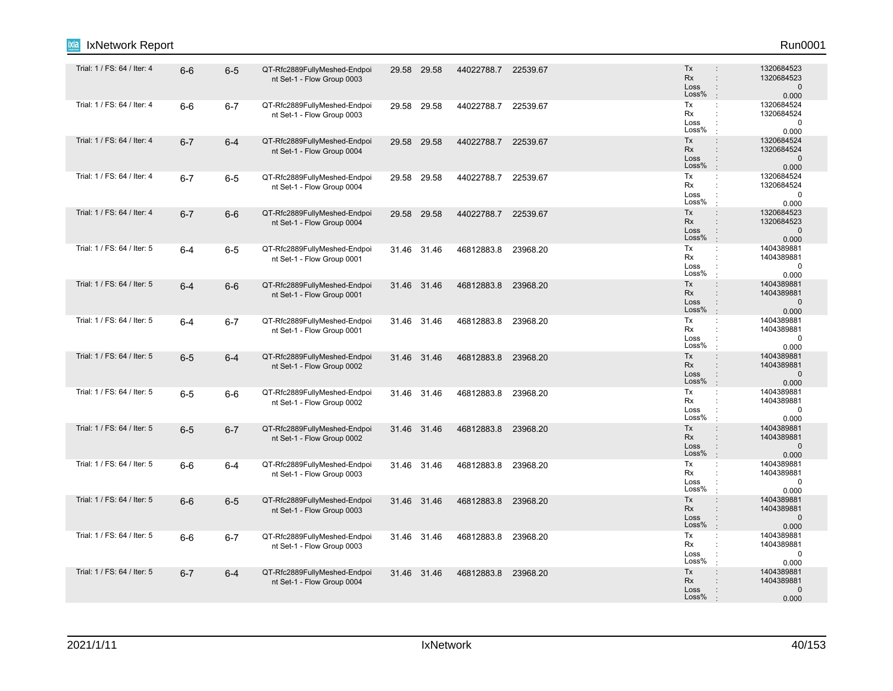| Trial: 1 / FS: 64 / Iter: 4<br>Tx<br>1320684523<br>$6-6$<br>QT-Rfc2889FullyMeshed-Endpoi<br>29.58 29.58<br>44022788.7<br>22539.67<br>$6-5$<br><b>Rx</b><br>$\ddot{\phantom{a}}$<br>1320684523<br>nt Set-1 - Flow Group 0003<br>$\mathbf 0$<br>Loss<br>$\ddot{\phantom{a}}$<br>Loss%<br>0.000<br>Tx<br>Trial: 1 / FS: 64 / Iter: 4<br>1320684524<br>QT-Rfc2889FullyMeshed-Endpoi<br>44022788.7<br>$\ddot{\phantom{a}}$<br>$6-6$<br>$6 - 7$<br>29.58<br>29.58<br>22539.67<br>Rx<br>$\ddot{\phantom{a}}$<br>1320684524<br>nt Set-1 - Flow Group 0003<br>$\pmb{0}$<br>Loss<br>$\ddot{\phantom{a}}$<br>Loss%<br>$\pm$<br>0.000<br>Trial: 1 / FS: 64 / Iter: 4<br>Tx<br>$\ddot{\phantom{a}}$<br>1320684524<br>QT-Rfc2889FullyMeshed-Endpoi<br>$6 - 7$<br>$6 - 4$<br>29.58 29.58<br>44022788.7 22539.67<br>Rx<br>1320684524<br>$\ddot{\phantom{a}}$<br>nt Set-1 - Flow Group 0004<br>Loss<br>$\mathbf 0$<br>$\ddot{\phantom{a}}$<br>Loss%<br>$\cdot$<br>0.000<br>1320684524<br>Trial: 1 / FS: 64 / Iter: 4<br>QT-Rfc2889FullyMeshed-Endpoi<br>Tx<br>$6 - 7$<br>$6-5$<br>29.58 29.58<br>44022788.7 22539.67<br>÷<br>Rx<br>1320684524<br>nt Set-1 - Flow Group 0004<br>Loss<br>$\mathbf 0$<br>Loss%<br>0.000<br>÷<br>Trial: 1 / FS: 64 / Iter: 4<br>Tx<br>$\ddot{\phantom{a}}$<br>1320684523<br>$6-6$<br>QT-Rfc2889FullyMeshed-Endpoi<br>$6 - 7$<br>29.58 29.58<br>44022788.7<br>22539.67<br><b>Rx</b><br>$\ddot{\phantom{a}}$<br>1320684523<br>nt Set-1 - Flow Group 0004<br>$\mathbf 0$<br>Loss<br>Loss%<br>0.000<br>1404389881<br>Trial: 1 / FS: 64 / Iter: 5<br>Tx<br>QT-Rfc2889FullyMeshed-Endpoi<br>$\mathbb{C}^{\times}$<br>31.46 31.46<br>46812883.8<br>23968.20<br>$6-5$<br>$6 - 4$<br>Rx<br>1404389881<br>$\ddot{\phantom{a}}$<br>nt Set-1 - Flow Group 0001<br>Loss<br>$\mathbf 0$<br>Loss%<br>$\cdot$<br>0.000<br>Trial: 1 / FS: 64 / Iter: 5<br>Tx<br>1404389881<br>QT-Rfc2889FullyMeshed-Endpoi<br>46812883.8<br>23968.20<br>$\ddot{\phantom{a}}$<br>$6 - 4$<br>$6-6$<br>31.46 31.46<br><b>Rx</b><br>1404389881<br>$\ddot{\phantom{a}}$<br>nt Set-1 - Flow Group 0001<br>$\mathbf 0$<br>Loss<br>$\ddot{\cdot}$<br>Loss%<br>0.000<br>$\mathbb{R}^2$<br>Trial: 1 / FS: 64 / Iter: 5<br>Tx<br>1404389881<br>QT-Rfc2889FullyMeshed-Endpoi<br>$6 - 7$<br>31.46 31.46<br>46812883.8<br>23968.20<br>$\mathbb{C}^{\times}$<br>$6 - 4$<br>Rx<br>1404389881<br>÷<br>nt Set-1 - Flow Group 0001<br>Loss<br>$\mathbf 0$<br>$\ddot{\phantom{a}}$<br>Loss%<br>$\cdot$<br>0.000<br>Trial: 1 / FS: 64 / Iter: 5<br>Tx<br>$\ddot{\phantom{a}}$<br>1404389881<br>QT-Rfc2889FullyMeshed-Endpoi<br>23968.20<br>$6-5$<br>$6 - 4$<br>31.46 31.46<br>46812883.8<br>Rx<br>÷<br>1404389881<br>nt Set-1 - Flow Group 0002<br>$\mathbf 0$<br>Loss<br>$\ddot{\phantom{a}}$<br>Loss%<br>0.000<br>Trial: 1 / FS: 64 / Iter: 5<br>Tx<br>1404389881<br>46812883.8<br>$\ddot{\cdot}$<br>$6-5$<br>$6-6$<br>QT-Rfc2889FullyMeshed-Endpoi<br>31.46 31.46<br>23968.20<br>Rx<br>1404389881<br>÷<br>nt Set-1 - Flow Group 0002<br>$\mathbf 0$<br>Loss<br>÷<br>Loss%<br>0.000<br>Trial: 1 / FS: 64 / Iter: 5<br>Tx<br>1404389881<br>$\ddot{\phantom{a}}$<br>QT-Rfc2889FullyMeshed-Endpoi<br>23968.20<br>$6-5$<br>$6 - 7$<br>31.46 31.46<br>46812883.8<br>Rx<br>$\div$<br>1404389881<br>nt Set-1 - Flow Group 0002<br>Loss<br>$\div$<br>$\mathbf 0$<br>Loss%<br>$\mathbb{R}^2$<br>0.000<br>Trial: 1 / FS: 64 / Iter: 5<br>Tx<br>1404389881<br>÷<br>$6-6$<br>$6 - 4$<br>QT-Rfc2889FullyMeshed-Endpoi<br>31.46 31.46<br>46812883.8<br>23968.20<br>Rx<br>1404389881<br>÷<br>nt Set-1 - Flow Group 0003<br>$\mathbf 0$<br>Loss<br>÷<br>Loss%<br>0.000<br>$\ddot{\phantom{a}}$<br>Trial: 1 / FS: 64 / Iter: 5<br>Tx<br>1404389881<br>$\ddot{\phantom{a}}$<br>QT-Rfc2889FullyMeshed-Endpoi<br>$6-6$<br>$6-5$<br>31.46 31.46<br>46812883.8<br>23968.20<br>Rx<br>1404389881<br>nt Set-1 - Flow Group 0003<br>Loss<br>$\mathbf 0$<br>Loss%<br>$\cdot$<br>0.000<br>1404389881<br>Trial: 1 / FS: 64 / Iter: 5<br>Tx<br>QT-Rfc2889FullyMeshed-Endpoi<br>$\mathbb{C}^{\times}$<br>31.46 31.46<br>46812883.8<br>23968.20<br>$6-6$<br>$6 - 7$<br>Rx<br>$\ddot{\phantom{a}}$<br>1404389881<br>nt Set-1 - Flow Group 0003<br>Loss<br>$\ddot{\cdot}$<br>0<br>Loss%<br>0.000<br>$\cdot$<br>Trial: 1 / FS: 64 / Iter: 5<br>QT-Rfc2889FullyMeshed-Endpoi<br>Tx<br>1404389881<br>$\ddot{\phantom{a}}$<br>$6 - 7$<br>$6 - 4$<br>31.46 31.46<br>46812883.8<br>23968.20<br>1404389881<br>Rx<br>$\ddot{\phantom{a}}$<br>nt Set-1 - Flow Group 0004<br>$\mathbf 0$<br>Loss<br>Loss%<br>0.000 | IxNetwork Report<br>ixia |  |  |  |  | Run0001 |
|-------------------------------------------------------------------------------------------------------------------------------------------------------------------------------------------------------------------------------------------------------------------------------------------------------------------------------------------------------------------------------------------------------------------------------------------------------------------------------------------------------------------------------------------------------------------------------------------------------------------------------------------------------------------------------------------------------------------------------------------------------------------------------------------------------------------------------------------------------------------------------------------------------------------------------------------------------------------------------------------------------------------------------------------------------------------------------------------------------------------------------------------------------------------------------------------------------------------------------------------------------------------------------------------------------------------------------------------------------------------------------------------------------------------------------------------------------------------------------------------------------------------------------------------------------------------------------------------------------------------------------------------------------------------------------------------------------------------------------------------------------------------------------------------------------------------------------------------------------------------------------------------------------------------------------------------------------------------------------------------------------------------------------------------------------------------------------------------------------------------------------------------------------------------------------------------------------------------------------------------------------------------------------------------------------------------------------------------------------------------------------------------------------------------------------------------------------------------------------------------------------------------------------------------------------------------------------------------------------------------------------------------------------------------------------------------------------------------------------------------------------------------------------------------------------------------------------------------------------------------------------------------------------------------------------------------------------------------------------------------------------------------------------------------------------------------------------------------------------------------------------------------------------------------------------------------------------------------------------------------------------------------------------------------------------------------------------------------------------------------------------------------------------------------------------------------------------------------------------------------------------------------------------------------------------------------------------------------------------------------------------------------------------------------------------------------------------------------------------------------------------------------------------------------------------------------------------------------------------------------------------------------------------------------------------------------------------------------------------------------------------------------------------------------------------------------------------------------------------------------------------------------------------------------------------------------------------------------------------------------------------------------------------------------------------------------------------------------------------------------------------------------------------------------------------------------------------------------------------------------------------------------------------|--------------------------|--|--|--|--|---------|
|                                                                                                                                                                                                                                                                                                                                                                                                                                                                                                                                                                                                                                                                                                                                                                                                                                                                                                                                                                                                                                                                                                                                                                                                                                                                                                                                                                                                                                                                                                                                                                                                                                                                                                                                                                                                                                                                                                                                                                                                                                                                                                                                                                                                                                                                                                                                                                                                                                                                                                                                                                                                                                                                                                                                                                                                                                                                                                                                                                                                                                                                                                                                                                                                                                                                                                                                                                                                                                                                                                                                                                                                                                                                                                                                                                                                                                                                                                                                                                                                                                                                                                                                                                                                                                                                                                                                                                                                                                                                                                                               |                          |  |  |  |  |         |
|                                                                                                                                                                                                                                                                                                                                                                                                                                                                                                                                                                                                                                                                                                                                                                                                                                                                                                                                                                                                                                                                                                                                                                                                                                                                                                                                                                                                                                                                                                                                                                                                                                                                                                                                                                                                                                                                                                                                                                                                                                                                                                                                                                                                                                                                                                                                                                                                                                                                                                                                                                                                                                                                                                                                                                                                                                                                                                                                                                                                                                                                                                                                                                                                                                                                                                                                                                                                                                                                                                                                                                                                                                                                                                                                                                                                                                                                                                                                                                                                                                                                                                                                                                                                                                                                                                                                                                                                                                                                                                                               |                          |  |  |  |  |         |
|                                                                                                                                                                                                                                                                                                                                                                                                                                                                                                                                                                                                                                                                                                                                                                                                                                                                                                                                                                                                                                                                                                                                                                                                                                                                                                                                                                                                                                                                                                                                                                                                                                                                                                                                                                                                                                                                                                                                                                                                                                                                                                                                                                                                                                                                                                                                                                                                                                                                                                                                                                                                                                                                                                                                                                                                                                                                                                                                                                                                                                                                                                                                                                                                                                                                                                                                                                                                                                                                                                                                                                                                                                                                                                                                                                                                                                                                                                                                                                                                                                                                                                                                                                                                                                                                                                                                                                                                                                                                                                                               |                          |  |  |  |  |         |
|                                                                                                                                                                                                                                                                                                                                                                                                                                                                                                                                                                                                                                                                                                                                                                                                                                                                                                                                                                                                                                                                                                                                                                                                                                                                                                                                                                                                                                                                                                                                                                                                                                                                                                                                                                                                                                                                                                                                                                                                                                                                                                                                                                                                                                                                                                                                                                                                                                                                                                                                                                                                                                                                                                                                                                                                                                                                                                                                                                                                                                                                                                                                                                                                                                                                                                                                                                                                                                                                                                                                                                                                                                                                                                                                                                                                                                                                                                                                                                                                                                                                                                                                                                                                                                                                                                                                                                                                                                                                                                                               |                          |  |  |  |  |         |
|                                                                                                                                                                                                                                                                                                                                                                                                                                                                                                                                                                                                                                                                                                                                                                                                                                                                                                                                                                                                                                                                                                                                                                                                                                                                                                                                                                                                                                                                                                                                                                                                                                                                                                                                                                                                                                                                                                                                                                                                                                                                                                                                                                                                                                                                                                                                                                                                                                                                                                                                                                                                                                                                                                                                                                                                                                                                                                                                                                                                                                                                                                                                                                                                                                                                                                                                                                                                                                                                                                                                                                                                                                                                                                                                                                                                                                                                                                                                                                                                                                                                                                                                                                                                                                                                                                                                                                                                                                                                                                                               |                          |  |  |  |  |         |
|                                                                                                                                                                                                                                                                                                                                                                                                                                                                                                                                                                                                                                                                                                                                                                                                                                                                                                                                                                                                                                                                                                                                                                                                                                                                                                                                                                                                                                                                                                                                                                                                                                                                                                                                                                                                                                                                                                                                                                                                                                                                                                                                                                                                                                                                                                                                                                                                                                                                                                                                                                                                                                                                                                                                                                                                                                                                                                                                                                                                                                                                                                                                                                                                                                                                                                                                                                                                                                                                                                                                                                                                                                                                                                                                                                                                                                                                                                                                                                                                                                                                                                                                                                                                                                                                                                                                                                                                                                                                                                                               |                          |  |  |  |  |         |
|                                                                                                                                                                                                                                                                                                                                                                                                                                                                                                                                                                                                                                                                                                                                                                                                                                                                                                                                                                                                                                                                                                                                                                                                                                                                                                                                                                                                                                                                                                                                                                                                                                                                                                                                                                                                                                                                                                                                                                                                                                                                                                                                                                                                                                                                                                                                                                                                                                                                                                                                                                                                                                                                                                                                                                                                                                                                                                                                                                                                                                                                                                                                                                                                                                                                                                                                                                                                                                                                                                                                                                                                                                                                                                                                                                                                                                                                                                                                                                                                                                                                                                                                                                                                                                                                                                                                                                                                                                                                                                                               |                          |  |  |  |  |         |
|                                                                                                                                                                                                                                                                                                                                                                                                                                                                                                                                                                                                                                                                                                                                                                                                                                                                                                                                                                                                                                                                                                                                                                                                                                                                                                                                                                                                                                                                                                                                                                                                                                                                                                                                                                                                                                                                                                                                                                                                                                                                                                                                                                                                                                                                                                                                                                                                                                                                                                                                                                                                                                                                                                                                                                                                                                                                                                                                                                                                                                                                                                                                                                                                                                                                                                                                                                                                                                                                                                                                                                                                                                                                                                                                                                                                                                                                                                                                                                                                                                                                                                                                                                                                                                                                                                                                                                                                                                                                                                                               |                          |  |  |  |  |         |
|                                                                                                                                                                                                                                                                                                                                                                                                                                                                                                                                                                                                                                                                                                                                                                                                                                                                                                                                                                                                                                                                                                                                                                                                                                                                                                                                                                                                                                                                                                                                                                                                                                                                                                                                                                                                                                                                                                                                                                                                                                                                                                                                                                                                                                                                                                                                                                                                                                                                                                                                                                                                                                                                                                                                                                                                                                                                                                                                                                                                                                                                                                                                                                                                                                                                                                                                                                                                                                                                                                                                                                                                                                                                                                                                                                                                                                                                                                                                                                                                                                                                                                                                                                                                                                                                                                                                                                                                                                                                                                                               |                          |  |  |  |  |         |
|                                                                                                                                                                                                                                                                                                                                                                                                                                                                                                                                                                                                                                                                                                                                                                                                                                                                                                                                                                                                                                                                                                                                                                                                                                                                                                                                                                                                                                                                                                                                                                                                                                                                                                                                                                                                                                                                                                                                                                                                                                                                                                                                                                                                                                                                                                                                                                                                                                                                                                                                                                                                                                                                                                                                                                                                                                                                                                                                                                                                                                                                                                                                                                                                                                                                                                                                                                                                                                                                                                                                                                                                                                                                                                                                                                                                                                                                                                                                                                                                                                                                                                                                                                                                                                                                                                                                                                                                                                                                                                                               |                          |  |  |  |  |         |
|                                                                                                                                                                                                                                                                                                                                                                                                                                                                                                                                                                                                                                                                                                                                                                                                                                                                                                                                                                                                                                                                                                                                                                                                                                                                                                                                                                                                                                                                                                                                                                                                                                                                                                                                                                                                                                                                                                                                                                                                                                                                                                                                                                                                                                                                                                                                                                                                                                                                                                                                                                                                                                                                                                                                                                                                                                                                                                                                                                                                                                                                                                                                                                                                                                                                                                                                                                                                                                                                                                                                                                                                                                                                                                                                                                                                                                                                                                                                                                                                                                                                                                                                                                                                                                                                                                                                                                                                                                                                                                                               |                          |  |  |  |  |         |
|                                                                                                                                                                                                                                                                                                                                                                                                                                                                                                                                                                                                                                                                                                                                                                                                                                                                                                                                                                                                                                                                                                                                                                                                                                                                                                                                                                                                                                                                                                                                                                                                                                                                                                                                                                                                                                                                                                                                                                                                                                                                                                                                                                                                                                                                                                                                                                                                                                                                                                                                                                                                                                                                                                                                                                                                                                                                                                                                                                                                                                                                                                                                                                                                                                                                                                                                                                                                                                                                                                                                                                                                                                                                                                                                                                                                                                                                                                                                                                                                                                                                                                                                                                                                                                                                                                                                                                                                                                                                                                                               |                          |  |  |  |  |         |
|                                                                                                                                                                                                                                                                                                                                                                                                                                                                                                                                                                                                                                                                                                                                                                                                                                                                                                                                                                                                                                                                                                                                                                                                                                                                                                                                                                                                                                                                                                                                                                                                                                                                                                                                                                                                                                                                                                                                                                                                                                                                                                                                                                                                                                                                                                                                                                                                                                                                                                                                                                                                                                                                                                                                                                                                                                                                                                                                                                                                                                                                                                                                                                                                                                                                                                                                                                                                                                                                                                                                                                                                                                                                                                                                                                                                                                                                                                                                                                                                                                                                                                                                                                                                                                                                                                                                                                                                                                                                                                                               |                          |  |  |  |  |         |
|                                                                                                                                                                                                                                                                                                                                                                                                                                                                                                                                                                                                                                                                                                                                                                                                                                                                                                                                                                                                                                                                                                                                                                                                                                                                                                                                                                                                                                                                                                                                                                                                                                                                                                                                                                                                                                                                                                                                                                                                                                                                                                                                                                                                                                                                                                                                                                                                                                                                                                                                                                                                                                                                                                                                                                                                                                                                                                                                                                                                                                                                                                                                                                                                                                                                                                                                                                                                                                                                                                                                                                                                                                                                                                                                                                                                                                                                                                                                                                                                                                                                                                                                                                                                                                                                                                                                                                                                                                                                                                                               |                          |  |  |  |  |         |
|                                                                                                                                                                                                                                                                                                                                                                                                                                                                                                                                                                                                                                                                                                                                                                                                                                                                                                                                                                                                                                                                                                                                                                                                                                                                                                                                                                                                                                                                                                                                                                                                                                                                                                                                                                                                                                                                                                                                                                                                                                                                                                                                                                                                                                                                                                                                                                                                                                                                                                                                                                                                                                                                                                                                                                                                                                                                                                                                                                                                                                                                                                                                                                                                                                                                                                                                                                                                                                                                                                                                                                                                                                                                                                                                                                                                                                                                                                                                                                                                                                                                                                                                                                                                                                                                                                                                                                                                                                                                                                                               |                          |  |  |  |  |         |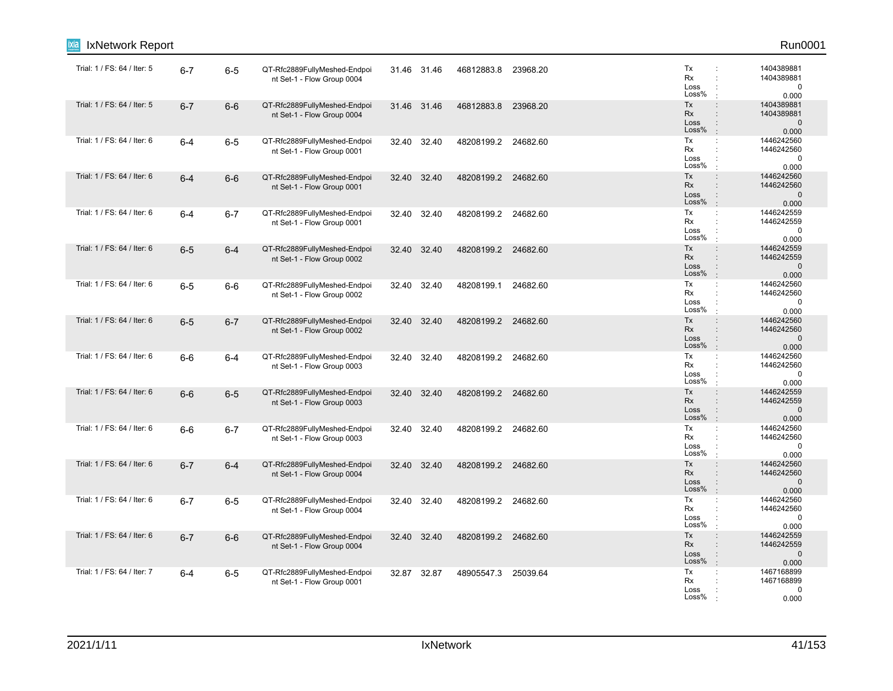| IxNetwork Report            |         |         |                                                            |       |             |                     |          |                                                                                                                     | Run0001                                           |
|-----------------------------|---------|---------|------------------------------------------------------------|-------|-------------|---------------------|----------|---------------------------------------------------------------------------------------------------------------------|---------------------------------------------------|
| Trial: 1 / FS: 64 / Iter: 5 | $6 - 7$ | $6-5$   | QT-Rfc2889FullyMeshed-Endpoi<br>nt Set-1 - Flow Group 0004 |       | 31.46 31.46 | 46812883.8          | 23968.20 | Tx<br>Rx<br>÷<br>Loss<br>Loss%                                                                                      | 1404389881<br>1404389881<br>$\mathbf 0$<br>0.000  |
| Trial: 1 / FS: 64 / Iter: 5 | $6 - 7$ | $6-6$   | QT-Rfc2889FullyMeshed-Endpoi<br>nt Set-1 - Flow Group 0004 |       | 31.46 31.46 | 46812883.8          | 23968.20 | Tx<br>$\ddot{\phantom{a}}$<br>Rx<br>$\ddot{\phantom{a}}$<br>Loss<br>$\ddot{\phantom{a}}$<br>Loss%<br>$\cdot$        | 1404389881<br>1404389881<br>$\mathbf 0$<br>0.000  |
| Trial: 1 / FS: 64 / Iter: 6 | $6 - 4$ | $6-5$   | QT-Rfc2889FullyMeshed-Endpoi<br>nt Set-1 - Flow Group 0001 |       | 32.40 32.40 | 48208199.2 24682.60 |          | Tx<br>÷<br>Rx<br>Loss<br>Loss%<br>$\cdot$                                                                           | 1446242560<br>1446242560<br>$\mathbf 0$<br>0.000  |
| Trial: 1 / FS: 64 / Iter: 6 | $6 - 4$ | $6-6$   | QT-Rfc2889FullyMeshed-Endpoi<br>nt Set-1 - Flow Group 0001 |       | 32.40 32.40 | 48208199.2 24682.60 |          | Tx<br>$\ddot{\phantom{a}}$<br>Rx<br>Loss<br>Loss%<br>$\ddot{\phantom{a}}$                                           | 1446242560<br>1446242560<br>$\mathbf 0$<br>0.000  |
| Trial: 1 / FS: 64 / Iter: 6 | $6 - 4$ | $6 - 7$ | QT-Rfc2889FullyMeshed-Endpoi<br>nt Set-1 - Flow Group 0001 | 32.40 | 32.40       | 48208199.2 24682.60 |          | Tx<br>$\ddot{\phantom{a}}$<br>Rx<br>$\cdot$<br>Loss<br>Loss%                                                        | 1446242559<br>1446242559<br>$\mathbf 0$<br>0.000  |
| Trial: 1 / FS: 64 / Iter: 6 | $6-5$   | $6 - 4$ | QT-Rfc2889FullyMeshed-Endpoi<br>nt Set-1 - Flow Group 0002 | 32.40 | 32.40       | 48208199.2          | 24682.60 | Tx<br>$\ddot{\phantom{a}}$<br>Rx<br>$\div$<br>Loss<br>$\ddot{\phantom{a}}$<br>Loss%<br>$\cdot$                      | 1446242559<br>1446242559<br>$\mathbf{0}$<br>0.000 |
| Trial: 1 / FS: 64 / Iter: 6 | $6-5$   | $6-6$   | QT-Rfc2889FullyMeshed-Endpoi<br>nt Set-1 - Flow Group 0002 | 32.40 | 32.40       | 48208199.1          | 24682.60 | Tx<br>÷<br>Rx<br>÷<br>Loss<br>÷<br>Loss%<br>÷                                                                       | 1446242560<br>1446242560<br>$\mathbf 0$<br>0.000  |
| Trial: 1 / FS: 64 / Iter: 6 | $6-5$   | $6 - 7$ | QT-Rfc2889FullyMeshed-Endpoi<br>nt Set-1 - Flow Group 0002 |       | 32.40 32.40 | 48208199.2 24682.60 |          | Tx<br>$\ddot{\phantom{a}}$<br>Rx<br>Loss<br>$\ddot{\phantom{a}}$<br>Loss%<br>$\mathbb{R}^2$                         | 1446242560<br>1446242560<br>$\mathbf{0}$<br>0.000 |
| Trial: 1 / FS: 64 / Iter: 6 | $6-6$   | $6 - 4$ | QT-Rfc2889FullyMeshed-Endpoi<br>nt Set-1 - Flow Group 0003 | 32.40 | 32.40       | 48208199.2          | 24682.60 | Tx<br>÷<br>Rx<br>Loss<br>Loss%                                                                                      | 1446242560<br>1446242560<br>$\mathbf 0$<br>0.000  |
| Trial: 1 / FS: 64 / Iter: 6 | $6-6$   | $6-5$   | QT-Rfc2889FullyMeshed-Endpoi<br>nt Set-1 - Flow Group 0003 |       | 32.40 32.40 | 48208199.2 24682.60 |          | Tx<br>$\div$<br>Rx<br>$\ddot{\phantom{a}}$<br>Loss<br>Loss%<br>$\cdot$                                              | 1446242559<br>1446242559<br>$\mathbf 0$<br>0.000  |
| Trial: 1 / FS: 64 / Iter: 6 | $6-6$   | $6 - 7$ | QT-Rfc2889FullyMeshed-Endpoi<br>nt Set-1 - Flow Group 0003 |       | 32.40 32.40 | 48208199.2 24682.60 |          | Tx<br>$\mathbb{C}^{\times}$<br>Rx<br>÷<br>Loss<br>Loss%                                                             | 1446242560<br>1446242560<br>0<br>0.000            |
| Trial: 1 / FS: 64 / Iter: 6 | $6 - 7$ | $6 - 4$ | QT-Rfc2889FullyMeshed-Endpoi<br>nt Set-1 - Flow Group 0004 | 32.40 | 32.40       | 48208199.2 24682.60 |          | Tx<br>$\ddot{\phantom{a}}$<br><b>Rx</b><br>$\ddot{\phantom{a}}$<br>Loss<br>$\ddot{\phantom{a}}$<br>Loss%<br>$\cdot$ | 1446242560<br>1446242560<br>$\mathbf 0$<br>0.000  |
| Trial: 1 / FS: 64 / Iter: 6 | $6 - 7$ | $6-5$   | QT-Rfc2889FullyMeshed-Endpoi<br>nt Set-1 - Flow Group 0004 |       | 32.40 32.40 | 48208199.2 24682.60 |          | Tx<br>$\cdot$<br>Rx<br>Loss<br>Loss%                                                                                | 1446242560<br>1446242560<br>$\mathbf 0$<br>0.000  |
| Trial: 1 / FS: 64 / Iter: 6 | $6 - 7$ | $6-6$   | QT-Rfc2889FullyMeshed-Endpoi<br>nt Set-1 - Flow Group 0004 |       | 32.40 32.40 | 48208199.2 24682.60 |          | Tx<br>$\ddot{\phantom{a}}$<br>Rx<br>$\ddot{\phantom{a}}$<br>Loss<br>$\ddot{\cdot}$<br>Loss%<br>$\mathbf{r}$         | 1446242559<br>1446242559<br>$\pmb{0}$<br>0.000    |
| Trial: 1 / FS: 64 / Iter: 7 | $6 - 4$ | $6-5$   | QT-Rfc2889FullyMeshed-Endpoi<br>nt Set-1 - Flow Group 0001 |       | 32.87 32.87 | 48905547.3 25039.64 |          | Tx<br>÷<br>Rx<br>Loss<br>Loss%                                                                                      | 1467168899<br>1467168899<br>0<br>0.000            |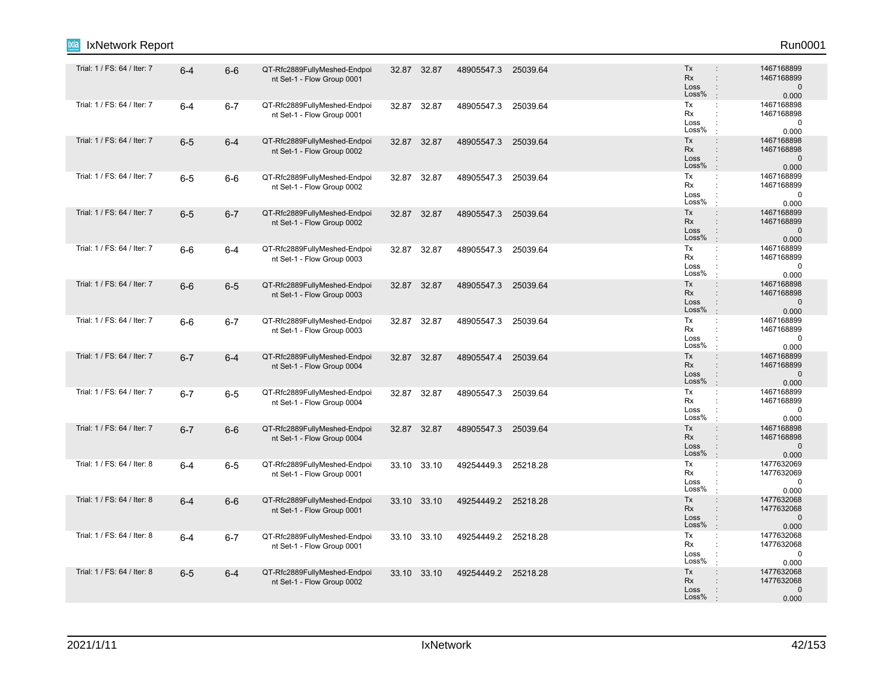| ixia<br>IxNetwork Report    |         |         |                                                            |             |             |                     |          |                                                                                              | Run0001                                           |
|-----------------------------|---------|---------|------------------------------------------------------------|-------------|-------------|---------------------|----------|----------------------------------------------------------------------------------------------|---------------------------------------------------|
| Trial: 1 / FS: 64 / Iter: 7 | $6 - 4$ | $6-6$   | QT-Rfc2889FullyMeshed-Endpoi<br>nt Set-1 - Flow Group 0001 | 32.87 32.87 |             | 48905547.3          | 25039.64 | Tx<br><b>Rx</b><br>÷<br>Loss<br>Loss%                                                        | 1467168899<br>1467168899<br>$\mathbf 0$<br>0.000  |
| Trial: 1 / FS: 64 / Iter: 7 | $6 - 4$ | $6 - 7$ | QT-Rfc2889FullyMeshed-Endpoi<br>nt Set-1 - Flow Group 0001 | 32.87       | 32.87       | 48905547.3          | 25039.64 | Tx<br>$\ddot{\phantom{a}}$<br>Rx<br>Loss<br>Loss%                                            | 1467168898<br>1467168898<br>0<br>0.000            |
| Trial: 1 / FS: 64 / Iter: 7 | $6-5$   | $6 - 4$ | QT-Rfc2889FullyMeshed-Endpoi<br>nt Set-1 - Flow Group 0002 | 32.87       | 32.87       | 48905547.3          | 25039.64 | Tx<br>$\ddot{\phantom{a}}$<br><b>Rx</b><br>$\vdots$<br>Loss<br>$\ddot{\phantom{a}}$<br>Loss% | 1467168898<br>1467168898<br>$\mathbf 0$<br>0.000  |
| Trial: 1 / FS: 64 / Iter: 7 | $6-5$   | $6-6$   | QT-Rfc2889FullyMeshed-Endpoi<br>nt Set-1 - Flow Group 0002 | 32.87       | 32.87       | 48905547.3          | 25039.64 | Tx<br>÷<br>Rx<br>Loss<br>Loss%                                                               | 1467168899<br>1467168899<br>$\mathbf 0$<br>0.000  |
| Trial: 1 / FS: 64 / Iter: 7 | $6-5$   | $6 - 7$ | QT-Rfc2889FullyMeshed-Endpoi<br>nt Set-1 - Flow Group 0002 | 32.87 32.87 |             | 48905547.3          | 25039.64 | Tx<br>÷<br>Rx<br>Loss<br>÷<br>Loss%                                                          | 1467168899<br>1467168899<br>$\mathbf{0}$<br>0.000 |
| Trial: 1 / FS: 64 / Iter: 7 | $6-6$   | $6 - 4$ | QT-Rfc2889FullyMeshed-Endpoi<br>nt Set-1 - Flow Group 0003 | 32.87       | 32.87       | 48905547.3          | 25039.64 | Tx<br>$\ddot{\phantom{a}}$<br>Rx<br>Loss<br>Loss%                                            | 1467168899<br>1467168899<br>0<br>0.000            |
| Trial: 1 / FS: 64 / Iter: 7 | $6-6$   | $6-5$   | QT-Rfc2889FullyMeshed-Endpoi<br>nt Set-1 - Flow Group 0003 | 32.87       | 32.87       | 48905547.3          | 25039.64 | Tx<br>$\vdots$<br><b>Rx</b><br>Loss<br>$\ddot{\phantom{a}}$<br>Loss%                         | 1467168898<br>1467168898<br>$\mathbf 0$<br>0.000  |
| Trial: 1 / FS: 64 / Iter: 7 | $6-6$   | $6 - 7$ | QT-Rfc2889FullyMeshed-Endpoi<br>nt Set-1 - Flow Group 0003 | 32.87       | 32.87       | 48905547.3          | 25039.64 | Tx<br>÷<br>Rx<br>Loss<br>Loss%                                                               | 1467168899<br>1467168899<br>0<br>0.000            |
| Trial: 1 / FS: 64 / Iter: 7 | $6 - 7$ | $6 - 4$ | QT-Rfc2889FullyMeshed-Endpoi<br>nt Set-1 - Flow Group 0004 | 32.87       | 32.87       | 48905547.4          | 25039.64 | Tx<br>Rx<br>Loss<br>$\ddot{\phantom{a}}$<br>Loss%                                            | 1467168899<br>1467168899<br>$\mathbf 0$<br>0.000  |
| Trial: 1 / FS: 64 / Iter: 7 | $6 - 7$ | $6-5$   | QT-Rfc2889FullyMeshed-Endpoi<br>nt Set-1 - Flow Group 0004 | 32.87 32.87 |             | 48905547.3          | 25039.64 | Tx<br>$\ddot{\phantom{a}}$<br>Rx<br>Loss<br>Loss%                                            | 1467168899<br>1467168899<br>0<br>0.000            |
| Trial: 1 / FS: 64 / Iter: 7 | $6 - 7$ | $6-6$   | QT-Rfc2889FullyMeshed-Endpoi<br>nt Set-1 - Flow Group 0004 | 32.87       | 32.87       | 48905547.3          | 25039.64 | Tx<br>$\ddot{\phantom{a}}$<br><b>Rx</b><br>$\vdots$<br>$\ddot{\phantom{a}}$<br>Loss<br>Loss% | 1467168898<br>1467168898<br>$\mathbf 0$<br>0.000  |
| Trial: 1 / FS: 64 / Iter: 8 | $6 - 4$ | $6-5$   | QT-Rfc2889FullyMeshed-Endpoi<br>nt Set-1 - Flow Group 0001 |             | 33.10 33.10 | 49254449.3          | 25218.28 | Tx<br>÷<br>Rx<br>÷<br>Loss<br>Loss%<br>ł,                                                    | 1477632069<br>1477632069<br>0<br>0.000            |
| Trial: 1 / FS: 64 / Iter: 8 | $6 - 4$ | $6-6$   | QT-Rfc2889FullyMeshed-Endpoi<br>nt Set-1 - Flow Group 0001 |             | 33.10 33.10 | 49254449.2 25218.28 |          | Tx<br>÷<br>Rx<br>Loss<br>$\ddot{\phantom{a}}$<br>Loss%                                       | 1477632068<br>1477632068<br>$\mathbf{0}$<br>0.000 |
| Trial: 1 / FS: 64 / Iter: 8 | $6 - 4$ | $6 - 7$ | QT-Rfc2889FullyMeshed-Endpoi<br>nt Set-1 - Flow Group 0001 |             | 33.10 33.10 | 49254449.2          | 25218.28 | Tx<br>÷<br>Rx<br>Loss<br>Loss%                                                               | 1477632068<br>1477632068<br>0<br>0.000            |
| Trial: 1 / FS: 64 / Iter: 8 | $6-5$   | $6 - 4$ | QT-Rfc2889FullyMeshed-Endpoi<br>nt Set-1 - Flow Group 0002 |             | 33.10 33.10 | 49254449.2 25218.28 |          | Tx<br>$\ddot{\phantom{a}}$<br><b>Rx</b><br>Loss<br>Loss%                                     | 1477632068<br>1477632068<br>$\mathbf 0$<br>0.000  |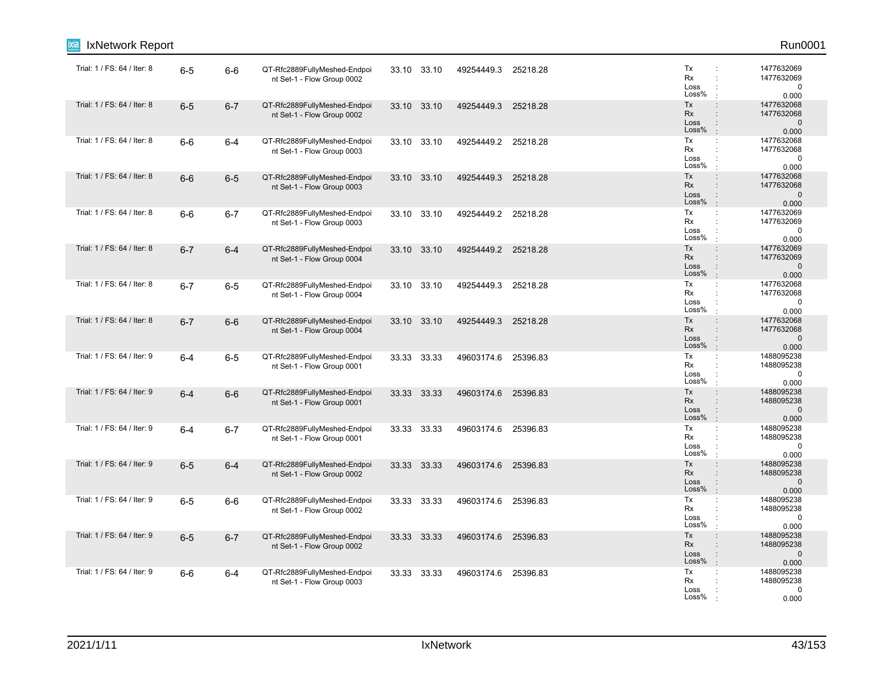| IxNetwork Report            |         |         |                                                            |             |             |                     |          |                                                                                                                           | Run0001                                           |
|-----------------------------|---------|---------|------------------------------------------------------------|-------------|-------------|---------------------|----------|---------------------------------------------------------------------------------------------------------------------------|---------------------------------------------------|
| Trial: 1 / FS: 64 / Iter: 8 | $6-5$   | $6-6$   | QT-Rfc2889FullyMeshed-Endpoi<br>nt Set-1 - Flow Group 0002 |             | 33.10 33.10 | 49254449.3          | 25218.28 | Tx<br>Rx<br>$\ddot{\phantom{a}}$<br>Loss<br>Loss%                                                                         | 1477632069<br>1477632069<br>$\mathbf 0$<br>0.000  |
| Trial: 1 / FS: 64 / Iter: 8 | $6-5$   | $6 - 7$ | QT-Rfc2889FullyMeshed-Endpoi<br>nt Set-1 - Flow Group 0002 | 33.10       | 33.10       | 49254449.3          | 25218.28 | Tx<br>$\ddot{\phantom{a}}$<br>Rx<br>$\ddot{\phantom{a}}$<br>Loss<br>$\ddot{\phantom{a}}$<br>Loss%<br>$\pm$                | 1477632068<br>1477632068<br>$\mathbf 0$<br>0.000  |
| Trial: 1 / FS: 64 / Iter: 8 | $6-6$   | $6 - 4$ | QT-Rfc2889FullyMeshed-Endpoi<br>nt Set-1 - Flow Group 0003 | 33.10 33.10 |             | 49254449.2 25218.28 |          | Tx<br>$\ddot{\phantom{a}}$<br>Rx<br>$\ddot{\phantom{a}}$<br>Loss<br>÷<br>Loss%<br>$\ddot{\phantom{a}}$                    | 1477632068<br>1477632068<br>$\mathbf 0$<br>0.000  |
| Trial: 1 / FS: 64 / Iter: 8 | $6-6$   | $6-5$   | QT-Rfc2889FullyMeshed-Endpoi<br>nt Set-1 - Flow Group 0003 | 33.10 33.10 |             | 49254449.3          | 25218.28 | Tx<br>$\ddot{\phantom{a}}$<br>Rx<br>Loss<br>Loss%<br>$\ddot{\phantom{a}}$                                                 | 1477632068<br>1477632068<br>$\mathbf 0$<br>0.000  |
| Trial: 1 / FS: 64 / Iter: 8 | $6-6$   | $6 - 7$ | QT-Rfc2889FullyMeshed-Endpoi<br>nt Set-1 - Flow Group 0003 | 33.10 33.10 |             | 49254449.2 25218.28 |          | Tx<br>÷<br>Rx<br>$\ddot{\phantom{a}}$<br>Loss<br>Loss%<br>$\ddot{\phantom{a}}$                                            | 1477632069<br>1477632069<br>0<br>0.000            |
| Trial: 1 / FS: 64 / Iter: 8 | $6 - 7$ | $6 - 4$ | QT-Rfc2889FullyMeshed-Endpoi<br>nt Set-1 - Flow Group 0004 | 33.10 33.10 |             | 49254449.2 25218.28 |          | Tx<br>$\ddot{\phantom{a}}$<br>Rx<br>$\ddot{\phantom{a}}$<br>Loss<br>$\vdots$<br>Loss%<br>$\cdot$                          | 1477632069<br>1477632069<br>$\mathbf 0$<br>0.000  |
| Trial: 1 / FS: 64 / Iter: 8 | $6 - 7$ | $6-5$   | QT-Rfc2889FullyMeshed-Endpoi<br>nt Set-1 - Flow Group 0004 | 33.10 33.10 |             | 49254449.3          | 25218.28 | Tx<br>$\ddot{\phantom{a}}$<br>Rx<br>$\ddot{\phantom{a}}$<br>Loss<br>÷<br>Loss%<br>$\ddot{\phantom{a}}$                    | 1477632068<br>1477632068<br>$\mathbf 0$<br>0.000  |
| Trial: 1 / FS: 64 / Iter: 8 | $6 - 7$ | $6-6$   | QT-Rfc2889FullyMeshed-Endpoi<br>nt Set-1 - Flow Group 0004 | 33.10 33.10 |             | 49254449.3          | 25218.28 | Tx<br>$\ddot{\phantom{a}}$<br>Rx<br>$\ddot{\phantom{a}}$<br>Loss<br>$\ddot{\phantom{a}}$<br>Loss%<br>$\ddot{\phantom{a}}$ | 1477632068<br>1477632068<br>$\mathbf{0}$<br>0.000 |
| Trial: 1 / FS: 64 / Iter: 9 | $6 - 4$ | $6-5$   | QT-Rfc2889FullyMeshed-Endpoi<br>nt Set-1 - Flow Group 0001 | 33.33 33.33 |             | 49603174.6          | 25396.83 | Tx<br>$\ddot{\phantom{a}}$<br>Rx<br>Loss<br>Loss%                                                                         | 1488095238<br>1488095238<br>$\mathbf 0$<br>0.000  |
| Trial: 1 / FS: 64 / Iter: 9 | $6 - 4$ | $6-6$   | QT-Rfc2889FullyMeshed-Endpoi<br>nt Set-1 - Flow Group 0001 | 33.33 33.33 |             | 49603174.6          | 25396.83 | Tx<br>$\colon$<br>Rx<br>$\ddot{\phantom{a}}$<br>Loss<br>Loss%<br>$\mathbf{r}$                                             | 1488095238<br>1488095238<br>$\mathbf 0$<br>0.000  |
| Trial: 1 / FS: 64 / Iter: 9 | $6 - 4$ | $6 - 7$ | QT-Rfc2889FullyMeshed-Endpoi<br>nt Set-1 - Flow Group 0001 | 33.33 33.33 |             | 49603174.6          | 25396.83 | Tx<br>÷<br>Rx<br>$\ddot{\phantom{a}}$<br>Loss<br>Loss%                                                                    | 1488095238<br>1488095238<br>0<br>0.000            |
| Trial: 1 / FS: 64 / Iter: 9 | $6-5$   | $6 - 4$ | QT-Rfc2889FullyMeshed-Endpoi<br>nt Set-1 - Flow Group 0002 | 33.33 33.33 |             | 49603174.6          | 25396.83 | Tx<br>$\ddot{\phantom{a}}$<br><b>Rx</b><br>$\ddot{\phantom{a}}$<br>Loss<br>$\ddot{\phantom{a}}$<br>Loss%<br>÷             | 1488095238<br>1488095238<br>$\mathbf 0$<br>0.000  |
| Trial: 1 / FS: 64 / Iter: 9 | $6-5$   | $6-6$   | QT-Rfc2889FullyMeshed-Endpoi<br>nt Set-1 - Flow Group 0002 | 33.33 33.33 |             | 49603174.6 25396.83 |          | Tx<br>$\ddot{\phantom{a}}$<br>Rx<br>÷<br>Loss<br>÷<br>Loss%<br>$\cdot$                                                    | 1488095238<br>1488095238<br>$\mathbf 0$<br>0.000  |
| Trial: 1 / FS: 64 / Iter: 9 | $6-5$   | $6 - 7$ | QT-Rfc2889FullyMeshed-Endpoi<br>nt Set-1 - Flow Group 0002 | 33.33 33.33 |             | 49603174.6          | 25396.83 | Tx<br>$\ddot{\phantom{a}}$<br>Rx<br>$\ddot{\phantom{a}}$<br>Loss<br>$\ddot{\phantom{a}}$<br>Loss%<br>$\div$               | 1488095238<br>1488095238<br>$\pmb{0}$<br>0.000    |
| Trial: 1 / FS: 64 / Iter: 9 | $6-6$   | $6 - 4$ | QT-Rfc2889FullyMeshed-Endpoi<br>nt Set-1 - Flow Group 0003 | 33.33 33.33 |             | 49603174.6 25396.83 |          | Tx<br>$\ddot{\phantom{a}}$<br>Rx<br>Loss<br>Loss%                                                                         | 1488095238<br>1488095238<br>0<br>0.000            |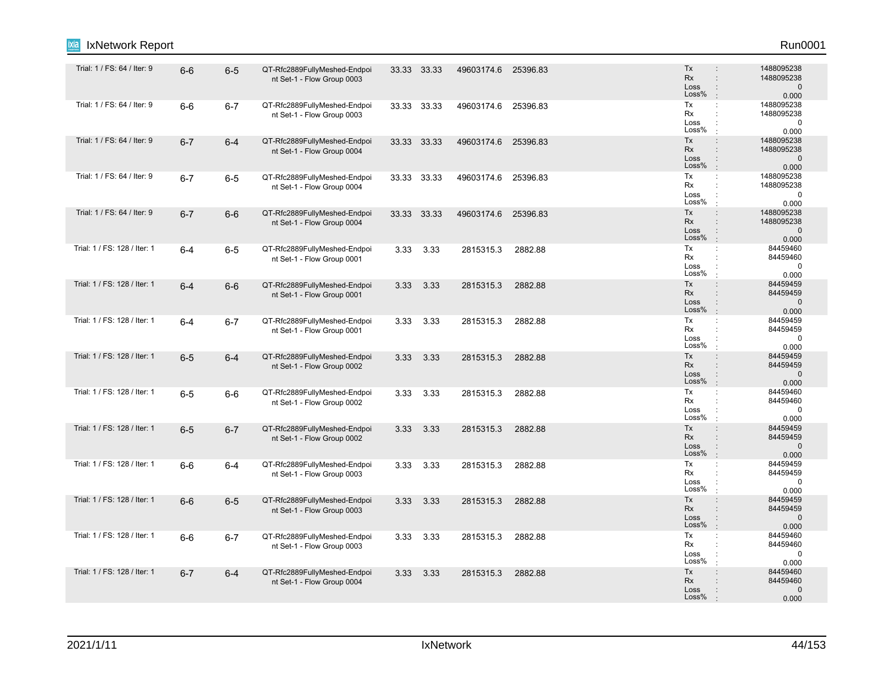| IxNetwork Report             |         |         |                                                            |             |             |                     |          |                                                                                                                | Run0001                                          |
|------------------------------|---------|---------|------------------------------------------------------------|-------------|-------------|---------------------|----------|----------------------------------------------------------------------------------------------------------------|--------------------------------------------------|
| Trial: 1 / FS: 64 / Iter: 9  | $6-6$   | $6-5$   | QT-Rfc2889FullyMeshed-Endpoi<br>nt Set-1 - Flow Group 0003 |             | 33.33 33.33 | 49603174.6 25396.83 |          | Tx<br>$\ddot{\phantom{a}}$<br><b>Rx</b><br>$\ddot{\phantom{a}}$<br>Loss<br>$\ddot{\phantom{a}}$<br>Loss%       | 1488095238<br>1488095238<br>$\mathbf 0$<br>0.000 |
| Trial: 1 / FS: 64 / Iter: 9  | $6-6$   | $6 - 7$ | QT-Rfc2889FullyMeshed-Endpoi<br>nt Set-1 - Flow Group 0003 | 33.33 33.33 |             | 49603174.6          | 25396.83 | Tx<br>÷<br>Rx<br>$\ddot{\phantom{a}}$<br>Loss<br>÷<br>Loss%<br>$\cdot$                                         | 1488095238<br>1488095238<br>$\pmb{0}$<br>0.000   |
| Trial: 1 / FS: 64 / Iter: 9  | $6 - 7$ | $6-4$   | QT-Rfc2889FullyMeshed-Endpoi<br>nt Set-1 - Flow Group 0004 | 33.33 33.33 |             | 49603174.6 25396.83 |          | Tx<br>$\ddot{\phantom{a}}$<br>Rx<br>Loss<br>$\ddot{\phantom{a}}$<br>Loss%<br>$\mathbf{r}$                      | 1488095238<br>1488095238<br>$\mathbf 0$<br>0.000 |
| Trial: 1 / FS: 64 / Iter: 9  | $6 - 7$ | $6-5$   | QT-Rfc2889FullyMeshed-Endpoi<br>nt Set-1 - Flow Group 0004 | 33.33 33.33 |             | 49603174.6          | 25396.83 | Tx<br>$\ddot{\phantom{a}}$<br>Rx<br>÷<br>Loss<br>Loss%<br>$\cdot$                                              | 1488095238<br>1488095238<br>0<br>0.000           |
| Trial: 1 / FS: 64 / Iter: 9  | $6 - 7$ | $6-6$   | QT-Rfc2889FullyMeshed-Endpoi<br>nt Set-1 - Flow Group 0004 | 33.33 33.33 |             | 49603174.6 25396.83 |          | $\ddot{\cdot}$<br>Tx<br><b>Rx</b><br>$\ddot{\phantom{a}}$<br>Loss<br>Loss%                                     | 1488095238<br>1488095238<br>$\mathbf 0$<br>0.000 |
| Trial: 1 / FS: 128 / Iter: 1 | $6 - 4$ | $6-5$   | QT-Rfc2889FullyMeshed-Endpoi<br>nt Set-1 - Flow Group 0001 | 3.33        | 3.33        | 2815315.3           | 2882.88  | Tx<br>÷<br>Rx<br>÷<br>Loss<br>Loss%<br>$\cdot$                                                                 | 84459460<br>84459460<br>$\mathbf 0$<br>0.000     |
| Trial: 1 / FS: 128 / Iter: 1 | $6 - 4$ | $6-6$   | QT-Rfc2889FullyMeshed-Endpoi<br>nt Set-1 - Flow Group 0001 | 3.33        | 3.33        | 2815315.3           | 2882.88  | Tx<br>$\ddot{\phantom{a}}$<br><b>Rx</b><br>$\ddot{\phantom{a}}$<br>Loss<br>$\ddot{\phantom{a}}$<br>Loss%<br>÷. | 84459459<br>84459459<br>$\mathbf 0$<br>0.000     |
| Trial: 1 / FS: 128 / Iter: 1 | $6 - 4$ | $6 - 7$ | QT-Rfc2889FullyMeshed-Endpoi<br>nt Set-1 - Flow Group 0001 |             | 3.33 3.33   | 2815315.3           | 2882.88  | Tx<br>÷<br>Rx<br>Loss<br>Loss%<br>$\cdot$                                                                      | 84459459<br>84459459<br>$\mathbf 0$<br>0.000     |
| Trial: 1 / FS: 128 / Iter: 1 | $6-5$   | $6 - 4$ | QT-Rfc2889FullyMeshed-Endpoi<br>nt Set-1 - Flow Group 0002 | 3.33        | 3.33        | 2815315.3           | 2882.88  | Tx<br>$\ddot{\phantom{a}}$<br><b>Rx</b><br>$\ddot{\phantom{a}}$<br>Loss<br>Loss%<br>$\overline{1}$             | 84459459<br>84459459<br>$\mathbf 0$<br>0.000     |
| Trial: 1 / FS: 128 / Iter: 1 | $6-5$   | $6-6$   | QT-Rfc2889FullyMeshed-Endpoi<br>nt Set-1 - Flow Group 0002 | 3.33        | 3.33        | 2815315.3           | 2882.88  | Tx<br>$\ddot{\cdot}$<br>$\cdot$<br>Rx<br>Loss<br>Loss%                                                         | 84459460<br>84459460<br>$\mathbf 0$<br>0.000     |
| Trial: 1 / FS: 128 / Iter: 1 | $6-5$   | $6 - 7$ | QT-Rfc2889FullyMeshed-Endpoi<br>nt Set-1 - Flow Group 0002 | 3.33        | 3.33        | 2815315.3           | 2882.88  | Tx<br>$\ddot{\phantom{a}}$<br>Rx<br>$\ddot{\phantom{a}}$<br>Loss<br>$\ddot{\phantom{a}}$<br>Loss%<br>$\cdot$   | 84459459<br>84459459<br>$\mathbf 0$<br>0.000     |
| Trial: 1 / FS: 128 / Iter: 1 | $6-6$   | $6-4$   | QT-Rfc2889FullyMeshed-Endpoi<br>nt Set-1 - Flow Group 0003 | 3.33        | 3.33        | 2815315.3           | 2882.88  | Tx<br>$\ddot{\phantom{a}}$<br>Rx<br>Loss<br>Loss%                                                              | 84459459<br>84459459<br>$\mathbf 0$<br>0.000     |
| Trial: 1 / FS: 128 / Iter: 1 | $6-6$   | $6-5$   | QT-Rfc2889FullyMeshed-Endpoi<br>nt Set-1 - Flow Group 0003 | 3.33        | 3.33        | 2815315.3           | 2882.88  | Tx<br>$\ddot{\phantom{a}}$<br><b>Rx</b><br>Loss<br>$\ddot{\phantom{a}}$<br>Loss%                               | 84459459<br>84459459<br>$\mathbf 0$<br>0.000     |
| Trial: 1 / FS: 128 / Iter: 1 | $6-6$   | $6 - 7$ | QT-Rfc2889FullyMeshed-Endpoi<br>nt Set-1 - Flow Group 0003 | 3.33        | 3.33        | 2815315.3           | 2882.88  | Tx<br>$\ddot{\phantom{a}}$<br>Rx<br>÷<br>Loss<br>Loss%                                                         | 84459460<br>84459460<br>$\mathbf 0$<br>0.000     |
| Trial: 1 / FS: 128 / Iter: 1 | $6 - 7$ | $6-4$   | QT-Rfc2889FullyMeshed-Endpoi<br>nt Set-1 - Flow Group 0004 | 3.33        | 3.33        | 2815315.3           | 2882.88  | Tx<br>÷<br><b>Rx</b><br>Loss<br>$\ddot{\phantom{a}}$<br>Loss%<br>$\cdot$                                       | 84459460<br>84459460<br>$\pmb{0}$<br>0.000       |
|                              |         |         |                                                            |             |             |                     |          |                                                                                                                |                                                  |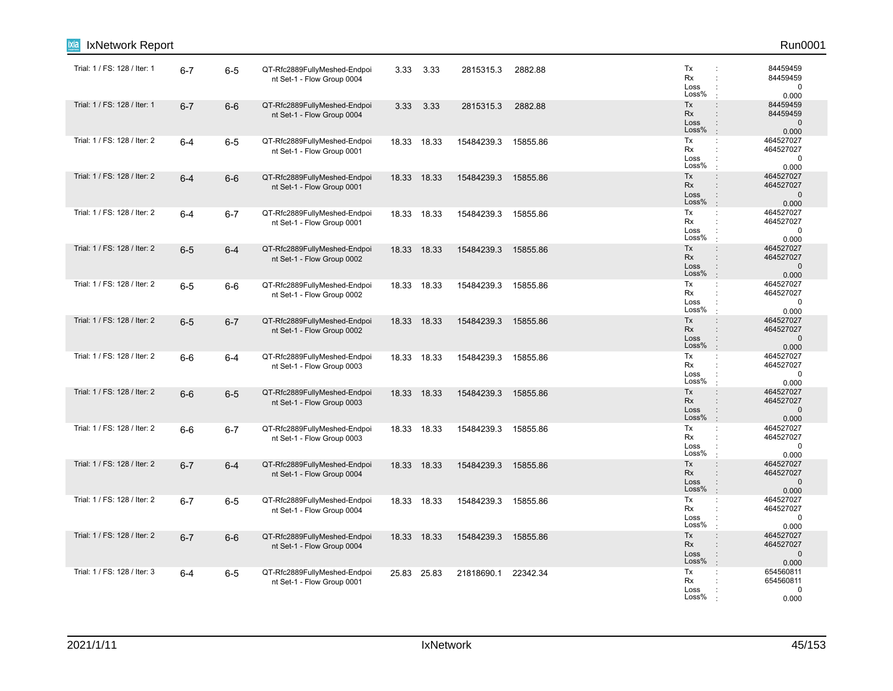| IxNetwork Report             |         |         |                                                            |       |             |            |          |                                                                                                                     | Run0001                                         |
|------------------------------|---------|---------|------------------------------------------------------------|-------|-------------|------------|----------|---------------------------------------------------------------------------------------------------------------------|-------------------------------------------------|
| Trial: 1 / FS: 128 / Iter: 1 | $6 - 7$ | $6 - 5$ | QT-Rfc2889FullyMeshed-Endpoi<br>nt Set-1 - Flow Group 0004 | 3.33  | 3.33        | 2815315.3  | 2882.88  | Tx<br>÷<br>Rx<br>÷<br>Loss<br>÷<br>Loss%                                                                            | 84459459<br>84459459<br>$\mathbf 0$<br>0.000    |
| Trial: 1 / FS: 128 / Iter: 1 | $6 - 7$ | $6-6$   | QT-Rfc2889FullyMeshed-Endpoi<br>nt Set-1 - Flow Group 0004 | 3.33  | 3.33        | 2815315.3  | 2882.88  | Tx<br>$\ddot{\phantom{a}}$<br>Rx<br>$\ddot{\phantom{a}}$<br>Loss<br>$\ddot{\phantom{a}}$<br>Loss%<br>$\cdot$        | 84459459<br>84459459<br>$\mathbf 0$<br>0.000    |
| Trial: 1 / FS: 128 / Iter: 2 | $6-4$   | $6-5$   | QT-Rfc2889FullyMeshed-Endpoi<br>nt Set-1 - Flow Group 0001 |       | 18.33 18.33 | 15484239.3 | 15855.86 | Tx<br>÷<br>Rx<br>$\ddot{\phantom{a}}$<br>Loss<br>$\ddot{\phantom{a}}$<br>Loss%<br>$\ddot{\phantom{a}}$              | 464527027<br>464527027<br>$\mathbf 0$<br>0.000  |
| Trial: 1 / FS: 128 / Iter: 2 | $6 - 4$ | $6-6$   | QT-Rfc2889FullyMeshed-Endpoi<br>nt Set-1 - Flow Group 0001 |       | 18.33 18.33 | 15484239.3 | 15855.86 | Tx<br>$\ddot{\phantom{a}}$<br>Rx<br>Loss<br>Loss%<br>$\pm$                                                          | 464527027<br>464527027<br>$\mathbf 0$<br>0.000  |
| Trial: 1 / FS: 128 / Iter: 2 | $6-4$   | $6 - 7$ | QT-Rfc2889FullyMeshed-Endpoi<br>nt Set-1 - Flow Group 0001 |       | 18.33 18.33 | 15484239.3 | 15855.86 | Tx<br>$\ddot{\phantom{a}}$ .<br>Rx<br>$\ddot{\phantom{a}}$<br>Loss<br>÷<br>Loss%<br>÷                               | 464527027<br>464527027<br>$\mathbf 0$<br>0.000  |
| Trial: 1 / FS: 128 / Iter: 2 | $6-5$   | $6 - 4$ | QT-Rfc2889FullyMeshed-Endpoi<br>nt Set-1 - Flow Group 0002 |       | 18.33 18.33 | 15484239.3 | 15855.86 | Tx<br>$\ddot{\phantom{a}}$<br>Rx<br>$\div$<br>Loss<br>$\ddot{\phantom{a}}$<br>Loss%<br>$\cdot$                      | 464527027<br>464527027<br>$\mathbf{0}$<br>0.000 |
| Trial: 1 / FS: 128 / Iter: 2 | $6-5$   | $6-6$   | QT-Rfc2889FullyMeshed-Endpoi<br>nt Set-1 - Flow Group 0002 |       | 18.33 18.33 | 15484239.3 | 15855.86 | Tx<br>$\ddot{\phantom{a}}$<br>Rx<br>$\ddot{\phantom{a}}$<br>Loss<br>÷<br>Loss%<br>$\mathbf{r}$                      | 464527027<br>464527027<br>$\mathbf 0$<br>0.000  |
| Trial: 1 / FS: 128 / Iter: 2 | $6-5$   | $6 - 7$ | QT-Rfc2889FullyMeshed-Endpoi<br>nt Set-1 - Flow Group 0002 |       | 18.33 18.33 | 15484239.3 | 15855.86 | Tx<br>$\ddot{\phantom{a}}$<br>Rx<br>Loss<br>$\ddot{\phantom{a}}$<br>Loss%<br>$\therefore$                           | 464527027<br>464527027<br>$\mathbf{0}$<br>0.000 |
| Trial: 1 / FS: 128 / Iter: 2 | $6-6$   | 6-4     | QT-Rfc2889FullyMeshed-Endpoi<br>nt Set-1 - Flow Group 0003 |       | 18.33 18.33 | 15484239.3 | 15855.86 | Tx<br>÷<br>Rx<br>Loss<br>Loss%<br>$\cdot$                                                                           | 464527027<br>464527027<br>$\mathbf 0$<br>0.000  |
| Trial: 1 / FS: 128 / Iter: 2 | $6-6$   | $6-5$   | QT-Rfc2889FullyMeshed-Endpoi<br>nt Set-1 - Flow Group 0003 |       | 18.33 18.33 | 15484239.3 | 15855.86 | Tx<br>$\div$<br>Rx<br>$\ddot{\phantom{a}}$<br>Loss<br>Loss%<br>$\cdot$                                              | 464527027<br>464527027<br>$\mathbf 0$<br>0.000  |
| Trial: 1 / FS: 128 / Iter: 2 | $6-6$   | $6 - 7$ | QT-Rfc2889FullyMeshed-Endpoi<br>nt Set-1 - Flow Group 0003 |       | 18.33 18.33 | 15484239.3 | 15855.86 | Tx<br>$\mathbb{C}^{\times}$<br>Rx<br>÷<br>Loss<br>Loss%<br>$\cdot$                                                  | 464527027<br>464527027<br>0<br>0.000            |
| Trial: 1 / FS: 128 / Iter: 2 | $6 - 7$ | $6 - 4$ | QT-Rfc2889FullyMeshed-Endpoi<br>nt Set-1 - Flow Group 0004 | 18.33 | 18.33       | 15484239.3 | 15855.86 | Tx<br>$\ddot{\phantom{a}}$<br><b>Rx</b><br>$\ddot{\phantom{a}}$<br>Loss<br>$\ddot{\phantom{a}}$<br>Loss%<br>$\cdot$ | 464527027<br>464527027<br>$\mathbf 0$<br>0.000  |
| Trial: 1 / FS: 128 / Iter: 2 | $6 - 7$ | $6-5$   | QT-Rfc2889FullyMeshed-Endpoi<br>nt Set-1 - Flow Group 0004 |       | 18.33 18.33 | 15484239.3 | 15855.86 | Tx<br>÷<br>Rx<br>Loss<br>Loss%                                                                                      | 464527027<br>464527027<br>0<br>0.000            |
| Trial: 1 / FS: 128 / Iter: 2 | $6 - 7$ | $6-6$   | QT-Rfc2889FullyMeshed-Endpoi<br>nt Set-1 - Flow Group 0004 |       | 18.33 18.33 | 15484239.3 | 15855.86 | Tx<br>$\ddot{\phantom{a}}$<br>Rx<br>$\ddot{\phantom{a}}$<br>Loss<br>÷<br>Loss%<br>$\mathbf{r}$                      | 464527027<br>464527027<br>$\mathbf 0$<br>0.000  |
| Trial: 1 / FS: 128 / Iter: 3 | $6-4$   | $6-5$   | QT-Rfc2889FullyMeshed-Endpoi<br>nt Set-1 - Flow Group 0001 |       | 25.83 25.83 | 21818690.1 | 22342.34 | Tx<br>÷<br>Rx<br>Loss<br>Loss%                                                                                      | 654560811<br>654560811<br>0<br>0.000            |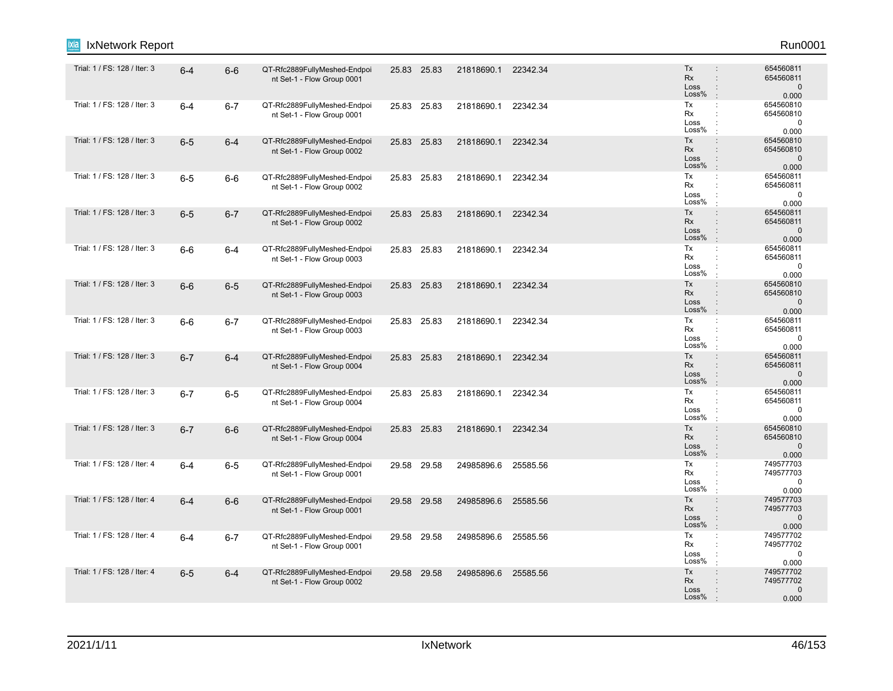| IxNetwork Report             |         |         |                                                            |             |                     |          |                                                                                                                     | Run0001                                        |
|------------------------------|---------|---------|------------------------------------------------------------|-------------|---------------------|----------|---------------------------------------------------------------------------------------------------------------------|------------------------------------------------|
| Trial: 1 / FS: 128 / Iter: 3 | $6 - 4$ | $6-6$   | QT-Rfc2889FullyMeshed-Endpoi<br>nt Set-1 - Flow Group 0001 | 25.83 25.83 | 21818690.1 22342.34 |          | Tx<br>$\ddot{\phantom{a}}$<br><b>Rx</b><br>$\ddot{\phantom{a}}$<br>Loss<br>$\ddot{\phantom{a}}$<br>Loss%            | 654560811<br>654560811<br>$\mathbf 0$<br>0.000 |
| Trial: 1 / FS: 128 / Iter: 3 | $6 - 4$ | $6 - 7$ | QT-Rfc2889FullyMeshed-Endpoi<br>nt Set-1 - Flow Group 0001 | 25.83 25.83 | 21818690.1          | 22342.34 | Tx<br>$\ddot{\cdot}$<br>Rx<br>$\ddot{\phantom{a}}$<br>Loss<br>÷<br>Loss%<br>$\cdot$                                 | 654560810<br>654560810<br>$\pmb{0}$<br>0.000   |
| Trial: 1 / FS: 128 / Iter: 3 | $6-5$   | $6 - 4$ | QT-Rfc2889FullyMeshed-Endpoi<br>nt Set-1 - Flow Group 0002 | 25.83 25.83 | 21818690.1 22342.34 |          | Tx<br>$\ddot{\phantom{a}}$<br>Rx<br>÷<br>Loss<br>$\ddot{\phantom{a}}$<br>Loss%<br>$\pm$                             | 654560810<br>654560810<br>$\mathbf 0$<br>0.000 |
| Trial: 1 / FS: 128 / Iter: 3 | $6-5$   | $6-6$   | QT-Rfc2889FullyMeshed-Endpoi<br>nt Set-1 - Flow Group 0002 | 25.83 25.83 | 21818690.1          | 22342.34 | Tx<br>÷<br>Rx<br>Loss<br>Loss%<br>$\cdot$                                                                           | 654560811<br>654560811<br>$\mathbf 0$<br>0.000 |
| Trial: 1 / FS: 128 / Iter: 3 | $6-5$   | $6 - 7$ | QT-Rfc2889FullyMeshed-Endpoi<br>nt Set-1 - Flow Group 0002 | 25.83 25.83 | 21818690.1          | 22342.34 | Tx<br>$\ddot{\phantom{a}}$<br><b>Rx</b><br>÷<br>Loss<br>Loss%<br>$\cdot$                                            | 654560811<br>654560811<br>$\mathbf 0$<br>0.000 |
| Trial: 1 / FS: 128 / Iter: 3 | $6-6$   | $6 - 4$ | QT-Rfc2889FullyMeshed-Endpoi<br>nt Set-1 - Flow Group 0003 | 25.83 25.83 | 21818690.1          | 22342.34 | Tx<br>÷<br>Rx<br>$\ddot{\phantom{a}}$<br>Loss<br>Loss%<br>$\cdot$                                                   | 654560811<br>654560811<br>$\mathbf 0$<br>0.000 |
| Trial: 1 / FS: 128 / Iter: 3 | $6-6$   | $6-5$   | QT-Rfc2889FullyMeshed-Endpoi<br>nt Set-1 - Flow Group 0003 | 25.83 25.83 | 21818690.1          | 22342.34 | Tx<br>$\ddot{\phantom{a}}$<br><b>Rx</b><br>$\ddot{\phantom{a}}$<br>Loss<br>$\ddot{\phantom{a}}$<br>Loss%<br>$\cdot$ | 654560810<br>654560810<br>$\mathbf 0$<br>0.000 |
| Trial: 1 / FS: 128 / Iter: 3 | $6-6$   | $6 - 7$ | QT-Rfc2889FullyMeshed-Endpoi<br>nt Set-1 - Flow Group 0003 | 25.83 25.83 | 21818690.1          | 22342.34 | Tx<br>÷<br>Rx<br>÷<br>Loss<br>$\ddot{\phantom{a}}$<br>Loss%<br>$\cdot$                                              | 654560811<br>654560811<br>$\mathbf 0$<br>0.000 |
| Trial: 1 / FS: 128 / Iter: 3 | $6 - 7$ | $6 - 4$ | QT-Rfc2889FullyMeshed-Endpoi<br>nt Set-1 - Flow Group 0004 | 25.83 25.83 | 21818690.1          | 22342.34 | Tx<br>$\ddot{\phantom{a}}$<br>Rx<br>÷<br>Loss<br>$\ddot{\phantom{a}}$<br>Loss%                                      | 654560811<br>654560811<br>$\mathbf 0$<br>0.000 |
| Trial: 1 / FS: 128 / Iter: 3 | $6 - 7$ | $6-5$   | QT-Rfc2889FullyMeshed-Endpoi<br>nt Set-1 - Flow Group 0004 | 25.83 25.83 | 21818690.1          | 22342.34 | Tx<br>÷<br>Rx<br>÷<br>Loss<br>÷<br>Loss%                                                                            | 654560811<br>654560811<br>$\mathbf 0$<br>0.000 |
| Trial: 1 / FS: 128 / Iter: 3 | $6 - 7$ | $6-6$   | QT-Rfc2889FullyMeshed-Endpoi<br>nt Set-1 - Flow Group 0004 | 25.83 25.83 | 21818690.1          | 22342.34 | Tx<br>$\ddot{\phantom{a}}$<br>Rx<br>$\ddot{\phantom{a}}$<br>Loss<br>$\colon$<br>Loss%<br>$\pm$                      | 654560810<br>654560810<br>$\mathbf 0$<br>0.000 |
| Trial: 1 / FS: 128 / Iter: 4 | $6 - 4$ | $6-5$   | QT-Rfc2889FullyMeshed-Endpoi<br>nt Set-1 - Flow Group 0001 | 29.58 29.58 | 24985896.6          | 25585.56 | Tx<br>÷<br>Rx<br>$\ddot{\phantom{a}}$<br>Loss<br>$\ddot{\cdot}$<br>Loss%<br>$\ddot{\phantom{a}}$                    | 749577703<br>749577703<br>$\mathbf 0$<br>0.000 |
| Trial: 1 / FS: 128 / Iter: 4 | $6 - 4$ | $6-6$   | QT-Rfc2889FullyMeshed-Endpoi<br>nt Set-1 - Flow Group 0001 | 29.58 29.58 | 24985896.6          | 25585.56 | Tx<br>$\ddot{\phantom{a}}$<br>Rx<br>Loss<br>Loss%<br>$\mathbf{r}$                                                   | 749577703<br>749577703<br>$\mathbf 0$<br>0.000 |
| Trial: 1 / FS: 128 / Iter: 4 | $6 - 4$ | $6-7$   | QT-Rfc2889FullyMeshed-Endpoi<br>nt Set-1 - Flow Group 0001 | 29.58 29.58 | 24985896.6          | 25585.56 | Tx<br>÷<br>Rx<br>÷<br>Loss<br>$\ddot{\cdot}$<br>Loss%<br>$\cdot$                                                    | 749577702<br>749577702<br>$\mathbf 0$<br>0.000 |
| Trial: 1 / FS: 128 / Iter: 4 | $6-5$   | $6 - 4$ | QT-Rfc2889FullyMeshed-Endpoi<br>nt Set-1 - Flow Group 0002 | 29.58 29.58 | 24985896.6          | 25585.56 | Tx<br>$\ddot{\phantom{a}}$<br>Rx<br>$\ddot{\phantom{a}}$<br>Loss<br>Loss%                                           | 749577702<br>749577702<br>$\mathbf 0$<br>0.000 |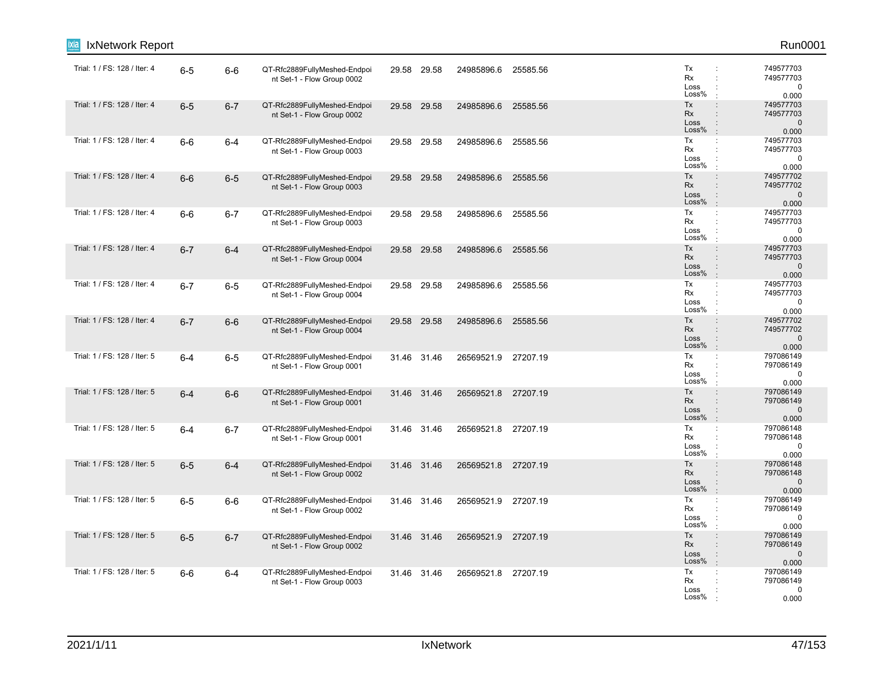| IxNetwork Report             |         |         |                                                            |             |       |                     |          |                                                                                                                     | Run0001                                         |
|------------------------------|---------|---------|------------------------------------------------------------|-------------|-------|---------------------|----------|---------------------------------------------------------------------------------------------------------------------|-------------------------------------------------|
| Trial: 1 / FS: 128 / Iter: 4 | $6-5$   | $6-6$   | QT-Rfc2889FullyMeshed-Endpoi<br>nt Set-1 - Flow Group 0002 | 29.58 29.58 |       | 24985896.6          | 25585.56 | Tx<br>÷<br>Rx<br>÷<br>Loss<br>÷<br>Loss%                                                                            | 749577703<br>749577703<br>$\mathbf 0$<br>0.000  |
| Trial: 1 / FS: 128 / Iter: 4 | $6-5$   | $6 - 7$ | QT-Rfc2889FullyMeshed-Endpoi<br>nt Set-1 - Flow Group 0002 | 29.58       | 29.58 | 24985896.6          | 25585.56 | Tx<br>$\ddot{\phantom{a}}$<br>Rx<br>$\ddot{\phantom{a}}$<br>Loss<br>$\ddot{\phantom{a}}$<br>Loss%<br>$\cdot$        | 749577703<br>749577703<br>$\mathbf{0}$<br>0.000 |
| Trial: 1 / FS: 128 / Iter: 4 | $6-6$   | $6 - 4$ | QT-Rfc2889FullyMeshed-Endpoi<br>nt Set-1 - Flow Group 0003 | 29.58 29.58 |       | 24985896.6          | 25585.56 | Tx<br>$\ddot{\phantom{a}}$<br>Rx<br>$\ddot{\phantom{a}}$<br>Loss<br>$\ddot{\cdot}$<br>Loss%<br>$\mathbf{r}$         | 749577703<br>749577703<br>$\mathbf 0$<br>0.000  |
| Trial: 1 / FS: 128 / Iter: 4 | $6-6$   | $6-5$   | QT-Rfc2889FullyMeshed-Endpoi<br>nt Set-1 - Flow Group 0003 | 29.58 29.58 |       | 24985896.6          | 25585.56 | Tx<br>÷<br>Rx<br>Loss<br>Loss%<br>$\ddot{\phantom{a}}$                                                              | 749577702<br>749577702<br>$\mathbf 0$<br>0.000  |
| Trial: 1 / FS: 128 / Iter: 4 | $6-6$   | $6 - 7$ | QT-Rfc2889FullyMeshed-Endpoi<br>nt Set-1 - Flow Group 0003 | 29.58 29.58 |       | 24985896.6          | 25585.56 | Tx<br>$\ddot{\phantom{a}}$ .<br>Rx<br>$\ddot{\phantom{a}}$<br>Loss<br>÷<br>Loss%<br>÷                               | 749577703<br>749577703<br>$\mathbf 0$<br>0.000  |
| Trial: 1 / FS: 128 / Iter: 4 | $6 - 7$ | $6 - 4$ | QT-Rfc2889FullyMeshed-Endpoi<br>nt Set-1 - Flow Group 0004 | 29.58 29.58 |       | 24985896.6          | 25585.56 | Tx<br>$\ddot{\phantom{a}}$<br>Rx<br>$\div$<br>Loss<br>$\ddot{\cdot}$<br>Loss%<br>$\cdot$                            | 749577703<br>749577703<br>$\mathbf 0$<br>0.000  |
| Trial: 1 / FS: 128 / Iter: 4 | $6 - 7$ | $6-5$   | QT-Rfc2889FullyMeshed-Endpoi<br>nt Set-1 - Flow Group 0004 | 29.58 29.58 |       | 24985896.6          | 25585.56 | Tx<br>$\ddot{\phantom{a}}$<br>Rx<br>$\ddot{\phantom{a}}$<br>Loss<br>÷<br>Loss%<br>$\mathbf{r}$                      | 749577703<br>749577703<br>$\mathbf 0$<br>0.000  |
| Trial: 1 / FS: 128 / Iter: 4 | $6 - 7$ | $6-6$   | QT-Rfc2889FullyMeshed-Endpoi<br>nt Set-1 - Flow Group 0004 | 29.58 29.58 |       | 24985896.6          | 25585.56 | Tx<br>$\ddot{\phantom{a}}$<br>Rx<br>Loss<br>$\ddot{\phantom{a}}$<br>Loss%<br>$\mathbb{R}^2$                         | 749577702<br>749577702<br>$\mathbf{0}$<br>0.000 |
| Trial: 1 / FS: 128 / Iter: 5 | $6-4$   | $6-5$   | QT-Rfc2889FullyMeshed-Endpoi<br>nt Set-1 - Flow Group 0001 | 31.46 31.46 |       | 26569521.9          | 27207.19 | Tx<br>÷<br>Rx<br>Loss<br>Loss%<br>$\cdot$                                                                           | 797086149<br>797086149<br>$\mathbf 0$<br>0.000  |
| Trial: 1 / FS: 128 / Iter: 5 | $6-4$   | $6-6$   | QT-Rfc2889FullyMeshed-Endpoi<br>nt Set-1 - Flow Group 0001 | 31.46 31.46 |       | 26569521.8 27207.19 |          | Tx<br>$\div$<br>Rx<br>$\ddot{\phantom{a}}$<br>Loss<br>Loss%<br>$\cdot$                                              | 797086149<br>797086149<br>$\mathbf 0$<br>0.000  |
| Trial: 1 / FS: 128 / Iter: 5 | $6 - 4$ | $6 - 7$ | QT-Rfc2889FullyMeshed-Endpoi<br>nt Set-1 - Flow Group 0001 | 31.46 31.46 |       | 26569521.8          | 27207.19 | Tx<br>$\mathbb{C}^{\times}$<br>Rx<br>÷<br>Loss<br>Loss%<br>$\cdot$                                                  | 797086148<br>797086148<br>0<br>0.000            |
| Trial: 1 / FS: 128 / Iter: 5 | $6-5$   | $6 - 4$ | QT-Rfc2889FullyMeshed-Endpoi<br>nt Set-1 - Flow Group 0002 | 31.46 31.46 |       | 26569521.8          | 27207.19 | Tx<br>$\ddot{\phantom{a}}$<br><b>Rx</b><br>$\ddot{\phantom{a}}$<br>Loss<br>$\ddot{\phantom{a}}$<br>Loss%<br>$\cdot$ | 797086148<br>797086148<br>$\mathbf 0$<br>0.000  |
| Trial: 1 / FS: 128 / Iter: 5 | $6-5$   | $6-6$   | QT-Rfc2889FullyMeshed-Endpoi<br>nt Set-1 - Flow Group 0002 | 31.46 31.46 |       | 26569521.9 27207.19 |          | Tx<br>÷<br>Rx<br>Loss<br>Loss%                                                                                      | 797086149<br>797086149<br>$\mathbf 0$<br>0.000  |
| Trial: 1 / FS: 128 / Iter: 5 | $6-5$   | $6 - 7$ | QT-Rfc2889FullyMeshed-Endpoi<br>nt Set-1 - Flow Group 0002 | 31.46 31.46 |       | 26569521.9          | 27207.19 | Tx<br>$\ddot{\phantom{a}}$<br>Rx<br>$\ddot{\phantom{a}}$<br>Loss<br>÷<br>Loss%<br>$\mathbf{r}$                      | 797086149<br>797086149<br>$\mathbf 0$<br>0.000  |
| Trial: 1 / FS: 128 / Iter: 5 | $6-6$   | $6 - 4$ | QT-Rfc2889FullyMeshed-Endpoi<br>nt Set-1 - Flow Group 0003 | 31.46 31.46 |       | 26569521.8 27207.19 |          | Tx<br>÷<br>Rx<br>Loss<br>Loss%                                                                                      | 797086149<br>797086149<br>0<br>0.000            |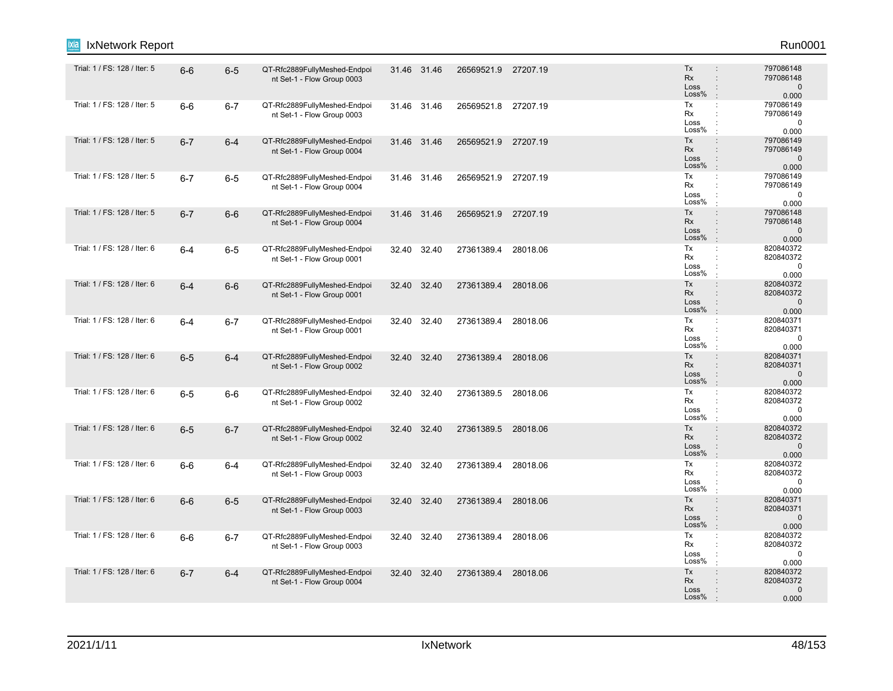| IxNetwork Report<br>ixia     |         |         |                                                            |       |             |                     |          |                                                                                                          | Run0001                                         |
|------------------------------|---------|---------|------------------------------------------------------------|-------|-------------|---------------------|----------|----------------------------------------------------------------------------------------------------------|-------------------------------------------------|
| Trial: 1 / FS: 128 / Iter: 5 | $6-6$   | $6-5$   | QT-Rfc2889FullyMeshed-Endpoi<br>nt Set-1 - Flow Group 0003 |       | 31.46 31.46 | 26569521.9 27207.19 |          | Tx<br>$\ddot{\phantom{a}}$<br><b>Rx</b><br>$\ddot{\phantom{a}}$<br>Loss<br>$\ddot{\phantom{a}}$<br>Loss% | 797086148<br>797086148<br>$\mathbf 0$<br>0.000  |
| Trial: 1 / FS: 128 / Iter: 5 | $6-6$   | $6 - 7$ | QT-Rfc2889FullyMeshed-Endpoi<br>nt Set-1 - Flow Group 0003 |       | 31.46 31.46 | 26569521.8          | 27207.19 | Tx<br>$\ddot{\phantom{a}}$<br>Rx<br>$\ddot{\phantom{a}}$<br>Loss<br>÷<br>Loss%<br>$\cdot$                | 797086149<br>797086149<br>$\mathbf 0$<br>0.000  |
| Trial: 1 / FS: 128 / Iter: 5 | $6 - 7$ | $6-4$   | QT-Rfc2889FullyMeshed-Endpoi<br>nt Set-1 - Flow Group 0004 |       | 31.46 31.46 | 26569521.9 27207.19 |          | Tx<br>$\ddot{\phantom{a}}$<br>Rx<br>Loss<br>$\ddot{\phantom{a}}$<br>Loss%<br>$\cdot$                     | 797086149<br>797086149<br>$\mathbf 0$<br>0.000  |
| Trial: 1 / FS: 128 / Iter: 5 | $6 - 7$ | $6-5$   | QT-Rfc2889FullyMeshed-Endpoi<br>nt Set-1 - Flow Group 0004 |       | 31.46 31.46 | 26569521.9          | 27207.19 | Tx<br>÷<br>Rx<br>Loss<br>Loss%<br>$\cdot$                                                                | 797086149<br>797086149<br>0<br>0.000            |
| Trial: 1 / FS: 128 / Iter: 5 | $6 - 7$ | $6-6$   | QT-Rfc2889FullyMeshed-Endpoi<br>nt Set-1 - Flow Group 0004 |       | 31.46 31.46 | 26569521.9 27207.19 |          | $\colon$<br>Tx<br>Rx<br>$\ddot{\phantom{a}}$<br>Loss<br>Loss%<br>÷                                       | 797086148<br>797086148<br>$\mathbf 0$<br>0.000  |
| Trial: 1 / FS: 128 / Iter: 6 | $6 - 4$ | $6-5$   | QT-Rfc2889FullyMeshed-Endpoi<br>nt Set-1 - Flow Group 0001 | 32.40 | 32.40       | 27361389.4          | 28018.06 | Tx<br>÷<br>Rx<br>$\ddot{\phantom{a}}$<br>Loss<br>Loss%<br>$\cdot$                                        | 820840372<br>820840372<br>0<br>0.000            |
| Trial: 1 / FS: 128 / Iter: 6 | $6 - 4$ | $6-6$   | QT-Rfc2889FullyMeshed-Endpoi<br>nt Set-1 - Flow Group 0001 | 32.40 | 32.40       | 27361389.4          | 28018.06 | Tx<br>$\ddot{\phantom{a}}$<br>Rx<br>$\ddot{\phantom{a}}$<br>Loss<br>$\ddot{\phantom{a}}$<br>Loss%<br>÷.  | 820840372<br>820840372<br>$\mathsf 0$<br>0.000  |
| Trial: 1 / FS: 128 / Iter: 6 | $6 - 4$ | $6 - 7$ | QT-Rfc2889FullyMeshed-Endpoi<br>nt Set-1 - Flow Group 0001 |       | 32.40 32.40 | 27361389.4          | 28018.06 | Tx<br>÷<br>Rx<br>Loss<br>Loss%<br>$\cdot$                                                                | 820840371<br>820840371<br>$\Omega$<br>0.000     |
| Trial: 1 / FS: 128 / Iter: 6 | $6-5$   | $6 - 4$ | QT-Rfc2889FullyMeshed-Endpoi<br>nt Set-1 - Flow Group 0002 |       | 32.40 32.40 | 27361389.4          | 28018.06 | Tx<br>$\ddot{\phantom{a}}$<br>Rx<br>$\ddot{\phantom{a}}$<br>Loss<br>Loss%<br>$\overline{1}$              | 820840371<br>820840371<br>$\mathbf 0$<br>0.000  |
| Trial: 1 / FS: 128 / Iter: 6 | $6-5$   | $6-6$   | QT-Rfc2889FullyMeshed-Endpoi<br>nt Set-1 - Flow Group 0002 |       | 32.40 32.40 | 27361389.5          | 28018.06 | Tx<br>$\ddot{\cdot}$<br>Rx<br>$\ddot{\phantom{a}}$<br>Loss<br>Loss%                                      | 820840372<br>820840372<br>$\mathbf 0$<br>0.000  |
| Trial: 1 / FS: 128 / Iter: 6 | $6-5$   | $6 - 7$ | QT-Rfc2889FullyMeshed-Endpoi<br>nt Set-1 - Flow Group 0002 |       | 32.40 32.40 | 27361389.5 28018.06 |          | Tx<br>÷<br>Rx<br>$\ddot{\phantom{a}}$<br>Loss<br>$\ddot{\phantom{a}}$<br>Loss%<br>$\cdot$                | 820840372<br>820840372<br>$\mathbf 0$<br>0.000  |
| Trial: 1 / FS: 128 / Iter: 6 | $6-6$   | $6-4$   | QT-Rfc2889FullyMeshed-Endpoi<br>nt Set-1 - Flow Group 0003 | 32.40 | 32.40       | 27361389.4          | 28018.06 | Tx<br>$\ddot{\phantom{a}}$<br>Rx<br>Loss<br>Loss%                                                        | 820840372<br>820840372<br>$\mathbf 0$<br>0.000  |
| Trial: 1 / FS: 128 / Iter: 6 | $6-6$   | $6-5$   | QT-Rfc2889FullyMeshed-Endpoi<br>nt Set-1 - Flow Group 0003 |       | 32.40 32.40 | 27361389.4 28018.06 |          | Tx<br>$\ddot{\phantom{a}}$<br><b>Rx</b><br>$\mathbf{r}$<br>Loss<br>$\ddot{\phantom{a}}$<br>Loss%         | 820840371<br>820840371<br>$\mathbf{0}$<br>0.000 |
| Trial: 1 / FS: 128 / Iter: 6 | 6-6     | $6 - 7$ | QT-Rfc2889FullyMeshed-Endpoi<br>nt Set-1 - Flow Group 0003 | 32.40 | 32.40       | 27361389.4          | 28018.06 | Tx<br>$\ddot{\phantom{a}}$<br>Rx<br>÷<br>Loss<br>Loss%                                                   | 820840372<br>820840372<br>0<br>0.000            |
| Trial: 1 / FS: 128 / Iter: 6 | $6 - 7$ | $6-4$   | QT-Rfc2889FullyMeshed-Endpoi<br>nt Set-1 - Flow Group 0004 |       | 32.40 32.40 | 27361389.4 28018.06 |          | Tx<br>÷<br>Rx<br>Loss<br>$\ddot{\phantom{a}}$<br>Loss%                                                   | 820840372<br>820840372<br>$\pmb{0}$<br>0.000    |
|                              |         |         |                                                            |       |             |                     |          |                                                                                                          |                                                 |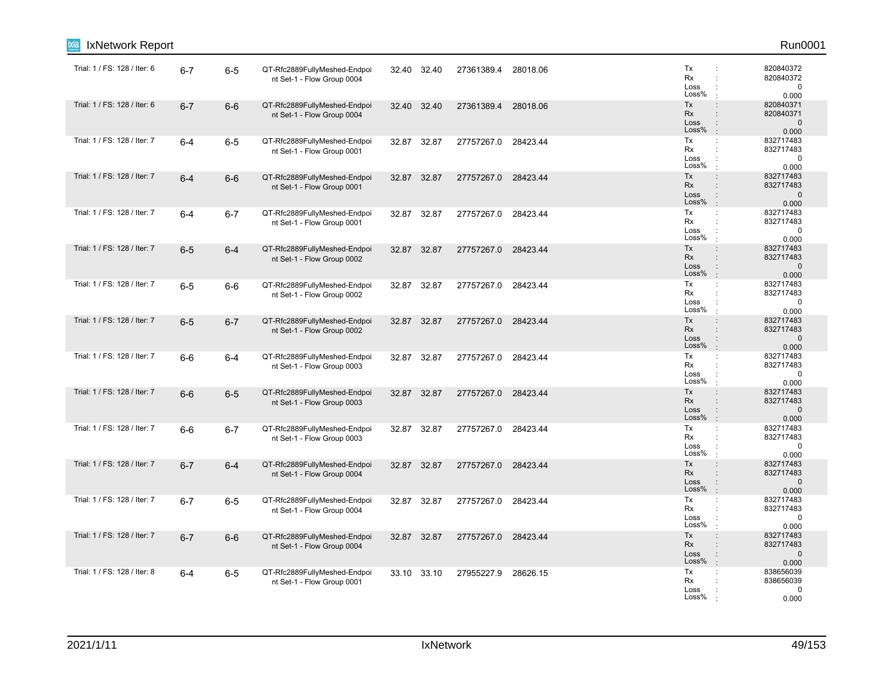| IxNetwork Report             |         |         |                                                            |             |             |            |          |                                                                                                                     | Run0001                                         |
|------------------------------|---------|---------|------------------------------------------------------------|-------------|-------------|------------|----------|---------------------------------------------------------------------------------------------------------------------|-------------------------------------------------|
| Trial: 1 / FS: 128 / Iter: 6 | $6 - 7$ | $6 - 5$ | QT-Rfc2889FullyMeshed-Endpoi<br>nt Set-1 - Flow Group 0004 |             | 32.40 32.40 | 27361389.4 | 28018.06 | Tx<br>Rx<br>÷<br>Loss<br>÷<br>Loss%                                                                                 | 820840372<br>820840372<br>0<br>0.000            |
| Trial: 1 / FS: 128 / Iter: 6 | $6 - 7$ | $6-6$   | QT-Rfc2889FullyMeshed-Endpoi<br>nt Set-1 - Flow Group 0004 | 32.40       | 32.40       | 27361389.4 | 28018.06 | Tx<br>$\ddot{\phantom{a}}$<br>Rx<br>$\ddot{\phantom{a}}$<br>Loss<br>$\ddot{\phantom{a}}$<br>Loss%<br>$\cdot$        | 820840371<br>820840371<br>$\mathbf 0$<br>0.000  |
| Trial: 1 / FS: 128 / Iter: 7 | $6-4$   | $6-5$   | QT-Rfc2889FullyMeshed-Endpoi<br>nt Set-1 - Flow Group 0001 | 32.87 32.87 |             | 27757267.0 | 28423.44 | Tx<br>$\ddot{\phantom{a}}$<br>Rx<br>$\ddot{\phantom{a}}$<br>Loss<br>$\ddot{\phantom{a}}$<br>Loss%<br>$\mathbf{r}$   | 832717483<br>832717483<br>$\mathbf 0$<br>0.000  |
| Trial: 1 / FS: 128 / Iter: 7 | $6 - 4$ | $6-6$   | QT-Rfc2889FullyMeshed-Endpoi<br>nt Set-1 - Flow Group 0001 | 32.87 32.87 |             | 27757267.0 | 28423.44 | Tx<br>$\ddot{\phantom{a}}$<br>Rx<br>Loss<br>Loss%<br>$\pm$                                                          | 832717483<br>832717483<br>$\mathbf 0$<br>0.000  |
| Trial: 1 / FS: 128 / Iter: 7 | $6-4$   | $6 - 7$ | QT-Rfc2889FullyMeshed-Endpoi<br>nt Set-1 - Flow Group 0001 | 32.87 32.87 |             | 27757267.0 | 28423.44 | Tx<br>÷<br>Rx<br>$\ddot{\phantom{a}}$<br>Loss<br>÷<br>Loss%<br>÷                                                    | 832717483<br>832717483<br>0<br>0.000            |
| Trial: 1 / FS: 128 / Iter: 7 | $6-5$   | $6 - 4$ | QT-Rfc2889FullyMeshed-Endpoi<br>nt Set-1 - Flow Group 0002 | 32.87 32.87 |             | 27757267.0 | 28423.44 | Tx<br>$\ddot{\phantom{a}}$<br>Rx<br>$\div$<br>Loss<br>$\ddot{\cdot}$<br>Loss%<br>$\cdot$                            | 832717483<br>832717483<br>$\mathbf{0}$<br>0.000 |
| Trial: 1 / FS: 128 / Iter: 7 | $6-5$   | $6-6$   | QT-Rfc2889FullyMeshed-Endpoi<br>nt Set-1 - Flow Group 0002 | 32.87 32.87 |             | 27757267.0 | 28423.44 | Tx<br>$\ddot{\phantom{a}}$<br>Rx<br>$\ddot{\phantom{a}}$<br>Loss<br>÷<br>Loss%<br>$\mathbf{r}$                      | 832717483<br>832717483<br>$\mathbf 0$<br>0.000  |
| Trial: 1 / FS: 128 / Iter: 7 | $6-5$   | $6 - 7$ | QT-Rfc2889FullyMeshed-Endpoi<br>nt Set-1 - Flow Group 0002 | 32.87 32.87 |             | 27757267.0 | 28423.44 | Tx<br>$\ddot{\phantom{a}}$<br>Rx<br>Loss<br>$\ddot{\phantom{a}}$<br>Loss%<br>$\mathbb{R}^2$                         | 832717483<br>832717483<br>$\mathbf{0}$<br>0.000 |
| Trial: 1 / FS: 128 / Iter: 7 | $6-6$   | 6-4     | QT-Rfc2889FullyMeshed-Endpoi<br>nt Set-1 - Flow Group 0003 | 32.87 32.87 |             | 27757267.0 | 28423.44 | Tx<br>$\ddot{\phantom{a}}$<br>Rx<br>Loss<br>Loss%<br>$\cdot$                                                        | 832717483<br>832717483<br>$\mathbf 0$<br>0.000  |
| Trial: 1 / FS: 128 / Iter: 7 | $6-6$   | $6-5$   | QT-Rfc2889FullyMeshed-Endpoi<br>nt Set-1 - Flow Group 0003 | 32.87 32.87 |             | 27757267.0 | 28423.44 | Tx<br>$\div$<br>Rx<br>$\ddot{\phantom{a}}$<br>Loss<br>Loss%<br>$\cdot$                                              | 832717483<br>832717483<br>$\mathbf 0$<br>0.000  |
| Trial: 1 / FS: 128 / Iter: 7 | $6-6$   | $6 - 7$ | QT-Rfc2889FullyMeshed-Endpoi<br>nt Set-1 - Flow Group 0003 |             | 32.87 32.87 | 27757267.0 | 28423.44 | Tx<br>$\mathbb{C}^{\times}$<br>Rx<br>÷<br>Loss<br>Loss%<br>$\cdot$                                                  | 832717483<br>832717483<br>0<br>0.000            |
| Trial: 1 / FS: 128 / Iter: 7 | $6 - 7$ | $6-4$   | QT-Rfc2889FullyMeshed-Endpoi<br>nt Set-1 - Flow Group 0004 | 32.87 32.87 |             | 27757267.0 | 28423.44 | Tx<br>$\ddot{\phantom{a}}$<br><b>Rx</b><br>$\ddot{\phantom{a}}$<br>Loss<br>$\ddot{\phantom{a}}$<br>Loss%<br>$\cdot$ | 832717483<br>832717483<br>$\mathbf 0$<br>0.000  |
| Trial: 1 / FS: 128 / Iter: 7 | $6 - 7$ | $6-5$   | QT-Rfc2889FullyMeshed-Endpoi<br>nt Set-1 - Flow Group 0004 | 32.87 32.87 |             | 27757267.0 | 28423.44 | Tx<br>÷<br>Rx<br>Loss<br>Loss%                                                                                      | 832717483<br>832717483<br>0<br>0.000            |
| Trial: 1 / FS: 128 / Iter: 7 | $6 - 7$ | $6-6$   | QT-Rfc2889FullyMeshed-Endpoi<br>nt Set-1 - Flow Group 0004 | 32.87 32.87 |             | 27757267.0 | 28423.44 | Tx<br>$\ddot{\phantom{a}}$<br>Rx<br>$\ddot{\phantom{a}}$<br>Loss<br>÷<br>Loss%<br>$\mathbf{r}$                      | 832717483<br>832717483<br>$\mathbf 0$<br>0.000  |
| Trial: 1 / FS: 128 / Iter: 8 | $6-4$   | $6-5$   | QT-Rfc2889FullyMeshed-Endpoi<br>nt Set-1 - Flow Group 0001 |             | 33.10 33.10 | 27955227.9 | 28626.15 | Tx<br>÷<br>Rx<br>Loss<br>Loss%                                                                                      | 838656039<br>838656039<br>0<br>0.000            |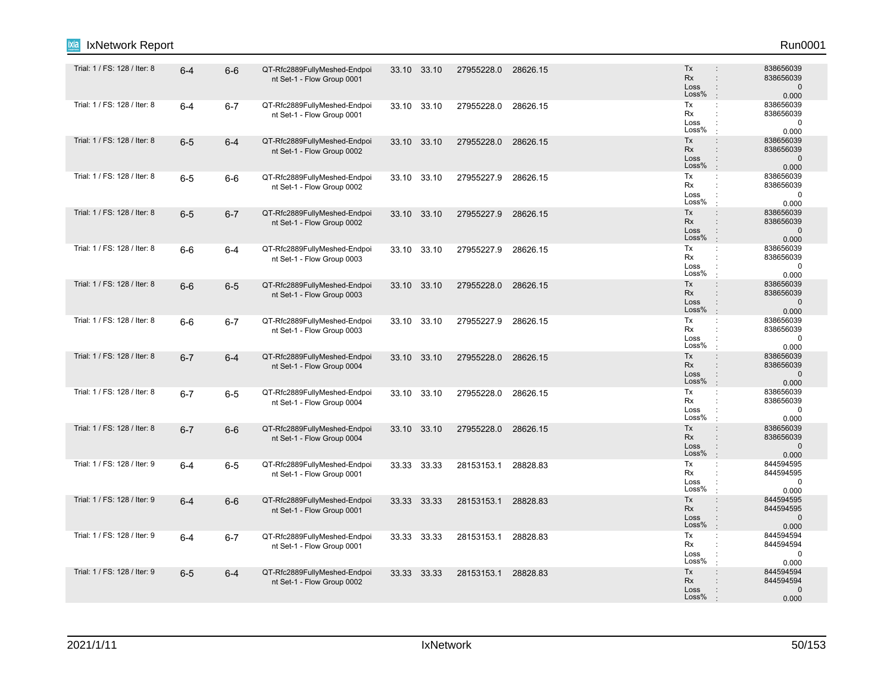| IxNetwork Report<br>ixia     |         |         |                                                            |             |       |                     |          |                                                                                                               | Run0001                                         |
|------------------------------|---------|---------|------------------------------------------------------------|-------------|-------|---------------------|----------|---------------------------------------------------------------------------------------------------------------|-------------------------------------------------|
| Trial: 1 / FS: 128 / Iter: 8 | $6-4$   | $6-6$   | QT-Rfc2889FullyMeshed-Endpoi<br>nt Set-1 - Flow Group 0001 | 33.10 33.10 |       | 27955228.0          | 28626.15 | Tx<br><b>Rx</b><br>$\ddot{\phantom{a}}$<br>Loss<br>$\ddot{\phantom{a}}$<br>Loss%                              | 838656039<br>838656039<br>$\mathbf 0$<br>0.000  |
| Trial: 1 / FS: 128 / Iter: 8 | $6 - 4$ | $6 - 7$ | QT-Rfc2889FullyMeshed-Endpoi<br>nt Set-1 - Flow Group 0001 | 33.10       | 33.10 | 27955228.0          | 28626.15 | Tx<br>÷<br>Rx<br>$\ddot{\phantom{a}}$<br>Loss<br>÷<br>Loss%<br>$\pm$                                          | 838656039<br>838656039<br>$\pmb{0}$<br>0.000    |
| Trial: 1 / FS: 128 / Iter: 8 | $6-5$   | $6 - 4$ | QT-Rfc2889FullyMeshed-Endpoi<br>nt Set-1 - Flow Group 0002 | 33.10 33.10 |       | 27955228.0          | 28626.15 | Tx<br>$\ddot{\phantom{a}}$<br>Rx<br>$\ddot{\phantom{a}}$<br>Loss<br>$\ddot{\phantom{a}}$<br>Loss%<br>$\pm$    | 838656039<br>838656039<br>$\mathbf 0$<br>0.000  |
| Trial: 1 / FS: 128 / Iter: 8 | $6-5$   | $6-6$   | QT-Rfc2889FullyMeshed-Endpoi<br>nt Set-1 - Flow Group 0002 | 33.10 33.10 |       | 27955227.9          | 28626.15 | Tx<br>÷<br>Rx<br>Loss<br>Loss%<br>÷                                                                           | 838656039<br>838656039<br>$\mathbf 0$<br>0.000  |
| Trial: 1 / FS: 128 / Iter: 8 | $6-5$   | $6 - 7$ | QT-Rfc2889FullyMeshed-Endpoi<br>nt Set-1 - Flow Group 0002 | 33.10 33.10 |       | 27955227.9          | 28626.15 | Tx<br>$\ddot{\phantom{a}}$<br>Rx<br>$\ddot{\phantom{a}}$<br>Loss<br>Loss%<br>$\cdot$                          | 838656039<br>838656039<br>$\mathbf{0}$<br>0.000 |
| Trial: 1 / FS: 128 / Iter: 8 | $6-6$   | $6 - 4$ | QT-Rfc2889FullyMeshed-Endpoi<br>nt Set-1 - Flow Group 0003 | 33.10 33.10 |       | 27955227.9          | 28626.15 | Tx<br>$\mathbb{C}^{\times}$<br>Rx<br>$\ddot{\phantom{a}}$<br>Loss<br>Loss%<br>$\cdot$                         | 838656039<br>838656039<br>$\mathbf 0$<br>0.000  |
| Trial: 1 / FS: 128 / Iter: 8 | $6-6$   | $6-5$   | QT-Rfc2889FullyMeshed-Endpoi<br>nt Set-1 - Flow Group 0003 | 33.10 33.10 |       | 27955228.0          | 28626.15 | Tx<br>$\ddot{\phantom{a}}$<br>Rx<br>$\ddot{\phantom{a}}$<br>Loss<br>$\ddot{\cdot}$<br>Loss%<br>$\mathbb{R}^2$ | 838656039<br>838656039<br>$\mathbf 0$<br>0.000  |
| Trial: 1 / FS: 128 / Iter: 8 | $6-6$   | $6 - 7$ | QT-Rfc2889FullyMeshed-Endpoi<br>nt Set-1 - Flow Group 0003 | 33.10 33.10 |       | 27955227.9          | 28626.15 | Tx<br>$\mathbb{C}^{\times}$<br>Rx<br>÷<br>Loss<br>$\ddot{\phantom{a}}$<br>Loss%<br>$\cdot$                    | 838656039<br>838656039<br>$\mathbf 0$<br>0.000  |
| Trial: 1 / FS: 128 / Iter: 8 | $6 - 7$ | $6 - 4$ | QT-Rfc2889FullyMeshed-Endpoi<br>nt Set-1 - Flow Group 0004 | 33.10 33.10 |       | 27955228.0          | 28626.15 | Tx<br>$\div$<br>Rx<br>$\ddot{\phantom{a}}$<br>Loss<br>$\ddot{\phantom{a}}$<br>Loss%                           | 838656039<br>838656039<br>$\mathbf 0$<br>0.000  |
| Trial: 1 / FS: 128 / Iter: 8 | $6 - 7$ | $6-5$   | QT-Rfc2889FullyMeshed-Endpoi<br>nt Set-1 - Flow Group 0004 | 33.10 33.10 |       | 27955228.0          | 28626.15 | Tx<br>$\ddot{\cdot}$<br>Rx<br>÷<br>Loss<br>÷<br>Loss%                                                         | 838656039<br>838656039<br>$\mathbf 0$<br>0.000  |
| Trial: 1 / FS: 128 / Iter: 8 | $6 - 7$ | $6-6$   | QT-Rfc2889FullyMeshed-Endpoi<br>nt Set-1 - Flow Group 0004 | 33.10 33.10 |       | 27955228.0          | 28626.15 | Tx<br>$\ddot{\phantom{a}}$<br>Rx<br>$\div$<br>Loss<br>$\div$<br>Loss%<br>$\mathbb{R}^2$                       | 838656039<br>838656039<br>$\mathbf 0$<br>0.000  |
| Trial: 1 / FS: 128 / Iter: 9 | $6 - 4$ | $6-5$   | QT-Rfc2889FullyMeshed-Endpoi<br>nt Set-1 - Flow Group 0001 | 33.33 33.33 |       | 28153153.1 28828.83 |          | Tx<br>÷<br>Rx<br>÷<br>Loss<br>÷<br>Loss%<br>$\ddot{\phantom{a}}$                                              | 844594595<br>844594595<br>$\mathbf{0}$<br>0.000 |
| Trial: 1 / FS: 128 / Iter: 9 | $6 - 4$ | $6-6$   | QT-Rfc2889FullyMeshed-Endpoi<br>nt Set-1 - Flow Group 0001 | 33.33 33.33 |       | 28153153.1 28828.83 |          | Tx<br>$\ddot{\phantom{a}}$<br>Rx<br>Loss<br>Loss%<br>$\cdot$                                                  | 844594595<br>844594595<br>$\mathbf 0$<br>0.000  |
| Trial: 1 / FS: 128 / Iter: 9 | $6 - 4$ | $6 - 7$ | QT-Rfc2889FullyMeshed-Endpoi<br>nt Set-1 - Flow Group 0001 | 33.33       | 33.33 | 28153153.1          | 28828.83 | Tx<br>$\mathbb{C}^{\times}$<br>Rx<br>$\ddot{\phantom{a}}$<br>Loss<br>Loss%<br>$\cdot$                         | 844594594<br>844594594<br>$\mathbf 0$<br>0.000  |
| Trial: 1 / FS: 128 / Iter: 9 | $6-5$   | $6 - 4$ | QT-Rfc2889FullyMeshed-Endpoi<br>nt Set-1 - Flow Group 0002 | 33.33 33.33 |       | 28153153.1 28828.83 |          | Tx<br>$\ddot{\phantom{a}}$<br>Rx<br>$\ddot{\phantom{a}}$<br>Loss<br>Loss%                                     | 844594594<br>844594594<br>$\mathbf 0$<br>0.000  |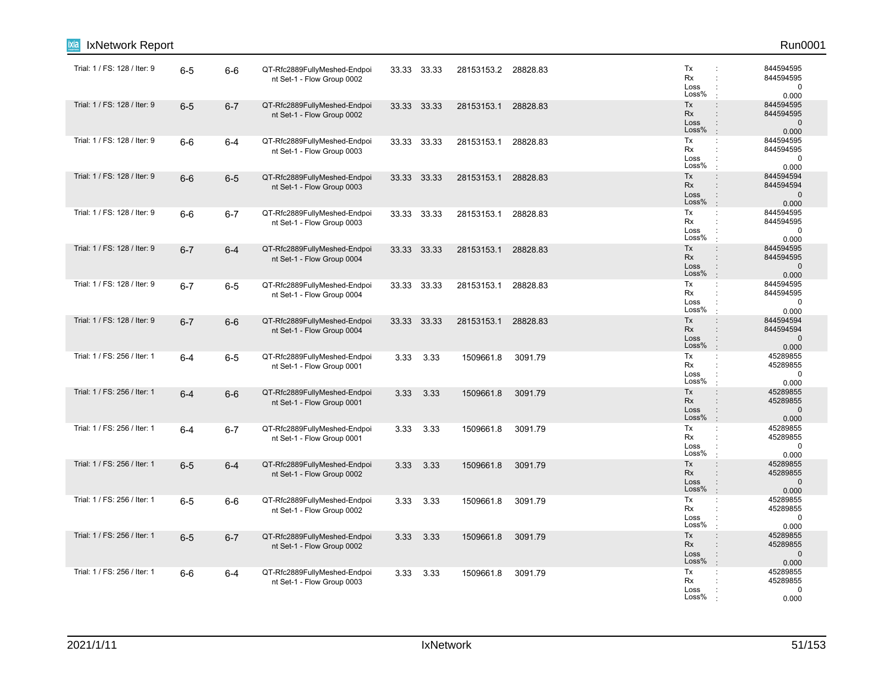| IxNetwork Report             |         |         |                                                            |             |           |                     |          |                                                                                                                     | Run0001                                        |
|------------------------------|---------|---------|------------------------------------------------------------|-------------|-----------|---------------------|----------|---------------------------------------------------------------------------------------------------------------------|------------------------------------------------|
| Trial: 1 / FS: 128 / Iter: 9 | $6-5$   | $6-6$   | QT-Rfc2889FullyMeshed-Endpoi<br>nt Set-1 - Flow Group 0002 | 33.33 33.33 |           | 28153153.2 28828.83 |          | Tx<br>÷<br>Rx<br>÷<br>Loss<br>÷<br>Loss%                                                                            | 844594595<br>844594595<br>$\mathbf 0$<br>0.000 |
| Trial: 1 / FS: 128 / Iter: 9 | $6-5$   | $6 - 7$ | QT-Rfc2889FullyMeshed-Endpoi<br>nt Set-1 - Flow Group 0002 | 33.33 33.33 |           | 28153153.1          | 28828.83 | Tx<br>$\ddot{\phantom{a}}$<br>Rx<br>$\ddot{\phantom{a}}$<br>Loss<br>$\ddot{\phantom{a}}$<br>Loss%<br>$\pm$          | 844594595<br>844594595<br>$\mathbf 0$<br>0.000 |
| Trial: 1 / FS: 128 / Iter: 9 | $6-6$   | $6 - 4$ | QT-Rfc2889FullyMeshed-Endpoi<br>nt Set-1 - Flow Group 0003 | 33.33 33.33 |           | 28153153.1          | 28828.83 | Tx<br>$\ddot{\phantom{a}}$<br>Rx<br>$\ddot{\phantom{a}}$<br>Loss<br>$\ddot{\cdot}$<br>Loss%<br>$\mathbf{r}$         | 844594595<br>844594595<br>$\mathbf 0$<br>0.000 |
| Trial: 1 / FS: 128 / Iter: 9 | $6-6$   | $6-5$   | QT-Rfc2889FullyMeshed-Endpoi<br>nt Set-1 - Flow Group 0003 | 33.33 33.33 |           | 28153153.1 28828.83 |          | Tx<br>÷<br>Rx<br>Loss<br>Loss%<br>$\ddot{\phantom{a}}$                                                              | 844594594<br>844594594<br>$\mathbf 0$<br>0.000 |
| Trial: 1 / FS: 128 / Iter: 9 | $6-6$   | $6 - 7$ | QT-Rfc2889FullyMeshed-Endpoi<br>nt Set-1 - Flow Group 0003 | 33.33 33.33 |           | 28153153.1          | 28828.83 | Tx<br>$\ddot{\phantom{a}}$ .<br>Rx<br>$\ddot{\phantom{a}}$<br>Loss<br>Loss%<br>÷                                    | 844594595<br>844594595<br>$\mathbf 0$<br>0.000 |
| Trial: 1 / FS: 128 / Iter: 9 | $6 - 7$ | $6 - 4$ | QT-Rfc2889FullyMeshed-Endpoi<br>nt Set-1 - Flow Group 0004 | 33.33 33.33 |           | 28153153.1 28828.83 |          | Tx<br>$\ddot{\phantom{a}}$<br>Rx<br>$\ddot{\phantom{a}}$<br>Loss<br>$\ddot{\cdot}$<br>Loss%<br>$\cdot$              | 844594595<br>844594595<br>$\mathbf 0$<br>0.000 |
| Trial: 1 / FS: 128 / Iter: 9 | $6 - 7$ | $6-5$   | QT-Rfc2889FullyMeshed-Endpoi<br>nt Set-1 - Flow Group 0004 | 33.33 33.33 |           | 28153153.1          | 28828.83 | Tx<br>÷<br>Rx<br>$\ddot{\phantom{a}}$<br>Loss<br>÷<br>Loss%<br>÷                                                    | 844594595<br>844594595<br>$\mathbf 0$<br>0.000 |
| Trial: 1 / FS: 128 / Iter: 9 | $6 - 7$ | $6-6$   | QT-Rfc2889FullyMeshed-Endpoi<br>nt Set-1 - Flow Group 0004 | 33.33 33.33 |           | 28153153.1 28828.83 |          | Tx<br>$\ddot{\phantom{a}}$<br>Rx<br>$\ddot{\phantom{a}}$<br>Loss<br>$\ddot{\phantom{a}}$<br>Loss%<br>$\mathbb{R}^2$ | 844594594<br>844594594<br>$\mathbf 0$<br>0.000 |
| Trial: 1 / FS: 256 / Iter: 1 | $6-4$   | $6-5$   | QT-Rfc2889FullyMeshed-Endpoi<br>nt Set-1 - Flow Group 0001 | 3.33        | 3.33      | 1509661.8           | 3091.79  | Tx<br>÷<br>Rx<br>Loss<br>Loss%<br>$\cdot$                                                                           | 45289855<br>45289855<br>$\mathbf 0$<br>0.000   |
| Trial: 1 / FS: 256 / Iter: 1 | $6-4$   | $6-6$   | QT-Rfc2889FullyMeshed-Endpoi<br>nt Set-1 - Flow Group 0001 | 3.33        | 3.33      | 1509661.8           | 3091.79  | $\div$<br>Tx<br>Rx<br>$\ddot{\phantom{a}}$<br>Loss<br>Loss%<br>÷.                                                   | 45289855<br>45289855<br>$\mathbf 0$<br>0.000   |
| Trial: 1 / FS: 256 / Iter: 1 | $6-4$   | $6 - 7$ | QT-Rfc2889FullyMeshed-Endpoi<br>nt Set-1 - Flow Group 0001 | 3.33        | 3.33      | 1509661.8           | 3091.79  | Tx<br>$\mathbb{C}^{\times}$<br>Rx<br>÷<br>Loss<br>Loss%<br>$\cdot$                                                  | 45289855<br>45289855<br>0<br>0.000             |
| Trial: 1 / FS: 256 / Iter: 1 | $6-5$   | $6-4$   | QT-Rfc2889FullyMeshed-Endpoi<br>nt Set-1 - Flow Group 0002 | 3.33        | 3.33      | 1509661.8           | 3091.79  | Tx<br>$\ddot{\phantom{a}}$<br><b>Rx</b><br>$\ddot{\phantom{a}}$<br>Loss<br>$\ddot{\phantom{a}}$<br>Loss%<br>$\cdot$ | 45289855<br>45289855<br>$\mathbf 0$<br>0.000   |
| Trial: 1 / FS: 256 / Iter: 1 | $6-5$   | $6-6$   | QT-Rfc2889FullyMeshed-Endpoi<br>nt Set-1 - Flow Group 0002 |             | 3.33 3.33 | 1509661.8           | 3091.79  | Tx<br>÷<br>Rx<br>Loss<br>Loss%                                                                                      | 45289855<br>45289855<br>$\mathbf 0$<br>0.000   |
| Trial: 1 / FS: 256 / Iter: 1 | $6-5$   | $6 - 7$ | QT-Rfc2889FullyMeshed-Endpoi<br>nt Set-1 - Flow Group 0002 | 3.33        | 3.33      | 1509661.8           | 3091.79  | Tx<br>$\ddot{\phantom{a}}$<br>Rx<br>$\ddot{\phantom{a}}$<br>Loss<br>÷<br>Loss%<br>$\cdot$                           | 45289855<br>45289855<br>$\pmb{0}$<br>0.000     |
| Trial: 1 / FS: 256 / Iter: 1 | $6-6$   | $6 - 4$ | QT-Rfc2889FullyMeshed-Endpoi<br>nt Set-1 - Flow Group 0003 | 3.33        | 3.33      | 1509661.8           | 3091.79  | Tx<br>÷<br>Rx<br>Loss<br>Loss%                                                                                      | 45289855<br>45289855<br>0<br>0.000             |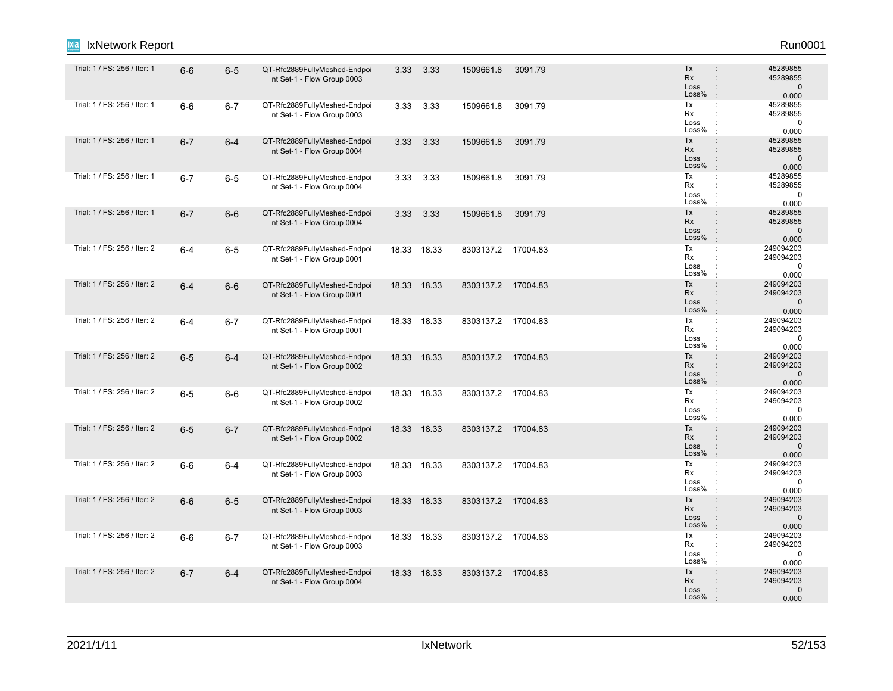| IxNetwork Report<br>Ixia     |         |         |                                                            |      |             |                    |         |                                                                                                                           | Run0001                                         |
|------------------------------|---------|---------|------------------------------------------------------------|------|-------------|--------------------|---------|---------------------------------------------------------------------------------------------------------------------------|-------------------------------------------------|
| Trial: 1 / FS: 256 / Iter: 1 | $6-6$   | $6-5$   | QT-Rfc2889FullyMeshed-Endpoi<br>nt Set-1 - Flow Group 0003 | 3.33 | 3.33        | 1509661.8          | 3091.79 | Tx<br>$\ddot{\phantom{a}}$<br>Rx<br>÷<br>Loss<br>÷<br>Loss%<br>÷                                                          | 45289855<br>45289855<br>$\mathbf 0$<br>0.000    |
| Trial: 1 / FS: 256 / Iter: 1 | $6-6$   | $6 - 7$ | QT-Rfc2889FullyMeshed-Endpoi<br>nt Set-1 - Flow Group 0003 | 3.33 | 3.33        | 1509661.8          | 3091.79 | Tx<br>$\ddot{\phantom{a}}$<br>Rx<br>$\ddot{\cdot}$<br>Loss<br>Loss%                                                       | 45289855<br>45289855<br>0<br>0.000              |
| Trial: 1 / FS: 256 / Iter: 1 | $6 - 7$ | $6 - 4$ | QT-Rfc2889FullyMeshed-Endpoi<br>nt Set-1 - Flow Group 0004 | 3.33 | 3.33        | 1509661.8          | 3091.79 | Tx<br>÷<br>Rx<br>$\ddot{\phantom{a}}$<br>Loss<br>$\ddot{\phantom{a}}$<br>Loss%<br>$\cdot$                                 | 45289855<br>45289855<br>$\mathbf 0$<br>0.000    |
| Trial: 1 / FS: 256 / Iter: 1 | $6 - 7$ | $6-5$   | QT-Rfc2889FullyMeshed-Endpoi<br>nt Set-1 - Flow Group 0004 | 3.33 | 3.33        | 1509661.8          | 3091.79 | Tx<br>÷<br>Rx<br>÷<br>Loss<br>Loss%<br>÷                                                                                  | 45289855<br>45289855<br>$\mathbf 0$<br>0.000    |
| Trial: 1 / FS: 256 / Iter: 1 | $6 - 7$ | $6-6$   | QT-Rfc2889FullyMeshed-Endpoi<br>nt Set-1 - Flow Group 0004 | 3.33 | 3.33        | 1509661.8          | 3091.79 | Tx<br>÷<br><b>Rx</b><br>÷<br>Loss<br>$\ddot{\phantom{a}}$<br>Loss%<br>$\ddot{\phantom{a}}$                                | 45289855<br>45289855<br>$\mathbf{0}$<br>0.000   |
| Trial: 1 / FS: 256 / Iter: 2 | $6 - 4$ | $6-5$   | QT-Rfc2889FullyMeshed-Endpoi<br>nt Set-1 - Flow Group 0001 |      | 18.33 18.33 | 8303137.2 17004.83 |         | Tx<br>$\mathbb{C}^{\times}$<br>Rx<br>$\ddot{\cdot}$<br>Loss<br>Loss%<br>÷                                                 | 249094203<br>249094203<br>$\mathbf 0$<br>0.000  |
| Trial: 1 / FS: 256 / Iter: 2 | $6 - 4$ | $6-6$   | QT-Rfc2889FullyMeshed-Endpoi<br>nt Set-1 - Flow Group 0001 |      | 18.33 18.33 | 8303137.2 17004.83 |         | Tx<br>÷<br>Rx<br>$\ddot{\phantom{a}}$<br>Loss<br>$\ddot{\phantom{a}}$<br>Loss%<br>÷                                       | 249094203<br>249094203<br>$\mathbf 0$<br>0.000  |
| Trial: 1 / FS: 256 / Iter: 2 | $6 - 4$ | $6 - 7$ | QT-Rfc2889FullyMeshed-Endpoi<br>nt Set-1 - Flow Group 0001 |      | 18.33 18.33 | 8303137.2 17004.83 |         | Tx<br>÷<br>Rx<br>$\ddot{\phantom{a}}$<br>Loss<br>Loss%<br>÷                                                               | 249094203<br>249094203<br>$\mathbf 0$<br>0.000  |
| Trial: 1 / FS: 256 / Iter: 2 | $6-5$   | $6 - 4$ | QT-Rfc2889FullyMeshed-Endpoi<br>nt Set-1 - Flow Group 0002 |      | 18.33 18.33 | 8303137.2 17004.83 |         | Tx<br>÷<br>Rx<br>$\ddot{\phantom{a}}$<br>Loss<br>$\ddot{\phantom{a}}$<br>Loss%<br>$\ddot{\phantom{a}}$                    | 249094203<br>249094203<br>$\mathbf 0$<br>0.000  |
| Trial: 1 / FS: 256 / Iter: 2 | $6-5$   | $6-6$   | QT-Rfc2889FullyMeshed-Endpoi<br>nt Set-1 - Flow Group 0002 |      | 18.33 18.33 | 8303137.2 17004.83 |         | Tx<br>÷<br>Rx<br>$\ddot{\cdot}$<br>Loss<br>Loss%<br>÷                                                                     | 249094203<br>249094203<br>$\mathbf 0$<br>0.000  |
| Trial: 1 / FS: 256 / Iter: 2 | $6-5$   | $6 - 7$ | QT-Rfc2889FullyMeshed-Endpoi<br>nt Set-1 - Flow Group 0002 |      | 18.33 18.33 | 8303137.2 17004.83 |         | Tx<br>÷<br>Rx<br>$\ddot{\phantom{a}}$<br>Loss<br>$\ddot{\phantom{a}}$<br>Loss%<br>$\cdot$                                 | 249094203<br>249094203<br>$\mathbf{0}$<br>0.000 |
| Trial: 1 / FS: 256 / Iter: 2 | $6-6$   | $6 - 4$ | QT-Rfc2889FullyMeshed-Endpoi<br>nt Set-1 - Flow Group 0003 |      | 18.33 18.33 | 8303137.2 17004.83 |         | Tx<br>÷<br>Rx<br>$\ddot{\cdot}$<br>Loss<br>÷<br>Loss%<br>÷                                                                | 249094203<br>249094203<br>$\mathbf 0$<br>0.000  |
| Trial: 1 / FS: 256 / Iter: 2 | $6-6$   | $6-5$   | QT-Rfc2889FullyMeshed-Endpoi<br>nt Set-1 - Flow Group 0003 |      | 18.33 18.33 | 8303137.2 17004.83 |         | Tx<br>$\ddot{\phantom{a}}$<br>Rx<br>$\ddot{\phantom{a}}$<br>$\ddot{\phantom{a}}$<br>Loss<br>Loss%<br>$\ddot{\phantom{a}}$ | 249094203<br>249094203<br>$\mathbf{0}$<br>0.000 |
| Trial: 1 / FS: 256 / Iter: 2 | $6-6$   | $6 - 7$ | QT-Rfc2889FullyMeshed-Endpoi<br>nt Set-1 - Flow Group 0003 |      | 18.33 18.33 | 8303137.2 17004.83 |         | Tx<br>÷<br>Rx<br>$\ddot{\cdot}$<br>Loss<br>Loss%<br>÷                                                                     | 249094203<br>249094203<br>0<br>0.000            |
| Trial: 1 / FS: 256 / Iter: 2 | $6 - 7$ | $6 - 4$ | QT-Rfc2889FullyMeshed-Endpoi<br>nt Set-1 - Flow Group 0004 |      | 18.33 18.33 | 8303137.2 17004.83 |         | Tx<br>÷<br>Rx<br>Loss<br>÷<br>Loss%<br>$\cdot$                                                                            | 249094203<br>249094203<br>$\Omega$<br>0.000     |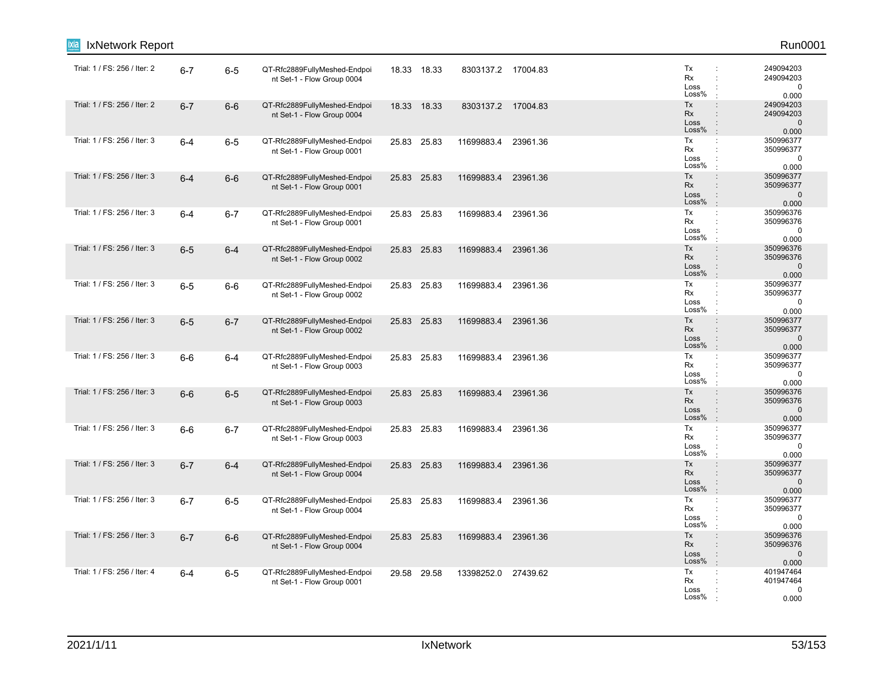| IxNetwork Report             |         |         |                                                            |             |                    |          |                                                                                                                     | Run0001                                         |
|------------------------------|---------|---------|------------------------------------------------------------|-------------|--------------------|----------|---------------------------------------------------------------------------------------------------------------------|-------------------------------------------------|
| Trial: 1 / FS: 256 / Iter: 2 | $6 - 7$ | $6 - 5$ | QT-Rfc2889FullyMeshed-Endpoi<br>nt Set-1 - Flow Group 0004 | 18.33 18.33 | 8303137.2 17004.83 |          | Tx<br>÷<br>Rx<br>÷<br>Loss<br>÷<br>Loss%                                                                            | 249094203<br>249094203<br>$\mathbf 0$<br>0.000  |
| Trial: 1 / FS: 256 / Iter: 2 | $6 - 7$ | $6-6$   | QT-Rfc2889FullyMeshed-Endpoi<br>nt Set-1 - Flow Group 0004 | 18.33 18.33 | 8303137.2 17004.83 |          | Tx<br>$\ddot{\phantom{a}}$<br>Rx<br>$\ddot{\phantom{a}}$<br>Loss<br>$\ddot{\phantom{a}}$<br>Loss%<br>$\cdot$        | 249094203<br>249094203<br>$\mathbf{0}$<br>0.000 |
| Trial: 1 / FS: 256 / Iter: 3 | $6-4$   | $6-5$   | QT-Rfc2889FullyMeshed-Endpoi<br>nt Set-1 - Flow Group 0001 | 25.83 25.83 | 11699883.4         | 23961.36 | Tx<br>÷<br>Rx<br>$\ddot{\phantom{a}}$<br>Loss<br>$\ddot{\phantom{a}}$<br>Loss%<br>$\ddot{\phantom{a}}$              | 350996377<br>350996377<br>$\mathbf 0$<br>0.000  |
| Trial: 1 / FS: 256 / Iter: 3 | $6 - 4$ | $6-6$   | QT-Rfc2889FullyMeshed-Endpoi<br>nt Set-1 - Flow Group 0001 | 25.83 25.83 | 11699883.4         | 23961.36 | Tx<br>÷<br>Rx<br>Loss<br>Loss%<br>$\pm$                                                                             | 350996377<br>350996377<br>$\mathbf 0$<br>0.000  |
| Trial: 1 / FS: 256 / Iter: 3 | $6-4$   | $6 - 7$ | QT-Rfc2889FullyMeshed-Endpoi<br>nt Set-1 - Flow Group 0001 | 25.83 25.83 | 11699883.4         | 23961.36 | Tx<br>÷<br>Rx<br>$\ddot{\phantom{a}}$<br>Loss<br>÷<br>Loss%<br>÷                                                    | 350996376<br>350996376<br>$\mathbf 0$<br>0.000  |
| Trial: 1 / FS: 256 / Iter: 3 | $6-5$   | $6 - 4$ | QT-Rfc2889FullyMeshed-Endpoi<br>nt Set-1 - Flow Group 0002 | 25.83 25.83 | 11699883.4         | 23961.36 | Tx<br>$\ddot{\phantom{a}}$<br>Rx<br>$\div$<br>Loss<br>$\ddot{\cdot}$<br>Loss%<br>$\cdot$                            | 350996376<br>350996376<br>$\mathbf 0$<br>0.000  |
| Trial: 1 / FS: 256 / Iter: 3 | $6-5$   | $6-6$   | QT-Rfc2889FullyMeshed-Endpoi<br>nt Set-1 - Flow Group 0002 | 25.83 25.83 | 11699883.4         | 23961.36 | Tx<br>÷<br>Rx<br>$\ddot{\phantom{a}}$<br>Loss<br>÷<br>Loss%<br>$\mathbf{r}$                                         | 350996377<br>350996377<br>$\mathbf 0$<br>0.000  |
| Trial: 1 / FS: 256 / Iter: 3 | $6-5$   | $6 - 7$ | QT-Rfc2889FullyMeshed-Endpoi<br>nt Set-1 - Flow Group 0002 | 25.83 25.83 | 11699883.4         | 23961.36 | Tx<br>$\ddot{\phantom{a}}$<br>Rx<br>$\ddot{\phantom{a}}$<br>Loss<br>$\ddot{\phantom{a}}$<br>Loss%<br>$\therefore$   | 350996377<br>350996377<br>$\mathbf{0}$<br>0.000 |
| Trial: 1 / FS: 256 / Iter: 3 | $6-6$   | 6-4     | QT-Rfc2889FullyMeshed-Endpoi<br>nt Set-1 - Flow Group 0003 | 25.83 25.83 | 11699883.4         | 23961.36 | Tx<br>÷<br>Rx<br>Loss<br>Loss%<br>$\cdot$                                                                           | 350996377<br>350996377<br>$\mathbf 0$<br>0.000  |
| Trial: 1 / FS: 256 / Iter: 3 | $6-6$   | $6-5$   | QT-Rfc2889FullyMeshed-Endpoi<br>nt Set-1 - Flow Group 0003 | 25.83 25.83 | 11699883.4         | 23961.36 | Tx<br>$\div$<br>Rx<br>$\ddot{\phantom{a}}$<br>Loss<br>Loss%<br>$\cdot$                                              | 350996376<br>350996376<br>$\mathbf 0$<br>0.000  |
| Trial: 1 / FS: 256 / Iter: 3 | $6-6$   | $6 - 7$ | QT-Rfc2889FullyMeshed-Endpoi<br>nt Set-1 - Flow Group 0003 | 25.83 25.83 | 11699883.4         | 23961.36 | Tx<br>$\mathbb{C}^{\times}$<br>Rx<br>÷<br>Loss<br>Loss%<br>$\cdot$                                                  | 350996377<br>350996377<br>0<br>0.000            |
| Trial: 1 / FS: 256 / Iter: 3 | $6 - 7$ | $6-4$   | QT-Rfc2889FullyMeshed-Endpoi<br>nt Set-1 - Flow Group 0004 | 25.83 25.83 | 11699883.4         | 23961.36 | Tx<br>$\ddot{\phantom{a}}$<br><b>Rx</b><br>$\ddot{\phantom{a}}$<br>Loss<br>$\ddot{\phantom{a}}$<br>Loss%<br>$\cdot$ | 350996377<br>350996377<br>$\mathbf 0$<br>0.000  |
| Trial: 1 / FS: 256 / Iter: 3 | $6 - 7$ | $6-5$   | QT-Rfc2889FullyMeshed-Endpoi<br>nt Set-1 - Flow Group 0004 | 25.83 25.83 | 11699883.4         | 23961.36 | Tx<br>÷<br>Rx<br>Loss<br>Loss%                                                                                      | 350996377<br>350996377<br>0<br>0.000            |
| Trial: 1 / FS: 256 / Iter: 3 | $6 - 7$ | $6-6$   | QT-Rfc2889FullyMeshed-Endpoi<br>nt Set-1 - Flow Group 0004 | 25.83 25.83 | 11699883.4         | 23961.36 | Tx<br>$\ddot{\phantom{a}}$<br>Rx<br>$\ddot{\phantom{a}}$<br>Loss<br>÷<br>Loss%<br>$\mathbf{r}$                      | 350996376<br>350996376<br>$\mathbf 0$<br>0.000  |
| Trial: 1 / FS: 256 / Iter: 4 | $6-4$   | $6-5$   | QT-Rfc2889FullyMeshed-Endpoi<br>nt Set-1 - Flow Group 0001 | 29.58 29.58 | 13398252.0         | 27439.62 | Tx<br>÷<br>Rx<br>Loss<br>Loss%                                                                                      | 401947464<br>401947464<br>0<br>0.000            |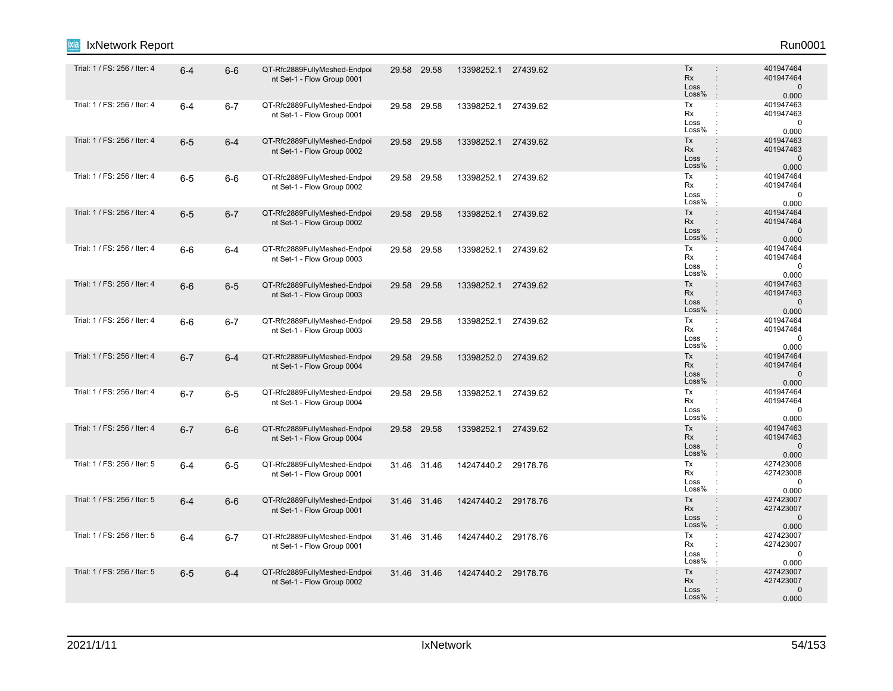| IxNetwork Report<br>Ixia     |         |         |                                                            |             |             |                     |          |                                                                                                          | Run0001                                         |
|------------------------------|---------|---------|------------------------------------------------------------|-------------|-------------|---------------------|----------|----------------------------------------------------------------------------------------------------------|-------------------------------------------------|
| Trial: 1 / FS: 256 / Iter: 4 | $6 - 4$ | $6-6$   | QT-Rfc2889FullyMeshed-Endpoi<br>nt Set-1 - Flow Group 0001 |             | 29.58 29.58 | 13398252.1          | 27439.62 | Tx<br><b>Rx</b><br>$\ddot{\phantom{a}}$<br>Loss<br>Loss%                                                 | 401947464<br>401947464<br>$\mathbf 0$<br>0.000  |
| Trial: 1 / FS: 256 / Iter: 4 | $6 - 4$ | $6 - 7$ | QT-Rfc2889FullyMeshed-Endpoi<br>nt Set-1 - Flow Group 0001 |             | 29.58 29.58 | 13398252.1          | 27439.62 | Tx<br>÷<br>Rx<br>÷<br>Loss<br>Loss%                                                                      | 401947463<br>401947463<br>0<br>0.000            |
| Trial: 1 / FS: 256 / Iter: 4 | $6-5$   | $6 - 4$ | QT-Rfc2889FullyMeshed-Endpoi<br>nt Set-1 - Flow Group 0002 |             | 29.58 29.58 | 13398252.1          | 27439.62 | Tx<br>$\ddot{\phantom{a}}$<br><b>Rx</b><br>$\ddot{\phantom{a}}$<br>Loss<br>$\ddot{\phantom{a}}$<br>Loss% | 401947463<br>401947463<br>$\mathbf{0}$<br>0.000 |
| Trial: 1 / FS: 256 / Iter: 4 | $6-5$   | $6-6$   | QT-Rfc2889FullyMeshed-Endpoi<br>nt Set-1 - Flow Group 0002 | 29.58       | 29.58       | 13398252.1          | 27439.62 | Tx<br>÷<br>Rx<br>÷<br>Loss<br>Loss%<br>$\cdot$                                                           | 401947464<br>401947464<br>$\mathbf 0$<br>0.000  |
| Trial: 1 / FS: 256 / Iter: 4 | $6-5$   | $6 - 7$ | QT-Rfc2889FullyMeshed-Endpoi<br>nt Set-1 - Flow Group 0002 | 29.58 29.58 |             | 13398252.1          | 27439.62 | Tx<br>$\ddot{\phantom{a}}$<br>Rx<br>Loss<br>÷<br>Loss%                                                   | 401947464<br>401947464<br>$\mathbf{0}$<br>0.000 |
| Trial: 1 / FS: 256 / Iter: 4 | $6-6$   | $6 - 4$ | QT-Rfc2889FullyMeshed-Endpoi<br>nt Set-1 - Flow Group 0003 |             | 29.58 29.58 | 13398252.1          | 27439.62 | Tx<br>÷<br>Rx<br>Loss<br>Loss%                                                                           | 401947464<br>401947464<br>0<br>0.000            |
| Trial: 1 / FS: 256 / Iter: 4 | $6-6$   | $6-5$   | QT-Rfc2889FullyMeshed-Endpoi<br>nt Set-1 - Flow Group 0003 |             | 29.58 29.58 | 13398252.1          | 27439.62 | Tx<br>$\vdots$<br>Rx<br>$\ddot{\phantom{a}}$<br>Loss<br>÷<br>Loss%                                       | 401947463<br>401947463<br>$\mathbf 0$<br>0.000  |
| Trial: 1 / FS: 256 / Iter: 4 | $6-6$   | $6 - 7$ | QT-Rfc2889FullyMeshed-Endpoi<br>nt Set-1 - Flow Group 0003 |             | 29.58 29.58 | 13398252.1          | 27439.62 | Tx<br>÷<br>Rx<br>$\ddot{\phantom{a}}$<br>Loss<br>÷<br>$\mathsf{Loss}\%$<br>$\cdot$                       | 401947464<br>401947464<br>0<br>0.000            |
| Trial: 1 / FS: 256 / Iter: 4 | $6 - 7$ | $6 - 4$ | QT-Rfc2889FullyMeshed-Endpoi<br>nt Set-1 - Flow Group 0004 | 29.58 29.58 |             | 13398252.0          | 27439.62 | Tx<br>$\ddot{\phantom{a}}$<br>Rx<br>Loss<br>÷<br>Loss%                                                   | 401947464<br>401947464<br>$\mathbf 0$<br>0.000  |
| Trial: 1 / FS: 256 / Iter: 4 | $6 - 7$ | $6-5$   | QT-Rfc2889FullyMeshed-Endpoi<br>nt Set-1 - Flow Group 0004 |             | 29.58 29.58 | 13398252.1          | 27439.62 | Tx<br>÷<br>Rx<br>Loss<br>Loss%                                                                           | 401947464<br>401947464<br>0<br>0.000            |
| Trial: 1 / FS: 256 / Iter: 4 | $6 - 7$ | $6-6$   | QT-Rfc2889FullyMeshed-Endpoi<br>nt Set-1 - Flow Group 0004 |             | 29.58 29.58 | 13398252.1          | 27439.62 | Tx<br>$\ddot{\phantom{a}}$<br>Rx<br>$\ddot{\phantom{a}}$<br>Loss<br>$\ddot{\phantom{a}}$<br>Loss%        | 401947463<br>401947463<br>$\mathbf{0}$<br>0.000 |
| Trial: 1 / FS: 256 / Iter: 5 | $6 - 4$ | $6-5$   | QT-Rfc2889FullyMeshed-Endpoi<br>nt Set-1 - Flow Group 0001 |             | 31.46 31.46 | 14247440.2 29178.76 |          | Tx<br>÷<br>Rx<br>Loss<br>Loss%<br>$\cdot$                                                                | 427423008<br>427423008<br>0<br>0.000            |
| Trial: 1 / FS: 256 / Iter: 5 | $6 - 4$ | $6-6$   | QT-Rfc2889FullyMeshed-Endpoi<br>nt Set-1 - Flow Group 0001 |             | 31.46 31.46 | 14247440.2 29178.76 |          | Tx<br>$\ddot{\phantom{a}}$<br>Rx<br>Loss<br>$\ddot{\phantom{a}}$<br>Loss%                                | 427423007<br>427423007<br>$\mathbf{0}$<br>0.000 |
| Trial: 1 / FS: 256 / Iter: 5 | $6 - 4$ | $6 - 7$ | QT-Rfc2889FullyMeshed-Endpoi<br>nt Set-1 - Flow Group 0001 |             | 31.46 31.46 | 14247440.2 29178.76 |          | Tx<br>÷<br>Rx<br>Loss<br>Loss%                                                                           | 427423007<br>427423007<br>0<br>0.000            |
| Trial: 1 / FS: 256 / Iter: 5 | $6-5$   | $6 - 4$ | QT-Rfc2889FullyMeshed-Endpoi<br>nt Set-1 - Flow Group 0002 |             | 31.46 31.46 | 14247440.2 29178.76 |          | Tx<br>$\ddot{\phantom{a}}$<br><b>Rx</b><br>Loss<br>Loss%                                                 | 427423007<br>427423007<br>$\mathbf 0$<br>0.000  |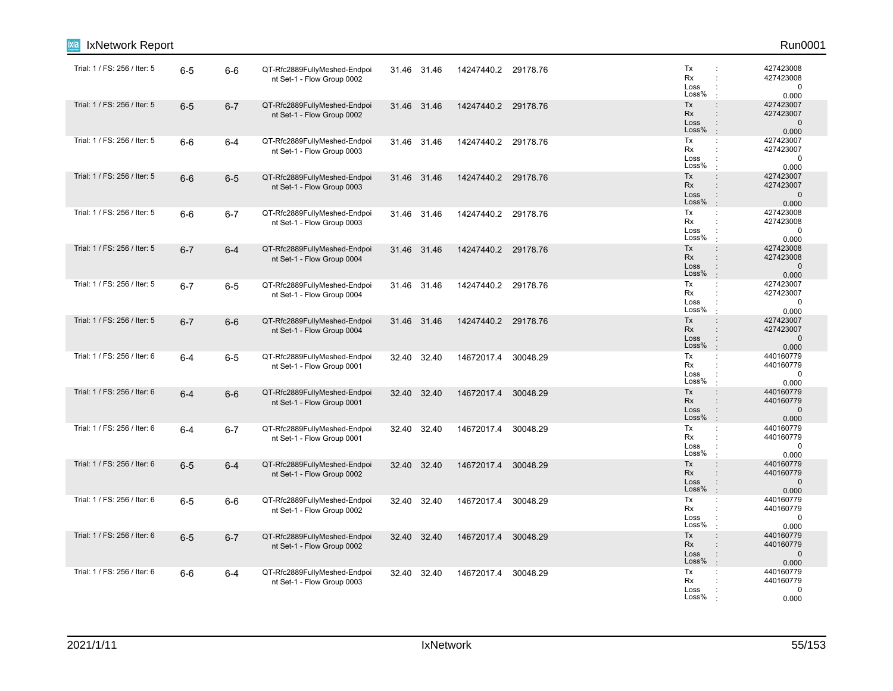| IxNetwork Report             |         |         |                                                            |             |             |                     |          |                                                                                                                     | Run0001                                        |
|------------------------------|---------|---------|------------------------------------------------------------|-------------|-------------|---------------------|----------|---------------------------------------------------------------------------------------------------------------------|------------------------------------------------|
| Trial: 1 / FS: 256 / Iter: 5 | $6-5$   | $6-6$   | QT-Rfc2889FullyMeshed-Endpoi<br>nt Set-1 - Flow Group 0002 |             | 31.46 31.46 | 14247440.2 29178.76 |          | Tx<br>÷<br>Rx<br>÷<br>Loss<br>÷<br>Loss%                                                                            | 427423008<br>427423008<br>$\mathbf 0$<br>0.000 |
| Trial: 1 / FS: 256 / Iter: 5 | $6-5$   | $6 - 7$ | QT-Rfc2889FullyMeshed-Endpoi<br>nt Set-1 - Flow Group 0002 | 31.46 31.46 |             | 14247440.2 29178.76 |          | Tx<br>$\ddot{\phantom{a}}$<br>Rx<br>$\ddot{\phantom{a}}$<br>Loss<br>$\ddot{\cdot}$<br>Loss%<br>$\cdot$              | 427423007<br>427423007<br>$\mathbf 0$<br>0.000 |
| Trial: 1 / FS: 256 / Iter: 5 | $6-6$   | $6 - 4$ | QT-Rfc2889FullyMeshed-Endpoi<br>nt Set-1 - Flow Group 0003 |             | 31.46 31.46 | 14247440.2 29178.76 |          | Tx<br>$\ddot{\phantom{a}}$<br>Rx<br>$\ddot{\phantom{a}}$<br>Loss<br>$\ddot{\phantom{a}}$<br>Loss%<br>$\mathbf{r}$   | 427423007<br>427423007<br>$\mathbf 0$<br>0.000 |
| Trial: 1 / FS: 256 / Iter: 5 | $6-6$   | $6-5$   | QT-Rfc2889FullyMeshed-Endpoi<br>nt Set-1 - Flow Group 0003 | 31.46 31.46 |             | 14247440.2 29178.76 |          | Tx<br>$\ddot{\phantom{a}}$<br>Rx<br>Loss<br>Loss%<br>$\mathbb{R}^2$                                                 | 427423007<br>427423007<br>$\mathbf 0$<br>0.000 |
| Trial: 1 / FS: 256 / Iter: 5 | $6-6$   | $6 - 7$ | QT-Rfc2889FullyMeshed-Endpoi<br>nt Set-1 - Flow Group 0003 |             | 31.46 31.46 | 14247440.2 29178.76 |          | Tx<br>$\ddot{\cdot}$<br>Rx<br>$\ddot{\phantom{a}}$<br>Loss<br>Loss%                                                 | 427423008<br>427423008<br>$\mathbf 0$<br>0.000 |
| Trial: 1 / FS: 256 / Iter: 5 | $6 - 7$ | $6 - 4$ | QT-Rfc2889FullyMeshed-Endpoi<br>nt Set-1 - Flow Group 0004 | 31.46 31.46 |             | 14247440.2 29178.76 |          | Tx<br>$\ddot{\phantom{a}}$<br>Rx<br>$\ddot{\phantom{a}}$<br>Loss<br>$\ddot{\phantom{a}}$<br>Loss%<br>$\pm$          | 427423008<br>427423008<br>$\mathbf 0$<br>0.000 |
| Trial: 1 / FS: 256 / Iter: 5 | $6 - 7$ | $6-5$   | QT-Rfc2889FullyMeshed-Endpoi<br>nt Set-1 - Flow Group 0004 | 31.46 31.46 |             | 14247440.2 29178.76 |          | Tx<br>÷<br>Rx<br>÷<br>Loss<br>÷<br>Loss%<br>÷                                                                       | 427423007<br>427423007<br>$\mathbf 0$<br>0.000 |
| Trial: 1 / FS: 256 / Iter: 5 | $6 - 7$ | $6-6$   | QT-Rfc2889FullyMeshed-Endpoi<br>nt Set-1 - Flow Group 0004 | 31.46 31.46 |             | 14247440.2 29178.76 |          | Tx<br>$\ddot{\phantom{a}}$<br>Rx<br>$\ddot{\phantom{a}}$<br>Loss<br>$\ddot{\cdot}$<br>Loss%<br>$\ddot{\phantom{a}}$ | 427423007<br>427423007<br>$\mathbf 0$<br>0.000 |
| Trial: 1 / FS: 256 / Iter: 6 | $6-4$   | $6-5$   | QT-Rfc2889FullyMeshed-Endpoi<br>nt Set-1 - Flow Group 0001 | 32.40       | 32.40       | 14672017.4          | 30048.29 | Tx<br>÷<br>Rx<br>$\ddot{\phantom{a}}$<br>Loss<br>Loss%<br>$\cdot$                                                   | 440160779<br>440160779<br>0<br>0.000           |
| Trial: 1 / FS: 256 / Iter: 6 | $6 - 4$ | $6-6$   | QT-Rfc2889FullyMeshed-Endpoi<br>nt Set-1 - Flow Group 0001 |             | 32.40 32.40 | 14672017.4 30048.29 |          | Tx<br>÷<br><b>Rx</b><br>$\ddot{\phantom{a}}$<br>Loss<br>$\ddot{\phantom{a}}$<br>Loss%<br>$\mathbb{R}^2$             | 440160779<br>440160779<br>$\mathbf 0$<br>0.000 |
| Trial: 1 / FS: 256 / Iter: 6 | $6-4$   | $6 - 7$ | QT-Rfc2889FullyMeshed-Endpoi<br>nt Set-1 - Flow Group 0001 |             | 32.40 32.40 | 14672017.4 30048.29 |          | Tx<br>$\mathbb{C}^{\times}$<br>Rx<br>$\ddot{\phantom{a}}$<br>Loss<br>Loss%<br>$\cdot$                               | 440160779<br>440160779<br>0<br>0.000           |
| Trial: 1 / FS: 256 / Iter: 6 | $6-5$   | $6 - 4$ | QT-Rfc2889FullyMeshed-Endpoi<br>nt Set-1 - Flow Group 0002 | 32.40       | 32.40       | 14672017.4 30048.29 |          | Tx<br>$\ddot{\phantom{a}}$<br><b>Rx</b><br>$\ddot{\phantom{a}}$<br>Loss<br>$\ddot{\phantom{a}}$<br>Loss%<br>$\cdot$ | 440160779<br>440160779<br>$\mathbf 0$<br>0.000 |
| Trial: 1 / FS: 256 / Iter: 6 | $6-5$   | $6-6$   | QT-Rfc2889FullyMeshed-Endpoi<br>nt Set-1 - Flow Group 0002 |             | 32.40 32.40 | 14672017.4 30048.29 |          | Tx<br>÷<br>Rx<br>Loss<br>Loss%<br>$\cdot$                                                                           | 440160779<br>440160779<br>$\Omega$<br>0.000    |
| Trial: 1 / FS: 256 / Iter: 6 | $6-5$   | $6 - 7$ | QT-Rfc2889FullyMeshed-Endpoi<br>nt Set-1 - Flow Group 0002 | 32.40 32.40 |             | 14672017.4          | 30048.29 | Tx<br>$\div$<br>Rx<br>$\ddot{\phantom{a}}$<br>Loss<br>$\ddot{\phantom{a}}$<br>Loss%<br>$\mathbf{r}$                 | 440160779<br>440160779<br>$\mathbf 0$<br>0.000 |
| Trial: 1 / FS: 256 / Iter: 6 | $6-6$   | 6-4     | QT-Rfc2889FullyMeshed-Endpoi<br>nt Set-1 - Flow Group 0003 |             | 32.40 32.40 | 14672017.4 30048.29 |          | Tx<br>$\mathbb{C}^{\times}$<br>Rx<br>Loss<br>Loss%                                                                  | 440160779<br>440160779<br>0<br>0.000           |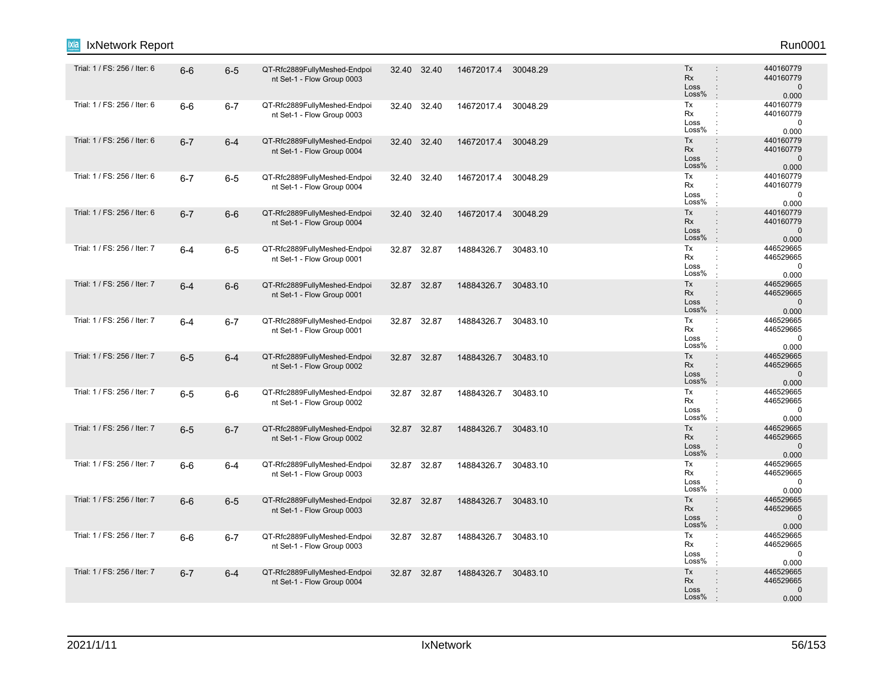| IxNetwork Report             |         |         |                                                            |       |             |                     |          |                                                                                                          | Run0001                                         |
|------------------------------|---------|---------|------------------------------------------------------------|-------|-------------|---------------------|----------|----------------------------------------------------------------------------------------------------------|-------------------------------------------------|
| Trial: 1 / FS: 256 / Iter: 6 | $6-6$   | $6-5$   | QT-Rfc2889FullyMeshed-Endpoi<br>nt Set-1 - Flow Group 0003 |       | 32.40 32.40 | 14672017.4 30048.29 |          | Tx<br>$\ddot{\phantom{a}}$<br><b>Rx</b><br>$\ddot{\phantom{a}}$<br>Loss<br>$\ddot{\phantom{a}}$<br>Loss% | 440160779<br>440160779<br>$\mathbf 0$<br>0.000  |
| Trial: 1 / FS: 256 / Iter: 6 | $6-6$   | $6 - 7$ | QT-Rfc2889FullyMeshed-Endpoi<br>nt Set-1 - Flow Group 0003 | 32.40 | 32.40       | 14672017.4          | 30048.29 | Tx<br>$\ddot{\cdot}$<br>Rx<br>$\ddot{\phantom{a}}$<br>Loss<br>$\ddot{\phantom{a}}$<br>Loss%<br>$\cdot$   | 440160779<br>440160779<br>$\pmb{0}$<br>0.000    |
| Trial: 1 / FS: 256 / Iter: 6 | $6 - 7$ | $6-4$   | QT-Rfc2889FullyMeshed-Endpoi<br>nt Set-1 - Flow Group 0004 |       | 32.40 32.40 | 14672017.4 30048.29 |          | Tx<br>$\ddot{\phantom{a}}$<br>Rx<br>Loss<br>$\ddot{\phantom{a}}$<br>Loss%<br>÷                           | 440160779<br>440160779<br>$\mathbf{0}$<br>0.000 |
| Trial: 1 / FS: 256 / Iter: 6 | $6 - 7$ | $6-5$   | QT-Rfc2889FullyMeshed-Endpoi<br>nt Set-1 - Flow Group 0004 |       | 32.40 32.40 | 14672017.4          | 30048.29 | Tx<br>÷<br>Rx<br>Loss<br>Loss%<br>$\cdot$                                                                | 440160779<br>440160779<br>$\mathbf 0$<br>0.000  |
| Trial: 1 / FS: 256 / Iter: 6 | $6 - 7$ | $6-6$   | QT-Rfc2889FullyMeshed-Endpoi<br>nt Set-1 - Flow Group 0004 |       | 32.40 32.40 | 14672017.4          | 30048.29 | Tx<br>$\ddot{\phantom{a}}$<br><b>Rx</b><br>$\ddot{\phantom{a}}$<br>Loss<br>Loss%<br>$\cdot$              | 440160779<br>440160779<br>$\mathbf 0$<br>0.000  |
| Trial: 1 / FS: 256 / Iter: 7 | $6 - 4$ | $6-5$   | QT-Rfc2889FullyMeshed-Endpoi<br>nt Set-1 - Flow Group 0001 |       | 32.87 32.87 | 14884326.7          | 30483.10 | Tx<br>$\ddot{\cdot}$<br>Rx<br>$\ddot{\phantom{a}}$<br>Loss<br>Loss%<br>$\cdot$                           | 446529665<br>446529665<br>0<br>0.000            |
| Trial: 1 / FS: 256 / Iter: 7 | $6 - 4$ | $6-6$   | QT-Rfc2889FullyMeshed-Endpoi<br>nt Set-1 - Flow Group 0001 |       | 32.87 32.87 | 14884326.7          | 30483.10 | Tx<br>÷<br><b>Rx</b><br>÷<br>Loss<br>$\colon$<br>Loss%<br>$\cdot$                                        | 446529665<br>446529665<br>$\mathbf 0$<br>0.000  |
| Trial: 1 / FS: 256 / Iter: 7 | $6 - 4$ | $6 - 7$ | QT-Rfc2889FullyMeshed-Endpoi<br>nt Set-1 - Flow Group 0001 |       | 32.87 32.87 | 14884326.7          | 30483.10 | Tx<br>$\ddot{\phantom{a}}$<br>Rx<br>Loss<br>Loss%<br>$\cdot$                                             | 446529665<br>446529665<br>$\mathbf 0$<br>0.000  |
| Trial: 1 / FS: 256 / Iter: 7 | $6-5$   | $6 - 4$ | QT-Rfc2889FullyMeshed-Endpoi<br>nt Set-1 - Flow Group 0002 |       | 32.87 32.87 | 14884326.7          | 30483.10 | Tx<br>$\ddot{\phantom{a}}$<br><b>Rx</b><br>$\ddot{\phantom{a}}$<br>Loss<br>Loss%                         | 446529665<br>446529665<br>$\mathbf 0$<br>0.000  |
| Trial: 1 / FS: 256 / Iter: 7 | $6-5$   | $6-6$   | QT-Rfc2889FullyMeshed-Endpoi<br>nt Set-1 - Flow Group 0002 |       | 32.87 32.87 | 14884326.7          | 30483.10 | Tx<br>$\ddot{\cdot}$<br>Rx<br>$\cdot$<br>Loss<br>÷<br>Loss%                                              | 446529665<br>446529665<br>$\mathbf 0$<br>0.000  |
| Trial: 1 / FS: 256 / Iter: 7 | $6-5$   | $6 - 7$ | QT-Rfc2889FullyMeshed-Endpoi<br>nt Set-1 - Flow Group 0002 |       | 32.87 32.87 | 14884326.7          | 30483.10 | Tx<br>$\ddot{\phantom{a}}$<br><b>Rx</b><br>$\ddot{\phantom{a}}$<br>Loss<br>$\vdots$<br>Loss%<br>$\cdot$  | 446529665<br>446529665<br>$\mathbf 0$<br>0.000  |
| Trial: 1 / FS: 256 / Iter: 7 | $6-6$   | $6-4$   | QT-Rfc2889FullyMeshed-Endpoi<br>nt Set-1 - Flow Group 0003 |       | 32.87 32.87 | 14884326.7          | 30483.10 | Tx<br>÷<br>Rx<br>Loss<br>Loss%                                                                           | 446529665<br>446529665<br>$\mathbf 0$<br>0.000  |
| Trial: 1 / FS: 256 / Iter: 7 | $6-6$   | $6-5$   | QT-Rfc2889FullyMeshed-Endpoi<br>nt Set-1 - Flow Group 0003 |       | 32.87 32.87 | 14884326.7          | 30483.10 | Tx<br>$\ddot{\phantom{a}}$<br><b>Rx</b><br>Loss<br>$\ddot{\phantom{a}}$<br>Loss%                         | 446529665<br>446529665<br>$\mathbf 0$<br>0.000  |
| Trial: 1 / FS: 256 / Iter: 7 | $6-6$   | $6 - 7$ | QT-Rfc2889FullyMeshed-Endpoi<br>nt Set-1 - Flow Group 0003 |       | 32.87 32.87 | 14884326.7          | 30483.10 | Tx<br>÷<br>Rx<br>÷<br>Loss<br>Loss%                                                                      | 446529665<br>446529665<br>0<br>0.000            |
| Trial: 1 / FS: 256 / Iter: 7 | $6 - 7$ | $6-4$   | QT-Rfc2889FullyMeshed-Endpoi<br>nt Set-1 - Flow Group 0004 |       | 32.87 32.87 | 14884326.7          | 30483.10 | Tx<br>$\ddot{\phantom{a}}$<br>Rx<br>Loss<br>Loss%                                                        | 446529665<br>446529665<br>$\mathbf 0$<br>0.000  |
|                              |         |         |                                                            |       |             |                     |          |                                                                                                          |                                                 |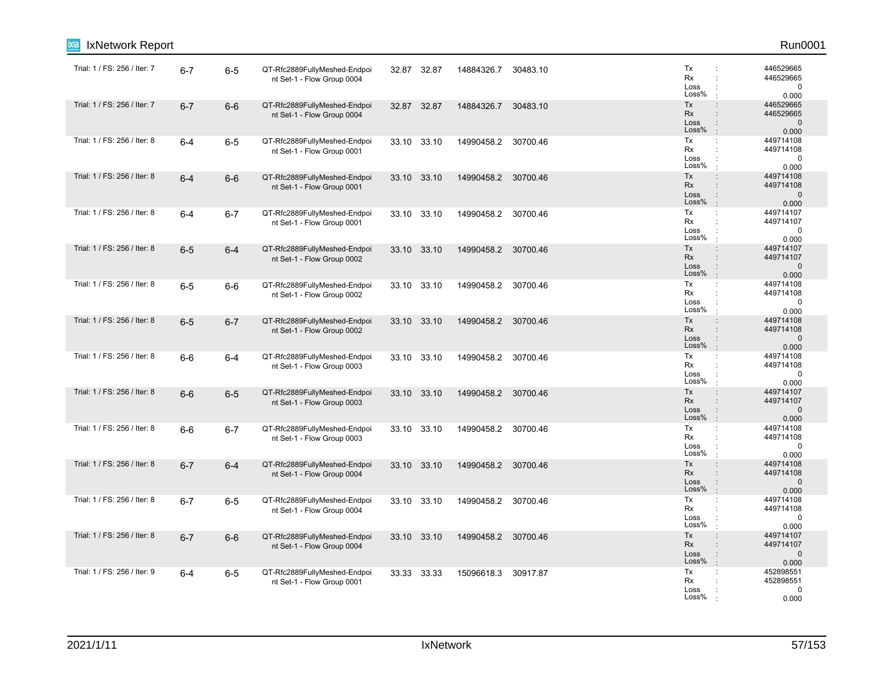| IxNetwork Report             |         |         |                                                            |             |       |                     |          |                                                                                                                     | Run0001                                         |
|------------------------------|---------|---------|------------------------------------------------------------|-------------|-------|---------------------|----------|---------------------------------------------------------------------------------------------------------------------|-------------------------------------------------|
| Trial: 1 / FS: 256 / Iter: 7 | $6 - 7$ | $6-5$   | QT-Rfc2889FullyMeshed-Endpoi<br>nt Set-1 - Flow Group 0004 | 32.87 32.87 |       | 14884326.7          | 30483.10 | Tx<br>÷<br>Rx<br>÷<br>Loss<br>÷<br>Loss%                                                                            | 446529665<br>446529665<br>$\mathbf 0$<br>0.000  |
| Trial: 1 / FS: 256 / Iter: 7 | $6 - 7$ | $6-6$   | QT-Rfc2889FullyMeshed-Endpoi<br>nt Set-1 - Flow Group 0004 | 32.87 32.87 |       | 14884326.7          | 30483.10 | Tx<br>$\ddot{\phantom{a}}$<br>Rx<br>$\ddot{\phantom{a}}$<br>Loss<br>$\ddot{\phantom{a}}$<br>Loss%<br>$\cdot$        | 446529665<br>446529665<br>$\mathbf 0$<br>0.000  |
| Trial: 1 / FS: 256 / Iter: 8 | $6-4$   | $6-5$   | QT-Rfc2889FullyMeshed-Endpoi<br>nt Set-1 - Flow Group 0001 | 33.10 33.10 |       | 14990458.2 30700.46 |          | Tx<br>÷<br>Rx<br>$\ddot{\phantom{a}}$<br>Loss<br>$\ddot{\phantom{a}}$<br>Loss%<br>$\mathbf{r}$                      | 449714108<br>449714108<br>$\mathbf 0$<br>0.000  |
| Trial: 1 / FS: 256 / Iter: 8 | $6 - 4$ | $6-6$   | QT-Rfc2889FullyMeshed-Endpoi<br>nt Set-1 - Flow Group 0001 | 33.10 33.10 |       | 14990458.2 30700.46 |          | Tx<br>÷<br>Rx<br>Loss<br>Loss%<br>$\ddot{\phantom{a}}$                                                              | 449714108<br>449714108<br>$\mathbf 0$<br>0.000  |
| Trial: 1 / FS: 256 / Iter: 8 | $6-4$   | $6 - 7$ | QT-Rfc2889FullyMeshed-Endpoi<br>nt Set-1 - Flow Group 0001 | 33.10 33.10 |       | 14990458.2          | 30700.46 | Tx<br>÷<br>Rx<br>$\ddot{\phantom{a}}$<br>Loss<br>÷<br>Loss%<br>÷                                                    | 449714107<br>449714107<br>0<br>0.000            |
| Trial: 1 / FS: 256 / Iter: 8 | $6-5$   | $6 - 4$ | QT-Rfc2889FullyMeshed-Endpoi<br>nt Set-1 - Flow Group 0002 | 33.10 33.10 |       | 14990458.2 30700.46 |          | Tx<br>$\ddot{\phantom{a}}$<br>Rx<br>$\ddot{\phantom{a}}$<br>Loss<br>$\ddot{\cdot}$<br>Loss%<br>$\cdot$              | 449714107<br>449714107<br>$\mathbf{0}$<br>0.000 |
| Trial: 1 / FS: 256 / Iter: 8 | $6-5$   | $6-6$   | QT-Rfc2889FullyMeshed-Endpoi<br>nt Set-1 - Flow Group 0002 | 33.10 33.10 |       | 14990458.2 30700.46 |          | Tx<br>÷<br>Rx<br>$\ddot{\phantom{a}}$<br>Loss<br>÷<br>Loss%<br>$\mathbf{r}$                                         | 449714108<br>449714108<br>$\mathbf 0$<br>0.000  |
| Trial: 1 / FS: 256 / Iter: 8 | $6-5$   | $6 - 7$ | QT-Rfc2889FullyMeshed-Endpoi<br>nt Set-1 - Flow Group 0002 | 33.10 33.10 |       | 14990458.2 30700.46 |          | Tx<br>$\ddot{\phantom{a}}$<br>Rx<br>Loss<br>$\ddot{\phantom{a}}$<br>Loss%<br>$\mathbb{R}^2$                         | 449714108<br>449714108<br>$\mathbf{0}$<br>0.000 |
| Trial: 1 / FS: 256 / Iter: 8 | $6-6$   | 6-4     | QT-Rfc2889FullyMeshed-Endpoi<br>nt Set-1 - Flow Group 0003 | 33.10       | 33.10 | 14990458.2          | 30700.46 | Tx<br>$\ddot{\phantom{a}}$<br>Rx<br>Loss<br>Loss%<br>$\cdot$                                                        | 449714108<br>449714108<br>$\mathbf 0$<br>0.000  |
| Trial: 1 / FS: 256 / Iter: 8 | $6-6$   | $6-5$   | QT-Rfc2889FullyMeshed-Endpoi<br>nt Set-1 - Flow Group 0003 | 33.10 33.10 |       | 14990458.2 30700.46 |          | Tx<br>$\div$<br>Rx<br>$\ddot{\phantom{a}}$<br>Loss<br>Loss%<br>$\cdot$                                              | 449714107<br>449714107<br>$\mathbf 0$<br>0.000  |
| Trial: 1 / FS: 256 / Iter: 8 | $6-6$   | $6 - 7$ | QT-Rfc2889FullyMeshed-Endpoi<br>nt Set-1 - Flow Group 0003 | 33.10 33.10 |       | 14990458.2          | 30700.46 | Tx<br>$\mathbb{C}^{\times}$<br>Rx<br>÷<br>Loss<br>Loss%<br>$\cdot$                                                  | 449714108<br>449714108<br>0<br>0.000            |
| Trial: 1 / FS: 256 / Iter: 8 | $6 - 7$ | $6 - 4$ | QT-Rfc2889FullyMeshed-Endpoi<br>nt Set-1 - Flow Group 0004 | 33.10 33.10 |       | 14990458.2 30700.46 |          | Tx<br>$\ddot{\phantom{a}}$<br><b>Rx</b><br>$\ddot{\phantom{a}}$<br>Loss<br>$\ddot{\phantom{a}}$<br>Loss%<br>$\cdot$ | 449714108<br>449714108<br>$\mathbf 0$<br>0.000  |
| Trial: 1 / FS: 256 / Iter: 8 | $6 - 7$ | $6-5$   | QT-Rfc2889FullyMeshed-Endpoi<br>nt Set-1 - Flow Group 0004 | 33.10 33.10 |       | 14990458.2 30700.46 |          | Tx<br>÷<br>Rx<br>Loss<br>Loss%                                                                                      | 449714108<br>449714108<br>$\mathbf 0$<br>0.000  |
| Trial: 1 / FS: 256 / Iter: 8 | $6 - 7$ | $6-6$   | QT-Rfc2889FullyMeshed-Endpoi<br>nt Set-1 - Flow Group 0004 | 33.10 33.10 |       | 14990458.2 30700.46 |          | Tx<br>$\ddot{\phantom{a}}$<br>Rx<br>$\ddot{\phantom{a}}$<br>Loss<br>÷<br>Loss%<br>$\mathbf{r}$                      | 449714107<br>449714107<br>$\mathbf 0$<br>0.000  |
| Trial: 1 / FS: 256 / Iter: 9 | $6-4$   | $6-5$   | QT-Rfc2889FullyMeshed-Endpoi<br>nt Set-1 - Flow Group 0001 | 33.33 33.33 |       | 15096618.3          | 30917.87 | Tx<br>÷<br>Rx<br>Loss<br>Loss%                                                                                      | 452898551<br>452898551<br>0<br>0.000            |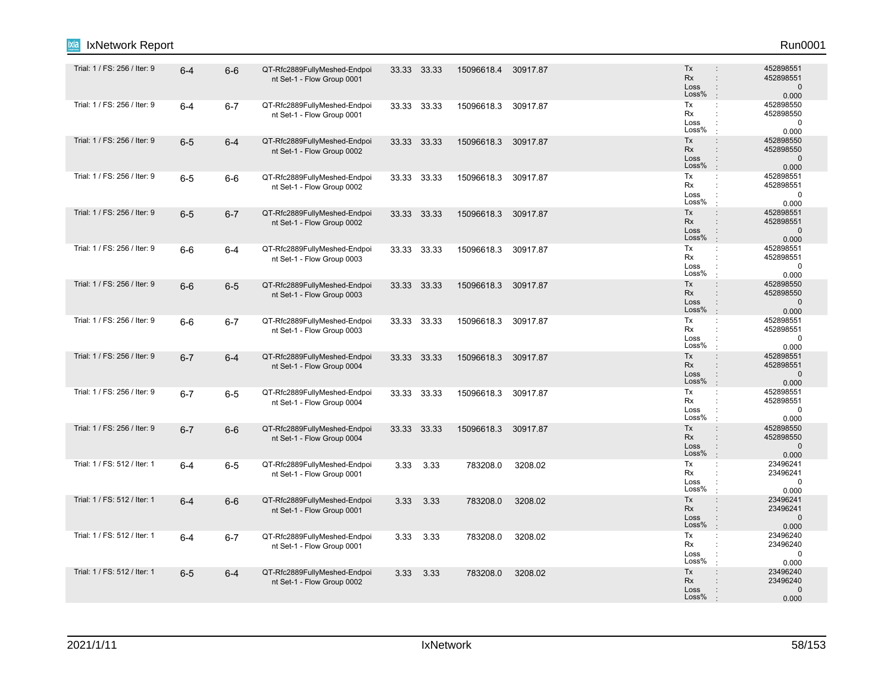| IxNetwork Report<br>Ixia     |         |         |                                                            |       |             |            |          |                                                                                                               | Run0001                                         |
|------------------------------|---------|---------|------------------------------------------------------------|-------|-------------|------------|----------|---------------------------------------------------------------------------------------------------------------|-------------------------------------------------|
| Trial: 1 / FS: 256 / Iter: 9 | $6 - 4$ | $6-6$   | QT-Rfc2889FullyMeshed-Endpoi<br>nt Set-1 - Flow Group 0001 |       | 33.33 33.33 | 15096618.4 | 30917.87 | Tx<br>$\ddot{\phantom{a}}$<br>Rx<br>÷<br>Loss<br>÷<br>Loss%<br>÷                                              | 452898551<br>452898551<br>$\mathbf 0$<br>0.000  |
| Trial: 1 / FS: 256 / Iter: 9 | $6 - 4$ | $6 - 7$ | QT-Rfc2889FullyMeshed-Endpoi<br>nt Set-1 - Flow Group 0001 |       | 33.33 33.33 | 15096618.3 | 30917.87 | Tx<br>$\ddot{\phantom{a}}$<br>Rx<br>$\ddot{\cdot}$<br>Loss<br>Loss%<br>$\cdot$                                | 452898550<br>452898550<br>0<br>0.000            |
| Trial: 1 / FS: 256 / Iter: 9 | $6-5$   | $6 - 4$ | QT-Rfc2889FullyMeshed-Endpoi<br>nt Set-1 - Flow Group 0002 |       | 33.33 33.33 | 15096618.3 | 30917.87 | Tx<br>÷.<br>Rx<br>$\ddot{\phantom{a}}$<br>Loss<br>$\ddot{\phantom{a}}$<br>Loss%<br>$\cdot$                    | 452898550<br>452898550<br>$\mathbf 0$<br>0.000  |
| Trial: 1 / FS: 256 / Iter: 9 | $6-5$   | $6-6$   | QT-Rfc2889FullyMeshed-Endpoi<br>nt Set-1 - Flow Group 0002 | 33.33 | 33.33       | 15096618.3 | 30917.87 | Tx<br>÷<br>Rx<br>÷<br>Loss<br>Loss%<br>÷                                                                      | 452898551<br>452898551<br>$\mathbf 0$<br>0.000  |
| Trial: 1 / FS: 256 / Iter: 9 | $6-5$   | $6 - 7$ | QT-Rfc2889FullyMeshed-Endpoi<br>nt Set-1 - Flow Group 0002 |       | 33.33 33.33 | 15096618.3 | 30917.87 | Tx<br>÷<br>Rx<br>÷<br>Loss<br>$\ddot{\phantom{a}}$<br>Loss%<br>$\ddot{\phantom{a}}$                           | 452898551<br>452898551<br>$\mathbf{0}$<br>0.000 |
| Trial: 1 / FS: 256 / Iter: 9 | $6-6$   | 6-4     | QT-Rfc2889FullyMeshed-Endpoi<br>nt Set-1 - Flow Group 0003 |       | 33.33 33.33 | 15096618.3 | 30917.87 | Tx<br>$\mathbb{C}^{\times}$<br>Rx<br>$\ddot{\cdot}$<br>Loss<br>Loss%<br>÷                                     | 452898551<br>452898551<br>$\mathbf 0$<br>0.000  |
| Trial: 1 / FS: 256 / Iter: 9 | $6-6$   | $6-5$   | QT-Rfc2889FullyMeshed-Endpoi<br>nt Set-1 - Flow Group 0003 |       | 33.33 33.33 | 15096618.3 | 30917.87 | Tx<br>÷<br>Rx<br>$\ddot{\phantom{a}}$<br>Loss<br>$\ddot{\phantom{a}}$<br>Loss%<br>÷                           | 452898550<br>452898550<br>$\mathbf 0$<br>0.000  |
| Trial: 1 / FS: 256 / Iter: 9 | $6-6$   | $6 - 7$ | QT-Rfc2889FullyMeshed-Endpoi<br>nt Set-1 - Flow Group 0003 |       | 33.33 33.33 | 15096618.3 | 30917.87 | Tx<br>÷<br>Rx<br>$\ddot{\phantom{a}}$<br>Loss<br>Loss%<br>÷                                                   | 452898551<br>452898551<br>$\mathbf 0$<br>0.000  |
| Trial: 1 / FS: 256 / Iter: 9 | $6 - 7$ | $6 - 4$ | QT-Rfc2889FullyMeshed-Endpoi<br>nt Set-1 - Flow Group 0004 |       | 33.33 33.33 | 15096618.3 | 30917.87 | Tx<br>÷<br>Rx<br>$\ddot{\phantom{a}}$<br>Loss<br>$\vdots$<br>Loss%<br>$\ddot{\phantom{a}}$                    | 452898551<br>452898551<br>$\mathbf 0$<br>0.000  |
| Trial: 1 / FS: 256 / Iter: 9 | $6 - 7$ | $6-5$   | QT-Rfc2889FullyMeshed-Endpoi<br>nt Set-1 - Flow Group 0004 |       | 33.33 33.33 | 15096618.3 | 30917.87 | Tx<br>÷<br>Rx<br>$\ddot{\cdot}$<br>Loss<br>Loss%<br>÷                                                         | 452898551<br>452898551<br>$\mathbf 0$<br>0.000  |
| Trial: 1 / FS: 256 / Iter: 9 | $6 - 7$ | $6-6$   | QT-Rfc2889FullyMeshed-Endpoi<br>nt Set-1 - Flow Group 0004 |       | 33.33 33.33 | 15096618.3 | 30917.87 | Tx<br>÷<br>Rx<br>$\ddot{\phantom{a}}$<br>Loss<br>$\ddot{\phantom{a}}$<br>Loss%<br>$\cdot$                     | 452898550<br>452898550<br>$\mathbf 0$<br>0.000  |
| Trial: 1 / FS: 512 / Iter: 1 | $6 - 4$ | $6-5$   | QT-Rfc2889FullyMeshed-Endpoi<br>nt Set-1 - Flow Group 0001 | 3.33  | 3.33        | 783208.0   | 3208.02  | Tx<br>÷<br>Rx<br>$\ddot{\cdot}$<br>Loss<br>÷<br>Loss%<br>÷                                                    | 23496241<br>23496241<br>0<br>0.000              |
| Trial: 1 / FS: 512 / Iter: 1 | $6 - 4$ | $6-6$   | QT-Rfc2889FullyMeshed-Endpoi<br>nt Set-1 - Flow Group 0001 | 3.33  | 3.33        | 783208.0   | 3208.02  | Tx<br>$\ddot{\phantom{a}}$<br>Rx<br>$\vdots$<br>$\ddot{\phantom{a}}$<br>Loss<br>Loss%<br>$\ddot{\phantom{a}}$ | 23496241<br>23496241<br>$\mathbf{0}$<br>0.000   |
| Trial: 1 / FS: 512 / Iter: 1 | $6 - 4$ | $6 - 7$ | QT-Rfc2889FullyMeshed-Endpoi<br>nt Set-1 - Flow Group 0001 | 3.33  | 3.33        | 783208.0   | 3208.02  | Tx<br>÷<br>Rx<br>$\ddot{\cdot}$<br>Loss<br>Loss%<br>÷                                                         | 23496240<br>23496240<br>0<br>0.000              |
| Trial: 1 / FS: 512 / Iter: 1 | $6-5$   | $6 - 4$ | QT-Rfc2889FullyMeshed-Endpoi<br>nt Set-1 - Flow Group 0002 | 3.33  | 3.33        | 783208.0   | 3208.02  | Tx<br>÷<br>Rx<br>Loss<br>÷<br>Loss%<br>$\cdot$                                                                | 23496240<br>23496240<br>$\Omega$<br>0.000       |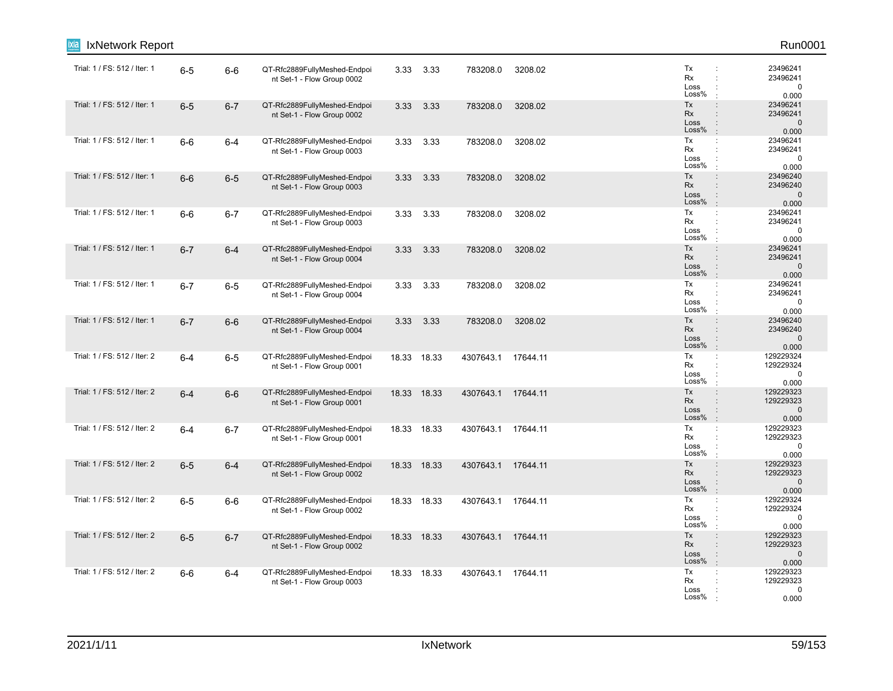| IxNetwork Report             |         |         |                                                            |             |             |           |          |                                                                                                              | Run0001                                        |
|------------------------------|---------|---------|------------------------------------------------------------|-------------|-------------|-----------|----------|--------------------------------------------------------------------------------------------------------------|------------------------------------------------|
| Trial: 1 / FS: 512 / Iter: 1 | $6-5$   | $6-6$   | QT-Rfc2889FullyMeshed-Endpoi<br>nt Set-1 - Flow Group 0002 | 3.33        | 3.33        | 783208.0  | 3208.02  | Tx<br>÷<br>Rx<br>÷<br>Loss<br>Loss%                                                                          | 23496241<br>23496241<br>$\mathbf 0$<br>0.000   |
| Trial: 1 / FS: 512 / Iter: 1 | $6-5$   | $6 - 7$ | QT-Rfc2889FullyMeshed-Endpoi<br>nt Set-1 - Flow Group 0002 | 3.33        | 3.33        | 783208.0  | 3208.02  | Tx<br>$\ddot{\phantom{a}}$<br>Rx<br>$\ddot{\phantom{a}}$<br>Loss<br>$\ddot{\cdot}$<br>Loss%<br>$\cdot$       | 23496241<br>23496241<br>$\mathbf 0$<br>0.000   |
| Trial: 1 / FS: 512 / Iter: 1 | $6-6$   | $6 - 4$ | QT-Rfc2889FullyMeshed-Endpoi<br>nt Set-1 - Flow Group 0003 | 3.33        | 3.33        | 783208.0  | 3208.02  | Tx<br>÷<br>Rx<br>$\ddot{\phantom{a}}$<br>Loss<br>$\ddot{\phantom{a}}$<br>Loss%<br>$\mathbf{r}$               | 23496241<br>23496241<br>$\mathbf 0$<br>0.000   |
| Trial: 1 / FS: 512 / Iter: 1 | $6-6$   | $6-5$   | QT-Rfc2889FullyMeshed-Endpoi<br>nt Set-1 - Flow Group 0003 | 3.33        | 3.33        | 783208.0  | 3208.02  | Tx<br>$\ddot{\phantom{a}}$<br>Rx<br>Loss<br>Loss%<br>$\pm$                                                   | 23496240<br>23496240<br>$\mathbf 0$<br>0.000   |
| Trial: 1 / FS: 512 / Iter: 1 | $6-6$   | $6 - 7$ | QT-Rfc2889FullyMeshed-Endpoi<br>nt Set-1 - Flow Group 0003 | 3.33        | 3.33        | 783208.0  | 3208.02  | Tx<br>$\ddot{\cdot}$<br>Rx<br>÷<br>Loss<br>Loss%<br>$\cdot$                                                  | 23496241<br>23496241<br>$\mathbf 0$<br>0.000   |
| Trial: 1 / FS: 512 / Iter: 1 | $6 - 7$ | $6 - 4$ | QT-Rfc2889FullyMeshed-Endpoi<br>nt Set-1 - Flow Group 0004 | 3.33        | 3.33        | 783208.0  | 3208.02  | Tx<br>$\ddot{\phantom{a}}$<br>Rx<br>$\ddot{\phantom{a}}$<br>Loss<br>$\ddot{\phantom{a}}$<br>Loss%<br>$\cdot$ | 23496241<br>23496241<br>$\mathbf{0}$<br>0.000  |
| Trial: 1 / FS: 512 / Iter: 1 | $6 - 7$ | $6-5$   | QT-Rfc2889FullyMeshed-Endpoi<br>nt Set-1 - Flow Group 0004 | 3.33        | 3.33        | 783208.0  | 3208.02  | Tx<br>÷<br>Rx<br>÷<br>Loss<br>÷<br>Loss%<br>$\mathbf{r}$                                                     | 23496241<br>23496241<br>$\mathbf 0$<br>0.000   |
| Trial: 1 / FS: 512 / Iter: 1 | $6 - 7$ | $6-6$   | QT-Rfc2889FullyMeshed-Endpoi<br>nt Set-1 - Flow Group 0004 | 3.33        | 3.33        | 783208.0  | 3208.02  | Tx<br>$\ddot{\phantom{a}}$<br>Rx<br>Loss<br>$\ddot{\cdot}$<br>Loss%<br>$\ddot{\phantom{a}}$                  | 23496240<br>23496240<br>$\mathbf 0$<br>0.000   |
| Trial: 1 / FS: 512 / Iter: 2 | $6 - 4$ | $6-5$   | QT-Rfc2889FullyMeshed-Endpoi<br>nt Set-1 - Flow Group 0001 |             | 18.33 18.33 | 4307643.1 | 17644.11 | Tx<br>÷<br>Rx<br>Loss<br>Loss%<br>÷                                                                          | 129229324<br>129229324<br>0<br>0.000           |
| Trial: 1 / FS: 512 / Iter: 2 | $6 - 4$ | $6-6$   | QT-Rfc2889FullyMeshed-Endpoi<br>nt Set-1 - Flow Group 0001 | 18.33 18.33 |             | 4307643.1 | 17644.11 | Tx<br>$\ddot{\phantom{a}}$<br>Rx<br>$\ddot{\phantom{a}}$<br>Loss<br>Loss%<br>$\cdot$                         | 129229323<br>129229323<br>$\mathbf 0$<br>0.000 |
| Trial: 1 / FS: 512 / Iter: 2 | $6 - 4$ | $6 - 7$ | QT-Rfc2889FullyMeshed-Endpoi<br>nt Set-1 - Flow Group 0001 | 18.33 18.33 |             | 4307643.1 | 17644.11 | Tx<br>$\mathbb{C}^{\times}$<br>Rx<br>Loss<br>Loss%<br>$\cdot$                                                | 129229323<br>129229323<br>$\mathbf 0$<br>0.000 |
| Trial: 1 / FS: 512 / Iter: 2 | $6-5$   | $6 - 4$ | QT-Rfc2889FullyMeshed-Endpoi<br>nt Set-1 - Flow Group 0002 | 18.33 18.33 |             | 4307643.1 | 17644.11 | Tx<br>$\ddot{\phantom{a}}$<br>Rx<br>$\ddot{\phantom{a}}$<br>Loss<br>Loss%<br>$\cdot$                         | 129229323<br>129229323<br>$\mathbf 0$<br>0.000 |
| Trial: 1 / FS: 512 / Iter: 2 | $6-5$   | $6-6$   | QT-Rfc2889FullyMeshed-Endpoi<br>nt Set-1 - Flow Group 0002 |             | 18.33 18.33 | 4307643.1 | 17644.11 | Tx<br>$\ddot{\phantom{a}}$<br>Rx<br>Loss<br>Loss%                                                            | 129229324<br>129229324<br>0<br>0.000           |
| Trial: 1 / FS: 512 / Iter: 2 | $6-5$   | $6 - 7$ | QT-Rfc2889FullyMeshed-Endpoi<br>nt Set-1 - Flow Group 0002 | 18.33 18.33 |             | 4307643.1 | 17644.11 | Tx<br>$\div$<br>Rx<br>$\ddot{\phantom{a}}$<br>Loss<br>$\ddot{\cdot}$<br>Loss%<br>$\mathbf{r}$                | 129229323<br>129229323<br>$\mathbf 0$<br>0.000 |
| Trial: 1 / FS: 512 / Iter: 2 | $6-6$   | $6 - 4$ | QT-Rfc2889FullyMeshed-Endpoi<br>nt Set-1 - Flow Group 0003 |             | 18.33 18.33 | 4307643.1 | 17644.11 | Tx<br>$\mathbb{C}^{\times}$<br>Rx<br>Loss<br>Loss%                                                           | 129229323<br>129229323<br>0<br>0.000           |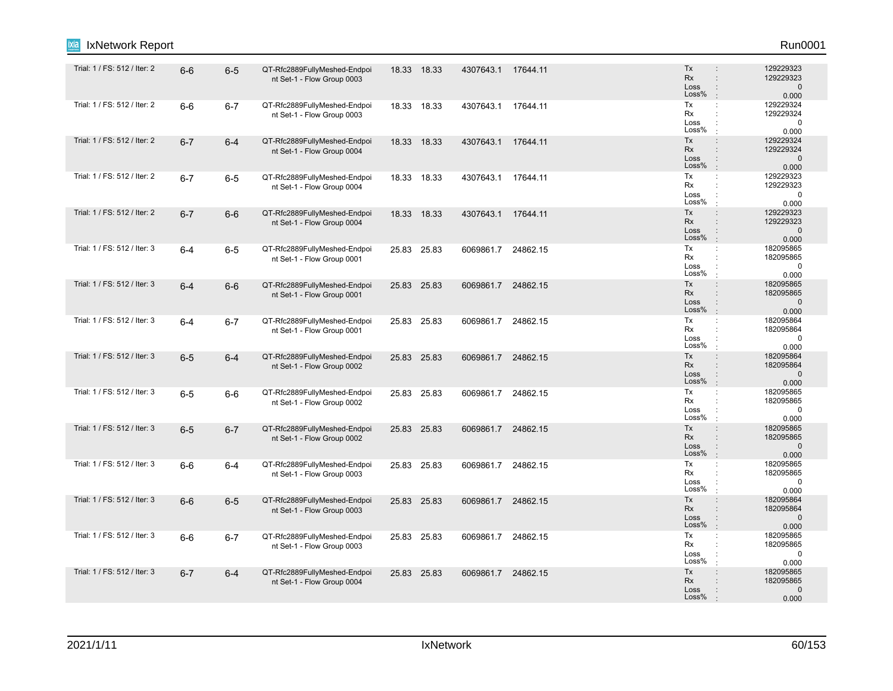| IxNetwork Report<br>ixia     |         |         |                                                            |             |                    |          |                                                                                                                          | Run0001                                        |
|------------------------------|---------|---------|------------------------------------------------------------|-------------|--------------------|----------|--------------------------------------------------------------------------------------------------------------------------|------------------------------------------------|
| Trial: 1 / FS: 512 / Iter: 2 | $6-6$   | $6-5$   | QT-Rfc2889FullyMeshed-Endpoi<br>nt Set-1 - Flow Group 0003 | 18.33 18.33 | 4307643.1 17644.11 |          | Tx<br>$\ddot{\phantom{a}}$<br><b>Rx</b><br>$\ddot{\phantom{a}}$<br>Loss<br>$\ddot{\phantom{a}}$<br>Loss%                 | 129229323<br>129229323<br>$\mathbf 0$<br>0.000 |
| Trial: 1 / FS: 512 / Iter: 2 | $6-6$   | $6 - 7$ | QT-Rfc2889FullyMeshed-Endpoi<br>nt Set-1 - Flow Group 0003 | 18.33 18.33 | 4307643.1 17644.11 |          | Tx<br>$\ddot{\cdot}$<br>Rx<br>$\ddot{\phantom{a}}$<br>Loss<br>$\ddot{\phantom{a}}$<br>Loss%<br>$\cdot$                   | 129229324<br>129229324<br>$\pmb{0}$<br>0.000   |
| Trial: 1 / FS: 512 / Iter: 2 | $6 - 7$ | $6-4$   | QT-Rfc2889FullyMeshed-Endpoi<br>nt Set-1 - Flow Group 0004 | 18.33 18.33 | 4307643.1 17644.11 |          | Tx<br>$\ddot{\phantom{a}}$<br>Rx<br>Loss<br>$\ddot{\phantom{a}}$<br>Loss%<br>$\pm$                                       | 129229324<br>129229324<br>$\mathbf 0$<br>0.000 |
| Trial: 1 / FS: 512 / Iter: 2 | $6 - 7$ | $6-5$   | QT-Rfc2889FullyMeshed-Endpoi<br>nt Set-1 - Flow Group 0004 | 18.33 18.33 | 4307643.1 17644.11 |          | Tx<br>÷<br>Rx<br>÷<br>Loss<br>Loss%<br>$\cdot$                                                                           | 129229323<br>129229323<br>$\mathbf 0$<br>0.000 |
| Trial: 1 / FS: 512 / Iter: 2 | $6 - 7$ | $6-6$   | QT-Rfc2889FullyMeshed-Endpoi<br>nt Set-1 - Flow Group 0004 | 18.33 18.33 | 4307643.1          | 17644.11 | Tx<br>$\ddot{\phantom{a}}$<br><b>Rx</b><br>$\ddot{\phantom{a}}$<br>Loss<br>Loss%<br>$\cdot$                              | 129229323<br>129229323<br>$\mathbf 0$<br>0.000 |
| Trial: 1 / FS: 512 / Iter: 3 | $6 - 4$ | $6-5$   | QT-Rfc2889FullyMeshed-Endpoi<br>nt Set-1 - Flow Group 0001 | 25.83 25.83 | 6069861.7 24862.15 |          | Tx<br>$\ddot{\cdot}$<br>Rx<br>$\ddot{\phantom{a}}$<br>Loss<br>Loss%<br>$\cdot$                                           | 182095865<br>182095865<br>0<br>0.000           |
| Trial: 1 / FS: 512 / Iter: 3 | $6 - 4$ | $6-6$   | QT-Rfc2889FullyMeshed-Endpoi<br>nt Set-1 - Flow Group 0001 | 25.83 25.83 | 6069861.7 24862.15 |          | Tx<br>$\ddot{\phantom{a}}$<br><b>Rx</b><br>$\ddot{\phantom{a}}$<br>Loss<br>$\ddot{\phantom{a}}$<br>Loss%<br>÷.           | 182095865<br>182095865<br>$\mathbf 0$<br>0.000 |
| Trial: 1 / FS: 512 / Iter: 3 | $6 - 4$ | $6 - 7$ | QT-Rfc2889FullyMeshed-Endpoi<br>nt Set-1 - Flow Group 0001 | 25.83 25.83 | 6069861.7 24862.15 |          | Tx<br>÷<br>Rx<br>÷<br>Loss<br>Loss%<br>$\cdot$                                                                           | 182095864<br>182095864<br>0<br>0.000           |
| Trial: 1 / FS: 512 / Iter: 3 | $6-5$   | $6 - 4$ | QT-Rfc2889FullyMeshed-Endpoi<br>nt Set-1 - Flow Group 0002 | 25.83 25.83 | 6069861.7 24862.15 |          | Tx<br>$\ddot{\phantom{a}}$<br><b>Rx</b><br>$\ddot{\phantom{a}}$<br>Loss<br>$\ddot{\phantom{a}}$<br>Loss%<br>$\mathbf{r}$ | 182095864<br>182095864<br>$\mathbf 0$<br>0.000 |
| Trial: 1 / FS: 512 / Iter: 3 | $6-5$   | $6-6$   | QT-Rfc2889FullyMeshed-Endpoi<br>nt Set-1 - Flow Group 0002 | 25.83 25.83 | 6069861.7 24862.15 |          | Tx<br>$\ddot{\cdot}$<br>Rx<br>$\ddot{\phantom{a}}$<br>Loss<br>$\ddot{\phantom{a}}$<br>Loss%                              | 182095865<br>182095865<br>$\mathbf 0$<br>0.000 |
| Trial: 1 / FS: 512 / Iter: 3 | $6-5$   | $6 - 7$ | QT-Rfc2889FullyMeshed-Endpoi<br>nt Set-1 - Flow Group 0002 | 25.83 25.83 | 6069861.7 24862.15 |          | Tx<br>$\ddot{\phantom{a}}$<br>Rx<br>$\ddot{\phantom{a}}$<br>Loss<br>$\vdots$<br>Loss%<br>÷.                              | 182095865<br>182095865<br>$\mathbf 0$<br>0.000 |
| Trial: 1 / FS: 512 / Iter: 3 | $6-6$   | $6-4$   | QT-Rfc2889FullyMeshed-Endpoi<br>nt Set-1 - Flow Group 0003 | 25.83 25.83 | 6069861.7          | 24862.15 | Tx<br>÷<br>Rx<br>Loss<br>÷<br>Loss%                                                                                      | 182095865<br>182095865<br>$\mathbf 0$<br>0.000 |
| Trial: 1 / FS: 512 / Iter: 3 | $6-6$   | $6-5$   | QT-Rfc2889FullyMeshed-Endpoi<br>nt Set-1 - Flow Group 0003 | 25.83 25.83 | 6069861.7 24862.15 |          | Tx<br>$\ddot{\phantom{a}}$<br>Rx<br>Loss<br>$\ddot{\phantom{a}}$<br>Loss%                                                | 182095864<br>182095864<br>$\mathbf 0$<br>0.000 |
| Trial: 1 / FS: 512 / Iter: 3 | $6-6$   | $6 - 7$ | QT-Rfc2889FullyMeshed-Endpoi<br>nt Set-1 - Flow Group 0003 | 25.83 25.83 | 6069861.7          | 24862.15 | Tx<br>÷<br>Rx<br>$\ddot{\phantom{a}}$<br>Loss<br>Loss%                                                                   | 182095865<br>182095865<br>0<br>0.000           |
| Trial: 1 / FS: 512 / Iter: 3 | $6 - 7$ | $6 - 4$ | QT-Rfc2889FullyMeshed-Endpoi<br>nt Set-1 - Flow Group 0004 | 25.83 25.83 | 6069861.7 24862.15 |          | Tx<br>$\ddot{\phantom{a}}$<br>Rx<br>Loss<br>Loss%                                                                        | 182095865<br>182095865<br>$\mathbf 0$<br>0.000 |
|                              |         |         |                                                            |             |                    |          |                                                                                                                          |                                                |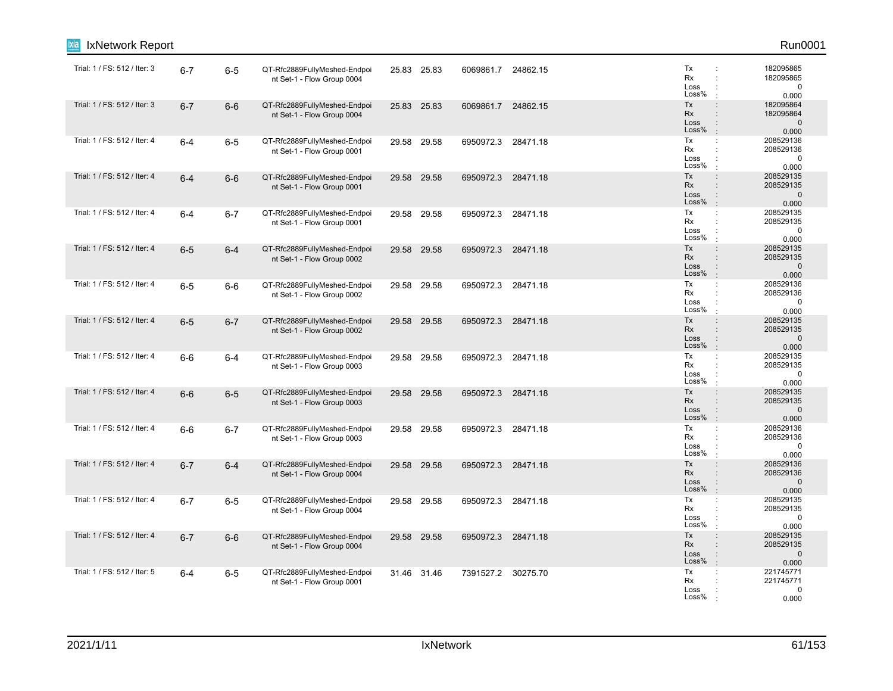| IxNetwork Report             |         |         |                                                            |             |                    |          |                                                                                                                     | Run0001                                        |
|------------------------------|---------|---------|------------------------------------------------------------|-------------|--------------------|----------|---------------------------------------------------------------------------------------------------------------------|------------------------------------------------|
| Trial: 1 / FS: 512 / Iter: 3 | $6 - 7$ | $6-5$   | QT-Rfc2889FullyMeshed-Endpoi<br>nt Set-1 - Flow Group 0004 | 25.83 25.83 | 6069861.7          | 24862.15 | Tx<br>÷<br>Rx<br>÷<br>Loss<br>Loss%                                                                                 | 182095865<br>182095865<br>$\mathbf 0$<br>0.000 |
| Trial: 1 / FS: 512 / Iter: 3 | $6 - 7$ | $6-6$   | QT-Rfc2889FullyMeshed-Endpoi<br>nt Set-1 - Flow Group 0004 | 25.83 25.83 | 6069861.7          | 24862.15 | Tx<br>$\ddot{\phantom{a}}$<br>Rx<br>$\ddot{\phantom{a}}$<br>Loss<br>$\ddot{\phantom{a}}$<br>Loss%<br>$\cdot$        | 182095864<br>182095864<br>$\mathbf 0$<br>0.000 |
| Trial: 1 / FS: 512 / Iter: 4 | $6 - 4$ | $6-5$   | QT-Rfc2889FullyMeshed-Endpoi<br>nt Set-1 - Flow Group 0001 | 29.58 29.58 | 6950972.3 28471.18 |          | Tx<br>÷<br>Rx<br>$\ddot{\phantom{a}}$<br>Loss<br>$\ddot{\phantom{a}}$<br>Loss%<br>$\mathbf{r}$                      | 208529136<br>208529136<br>$\mathbf 0$<br>0.000 |
| Trial: 1 / FS: 512 / Iter: 4 | $6 - 4$ | $6-6$   | QT-Rfc2889FullyMeshed-Endpoi<br>nt Set-1 - Flow Group 0001 | 29.58 29.58 | 6950972.3          | 28471.18 | Tx<br>$\ddot{\phantom{a}}$<br>Rx<br>Loss<br>Loss%<br>$\ddot{\phantom{a}}$                                           | 208529135<br>208529135<br>$\mathbf 0$<br>0.000 |
| Trial: 1 / FS: 512 / Iter: 4 | $6 - 4$ | $6 - 7$ | QT-Rfc2889FullyMeshed-Endpoi<br>nt Set-1 - Flow Group 0001 | 29.58 29.58 | 6950972.3          | 28471.18 | Tx<br>÷<br>Rx<br>$\ddot{\phantom{a}}$<br>Loss<br>Loss%<br>÷                                                         | 208529135<br>208529135<br>$\mathbf 0$<br>0.000 |
| Trial: 1 / FS: 512 / Iter: 4 | $6-5$   | $6 - 4$ | QT-Rfc2889FullyMeshed-Endpoi<br>nt Set-1 - Flow Group 0002 | 29.58 29.58 | 6950972.3          | 28471.18 | Tx<br>$\ddot{\phantom{a}}$<br>Rx<br>$\div$<br>Loss<br>$\ddot{\phantom{a}}$<br>Loss%<br>$\cdot$                      | 208529135<br>208529135<br>$\mathbf 0$<br>0.000 |
| Trial: 1 / FS: 512 / Iter: 4 | $6-5$   | $6-6$   | QT-Rfc2889FullyMeshed-Endpoi<br>nt Set-1 - Flow Group 0002 | 29.58 29.58 | 6950972.3 28471.18 |          | Tx<br>$\ddot{\phantom{a}}$<br>Rx<br>$\ddot{\phantom{a}}$<br>Loss<br>÷<br>Loss%<br>$\mathbf{r}$                      | 208529136<br>208529136<br>$\mathbf 0$<br>0.000 |
| Trial: 1 / FS: 512 / Iter: 4 | $6-5$   | $6 - 7$ | QT-Rfc2889FullyMeshed-Endpoi<br>nt Set-1 - Flow Group 0002 | 29.58 29.58 | 6950972.3 28471.18 |          | Tx<br>$\ddot{\phantom{a}}$<br>Rx<br>Loss<br>$\ddot{\phantom{a}}$<br>Loss%<br>$\mathbb{R}^2$                         | 208529135<br>208529135<br>$\mathbf 0$<br>0.000 |
| Trial: 1 / FS: 512 / Iter: 4 | $6-6$   | $6 - 4$ | QT-Rfc2889FullyMeshed-Endpoi<br>nt Set-1 - Flow Group 0003 | 29.58 29.58 | 6950972.3 28471.18 |          | Tx<br>÷<br>Rx<br>Loss<br>Loss%<br>$\cdot$                                                                           | 208529135<br>208529135<br>$\mathbf 0$<br>0.000 |
| Trial: 1 / FS: 512 / Iter: 4 | $6-6$   | $6-5$   | QT-Rfc2889FullyMeshed-Endpoi<br>nt Set-1 - Flow Group 0003 | 29.58 29.58 | 6950972.3          | 28471.18 | Tx<br>$\div$<br>Rx<br>$\ddot{\phantom{a}}$<br>Loss<br>Loss%<br>$\cdot$                                              | 208529135<br>208529135<br>$\mathbf 0$<br>0.000 |
| Trial: 1 / FS: 512 / Iter: 4 | $6-6$   | $6 - 7$ | QT-Rfc2889FullyMeshed-Endpoi<br>nt Set-1 - Flow Group 0003 | 29.58 29.58 | 6950972.3          | 28471.18 | Tx<br>$\mathbb{C}^{\times}$<br>Rx<br>Loss<br>Loss%                                                                  | 208529136<br>208529136<br>0<br>0.000           |
| Trial: 1 / FS: 512 / Iter: 4 | $6 - 7$ | $6 - 4$ | QT-Rfc2889FullyMeshed-Endpoi<br>nt Set-1 - Flow Group 0004 | 29.58 29.58 | 6950972.3          | 28471.18 | Tx<br>$\ddot{\phantom{a}}$<br><b>Rx</b><br>$\ddot{\phantom{a}}$<br>Loss<br>$\ddot{\phantom{a}}$<br>Loss%<br>$\cdot$ | 208529136<br>208529136<br>$\mathbf 0$<br>0.000 |
| Trial: 1 / FS: 512 / Iter: 4 | $6 - 7$ | $6-5$   | QT-Rfc2889FullyMeshed-Endpoi<br>nt Set-1 - Flow Group 0004 | 29.58 29.58 | 6950972.3 28471.18 |          | Tx<br>÷<br>Rx<br>Loss<br>Loss%                                                                                      | 208529135<br>208529135<br>$\mathbf 0$<br>0.000 |
| Trial: 1 / FS: 512 / Iter: 4 | $6 - 7$ | $6-6$   | QT-Rfc2889FullyMeshed-Endpoi<br>nt Set-1 - Flow Group 0004 | 29.58 29.58 | 6950972.3 28471.18 |          | Tx<br>$\ddot{\phantom{a}}$<br>Rx<br>$\ddot{\phantom{a}}$<br>Loss<br>÷<br>Loss%<br>$\mathbf{r}$                      | 208529135<br>208529135<br>$\pmb{0}$<br>0.000   |
| Trial: 1 / FS: 512 / Iter: 5 | 6-4     | $6-5$   | QT-Rfc2889FullyMeshed-Endpoi<br>nt Set-1 - Flow Group 0001 | 31.46 31.46 | 7391527.2 30275.70 |          | Tx<br>÷<br>Rx<br>Loss<br>Loss%                                                                                      | 221745771<br>221745771<br>0<br>0.000           |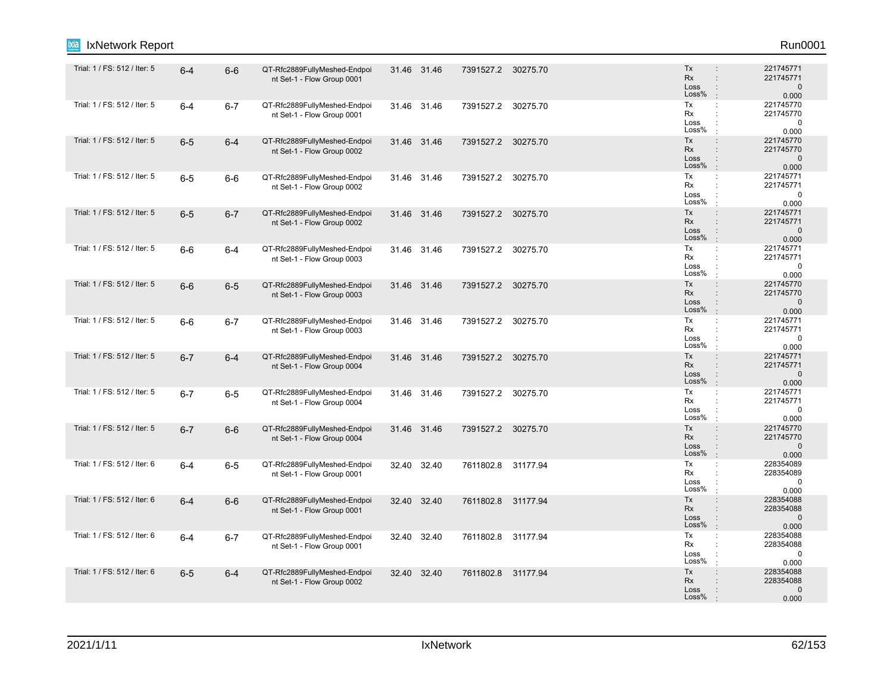| IxNetwork Report             |         |         |                                                            |       |             |                    |          |                                                                                                                     | Run0001                                         |
|------------------------------|---------|---------|------------------------------------------------------------|-------|-------------|--------------------|----------|---------------------------------------------------------------------------------------------------------------------|-------------------------------------------------|
| Trial: 1 / FS: 512 / Iter: 5 | $6-4$   | $6-6$   | QT-Rfc2889FullyMeshed-Endpoi<br>nt Set-1 - Flow Group 0001 |       | 31.46 31.46 | 7391527.2 30275.70 |          | Tx<br>$\ddot{\phantom{a}}$<br><b>Rx</b><br>$\ddot{\phantom{a}}$<br>Loss<br>$\ddot{\phantom{a}}$<br>Loss%            | 221745771<br>221745771<br>$\mathbf 0$<br>0.000  |
| Trial: 1 / FS: 512 / Iter: 5 | $6 - 4$ | $6 - 7$ | QT-Rfc2889FullyMeshed-Endpoi<br>nt Set-1 - Flow Group 0001 |       | 31.46 31.46 | 7391527.2 30275.70 |          | Tx<br>$\ddot{\cdot}$<br>Rx<br>$\ddot{\phantom{a}}$<br>Loss<br>$\ddot{\phantom{a}}$<br>Loss%<br>$\cdot$              | 221745770<br>221745770<br>$\pmb{0}$<br>0.000    |
| Trial: 1 / FS: 512 / Iter: 5 | $6-5$   | $6-4$   | QT-Rfc2889FullyMeshed-Endpoi<br>nt Set-1 - Flow Group 0002 |       | 31.46 31.46 | 7391527.2 30275.70 |          | Tx<br>$\ddot{\phantom{a}}$<br>Rx<br>÷<br>Loss<br>$\ddot{\phantom{a}}$<br>Loss%<br>$\pm$                             | 221745770<br>221745770<br>$\mathbf{0}$<br>0.000 |
| Trial: 1 / FS: 512 / Iter: 5 | $6-5$   | $6-6$   | QT-Rfc2889FullyMeshed-Endpoi<br>nt Set-1 - Flow Group 0002 |       | 31.46 31.46 | 7391527.2 30275.70 |          | Tx<br>÷<br>Rx<br>÷<br>Loss<br>Loss%<br>$\cdot$                                                                      | 221745771<br>221745771<br>$\mathbf 0$<br>0.000  |
| Trial: 1 / FS: 512 / Iter: 5 | $6-5$   | $6 - 7$ | QT-Rfc2889FullyMeshed-Endpoi<br>nt Set-1 - Flow Group 0002 |       | 31.46 31.46 | 7391527.2 30275.70 |          | Tx<br>$\ddot{\phantom{a}}$<br><b>Rx</b><br>$\ddot{\phantom{a}}$<br>Loss<br>Loss%<br>$\cdot$                         | 221745771<br>221745771<br>$\mathbf 0$<br>0.000  |
| Trial: 1 / FS: 512 / Iter: 5 | $6-6$   | $6 - 4$ | QT-Rfc2889FullyMeshed-Endpoi<br>nt Set-1 - Flow Group 0003 |       | 31.46 31.46 | 7391527.2 30275.70 |          | Tx<br>$\ddot{\cdot}$<br>Rx<br>$\ddot{\phantom{a}}$<br>Loss<br>Loss%<br>$\cdot$                                      | 221745771<br>221745771<br>0<br>0.000            |
| Trial: 1 / FS: 512 / Iter: 5 | $6-6$   | $6-5$   | QT-Rfc2889FullyMeshed-Endpoi<br>nt Set-1 - Flow Group 0003 |       | 31.46 31.46 | 7391527.2 30275.70 |          | Tx<br>$\ddot{\phantom{a}}$<br><b>Rx</b><br>$\ddot{\phantom{a}}$<br>Loss<br>$\ddot{\phantom{a}}$<br>Loss%<br>$\cdot$ | 221745770<br>221745770<br>$\mathbf 0$<br>0.000  |
| Trial: 1 / FS: 512 / Iter: 5 | $6-6$   | $6 - 7$ | QT-Rfc2889FullyMeshed-Endpoi<br>nt Set-1 - Flow Group 0003 |       | 31.46 31.46 | 7391527.2 30275.70 |          | Tx<br>÷<br>Rx<br>÷<br>Loss<br>Loss%<br>$\cdot$                                                                      | 221745771<br>221745771<br>0<br>0.000            |
| Trial: 1 / FS: 512 / Iter: 5 | $6 - 7$ | $6 - 4$ | QT-Rfc2889FullyMeshed-Endpoi<br>nt Set-1 - Flow Group 0004 |       | 31.46 31.46 | 7391527.2 30275.70 |          | Tx<br>$\ddot{\phantom{a}}$<br><b>Rx</b><br>$\ddot{\phantom{a}}$<br>Loss<br>$\ddot{\phantom{a}}$<br>Loss%<br>$\cdot$ | 221745771<br>221745771<br>$\mathbf 0$<br>0.000  |
| Trial: 1 / FS: 512 / Iter: 5 | $6 - 7$ | $6-5$   | QT-Rfc2889FullyMeshed-Endpoi<br>nt Set-1 - Flow Group 0004 |       | 31.46 31.46 | 7391527.2 30275.70 |          | Tx<br>$\ddot{\cdot}$<br>Rx<br>$\ddot{\phantom{a}}$<br>Loss<br>$\ddot{\phantom{a}}$<br>Loss%                         | 221745771<br>221745771<br>$\mathbf 0$<br>0.000  |
| Trial: 1 / FS: 512 / Iter: 5 | $6 - 7$ | $6-6$   | QT-Rfc2889FullyMeshed-Endpoi<br>nt Set-1 - Flow Group 0004 |       | 31.46 31.46 | 7391527.2 30275.70 |          | Tx<br>$\ddot{\phantom{a}}$<br>Rx<br>$\ddot{\phantom{a}}$<br>Loss<br>$\vdots$<br>Loss%<br>÷.                         | 221745770<br>221745770<br>$\mathbf 0$<br>0.000  |
| Trial: 1 / FS: 512 / Iter: 6 | $6 - 4$ | $6-5$   | QT-Rfc2889FullyMeshed-Endpoi<br>nt Set-1 - Flow Group 0001 |       | 32.40 32.40 | 7611802.8 31177.94 |          | Tx<br>÷<br>Rx<br>Loss<br>÷<br>Loss%                                                                                 | 228354089<br>228354089<br>$\mathbf 0$<br>0.000  |
| Trial: 1 / FS: 512 / Iter: 6 | $6 - 4$ | $6-6$   | QT-Rfc2889FullyMeshed-Endpoi<br>nt Set-1 - Flow Group 0001 |       | 32.40 32.40 | 7611802.8 31177.94 |          | Tx<br>$\ddot{\phantom{a}}$<br>Rx<br>Loss<br>$\ddot{\phantom{a}}$<br>Loss%<br>$\mathbf{r}$                           | 228354088<br>228354088<br>$\mathbf 0$<br>0.000  |
| Trial: 1 / FS: 512 / Iter: 6 | $6 - 4$ | $6-7$   | QT-Rfc2889FullyMeshed-Endpoi<br>nt Set-1 - Flow Group 0001 | 32.40 | 32.40       | 7611802.8          | 31177.94 | Tx<br>÷<br>Rx<br>$\ddot{\phantom{a}}$<br>Loss<br>Loss%                                                              | 228354088<br>228354088<br>0<br>0.000            |
| Trial: 1 / FS: 512 / Iter: 6 | $6-5$   | $6 - 4$ | QT-Rfc2889FullyMeshed-Endpoi<br>nt Set-1 - Flow Group 0002 |       | 32.40 32.40 | 7611802.8 31177.94 |          | Tx<br>$\ddot{\phantom{a}}$<br>Rx<br>Loss<br>Loss%                                                                   | 228354088<br>228354088<br>$\mathbf 0$<br>0.000  |
|                              |         |         |                                                            |       |             |                    |          |                                                                                                                     |                                                 |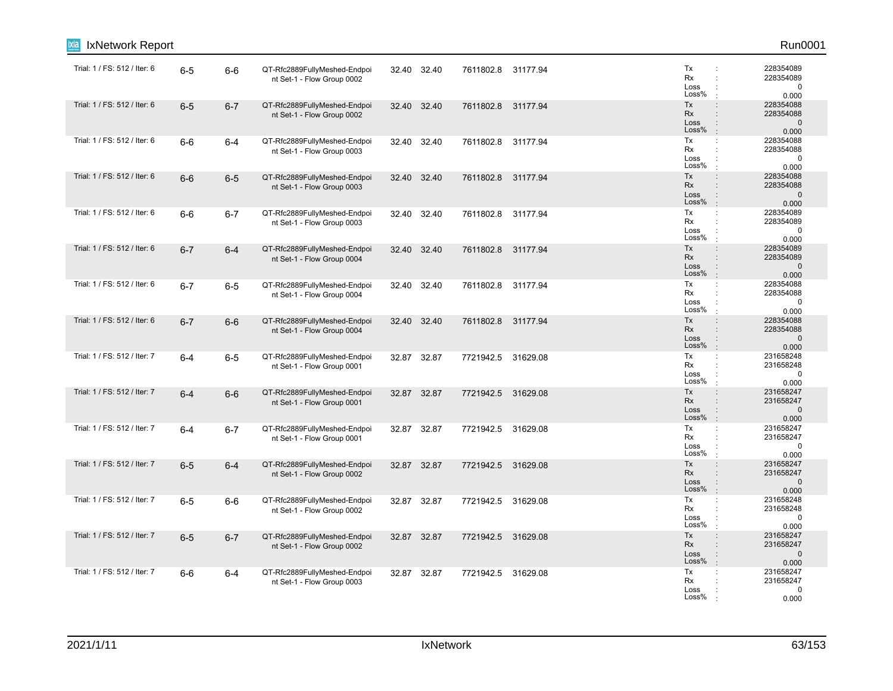| IxNetwork Report             |         |         |                                                            |       |             |                    |          |                                                                                                                     | Run0001                                         |
|------------------------------|---------|---------|------------------------------------------------------------|-------|-------------|--------------------|----------|---------------------------------------------------------------------------------------------------------------------|-------------------------------------------------|
| Trial: 1 / FS: 512 / Iter: 6 | $6-5$   | $6-6$   | QT-Rfc2889FullyMeshed-Endpoi<br>nt Set-1 - Flow Group 0002 |       | 32.40 32.40 | 7611802.8 31177.94 |          | Tx<br>Rx<br>÷<br>Loss<br>Loss%                                                                                      | 228354089<br>228354089<br>$\mathbf 0$<br>0.000  |
| Trial: 1 / FS: 512 / Iter: 6 | $6-5$   | $6 - 7$ | QT-Rfc2889FullyMeshed-Endpoi<br>nt Set-1 - Flow Group 0002 | 32.40 | 32.40       | 7611802.8          | 31177.94 | Tx<br>$\ddot{\phantom{a}}$<br>Rx<br>$\ddot{\phantom{a}}$<br>Loss<br>$\ddot{\phantom{a}}$<br>Loss%<br>$\cdot$        | 228354088<br>228354088<br>$\mathbf 0$<br>0.000  |
| Trial: 1 / FS: 512 / Iter: 6 | $6-6$   | $6 - 4$ | QT-Rfc2889FullyMeshed-Endpoi<br>nt Set-1 - Flow Group 0003 |       | 32.40 32.40 | 7611802.8 31177.94 |          | Tx<br>$\ddot{\phantom{a}}$<br>Rx<br>$\ddot{\phantom{a}}$<br>Loss<br>$\ddot{\phantom{a}}$<br>Loss%<br>$\mathbf{r}$   | 228354088<br>228354088<br>$\mathbf 0$<br>0.000  |
| Trial: 1 / FS: 512 / Iter: 6 | $6-6$   | $6-5$   | QT-Rfc2889FullyMeshed-Endpoi<br>nt Set-1 - Flow Group 0003 |       | 32.40 32.40 | 7611802.8          | 31177.94 | Tx<br>$\ddot{\phantom{a}}$<br>Rx<br>Loss<br>Loss%<br>$\ddot{\phantom{a}}$                                           | 228354088<br>228354088<br>$\mathbf 0$<br>0.000  |
| Trial: 1 / FS: 512 / Iter: 6 | $6-6$   | $6 - 7$ | QT-Rfc2889FullyMeshed-Endpoi<br>nt Set-1 - Flow Group 0003 |       | 32.40 32.40 | 7611802.8          | 31177.94 | Tx<br>÷<br>Rx<br>$\ddot{\phantom{a}}$<br>Loss<br>Loss%<br>÷                                                         | 228354089<br>228354089<br>0<br>0.000            |
| Trial: 1 / FS: 512 / Iter: 6 | $6 - 7$ | $6 - 4$ | QT-Rfc2889FullyMeshed-Endpoi<br>nt Set-1 - Flow Group 0004 |       | 32.40 32.40 | 7611802.8          | 31177.94 | Tx<br>$\ddot{\phantom{a}}$<br>Rx<br>$\div$<br>Loss<br>$\ddot{\phantom{a}}$<br>Loss%<br>$\cdot$                      | 228354089<br>228354089<br>$\mathbf{0}$<br>0.000 |
| Trial: 1 / FS: 512 / Iter: 6 | $6 - 7$ | $6-5$   | QT-Rfc2889FullyMeshed-Endpoi<br>nt Set-1 - Flow Group 0004 | 32.40 | 32.40       | 7611802.8          | 31177.94 | Tx<br>$\ddot{\phantom{a}}$<br>Rx<br>$\ddot{\phantom{a}}$<br>Loss<br>÷<br>Loss%<br>$\mathbf{r}$                      | 228354088<br>228354088<br>$\mathbf 0$<br>0.000  |
| Trial: 1 / FS: 512 / Iter: 6 | $6 - 7$ | $6-6$   | QT-Rfc2889FullyMeshed-Endpoi<br>nt Set-1 - Flow Group 0004 |       | 32.40 32.40 | 7611802.8          | 31177.94 | Tx<br>$\ddot{\phantom{a}}$<br>Rx<br>Loss<br>$\ddot{\phantom{a}}$<br>Loss%<br>$\mathbb{R}^2$                         | 228354088<br>228354088<br>$\mathbf{0}$<br>0.000 |
| Trial: 1 / FS: 512 / Iter: 7 | $6 - 4$ | $6-5$   | QT-Rfc2889FullyMeshed-Endpoi<br>nt Set-1 - Flow Group 0001 |       | 32.87 32.87 | 7721942.5 31629.08 |          | Tx<br>÷<br>Rx<br>Loss<br>Loss%<br>$\cdot$                                                                           | 231658248<br>231658248<br>$\mathbf 0$<br>0.000  |
| Trial: 1 / FS: 512 / Iter: 7 | $6 - 4$ | $6-6$   | QT-Rfc2889FullyMeshed-Endpoi<br>nt Set-1 - Flow Group 0001 |       | 32.87 32.87 | 7721942.5 31629.08 |          | Tx<br>$\div$<br>Rx<br>$\ddot{\phantom{a}}$<br>Loss<br>Loss%<br>$\cdot$                                              | 231658247<br>231658247<br>$\mathbf 0$<br>0.000  |
| Trial: 1 / FS: 512 / Iter: 7 | $6 - 4$ | $6 - 7$ | QT-Rfc2889FullyMeshed-Endpoi<br>nt Set-1 - Flow Group 0001 |       | 32.87 32.87 | 7721942.5 31629.08 |          | Tx<br>$\mathbb{C}^{\times}$<br>Rx<br>Loss<br>Loss%                                                                  | 231658247<br>231658247<br>0<br>0.000            |
| Trial: 1 / FS: 512 / Iter: 7 | $6-5$   | $6 - 4$ | QT-Rfc2889FullyMeshed-Endpoi<br>nt Set-1 - Flow Group 0002 |       | 32.87 32.87 | 7721942.5          | 31629.08 | Tx<br>$\ddot{\phantom{a}}$<br><b>Rx</b><br>$\ddot{\phantom{a}}$<br>Loss<br>$\ddot{\phantom{a}}$<br>Loss%<br>$\cdot$ | 231658247<br>231658247<br>$\mathbf 0$<br>0.000  |
| Trial: 1 / FS: 512 / Iter: 7 | $6-5$   | $6-6$   | QT-Rfc2889FullyMeshed-Endpoi<br>nt Set-1 - Flow Group 0002 |       | 32.87 32.87 | 7721942.5 31629.08 |          | Tx<br>÷<br>Rx<br>Loss<br>Loss%                                                                                      | 231658248<br>231658248<br>$\mathbf 0$<br>0.000  |
| Trial: 1 / FS: 512 / Iter: 7 | $6-5$   | $6 - 7$ | QT-Rfc2889FullyMeshed-Endpoi<br>nt Set-1 - Flow Group 0002 |       | 32.87 32.87 | 7721942.5 31629.08 |          | Tx<br>$\ddot{\phantom{a}}$<br>Rx<br>$\ddot{\phantom{a}}$<br>Loss<br>÷<br>Loss%<br>$\mathbf{r}$                      | 231658247<br>231658247<br>$\mathbf 0$<br>0.000  |
| Trial: 1 / FS: 512 / Iter: 7 | $6-6$   | $6 - 4$ | QT-Rfc2889FullyMeshed-Endpoi<br>nt Set-1 - Flow Group 0003 |       | 32.87 32.87 | 7721942.5 31629.08 |          | Tx<br>÷<br>Rx<br>Loss<br>Loss%                                                                                      | 231658247<br>231658247<br>0<br>0.000            |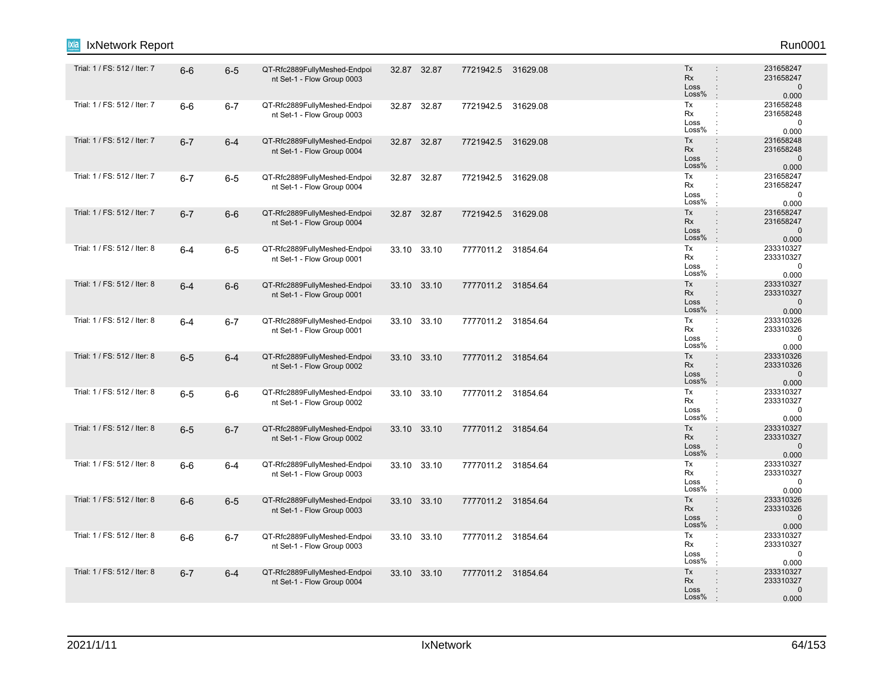| IxNetwork Report<br>ixia     |         |         |                                                            |             |                    |                                                                                                         | Run0001                                         |
|------------------------------|---------|---------|------------------------------------------------------------|-------------|--------------------|---------------------------------------------------------------------------------------------------------|-------------------------------------------------|
| Trial: 1 / FS: 512 / Iter: 7 | $6-6$   | $6-5$   | QT-Rfc2889FullyMeshed-Endpoi<br>nt Set-1 - Flow Group 0003 | 32.87 32.87 | 7721942.5 31629.08 | Tx<br><b>Rx</b><br>$\ddot{\phantom{a}}$<br>Loss<br>$\ddot{\phantom{a}}$<br>Loss%                        | 231658247<br>231658247<br>$\mathbf 0$<br>0.000  |
| Trial: 1 / FS: 512 / Iter: 7 | $6-6$   | $6 - 7$ | QT-Rfc2889FullyMeshed-Endpoi<br>nt Set-1 - Flow Group 0003 | 32.87 32.87 | 7721942.5 31629.08 | Tx<br>$\ddot{\phantom{a}}$<br>Rx<br>$\ddot{\phantom{a}}$<br>Loss<br>÷<br>Loss%<br>$\cdot$               | 231658248<br>231658248<br>$\mathbf 0$<br>0.000  |
| Trial: 1 / FS: 512 / Iter: 7 | $6 - 7$ | $6-4$   | QT-Rfc2889FullyMeshed-Endpoi<br>nt Set-1 - Flow Group 0004 | 32.87 32.87 | 7721942.5 31629.08 | Tx<br>$\ddot{\phantom{a}}$<br>Rx<br>Loss<br>$\ddot{\phantom{a}}$<br>Loss%<br>$\div$                     | 231658248<br>231658248<br>$\mathbf 0$<br>0.000  |
| Trial: 1 / FS: 512 / Iter: 7 | $6 - 7$ | $6-5$   | QT-Rfc2889FullyMeshed-Endpoi<br>nt Set-1 - Flow Group 0004 | 32.87 32.87 | 7721942.5 31629.08 | Tx<br>÷<br>Rx<br>Loss<br>Loss%<br>$\cdot$                                                               | 231658247<br>231658247<br>$\mathbf 0$<br>0.000  |
| Trial: 1 / FS: 512 / Iter: 7 | $6 - 7$ | $6-6$   | QT-Rfc2889FullyMeshed-Endpoi<br>nt Set-1 - Flow Group 0004 | 32.87 32.87 | 7721942.5 31629.08 | Tx<br>$\ddot{\phantom{a}}$<br>Rx<br>$\ddot{\phantom{a}}$<br>Loss<br>Loss%<br>÷                          | 231658247<br>231658247<br>$\mathbf 0$<br>0.000  |
| Trial: 1 / FS: 512 / Iter: 8 | $6 - 4$ | $6-5$   | QT-Rfc2889FullyMeshed-Endpoi<br>nt Set-1 - Flow Group 0001 | 33.10 33.10 | 7777011.2 31854.64 | Tx<br>÷<br>Rx<br>$\ddot{\phantom{a}}$<br>Loss<br>Loss%<br>$\cdot$                                       | 233310327<br>233310327<br>0<br>0.000            |
| Trial: 1 / FS: 512 / Iter: 8 | $6 - 4$ | $6-6$   | QT-Rfc2889FullyMeshed-Endpoi<br>nt Set-1 - Flow Group 0001 | 33.10 33.10 | 7777011.2 31854.64 | Tx<br>$\ddot{\phantom{a}}$<br>Rx<br>$\ddot{\phantom{a}}$<br>Loss<br>$\ddot{\phantom{a}}$<br>Loss%<br>÷. | 233310327<br>233310327<br>$\mathbf 0$<br>0.000  |
| Trial: 1 / FS: 512 / Iter: 8 | $6 - 4$ | $6 - 7$ | QT-Rfc2889FullyMeshed-Endpoi<br>nt Set-1 - Flow Group 0001 | 33.10 33.10 | 7777011.2 31854.64 | Tx<br>÷<br>Rx<br>Loss<br>Loss%<br>$\cdot$                                                               | 233310326<br>233310326<br>$\Omega$<br>0.000     |
| Trial: 1 / FS: 512 / Iter: 8 | $6-5$   | $6 - 4$ | QT-Rfc2889FullyMeshed-Endpoi<br>nt Set-1 - Flow Group 0002 | 33.10 33.10 | 7777011.2 31854.64 | Tx<br>$\ddot{\phantom{a}}$<br>Rx<br>$\ddot{\phantom{a}}$<br>Loss<br>Loss%<br>$\overline{1}$             | 233310326<br>233310326<br>$\mathbf 0$<br>0.000  |
| Trial: 1 / FS: 512 / Iter: 8 | $6-5$   | $6-6$   | QT-Rfc2889FullyMeshed-Endpoi<br>nt Set-1 - Flow Group 0002 | 33.10 33.10 | 7777011.2 31854.64 | Tx<br>$\ddot{\cdot}$<br>$\cdot$<br>Rx<br>Loss<br>Loss%                                                  | 233310327<br>233310327<br>$\mathbf 0$<br>0.000  |
| Trial: 1 / FS: 512 / Iter: 8 | $6-5$   | $6 - 7$ | QT-Rfc2889FullyMeshed-Endpoi<br>nt Set-1 - Flow Group 0002 | 33.10 33.10 | 7777011.2 31854.64 | Tx<br>÷<br>Rx<br>$\ddot{\phantom{a}}$<br>Loss<br>$\ddot{\phantom{a}}$<br>Loss%<br>$\cdot$               | 233310327<br>233310327<br>$\mathbf 0$<br>0.000  |
| Trial: 1 / FS: 512 / Iter: 8 | $6-6$   | $6-4$   | QT-Rfc2889FullyMeshed-Endpoi<br>nt Set-1 - Flow Group 0003 | 33.10 33.10 | 7777011.2 31854.64 | Tx<br>$\ddot{\phantom{a}}$<br>Rx<br>÷<br>Loss<br>Loss%                                                  | 233310327<br>233310327<br>$\mathbf 0$<br>0.000  |
| Trial: 1 / FS: 512 / Iter: 8 | $6-6$   | $6-5$   | QT-Rfc2889FullyMeshed-Endpoi<br>nt Set-1 - Flow Group 0003 | 33.10 33.10 | 7777011.2 31854.64 | Tx<br>$\ddot{\phantom{a}}$<br><b>Rx</b><br>$\mathbf{r}$<br>Loss<br>$\ddot{\phantom{a}}$<br>Loss%        | 233310326<br>233310326<br>$\mathbf{0}$<br>0.000 |
| Trial: 1 / FS: 512 / Iter: 8 | $6-6$   | $6 - 7$ | QT-Rfc2889FullyMeshed-Endpoi<br>nt Set-1 - Flow Group 0003 | 33.10 33.10 | 7777011.2 31854.64 | Tx<br>$\ddot{\phantom{a}}$<br>Rx<br>÷<br>Loss<br>Loss%                                                  | 233310327<br>233310327<br>0<br>0.000            |
| Trial: 1 / FS: 512 / Iter: 8 | $6 - 7$ | $6-4$   | QT-Rfc2889FullyMeshed-Endpoi<br>nt Set-1 - Flow Group 0004 | 33.10 33.10 | 7777011.2 31854.64 | Tx<br>÷<br>Rx<br>Loss<br>$\ddot{\phantom{a}}$<br>Loss%                                                  | 233310327<br>233310327<br>$\pmb{0}$<br>0.000    |
|                              |         |         |                                                            |             |                    |                                                                                                         |                                                 |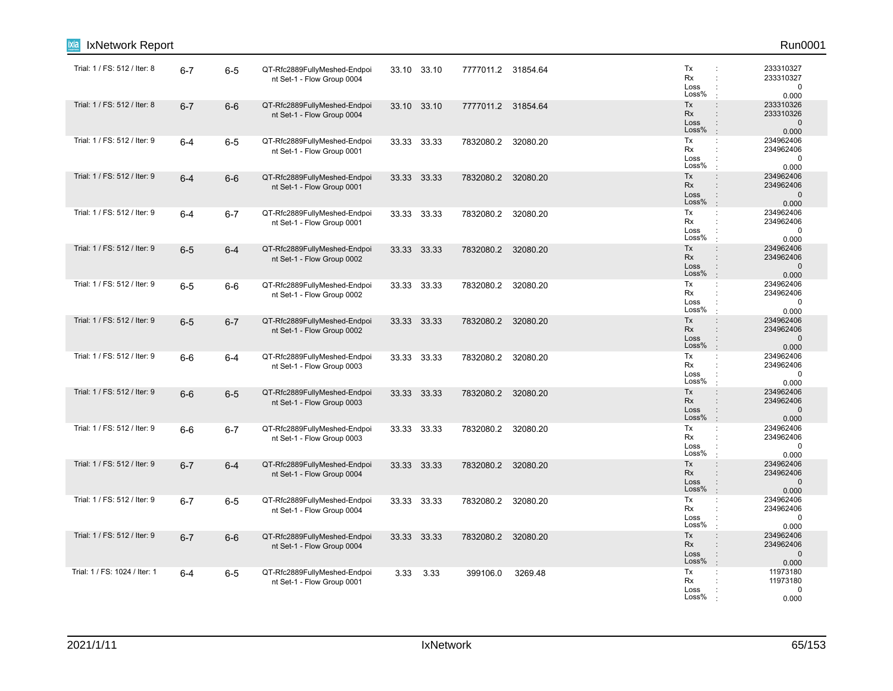| IxNetwork Report<br>ixia      |         |         |                                                            |       |             |                    |          |                                                                                                                     | Run0001                                         |
|-------------------------------|---------|---------|------------------------------------------------------------|-------|-------------|--------------------|----------|---------------------------------------------------------------------------------------------------------------------|-------------------------------------------------|
| Trial: 1 / FS: 512 / Iter: 8  | $6 - 7$ | $6-5$   | QT-Rfc2889FullyMeshed-Endpoi<br>nt Set-1 - Flow Group 0004 |       | 33.10 33.10 | 7777011.2 31854.64 |          | Tx<br>÷<br>Rx<br>÷<br>Loss<br>Loss%                                                                                 | 233310327<br>233310327<br>0<br>0.000            |
| Trial: 1 / FS: 512 / Iter: 8  | $6 - 7$ | $6-6$   | QT-Rfc2889FullyMeshed-Endpoi<br>nt Set-1 - Flow Group 0004 | 33.10 | 33.10       | 7777011.2 31854.64 |          | Tx<br>$\ddot{\phantom{a}}$<br>Rx<br>$\ddot{\phantom{a}}$<br>Loss<br>$\ddot{\phantom{a}}$<br>Loss%<br>$\pm$          | 233310326<br>233310326<br>$\mathbf 0$<br>0.000  |
| Trial: 1 / FS: 512 / Iter: 9  | $6 - 4$ | $6-5$   | QT-Rfc2889FullyMeshed-Endpoi<br>nt Set-1 - Flow Group 0001 |       | 33.33 33.33 | 7832080.2 32080.20 |          | Tx<br>÷<br>Rx<br>÷<br>Loss<br>÷<br>Loss%<br>$\mathbf{r}$                                                            | 234962406<br>234962406<br>$\mathbf 0$<br>0.000  |
| Trial: 1 / FS: 512 / Iter: 9  | $6 - 4$ | $6-6$   | QT-Rfc2889FullyMeshed-Endpoi<br>nt Set-1 - Flow Group 0001 |       | 33.33 33.33 | 7832080.2          | 32080.20 | Tx<br>$\ddot{\phantom{a}}$<br>Rx<br>Loss<br>Loss%<br>$\ddot{\phantom{a}}$                                           | 234962406<br>234962406<br>$\mathbf 0$<br>0.000  |
| Trial: 1 / FS: 512 / Iter: 9  | $6 - 4$ | $6 - 7$ | QT-Rfc2889FullyMeshed-Endpoi<br>nt Set-1 - Flow Group 0001 |       | 33.33 33.33 | 7832080.2          | 32080.20 | Tx<br>$\ddot{\phantom{a}}$<br>Rx<br>$\cdot$<br>Loss<br>Loss%                                                        | 234962406<br>234962406<br>0<br>0.000            |
| Trial: 1 / FS: 512 / Iter: 9  | $6-5$   | $6 - 4$ | QT-Rfc2889FullyMeshed-Endpoi<br>nt Set-1 - Flow Group 0002 |       | 33.33 33.33 | 7832080.2          | 32080.20 | Tx<br>$\ddot{\phantom{a}}$<br>Rx<br>$\div$<br>Loss<br>$\ddot{\phantom{a}}$<br>Loss%<br>$\cdot$                      | 234962406<br>234962406<br>$\mathbf{0}$<br>0.000 |
| Trial: 1 / FS: 512 / Iter: 9  | $6-5$   | $6-6$   | QT-Rfc2889FullyMeshed-Endpoi<br>nt Set-1 - Flow Group 0002 | 33.33 | 33.33       | 7832080.2          | 32080.20 | Tx<br>÷<br>Rx<br>$\ddot{\phantom{a}}$<br>Loss<br>÷<br>Loss%<br>÷                                                    | 234962406<br>234962406<br>$\mathbf 0$<br>0.000  |
| Trial: 1 / FS: 512 / Iter: 9  | $6-5$   | $6 - 7$ | QT-Rfc2889FullyMeshed-Endpoi<br>nt Set-1 - Flow Group 0002 |       | 33.33 33.33 | 7832080.2          | 32080.20 | Tx<br>$\ddot{\phantom{a}}$<br>Rx<br>Loss<br>$\ddot{\phantom{a}}$<br>Loss%<br>$\mathbb{R}^2$                         | 234962406<br>234962406<br>$\mathbf{0}$<br>0.000 |
| Trial: 1 / FS: 512 / Iter: 9  | $6-6$   | $6 - 4$ | QT-Rfc2889FullyMeshed-Endpoi<br>nt Set-1 - Flow Group 0003 |       | 33.33 33.33 | 7832080.2          | 32080.20 | Tx<br>÷<br>Rx<br>Loss<br>Loss%                                                                                      | 234962406<br>234962406<br>$\mathbf 0$<br>0.000  |
| Trial: 1 / FS: 512 / Iter: 9  | $6-6$   | $6-5$   | QT-Rfc2889FullyMeshed-Endpoi<br>nt Set-1 - Flow Group 0003 |       | 33.33 33.33 | 7832080.2 32080.20 |          | Tx<br>$\div$<br>Rx<br>$\ddot{\phantom{a}}$<br>Loss<br>Loss%<br>$\cdot$                                              | 234962406<br>234962406<br>$\mathbf 0$<br>0.000  |
| Trial: 1 / FS: 512 / Iter: 9  | $6-6$   | $6 - 7$ | QT-Rfc2889FullyMeshed-Endpoi<br>nt Set-1 - Flow Group 0003 |       | 33.33 33.33 | 7832080.2          | 32080.20 | Tx<br>$\mathbb{C}^{\times}$<br>Rx<br>÷<br>Loss<br>Loss%                                                             | 234962406<br>234962406<br>0<br>0.000            |
| Trial: 1 / FS: 512 / Iter: 9  | $6 - 7$ | $6 - 4$ | QT-Rfc2889FullyMeshed-Endpoi<br>nt Set-1 - Flow Group 0004 |       | 33.33 33.33 | 7832080.2          | 32080.20 | Tx<br>$\ddot{\phantom{a}}$<br><b>Rx</b><br>$\ddot{\phantom{a}}$<br>Loss<br>$\ddot{\phantom{a}}$<br>Loss%<br>$\cdot$ | 234962406<br>234962406<br>$\mathbf 0$<br>0.000  |
| Trial: 1 / FS: 512 / Iter: 9  | $6 - 7$ | $6-5$   | QT-Rfc2889FullyMeshed-Endpoi<br>nt Set-1 - Flow Group 0004 |       | 33.33 33.33 | 7832080.2 32080.20 |          | Tx<br>÷<br>Rx<br>Loss<br>Loss%                                                                                      | 234962406<br>234962406<br>$\mathbf 0$<br>0.000  |
| Trial: 1 / FS: 512 / Iter: 9  | $6 - 7$ | $6-6$   | QT-Rfc2889FullyMeshed-Endpoi<br>nt Set-1 - Flow Group 0004 |       | 33.33 33.33 | 7832080.2          | 32080.20 | Tx<br>$\ddot{\phantom{a}}$<br>Rx<br>$\ddot{\phantom{a}}$<br>Loss<br>$\ddot{\phantom{a}}$<br>Loss%<br>$\cdot$        | 234962406<br>234962406<br>$\mathbf 0$<br>0.000  |
| Trial: 1 / FS: 1024 / Iter: 1 | $6 - 4$ | $6-5$   | QT-Rfc2889FullyMeshed-Endpoi<br>nt Set-1 - Flow Group 0001 | 3.33  | 3.33        | 399106.0           | 3269.48  | Tx<br>÷<br>Rx<br>Loss<br>Loss%                                                                                      | 11973180<br>11973180<br>0<br>0.000              |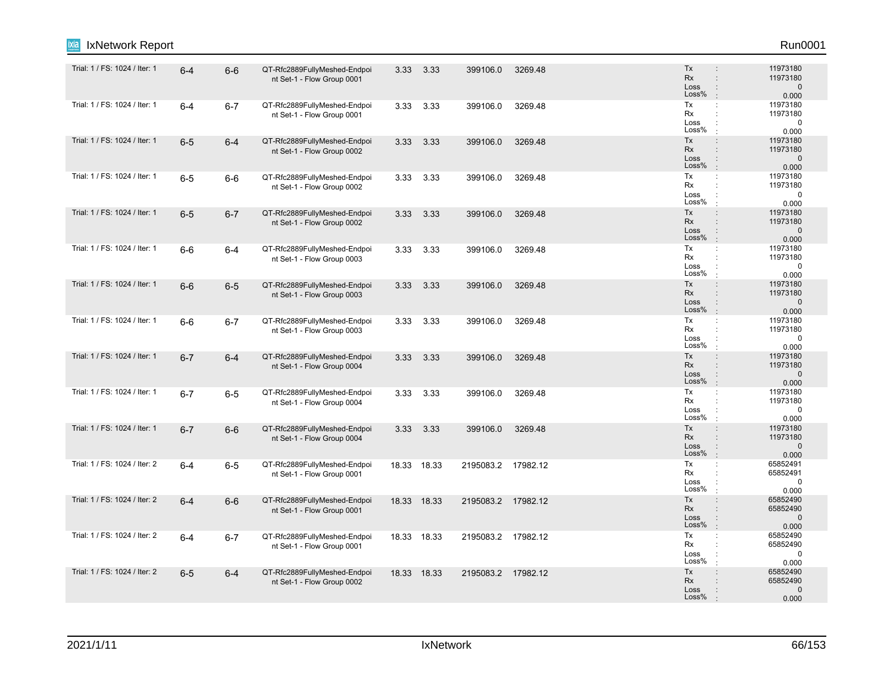| IxNetwork Report              |         |         |                                                            |             |             |                    |         |                                                                                                               | Run0001                                       |
|-------------------------------|---------|---------|------------------------------------------------------------|-------------|-------------|--------------------|---------|---------------------------------------------------------------------------------------------------------------|-----------------------------------------------|
| Trial: 1 / FS: 1024 / Iter: 1 | $6 - 4$ | $6-6$   | QT-Rfc2889FullyMeshed-Endpoi<br>nt Set-1 - Flow Group 0001 | 3.33        | 3.33        | 399106.0           | 3269.48 | Tx<br><b>Rx</b><br>$\ddot{\phantom{a}}$<br>Loss<br>$\ddot{\phantom{a}}$<br>Loss%<br>$\mathbb{R}^2$            | 11973180<br>11973180<br>$\mathbf 0$<br>0.000  |
| Trial: 1 / FS: 1024 / Iter: 1 | $6-4$   | $6 - 7$ | QT-Rfc2889FullyMeshed-Endpoi<br>nt Set-1 - Flow Group 0001 | 3.33        | 3.33        | 399106.0           | 3269.48 | Tx<br>$\mathbb{C}^{\times}$<br>Rx<br>÷<br>Loss<br>Loss%<br>$\cdot$                                            | 11973180<br>11973180<br>$\mathbf 0$<br>0.000  |
| Trial: 1 / FS: 1024 / Iter: 1 | $6-5$   | $6 - 4$ | QT-Rfc2889FullyMeshed-Endpoi<br>nt Set-1 - Flow Group 0002 |             | 3.33 3.33   | 399106.0           | 3269.48 | Tx<br>$\ddot{\phantom{a}}$<br>Rx<br>$\ddot{\phantom{a}}$<br>Loss<br>$\ddot{\phantom{a}}$<br>Loss%<br>$\cdot$  | 11973180<br>11973180<br>$\mathbf 0$<br>0.000  |
| Trial: 1 / FS: 1024 / Iter: 1 | $6-5$   | $6-6$   | QT-Rfc2889FullyMeshed-Endpoi<br>nt Set-1 - Flow Group 0002 | 3.33        | 3.33        | 399106.0           | 3269.48 | Tx<br>÷<br>Rx<br>Loss<br>Loss%<br>$\cdot$                                                                     | 11973180<br>11973180<br>$\mathbf 0$<br>0.000  |
| Trial: 1 / FS: 1024 / Iter: 1 | $6-5$   | $6 - 7$ | QT-Rfc2889FullyMeshed-Endpoi<br>nt Set-1 - Flow Group 0002 | 3.33        | 3.33        | 399106.0           | 3269.48 | Tx<br>$\ddot{\phantom{a}}$<br>Rx<br>$\mathbf{r}$<br>Loss<br>$\ddot{\phantom{a}}$<br>Loss%<br>$\cdot$          | 11973180<br>11973180<br>$\mathbf{0}$<br>0.000 |
| Trial: 1 / FS: 1024 / Iter: 1 | $6-6$   | 6-4     | QT-Rfc2889FullyMeshed-Endpoi<br>nt Set-1 - Flow Group 0003 | 3.33        | 3.33        | 399106.0           | 3269.48 | Tx<br>$\mathbb{C}^{\times}$<br>Rx<br>$\ddot{\phantom{a}}$<br>Loss<br>Loss%<br>$\cdot$                         | 11973180<br>11973180<br>$\mathbf 0$<br>0.000  |
| Trial: 1 / FS: 1024 / Iter: 1 | $6-6$   | $6-5$   | QT-Rfc2889FullyMeshed-Endpoi<br>nt Set-1 - Flow Group 0003 | 3.33        | 3.33        | 399106.0           | 3269.48 | Tx<br>$\ddot{\phantom{a}}$<br><b>Rx</b><br>$\ddot{\phantom{a}}$<br>Loss<br>$\ddot{\cdot}$<br>Loss%<br>$\cdot$ | 11973180<br>11973180<br>$\mathbf 0$<br>0.000  |
| Trial: 1 / FS: 1024 / Iter: 1 | $6-6$   | $6 - 7$ | QT-Rfc2889FullyMeshed-Endpoi<br>nt Set-1 - Flow Group 0003 |             | 3.33 3.33   | 399106.0           | 3269.48 | Tx<br>÷<br>Rx<br>÷<br>Loss<br>$\ddot{\phantom{a}}$<br>Loss%<br>$\mathbf{r}$                                   | 11973180<br>11973180<br>0<br>0.000            |
| Trial: 1 / FS: 1024 / Iter: 1 | $6 - 7$ | $6 - 4$ | QT-Rfc2889FullyMeshed-Endpoi<br>nt Set-1 - Flow Group 0004 | 3.33        | 3.33        | 399106.0           | 3269.48 | Tx<br>$\div$<br>Rx<br>$\ddot{\phantom{a}}$<br>Loss<br>$\ddot{\phantom{a}}$<br>Loss%<br>$\pm$                  | 11973180<br>11973180<br>$\mathbf 0$<br>0.000  |
| Trial: 1 / FS: 1024 / Iter: 1 | $6 - 7$ | $6-5$   | QT-Rfc2889FullyMeshed-Endpoi<br>nt Set-1 - Flow Group 0004 | 3.33        | 3.33        | 399106.0           | 3269.48 | Tx<br>÷<br>Rx<br>÷<br>Loss<br>Loss%<br>÷                                                                      | 11973180<br>11973180<br>$\mathbf 0$<br>0.000  |
| Trial: 1 / FS: 1024 / Iter: 1 | $6 - 7$ | $6-6$   | QT-Rfc2889FullyMeshed-Endpoi<br>nt Set-1 - Flow Group 0004 | 3.33        | 3.33        | 399106.0           | 3269.48 | Tx<br>$\ddot{\phantom{a}}$<br>Rx<br>$\div$<br>Loss<br>$\ddot{\cdot}$<br>Loss%<br>$\pm$                        | 11973180<br>11973180<br>$\mathbf 0$<br>0.000  |
| Trial: 1 / FS: 1024 / Iter: 2 | $6 - 4$ | $6-5$   | QT-Rfc2889FullyMeshed-Endpoi<br>nt Set-1 - Flow Group 0001 |             | 18.33 18.33 | 2195083.2 17982.12 |         | Tx<br>Rx<br>$\ddot{\phantom{a}}$<br>Loss<br>÷<br>Loss%<br>$\ddot{\phantom{a}}$                                | 65852491<br>65852491<br>$\mathbf 0$<br>0.000  |
| Trial: 1 / FS: 1024 / Iter: 2 | $6-4$   | $6-6$   | QT-Rfc2889FullyMeshed-Endpoi<br>nt Set-1 - Flow Group 0001 | 18.33 18.33 |             | 2195083.2 17982.12 |         | Tx<br>$\ddot{\phantom{a}}$<br>Rx<br>$\ddot{\phantom{a}}$<br>Loss<br>$\ddot{\cdot}$<br>Loss%<br>$\cdot$        | 65852490<br>65852490<br>$\mathbf{0}$<br>0.000 |
| Trial: 1 / FS: 1024 / Iter: 2 | $6-4$   | $6 - 7$ | QT-Rfc2889FullyMeshed-Endpoi<br>nt Set-1 - Flow Group 0001 | 18.33 18.33 |             | 2195083.2 17982.12 |         | Tx<br>÷<br>Rx<br>÷<br>Loss<br>÷<br>Loss%<br>$\ddot{\phantom{a}}$                                              | 65852490<br>65852490<br>0<br>0.000            |
| Trial: 1 / FS: 1024 / Iter: 2 | $6-5$   | $6 - 4$ | QT-Rfc2889FullyMeshed-Endpoi<br>nt Set-1 - Flow Group 0002 |             | 18.33 18.33 | 2195083.2 17982.12 |         | Tx<br>$\ddot{\phantom{a}}$<br><b>Rx</b><br>$\ddot{\phantom{a}}$<br>Loss<br>Loss%                              | 65852490<br>65852490<br>$\mathbf{0}$<br>0.000 |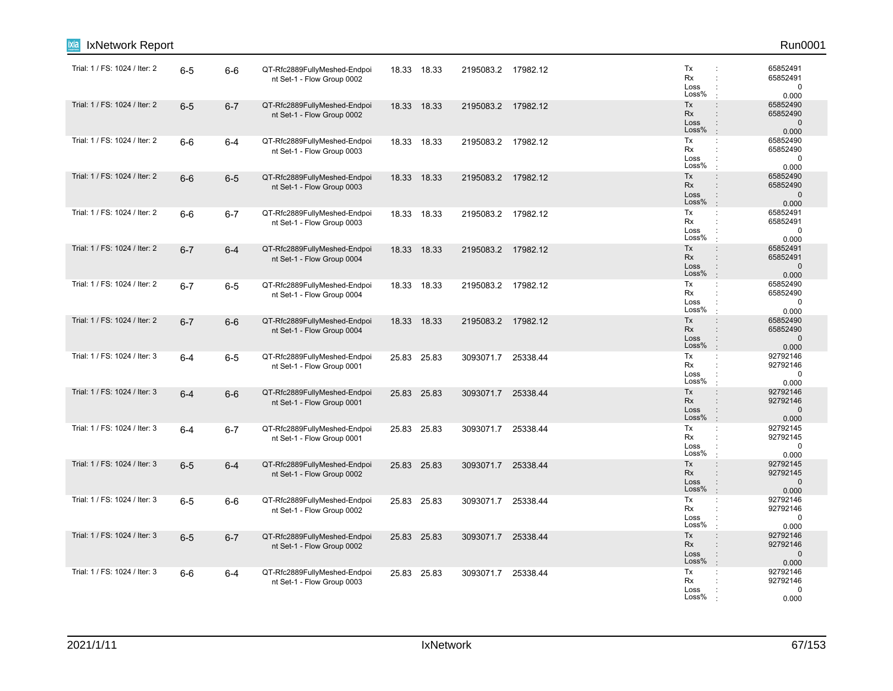| IxNetwork Report<br>ixia      |         |         |                                                            |       |             |                    |          |                                                                                                                     | Run0001                                       |
|-------------------------------|---------|---------|------------------------------------------------------------|-------|-------------|--------------------|----------|---------------------------------------------------------------------------------------------------------------------|-----------------------------------------------|
| Trial: 1 / FS: 1024 / Iter: 2 | $6-5$   | $6-6$   | QT-Rfc2889FullyMeshed-Endpoi<br>nt Set-1 - Flow Group 0002 |       | 18.33 18.33 | 2195083.2 17982.12 |          | Tx<br>Rx<br>÷<br>Loss<br>Loss%                                                                                      | 65852491<br>65852491<br>0<br>0.000            |
| Trial: 1 / FS: 1024 / Iter: 2 | $6-5$   | $6 - 7$ | QT-Rfc2889FullyMeshed-Endpoi<br>nt Set-1 - Flow Group 0002 |       | 18.33 18.33 | 2195083.2 17982.12 |          | Tx<br>$\ddot{\phantom{a}}$<br>Rx<br>$\ddot{\phantom{a}}$<br>Loss<br>$\ddot{\phantom{a}}$<br>Loss%<br>$\pm$          | 65852490<br>65852490<br>$\mathbf 0$<br>0.000  |
| Trial: 1 / FS: 1024 / Iter: 2 | $6-6$   | $6 - 4$ | QT-Rfc2889FullyMeshed-Endpoi<br>nt Set-1 - Flow Group 0003 |       | 18.33 18.33 | 2195083.2 17982.12 |          | Tx<br>÷<br>Rx<br>Loss<br>Loss%<br>$\ddot{\phantom{a}}$                                                              | 65852490<br>65852490<br>0<br>0.000            |
| Trial: 1 / FS: 1024 / Iter: 2 | $6-6$   | $6-5$   | QT-Rfc2889FullyMeshed-Endpoi<br>nt Set-1 - Flow Group 0003 |       | 18.33 18.33 | 2195083.2 17982.12 |          | Tx<br>$\ddot{\phantom{a}}$<br>Rx<br>Loss<br>Loss%<br>$\pm$                                                          | 65852490<br>65852490<br>$\mathbf 0$<br>0.000  |
| Trial: 1 / FS: 1024 / Iter: 2 | $6-6$   | $6 - 7$ | QT-Rfc2889FullyMeshed-Endpoi<br>nt Set-1 - Flow Group 0003 |       | 18.33 18.33 | 2195083.2 17982.12 |          | Tx<br>÷<br>Rx<br>÷<br>Loss<br>Loss%                                                                                 | 65852491<br>65852491<br>0<br>0.000            |
| Trial: 1 / FS: 1024 / Iter: 2 | $6 - 7$ | $6 - 4$ | QT-Rfc2889FullyMeshed-Endpoi<br>nt Set-1 - Flow Group 0004 |       | 18.33 18.33 | 2195083.2 17982.12 |          | Tx<br>$\ddot{\phantom{a}}$<br>Rx<br>$\div$<br>Loss<br>$\ddot{\phantom{a}}$<br>Loss%<br>$\cdot$                      | 65852491<br>65852491<br>$\mathbf{0}$<br>0.000 |
| Trial: 1 / FS: 1024 / Iter: 2 | $6 - 7$ | $6-5$   | QT-Rfc2889FullyMeshed-Endpoi<br>nt Set-1 - Flow Group 0004 | 18.33 | 18.33       | 2195083.2 17982.12 |          | Tx<br>÷<br>Rx<br>÷<br>Loss<br>÷<br>Loss%<br>÷                                                                       | 65852490<br>65852490<br>$\mathbf 0$<br>0.000  |
| Trial: 1 / FS: 1024 / Iter: 2 | $6 - 7$ | $6-6$   | QT-Rfc2889FullyMeshed-Endpoi<br>nt Set-1 - Flow Group 0004 |       | 18.33 18.33 | 2195083.2 17982.12 |          | Tx<br>$\ddot{\phantom{a}}$<br>Rx<br>$\ddot{\phantom{a}}$<br>Loss<br>$\ddot{\phantom{a}}$<br>Loss%<br>$\mathbb{R}^2$ | 65852490<br>65852490<br>$\mathbf{0}$<br>0.000 |
| Trial: 1 / FS: 1024 / Iter: 3 | $6 - 4$ | $6-5$   | QT-Rfc2889FullyMeshed-Endpoi<br>nt Set-1 - Flow Group 0001 |       | 25.83 25.83 | 3093071.7          | 25338.44 | Tx<br>$\ddot{\phantom{a}}$<br>Rx<br>Loss<br>Loss%                                                                   | 92792146<br>92792146<br>$\mathbf 0$<br>0.000  |
| Trial: 1 / FS: 1024 / Iter: 3 | $6 - 4$ | $6-6$   | QT-Rfc2889FullyMeshed-Endpoi<br>nt Set-1 - Flow Group 0001 |       | 25.83 25.83 | 3093071.7          | 25338.44 | Tx<br>$\div$<br>Rx<br>$\ddot{\phantom{a}}$<br>Loss<br>Loss%<br>$\cdot$                                              | 92792146<br>92792146<br>$\mathbf 0$<br>0.000  |
| Trial: 1 / FS: 1024 / Iter: 3 | $6 - 4$ | $6 - 7$ | QT-Rfc2889FullyMeshed-Endpoi<br>nt Set-1 - Flow Group 0001 |       | 25.83 25.83 | 3093071.7 25338.44 |          | Tx<br>$\mathbb{Z}^2$<br>Rx<br>÷<br>Loss<br>Loss%                                                                    | 92792145<br>92792145<br>0<br>0.000            |
| Trial: 1 / FS: 1024 / Iter: 3 | $6-5$   | $6 - 4$ | QT-Rfc2889FullyMeshed-Endpoi<br>nt Set-1 - Flow Group 0002 |       | 25.83 25.83 | 3093071.7 25338.44 |          | Tx<br>$\ddot{\phantom{a}}$<br><b>Rx</b><br>$\ddot{\phantom{a}}$<br>Loss<br>$\ddot{\phantom{a}}$<br>Loss%<br>$\cdot$ | 92792145<br>92792145<br>$\mathbf 0$<br>0.000  |
| Trial: 1 / FS: 1024 / Iter: 3 | $6-5$   | $6-6$   | QT-Rfc2889FullyMeshed-Endpoi<br>nt Set-1 - Flow Group 0002 |       | 25.83 25.83 | 3093071.7 25338.44 |          | Tx<br>÷<br>Rx<br>Loss<br>Loss%                                                                                      | 92792146<br>92792146<br>0<br>0.000            |
| Trial: 1 / FS: 1024 / Iter: 3 | $6-5$   | $6 - 7$ | QT-Rfc2889FullyMeshed-Endpoi<br>nt Set-1 - Flow Group 0002 |       | 25.83 25.83 | 3093071.7          | 25338.44 | Tx<br>$\ddot{\phantom{a}}$<br>Rx<br>$\ddot{\phantom{a}}$<br>Loss<br>÷<br>Loss%<br>$\mathbf{r}$                      | 92792146<br>92792146<br>$\mathbf 0$<br>0.000  |
| Trial: 1 / FS: 1024 / Iter: 3 | $6-6$   | $6 - 4$ | QT-Rfc2889FullyMeshed-Endpoi<br>nt Set-1 - Flow Group 0003 |       | 25.83 25.83 | 3093071.7 25338.44 |          | Tx<br>÷<br>Rx<br>Loss<br>Loss%                                                                                      | 92792146<br>92792146<br>0<br>0.000            |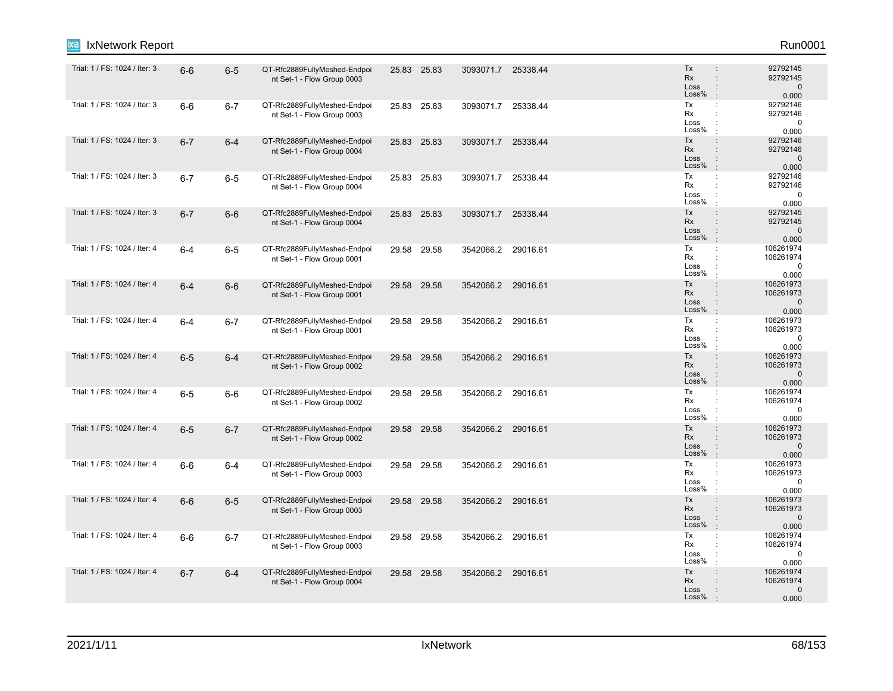| IxNetwork Report              |         |         |                                                            |       |             |                    |          |                                                                                                                            | Run0001                                         |
|-------------------------------|---------|---------|------------------------------------------------------------|-------|-------------|--------------------|----------|----------------------------------------------------------------------------------------------------------------------------|-------------------------------------------------|
| Trial: 1 / FS: 1024 / Iter: 3 | $6-6$   | $6-5$   | QT-Rfc2889FullyMeshed-Endpoi<br>nt Set-1 - Flow Group 0003 |       | 25.83 25.83 | 3093071.7 25338.44 |          | Tx<br><b>Rx</b><br>$\ddot{\phantom{a}}$<br>Loss<br>$\ddot{\phantom{a}}$<br>Loss%<br>$\cdot$                                | 92792145<br>92792145<br>$\mathbf 0$<br>0.000    |
| Trial: 1 / FS: 1024 / Iter: 3 | $6-6$   | $6 - 7$ | QT-Rfc2889FullyMeshed-Endpoi<br>nt Set-1 - Flow Group 0003 | 25.83 | 25.83       | 3093071.7          | 25338.44 | Tx<br>$\ddot{\phantom{a}}$<br>Rx<br>Loss<br>Loss%<br>$\cdot$                                                               | 92792146<br>92792146<br>$\mathbf 0$<br>0.000    |
| Trial: 1 / FS: 1024 / Iter: 3 | $6 - 7$ | $6 - 4$ | QT-Rfc2889FullyMeshed-Endpoi<br>nt Set-1 - Flow Group 0004 |       | 25.83 25.83 | 3093071.7 25338.44 |          | Tx<br>$\ddot{\phantom{a}}$<br>Rx<br>$\ddot{\phantom{a}}$<br>Loss<br>$\ddot{\phantom{a}}$<br>Loss%<br>$\mathbb{R}^2$        | 92792146<br>92792146<br>$\mathbf{0}$<br>0.000   |
| Trial: 1 / FS: 1024 / Iter: 3 | $6 - 7$ | $6-5$   | QT-Rfc2889FullyMeshed-Endpoi<br>nt Set-1 - Flow Group 0004 |       | 25.83 25.83 | 3093071.7 25338.44 |          | Tx<br>÷<br>Rx<br>Loss<br>Loss%<br>$\cdot$                                                                                  | 92792146<br>92792146<br>$\mathbf 0$<br>0.000    |
| Trial: 1 / FS: 1024 / Iter: 3 | $6 - 7$ | $6-6$   | QT-Rfc2889FullyMeshed-Endpoi<br>nt Set-1 - Flow Group 0004 |       | 25.83 25.83 | 3093071.7 25338.44 |          | Tx<br>$\div$<br><b>Rx</b><br>$\ddot{\phantom{a}}$<br>Loss<br>Loss%<br>$\mathbb{R}^2$                                       | 92792145<br>92792145<br>$\mathbf{0}$<br>0.000   |
| Trial: 1 / FS: 1024 / Iter: 4 | $6 - 4$ | $6-5$   | QT-Rfc2889FullyMeshed-Endpoi<br>nt Set-1 - Flow Group 0001 |       | 29.58 29.58 | 3542066.2 29016.61 |          | Tx<br>$\mathbb{C}^{\times}$<br>Rx<br>$\ddot{\phantom{a}}$<br>Loss<br>Loss%<br>$\cdot$                                      | 106261974<br>106261974<br>$\mathbf 0$<br>0.000  |
| Trial: 1 / FS: 1024 / Iter: 4 | $6 - 4$ | $6-6$   | QT-Rfc2889FullyMeshed-Endpoi<br>nt Set-1 - Flow Group 0001 |       | 29.58 29.58 | 3542066.2 29016.61 |          | Tx<br>$\ddot{\phantom{a}}$<br><b>Rx</b><br>$\ddot{\phantom{a}}$<br>Loss<br>$\ddot{\phantom{a}}$<br>Loss%<br>$\mathbb{R}^2$ | 106261973<br>106261973<br>$\mathbf 0$<br>0.000  |
| Trial: 1 / FS: 1024 / Iter: 4 | $6-4$   | $6 - 7$ | QT-Rfc2889FullyMeshed-Endpoi<br>nt Set-1 - Flow Group 0001 |       | 29.58 29.58 | 3542066.2 29016.61 |          | Tx<br>$\mathbb{Z}^2$<br>Rx<br>÷<br>Loss<br>÷<br>Loss%                                                                      | 106261973<br>106261973<br>0<br>0.000            |
| Trial: 1 / FS: 1024 / Iter: 4 | $6-5$   | $6 - 4$ | QT-Rfc2889FullyMeshed-Endpoi<br>nt Set-1 - Flow Group 0002 |       | 29.58 29.58 | 3542066.2 29016.61 |          | Tx<br>$\ddot{\phantom{a}}$<br>Rx<br>$\ddot{\phantom{a}}$<br>Loss<br>$\ddot{\phantom{a}}$<br>Loss%<br>$\mathbf{r}$          | 106261973<br>106261973<br>$\mathbf 0$<br>0.000  |
| Trial: 1 / FS: 1024 / Iter: 4 | $6-5$   | $6-6$   | QT-Rfc2889FullyMeshed-Endpoi<br>nt Set-1 - Flow Group 0002 |       | 29.58 29.58 | 3542066.2 29016.61 |          | Tx<br>$\ddot{\cdot}$<br>Rx<br>÷<br>Loss<br>Loss%                                                                           | 106261974<br>106261974<br>$\mathbf 0$<br>0.000  |
| Trial: 1 / FS: 1024 / Iter: 4 | $6-5$   | $6 - 7$ | QT-Rfc2889FullyMeshed-Endpoi<br>nt Set-1 - Flow Group 0002 |       | 29.58 29.58 | 3542066.2 29016.61 |          | Tx<br>$\ddot{\phantom{a}}$<br>Rx<br>$\div$<br>Loss<br>$\div$<br>Loss%<br>$\mathbf{r}$                                      | 106261973<br>106261973<br>$\mathbf 0$<br>0.000  |
| Trial: 1 / FS: 1024 / Iter: 4 | $6-6$   | $6-4$   | QT-Rfc2889FullyMeshed-Endpoi<br>nt Set-1 - Flow Group 0003 |       | 29.58 29.58 | 3542066.2 29016.61 |          | Tx<br>÷<br>Rx<br>÷<br>Loss<br>÷<br>Loss%<br>÷                                                                              | 106261973<br>106261973<br>$\mathbf 0$<br>0.000  |
| Trial: 1 / FS: 1024 / Iter: 4 | $6-6$   | $6-5$   | QT-Rfc2889FullyMeshed-Endpoi<br>nt Set-1 - Flow Group 0003 |       | 29.58 29.58 | 3542066.2 29016.61 |          | Tx<br>$\ddot{\phantom{a}}$<br>Rx<br>Loss<br>$\ddot{\phantom{a}}$<br>Loss%<br>$\cdot$                                       | 106261973<br>106261973<br>$\mathbf{0}$<br>0.000 |
| Trial: 1 / FS: 1024 / Iter: 4 | $6-6$   | $6 - 7$ | QT-Rfc2889FullyMeshed-Endpoi<br>nt Set-1 - Flow Group 0003 | 29.58 | 29.58       | 3542066.2          | 29016.61 | Tx<br>$\mathbb{C}^{\times}$<br>Rx<br>÷<br>Loss<br>Loss%<br>$\cdot$                                                         | 106261974<br>106261974<br>0<br>0.000            |
| Trial: 1 / FS: 1024 / Iter: 4 | $6 - 7$ | $6 - 4$ | QT-Rfc2889FullyMeshed-Endpoi<br>nt Set-1 - Flow Group 0004 |       | 29.58 29.58 | 3542066.2 29016.61 |          | Tx<br>$\ddot{\phantom{a}}$<br>Rx<br>Loss<br>Loss%                                                                          | 106261974<br>106261974<br>$\mathbf 0$<br>0.000  |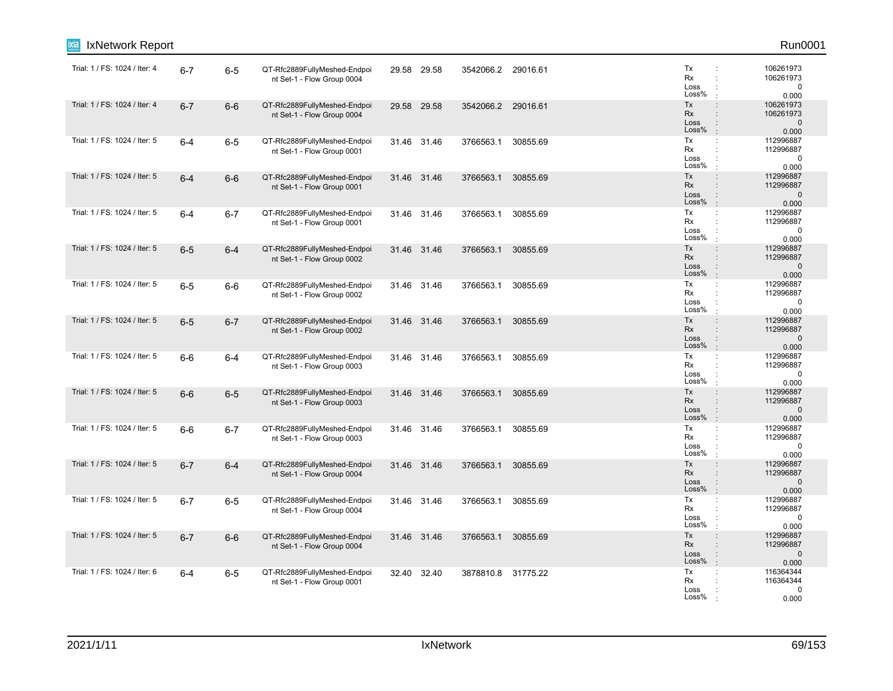| IxNetwork Report<br>ixia      |         |         |                                                            |             |                    |          |                                                                                                                     | Run0001                                         |
|-------------------------------|---------|---------|------------------------------------------------------------|-------------|--------------------|----------|---------------------------------------------------------------------------------------------------------------------|-------------------------------------------------|
| Trial: 1 / FS: 1024 / Iter: 4 | $6 - 7$ | $6-5$   | QT-Rfc2889FullyMeshed-Endpoi<br>nt Set-1 - Flow Group 0004 | 29.58 29.58 | 3542066.2 29016.61 |          | Tx<br>Rx<br>÷<br>Loss<br>Loss%                                                                                      | 106261973<br>106261973<br>$\mathbf 0$<br>0.000  |
| Trial: 1 / FS: 1024 / Iter: 4 | $6 - 7$ | $6-6$   | QT-Rfc2889FullyMeshed-Endpoi<br>nt Set-1 - Flow Group 0004 | 29.58 29.58 | 3542066.2          | 29016.61 | Tx<br>$\ddot{\phantom{a}}$<br>Rx<br>$\ddot{\phantom{a}}$<br>Loss<br>$\ddot{\phantom{a}}$<br>Loss%<br>$\pm$          | 106261973<br>106261973<br>$\mathbf{0}$<br>0.000 |
| Trial: 1 / FS: 1024 / Iter: 5 | $6 - 4$ | $6-5$   | QT-Rfc2889FullyMeshed-Endpoi<br>nt Set-1 - Flow Group 0001 | 31.46 31.46 | 3766563.1          | 30855.69 | Tx<br>÷<br>Rx<br>÷<br>Loss<br>Loss%<br>$\ddot{\phantom{a}}$                                                         | 112996887<br>112996887<br>$\mathbf 0$<br>0.000  |
| Trial: 1 / FS: 1024 / Iter: 5 | $6 - 4$ | $6-6$   | QT-Rfc2889FullyMeshed-Endpoi<br>nt Set-1 - Flow Group 0001 | 31.46 31.46 | 3766563.1          | 30855.69 | Tx<br>$\ddot{\phantom{a}}$<br>Rx<br>Loss<br>Loss%<br>$\ddot{\phantom{a}}$                                           | 112996887<br>112996887<br>$\mathbf 0$<br>0.000  |
| Trial: 1 / FS: 1024 / Iter: 5 | $6 - 4$ | $6 - 7$ | QT-Rfc2889FullyMeshed-Endpoi<br>nt Set-1 - Flow Group 0001 | 31.46 31.46 | 3766563.1          | 30855.69 | Tx<br>$\ddot{\phantom{a}}$<br>Rx<br>$\cdot$<br>Loss<br>Loss%                                                        | 112996887<br>112996887<br>0<br>0.000            |
| Trial: 1 / FS: 1024 / Iter: 5 | $6-5$   | $6 - 4$ | QT-Rfc2889FullyMeshed-Endpoi<br>nt Set-1 - Flow Group 0002 | 31.46 31.46 | 3766563.1          | 30855.69 | Tx<br>$\ddot{\phantom{a}}$<br>Rx<br>$\div$<br>Loss<br>$\ddot{\cdot}$<br>Loss%<br>$\cdot$                            | 112996887<br>112996887<br>$\mathbf{0}$<br>0.000 |
| Trial: 1 / FS: 1024 / Iter: 5 | $6-5$   | $6-6$   | QT-Rfc2889FullyMeshed-Endpoi<br>nt Set-1 - Flow Group 0002 | 31.46 31.46 | 3766563.1          | 30855.69 | Tx<br>÷<br>Rx<br>$\ddot{\phantom{a}}$<br>Loss<br>÷<br>Loss%<br>÷                                                    | 112996887<br>112996887<br>$\pmb{0}$<br>0.000    |
| Trial: 1 / FS: 1024 / Iter: 5 | $6-5$   | $6 - 7$ | QT-Rfc2889FullyMeshed-Endpoi<br>nt Set-1 - Flow Group 0002 | 31.46 31.46 | 3766563.1          | 30855.69 | Tx<br>$\ddot{\phantom{a}}$<br>Rx<br>Loss<br>$\ddot{\phantom{a}}$<br>Loss%<br>$\mathbb{R}^2$                         | 112996887<br>112996887<br>$\mathbf{0}$<br>0.000 |
| Trial: 1 / FS: 1024 / Iter: 5 | $6-6$   | $6 - 4$ | QT-Rfc2889FullyMeshed-Endpoi<br>nt Set-1 - Flow Group 0003 | 31.46 31.46 | 3766563.1          | 30855.69 | Tx<br>÷<br>Rx<br>Loss<br>Loss%                                                                                      | 112996887<br>112996887<br>$\mathbf 0$<br>0.000  |
| Trial: 1 / FS: 1024 / Iter: 5 | $6-6$   | $6-5$   | QT-Rfc2889FullyMeshed-Endpoi<br>nt Set-1 - Flow Group 0003 | 31.46 31.46 | 3766563.1          | 30855.69 | Tx<br>$\div$<br>Rx<br>$\ddot{\phantom{a}}$<br>Loss<br>Loss%<br>$\cdot$                                              | 112996887<br>112996887<br>$\mathbf 0$<br>0.000  |
| Trial: 1 / FS: 1024 / Iter: 5 | $6-6$   | $6 - 7$ | QT-Rfc2889FullyMeshed-Endpoi<br>nt Set-1 - Flow Group 0003 | 31.46 31.46 | 3766563.1          | 30855.69 | Tx<br>$\mathbb{C}^{\times}$<br>Rx<br>÷<br>Loss<br>Loss%                                                             | 112996887<br>112996887<br>0<br>0.000            |
| Trial: 1 / FS: 1024 / Iter: 5 | $6 - 7$ | $6 - 4$ | QT-Rfc2889FullyMeshed-Endpoi<br>nt Set-1 - Flow Group 0004 | 31.46 31.46 | 3766563.1          | 30855.69 | Tx<br>$\ddot{\phantom{a}}$<br><b>Rx</b><br>$\ddot{\phantom{a}}$<br>Loss<br>$\ddot{\phantom{a}}$<br>Loss%<br>$\cdot$ | 112996887<br>112996887<br>$\mathbf 0$<br>0.000  |
| Trial: 1 / FS: 1024 / Iter: 5 | $6 - 7$ | $6-5$   | QT-Rfc2889FullyMeshed-Endpoi<br>nt Set-1 - Flow Group 0004 | 31.46 31.46 | 3766563.1          | 30855.69 | Tx<br>÷<br>Rx<br>Loss<br>Loss%                                                                                      | 112996887<br>112996887<br>0<br>0.000            |
| Trial: 1 / FS: 1024 / Iter: 5 | $6 - 7$ | $6-6$   | QT-Rfc2889FullyMeshed-Endpoi<br>nt Set-1 - Flow Group 0004 | 31.46 31.46 | 3766563.1          | 30855.69 | Tx<br>$\ddot{\phantom{a}}$<br>Rx<br>$\ddot{\phantom{a}}$<br>Loss<br>÷<br>Loss%<br>$\cdot$                           | 112996887<br>112996887<br>$\mathbf 0$<br>0.000  |
| Trial: 1 / FS: 1024 / Iter: 6 | $6 - 4$ | $6-5$   | QT-Rfc2889FullyMeshed-Endpoi<br>nt Set-1 - Flow Group 0001 | 32.40 32.40 | 3878810.8 31775.22 |          | Tx<br>÷<br>Rx<br>Loss<br>Loss%                                                                                      | 116364344<br>116364344<br>0<br>0.000            |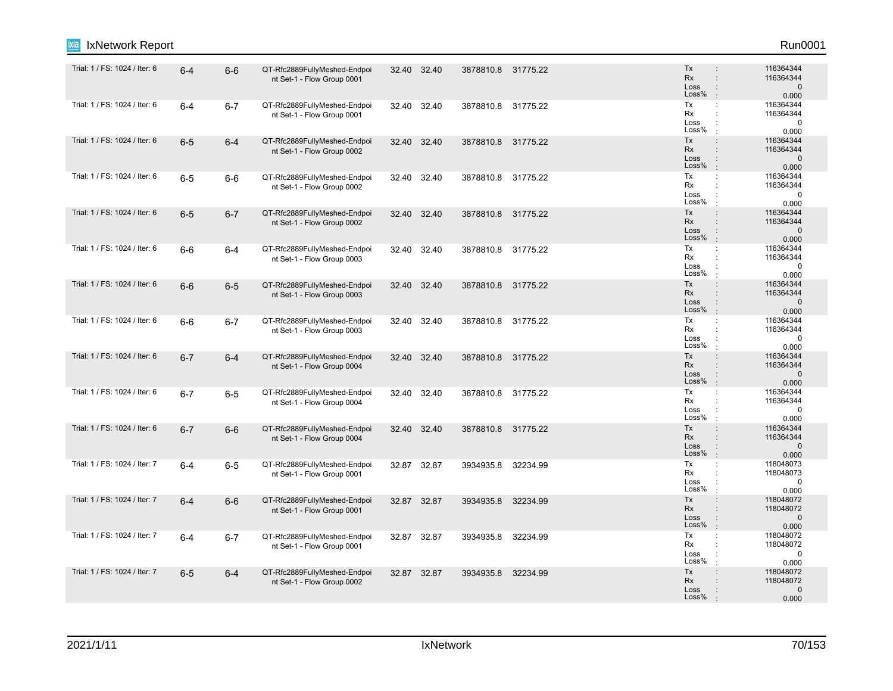| IxNetwork Report              |         |         |                                                            |       |             |                    |          |                                                                                                               | Run0001                                         |
|-------------------------------|---------|---------|------------------------------------------------------------|-------|-------------|--------------------|----------|---------------------------------------------------------------------------------------------------------------|-------------------------------------------------|
| Trial: 1 / FS: 1024 / Iter: 6 | $6 - 4$ | $6-6$   | QT-Rfc2889FullyMeshed-Endpoi<br>nt Set-1 - Flow Group 0001 |       | 32.40 32.40 | 3878810.8 31775.22 |          | Tx<br><b>Rx</b><br>$\ddot{\phantom{a}}$<br>Loss<br>$\ddot{\phantom{a}}$<br>Loss%                              | 116364344<br>116364344<br>$\mathbf 0$<br>0.000  |
| Trial: 1 / FS: 1024 / Iter: 6 | $6-4$   | $6 - 7$ | QT-Rfc2889FullyMeshed-Endpoi<br>nt Set-1 - Flow Group 0001 | 32.40 | 32.40       | 3878810.8 31775.22 |          | Tx<br>$\mathbb{C}^{\times}$<br>Rx<br>÷<br>Loss<br>Loss%<br>$\cdot$                                            | 116364344<br>116364344<br>$\mathbf 0$<br>0.000  |
| Trial: 1 / FS: 1024 / Iter: 6 | $6-5$   | $6 - 4$ | QT-Rfc2889FullyMeshed-Endpoi<br>nt Set-1 - Flow Group 0002 |       | 32.40 32.40 | 3878810.8 31775.22 |          | Tx<br>$\ddot{\phantom{a}}$<br>Rx<br>$\ddot{\phantom{a}}$<br>Loss<br>$\ddot{\phantom{a}}$<br>Loss%<br>$\cdot$  | 116364344<br>116364344<br>$\mathbf 0$<br>0.000  |
| Trial: 1 / FS: 1024 / Iter: 6 | $6-5$   | $6-6$   | QT-Rfc2889FullyMeshed-Endpoi<br>nt Set-1 - Flow Group 0002 | 32.40 | 32.40       | 3878810.8 31775.22 |          | Tx<br>$\ddot{\phantom{a}}$<br>Rx<br>Loss<br>Loss%<br>$\cdot$                                                  | 116364344<br>116364344<br>$\mathbf 0$<br>0.000  |
| Trial: 1 / FS: 1024 / Iter: 6 | $6-5$   | $6 - 7$ | QT-Rfc2889FullyMeshed-Endpoi<br>nt Set-1 - Flow Group 0002 |       | 32.40 32.40 | 3878810.8 31775.22 |          | $\ddot{\phantom{a}}$<br>Tx<br>Rx<br>$\mathbf{r}$<br>Loss<br>Loss%<br>$\cdot$                                  | 116364344<br>116364344<br>$\mathbf{0}$<br>0.000 |
| Trial: 1 / FS: 1024 / Iter: 6 | $6-6$   | 6-4     | QT-Rfc2889FullyMeshed-Endpoi<br>nt Set-1 - Flow Group 0003 |       | 32.40 32.40 | 3878810.8 31775.22 |          | Tx<br>$\mathbb{C}^{\times}$<br>Rx<br>$\ddot{\phantom{a}}$<br>Loss<br>Loss%<br>$\cdot$                         | 116364344<br>116364344<br>$\mathbf 0$<br>0.000  |
| Trial: 1 / FS: 1024 / Iter: 6 | $6-6$   | $6-5$   | QT-Rfc2889FullyMeshed-Endpoi<br>nt Set-1 - Flow Group 0003 | 32.40 | 32.40       | 3878810.8 31775.22 |          | Tx<br>$\ddot{\phantom{a}}$<br><b>Rx</b><br>$\ddot{\phantom{a}}$<br>Loss<br>$\ddot{\cdot}$<br>Loss%<br>$\cdot$ | 116364344<br>116364344<br>$\mathbf 0$<br>0.000  |
| Trial: 1 / FS: 1024 / Iter: 6 | $6-6$   | $6 - 7$ | QT-Rfc2889FullyMeshed-Endpoi<br>nt Set-1 - Flow Group 0003 |       | 32.40 32.40 | 3878810.8 31775.22 |          | Tx<br>÷<br>Rx<br>÷<br>Loss<br>$\ddot{\phantom{a}}$<br>Loss%<br>$\mathbf{r}$                                   | 116364344<br>116364344<br>$\mathbf 0$<br>0.000  |
| Trial: 1 / FS: 1024 / Iter: 6 | $6 - 7$ | $6 - 4$ | QT-Rfc2889FullyMeshed-Endpoi<br>nt Set-1 - Flow Group 0004 | 32.40 | 32.40       | 3878810.8 31775.22 |          | Tx<br>$\ddot{\phantom{a}}$<br>Rx<br>$\ddot{\phantom{a}}$<br>Loss<br>Loss%<br>$\pm$                            | 116364344<br>116364344<br>$\mathbf 0$<br>0.000  |
| Trial: 1 / FS: 1024 / Iter: 6 | $6 - 7$ | $6-5$   | QT-Rfc2889FullyMeshed-Endpoi<br>nt Set-1 - Flow Group 0004 | 32.40 | 32.40       | 3878810.8 31775.22 |          | Tx<br>÷<br>Rx<br>÷<br>Loss<br>Loss%<br>÷                                                                      | 116364344<br>116364344<br>$\mathbf 0$<br>0.000  |
| Trial: 1 / FS: 1024 / Iter: 6 | $6 - 7$ | $6-6$   | QT-Rfc2889FullyMeshed-Endpoi<br>nt Set-1 - Flow Group 0004 |       | 32.40 32.40 | 3878810.8 31775.22 |          | Tx<br>$\ddot{\phantom{a}}$<br>Rx<br>$\div$<br>Loss<br>$\ddot{\cdot}$<br>Loss%<br>$\pm$                        | 116364344<br>116364344<br>$\mathbf 0$<br>0.000  |
| Trial: 1 / FS: 1024 / Iter: 7 | $6-4$   | $6-5$   | QT-Rfc2889FullyMeshed-Endpoi<br>nt Set-1 - Flow Group 0001 | 32.87 | 32.87       | 3934935.8          | 32234.99 | Tx<br>Rx<br>$\ddot{\phantom{a}}$<br>Loss<br>÷<br>Loss%<br>$\mathbf{r}$                                        | 118048073<br>118048073<br>0<br>0.000            |
| Trial: 1 / FS: 1024 / Iter: 7 | $6-4$   | $6-6$   | QT-Rfc2889FullyMeshed-Endpoi<br>nt Set-1 - Flow Group 0001 |       | 32.87 32.87 | 3934935.8          | 32234.99 | Tx<br>$\ddot{\phantom{a}}$<br>Rx<br>Loss<br>Loss%<br>$\cdot$                                                  | 118048072<br>118048072<br>$\mathbf{0}$<br>0.000 |
| Trial: 1 / FS: 1024 / Iter: 7 | $6 - 4$ | $6 - 7$ | QT-Rfc2889FullyMeshed-Endpoi<br>nt Set-1 - Flow Group 0001 |       | 32.87 32.87 | 3934935.8          | 32234.99 | Tx<br>$\ddot{\phantom{a}}$<br>Rx<br>÷<br>Loss<br>÷<br>Loss%<br>$\ddot{\phantom{a}}$                           | 118048072<br>118048072<br>0<br>0.000            |
| Trial: 1 / FS: 1024 / Iter: 7 | $6-5$   | $6 - 4$ | QT-Rfc2889FullyMeshed-Endpoi<br>nt Set-1 - Flow Group 0002 |       | 32.87 32.87 | 3934935.8          | 32234.99 | Tx<br>$\ddot{\phantom{a}}$<br><b>Rx</b><br>$\ddot{\phantom{a}}$<br>Loss<br>Loss%                              | 118048072<br>118048072<br>$\mathbf 0$<br>0.000  |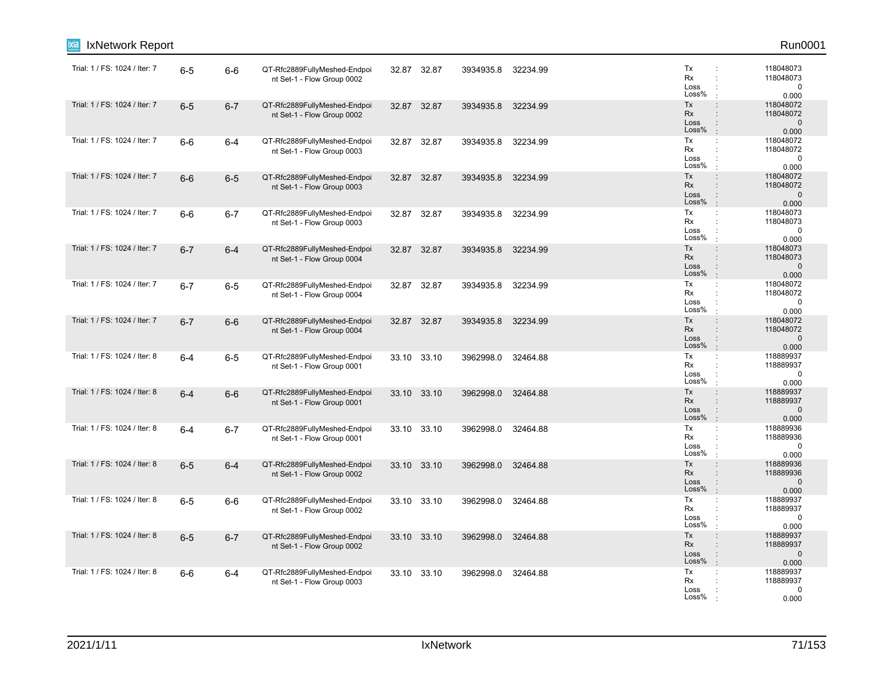| IxNetwork Report              |         |         |                                                            |       |             |           |          |                                                                                                                     | Run0001                                         |
|-------------------------------|---------|---------|------------------------------------------------------------|-------|-------------|-----------|----------|---------------------------------------------------------------------------------------------------------------------|-------------------------------------------------|
| Trial: 1 / FS: 1024 / Iter: 7 | $6-5$   | $6-6$   | QT-Rfc2889FullyMeshed-Endpoi<br>nt Set-1 - Flow Group 0002 | 32.87 | 32.87       | 3934935.8 | 32234.99 | Tx<br>÷<br>Rx<br>$\ddot{\phantom{a}}$<br>Loss<br>Loss%                                                              | 118048073<br>118048073<br>$\mathbf 0$<br>0.000  |
| Trial: 1 / FS: 1024 / Iter: 7 | $6-5$   | $6 - 7$ | QT-Rfc2889FullyMeshed-Endpoi<br>nt Set-1 - Flow Group 0002 | 32.87 | 32.87       | 3934935.8 | 32234.99 | Tx<br>$\ddot{\phantom{a}}$<br>Rx<br>$\ddot{\phantom{a}}$<br>Loss<br>$\ddot{\phantom{a}}$<br>Loss%<br>$\pm$          | 118048072<br>118048072<br>$\mathbf 0$<br>0.000  |
| Trial: 1 / FS: 1024 / Iter: 7 | $6-6$   | $6 - 4$ | QT-Rfc2889FullyMeshed-Endpoi<br>nt Set-1 - Flow Group 0003 |       | 32.87 32.87 | 3934935.8 | 32234.99 | Tx<br>$\ddot{\phantom{a}}$<br>Rx<br>$\ddot{\phantom{a}}$<br>Loss<br>Loss%<br>$\ddot{\phantom{a}}$                   | 118048072<br>118048072<br>$\mathbf 0$<br>0.000  |
| Trial: 1 / FS: 1024 / Iter: 7 | $6-6$   | $6-5$   | QT-Rfc2889FullyMeshed-Endpoi<br>nt Set-1 - Flow Group 0003 |       | 32.87 32.87 | 3934935.8 | 32234.99 | Tx<br>$\ddot{\phantom{a}}$<br>Rx<br>Loss<br>Loss%<br>$\ddot{\phantom{a}}$                                           | 118048072<br>118048072<br>$\mathbf 0$<br>0.000  |
| Trial: 1 / FS: 1024 / Iter: 7 | $6-6$   | $6 - 7$ | QT-Rfc2889FullyMeshed-Endpoi<br>nt Set-1 - Flow Group 0003 | 32.87 | 32.87       | 3934935.8 | 32234.99 | Tx<br>÷<br>Rx<br>Loss<br>Loss%<br>$\cdot$                                                                           | 118048073<br>118048073<br>0<br>0.000            |
| Trial: 1 / FS: 1024 / Iter: 7 | $6 - 7$ | $6 - 4$ | QT-Rfc2889FullyMeshed-Endpoi<br>nt Set-1 - Flow Group 0004 | 32.87 | 32.87       | 3934935.8 | 32234.99 | Tx<br>$\ddot{\phantom{a}}$<br>Rx<br>$\ddot{\phantom{a}}$<br>Loss<br>$\ddot{\phantom{a}}$<br>Loss%<br>$\cdot$        | 118048073<br>118048073<br>$\mathbf{0}$<br>0.000 |
| Trial: 1 / FS: 1024 / Iter: 7 | $6 - 7$ | $6-5$   | QT-Rfc2889FullyMeshed-Endpoi<br>nt Set-1 - Flow Group 0004 | 32.87 | 32.87       | 3934935.8 | 32234.99 | Tx<br>$\ddot{\phantom{a}}$<br>Rx<br>$\ddot{\phantom{a}}$<br>Loss<br>÷<br>Loss%<br>$\ddot{\phantom{a}}$              | 118048072<br>118048072<br>$\pmb{0}$<br>0.000    |
| Trial: 1 / FS: 1024 / Iter: 7 | $6 - 7$ | $6-6$   | QT-Rfc2889FullyMeshed-Endpoi<br>nt Set-1 - Flow Group 0004 |       | 32.87 32.87 | 3934935.8 | 32234.99 | Tx<br>$\ddot{\phantom{a}}$<br>Rx<br>Loss<br>$\ddot{\phantom{a}}$<br>Loss%<br>$\pm$                                  | 118048072<br>118048072<br>$\mathbf{0}$<br>0.000 |
| Trial: 1 / FS: 1024 / Iter: 8 | $6 - 4$ | $6-5$   | QT-Rfc2889FullyMeshed-Endpoi<br>nt Set-1 - Flow Group 0001 | 33.10 | 33.10       | 3962998.0 | 32464.88 | Tx<br>$\ddot{\phantom{a}}$<br>Rx<br>Loss<br>Loss%                                                                   | 118889937<br>118889937<br>$\mathbf 0$<br>0.000  |
| Trial: 1 / FS: 1024 / Iter: 8 | $6 - 4$ | $6-6$   | QT-Rfc2889FullyMeshed-Endpoi<br>nt Set-1 - Flow Group 0001 |       | 33.10 33.10 | 3962998.0 | 32464.88 | Tx<br>$\colon$<br>Rx<br>$\ddot{\phantom{a}}$<br>Loss<br>Loss%<br>÷                                                  | 118889937<br>118889937<br>$\mathbf 0$<br>0.000  |
| Trial: 1 / FS: 1024 / Iter: 8 | $6 - 4$ | $6 - 7$ | QT-Rfc2889FullyMeshed-Endpoi<br>nt Set-1 - Flow Group 0001 |       | 33.10 33.10 | 3962998.0 | 32464.88 | Tx<br>÷<br>Rx<br>$\ddot{\phantom{a}}$<br>Loss<br>Loss%                                                              | 118889936<br>118889936<br>0<br>0.000            |
| Trial: 1 / FS: 1024 / Iter: 8 | $6-5$   | $6 - 4$ | QT-Rfc2889FullyMeshed-Endpoi<br>nt Set-1 - Flow Group 0002 | 33.10 | 33.10       | 3962998.0 | 32464.88 | Tx<br>$\ddot{\phantom{a}}$<br><b>Rx</b><br>$\ddot{\phantom{a}}$<br>Loss<br>$\ddot{\phantom{a}}$<br>Loss%<br>$\cdot$ | 118889936<br>118889936<br>$\mathbf 0$<br>0.000  |
| Trial: 1 / FS: 1024 / Iter: 8 | $6-5$   | $6-6$   | QT-Rfc2889FullyMeshed-Endpoi<br>nt Set-1 - Flow Group 0002 |       | 33.10 33.10 | 3962998.0 | 32464.88 | Tx<br>$\ddot{\phantom{a}}$<br>Rx<br>Loss<br>÷<br>Loss%                                                              | 118889937<br>118889937<br>0<br>0.000            |
| Trial: 1 / FS: 1024 / Iter: 8 | $6-5$   | $6 - 7$ | QT-Rfc2889FullyMeshed-Endpoi<br>nt Set-1 - Flow Group 0002 |       | 33.10 33.10 | 3962998.0 | 32464.88 | Tx<br>$\ddot{\phantom{a}}$<br>Rx<br>$\ddot{\phantom{a}}$<br>Loss<br>$\ddot{\phantom{a}}$<br>Loss%<br>$\pm$          | 118889937<br>118889937<br>$\mathbf 0$<br>0.000  |
| Trial: 1 / FS: 1024 / Iter: 8 | $6-6$   | $6 - 4$ | QT-Rfc2889FullyMeshed-Endpoi<br>nt Set-1 - Flow Group 0003 |       | 33.10 33.10 | 3962998.0 | 32464.88 | Tx<br>$\ddot{\phantom{a}}$<br>Rx<br>Loss<br>Loss%                                                                   | 118889937<br>118889937<br>0<br>0.000            |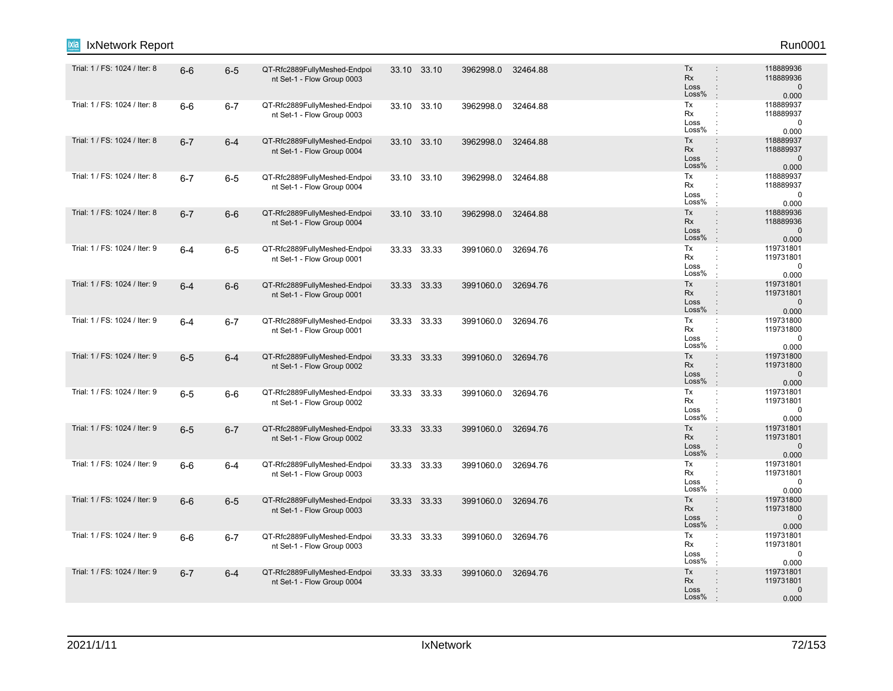| IxNetwork Report              |         |         |                                                            |       |             |           |          |                                                                                                                     | Run0001                                         |
|-------------------------------|---------|---------|------------------------------------------------------------|-------|-------------|-----------|----------|---------------------------------------------------------------------------------------------------------------------|-------------------------------------------------|
| Trial: 1 / FS: 1024 / Iter: 8 | $6-6$   | $6-5$   | QT-Rfc2889FullyMeshed-Endpoi<br>nt Set-1 - Flow Group 0003 |       | 33.10 33.10 | 3962998.0 | 32464.88 | Tx<br><b>Rx</b><br>$\ddot{\phantom{a}}$<br>Loss<br>$\ddot{\phantom{a}}$<br>Loss%                                    | 118889936<br>118889936<br>$\mathbf 0$<br>0.000  |
| Trial: 1 / FS: 1024 / Iter: 8 | $6-6$   | $6 - 7$ | QT-Rfc2889FullyMeshed-Endpoi<br>nt Set-1 - Flow Group 0003 | 33.10 | 33.10       | 3962998.0 | 32464.88 | Tx<br>$\ddot{\phantom{a}}$<br>Rx<br>$\ddot{\phantom{a}}$<br>Loss<br>Loss%<br>$\pm$                                  | 118889937<br>118889937<br>$\pmb{0}$<br>0.000    |
| Trial: 1 / FS: 1024 / Iter: 8 | $6 - 7$ | $6-4$   | QT-Rfc2889FullyMeshed-Endpoi<br>nt Set-1 - Flow Group 0004 |       | 33.10 33.10 | 3962998.0 | 32464.88 | Tx<br>$\ddot{\phantom{a}}$<br>Rx<br>$\ddot{\phantom{a}}$<br>Loss<br>$\ddot{\phantom{a}}$<br>Loss%<br>$\mathbb{R}^2$ | 118889937<br>118889937<br>$\mathbf 0$<br>0.000  |
| Trial: 1 / FS: 1024 / Iter: 8 | $6 - 7$ | $6-5$   | QT-Rfc2889FullyMeshed-Endpoi<br>nt Set-1 - Flow Group 0004 |       | 33.10 33.10 | 3962998.0 | 32464.88 | Tx<br>÷<br>Rx<br>Loss<br>Loss%<br>$\cdot$                                                                           | 118889937<br>118889937<br>$\mathbf 0$<br>0.000  |
| Trial: 1 / FS: 1024 / Iter: 8 | $6 - 7$ | $6-6$   | QT-Rfc2889FullyMeshed-Endpoi<br>nt Set-1 - Flow Group 0004 |       | 33.10 33.10 | 3962998.0 | 32464.88 | Tx<br>$\div$<br><b>Rx</b><br>$\ddot{\phantom{a}}$<br>Loss<br>Loss%<br>$\cdot$                                       | 118889936<br>118889936<br>$\mathbf{0}$<br>0.000 |
| Trial: 1 / FS: 1024 / Iter: 9 | $6 - 4$ | $6-5$   | QT-Rfc2889FullyMeshed-Endpoi<br>nt Set-1 - Flow Group 0001 |       | 33.33 33.33 | 3991060.0 | 32694.76 | Tx<br>$\mathbb{C}^{\times}$<br>Rx<br>$\ddot{\phantom{a}}$<br>Loss<br>Loss%<br>$\cdot$                               | 119731801<br>119731801<br>$\mathbf 0$<br>0.000  |
| Trial: 1 / FS: 1024 / Iter: 9 | $6 - 4$ | $6-6$   | QT-Rfc2889FullyMeshed-Endpoi<br>nt Set-1 - Flow Group 0001 |       | 33.33 33.33 | 3991060.0 | 32694.76 | Tx<br>$\ddot{\phantom{a}}$<br><b>Rx</b><br>$\ddot{\phantom{a}}$<br>Loss<br>$\ddot{\phantom{a}}$<br>Loss%<br>$\cdot$ | 119731801<br>119731801<br>$\mathbf 0$<br>0.000  |
| Trial: 1 / FS: 1024 / Iter: 9 | $6-4$   | $6 - 7$ | QT-Rfc2889FullyMeshed-Endpoi<br>nt Set-1 - Flow Group 0001 |       | 33.33 33.33 | 3991060.0 | 32694.76 | Tx<br>$\mathbb{Z}^2$<br>Rx<br>÷<br>Loss<br>$\ddot{\phantom{a}}$<br>Loss%                                            | 119731800<br>119731800<br>0<br>0.000            |
| Trial: 1 / FS: 1024 / Iter: 9 | $6-5$   | $6 - 4$ | QT-Rfc2889FullyMeshed-Endpoi<br>nt Set-1 - Flow Group 0002 |       | 33.33 33.33 | 3991060.0 | 32694.76 | Tx<br>$\div$<br>Rx<br>$\ddot{\phantom{a}}$<br>Loss<br>$\ddot{\cdot}$<br>Loss%<br>$\mathbf{r}$                       | 119731800<br>119731800<br>$\mathbf 0$<br>0.000  |
| Trial: 1 / FS: 1024 / Iter: 9 | $6-5$   | $6-6$   | QT-Rfc2889FullyMeshed-Endpoi<br>nt Set-1 - Flow Group 0002 |       | 33.33 33.33 | 3991060.0 | 32694.76 | Tx<br>$\ddot{\cdot}$<br>Rx<br>$\ddot{\phantom{a}}$<br>Loss<br>Loss%                                                 | 119731801<br>119731801<br>$\mathbf 0$<br>0.000  |
| Trial: 1 / FS: 1024 / Iter: 9 | $6-5$   | $6 - 7$ | QT-Rfc2889FullyMeshed-Endpoi<br>nt Set-1 - Flow Group 0002 |       | 33.33 33.33 | 3991060.0 | 32694.76 | Tx<br>$\ddot{\phantom{a}}$<br>Rx<br>$\div$<br>Loss<br>$\div$<br>Loss%<br>$\mathbf{r}$                               | 119731801<br>119731801<br>$\mathbf 0$<br>0.000  |
| Trial: 1 / FS: 1024 / Iter: 9 | $6-6$   | $6-4$   | QT-Rfc2889FullyMeshed-Endpoi<br>nt Set-1 - Flow Group 0003 |       | 33.33 33.33 | 3991060.0 | 32694.76 | Tx<br>÷<br>Rx<br>÷<br>Loss<br>÷<br>Loss%<br>$\ddot{\phantom{a}}$                                                    | 119731801<br>119731801<br>$\mathbf 0$<br>0.000  |
| Trial: 1 / FS: 1024 / Iter: 9 | $6-6$   | $6-5$   | QT-Rfc2889FullyMeshed-Endpoi<br>nt Set-1 - Flow Group 0003 |       | 33.33 33.33 | 3991060.0 | 32694.76 | Tx<br>$\ddot{\phantom{a}}$<br>Rx<br>Loss<br>$\ddot{\phantom{a}}$<br>Loss%<br>$\cdot$                                | 119731800<br>119731800<br>$\mathbf 0$<br>0.000  |
| Trial: 1 / FS: 1024 / Iter: 9 | $6-6$   | $6 - 7$ | QT-Rfc2889FullyMeshed-Endpoi<br>nt Set-1 - Flow Group 0003 | 33.33 | 33.33       | 3991060.0 | 32694.76 | Tx<br>$\mathbb{C}^{\times}$<br>Rx<br>$\ddot{\phantom{a}}$<br>Loss<br>Loss%<br>÷                                     | 119731801<br>119731801<br>0<br>0.000            |
| Trial: 1 / FS: 1024 / Iter: 9 | $6 - 7$ | $6 - 4$ | QT-Rfc2889FullyMeshed-Endpoi<br>nt Set-1 - Flow Group 0004 |       | 33.33 33.33 | 3991060.0 | 32694.76 | Tx<br>$\ddot{\phantom{a}}$<br>Rx<br>$\ddot{\phantom{a}}$<br>Loss<br>Loss%                                           | 119731801<br>119731801<br>$\mathbf 0$<br>0.000  |
|                               |         |         |                                                            |       |             |           |          |                                                                                                                     |                                                 |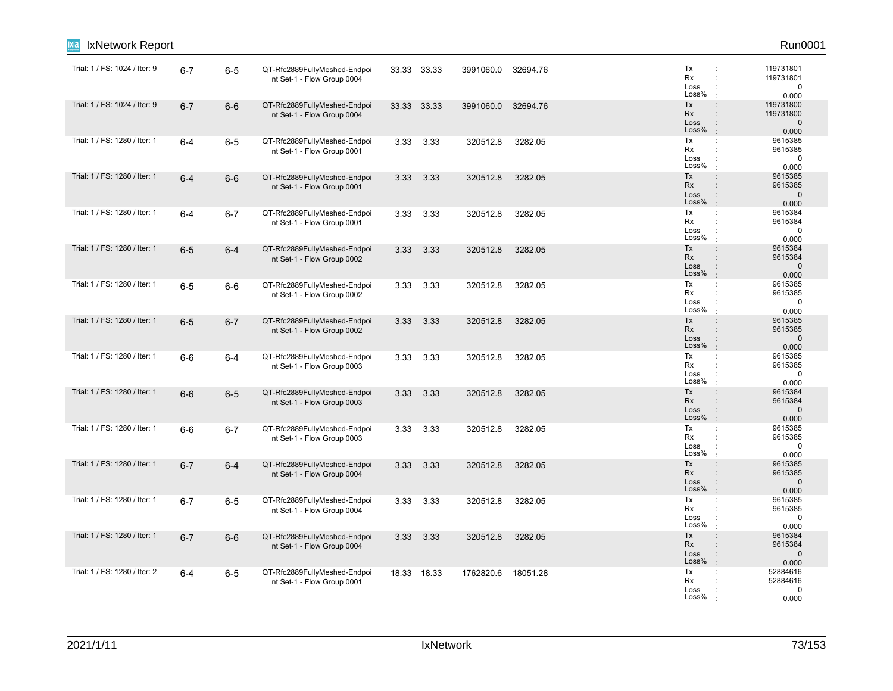| IxNetwork Report              |         |         |                                                            |       |             |           |          |                                                                                                                     | Run0001                                        |
|-------------------------------|---------|---------|------------------------------------------------------------|-------|-------------|-----------|----------|---------------------------------------------------------------------------------------------------------------------|------------------------------------------------|
| Trial: 1 / FS: 1024 / Iter: 9 | $6 - 7$ | $6-5$   | QT-Rfc2889FullyMeshed-Endpoi<br>nt Set-1 - Flow Group 0004 |       | 33.33 33.33 | 3991060.0 | 32694.76 | Tx<br>÷<br>Rx<br>$\ddot{\phantom{a}}$<br>Loss<br>Loss%                                                              | 119731801<br>119731801<br>$\mathbf 0$<br>0.000 |
| Trial: 1 / FS: 1024 / Iter: 9 | $6 - 7$ | $6-6$   | QT-Rfc2889FullyMeshed-Endpoi<br>nt Set-1 - Flow Group 0004 | 33.33 | 33.33       | 3991060.0 | 32694.76 | Tx<br>$\ddot{\phantom{a}}$<br>Rx<br>$\ddot{\phantom{a}}$<br>Loss<br>$\ddot{\phantom{a}}$<br>Loss%<br>$\pm$          | 119731800<br>119731800<br>$\mathbf 0$<br>0.000 |
| Trial: 1 / FS: 1280 / Iter: 1 | $6-4$   | $6-5$   | QT-Rfc2889FullyMeshed-Endpoi<br>nt Set-1 - Flow Group 0001 | 3.33  | 3.33        | 320512.8  | 3282.05  | Tx<br>$\ddot{\phantom{a}}$<br>Rx<br>$\ddot{\phantom{a}}$<br>Loss<br>Loss%<br>$\ddot{\phantom{a}}$                   | 9615385<br>9615385<br>$\mathbf 0$<br>0.000     |
| Trial: 1 / FS: 1280 / Iter: 1 | $6 - 4$ | $6-6$   | QT-Rfc2889FullyMeshed-Endpoi<br>nt Set-1 - Flow Group 0001 | 3.33  | 3.33        | 320512.8  | 3282.05  | Tx<br>$\ddot{\phantom{a}}$<br>Rx<br>Loss<br>Loss%<br>$\ddot{\phantom{a}}$                                           | 9615385<br>9615385<br>$\mathbf 0$<br>0.000     |
| Trial: 1 / FS: 1280 / Iter: 1 | $6-4$   | $6 - 7$ | QT-Rfc2889FullyMeshed-Endpoi<br>nt Set-1 - Flow Group 0001 | 3.33  | 3.33        | 320512.8  | 3282.05  | Tx<br>÷<br>Rx<br>$\ddot{\phantom{a}}$<br>Loss<br>Loss%                                                              | 9615384<br>9615384<br>0<br>0.000               |
| Trial: 1 / FS: 1280 / Iter: 1 | $6-5$   | $6 - 4$ | QT-Rfc2889FullyMeshed-Endpoi<br>nt Set-1 - Flow Group 0002 | 3.33  | 3.33        | 320512.8  | 3282.05  | Tx<br>$\ddot{\phantom{a}}$<br>Rx<br>$\ddot{\phantom{a}}$<br>Loss<br>$\ddot{\phantom{a}}$<br>Loss%<br>$\cdot$        | 9615384<br>9615384<br>$\mathbf 0$<br>0.000     |
| Trial: 1 / FS: 1280 / Iter: 1 | $6-5$   | $6-6$   | QT-Rfc2889FullyMeshed-Endpoi<br>nt Set-1 - Flow Group 0002 | 3.33  | 3.33        | 320512.8  | 3282.05  | Tx<br>$\ddot{\phantom{a}}$<br>Rx<br>$\ddot{\phantom{a}}$<br>Loss<br>÷<br>Loss%<br>$\cdot$                           | 9615385<br>9615385<br>$\mathbf 0$<br>0.000     |
| Trial: 1 / FS: 1280 / Iter: 1 | $6-5$   | $6 - 7$ | QT-Rfc2889FullyMeshed-Endpoi<br>nt Set-1 - Flow Group 0002 | 3.33  | 3.33        | 320512.8  | 3282.05  | Tx<br>$\ddot{\phantom{a}}$<br>Rx<br>$\ddot{\phantom{a}}$<br>Loss<br>$\ddot{\phantom{a}}$<br>Loss%<br>$\pm$          | 9615385<br>9615385<br>$\mathbf{0}$<br>0.000    |
| Trial: 1 / FS: 1280 / Iter: 1 | $6-6$   | $6-4$   | QT-Rfc2889FullyMeshed-Endpoi<br>nt Set-1 - Flow Group 0003 | 3.33  | 3.33        | 320512.8  | 3282.05  | Tx<br>$\ddot{\phantom{a}}$<br>Rx<br>Loss<br>Loss%<br>$\cdot$                                                        | 9615385<br>9615385<br>$\mathbf 0$<br>0.000     |
| Trial: 1 / FS: 1280 / Iter: 1 | $6-6$   | $6-5$   | QT-Rfc2889FullyMeshed-Endpoi<br>nt Set-1 - Flow Group 0003 | 3.33  | 3.33        | 320512.8  | 3282.05  | Tx<br>$\colon$<br>Rx<br>$\ddot{\phantom{a}}$<br>Loss<br>Loss%<br>$\mathbf{r}$                                       | 9615384<br>9615384<br>$\mathbf 0$<br>0.000     |
| Trial: 1 / FS: 1280 / Iter: 1 | $6-6$   | $6 - 7$ | QT-Rfc2889FullyMeshed-Endpoi<br>nt Set-1 - Flow Group 0003 | 3.33  | 3.33        | 320512.8  | 3282.05  | Tx<br>÷<br>Rx<br>$\ddot{\phantom{a}}$<br>Loss<br>Loss%<br>$\cdot$                                                   | 9615385<br>9615385<br>0<br>0.000               |
| Trial: 1 / FS: 1280 / Iter: 1 | $6 - 7$ | $6-4$   | QT-Rfc2889FullyMeshed-Endpoi<br>nt Set-1 - Flow Group 0004 | 3.33  | 3.33        | 320512.8  | 3282.05  | Tx<br>$\ddot{\phantom{a}}$<br><b>Rx</b><br>$\ddot{\phantom{a}}$<br>Loss<br>$\ddot{\phantom{a}}$<br>Loss%<br>$\cdot$ | 9615385<br>9615385<br>$\mathbf 0$<br>0.000     |
| Trial: 1 / FS: 1280 / Iter: 1 | $6 - 7$ | $6-5$   | QT-Rfc2889FullyMeshed-Endpoi<br>nt Set-1 - Flow Group 0004 | 3.33  | 3.33        | 320512.8  | 3282.05  | Tx<br>$\ddot{\phantom{a}}$<br>Rx<br>÷<br>Loss<br>÷<br>Loss%                                                         | 9615385<br>9615385<br>$\Omega$<br>0.000        |
| Trial: 1 / FS: 1280 / Iter: 1 | $6 - 7$ | $6-6$   | QT-Rfc2889FullyMeshed-Endpoi<br>nt Set-1 - Flow Group 0004 | 3.33  | 3.33        | 320512.8  | 3282.05  | Tx<br>$\ddot{\phantom{a}}$<br>Rx<br>$\ddot{\phantom{a}}$<br>Loss<br>÷<br>Loss%<br>$\pm$                             | 9615384<br>9615384<br>$\mathbf 0$<br>0.000     |
| Trial: 1 / FS: 1280 / Iter: 2 | $6-4$   | $6-5$   | QT-Rfc2889FullyMeshed-Endpoi<br>nt Set-1 - Flow Group 0001 |       | 18.33 18.33 | 1762820.6 | 18051.28 | Tx<br>÷<br>Rx<br>Loss<br>Loss%                                                                                      | 52884616<br>52884616<br>0<br>0.000             |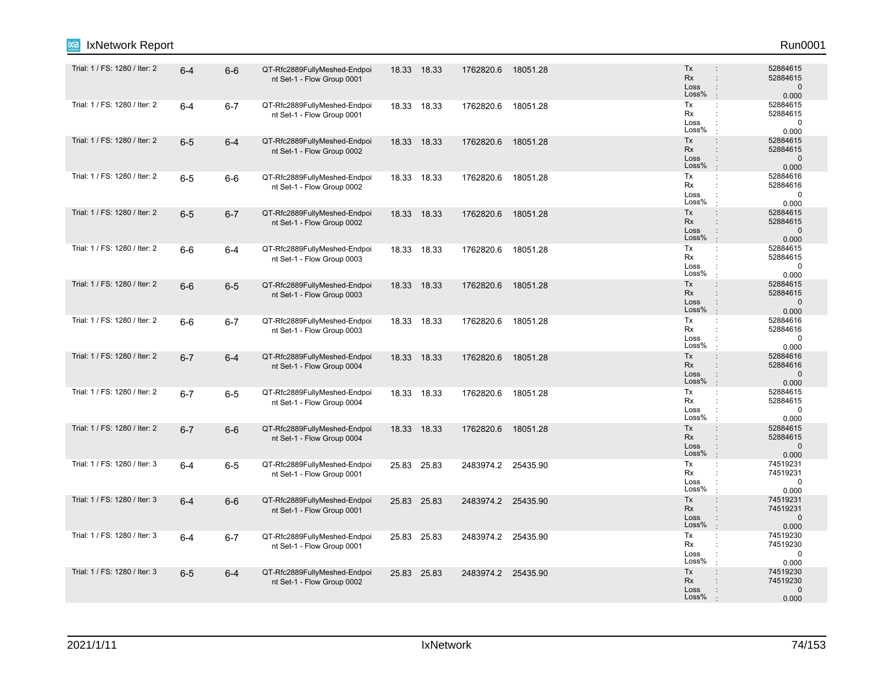| IxNetwork Report              |         |         |                                                            |       |             |                    |          |                                                                                                              | Run0001                                       |
|-------------------------------|---------|---------|------------------------------------------------------------|-------|-------------|--------------------|----------|--------------------------------------------------------------------------------------------------------------|-----------------------------------------------|
| Trial: 1 / FS: 1280 / Iter: 2 | $6 - 4$ | $6-6$   | QT-Rfc2889FullyMeshed-Endpoi<br>nt Set-1 - Flow Group 0001 |       | 18.33 18.33 | 1762820.6          | 18051.28 | Tx<br>Rx<br>$\ddot{\phantom{a}}$<br>Loss<br>$\ddot{\phantom{a}}$<br>Loss%<br>$\cdot$                         | 52884615<br>52884615<br>$\mathbf 0$<br>0.000  |
| Trial: 1 / FS: 1280 / Iter: 2 | $6 - 4$ | $6 - 7$ | QT-Rfc2889FullyMeshed-Endpoi<br>nt Set-1 - Flow Group 0001 |       | 18.33 18.33 | 1762820.6          | 18051.28 | Tx<br>$\mathbb{C}^{\times}$<br>Rx<br>Loss<br>Loss%<br>$\cdot$                                                | 52884615<br>52884615<br>$\mathbf 0$<br>0.000  |
| Trial: 1 / FS: 1280 / Iter: 2 | $6-5$   | $6 - 4$ | QT-Rfc2889FullyMeshed-Endpoi<br>nt Set-1 - Flow Group 0002 |       | 18.33 18.33 | 1762820.6          | 18051.28 | Tx<br>$\ddot{\phantom{a}}$<br>Rx<br>$\ddot{\phantom{a}}$<br>Loss<br>$\ddot{\phantom{a}}$<br>Loss%<br>$\cdot$ | 52884615<br>52884615<br>$\mathbf 0$<br>0.000  |
| Trial: 1 / FS: 1280 / Iter: 2 | $6-5$   | $6-6$   | QT-Rfc2889FullyMeshed-Endpoi<br>nt Set-1 - Flow Group 0002 |       | 18.33 18.33 | 1762820.6          | 18051.28 | Tx<br>÷<br>Rx<br>Loss<br>Loss%<br>$\cdot$                                                                    | 52884616<br>52884616<br>$\mathbf 0$<br>0.000  |
| Trial: 1 / FS: 1280 / Iter: 2 | $6-5$   | $6 - 7$ | QT-Rfc2889FullyMeshed-Endpoi<br>nt Set-1 - Flow Group 0002 |       | 18.33 18.33 | 1762820.6          | 18051.28 | Tx<br>$\ddot{\phantom{a}}$<br>Rx<br>$\ddot{\phantom{a}}$<br>Loss<br>Loss%<br>$\mathbb{R}^2$                  | 52884615<br>52884615<br>$\mathbf 0$<br>0.000  |
| Trial: 1 / FS: 1280 / Iter: 2 | $6-6$   | $6 - 4$ | QT-Rfc2889FullyMeshed-Endpoi<br>nt Set-1 - Flow Group 0003 |       | 18.33 18.33 | 1762820.6          | 18051.28 | Tx<br>$\mathbb{C}^{\times}$<br>Rx<br>$\ddot{\phantom{a}}$<br>Loss<br>Loss%                                   | 52884615<br>52884615<br>$\mathbf 0$<br>0.000  |
| Trial: 1 / FS: 1280 / Iter: 2 | $6-6$   | $6-5$   | QT-Rfc2889FullyMeshed-Endpoi<br>nt Set-1 - Flow Group 0003 | 18.33 | 18.33       | 1762820.6          | 18051.28 | Tx<br>$\ddot{\phantom{a}}$<br><b>Rx</b><br>$\ddot{\phantom{a}}$<br>Loss<br>÷<br>Loss%<br>$\cdot$             | 52884615<br>52884615<br>$\mathbf 0$<br>0.000  |
| Trial: 1 / FS: 1280 / Iter: 2 | $6-6$   | $6 - 7$ | QT-Rfc2889FullyMeshed-Endpoi<br>nt Set-1 - Flow Group 0003 |       | 18.33 18.33 | 1762820.6          | 18051.28 | Tx<br>÷<br>Rx<br>Loss<br>Loss%                                                                               | 52884616<br>52884616<br>0<br>0.000            |
| Trial: 1 / FS: 1280 / Iter: 2 | $6 - 7$ | $6 - 4$ | QT-Rfc2889FullyMeshed-Endpoi<br>nt Set-1 - Flow Group 0004 |       | 18.33 18.33 | 1762820.6          | 18051.28 | Tx<br>$\ddot{\phantom{a}}$<br>Rx<br>$\ddot{\phantom{a}}$<br>Loss<br>$\ddot{\phantom{a}}$<br>Loss%<br>$\pm$   | 52884616<br>52884616<br>$\mathbf 0$<br>0.000  |
| Trial: 1 / FS: 1280 / Iter: 2 | $6 - 7$ | $6-5$   | QT-Rfc2889FullyMeshed-Endpoi<br>nt Set-1 - Flow Group 0004 |       | 18.33 18.33 | 1762820.6          | 18051.28 | Tx<br>$\mathbb{C}^{\times}$<br>Rx<br>÷<br>Loss<br>Loss%                                                      | 52884615<br>52884615<br>0<br>0.000            |
| Trial: 1 / FS: 1280 / Iter: 2 | $6 - 7$ | $6-6$   | QT-Rfc2889FullyMeshed-Endpoi<br>nt Set-1 - Flow Group 0004 |       | 18.33 18.33 | 1762820.6          | 18051.28 | Tx<br>$\ddot{\phantom{a}}$<br>Rx<br>$\div$<br>Loss<br>$\ddot{\cdot}$<br>Loss%<br>$\mathbb{R}^2$              | 52884615<br>52884615<br>$\mathbf 0$<br>0.000  |
| Trial: 1 / FS: 1280 / Iter: 3 | $6 - 4$ | $6-5$   | QT-Rfc2889FullyMeshed-Endpoi<br>nt Set-1 - Flow Group 0001 | 25.83 | 25.83       | 2483974.2 25435.90 |          | Tx<br>÷<br>Rx<br>$\ddot{\phantom{a}}$<br>Loss<br>÷<br>Loss%<br>$\ddot{\phantom{a}}$                          | 74519231<br>74519231<br>$\mathbf 0$<br>0.000  |
| Trial: 1 / FS: 1280 / Iter: 3 | $6 - 4$ | $6-6$   | QT-Rfc2889FullyMeshed-Endpoi<br>nt Set-1 - Flow Group 0001 |       | 25.83 25.83 | 2483974.2 25435.90 |          | Tx<br>$\ddot{\phantom{a}}$<br><b>Rx</b><br>Loss<br>Loss%<br>$\mathbb{R}^2$                                   | 74519231<br>74519231<br>$\mathbf{0}$<br>0.000 |
| Trial: 1 / FS: 1280 / Iter: 3 | $6 - 4$ | $6 - 7$ | QT-Rfc2889FullyMeshed-Endpoi<br>nt Set-1 - Flow Group 0001 |       | 25.83 25.83 | 2483974.2 25435.90 |          | Tx<br>$\ddot{\phantom{a}}$<br>Rx<br>÷<br>Loss<br>÷<br>Loss%<br>$\ddot{\phantom{a}}$                          | 74519230<br>74519230<br>0<br>0.000            |
| Trial: 1 / FS: 1280 / Iter: 3 | $6-5$   | $6 - 4$ | QT-Rfc2889FullyMeshed-Endpoi<br>nt Set-1 - Flow Group 0002 |       | 25.83 25.83 | 2483974.2 25435.90 |          | Tx<br>$\ddot{\phantom{a}}$<br><b>Rx</b><br>Loss<br>Loss%                                                     | 74519230<br>74519230<br>$\mathbf{0}$<br>0.000 |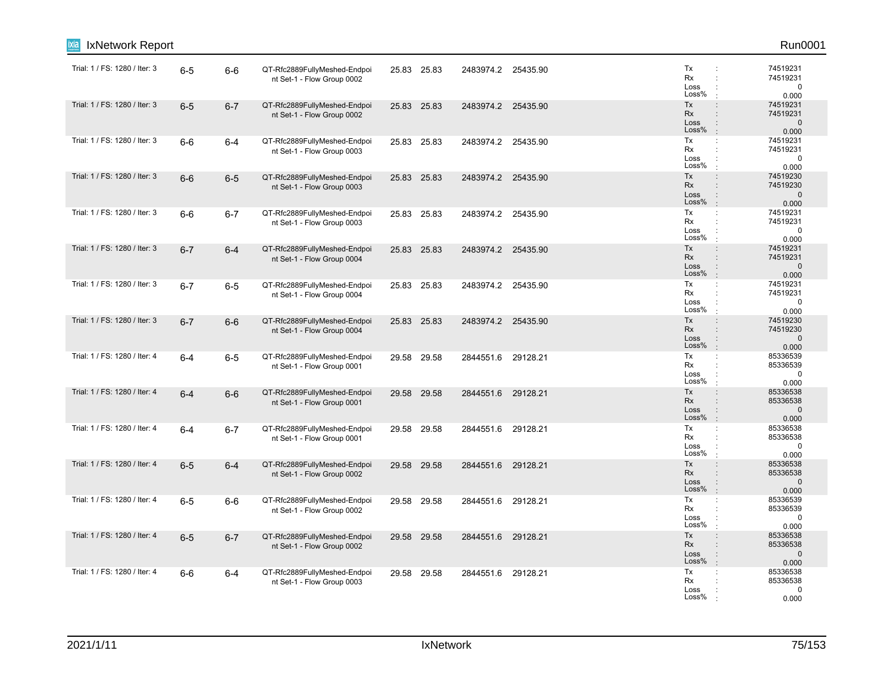| IxNetwork Report<br>ixia      |         |         |                                                            |             |                    |          |                                                                                                                     | Run0001                                       |
|-------------------------------|---------|---------|------------------------------------------------------------|-------------|--------------------|----------|---------------------------------------------------------------------------------------------------------------------|-----------------------------------------------|
| Trial: 1 / FS: 1280 / Iter: 3 | $6-5$   | $6-6$   | QT-Rfc2889FullyMeshed-Endpoi<br>nt Set-1 - Flow Group 0002 | 25.83 25.83 | 2483974.2 25435.90 |          | Tx<br>Rx<br>÷<br>Loss<br>Loss%                                                                                      | 74519231<br>74519231<br>$\mathbf 0$<br>0.000  |
| Trial: 1 / FS: 1280 / Iter: 3 | $6-5$   | $6 - 7$ | QT-Rfc2889FullyMeshed-Endpoi<br>nt Set-1 - Flow Group 0002 | 25.83 25.83 | 2483974.2 25435.90 |          | Tx<br>$\ddot{\phantom{a}}$<br>Rx<br>$\ddot{\phantom{a}}$<br>Loss<br>$\ddot{\phantom{a}}$<br>Loss%<br>$\pm$          | 74519231<br>74519231<br>$\mathbf 0$<br>0.000  |
| Trial: 1 / FS: 1280 / Iter: 3 | $6-6$   | $6 - 4$ | QT-Rfc2889FullyMeshed-Endpoi<br>nt Set-1 - Flow Group 0003 | 25.83 25.83 | 2483974.2 25435.90 |          | Tx<br>÷<br>Rx<br>Loss<br>Loss%<br>$\ddot{\phantom{a}}$                                                              | 74519231<br>74519231<br>$\mathbf 0$<br>0.000  |
| Trial: 1 / FS: 1280 / Iter: 3 | $6-6$   | $6-5$   | QT-Rfc2889FullyMeshed-Endpoi<br>nt Set-1 - Flow Group 0003 | 25.83 25.83 | 2483974.2 25435.90 |          | Tx<br>$\ddot{\phantom{a}}$<br>Rx<br>Loss<br>Loss%<br>$\pm$                                                          | 74519230<br>74519230<br>$\mathbf 0$<br>0.000  |
| Trial: 1 / FS: 1280 / Iter: 3 | $6-6$   | $6 - 7$ | QT-Rfc2889FullyMeshed-Endpoi<br>nt Set-1 - Flow Group 0003 | 25.83 25.83 | 2483974.2 25435.90 |          | Tx<br>÷<br>Rx<br>Loss<br>Loss%                                                                                      | 74519231<br>74519231<br>0<br>0.000            |
| Trial: 1 / FS: 1280 / Iter: 3 | $6 - 7$ | $6 - 4$ | QT-Rfc2889FullyMeshed-Endpoi<br>nt Set-1 - Flow Group 0004 | 25.83 25.83 | 2483974.2 25435.90 |          | Tx<br>$\ddot{\phantom{a}}$<br>Rx<br>$\div$<br>Loss<br>$\ddot{\phantom{a}}$<br>Loss%<br>$\cdot$                      | 74519231<br>74519231<br>$\mathbf 0$<br>0.000  |
| Trial: 1 / FS: 1280 / Iter: 3 | $6 - 7$ | $6-5$   | QT-Rfc2889FullyMeshed-Endpoi<br>nt Set-1 - Flow Group 0004 | 25.83 25.83 | 2483974.2 25435.90 |          | Tx<br>÷<br>Rx<br>÷<br>Loss<br>÷<br>Loss%<br>÷                                                                       | 74519231<br>74519231<br>$\pmb{0}$<br>0.000    |
| Trial: 1 / FS: 1280 / Iter: 3 | $6 - 7$ | $6-6$   | QT-Rfc2889FullyMeshed-Endpoi<br>nt Set-1 - Flow Group 0004 | 25.83 25.83 | 2483974.2 25435.90 |          | Tx<br>$\ddot{\phantom{a}}$<br>Rx<br>Loss<br>$\ddot{\phantom{a}}$<br>Loss%<br>$\mathbb{R}^2$                         | 74519230<br>74519230<br>$\mathbf{0}$<br>0.000 |
| Trial: 1 / FS: 1280 / Iter: 4 | $6 - 4$ | $6-5$   | QT-Rfc2889FullyMeshed-Endpoi<br>nt Set-1 - Flow Group 0001 | 29.58 29.58 | 2844551.6          | 29128.21 | Tx<br>÷<br>Rx<br>Loss<br>Loss%                                                                                      | 85336539<br>85336539<br>$\mathbf 0$<br>0.000  |
| Trial: 1 / FS: 1280 / Iter: 4 | $6 - 4$ | $6-6$   | QT-Rfc2889FullyMeshed-Endpoi<br>nt Set-1 - Flow Group 0001 | 29.58 29.58 | 2844551.6          | 29128.21 | Tx<br>$\div$<br>Rx<br>$\ddot{\phantom{a}}$<br>Loss<br>Loss%<br>$\cdot$                                              | 85336538<br>85336538<br>$\mathbf 0$<br>0.000  |
| Trial: 1 / FS: 1280 / Iter: 4 | $6 - 4$ | $6 - 7$ | QT-Rfc2889FullyMeshed-Endpoi<br>nt Set-1 - Flow Group 0001 | 29.58 29.58 | 2844551.6 29128.21 |          | Tx<br>$\mathbb{Z}^2$<br>Rx<br>÷<br>Loss<br>Loss%                                                                    | 85336538<br>85336538<br>0<br>0.000            |
| Trial: 1 / FS: 1280 / Iter: 4 | $6-5$   | $6 - 4$ | QT-Rfc2889FullyMeshed-Endpoi<br>nt Set-1 - Flow Group 0002 | 29.58 29.58 | 2844551.6          | 29128.21 | Tx<br>$\ddot{\phantom{a}}$<br><b>Rx</b><br>$\ddot{\phantom{a}}$<br>Loss<br>$\ddot{\phantom{a}}$<br>Loss%<br>$\cdot$ | 85336538<br>85336538<br>$\mathbf 0$<br>0.000  |
| Trial: 1 / FS: 1280 / Iter: 4 | $6-5$   | $6-6$   | QT-Rfc2889FullyMeshed-Endpoi<br>nt Set-1 - Flow Group 0002 | 29.58 29.58 | 2844551.6 29128.21 |          | Tx<br>÷<br>Rx<br>Loss<br>Loss%                                                                                      | 85336539<br>85336539<br>$\mathbf 0$<br>0.000  |
| Trial: 1 / FS: 1280 / Iter: 4 | $6-5$   | $6 - 7$ | QT-Rfc2889FullyMeshed-Endpoi<br>nt Set-1 - Flow Group 0002 | 29.58 29.58 | 2844551.6          | 29128.21 | Tx<br>$\ddot{\phantom{a}}$<br>Rx<br>$\ddot{\phantom{a}}$<br>Loss<br>÷<br>Loss%<br>$\cdot$                           | 85336538<br>85336538<br>$\mathbf 0$<br>0.000  |
| Trial: 1 / FS: 1280 / Iter: 4 | $6-6$   | $6 - 4$ | QT-Rfc2889FullyMeshed-Endpoi<br>nt Set-1 - Flow Group 0003 | 29.58 29.58 | 2844551.6 29128.21 |          | Tx<br>÷<br>Rx<br>Loss<br>Loss%                                                                                      | 85336538<br>85336538<br>0<br>0.000            |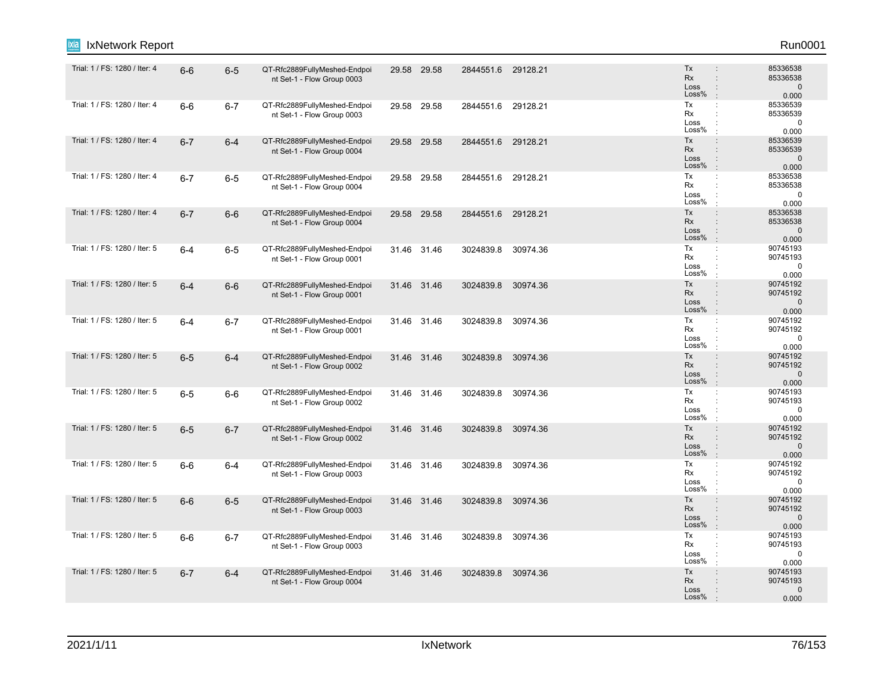| IxNetwork Report              |         |         |                                                            |       |             |                    |          |                                                                                                                     | Run0001                                       |
|-------------------------------|---------|---------|------------------------------------------------------------|-------|-------------|--------------------|----------|---------------------------------------------------------------------------------------------------------------------|-----------------------------------------------|
| Trial: 1 / FS: 1280 / Iter: 4 | $6-6$   | $6-5$   | QT-Rfc2889FullyMeshed-Endpoi<br>nt Set-1 - Flow Group 0003 |       | 29.58 29.58 | 2844551.6 29128.21 |          | Tx<br><b>Rx</b><br>$\ddot{\phantom{a}}$<br>Loss<br>$\ddot{\phantom{a}}$<br>Loss%                                    | 85336538<br>85336538<br>$\mathbf 0$<br>0.000  |
| Trial: 1 / FS: 1280 / Iter: 4 | $6-6$   | $6 - 7$ | QT-Rfc2889FullyMeshed-Endpoi<br>nt Set-1 - Flow Group 0003 | 29.58 | 29.58       | 2844551.6          | 29128.21 | Tx<br>÷<br>Rx<br>$\ddot{\phantom{a}}$<br>Loss<br>Loss%<br>$\pm$                                                     | 85336539<br>85336539<br>0<br>0.000            |
| Trial: 1 / FS: 1280 / Iter: 4 | $6 - 7$ | $6 - 4$ | QT-Rfc2889FullyMeshed-Endpoi<br>nt Set-1 - Flow Group 0004 |       | 29.58 29.58 | 2844551.6 29128.21 |          | Tx<br>$\ddot{\phantom{a}}$<br>Rx<br>$\ddot{\phantom{a}}$<br>Loss<br>$\ddot{\phantom{a}}$<br>Loss%<br>$\cdot$        | 85336539<br>85336539<br>$\mathbf 0$<br>0.000  |
| Trial: 1 / FS: 1280 / Iter: 4 | $6 - 7$ | $6-5$   | QT-Rfc2889FullyMeshed-Endpoi<br>nt Set-1 - Flow Group 0004 |       | 29.58 29.58 | 2844551.6 29128.21 |          | Tx<br>÷<br>Rx<br>Loss<br>Loss%<br>$\cdot$                                                                           | 85336538<br>85336538<br>$\mathbf 0$<br>0.000  |
| Trial: 1 / FS: 1280 / Iter: 4 | $6 - 7$ | $6-6$   | QT-Rfc2889FullyMeshed-Endpoi<br>nt Set-1 - Flow Group 0004 |       | 29.58 29.58 | 2844551.6          | 29128.21 | $\div$<br>Tx<br>Rx<br>$\ddot{\phantom{a}}$<br>Loss<br>Loss%<br>$\cdot$                                              | 85336538<br>85336538<br>$\mathbf 0$<br>0.000  |
| Trial: 1 / FS: 1280 / Iter: 5 | $6-4$   | $6-5$   | QT-Rfc2889FullyMeshed-Endpoi<br>nt Set-1 - Flow Group 0001 |       | 31.46 31.46 | 3024839.8          | 30974.36 | Tx<br>$\mathbb{C}^{\times}$<br>Rx<br>÷<br>Loss<br>Loss%                                                             | 90745193<br>90745193<br>$\mathbf 0$<br>0.000  |
| Trial: 1 / FS: 1280 / Iter: 5 | $6 - 4$ | $6-6$   | QT-Rfc2889FullyMeshed-Endpoi<br>nt Set-1 - Flow Group 0001 |       | 31.46 31.46 | 3024839.8          | 30974.36 | Tx<br>$\ddot{\phantom{a}}$<br>Rx<br>$\ddot{\phantom{a}}$<br>Loss<br>$\ddot{\cdot}$<br>Loss%<br>$\cdot$              | 90745192<br>90745192<br>$\mathbf 0$<br>0.000  |
| Trial: 1 / FS: 1280 / Iter: 5 | $6-4$   | $6 - 7$ | QT-Rfc2889FullyMeshed-Endpoi<br>nt Set-1 - Flow Group 0001 |       | 31.46 31.46 | 3024839.8          | 30974.36 | Tx<br>÷<br>Rx<br>÷<br>Loss<br>÷<br>Loss%                                                                            | 90745192<br>90745192<br>$\mathbf 0$<br>0.000  |
| Trial: 1 / FS: 1280 / Iter: 5 | $6-5$   | $6-4$   | QT-Rfc2889FullyMeshed-Endpoi<br>nt Set-1 - Flow Group 0002 |       | 31.46 31.46 | 3024839.8          | 30974.36 | Tx<br>$\ddot{\phantom{a}}$<br><b>Rx</b><br>$\ddot{\phantom{a}}$<br>Loss<br>$\ddot{\phantom{a}}$<br>Loss%<br>$\cdot$ | 90745192<br>90745192<br>$\mathbf{0}$<br>0.000 |
| Trial: 1 / FS: 1280 / Iter: 5 | $6-5$   | $6-6$   | QT-Rfc2889FullyMeshed-Endpoi<br>nt Set-1 - Flow Group 0002 |       | 31.46 31.46 | 3024839.8          | 30974.36 | Tx<br>$\ddot{\phantom{a}}$<br>Rx<br>$\ddot{\phantom{a}}$<br>Loss<br>Loss%<br>$\cdot$                                | 90745193<br>90745193<br>0<br>0.000            |
| Trial: 1 / FS: 1280 / Iter: 5 | $6-5$   | $6 - 7$ | QT-Rfc2889FullyMeshed-Endpoi<br>nt Set-1 - Flow Group 0002 |       | 31.46 31.46 | 3024839.8          | 30974.36 | Tx<br>$\ddot{\phantom{a}}$<br>Rx<br>$\ddot{\phantom{a}}$<br>Loss<br>$\ddot{\phantom{a}}$<br>Loss%<br>$\pm$          | 90745192<br>90745192<br>$\mathbf 0$<br>0.000  |
| Trial: 1 / FS: 1280 / Iter: 5 | $6-6$   | $6-4$   | QT-Rfc2889FullyMeshed-Endpoi<br>nt Set-1 - Flow Group 0003 |       | 31.46 31.46 | 3024839.8          | 30974.36 | Tx<br>Rx<br>Loss<br>Loss%<br>$\ddot{\phantom{a}}$                                                                   | 90745192<br>90745192<br>$\mathbf 0$<br>0.000  |
| Trial: 1 / FS: 1280 / Iter: 5 | $6-6$   | $6-5$   | QT-Rfc2889FullyMeshed-Endpoi<br>nt Set-1 - Flow Group 0003 |       | 31.46 31.46 | 3024839.8          | 30974.36 | Tx<br>$\ddot{\phantom{a}}$<br>Rx<br>Loss<br>Loss%<br>$\cdot$                                                        | 90745192<br>90745192<br>$\mathbf{0}$<br>0.000 |
| Trial: 1 / FS: 1280 / Iter: 5 | $6-6$   | $6 - 7$ | QT-Rfc2889FullyMeshed-Endpoi<br>nt Set-1 - Flow Group 0003 |       | 31.46 31.46 | 3024839.8          | 30974.36 | Tx<br>÷<br>Rx<br>÷<br>Loss<br>÷<br>Loss%                                                                            | 90745193<br>90745193<br>0<br>0.000            |
| Trial: 1 / FS: 1280 / Iter: 5 | $6 - 7$ | $6 - 4$ | QT-Rfc2889FullyMeshed-Endpoi<br>nt Set-1 - Flow Group 0004 |       | 31.46 31.46 | 3024839.8          | 30974.36 | Tx<br>$\ddot{\phantom{a}}$<br>Rx<br>$\ddot{\phantom{a}}$<br>Loss<br>Loss%                                           | 90745193<br>90745193<br>$\mathbf 0$<br>0.000  |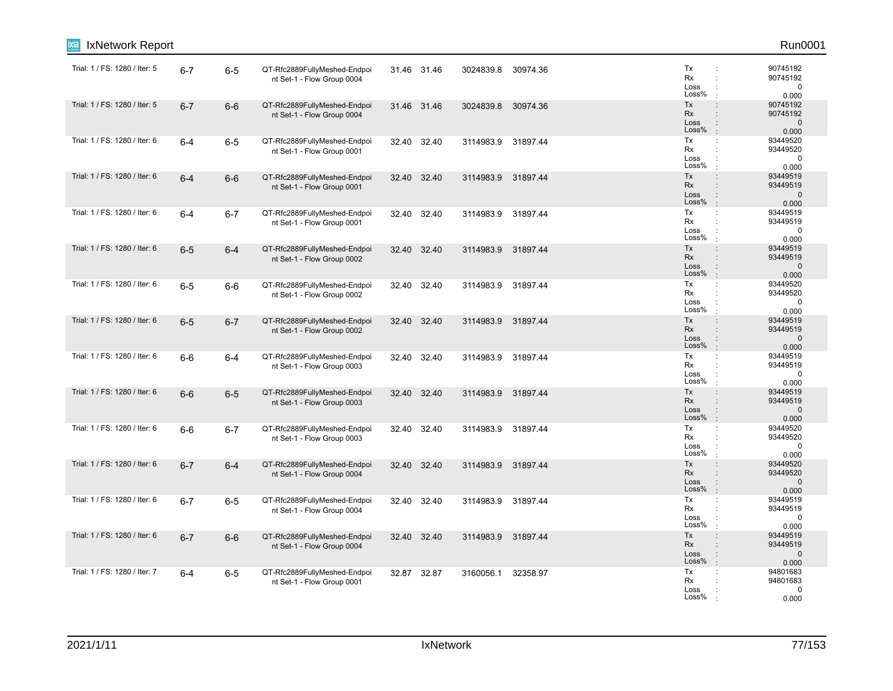| IxNetwork Report              |         |         |                                                            |       |             |           |          |                                                                                                                     | Run0001                                      |
|-------------------------------|---------|---------|------------------------------------------------------------|-------|-------------|-----------|----------|---------------------------------------------------------------------------------------------------------------------|----------------------------------------------|
| Trial: 1 / FS: 1280 / Iter: 5 | $6 - 7$ | $6-5$   | QT-Rfc2889FullyMeshed-Endpoi<br>nt Set-1 - Flow Group 0004 |       | 31.46 31.46 | 3024839.8 | 30974.36 | Tx<br>÷<br>Rx<br>$\ddot{\phantom{a}}$<br>Loss<br>Loss%                                                              | 90745192<br>90745192<br>0<br>0.000           |
| Trial: 1 / FS: 1280 / Iter: 5 | $6 - 7$ | $6-6$   | QT-Rfc2889FullyMeshed-Endpoi<br>nt Set-1 - Flow Group 0004 |       | 31.46 31.46 | 3024839.8 | 30974.36 | Tx<br>$\ddot{\phantom{a}}$<br>Rx<br>$\ddot{\phantom{a}}$<br>Loss<br>$\ddot{\phantom{a}}$<br>Loss%<br>$\pm$          | 90745192<br>90745192<br>$\mathbf 0$<br>0.000 |
| Trial: 1 / FS: 1280 / Iter: 6 | $6-4$   | $6-5$   | QT-Rfc2889FullyMeshed-Endpoi<br>nt Set-1 - Flow Group 0001 |       | 32.40 32.40 | 3114983.9 | 31897.44 | Tx<br>$\ddot{\phantom{a}}$<br>Rx<br>$\ddot{\phantom{a}}$<br>Loss<br>Loss%<br>$\ddot{\phantom{a}}$                   | 93449520<br>93449520<br>$\mathbf 0$<br>0.000 |
| Trial: 1 / FS: 1280 / Iter: 6 | $6 - 4$ | $6-6$   | QT-Rfc2889FullyMeshed-Endpoi<br>nt Set-1 - Flow Group 0001 |       | 32.40 32.40 | 3114983.9 | 31897.44 | Tx<br>$\ddot{\phantom{a}}$<br>Rx<br>Loss<br>Loss%<br>$\ddot{\phantom{a}}$                                           | 93449519<br>93449519<br>$\mathbf 0$<br>0.000 |
| Trial: 1 / FS: 1280 / Iter: 6 | $6-4$   | $6 - 7$ | QT-Rfc2889FullyMeshed-Endpoi<br>nt Set-1 - Flow Group 0001 | 32.40 | 32.40       | 3114983.9 | 31897.44 | Tx<br>÷<br>Rx<br>Loss<br>Loss%                                                                                      | 93449519<br>93449519<br>0<br>0.000           |
| Trial: 1 / FS: 1280 / Iter: 6 | $6-5$   | $6 - 4$ | QT-Rfc2889FullyMeshed-Endpoi<br>nt Set-1 - Flow Group 0002 | 32.40 | 32.40       | 3114983.9 | 31897.44 | Tx<br>$\ddot{\phantom{a}}$<br>Rx<br>$\ddot{\phantom{a}}$<br>Loss<br>$\ddot{\phantom{a}}$<br>Loss%<br>$\cdot$        | 93449519<br>93449519<br>$\mathbf 0$<br>0.000 |
| Trial: 1 / FS: 1280 / Iter: 6 | $6-5$   | $6-6$   | QT-Rfc2889FullyMeshed-Endpoi<br>nt Set-1 - Flow Group 0002 | 32.40 | 32.40       | 3114983.9 | 31897.44 | Tx<br>$\ddot{\phantom{a}}$<br>Rx<br>$\ddot{\phantom{a}}$<br>Loss<br>÷<br>Loss%<br>$\ddot{\phantom{a}}$              | 93449520<br>93449520<br>$\mathbf 0$<br>0.000 |
| Trial: 1 / FS: 1280 / Iter: 6 | $6-5$   | $6 - 7$ | QT-Rfc2889FullyMeshed-Endpoi<br>nt Set-1 - Flow Group 0002 |       | 32.40 32.40 | 3114983.9 | 31897.44 | Tx<br>$\ddot{\phantom{a}}$<br>Rx<br>$\ddot{\phantom{a}}$<br>Loss<br>$\ddot{\phantom{a}}$<br>Loss%<br>$\pm$          | 93449519<br>93449519<br>$\mathbf 0$<br>0.000 |
| Trial: 1 / FS: 1280 / Iter: 6 | $6-6$   | $6-4$   | QT-Rfc2889FullyMeshed-Endpoi<br>nt Set-1 - Flow Group 0003 | 32.40 | 32.40       | 3114983.9 | 31897.44 | Tx<br>$\ddot{\phantom{a}}$<br>Rx<br>Loss<br>Loss%                                                                   | 93449519<br>93449519<br>$\mathbf 0$<br>0.000 |
| Trial: 1 / FS: 1280 / Iter: 6 | $6-6$   | $6-5$   | QT-Rfc2889FullyMeshed-Endpoi<br>nt Set-1 - Flow Group 0003 |       | 32.40 32.40 | 3114983.9 | 31897.44 | Tx<br>$\ddot{\phantom{a}}$<br>Rx<br>$\ddot{\phantom{a}}$<br>Loss<br>Loss%<br>÷                                      | 93449519<br>93449519<br>$\mathbf 0$<br>0.000 |
| Trial: 1 / FS: 1280 / Iter: 6 | $6-6$   | $6 - 7$ | QT-Rfc2889FullyMeshed-Endpoi<br>nt Set-1 - Flow Group 0003 |       | 32.40 32.40 | 3114983.9 | 31897.44 | Tx<br>÷<br>Rx<br>$\ddot{\phantom{a}}$<br>Loss<br>Loss%<br>$\cdot$                                                   | 93449520<br>93449520<br>0<br>0.000           |
| Trial: 1 / FS: 1280 / Iter: 6 | $6 - 7$ | $6 - 4$ | QT-Rfc2889FullyMeshed-Endpoi<br>nt Set-1 - Flow Group 0004 | 32.40 | 32.40       | 3114983.9 | 31897.44 | Tx<br>$\ddot{\phantom{a}}$<br><b>Rx</b><br>$\ddot{\phantom{a}}$<br>Loss<br>$\ddot{\phantom{a}}$<br>Loss%<br>$\cdot$ | 93449520<br>93449520<br>$\mathbf 0$<br>0.000 |
| Trial: 1 / FS: 1280 / Iter: 6 | $6 - 7$ | $6-5$   | QT-Rfc2889FullyMeshed-Endpoi<br>nt Set-1 - Flow Group 0004 |       | 32.40 32.40 | 3114983.9 | 31897.44 | Tx<br>$\ddot{\phantom{a}}$<br>Rx<br>Loss<br>Loss%                                                                   | 93449519<br>93449519<br>0<br>0.000           |
| Trial: 1 / FS: 1280 / Iter: 6 | $6 - 7$ | $6-6$   | QT-Rfc2889FullyMeshed-Endpoi<br>nt Set-1 - Flow Group 0004 |       | 32.40 32.40 | 3114983.9 | 31897.44 | Tx<br>$\ddot{\phantom{a}}$<br>Rx<br>$\ddot{\phantom{a}}$<br>Loss<br>÷<br>Loss%<br>$\pm$                             | 93449519<br>93449519<br>$\pmb{0}$<br>0.000   |
| Trial: 1 / FS: 1280 / Iter: 7 | $6-4$   | $6-5$   | QT-Rfc2889FullyMeshed-Endpoi<br>nt Set-1 - Flow Group 0001 |       | 32.87 32.87 | 3160056.1 | 32358.97 | Tx<br>÷<br>Rx<br>Loss<br>Loss%                                                                                      | 94801683<br>94801683<br>0<br>0.000           |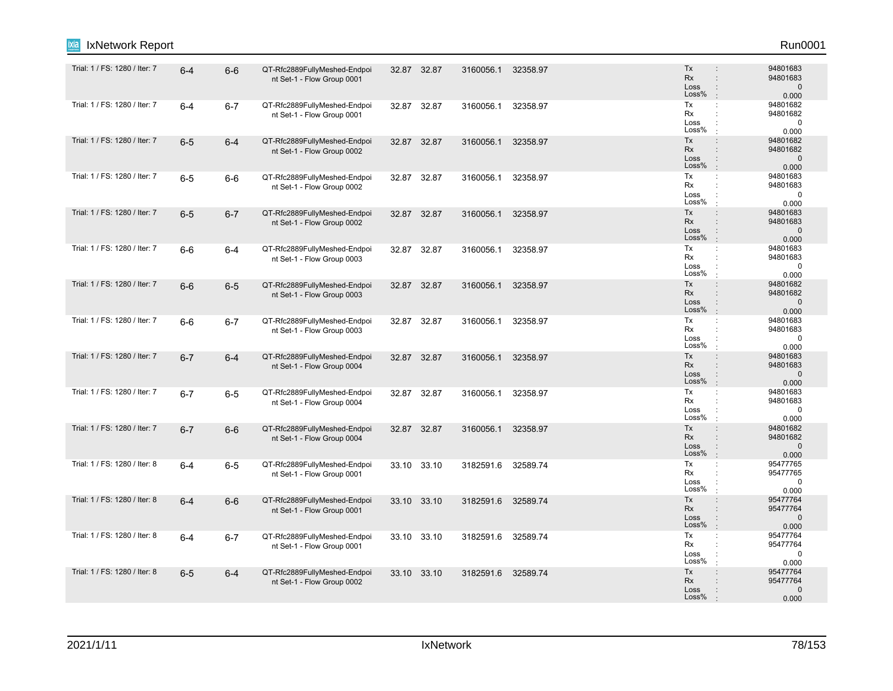| IxNetwork Report              |         |         |                                                            |       |             |                    |          |                                                                                                               | Run0001                                       |
|-------------------------------|---------|---------|------------------------------------------------------------|-------|-------------|--------------------|----------|---------------------------------------------------------------------------------------------------------------|-----------------------------------------------|
| Trial: 1 / FS: 1280 / Iter: 7 | $6 - 4$ | $6-6$   | QT-Rfc2889FullyMeshed-Endpoi<br>nt Set-1 - Flow Group 0001 |       | 32.87 32.87 | 3160056.1 32358.97 |          | Tx<br><b>Rx</b><br>$\ddot{\phantom{a}}$<br>Loss<br>$\ddot{\phantom{a}}$<br>Loss%<br>$\mathbb{R}^2$            | 94801683<br>94801683<br>$\mathbf 0$<br>0.000  |
| Trial: 1 / FS: 1280 / Iter: 7 | $6-4$   | $6 - 7$ | QT-Rfc2889FullyMeshed-Endpoi<br>nt Set-1 - Flow Group 0001 |       | 32.87 32.87 | 3160056.1          | 32358.97 | Tx<br>$\mathbb{C}^{\times}$<br>Rx<br>÷<br>Loss<br>Loss%<br>$\cdot$                                            | 94801682<br>94801682<br>$\mathbf 0$<br>0.000  |
| Trial: 1 / FS: 1280 / Iter: 7 | $6-5$   | $6 - 4$ | QT-Rfc2889FullyMeshed-Endpoi<br>nt Set-1 - Flow Group 0002 |       | 32.87 32.87 | 3160056.1          | 32358.97 | Tx<br>$\ddot{\phantom{a}}$<br>Rx<br>$\ddot{\phantom{a}}$<br>Loss<br>$\ddot{\phantom{a}}$<br>Loss%<br>$\cdot$  | 94801682<br>94801682<br>$\mathbf 0$<br>0.000  |
| Trial: 1 / FS: 1280 / Iter: 7 | $6-5$   | $6-6$   | QT-Rfc2889FullyMeshed-Endpoi<br>nt Set-1 - Flow Group 0002 |       | 32.87 32.87 | 3160056.1          | 32358.97 | Tx<br>÷<br>Rx<br>Loss<br>Loss%<br>$\cdot$                                                                     | 94801683<br>94801683<br>$\mathbf 0$<br>0.000  |
| Trial: 1 / FS: 1280 / Iter: 7 | $6-5$   | $6 - 7$ | QT-Rfc2889FullyMeshed-Endpoi<br>nt Set-1 - Flow Group 0002 |       | 32.87 32.87 | 3160056.1          | 32358.97 | Tx<br>$\ddot{\phantom{a}}$<br>Rx<br>$\mathbf{r}$<br>Loss<br>Loss%<br>$\cdot$                                  | 94801683<br>94801683<br>$\mathbf 0$<br>0.000  |
| Trial: 1 / FS: 1280 / Iter: 7 | $6-6$   | 6-4     | QT-Rfc2889FullyMeshed-Endpoi<br>nt Set-1 - Flow Group 0003 |       | 32.87 32.87 | 3160056.1          | 32358.97 | Tx<br>$\mathbb{C}^{\times}$<br>Rx<br>$\ddot{\phantom{a}}$<br>Loss<br>Loss%<br>$\cdot$                         | 94801683<br>94801683<br>$\mathbf 0$<br>0.000  |
| Trial: 1 / FS: 1280 / Iter: 7 | $6-6$   | $6-5$   | QT-Rfc2889FullyMeshed-Endpoi<br>nt Set-1 - Flow Group 0003 |       | 32.87 32.87 | 3160056.1          | 32358.97 | Tx<br>$\ddot{\phantom{a}}$<br><b>Rx</b><br>$\ddot{\phantom{a}}$<br>Loss<br>$\ddot{\cdot}$<br>Loss%<br>$\cdot$ | 94801682<br>94801682<br>$\mathbf 0$<br>0.000  |
| Trial: 1 / FS: 1280 / Iter: 7 | $6-6$   | $6 - 7$ | QT-Rfc2889FullyMeshed-Endpoi<br>nt Set-1 - Flow Group 0003 |       | 32.87 32.87 | 3160056.1          | 32358.97 | Tx<br>÷<br>Rx<br>÷<br>Loss<br>$\ddot{\phantom{a}}$<br>Loss%<br>$\mathbf{r}$                                   | 94801683<br>94801683<br>$\mathbf 0$<br>0.000  |
| Trial: 1 / FS: 1280 / Iter: 7 | $6 - 7$ | $6 - 4$ | QT-Rfc2889FullyMeshed-Endpoi<br>nt Set-1 - Flow Group 0004 |       | 32.87 32.87 | 3160056.1          | 32358.97 | Tx<br>$\div$<br>Rx<br>$\ddot{\phantom{a}}$<br>Loss<br>Loss%<br>$\pm$                                          | 94801683<br>94801683<br>$\mathbf 0$<br>0.000  |
| Trial: 1 / FS: 1280 / Iter: 7 | $6 - 7$ | $6-5$   | QT-Rfc2889FullyMeshed-Endpoi<br>nt Set-1 - Flow Group 0004 |       | 32.87 32.87 | 3160056.1          | 32358.97 | Tx<br>÷<br>Rx<br>÷<br>Loss<br>Loss%<br>÷                                                                      | 94801683<br>94801683<br>$\mathbf 0$<br>0.000  |
| Trial: 1 / FS: 1280 / Iter: 7 | $6 - 7$ | $6-6$   | QT-Rfc2889FullyMeshed-Endpoi<br>nt Set-1 - Flow Group 0004 |       | 32.87 32.87 | 3160056.1 32358.97 |          | Tx<br>$\ddot{\phantom{a}}$<br>Rx<br>$\div$<br>Loss<br>$\ddot{\cdot}$<br>Loss%<br>$\pm$                        | 94801682<br>94801682<br>$\mathbf 0$<br>0.000  |
| Trial: 1 / FS: 1280 / Iter: 8 | $6-4$   | $6-5$   | QT-Rfc2889FullyMeshed-Endpoi<br>nt Set-1 - Flow Group 0001 | 33.10 | 33.10       | 3182591.6          | 32589.74 | Tx<br>Rx<br>$\ddot{\phantom{a}}$<br>Loss<br>÷<br>Loss%<br>$\ddot{\phantom{a}}$                                | 95477765<br>95477765<br>0<br>0.000            |
| Trial: 1 / FS: 1280 / Iter: 8 | $6 - 4$ | $6-6$   | QT-Rfc2889FullyMeshed-Endpoi<br>nt Set-1 - Flow Group 0001 |       | 33.10 33.10 | 3182591.6          | 32589.74 | Tx<br>$\ddot{\phantom{a}}$<br>Rx<br>Loss<br>$\ddot{\cdot}$<br>Loss%<br>$\cdot$                                | 95477764<br>95477764<br>$\mathbf{0}$<br>0.000 |
| Trial: 1 / FS: 1280 / Iter: 8 | $6-4$   | $6 - 7$ | QT-Rfc2889FullyMeshed-Endpoi<br>nt Set-1 - Flow Group 0001 |       | 33.10 33.10 | 3182591.6          | 32589.74 | Tx<br>$\ddot{\phantom{a}}$<br>Rx<br>÷<br>Loss<br>÷<br>Loss%<br>$\ddot{\phantom{a}}$                           | 95477764<br>95477764<br>0<br>0.000            |
| Trial: 1 / FS: 1280 / Iter: 8 | $6-5$   | $6 - 4$ | QT-Rfc2889FullyMeshed-Endpoi<br>nt Set-1 - Flow Group 0002 |       | 33.10 33.10 | 3182591.6          | 32589.74 | Tx<br>$\ddot{\phantom{a}}$<br><b>Rx</b><br>$\ddot{\phantom{a}}$<br>Loss<br>Loss%                              | 95477764<br>95477764<br>$\mathbf{0}$<br>0.000 |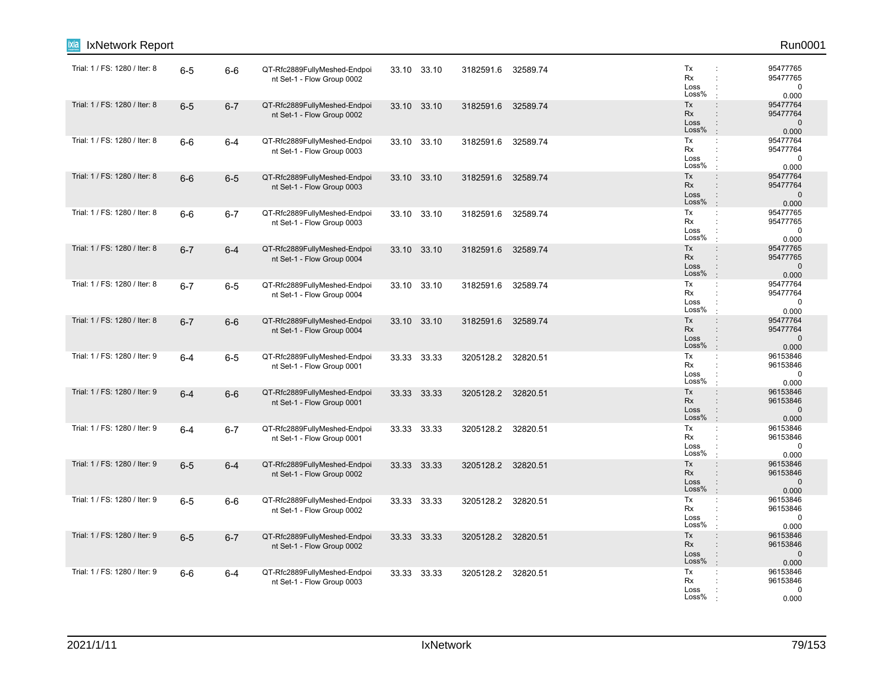| IxNetwork Report              |         |         |                                                            |       |             |                    |          |                                                                                                                     | Run0001                                       |
|-------------------------------|---------|---------|------------------------------------------------------------|-------|-------------|--------------------|----------|---------------------------------------------------------------------------------------------------------------------|-----------------------------------------------|
| Trial: 1 / FS: 1280 / Iter: 8 | $6-5$   | $6-6$   | QT-Rfc2889FullyMeshed-Endpoi<br>nt Set-1 - Flow Group 0002 |       | 33.10 33.10 | 3182591.6          | 32589.74 | Tx<br>÷<br>Rx<br>$\ddot{\phantom{a}}$<br>Loss<br>Loss%                                                              | 95477765<br>95477765<br>0<br>0.000            |
| Trial: 1 / FS: 1280 / Iter: 8 | $6-5$   | $6 - 7$ | QT-Rfc2889FullyMeshed-Endpoi<br>nt Set-1 - Flow Group 0002 | 33.10 | 33.10       | 3182591.6          | 32589.74 | Tx<br>$\ddot{\phantom{a}}$<br>Rx<br>$\ddot{\phantom{a}}$<br>Loss<br>$\ddot{\phantom{a}}$<br>Loss%<br>$\pm$          | 95477764<br>95477764<br>$\mathbf 0$<br>0.000  |
| Trial: 1 / FS: 1280 / Iter: 8 | $6-6$   | $6 - 4$ | QT-Rfc2889FullyMeshed-Endpoi<br>nt Set-1 - Flow Group 0003 |       | 33.10 33.10 | 3182591.6          | 32589.74 | Tx<br>$\ddot{\phantom{a}}$<br>Rx<br>$\ddot{\phantom{a}}$<br>Loss<br>Loss%<br>$\ddot{\phantom{a}}$                   | 95477764<br>95477764<br>$\mathbf 0$<br>0.000  |
| Trial: 1 / FS: 1280 / Iter: 8 | $6-6$   | $6-5$   | QT-Rfc2889FullyMeshed-Endpoi<br>nt Set-1 - Flow Group 0003 |       | 33.10 33.10 | 3182591.6          | 32589.74 | Tx<br>$\ddot{\phantom{a}}$<br>Rx<br>Loss<br>Loss%<br>$\ddot{\phantom{a}}$                                           | 95477764<br>95477764<br>$\mathbf 0$<br>0.000  |
| Trial: 1 / FS: 1280 / Iter: 8 | $6-6$   | $6 - 7$ | QT-Rfc2889FullyMeshed-Endpoi<br>nt Set-1 - Flow Group 0003 |       | 33.10 33.10 | 3182591.6          | 32589.74 | Tx<br>÷<br>Rx<br>$\ddot{\phantom{a}}$<br>Loss<br>Loss%<br>$\cdot$                                                   | 95477765<br>95477765<br>0<br>0.000            |
| Trial: 1 / FS: 1280 / Iter: 8 | $6 - 7$ | $6 - 4$ | QT-Rfc2889FullyMeshed-Endpoi<br>nt Set-1 - Flow Group 0004 |       | 33.10 33.10 | 3182591.6          | 32589.74 | Tx<br>$\ddot{\phantom{a}}$<br>Rx<br>$\ddot{\phantom{a}}$<br>Loss<br>$\ddot{\phantom{a}}$<br>Loss%<br>$\pm$          | 95477765<br>95477765<br>$\mathbf{0}$<br>0.000 |
| Trial: 1 / FS: 1280 / Iter: 8 | $6 - 7$ | $6-5$   | QT-Rfc2889FullyMeshed-Endpoi<br>nt Set-1 - Flow Group 0004 |       | 33.10 33.10 | 3182591.6          | 32589.74 | Tx<br>$\ddot{\phantom{a}}$<br>Rx<br>$\ddot{\phantom{a}}$<br>Loss<br>÷<br>Loss%<br>$\ddot{\phantom{a}}$              | 95477764<br>95477764<br>$\mathbf 0$<br>0.000  |
| Trial: 1 / FS: 1280 / Iter: 8 | $6 - 7$ | $6-6$   | QT-Rfc2889FullyMeshed-Endpoi<br>nt Set-1 - Flow Group 0004 |       | 33.10 33.10 | 3182591.6          | 32589.74 | Tx<br>$\ddot{\phantom{a}}$<br>Rx<br>$\ddot{\phantom{a}}$<br>Loss<br>$\ddot{\phantom{a}}$<br>Loss%<br>$\pm$          | 95477764<br>95477764<br>$\mathbf 0$<br>0.000  |
| Trial: 1 / FS: 1280 / Iter: 9 | $6-4$   | $6-5$   | QT-Rfc2889FullyMeshed-Endpoi<br>nt Set-1 - Flow Group 0001 |       | 33.33 33.33 | 3205128.2          | 32820.51 | Tx<br>$\ddot{\phantom{a}}$<br>Rx<br>Loss<br>Loss%                                                                   | 96153846<br>96153846<br>$\mathbf 0$<br>0.000  |
| Trial: 1 / FS: 1280 / Iter: 9 | $6 - 4$ | $6-6$   | QT-Rfc2889FullyMeshed-Endpoi<br>nt Set-1 - Flow Group 0001 |       | 33.33 33.33 | 3205128.2 32820.51 |          | Tx<br>$\colon$<br>Rx<br>$\ddot{\phantom{a}}$<br>Loss<br>Loss%<br>$\mathbf{r}$                                       | 96153846<br>96153846<br>$\mathbf 0$<br>0.000  |
| Trial: 1 / FS: 1280 / Iter: 9 | $6 - 4$ | $6 - 7$ | QT-Rfc2889FullyMeshed-Endpoi<br>nt Set-1 - Flow Group 0001 |       | 33.33 33.33 | 3205128.2 32820.51 |          | Tx<br>÷<br>Rx<br>$\ddot{\phantom{a}}$<br>Loss<br>Loss%<br>$\cdot$                                                   | 96153846<br>96153846<br>0<br>0.000            |
| Trial: 1 / FS: 1280 / Iter: 9 | $6-5$   | $6 - 4$ | QT-Rfc2889FullyMeshed-Endpoi<br>nt Set-1 - Flow Group 0002 |       | 33.33 33.33 | 3205128.2 32820.51 |          | Tx<br>$\ddot{\phantom{a}}$<br><b>Rx</b><br>$\ddot{\phantom{a}}$<br>Loss<br>$\ddot{\phantom{a}}$<br>Loss%<br>$\cdot$ | 96153846<br>96153846<br>$\mathbf 0$<br>0.000  |
| Trial: 1 / FS: 1280 / Iter: 9 | $6-5$   | $6-6$   | QT-Rfc2889FullyMeshed-Endpoi<br>nt Set-1 - Flow Group 0002 |       | 33.33 33.33 | 3205128.2 32820.51 |          | Tx<br>$\ddot{\phantom{a}}$<br>Rx<br>Loss<br>Loss%                                                                   | 96153846<br>96153846<br>$\Omega$<br>0.000     |
| Trial: 1 / FS: 1280 / Iter: 9 | $6-5$   | $6 - 7$ | QT-Rfc2889FullyMeshed-Endpoi<br>nt Set-1 - Flow Group 0002 |       | 33.33 33.33 | 3205128.2 32820.51 |          | Tx<br>$\ddot{\phantom{a}}$<br>Rx<br>$\ddot{\phantom{a}}$<br>Loss<br>÷<br>Loss%<br>$\pm$                             | 96153846<br>96153846<br>$\mathbf 0$<br>0.000  |
| Trial: 1 / FS: 1280 / Iter: 9 | $6-6$   | $6 - 4$ | QT-Rfc2889FullyMeshed-Endpoi<br>nt Set-1 - Flow Group 0003 |       | 33.33 33.33 | 3205128.2 32820.51 |          | Tx<br>÷<br>Rx<br>Loss<br>Loss%                                                                                      | 96153846<br>96153846<br>0<br>0.000            |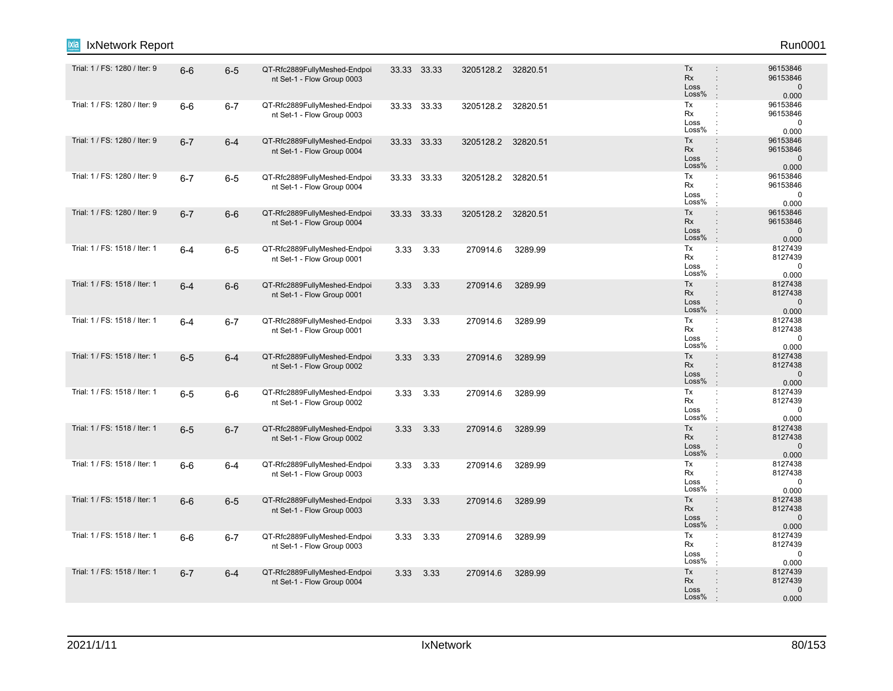| IxNetwork Report              |         |         |                                                            |      |             |                    |          |                                                                                                                           | Run0001                                      |
|-------------------------------|---------|---------|------------------------------------------------------------|------|-------------|--------------------|----------|---------------------------------------------------------------------------------------------------------------------------|----------------------------------------------|
| Trial: 1 / FS: 1280 / Iter: 9 | $6-6$   | $6-5$   | QT-Rfc2889FullyMeshed-Endpoi<br>nt Set-1 - Flow Group 0003 |      | 33.33 33.33 | 3205128.2 32820.51 |          | Tx<br><b>Rx</b><br>$\ddot{\phantom{a}}$<br>Loss<br>$\ddot{\phantom{a}}$<br>Loss%                                          | 96153846<br>96153846<br>$\mathbf 0$<br>0.000 |
| Trial: 1 / FS: 1280 / Iter: 9 | $6-6$   | $6 - 7$ | QT-Rfc2889FullyMeshed-Endpoi<br>nt Set-1 - Flow Group 0003 |      | 33.33 33.33 | 3205128.2          | 32820.51 | Tx<br>÷<br>Rx<br>÷<br>Loss<br>÷<br>Loss%<br>÷                                                                             | 96153846<br>96153846<br>$\mathbf 0$<br>0.000 |
| Trial: 1 / FS: 1280 / Iter: 9 | $6 - 7$ | $6-4$   | QT-Rfc2889FullyMeshed-Endpoi<br>nt Set-1 - Flow Group 0004 |      | 33.33 33.33 | 3205128.2 32820.51 |          | Tx<br>$\ddot{\phantom{a}}$<br>Rx<br>$\ddot{\phantom{a}}$<br>Loss<br>$\ddot{\phantom{a}}$<br>Loss%<br>$\ddot{\phantom{a}}$ | 96153846<br>96153846<br>$\mathbf 0$<br>0.000 |
| Trial: 1 / FS: 1280 / Iter: 9 | $6 - 7$ | $6-5$   | QT-Rfc2889FullyMeshed-Endpoi<br>nt Set-1 - Flow Group 0004 |      | 33.33 33.33 | 3205128.2 32820.51 |          | Tx<br>÷<br>Rx<br>Loss<br>Loss%<br>$\cdot$                                                                                 | 96153846<br>96153846<br>0<br>0.000           |
| Trial: 1 / FS: 1280 / Iter: 9 | $6 - 7$ | $6-6$   | QT-Rfc2889FullyMeshed-Endpoi<br>nt Set-1 - Flow Group 0004 |      | 33.33 33.33 | 3205128.2 32820.51 |          | Tx<br>$\div$<br>Rx<br>$\ddot{\phantom{a}}$<br>Loss<br>Loss%<br>$\cdot$                                                    | 96153846<br>96153846<br>$\mathbf 0$<br>0.000 |
| Trial: 1 / FS: 1518 / Iter: 1 | $6-4$   | $6-5$   | QT-Rfc2889FullyMeshed-Endpoi<br>nt Set-1 - Flow Group 0001 | 3.33 | 3.33        | 270914.6           | 3289.99  | Tx<br>$\mathbb{C}^{\times}$<br>Rx<br>÷<br>Loss<br>Loss%<br>$\cdot$                                                        | 8127439<br>8127439<br>$\mathbf 0$<br>0.000   |
| Trial: 1 / FS: 1518 / Iter: 1 | $6 - 4$ | $6-6$   | QT-Rfc2889FullyMeshed-Endpoi<br>nt Set-1 - Flow Group 0001 | 3.33 | 3.33        | 270914.6           | 3289.99  | Tx<br>$\ddot{\phantom{a}}$<br>Rx<br>$\ddot{\phantom{a}}$<br>Loss<br>Loss%<br>$\mathbb{R}^2$                               | 8127438<br>8127438<br>$\mathbf 0$<br>0.000   |
| Trial: 1 / FS: 1518 / Iter: 1 | $6-4$   | $6 - 7$ | QT-Rfc2889FullyMeshed-Endpoi<br>nt Set-1 - Flow Group 0001 |      | 3.33 3.33   | 270914.6           | 3289.99  | Tx<br>$\mathbb{C}^{\times}$<br>Rx<br>Loss<br>Loss%<br>$\cdot$                                                             | 8127438<br>8127438<br>$\Omega$<br>0.000      |
| Trial: 1 / FS: 1518 / Iter: 1 | $6-5$   | $6 - 4$ | QT-Rfc2889FullyMeshed-Endpoi<br>nt Set-1 - Flow Group 0002 | 3.33 | 3.33        | 270914.6           | 3289.99  | Tx<br>$\div$<br>Rx<br>$\ddot{\phantom{a}}$<br>Loss<br>Loss%<br>$\mathbb{R}^2$                                             | 8127438<br>8127438<br>$\mathbf 0$<br>0.000   |
| Trial: 1 / FS: 1518 / Iter: 1 | $6-5$   | $6-6$   | QT-Rfc2889FullyMeshed-Endpoi<br>nt Set-1 - Flow Group 0002 | 3.33 | 3.33        | 270914.6           | 3289.99  | Tx<br>÷<br>Rx<br>$\ddot{\phantom{a}}$<br>Loss<br>Loss%<br>$\cdot$                                                         | 8127439<br>8127439<br>$\mathbf 0$<br>0.000   |
| Trial: 1 / FS: 1518 / Iter: 1 | $6-5$   | $6 - 7$ | QT-Rfc2889FullyMeshed-Endpoi<br>nt Set-1 - Flow Group 0002 | 3.33 | 3.33        | 270914.6           | 3289.99  | Tx<br>$\ddot{\phantom{a}}$<br>Rx<br>$\ddot{\phantom{a}}$<br>Loss<br>$\ddot{\phantom{a}}$<br>Loss%<br>$\cdot$              | 8127438<br>8127438<br>$\mathbf 0$<br>0.000   |
| Trial: 1 / FS: 1518 / Iter: 1 | $6-6$   | $6-4$   | QT-Rfc2889FullyMeshed-Endpoi<br>nt Set-1 - Flow Group 0003 | 3.33 | 3.33        | 270914.6           | 3289.99  | Tx<br>Rx<br>Loss<br>Loss%                                                                                                 | 8127438<br>8127438<br>$\mathbf 0$<br>0.000   |
| Trial: 1 / FS: 1518 / Iter: 1 | $6-6$   | $6-5$   | QT-Rfc2889FullyMeshed-Endpoi<br>nt Set-1 - Flow Group 0003 | 3.33 | 3.33        | 270914.6           | 3289.99  | Tx<br>$\ddot{\phantom{a}}$<br><b>Rx</b><br>$\ddot{\phantom{a}}$<br>Loss<br>$\ddot{\cdot}$<br>Loss%<br>$\cdot$             | 8127438<br>8127438<br>$\mathbf{0}$<br>0.000  |
| Trial: 1 / FS: 1518 / Iter: 1 | $6-6$   | $6-7$   | QT-Rfc2889FullyMeshed-Endpoi<br>nt Set-1 - Flow Group 0003 | 3.33 | 3.33        | 270914.6           | 3289.99  | Tx<br>÷<br>Rx<br>÷<br>Loss<br>Loss%                                                                                       | 8127439<br>8127439<br>0<br>0.000             |
| Trial: 1 / FS: 1518 / Iter: 1 | $6 - 7$ | $6-4$   | QT-Rfc2889FullyMeshed-Endpoi<br>nt Set-1 - Flow Group 0004 | 3.33 | 3.33        | 270914.6           | 3289.99  | Tx<br>$\ddot{\phantom{a}}$<br>Rx<br>Loss<br>$\ddot{\cdot}$<br>Loss%<br>$\cdot$                                            | 8127439<br>8127439<br>$\mathbf 0$<br>0.000   |
|                               |         |         |                                                            |      |             |                    |          |                                                                                                                           |                                              |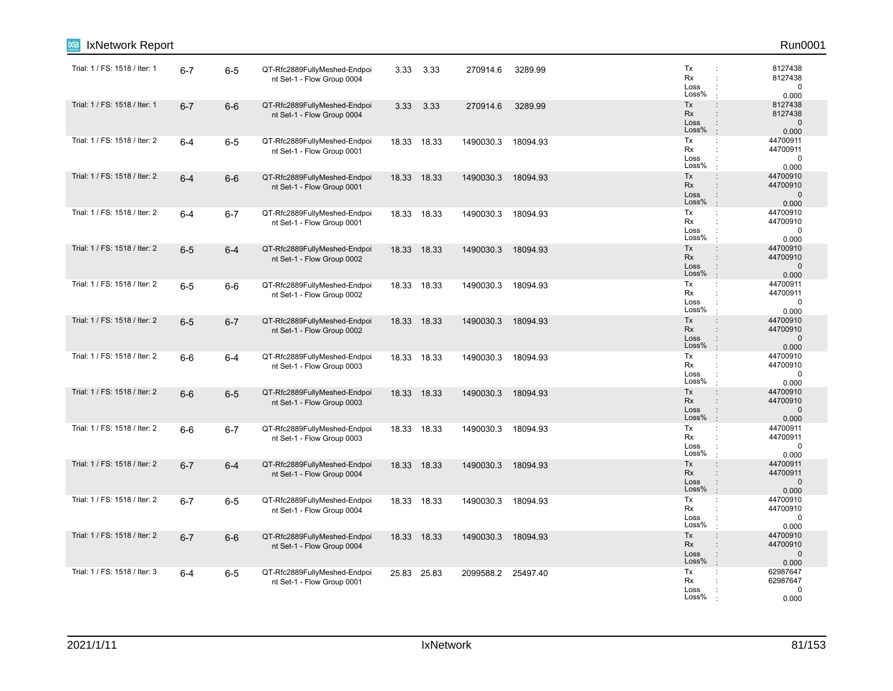| IxNetwork Report<br>ixia      |         |         |                                                            |       |             |                    |          |                                                                                                                     | Run0001                                      |
|-------------------------------|---------|---------|------------------------------------------------------------|-------|-------------|--------------------|----------|---------------------------------------------------------------------------------------------------------------------|----------------------------------------------|
| Trial: 1 / FS: 1518 / Iter: 1 | $6 - 7$ | $6-5$   | QT-Rfc2889FullyMeshed-Endpoi<br>nt Set-1 - Flow Group 0004 | 3.33  | 3.33        | 270914.6           | 3289.99  | Tx<br>÷<br>Rx<br>÷<br>Loss<br>Loss%                                                                                 | 8127438<br>8127438<br>0<br>0.000             |
| Trial: 1 / FS: 1518 / Iter: 1 | $6 - 7$ | $6-6$   | QT-Rfc2889FullyMeshed-Endpoi<br>nt Set-1 - Flow Group 0004 | 3.33  | 3.33        | 270914.6           | 3289.99  | Tx<br>$\ddot{\phantom{a}}$<br>Rx<br>$\ddot{\phantom{a}}$<br>Loss<br>$\ddot{\phantom{a}}$<br>Loss%<br>$\pm$          | 8127438<br>8127438<br>$\mathbf 0$<br>0.000   |
| Trial: 1 / FS: 1518 / Iter: 2 | $6 - 4$ | $6-5$   | QT-Rfc2889FullyMeshed-Endpoi<br>nt Set-1 - Flow Group 0001 |       | 18.33 18.33 | 1490030.3          | 18094.93 | Tx<br>÷<br>Rx<br>Loss<br>Loss%<br>$\ddot{\phantom{a}}$                                                              | 44700911<br>44700911<br>0<br>0.000           |
| Trial: 1 / FS: 1518 / Iter: 2 | $6 - 4$ | $6-6$   | QT-Rfc2889FullyMeshed-Endpoi<br>nt Set-1 - Flow Group 0001 |       | 18.33 18.33 | 1490030.3          | 18094.93 | Tx<br>$\ddot{\phantom{a}}$<br>Rx<br>Loss<br>Loss%<br>$\pm$                                                          | 44700910<br>44700910<br>$\mathbf 0$<br>0.000 |
| Trial: 1 / FS: 1518 / Iter: 2 | $6 - 4$ | $6 - 7$ | QT-Rfc2889FullyMeshed-Endpoi<br>nt Set-1 - Flow Group 0001 |       | 18.33 18.33 | 1490030.3          | 18094.93 | Tx<br>÷<br>Rx<br>$\cdot$<br>Loss<br>Loss%                                                                           | 44700910<br>44700910<br>0<br>0.000           |
| Trial: 1 / FS: 1518 / Iter: 2 | $6-5$   | $6 - 4$ | QT-Rfc2889FullyMeshed-Endpoi<br>nt Set-1 - Flow Group 0002 |       | 18.33 18.33 | 1490030.3          | 18094.93 | Tx<br>$\ddot{\phantom{a}}$<br>Rx<br>$\div$<br>Loss<br>$\ddot{\phantom{a}}$<br>Loss%<br>$\cdot$                      | 44700910<br>44700910<br>$\mathbf 0$<br>0.000 |
| Trial: 1 / FS: 1518 / Iter: 2 | $6-5$   | $6-6$   | QT-Rfc2889FullyMeshed-Endpoi<br>nt Set-1 - Flow Group 0002 | 18.33 | 18.33       | 1490030.3          | 18094.93 | Tx<br>÷<br>Rx<br>÷<br>Loss<br>÷<br>Loss%<br>÷                                                                       | 44700911<br>44700911<br>$\mathbf 0$<br>0.000 |
| Trial: 1 / FS: 1518 / Iter: 2 | $6-5$   | $6 - 7$ | QT-Rfc2889FullyMeshed-Endpoi<br>nt Set-1 - Flow Group 0002 |       | 18.33 18.33 | 1490030.3          | 18094.93 | Tx<br>$\ddot{\phantom{a}}$<br>Rx<br>$\ddot{\phantom{a}}$<br>Loss<br>$\ddot{\phantom{a}}$<br>Loss%<br>$\mathbb{R}^2$ | 44700910<br>44700910<br>$\mathbf 0$<br>0.000 |
| Trial: 1 / FS: 1518 / Iter: 2 | $6-6$   | $6 - 4$ | QT-Rfc2889FullyMeshed-Endpoi<br>nt Set-1 - Flow Group 0003 |       | 18.33 18.33 | 1490030.3          | 18094.93 | Tx<br>÷<br>Rx<br>Loss<br>Loss%                                                                                      | 44700910<br>44700910<br>$\mathbf 0$<br>0.000 |
| Trial: 1 / FS: 1518 / Iter: 2 | $6-6$   | $6-5$   | QT-Rfc2889FullyMeshed-Endpoi<br>nt Set-1 - Flow Group 0003 |       | 18.33 18.33 | 1490030.3          | 18094.93 | Tx<br>$\div$<br>Rx<br>$\ddot{\phantom{a}}$<br>Loss<br>Loss%<br>$\cdot$                                              | 44700910<br>44700910<br>$\mathbf 0$<br>0.000 |
| Trial: 1 / FS: 1518 / Iter: 2 | $6-6$   | $6 - 7$ | QT-Rfc2889FullyMeshed-Endpoi<br>nt Set-1 - Flow Group 0003 |       | 18.33 18.33 | 1490030.3          | 18094.93 | Tx<br>$\mathbb{C}^{\times}$<br>Rx<br>÷<br>Loss<br>Loss%<br>$\cdot$                                                  | 44700911<br>44700911<br>0<br>0.000           |
| Trial: 1 / FS: 1518 / Iter: 2 | $6 - 7$ | $6 - 4$ | QT-Rfc2889FullyMeshed-Endpoi<br>nt Set-1 - Flow Group 0004 | 18.33 | 18.33       | 1490030.3          | 18094.93 | Tx<br>$\ddot{\phantom{a}}$<br><b>Rx</b><br>$\ddot{\phantom{a}}$<br>Loss<br>$\ddot{\phantom{a}}$<br>Loss%<br>$\cdot$ | 44700911<br>44700911<br>$\mathbf 0$<br>0.000 |
| Trial: 1 / FS: 1518 / Iter: 2 | $6 - 7$ | $6-5$   | QT-Rfc2889FullyMeshed-Endpoi<br>nt Set-1 - Flow Group 0004 |       | 18.33 18.33 | 1490030.3 18094.93 |          | Tx<br>÷<br>Rx<br>Loss<br>Loss%                                                                                      | 44700910<br>44700910<br>0<br>0.000           |
| Trial: 1 / FS: 1518 / Iter: 2 | $6 - 7$ | $6-6$   | QT-Rfc2889FullyMeshed-Endpoi<br>nt Set-1 - Flow Group 0004 |       | 18.33 18.33 | 1490030.3          | 18094.93 | Tx<br>$\ddot{\phantom{a}}$<br>Rx<br>$\ddot{\phantom{a}}$<br>Loss<br>÷<br>Loss%<br>$\mathbf{r}$                      | 44700910<br>44700910<br>$\mathbf 0$<br>0.000 |
| Trial: 1 / FS: 1518 / Iter: 3 | $6 - 4$ | $6-5$   | QT-Rfc2889FullyMeshed-Endpoi<br>nt Set-1 - Flow Group 0001 |       | 25.83 25.83 | 2099588.2 25497.40 |          | Tx<br>÷<br>Rx<br>Loss<br>Loss%                                                                                      | 62987647<br>62987647<br>0<br>0.000           |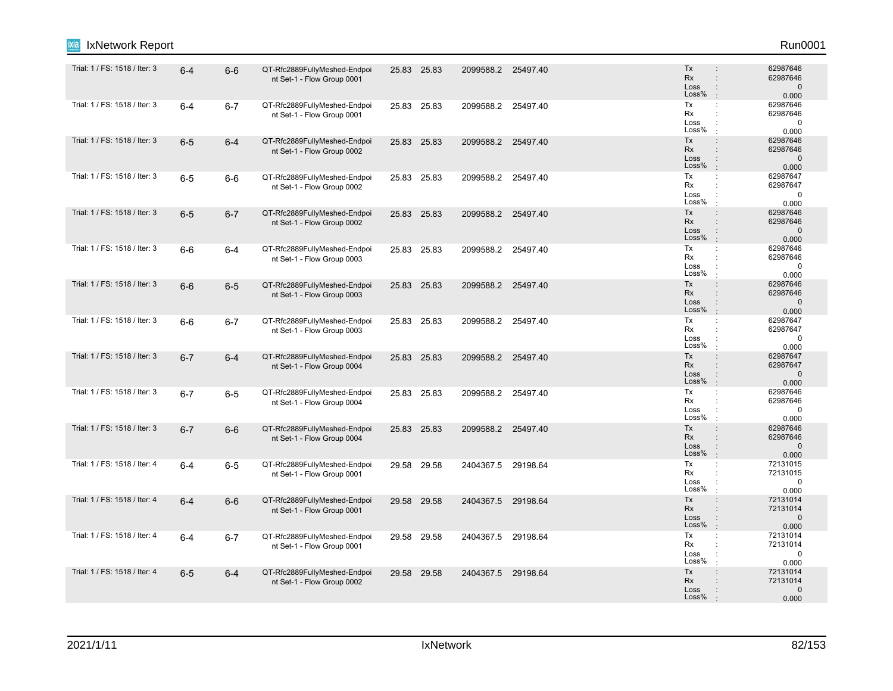| IxNetwork Report              |         |         |                                                            |             |       |                    |          |                                                                                                              | Run0001                                       |
|-------------------------------|---------|---------|------------------------------------------------------------|-------------|-------|--------------------|----------|--------------------------------------------------------------------------------------------------------------|-----------------------------------------------|
| Trial: 1 / FS: 1518 / Iter: 3 | $6 - 4$ | $6-6$   | QT-Rfc2889FullyMeshed-Endpoi<br>nt Set-1 - Flow Group 0001 | 25.83 25.83 |       | 2099588.2 25497.40 |          | Tx<br><b>Rx</b><br>$\ddot{\phantom{a}}$<br>Loss<br>$\ddot{\phantom{a}}$<br>Loss%<br>$\mathbb{R}^2$           | 62987646<br>62987646<br>$\mathbf 0$<br>0.000  |
| Trial: 1 / FS: 1518 / Iter: 3 | $6-4$   | $6 - 7$ | QT-Rfc2889FullyMeshed-Endpoi<br>nt Set-1 - Flow Group 0001 | 25.83       | 25.83 | 2099588.2          | 25497.40 | Tx<br>$\mathbb{C}^{\times}$<br>Rx<br>÷<br>Loss<br>Loss%<br>$\cdot$                                           | 62987646<br>62987646<br>$\mathbf 0$<br>0.000  |
| Trial: 1 / FS: 1518 / Iter: 3 | $6-5$   | $6 - 4$ | QT-Rfc2889FullyMeshed-Endpoi<br>nt Set-1 - Flow Group 0002 | 25.83 25.83 |       | 2099588.2 25497.40 |          | Tx<br>$\ddot{\phantom{a}}$<br>Rx<br>$\ddot{\phantom{a}}$<br>Loss<br>$\ddot{\phantom{a}}$<br>Loss%<br>$\cdot$ | 62987646<br>62987646<br>$\mathbf 0$<br>0.000  |
| Trial: 1 / FS: 1518 / Iter: 3 | $6-5$   | $6-6$   | QT-Rfc2889FullyMeshed-Endpoi<br>nt Set-1 - Flow Group 0002 | 25.83 25.83 |       | 2099588.2 25497.40 |          | Tx<br>÷<br>Rx<br>Loss<br>Loss%<br>$\cdot$                                                                    | 62987647<br>62987647<br>$\mathbf 0$<br>0.000  |
| Trial: 1 / FS: 1518 / Iter: 3 | $6-5$   | $6 - 7$ | QT-Rfc2889FullyMeshed-Endpoi<br>nt Set-1 - Flow Group 0002 | 25.83 25.83 |       | 2099588.2 25497.40 |          | Tx<br>$\ddot{\phantom{a}}$<br>Rx<br>$\mathbf{r}$<br>Loss<br>$\ddot{\phantom{a}}$<br>Loss%<br>$\cdot$         | 62987646<br>62987646<br>$\mathbf{0}$<br>0.000 |
| Trial: 1 / FS: 1518 / Iter: 3 | $6-6$   | 6-4     | QT-Rfc2889FullyMeshed-Endpoi<br>nt Set-1 - Flow Group 0003 | 25.83 25.83 |       | 2099588.2          | 25497.40 | Tx<br>$\mathbb{C}^{\times}$<br>Rx<br>$\ddot{\phantom{a}}$<br>Loss<br>Loss%<br>$\cdot$                        | 62987646<br>62987646<br>$\mathbf 0$<br>0.000  |
| Trial: 1 / FS: 1518 / Iter: 3 | $6-6$   | $6-5$   | QT-Rfc2889FullyMeshed-Endpoi<br>nt Set-1 - Flow Group 0003 | 25.83 25.83 |       | 2099588.2 25497.40 |          | Tx<br>$\ddot{\phantom{a}}$<br><b>Rx</b><br>$\ddot{\phantom{a}}$<br>Loss<br>÷<br>Loss%<br>$\cdot$             | 62987646<br>62987646<br>$\mathbf 0$<br>0.000  |
| Trial: 1 / FS: 1518 / Iter: 3 | $6-6$   | $6 - 7$ | QT-Rfc2889FullyMeshed-Endpoi<br>nt Set-1 - Flow Group 0003 | 25.83 25.83 |       | 2099588.2 25497.40 |          | Tx<br>÷<br>Rx<br>÷<br>Loss<br>$\ddot{\phantom{a}}$<br>Loss%<br>$\mathbf{r}$                                  | 62987647<br>62987647<br>$\mathbf 0$<br>0.000  |
| Trial: 1 / FS: 1518 / Iter: 3 | $6 - 7$ | $6 - 4$ | QT-Rfc2889FullyMeshed-Endpoi<br>nt Set-1 - Flow Group 0004 | 25.83 25.83 |       | 2099588.2 25497.40 |          | Tx<br>$\ddot{\phantom{a}}$<br>Rx<br>$\ddot{\phantom{a}}$<br>Loss<br>Loss%<br>$\cdot$                         | 62987647<br>62987647<br>$\mathbf 0$<br>0.000  |
| Trial: 1 / FS: 1518 / Iter: 3 | $6 - 7$ | $6-5$   | QT-Rfc2889FullyMeshed-Endpoi<br>nt Set-1 - Flow Group 0004 | 25.83 25.83 |       | 2099588.2 25497.40 |          | Tx<br>÷<br>Rx<br>÷<br>Loss<br>Loss%<br>÷                                                                     | 62987646<br>62987646<br>$\mathbf 0$<br>0.000  |
| Trial: 1 / FS: 1518 / Iter: 3 | $6 - 7$ | $6-6$   | QT-Rfc2889FullyMeshed-Endpoi<br>nt Set-1 - Flow Group 0004 | 25.83 25.83 |       | 2099588.2 25497.40 |          | Tx<br>$\ddot{\phantom{a}}$<br>Rx<br>$\div$<br>Loss<br>$\ddot{\cdot}$<br>Loss%<br>$\pm$                       | 62987646<br>62987646<br>$\mathbf 0$<br>0.000  |
| Trial: 1 / FS: 1518 / Iter: 4 | $6 - 4$ | $6-5$   | QT-Rfc2889FullyMeshed-Endpoi<br>nt Set-1 - Flow Group 0001 | 29.58       | 29.58 | 2404367.5          | 29198.64 | Tx<br>Rx<br>$\ddot{\phantom{a}}$<br>Loss<br>÷<br>Loss%<br>$\ddot{\phantom{a}}$                               | 72131015<br>72131015<br>0<br>0.000            |
| Trial: 1 / FS: 1518 / Iter: 4 | $6 - 4$ | $6-6$   | QT-Rfc2889FullyMeshed-Endpoi<br>nt Set-1 - Flow Group 0001 | 29.58 29.58 |       | 2404367.5          | 29198.64 | Tx<br>$\ddot{\phantom{a}}$<br>Rx<br>Loss<br>Loss%<br>$\cdot$                                                 | 72131014<br>72131014<br>$\mathbf{0}$<br>0.000 |
| Trial: 1 / FS: 1518 / Iter: 4 | $6-4$   | $6 - 7$ | QT-Rfc2889FullyMeshed-Endpoi<br>nt Set-1 - Flow Group 0001 | 29.58 29.58 |       | 2404367.5          | 29198.64 | Tx<br>$\ddot{\phantom{a}}$<br>Rx<br>÷<br>Loss<br>÷<br>Loss%<br>$\ddot{\phantom{a}}$                          | 72131014<br>72131014<br>0<br>0.000            |
| Trial: 1 / FS: 1518 / Iter: 4 | $6-5$   | $6 - 4$ | QT-Rfc2889FullyMeshed-Endpoi<br>nt Set-1 - Flow Group 0002 | 29.58 29.58 |       | 2404367.5          | 29198.64 | Tx<br>$\ddot{\phantom{a}}$<br><b>Rx</b><br>Loss<br>Loss%                                                     | 72131014<br>72131014<br>$\mathbf{0}$<br>0.000 |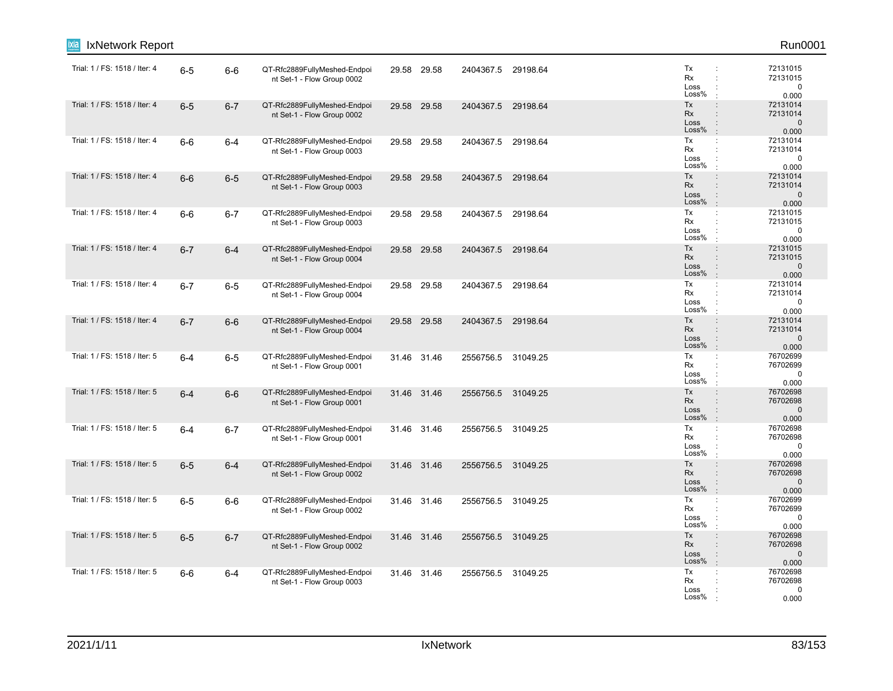| IxNetwork Report<br>ixia      |         |         |                                                            |             |                    |          |                                                                                                                     | Run0001                                       |
|-------------------------------|---------|---------|------------------------------------------------------------|-------------|--------------------|----------|---------------------------------------------------------------------------------------------------------------------|-----------------------------------------------|
| Trial: 1 / FS: 1518 / Iter: 4 | $6-5$   | $6-6$   | QT-Rfc2889FullyMeshed-Endpoi<br>nt Set-1 - Flow Group 0002 | 29.58 29.58 | 2404367.5 29198.64 |          | Tx<br>Rx<br>÷<br>Loss<br>Loss%                                                                                      | 72131015<br>72131015<br>0<br>0.000            |
| Trial: 1 / FS: 1518 / Iter: 4 | $6-5$   | $6 - 7$ | QT-Rfc2889FullyMeshed-Endpoi<br>nt Set-1 - Flow Group 0002 | 29.58 29.58 | 2404367.5          | 29198.64 | Tx<br>$\ddot{\phantom{a}}$<br>Rx<br>$\ddot{\phantom{a}}$<br>Loss<br>$\ddot{\phantom{a}}$<br>Loss%<br>$\pm$          | 72131014<br>72131014<br>$\mathbf 0$<br>0.000  |
| Trial: 1 / FS: 1518 / Iter: 4 | $6-6$   | $6 - 4$ | QT-Rfc2889FullyMeshed-Endpoi<br>nt Set-1 - Flow Group 0003 | 29.58 29.58 | 2404367.5 29198.64 |          | Tx<br>÷<br>Rx<br>Loss<br>Loss%<br>$\cdot$                                                                           | 72131014<br>72131014<br>$\mathbf 0$<br>0.000  |
| Trial: 1 / FS: 1518 / Iter: 4 | $6-6$   | $6-5$   | QT-Rfc2889FullyMeshed-Endpoi<br>nt Set-1 - Flow Group 0003 | 29.58 29.58 | 2404367.5          | 29198.64 | Tx<br>$\ddot{\phantom{a}}$<br>Rx<br>Loss<br>Loss%<br>$\pm$                                                          | 72131014<br>72131014<br>$\mathbf 0$<br>0.000  |
| Trial: 1 / FS: 1518 / Iter: 4 | $6-6$   | $6 - 7$ | QT-Rfc2889FullyMeshed-Endpoi<br>nt Set-1 - Flow Group 0003 | 29.58 29.58 | 2404367.5          | 29198.64 | Tx<br>÷<br>Rx<br>Loss<br>Loss%                                                                                      | 72131015<br>72131015<br>0<br>0.000            |
| Trial: 1 / FS: 1518 / Iter: 4 | $6 - 7$ | $6 - 4$ | QT-Rfc2889FullyMeshed-Endpoi<br>nt Set-1 - Flow Group 0004 | 29.58 29.58 | 2404367.5          | 29198.64 | Tx<br>$\ddot{\phantom{a}}$<br>Rx<br>$\div$<br>Loss<br>$\ddot{\phantom{a}}$<br>Loss%<br>$\cdot$                      | 72131015<br>72131015<br>$\mathbf{0}$<br>0.000 |
| Trial: 1 / FS: 1518 / Iter: 4 | $6 - 7$ | $6-5$   | QT-Rfc2889FullyMeshed-Endpoi<br>nt Set-1 - Flow Group 0004 | 29.58 29.58 | 2404367.5          | 29198.64 | Tx<br>÷<br>Rx<br>÷<br>Loss<br>÷<br>Loss%<br>÷                                                                       | 72131014<br>72131014<br>$\mathbf 0$<br>0.000  |
| Trial: 1 / FS: 1518 / Iter: 4 | $6 - 7$ | $6-6$   | QT-Rfc2889FullyMeshed-Endpoi<br>nt Set-1 - Flow Group 0004 | 29.58 29.58 | 2404367.5          | 29198.64 | Tx<br>$\ddot{\phantom{a}}$<br>Rx<br>Loss<br>$\ddot{\phantom{a}}$<br>Loss%<br>$\mathbb{R}^2$                         | 72131014<br>72131014<br>$\mathbf 0$<br>0.000  |
| Trial: 1 / FS: 1518 / Iter: 5 | $6 - 4$ | $6-5$   | QT-Rfc2889FullyMeshed-Endpoi<br>nt Set-1 - Flow Group 0001 | 31.46 31.46 | 2556756.5 31049.25 |          | Tx<br>÷<br>Rx<br>Loss<br>Loss%                                                                                      | 76702699<br>76702699<br>$\mathbf 0$<br>0.000  |
| Trial: 1 / FS: 1518 / Iter: 5 | $6 - 4$ | $6-6$   | QT-Rfc2889FullyMeshed-Endpoi<br>nt Set-1 - Flow Group 0001 | 31.46 31.46 | 2556756.5 31049.25 |          | Tx<br>$\div$<br>Rx<br>$\ddot{\phantom{a}}$<br>Loss<br>Loss%<br>$\cdot$                                              | 76702698<br>76702698<br>$\mathbf 0$<br>0.000  |
| Trial: 1 / FS: 1518 / Iter: 5 | $6 - 4$ | $6 - 7$ | QT-Rfc2889FullyMeshed-Endpoi<br>nt Set-1 - Flow Group 0001 | 31.46 31.46 | 2556756.5 31049.25 |          | Tx<br>$\mathbb{Z}^2$<br>Rx<br>÷<br>Loss<br>Loss%                                                                    | 76702698<br>76702698<br>0<br>0.000            |
| Trial: 1 / FS: 1518 / Iter: 5 | $6-5$   | $6 - 4$ | QT-Rfc2889FullyMeshed-Endpoi<br>nt Set-1 - Flow Group 0002 | 31.46 31.46 | 2556756.5          | 31049.25 | Tx<br>$\ddot{\phantom{a}}$<br><b>Rx</b><br>$\ddot{\phantom{a}}$<br>Loss<br>$\ddot{\phantom{a}}$<br>Loss%<br>$\cdot$ | 76702698<br>76702698<br>$\mathbf 0$<br>0.000  |
| Trial: 1 / FS: 1518 / Iter: 5 | $6-5$   | $6-6$   | QT-Rfc2889FullyMeshed-Endpoi<br>nt Set-1 - Flow Group 0002 | 31.46 31.46 | 2556756.5 31049.25 |          | Tx<br>÷<br>Rx<br>Loss<br>Loss%                                                                                      | 76702699<br>76702699<br>$\mathbf 0$<br>0.000  |
| Trial: 1 / FS: 1518 / Iter: 5 | $6-5$   | $6 - 7$ | QT-Rfc2889FullyMeshed-Endpoi<br>nt Set-1 - Flow Group 0002 | 31.46 31.46 | 2556756.5 31049.25 |          | Tx<br>$\ddot{\phantom{a}}$<br>Rx<br>$\ddot{\phantom{a}}$<br>Loss<br>÷<br>Loss%<br>$\mathbf{r}$                      | 76702698<br>76702698<br>$\mathbf 0$<br>0.000  |
| Trial: 1 / FS: 1518 / Iter: 5 | $6-6$   | $6 - 4$ | QT-Rfc2889FullyMeshed-Endpoi<br>nt Set-1 - Flow Group 0003 | 31.46 31.46 | 2556756.5 31049.25 |          | Tx<br>÷<br>Rx<br>Loss<br>Loss%                                                                                      | 76702698<br>76702698<br>0<br>0.000            |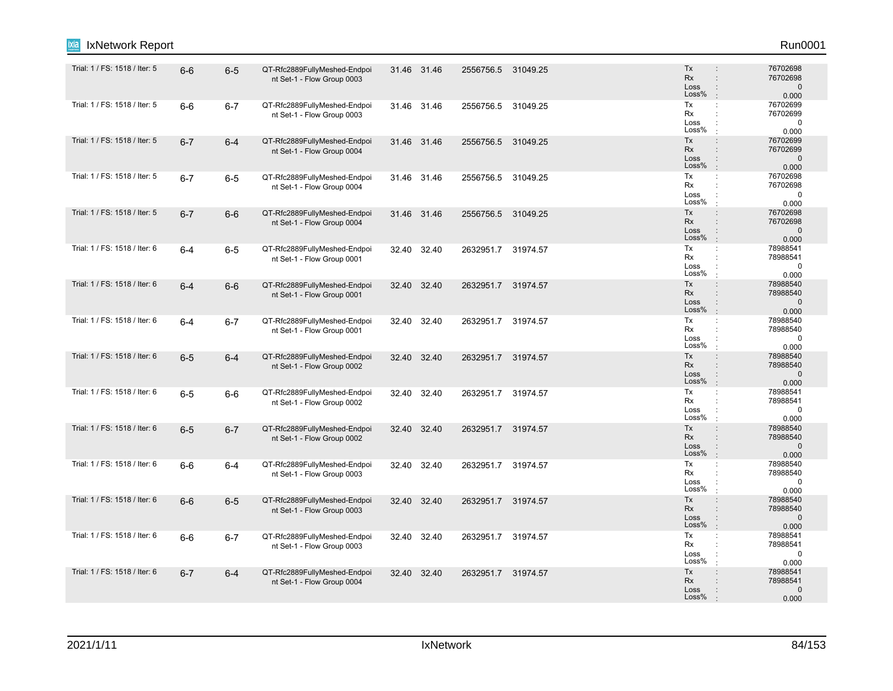| IxNetwork Report              |         |         |                                                            |       |             |                    |          |                                                                                                                     | Run0001                                      |
|-------------------------------|---------|---------|------------------------------------------------------------|-------|-------------|--------------------|----------|---------------------------------------------------------------------------------------------------------------------|----------------------------------------------|
| Trial: 1 / FS: 1518 / Iter: 5 | $6-6$   | $6-5$   | QT-Rfc2889FullyMeshed-Endpoi<br>nt Set-1 - Flow Group 0003 |       | 31.46 31.46 | 2556756.5 31049.25 |          | Tx<br><b>Rx</b><br>$\ddot{\phantom{a}}$<br>Loss<br>$\ddot{\phantom{a}}$<br>Loss%<br>$\cdot$                         | 76702698<br>76702698<br>$\mathbf 0$<br>0.000 |
| Trial: 1 / FS: 1518 / Iter: 5 | $6-6$   | $6 - 7$ | QT-Rfc2889FullyMeshed-Endpoi<br>nt Set-1 - Flow Group 0003 |       | 31.46 31.46 | 2556756.5 31049.25 |          | Tx<br>÷<br>Rx<br>$\ddot{\phantom{a}}$<br>Loss<br>Loss%<br>$\pm$                                                     | 76702699<br>76702699<br>$\pmb{0}$<br>0.000   |
| Trial: 1 / FS: 1518 / Iter: 5 | $6 - 7$ | $6 - 4$ | QT-Rfc2889FullyMeshed-Endpoi<br>nt Set-1 - Flow Group 0004 |       | 31.46 31.46 | 2556756.5 31049.25 |          | Tx<br>$\ddot{\phantom{a}}$<br>Rx<br>$\ddot{\phantom{a}}$<br>Loss<br>$\ddot{\phantom{a}}$<br>Loss%<br>$\mathbb{R}^2$ | 76702699<br>76702699<br>$\mathbf 0$<br>0.000 |
| Trial: 1 / FS: 1518 / Iter: 5 | $6 - 7$ | $6-5$   | QT-Rfc2889FullyMeshed-Endpoi<br>nt Set-1 - Flow Group 0004 |       | 31.46 31.46 | 2556756.5 31049.25 |          | Tx<br>÷<br>Rx<br>Loss<br>Loss%<br>÷                                                                                 | 76702698<br>76702698<br>$\mathbf 0$<br>0.000 |
| Trial: 1 / FS: 1518 / Iter: 5 | $6 - 7$ | $6-6$   | QT-Rfc2889FullyMeshed-Endpoi<br>nt Set-1 - Flow Group 0004 |       | 31.46 31.46 | 2556756.5          | 31049.25 | Tx<br>$\div$<br><b>Rx</b><br>$\ddot{\phantom{a}}$<br>Loss<br>Loss%<br>$\cdot$                                       | 76702698<br>76702698<br>$\mathbf 0$<br>0.000 |
| Trial: 1 / FS: 1518 / Iter: 6 | $6 - 4$ | $6-5$   | QT-Rfc2889FullyMeshed-Endpoi<br>nt Set-1 - Flow Group 0001 |       | 32.40 32.40 | 2632951.7 31974.57 |          | Tx<br>$\mathbb{C}^{\times}$<br>Rx<br>$\ddot{\phantom{a}}$<br>Loss<br>Loss%<br>$\cdot$                               | 78988541<br>78988541<br>$\mathbf 0$<br>0.000 |
| Trial: 1 / FS: 1518 / Iter: 6 | $6 - 4$ | $6-6$   | QT-Rfc2889FullyMeshed-Endpoi<br>nt Set-1 - Flow Group 0001 | 32.40 | 32.40       | 2632951.7 31974.57 |          | Tx<br>$\ddot{\phantom{a}}$<br><b>Rx</b><br>$\ddot{\phantom{a}}$<br>Loss<br>$\ddot{\phantom{a}}$<br>Loss%<br>$\cdot$ | 78988540<br>78988540<br>$\mathbf 0$<br>0.000 |
| Trial: 1 / FS: 1518 / Iter: 6 | $6-4$   | $6 - 7$ | QT-Rfc2889FullyMeshed-Endpoi<br>nt Set-1 - Flow Group 0001 |       | 32.40 32.40 | 2632951.7 31974.57 |          | Tx<br>$\mathbb{C}^{\times}$<br>Rx<br>÷<br>Loss<br>Loss%                                                             | 78988540<br>78988540<br>$\mathbf 0$<br>0.000 |
| Trial: 1 / FS: 1518 / Iter: 6 | $6-5$   | $6 - 4$ | QT-Rfc2889FullyMeshed-Endpoi<br>nt Set-1 - Flow Group 0002 |       | 32.40 32.40 | 2632951.7 31974.57 |          | Tx<br>$\div$<br>Rx<br>$\ddot{\phantom{a}}$<br>Loss<br>$\ddot{\phantom{a}}$<br>Loss%<br>$\mathbf{r}$                 | 78988540<br>78988540<br>$\mathbf 0$<br>0.000 |
| Trial: 1 / FS: 1518 / Iter: 6 | $6-5$   | $6-6$   | QT-Rfc2889FullyMeshed-Endpoi<br>nt Set-1 - Flow Group 0002 |       | 32.40 32.40 | 2632951.7 31974.57 |          | Tx<br>$\ddot{\cdot}$<br>Rx<br>$\ddot{\phantom{a}}$<br>Loss<br>Loss%                                                 | 78988541<br>78988541<br>$\mathbf 0$<br>0.000 |
| Trial: 1 / FS: 1518 / Iter: 6 | $6-5$   | $6 - 7$ | QT-Rfc2889FullyMeshed-Endpoi<br>nt Set-1 - Flow Group 0002 | 32.40 | 32.40       | 2632951.7 31974.57 |          | Tx<br>$\ddot{\phantom{a}}$<br>Rx<br>$\div$<br>Loss<br>$\div$<br>Loss%<br>$\mathbf{r}$                               | 78988540<br>78988540<br>$\mathbf 0$<br>0.000 |
| Trial: 1 / FS: 1518 / Iter: 6 | $6-6$   | $6-4$   | QT-Rfc2889FullyMeshed-Endpoi<br>nt Set-1 - Flow Group 0003 | 32.40 | 32.40       | 2632951.7 31974.57 |          | Tx<br>÷<br>Rx<br>÷<br>Loss<br>÷<br>Loss%<br>$\ddot{\phantom{a}}$                                                    | 78988540<br>78988540<br>$\mathbf 0$<br>0.000 |
| Trial: 1 / FS: 1518 / Iter: 6 | $6-6$   | $6-5$   | QT-Rfc2889FullyMeshed-Endpoi<br>nt Set-1 - Flow Group 0003 |       | 32.40 32.40 | 2632951.7 31974.57 |          | Tx<br>$\ddot{\phantom{a}}$<br>Rx<br>Loss<br>$\ddot{\cdot}$<br>Loss%<br>$\cdot$                                      | 78988540<br>78988540<br>$\mathbf 0$<br>0.000 |
| Trial: 1 / FS: 1518 / Iter: 6 | $6-6$   | $6 - 7$ | QT-Rfc2889FullyMeshed-Endpoi<br>nt Set-1 - Flow Group 0003 | 32.40 | 32.40       | 2632951.7          | 31974.57 | Tx<br>$\mathbb{C}^{\times}$<br>Rx<br>$\ddot{\phantom{a}}$<br>Loss<br>Loss%<br>÷                                     | 78988541<br>78988541<br>$\mathbf 0$<br>0.000 |
| Trial: 1 / FS: 1518 / Iter: 6 | $6 - 7$ | $6 - 4$ | QT-Rfc2889FullyMeshed-Endpoi<br>nt Set-1 - Flow Group 0004 |       | 32.40 32.40 | 2632951.7 31974.57 |          | Tx<br>$\ddot{\phantom{a}}$<br>Rx<br>$\ddot{\phantom{a}}$<br>Loss<br>Loss%                                           | 78988541<br>78988541<br>$\mathbf 0$<br>0.000 |
|                               |         |         |                                                            |       |             |                    |          |                                                                                                                     |                                              |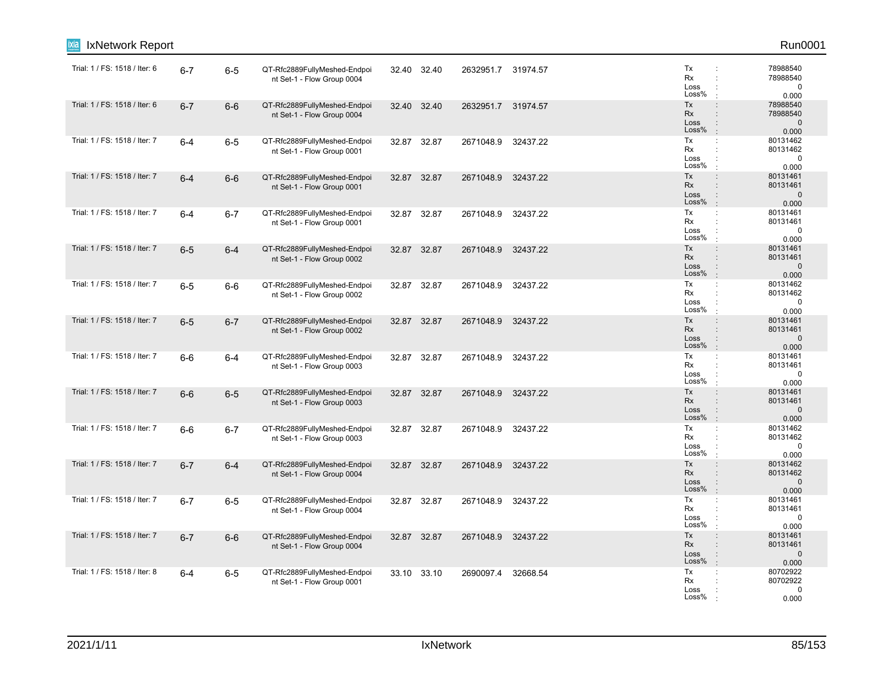| IxNetwork Report<br>ixia      |         |         |                                                            |       |             |                    |          |                                                                                                                     | Run0001                                       |
|-------------------------------|---------|---------|------------------------------------------------------------|-------|-------------|--------------------|----------|---------------------------------------------------------------------------------------------------------------------|-----------------------------------------------|
| Trial: 1 / FS: 1518 / Iter: 6 | $6 - 7$ | $6-5$   | QT-Rfc2889FullyMeshed-Endpoi<br>nt Set-1 - Flow Group 0004 |       | 32.40 32.40 | 2632951.7 31974.57 |          | Tx<br>Rx<br>÷<br>Loss<br>Loss%                                                                                      | 78988540<br>78988540<br>$\mathbf 0$<br>0.000  |
| Trial: 1 / FS: 1518 / Iter: 6 | $6 - 7$ | $6-6$   | QT-Rfc2889FullyMeshed-Endpoi<br>nt Set-1 - Flow Group 0004 | 32.40 | 32.40       | 2632951.7 31974.57 |          | Tx<br>$\ddot{\phantom{a}}$<br>Rx<br>$\ddot{\phantom{a}}$<br>Loss<br>$\ddot{\phantom{a}}$<br>Loss%<br>$\pm$          | 78988540<br>78988540<br>$\mathbf 0$<br>0.000  |
| Trial: 1 / FS: 1518 / Iter: 7 | $6 - 4$ | $6-5$   | QT-Rfc2889FullyMeshed-Endpoi<br>nt Set-1 - Flow Group 0001 |       | 32.87 32.87 | 2671048.9 32437.22 |          | Tx<br>÷<br>Rx<br>÷<br>Loss<br>Loss%<br>$\ddot{\phantom{a}}$                                                         | 80131462<br>80131462<br>$\mathbf 0$<br>0.000  |
| Trial: 1 / FS: 1518 / Iter: 7 | $6 - 4$ | $6-6$   | QT-Rfc2889FullyMeshed-Endpoi<br>nt Set-1 - Flow Group 0001 |       | 32.87 32.87 | 2671048.9          | 32437.22 | Tx<br>$\ddot{\phantom{a}}$<br>Rx<br>Loss<br>Loss%<br>$\pm$                                                          | 80131461<br>80131461<br>$\mathbf 0$<br>0.000  |
| Trial: 1 / FS: 1518 / Iter: 7 | $6 - 4$ | $6 - 7$ | QT-Rfc2889FullyMeshed-Endpoi<br>nt Set-1 - Flow Group 0001 |       | 32.87 32.87 | 2671048.9          | 32437.22 | Tx<br>÷<br>Rx<br>$\cdot$<br>Loss<br>Loss%                                                                           | 80131461<br>80131461<br>0<br>0.000            |
| Trial: 1 / FS: 1518 / Iter: 7 | $6-5$   | $6 - 4$ | QT-Rfc2889FullyMeshed-Endpoi<br>nt Set-1 - Flow Group 0002 |       | 32.87 32.87 | 2671048.9          | 32437.22 | Tx<br>$\ddot{\phantom{a}}$<br>Rx<br>$\div$<br>Loss<br>$\ddot{\phantom{a}}$<br>Loss%<br>$\pm$                        | 80131461<br>80131461<br>$\mathbf{0}$<br>0.000 |
| Trial: 1 / FS: 1518 / Iter: 7 | $6-5$   | $6-6$   | QT-Rfc2889FullyMeshed-Endpoi<br>nt Set-1 - Flow Group 0002 | 32.87 | 32.87       | 2671048.9          | 32437.22 | Tx<br>÷<br>Rx<br>÷<br>Loss<br>÷<br>Loss%<br>÷                                                                       | 80131462<br>80131462<br>$\mathbf 0$<br>0.000  |
| Trial: 1 / FS: 1518 / Iter: 7 | $6-5$   | $6 - 7$ | QT-Rfc2889FullyMeshed-Endpoi<br>nt Set-1 - Flow Group 0002 |       | 32.87 32.87 | 2671048.9          | 32437.22 | Tx<br>$\ddot{\phantom{a}}$<br>Rx<br>Loss<br>$\ddot{\phantom{a}}$<br>Loss%<br>$\mathbb{R}^2$                         | 80131461<br>80131461<br>$\mathbf{0}$<br>0.000 |
| Trial: 1 / FS: 1518 / Iter: 7 | $6-6$   | $6 - 4$ | QT-Rfc2889FullyMeshed-Endpoi<br>nt Set-1 - Flow Group 0003 |       | 32.87 32.87 | 2671048.9          | 32437.22 | Tx<br>÷<br>Rx<br>Loss<br>Loss%                                                                                      | 80131461<br>80131461<br>$\mathbf 0$<br>0.000  |
| Trial: 1 / FS: 1518 / Iter: 7 | $6-6$   | $6-5$   | QT-Rfc2889FullyMeshed-Endpoi<br>nt Set-1 - Flow Group 0003 |       | 32.87 32.87 | 2671048.9          | 32437.22 | Tx<br>$\div$<br>Rx<br>$\ddot{\phantom{a}}$<br>Loss<br>Loss%<br>$\cdot$                                              | 80131461<br>80131461<br>$\mathbf 0$<br>0.000  |
| Trial: 1 / FS: 1518 / Iter: 7 | $6-6$   | $6 - 7$ | QT-Rfc2889FullyMeshed-Endpoi<br>nt Set-1 - Flow Group 0003 |       | 32.87 32.87 | 2671048.9          | 32437.22 | Tx<br>$\mathbb{Z}^2$<br>Rx<br>÷<br>Loss<br>Loss%<br>$\cdot$                                                         | 80131462<br>80131462<br>0<br>0.000            |
| Trial: 1 / FS: 1518 / Iter: 7 | $6 - 7$ | $6 - 4$ | QT-Rfc2889FullyMeshed-Endpoi<br>nt Set-1 - Flow Group 0004 | 32.87 | 32.87       | 2671048.9          | 32437.22 | Tx<br>$\ddot{\phantom{a}}$<br><b>Rx</b><br>$\ddot{\phantom{a}}$<br>Loss<br>$\ddot{\phantom{a}}$<br>Loss%<br>$\cdot$ | 80131462<br>80131462<br>$\mathbf 0$<br>0.000  |
| Trial: 1 / FS: 1518 / Iter: 7 | $6 - 7$ | $6-5$   | QT-Rfc2889FullyMeshed-Endpoi<br>nt Set-1 - Flow Group 0004 |       | 32.87 32.87 | 2671048.9          | 32437.22 | Tx<br>÷<br>Rx<br>Loss<br>Loss%                                                                                      | 80131461<br>80131461<br>$\mathbf 0$<br>0.000  |
| Trial: 1 / FS: 1518 / Iter: 7 | $6 - 7$ | $6-6$   | QT-Rfc2889FullyMeshed-Endpoi<br>nt Set-1 - Flow Group 0004 |       | 32.87 32.87 | 2671048.9          | 32437.22 | Tx<br>$\ddot{\phantom{a}}$<br>Rx<br>$\ddot{\phantom{a}}$<br>Loss<br>÷<br>Loss%<br>$\pm$                             | 80131461<br>80131461<br>$\mathbf 0$<br>0.000  |
| Trial: 1 / FS: 1518 / Iter: 8 | $6 - 4$ | $6-5$   | QT-Rfc2889FullyMeshed-Endpoi<br>nt Set-1 - Flow Group 0001 |       | 33.10 33.10 | 2690097.4          | 32668.54 | Tx<br>÷<br>Rx<br>Loss<br>Loss%                                                                                      | 80702922<br>80702922<br>0<br>0.000            |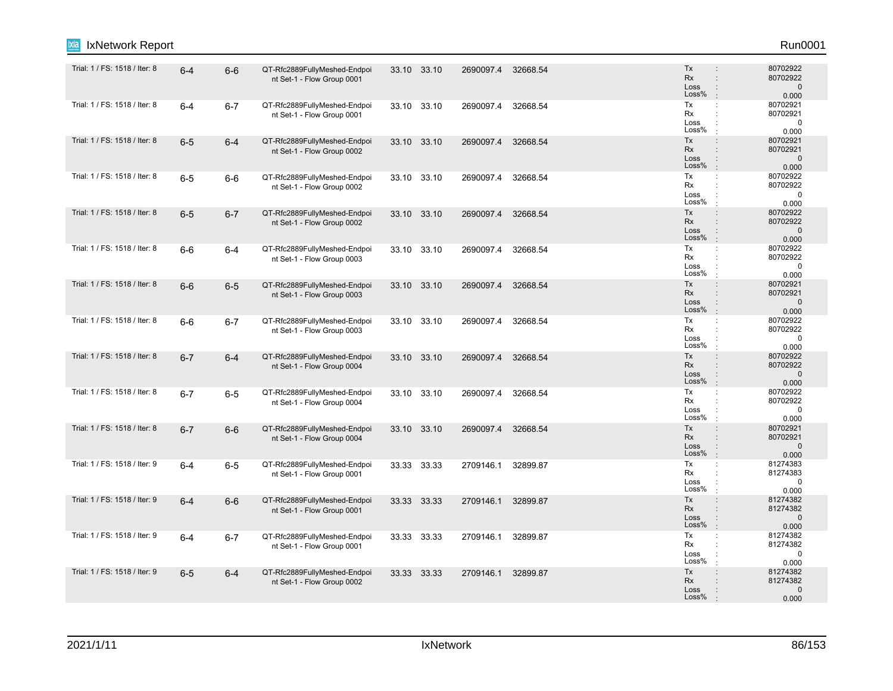| IxNetwork Report              |         |         |                                                            |       |             |                    |          |                                                                                                               | Run0001                                       |
|-------------------------------|---------|---------|------------------------------------------------------------|-------|-------------|--------------------|----------|---------------------------------------------------------------------------------------------------------------|-----------------------------------------------|
| Trial: 1 / FS: 1518 / Iter: 8 | $6 - 4$ | $6-6$   | QT-Rfc2889FullyMeshed-Endpoi<br>nt Set-1 - Flow Group 0001 |       | 33.10 33.10 | 2690097.4 32668.54 |          | Tx<br><b>Rx</b><br>$\ddot{\phantom{a}}$<br>Loss<br>$\ddot{\phantom{a}}$<br>Loss%<br>$\mathbb{R}^2$            | 80702922<br>80702922<br>$\mathbf 0$<br>0.000  |
| Trial: 1 / FS: 1518 / Iter: 8 | $6-4$   | $6 - 7$ | QT-Rfc2889FullyMeshed-Endpoi<br>nt Set-1 - Flow Group 0001 | 33.10 | 33.10       | 2690097.4          | 32668.54 | Tx<br>$\mathbb{C}^{\times}$<br>Rx<br>÷<br>Loss<br>Loss%<br>$\cdot$                                            | 80702921<br>80702921<br>$\mathbf 0$<br>0.000  |
| Trial: 1 / FS: 1518 / Iter: 8 | $6-5$   | $6 - 4$ | QT-Rfc2889FullyMeshed-Endpoi<br>nt Set-1 - Flow Group 0002 |       | 33.10 33.10 | 2690097.4 32668.54 |          | Tx<br>$\ddot{\phantom{a}}$<br>Rx<br>$\ddot{\phantom{a}}$<br>Loss<br>$\ddot{\phantom{a}}$<br>Loss%<br>$\cdot$  | 80702921<br>80702921<br>$\mathbf 0$<br>0.000  |
| Trial: 1 / FS: 1518 / Iter: 8 | $6-5$   | $6-6$   | QT-Rfc2889FullyMeshed-Endpoi<br>nt Set-1 - Flow Group 0002 |       | 33.10 33.10 | 2690097.4          | 32668.54 | Tx<br>÷<br>Rx<br>Loss<br>Loss%<br>$\cdot$                                                                     | 80702922<br>80702922<br>$\mathbf 0$<br>0.000  |
| Trial: 1 / FS: 1518 / Iter: 8 | $6-5$   | $6 - 7$ | QT-Rfc2889FullyMeshed-Endpoi<br>nt Set-1 - Flow Group 0002 |       | 33.10 33.10 | 2690097.4          | 32668.54 | Tx<br>$\ddot{\phantom{a}}$<br>Rx<br>$\mathbf{r}$<br>Loss<br>$\ddot{\phantom{a}}$<br>Loss%<br>$\cdot$          | 80702922<br>80702922<br>$\mathbf 0$<br>0.000  |
| Trial: 1 / FS: 1518 / Iter: 8 | $6-6$   | 6-4     | QT-Rfc2889FullyMeshed-Endpoi<br>nt Set-1 - Flow Group 0003 |       | 33.10 33.10 | 2690097.4          | 32668.54 | Tx<br>$\mathbb{C}^{\times}$<br>Rx<br>$\ddot{\phantom{a}}$<br>Loss<br>Loss%<br>$\cdot$                         | 80702922<br>80702922<br>$\mathbf 0$<br>0.000  |
| Trial: 1 / FS: 1518 / Iter: 8 | $6-6$   | $6-5$   | QT-Rfc2889FullyMeshed-Endpoi<br>nt Set-1 - Flow Group 0003 |       | 33.10 33.10 | 2690097.4          | 32668.54 | Tx<br>$\ddot{\phantom{a}}$<br><b>Rx</b><br>$\ddot{\phantom{a}}$<br>Loss<br>$\ddot{\cdot}$<br>Loss%<br>$\cdot$ | 80702921<br>80702921<br>$\mathbf 0$<br>0.000  |
| Trial: 1 / FS: 1518 / Iter: 8 | $6-6$   | $6 - 7$ | QT-Rfc2889FullyMeshed-Endpoi<br>nt Set-1 - Flow Group 0003 |       | 33.10 33.10 | 2690097.4          | 32668.54 | Tx<br>÷<br>Rx<br>÷<br>Loss<br>$\ddot{\phantom{a}}$<br>Loss%<br>$\mathbf{r}$                                   | 80702922<br>80702922<br>$\mathbf 0$<br>0.000  |
| Trial: 1 / FS: 1518 / Iter: 8 | $6 - 7$ | $6 - 4$ | QT-Rfc2889FullyMeshed-Endpoi<br>nt Set-1 - Flow Group 0004 |       | 33.10 33.10 | 2690097.4          | 32668.54 | Tx<br>$\ddot{\phantom{a}}$<br>Rx<br>$\ddot{\phantom{a}}$<br>Loss<br>Loss%<br>$\cdot$                          | 80702922<br>80702922<br>$\mathbf 0$<br>0.000  |
| Trial: 1 / FS: 1518 / Iter: 8 | $6 - 7$ | $6-5$   | QT-Rfc2889FullyMeshed-Endpoi<br>nt Set-1 - Flow Group 0004 |       | 33.10 33.10 | 2690097.4          | 32668.54 | Tx<br>÷<br>Rx<br>÷<br>Loss<br>Loss%<br>÷                                                                      | 80702922<br>80702922<br>$\mathbf 0$<br>0.000  |
| Trial: 1 / FS: 1518 / Iter: 8 | $6 - 7$ | $6-6$   | QT-Rfc2889FullyMeshed-Endpoi<br>nt Set-1 - Flow Group 0004 |       | 33.10 33.10 | 2690097.4          | 32668.54 | Tx<br>$\ddot{\phantom{a}}$<br>Rx<br>$\div$<br>Loss<br>$\ddot{\cdot}$<br>Loss%<br>$\pm$                        | 80702921<br>80702921<br>$\mathbf 0$<br>0.000  |
| Trial: 1 / FS: 1518 / Iter: 9 | $6-4$   | $6-5$   | QT-Rfc2889FullyMeshed-Endpoi<br>nt Set-1 - Flow Group 0001 | 33.33 | 33.33       | 2709146.1          | 32899.87 | Tx<br>Rx<br>$\ddot{\phantom{a}}$<br>Loss<br>÷<br>Loss%<br>$\ddot{\phantom{a}}$                                | 81274383<br>81274383<br>0<br>0.000            |
| Trial: 1 / FS: 1518 / Iter: 9 | $6 - 4$ | $6-6$   | QT-Rfc2889FullyMeshed-Endpoi<br>nt Set-1 - Flow Group 0001 |       | 33.33 33.33 | 2709146.1          | 32899.87 | Tx<br>$\ddot{\phantom{a}}$<br>Rx<br>Loss<br>Loss%<br>$\cdot$                                                  | 81274382<br>81274382<br>$\mathbf{0}$<br>0.000 |
| Trial: 1 / FS: 1518 / Iter: 9 | $6-4$   | $6 - 7$ | QT-Rfc2889FullyMeshed-Endpoi<br>nt Set-1 - Flow Group 0001 |       | 33.33 33.33 | 2709146.1          | 32899.87 | Tx<br>$\ddot{\phantom{a}}$<br>Rx<br>÷<br>Loss<br>÷<br>Loss%<br>$\ddot{\phantom{a}}$                           | 81274382<br>81274382<br>0<br>0.000            |
| Trial: 1 / FS: 1518 / Iter: 9 | $6-5$   | $6 - 4$ | QT-Rfc2889FullyMeshed-Endpoi<br>nt Set-1 - Flow Group 0002 |       | 33.33 33.33 | 2709146.1 32899.87 |          | Tx<br>$\ddot{\phantom{a}}$<br><b>Rx</b><br>Loss<br>Loss%                                                      | 81274382<br>81274382<br>$\mathbf 0$<br>0.000  |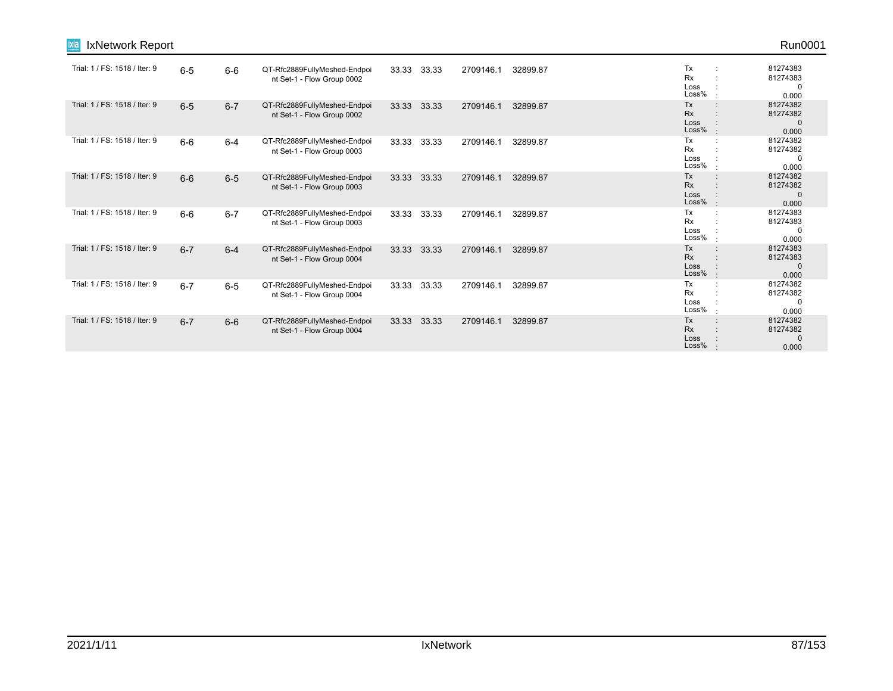| IxNetwork Report<br><u>ixia</u> |         |         |                                                            |       |       |           |          |                                      | Run0001                                       |
|---------------------------------|---------|---------|------------------------------------------------------------|-------|-------|-----------|----------|--------------------------------------|-----------------------------------------------|
| Trial: 1 / FS: 1518 / Iter: 9   | $6-5$   | $6-6$   | QT-Rfc2889FullyMeshed-Endpoi<br>nt Set-1 - Flow Group 0002 | 33.33 | 33.33 | 2709146.1 | 32899.87 | Tx<br><b>Rx</b><br>Loss<br>Loss%     | 81274383<br>81274383<br>0<br>0.000            |
| Trial: 1 / FS: 1518 / Iter: 9   | $6-5$   | $6 - 7$ | QT-Rfc2889FullyMeshed-Endpoi<br>nt Set-1 - Flow Group 0002 | 33.33 | 33.33 | 2709146.1 | 32899.87 | Tx<br>Rx<br>Loss<br>Loss%            | 81274382<br>81274382<br>$\mathbf 0$<br>0.000  |
| Trial: 1 / FS: 1518 / Iter: 9   | $6-6$   | $6 - 4$ | QT-Rfc2889FullyMeshed-Endpoi<br>nt Set-1 - Flow Group 0003 | 33.33 | 33.33 | 2709146.1 | 32899.87 | Tx<br><b>Rx</b><br>Loss<br>Loss%     | 81274382<br>81274382<br>0<br>0.000            |
| Trial: 1 / FS: 1518 / Iter: 9   | $6-6$   | $6-5$   | QT-Rfc2889FullyMeshed-Endpoi<br>nt Set-1 - Flow Group 0003 | 33.33 | 33.33 | 2709146.1 | 32899.87 | Tx<br>Rx<br>Loss<br>Loss%            | 81274382<br>81274382<br>$\mathbf{0}$<br>0.000 |
| Trial: 1 / FS: 1518 / Iter: 9   | $6-6$   | $6 - 7$ | QT-Rfc2889FullyMeshed-Endpoi<br>nt Set-1 - Flow Group 0003 | 33.33 | 33.33 | 2709146.1 | 32899.87 | Tx<br>Rx<br>Loss<br>Loss%            | 81274383<br>81274383<br>0<br>0.000            |
| Trial: 1 / FS: 1518 / Iter: 9   | $6 - 7$ | $6 - 4$ | QT-Rfc2889FullyMeshed-Endpoi<br>nt Set-1 - Flow Group 0004 | 33.33 | 33.33 | 2709146.1 | 32899.87 | Tx<br>Rx<br>Loss<br>Loss%<br>$\cdot$ | 81274383<br>81274383<br>$\Omega$<br>0.000     |
| Trial: 1 / FS: 1518 / Iter: 9   | $6 - 7$ | $6-5$   | QT-Rfc2889FullyMeshed-Endpoi<br>nt Set-1 - Flow Group 0004 | 33.33 | 33.33 | 2709146.1 | 32899.87 | Tx<br>Rx<br>Loss<br>Loss%            | 81274382<br>81274382<br>0<br>0.000            |
| Trial: 1 / FS: 1518 / Iter: 9   | $6 - 7$ | $6-6$   | QT-Rfc2889FullyMeshed-Endpoi<br>nt Set-1 - Flow Group 0004 | 33.33 | 33.33 | 2709146.1 | 32899.87 | Tx<br>$\cdot$<br>Rx<br>Loss<br>Loss% | 81274382<br>81274382<br>$\mathbf{0}$<br>0.000 |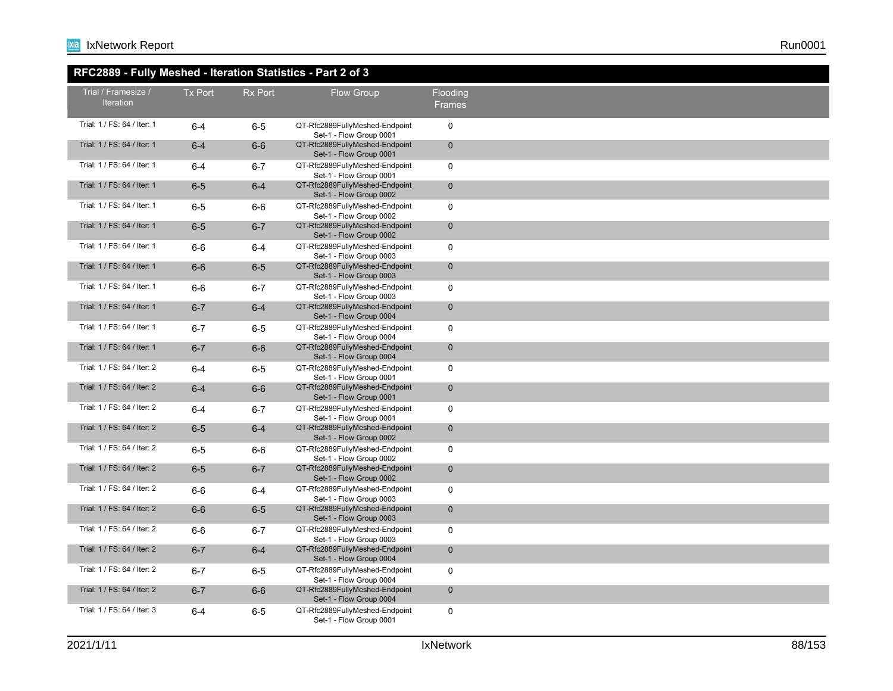# **RFC2889 - Fully Meshed - Iteration Statistics - Part 2 of 3**

| RFC2889 - Fully Mesned - Iteration Statistics - Part 2 of 3 |         |         |                                                           |                           |  |
|-------------------------------------------------------------|---------|---------|-----------------------------------------------------------|---------------------------|--|
| Trial / Framesize /<br>Iteration                            | Tx Port | Rx Port | <b>Flow Group</b>                                         | Flooding<br><b>Frames</b> |  |
| Trial: 1 / FS: 64 / Iter: 1                                 | $6 - 4$ | $6-5$   | QT-Rfc2889FullyMeshed-Endpoint<br>Set-1 - Flow Group 0001 | $\mathbf 0$               |  |
| Trial: 1 / FS: 64 / Iter: 1                                 | $6 - 4$ | $6-6$   | QT-Rfc2889FullyMeshed-Endpoint<br>Set-1 - Flow Group 0001 | $\mathbf 0$               |  |
| Trial: 1 / FS: 64 / Iter: 1                                 | $6 - 4$ | $6 - 7$ | QT-Rfc2889FullyMeshed-Endpoint<br>Set-1 - Flow Group 0001 | $\mathbf 0$               |  |
| Trial: 1 / FS: 64 / Iter: 1                                 | $6-5$   | $6 - 4$ | QT-Rfc2889FullyMeshed-Endpoint<br>Set-1 - Flow Group 0002 | $\pmb{0}$                 |  |
| Trial: 1 / FS: 64 / Iter: 1                                 | $6-5$   | $6-6$   | QT-Rfc2889FullyMeshed-Endpoint<br>Set-1 - Flow Group 0002 | $\mathbf 0$               |  |
| Trial: 1 / FS: 64 / Iter: 1                                 | $6-5$   | $6 - 7$ | QT-Rfc2889FullyMeshed-Endpoint<br>Set-1 - Flow Group 0002 | $\mathbf 0$               |  |
| Trial: 1 / FS: 64 / Iter: 1                                 | $6-6$   | $6 - 4$ | QT-Rfc2889FullyMeshed-Endpoint<br>Set-1 - Flow Group 0003 | $\mathbf 0$               |  |
| Trial: 1 / FS: 64 / Iter: 1                                 | $6-6$   | $6-5$   | QT-Rfc2889FullyMeshed-Endpoint<br>Set-1 - Flow Group 0003 | $\mathbf 0$               |  |
| Trial: 1 / FS: 64 / Iter: 1                                 | 6-6     | $6 - 7$ | QT-Rfc2889FullyMeshed-Endpoint<br>Set-1 - Flow Group 0003 | $\mathbf 0$               |  |
| Trial: 1 / FS: 64 / Iter: 1                                 | $6 - 7$ | $6 - 4$ | QT-Rfc2889FullyMeshed-Endpoint<br>Set-1 - Flow Group 0004 | $\mathbf 0$               |  |
| Trial: 1 / FS: 64 / Iter: 1                                 | $6-7$   | $6-5$   | QT-Rfc2889FullyMeshed-Endpoint<br>Set-1 - Flow Group 0004 | $\mathbf 0$               |  |
| Trial: 1 / FS: 64 / Iter: 1                                 | $6 - 7$ | $6-6$   | QT-Rfc2889FullyMeshed-Endpoint<br>Set-1 - Flow Group 0004 | $\mathbf 0$               |  |
| Trial: 1 / FS: 64 / Iter: 2                                 | $6 - 4$ | $6-5$   | QT-Rfc2889FullyMeshed-Endpoint<br>Set-1 - Flow Group 0001 | $\mathbf 0$               |  |
| Trial: 1 / FS: 64 / Iter: 2                                 | $6-4$   | $6-6$   | QT-Rfc2889FullyMeshed-Endpoint<br>Set-1 - Flow Group 0001 | $\mathbf 0$               |  |
| Trial: 1 / FS: 64 / Iter: 2                                 | 6-4     | $6 - 7$ | QT-Rfc2889FullyMeshed-Endpoint<br>Set-1 - Flow Group 0001 | $\mathbf 0$               |  |
| Trial: 1 / FS: 64 / Iter: 2                                 | $6-5$   | $6 - 4$ | QT-Rfc2889FullyMeshed-Endpoint<br>Set-1 - Flow Group 0002 | $\mathbf 0$               |  |
| Trial: 1 / FS: 64 / Iter: 2                                 | 6-5     | $6-6$   | QT-Rfc2889FullyMeshed-Endpoint<br>Set-1 - Flow Group 0002 | $\mathbf 0$               |  |
| Trial: 1 / FS: 64 / Iter: 2                                 | $6-5$   | $6 - 7$ | QT-Rfc2889FullyMeshed-Endpoint<br>Set-1 - Flow Group 0002 | $\mathbf 0$               |  |
| Trial: 1 / FS: 64 / Iter: 2                                 | $6-6$   | $6 - 4$ | QT-Rfc2889FullyMeshed-Endpoint<br>Set-1 - Flow Group 0003 | $\mathbf 0$               |  |
| Trial: 1 / FS: 64 / Iter: 2                                 | $6-6$   | $6-5$   | QT-Rfc2889FullyMeshed-Endpoint<br>Set-1 - Flow Group 0003 | $\mathbf 0$               |  |
| Trial: 1 / FS: 64 / Iter: 2                                 | $6-6$   | $6 - 7$ | QT-Rfc2889FullyMeshed-Endpoint<br>Set-1 - Flow Group 0003 | $\mathbf 0$               |  |
| Trial: 1 / FS: 64 / Iter: 2                                 | $6 - 7$ | $6 - 4$ | QT-Rfc2889FullyMeshed-Endpoint<br>Set-1 - Flow Group 0004 | $\mathbf 0$               |  |
| Trial: 1 / FS: 64 / Iter: 2                                 | $6 - 7$ | $6-5$   | QT-Rfc2889FullyMeshed-Endpoint<br>Set-1 - Flow Group 0004 | $\mathbf 0$               |  |
| Trial: 1 / FS: 64 / Iter: 2                                 | $6 - 7$ | $6-6$   | QT-Rfc2889FullyMeshed-Endpoint<br>Set-1 - Flow Group 0004 | $\pmb{0}$                 |  |
| Trial: 1 / FS: 64 / Iter: 3                                 | $6 - 4$ | $6-5$   | QT-Rfc2889FullyMeshed-Endpoint<br>Set-1 - Flow Group 0001 | $\mathbf 0$               |  |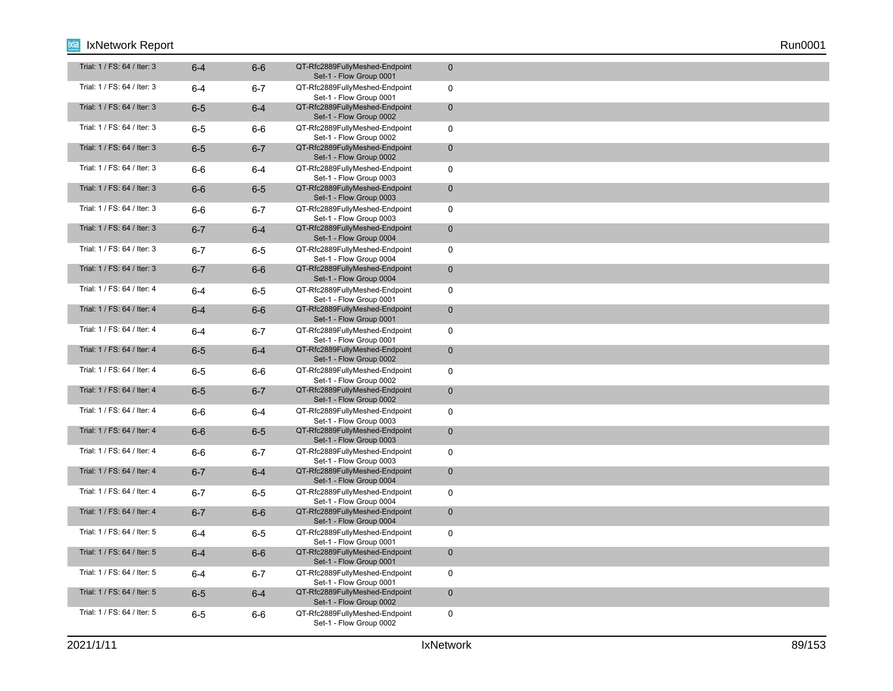| Trial: 1 / FS: 64 / Iter: 3 | $6 - 4$ | $6-6$   | QT-Rfc2889FullyMeshed-Endpoint<br>Set-1 - Flow Group 0001 | $\mathbf{0}$   |
|-----------------------------|---------|---------|-----------------------------------------------------------|----------------|
| Trial: 1 / FS: 64 / Iter: 3 | $6 - 4$ | $6 - 7$ | QT-Rfc2889FullyMeshed-Endpoint<br>Set-1 - Flow Group 0001 | $\mathbf 0$    |
| Trial: 1 / FS: 64 / Iter: 3 | $6-5$   | $6-4$   | QT-Rfc2889FullyMeshed-Endpoint<br>Set-1 - Flow Group 0002 | $\mathbf 0$    |
| Trial: 1 / FS: 64 / Iter: 3 | $6-5$   | $6-6$   | QT-Rfc2889FullyMeshed-Endpoint<br>Set-1 - Flow Group 0002 | $\mathbf 0$    |
| Trial: 1 / FS: 64 / Iter: 3 | $6-5$   | $6 - 7$ | QT-Rfc2889FullyMeshed-Endpoint<br>Set-1 - Flow Group 0002 | $\mathbf 0$    |
| Trial: 1 / FS: 64 / Iter: 3 | $6-6$   | $6 - 4$ | QT-Rfc2889FullyMeshed-Endpoint<br>Set-1 - Flow Group 0003 | $\mathbf 0$    |
| Trial: 1 / FS: 64 / Iter: 3 | $6-6$   | $6-5$   | QT-Rfc2889FullyMeshed-Endpoint<br>Set-1 - Flow Group 0003 | $\mathbf{0}$   |
| Trial: 1 / FS: 64 / Iter: 3 | $6-6$   | $6 - 7$ | QT-Rfc2889FullyMeshed-Endpoint<br>Set-1 - Flow Group 0003 | $\mathbf 0$    |
| Trial: 1 / FS: 64 / Iter: 3 | $6 - 7$ | $6 - 4$ | QT-Rfc2889FullyMeshed-Endpoint<br>Set-1 - Flow Group 0004 | $\overline{0}$ |
| Trial: 1 / FS: 64 / Iter: 3 | $6 - 7$ | $6-5$   | QT-Rfc2889FullyMeshed-Endpoint<br>Set-1 - Flow Group 0004 | $\mathbf 0$    |
| Trial: 1 / FS: 64 / Iter: 3 | $6 - 7$ | $6-6$   | QT-Rfc2889FullyMeshed-Endpoint<br>Set-1 - Flow Group 0004 | $\mathbf 0$    |
| Trial: 1 / FS: 64 / Iter: 4 | $6-4$   | $6-5$   | QT-Rfc2889FullyMeshed-Endpoint<br>Set-1 - Flow Group 0001 | $\mathbf 0$    |
| Trial: 1 / FS: 64 / Iter: 4 | $6-4$   | $6-6$   | QT-Rfc2889FullyMeshed-Endpoint<br>Set-1 - Flow Group 0001 | $\mathbf 0$    |
| Trial: 1 / FS: 64 / Iter: 4 | 6-4     | 6-7     | QT-Rfc2889FullyMeshed-Endpoint<br>Set-1 - Flow Group 0001 | $\mathbf 0$    |
| Trial: 1 / FS: 64 / Iter: 4 | $6-5$   | $6-4$   | QT-Rfc2889FullyMeshed-Endpoint<br>Set-1 - Flow Group 0002 | $\mathbf 0$    |
| Trial: 1 / FS: 64 / Iter: 4 | 6-5     | 6-6     | QT-Rfc2889FullyMeshed-Endpoint<br>Set-1 - Flow Group 0002 | $\mathbf 0$    |
| Trial: 1 / FS: 64 / Iter: 4 | $6-5$   | $6 - 7$ | QT-Rfc2889FullyMeshed-Endpoint<br>Set-1 - Flow Group 0002 | $\mathbf 0$    |
| Trial: 1 / FS: 64 / Iter: 4 | $6-6$   | $6-4$   | QT-Rfc2889FullyMeshed-Endpoint<br>Set-1 - Flow Group 0003 | 0              |
| Trial: 1 / FS: 64 / Iter: 4 | $6-6$   | $6-5$   | QT-Rfc2889FullyMeshed-Endpoint<br>Set-1 - Flow Group 0003 | $\mathbf{0}$   |
| Trial: 1 / FS: 64 / Iter: 4 | $6-6$   | $6-7$   | QT-Rfc2889FullyMeshed-Endpoint<br>Set-1 - Flow Group 0003 | 0              |
| Trial: 1 / FS: 64 / Iter: 4 | $6 - 7$ | $6-4$   | QT-Rfc2889FullyMeshed-Endpoint<br>Set-1 - Flow Group 0004 | $\mathbf{0}$   |
| Trial: 1 / FS: 64 / Iter: 4 | $6-7$   | $6-5$   | QT-Rfc2889FullyMeshed-Endpoint<br>Set-1 - Flow Group 0004 | 0              |
| Trial: 1 / FS: 64 / Iter: 4 | $6 - 7$ | $6-6$   | QT-Rfc2889FullyMeshed-Endpoint<br>Set-1 - Flow Group 0004 | $\mathbf 0$    |
| Trial: 1 / FS: 64 / Iter: 5 | 6-4     | $6-5$   | QT-Rfc2889FullyMeshed-Endpoint<br>Set-1 - Flow Group 0001 | 0              |
| Trial: 1 / FS: 64 / Iter: 5 | $6-4$   | $6-6$   | QT-Rfc2889FullyMeshed-Endpoint<br>Set-1 - Flow Group 0001 | $\mathbf 0$    |
| Trial: 1 / FS: 64 / Iter: 5 | 6-4     | $6 - 7$ | QT-Rfc2889FullyMeshed-Endpoint<br>Set-1 - Flow Group 0001 | $\mathbf 0$    |
| Trial: 1 / FS: 64 / Iter: 5 | $6-5$   | $6-4$   | QT-Rfc2889FullyMeshed-Endpoint<br>Set-1 - Flow Group 0002 | $\mathbf 0$    |
| Trial: 1 / FS: 64 / Iter: 5 | $6-5$   | $6-6$   | QT-Rfc2889FullyMeshed-Endpoint<br>Set-1 - Flow Group 0002 | 0              |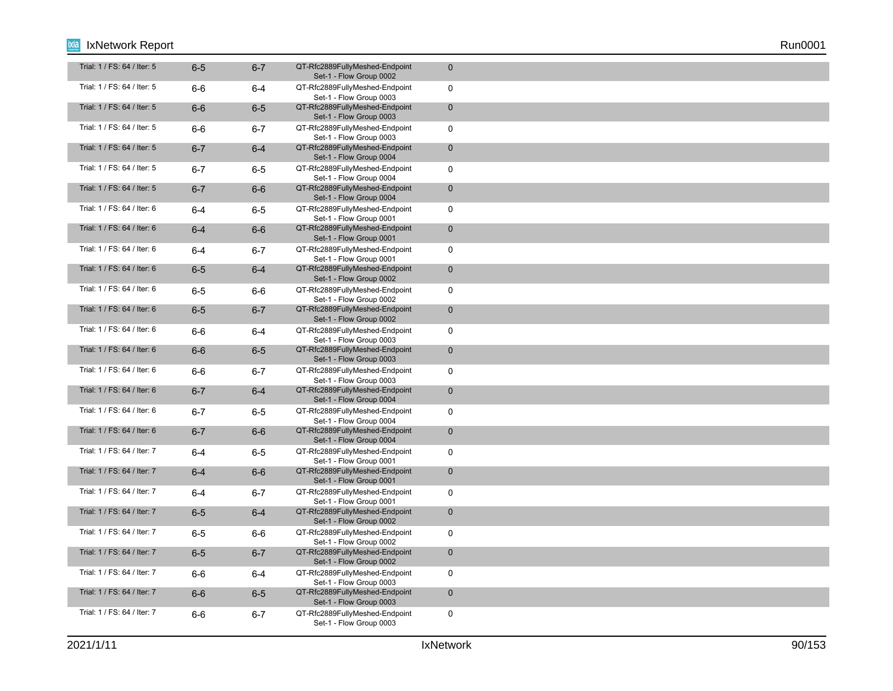| Trial: 1 / FS: 64 / Iter: 5 | $6-5$   | $6 - 7$ | QT-Rfc2889FullyMeshed-Endpoint<br>Set-1 - Flow Group 0002 | $\mathbf 0$  |
|-----------------------------|---------|---------|-----------------------------------------------------------|--------------|
| Trial: 1 / FS: 64 / Iter: 5 | $6-6$   | $6-4$   | QT-Rfc2889FullyMeshed-Endpoint<br>Set-1 - Flow Group 0003 | $\mathbf 0$  |
| Trial: 1 / FS: 64 / Iter: 5 | $6-6$   | $6-5$   | QT-Rfc2889FullyMeshed-Endpoint<br>Set-1 - Flow Group 0003 | $\mathbf 0$  |
| Trial: 1 / FS: 64 / Iter: 5 | $6-6$   | $6 - 7$ | QT-Rfc2889FullyMeshed-Endpoint<br>Set-1 - Flow Group 0003 | $\mathbf 0$  |
| Trial: 1 / FS: 64 / Iter: 5 | $6 - 7$ | $6-4$   | QT-Rfc2889FullyMeshed-Endpoint<br>Set-1 - Flow Group 0004 | $\mathbf 0$  |
| Trial: 1 / FS: 64 / Iter: 5 | $6 - 7$ | $6-5$   | QT-Rfc2889FullyMeshed-Endpoint<br>Set-1 - Flow Group 0004 | $\mathbf 0$  |
| Trial: 1 / FS: 64 / Iter: 5 | $6 - 7$ | $6-6$   | QT-Rfc2889FullyMeshed-Endpoint<br>Set-1 - Flow Group 0004 | $\mathbf 0$  |
| Trial: 1 / FS: 64 / Iter: 6 | $6 - 4$ | $6-5$   | QT-Rfc2889FullyMeshed-Endpoint<br>Set-1 - Flow Group 0001 | $\mathbf 0$  |
| Trial: 1 / FS: 64 / Iter: 6 | $6-4$   | $6-6$   | QT-Rfc2889FullyMeshed-Endpoint<br>Set-1 - Flow Group 0001 | $\mathbf{0}$ |
| Trial: 1 / FS: 64 / Iter: 6 | 6-4     | $6 - 7$ | QT-Rfc2889FullyMeshed-Endpoint<br>Set-1 - Flow Group 0001 | $\mathbf 0$  |
| Trial: 1 / FS: 64 / Iter: 6 | $6-5$   | $6-4$   | QT-Rfc2889FullyMeshed-Endpoint<br>Set-1 - Flow Group 0002 | $\mathbf 0$  |
| Trial: 1 / FS: 64 / Iter: 6 | $6-5$   | $6-6$   | QT-Rfc2889FullyMeshed-Endpoint<br>Set-1 - Flow Group 0002 | $\mathbf 0$  |
| Trial: 1 / FS: 64 / Iter: 6 | $6-5$   | $6 - 7$ | QT-Rfc2889FullyMeshed-Endpoint<br>Set-1 - Flow Group 0002 | $\mathbf 0$  |
| Trial: 1 / FS: 64 / Iter: 6 | 6-6     | $6 - 4$ | QT-Rfc2889FullyMeshed-Endpoint<br>Set-1 - Flow Group 0003 | $\mathbf 0$  |
| Trial: 1 / FS: 64 / Iter: 6 | $6-6$   | $6-5$   | QT-Rfc2889FullyMeshed-Endpoint<br>Set-1 - Flow Group 0003 | $\mathbf 0$  |
| Trial: 1 / FS: 64 / Iter: 6 | $6-6$   | $6 - 7$ | QT-Rfc2889FullyMeshed-Endpoint<br>Set-1 - Flow Group 0003 | $\mathbf 0$  |
| Trial: 1 / FS: 64 / Iter: 6 | $6 - 7$ | $6-4$   | QT-Rfc2889FullyMeshed-Endpoint<br>Set-1 - Flow Group 0004 | $\mathbf 0$  |
| Trial: 1 / FS: 64 / Iter: 6 | $6 - 7$ | $6-5$   | QT-Rfc2889FullyMeshed-Endpoint<br>Set-1 - Flow Group 0004 | 0            |
| Trial: 1 / FS: 64 / Iter: 6 | $6 - 7$ | $6-6$   | QT-Rfc2889FullyMeshed-Endpoint<br>Set-1 - Flow Group 0004 | $\mathbf 0$  |
| Trial: 1 / FS: 64 / Iter: 7 | 6-4     | $6-5$   | QT-Rfc2889FullyMeshed-Endpoint<br>Set-1 - Flow Group 0001 | 0            |
| Trial: 1 / FS: 64 / Iter: 7 | $6 - 4$ | $6-6$   | QT-Rfc2889FullyMeshed-Endpoint<br>Set-1 - Flow Group 0001 | $\mathbf 0$  |
| Trial: 1 / FS: 64 / Iter: 7 | 6-4     | $6 - 7$ | QT-Rfc2889FullyMeshed-Endpoint<br>Set-1 - Flow Group 0001 | $\mathbf 0$  |
| Trial: 1 / FS: 64 / Iter: 7 | $6-5$   | $6-4$   | QT-Rfc2889FullyMeshed-Endpoint<br>Set-1 - Flow Group 0002 | $\mathbf{0}$ |
| Trial: 1 / FS: 64 / Iter: 7 | $6-5$   | 6-6     | QT-Rfc2889FullyMeshed-Endpoint<br>Set-1 - Flow Group 0002 | 0            |
| Trial: 1 / FS: 64 / Iter: 7 | $6-5$   | $6 - 7$ | QT-Rfc2889FullyMeshed-Endpoint<br>Set-1 - Flow Group 0002 | $\mathbf 0$  |
| Trial: 1 / FS: 64 / Iter: 7 | 6-6     | $6 - 4$ | QT-Rfc2889FullyMeshed-Endpoint<br>Set-1 - Flow Group 0003 | $\mathbf 0$  |
| Trial: 1 / FS: 64 / Iter: 7 | $6-6$   | $6-5$   | QT-Rfc2889FullyMeshed-Endpoint<br>Set-1 - Flow Group 0003 | $\mathbf 0$  |
| Trial: 1 / FS: 64 / Iter: 7 | $6-6$   | $6 - 7$ | QT-Rfc2889FullyMeshed-Endpoint<br>Set-1 - Flow Group 0003 | 0            |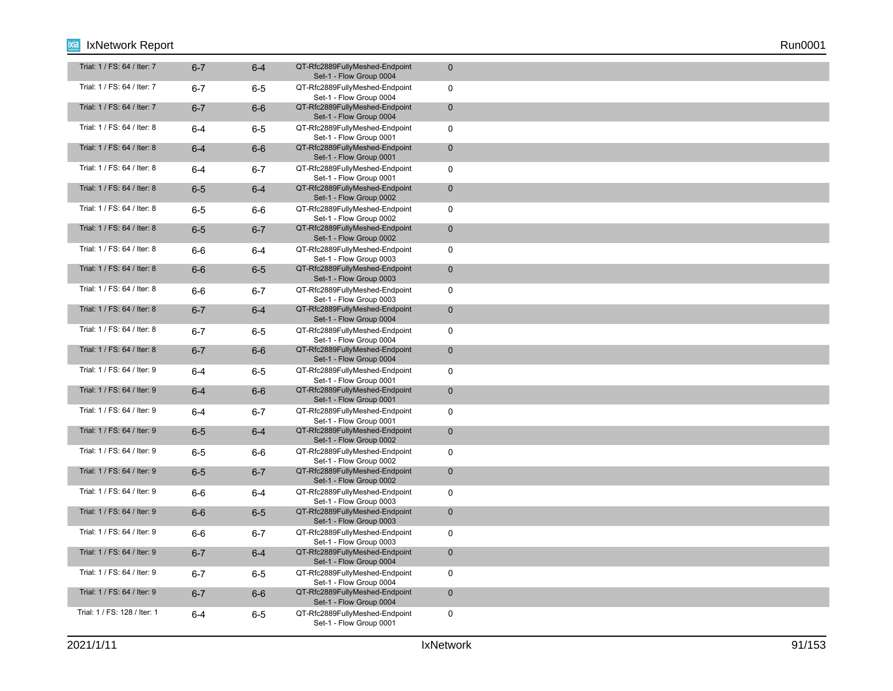| Trial: 1 / FS: 64 / Iter: 7  | $6 - 7$ | $6 - 4$ | QT-Rfc2889FullyMeshed-Endpoint<br>Set-1 - Flow Group 0004 | $\mathbf 0$  |
|------------------------------|---------|---------|-----------------------------------------------------------|--------------|
| Trial: 1 / FS: 64 / Iter: 7  | $6 - 7$ | $6-5$   | QT-Rfc2889FullyMeshed-Endpoint<br>Set-1 - Flow Group 0004 | $\mathbf 0$  |
| Trial: 1 / FS: 64 / Iter: 7  | $6 - 7$ | $6-6$   | QT-Rfc2889FullyMeshed-Endpoint<br>Set-1 - Flow Group 0004 | $\mathbf 0$  |
| Trial: 1 / FS: 64 / Iter: 8  | $6 - 4$ | $6-5$   | QT-Rfc2889FullyMeshed-Endpoint<br>Set-1 - Flow Group 0001 | $\mathbf 0$  |
| Trial: 1 / FS: 64 / Iter: 8  | $6-4$   | $6-6$   | QT-Rfc2889FullyMeshed-Endpoint<br>Set-1 - Flow Group 0001 | $\mathbf 0$  |
| Trial: 1 / FS: 64 / Iter: 8  | $6 - 4$ | $6 - 7$ | QT-Rfc2889FullyMeshed-Endpoint<br>Set-1 - Flow Group 0001 | $\mathbf 0$  |
| Trial: 1 / FS: 64 / Iter: 8  | $6-5$   | $6-4$   | QT-Rfc2889FullyMeshed-Endpoint<br>Set-1 - Flow Group 0002 | $\mathbf{0}$ |
| Trial: 1 / FS: 64 / Iter: 8  | $6-5$   | $6-6$   | QT-Rfc2889FullyMeshed-Endpoint<br>Set-1 - Flow Group 0002 | $\mathbf 0$  |
| Trial: 1 / FS: 64 / Iter: 8  | $6-5$   | $6 - 7$ | QT-Rfc2889FullyMeshed-Endpoint<br>Set-1 - Flow Group 0002 | $\mathbf 0$  |
| Trial: 1 / FS: 64 / Iter: 8  | $6-6$   | $6 - 4$ | QT-Rfc2889FullyMeshed-Endpoint<br>Set-1 - Flow Group 0003 | $\mathbf 0$  |
| Trial: 1 / FS: 64 / Iter: 8  | $6-6$   | $6-5$   | QT-Rfc2889FullyMeshed-Endpoint<br>Set-1 - Flow Group 0003 | $\mathbf 0$  |
| Trial: 1 / FS: 64 / Iter: 8  | 6-6     | $6 - 7$ | QT-Rfc2889FullyMeshed-Endpoint<br>Set-1 - Flow Group 0003 | $\mathbf 0$  |
| Trial: 1 / FS: 64 / Iter: 8  | $6 - 7$ | $6-4$   | QT-Rfc2889FullyMeshed-Endpoint<br>Set-1 - Flow Group 0004 | $\mathbf 0$  |
| Trial: 1 / FS: 64 / Iter: 8  | $6 - 7$ | 6-5     | QT-Rfc2889FullyMeshed-Endpoint<br>Set-1 - Flow Group 0004 | $\mathbf 0$  |
| Trial: 1 / FS: 64 / Iter: 8  | $6 - 7$ | $6-6$   | QT-Rfc2889FullyMeshed-Endpoint<br>Set-1 - Flow Group 0004 | $\mathbf 0$  |
| Trial: 1 / FS: 64 / Iter: 9  | 6-4     | $6-5$   | QT-Rfc2889FullyMeshed-Endpoint<br>Set-1 - Flow Group 0001 | $\mathbf 0$  |
| Trial: 1 / FS: 64 / Iter: 9  | $6 - 4$ | $6-6$   | QT-Rfc2889FullyMeshed-Endpoint<br>Set-1 - Flow Group 0001 | $\mathbf 0$  |
| Trial: 1 / FS: 64 / Iter: 9  | 6-4     | $6 - 7$ | QT-Rfc2889FullyMeshed-Endpoint<br>Set-1 - Flow Group 0001 | 0            |
| Trial: 1 / FS: 64 / Iter: 9  | $6-5$   | $6-4$   | QT-Rfc2889FullyMeshed-Endpoint<br>Set-1 - Flow Group 0002 | $\mathbf 0$  |
| Trial: 1 / FS: 64 / Iter: 9  | $6-5$   | 6-6     | QT-Rfc2889FullyMeshed-Endpoint<br>Set-1 - Flow Group 0002 | 0            |
| Trial: 1 / FS: 64 / Iter: 9  | $6-5$   | $6 - 7$ | QT-Rfc2889FullyMeshed-Endpoint<br>Set-1 - Flow Group 0002 | $\mathbf 0$  |
| Trial: 1 / FS: 64 / Iter: 9  | 6-6     | 6-4     | QT-Rfc2889FullyMeshed-Endpoint<br>Set-1 - Flow Group 0003 | $\mathbf 0$  |
| Trial: 1 / FS: 64 / Iter: 9  | $6-6$   | $6-5$   | QT-Rfc2889FullyMeshed-Endpoint<br>Set-1 - Flow Group 0003 | $\mathbf{0}$ |
| Trial: 1 / FS: 64 / Iter: 9  | 6-6     | $6 - 7$ | QT-Rfc2889FullyMeshed-Endpoint<br>Set-1 - Flow Group 0003 | 0            |
| Trial: 1 / FS: 64 / Iter: 9  | $6 - 7$ | $6-4$   | QT-Rfc2889FullyMeshed-Endpoint<br>Set-1 - Flow Group 0004 | $\mathbf 0$  |
| Trial: 1 / FS: 64 / Iter: 9  | $6 - 7$ | $6-5$   | QT-Rfc2889FullyMeshed-Endpoint<br>Set-1 - Flow Group 0004 | $\mathbf 0$  |
| Trial: 1 / FS: 64 / Iter: 9  | $6 - 7$ | $6-6$   | QT-Rfc2889FullyMeshed-Endpoint<br>Set-1 - Flow Group 0004 | $\mathbf 0$  |
| Trial: 1 / FS: 128 / Iter: 1 | $6 - 4$ | $6-5$   | QT-Rfc2889FullyMeshed-Endpoint<br>Set-1 - Flow Group 0001 | 0            |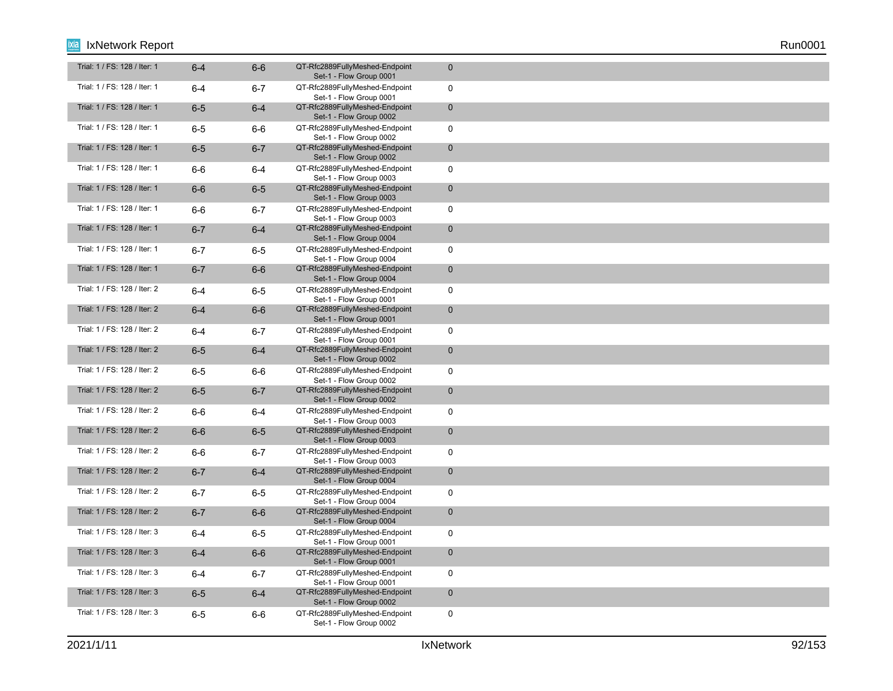| Trial: 1 / FS: 128 / Iter: 1 | $6 - 4$ | $6-6$   | QT-Rfc2889FullyMeshed-Endpoint<br>Set-1 - Flow Group 0001 | $\mathbf 0$  |
|------------------------------|---------|---------|-----------------------------------------------------------|--------------|
| Trial: 1 / FS: 128 / Iter: 1 | $6 - 4$ | $6 - 7$ | QT-Rfc2889FullyMeshed-Endpoint<br>Set-1 - Flow Group 0001 | $\mathbf 0$  |
| Trial: 1 / FS: 128 / Iter: 1 | $6-5$   | $6-4$   | QT-Rfc2889FullyMeshed-Endpoint<br>Set-1 - Flow Group 0002 | $\mathbf 0$  |
| Trial: 1 / FS: 128 / Iter: 1 | $6-5$   | $6-6$   | QT-Rfc2889FullyMeshed-Endpoint<br>Set-1 - Flow Group 0002 | $\mathbf 0$  |
| Trial: 1 / FS: 128 / Iter: 1 | $6-5$   | $6 - 7$ | QT-Rfc2889FullyMeshed-Endpoint<br>Set-1 - Flow Group 0002 | $\mathbf 0$  |
| Trial: 1 / FS: 128 / Iter: 1 | $6-6$   | $6-4$   | QT-Rfc2889FullyMeshed-Endpoint<br>Set-1 - Flow Group 0003 | $\mathbf 0$  |
| Trial: 1 / FS: 128 / Iter: 1 | $6-6$   | $6-5$   | QT-Rfc2889FullyMeshed-Endpoint<br>Set-1 - Flow Group 0003 | $\mathbf 0$  |
| Trial: 1 / FS: 128 / Iter: 1 | $6-6$   | $6 - 7$ | QT-Rfc2889FullyMeshed-Endpoint<br>Set-1 - Flow Group 0003 | $\mathbf 0$  |
| Trial: 1 / FS: 128 / Iter: 1 | $6 - 7$ | $6-4$   | QT-Rfc2889FullyMeshed-Endpoint<br>Set-1 - Flow Group 0004 | $\mathbf{0}$ |
| Trial: 1 / FS: 128 / Iter: 1 | $6 - 7$ | $6-5$   | QT-Rfc2889FullyMeshed-Endpoint<br>Set-1 - Flow Group 0004 | $\mathbf 0$  |
| Trial: 1 / FS: 128 / Iter: 1 | $6 - 7$ | $6-6$   | QT-Rfc2889FullyMeshed-Endpoint<br>Set-1 - Flow Group 0004 | $\mathbf 0$  |
| Trial: 1 / FS: 128 / Iter: 2 | $6 - 4$ | $6-5$   | QT-Rfc2889FullyMeshed-Endpoint<br>Set-1 - Flow Group 0001 | $\mathbf 0$  |
| Trial: 1 / FS: 128 / Iter: 2 | $6-4$   | $6-6$   | QT-Rfc2889FullyMeshed-Endpoint<br>Set-1 - Flow Group 0001 | $\mathbf 0$  |
| Trial: 1 / FS: 128 / Iter: 2 | 6-4     | $6 - 7$ | QT-Rfc2889FullyMeshed-Endpoint<br>Set-1 - Flow Group 0001 | $\mathbf 0$  |
| Trial: 1 / FS: 128 / Iter: 2 | $6-5$   | $6-4$   | QT-Rfc2889FullyMeshed-Endpoint<br>Set-1 - Flow Group 0002 | $\mathbf 0$  |
| Trial: 1 / FS: 128 / Iter: 2 | $6-5$   | 6-6     | QT-Rfc2889FullyMeshed-Endpoint<br>Set-1 - Flow Group 0002 | $\mathbf 0$  |
| Trial: 1 / FS: 128 / Iter: 2 | $6-5$   | $6 - 7$ | QT-Rfc2889FullyMeshed-Endpoint<br>Set-1 - Flow Group 0002 | $\mathbf 0$  |
| Trial: 1 / FS: 128 / Iter: 2 | $6-6$   | $6 - 4$ | QT-Rfc2889FullyMeshed-Endpoint<br>Set-1 - Flow Group 0003 | $\mathbf 0$  |
| Trial: 1 / FS: 128 / Iter: 2 | $6-6$   | $6-5$   | QT-Rfc2889FullyMeshed-Endpoint<br>Set-1 - Flow Group 0003 | $\mathbf 0$  |
| Trial: 1 / FS: 128 / Iter: 2 | $6-6$   | $6 - 7$ | QT-Rfc2889FullyMeshed-Endpoint<br>Set-1 - Flow Group 0003 | $\mathbf 0$  |
| Trial: 1 / FS: 128 / Iter: 2 | $6 - 7$ | $6-4$   | QT-Rfc2889FullyMeshed-Endpoint<br>Set-1 - Flow Group 0004 | $\mathbf 0$  |
| Trial: 1 / FS: 128 / Iter: 2 | $6 - 7$ | $6-5$   | QT-Rfc2889FullyMeshed-Endpoint<br>Set-1 - Flow Group 0004 | $\mathbf 0$  |
| Trial: 1 / FS: 128 / Iter: 2 | $6 - 7$ | $6-6$   | QT-Rfc2889FullyMeshed-Endpoint<br>Set-1 - Flow Group 0004 | $\mathbf{0}$ |
| Trial: 1 / FS: 128 / Iter: 3 | $6 - 4$ | $6-5$   | QT-Rfc2889FullyMeshed-Endpoint<br>Set-1 - Flow Group 0001 | $\mathbf 0$  |
| Trial: 1 / FS: 128 / Iter: 3 | $6 - 4$ | $6-6$   | QT-Rfc2889FullyMeshed-Endpoint<br>Set-1 - Flow Group 0001 | $\mathbf 0$  |
| Trial: 1 / FS: 128 / Iter: 3 | $6-4$   | $6 - 7$ | QT-Rfc2889FullyMeshed-Endpoint<br>Set-1 - Flow Group 0001 | $\mathbf 0$  |
| Trial: 1 / FS: 128 / Iter: 3 | $6-5$   | $6-4$   | QT-Rfc2889FullyMeshed-Endpoint<br>Set-1 - Flow Group 0002 | $\mathbf 0$  |
| Trial: 1 / FS: 128 / Iter: 3 | $6-5$   | $6-6$   | QT-Rfc2889FullyMeshed-Endpoint<br>Set-1 - Flow Group 0002 | $\mathbf 0$  |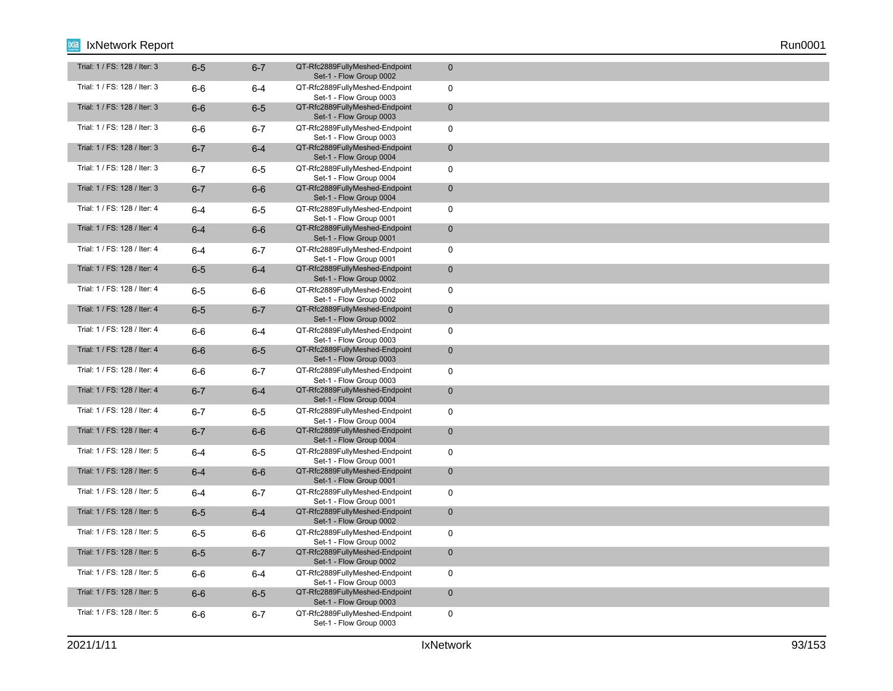| Trial: 1 / FS: 128 / Iter: 3 | $6-5$   | $6 - 7$ | QT-Rfc2889FullyMeshed-Endpoint<br>Set-1 - Flow Group 0002 | $\mathbf 0$         |
|------------------------------|---------|---------|-----------------------------------------------------------|---------------------|
| Trial: 1 / FS: 128 / Iter: 3 | $6-6$   | $6-4$   | QT-Rfc2889FullyMeshed-Endpoint<br>Set-1 - Flow Group 0003 | $\mathbf 0$         |
| Trial: 1 / FS: 128 / Iter: 3 | $6-6$   | $6-5$   | QT-Rfc2889FullyMeshed-Endpoint<br>Set-1 - Flow Group 0003 | $\mathbf 0$         |
| Trial: 1 / FS: 128 / Iter: 3 | $6-6$   | $6 - 7$ | QT-Rfc2889FullyMeshed-Endpoint<br>Set-1 - Flow Group 0003 | $\mathbf 0$         |
| Trial: 1 / FS: 128 / Iter: 3 | $6 - 7$ | $6-4$   | QT-Rfc2889FullyMeshed-Endpoint<br>Set-1 - Flow Group 0004 | $\mathbf 0$         |
| Trial: 1 / FS: 128 / Iter: 3 | $6 - 7$ | $6-5$   | QT-Rfc2889FullyMeshed-Endpoint<br>Set-1 - Flow Group 0004 | $\mathbf 0$         |
| Trial: 1 / FS: 128 / Iter: 3 | $6 - 7$ | $6-6$   | QT-Rfc2889FullyMeshed-Endpoint<br>Set-1 - Flow Group 0004 | $\mathbf{0}$        |
| Trial: 1 / FS: 128 / Iter: 4 | $6 - 4$ | $6-5$   | QT-Rfc2889FullyMeshed-Endpoint<br>Set-1 - Flow Group 0001 | $\mathbf 0$         |
| Trial: 1 / FS: 128 / Iter: 4 | $6 - 4$ | $6-6$   | QT-Rfc2889FullyMeshed-Endpoint<br>Set-1 - Flow Group 0001 | $\mathbf 0$         |
| Trial: 1 / FS: 128 / Iter: 4 | 6-4     | $6 - 7$ | QT-Rfc2889FullyMeshed-Endpoint<br>Set-1 - Flow Group 0001 | $\mathbf 0$         |
| Trial: 1 / FS: 128 / Iter: 4 | $6-5$   | $6-4$   | QT-Rfc2889FullyMeshed-Endpoint<br>Set-1 - Flow Group 0002 | $\mathsf{O}\xspace$ |
| Trial: 1 / FS: 128 / Iter: 4 | $6-5$   | 6-6     | QT-Rfc2889FullyMeshed-Endpoint<br>Set-1 - Flow Group 0002 | $\mathbf 0$         |
| Trial: 1 / FS: 128 / Iter: 4 | $6-5$   | $6 - 7$ | QT-Rfc2889FullyMeshed-Endpoint<br>Set-1 - Flow Group 0002 | $\mathbf 0$         |
| Trial: 1 / FS: 128 / Iter: 4 | $6-6$   | 6-4     | QT-Rfc2889FullyMeshed-Endpoint<br>Set-1 - Flow Group 0003 | $\mathbf 0$         |
| Trial: 1 / FS: 128 / Iter: 4 | $6-6$   | $6-5$   | QT-Rfc2889FullyMeshed-Endpoint<br>Set-1 - Flow Group 0003 | $\mathbf 0$         |
| Trial: 1 / FS: 128 / Iter: 4 | 6-6     | $6 - 7$ | QT-Rfc2889FullyMeshed-Endpoint<br>Set-1 - Flow Group 0003 | $\mathbf 0$         |
| Trial: 1 / FS: 128 / Iter: 4 | $6 - 7$ | $6-4$   | QT-Rfc2889FullyMeshed-Endpoint<br>Set-1 - Flow Group 0004 | $\mathbf 0$         |
| Trial: 1 / FS: 128 / Iter: 4 | $6 - 7$ | $6-5$   | QT-Rfc2889FullyMeshed-Endpoint<br>Set-1 - Flow Group 0004 | $\mathbf 0$         |
| Trial: 1 / FS: 128 / Iter: 4 | $6 - 7$ | $6-6$   | QT-Rfc2889FullyMeshed-Endpoint<br>Set-1 - Flow Group 0004 | $\mathbf 0$         |
| Trial: 1 / FS: 128 / Iter: 5 | $6-4$   | $6-5$   | QT-Rfc2889FullyMeshed-Endpoint<br>Set-1 - Flow Group 0001 | $\mathbf 0$         |
| Trial: 1 / FS: 128 / Iter: 5 | $6-4$   | $6-6$   | QT-Rfc2889FullyMeshed-Endpoint<br>Set-1 - Flow Group 0001 | $\mathbf 0$         |
| Trial: 1 / FS: 128 / Iter: 5 | $6 - 4$ | $6 - 7$ | QT-Rfc2889FullyMeshed-Endpoint<br>Set-1 - Flow Group 0001 | $\mathbf 0$         |
| Trial: 1 / FS: 128 / Iter: 5 | $6-5$   | $6-4$   | QT-Rfc2889FullyMeshed-Endpoint<br>Set-1 - Flow Group 0002 | $\mathbf 0$         |
| Trial: 1 / FS: 128 / Iter: 5 | $6-5$   | 6-6     | QT-Rfc2889FullyMeshed-Endpoint<br>Set-1 - Flow Group 0002 | $\mathbf 0$         |
| Trial: 1 / FS: 128 / Iter: 5 | $6-5$   | $6 - 7$ | QT-Rfc2889FullyMeshed-Endpoint<br>Set-1 - Flow Group 0002 | $\mathbf 0$         |
| Trial: 1 / FS: 128 / Iter: 5 | $6-6$   | 6-4     | QT-Rfc2889FullyMeshed-Endpoint<br>Set-1 - Flow Group 0003 | $\mathbf 0$         |
| Trial: 1 / FS: 128 / Iter: 5 | $6-6$   | $6-5$   | QT-Rfc2889FullyMeshed-Endpoint<br>Set-1 - Flow Group 0003 | $\mathbf 0$         |
| Trial: 1 / FS: 128 / Iter: 5 | $6-6$   | $6 - 7$ | QT-Rfc2889FullyMeshed-Endpoint<br>Set-1 - Flow Group 0003 | $\mathbf 0$         |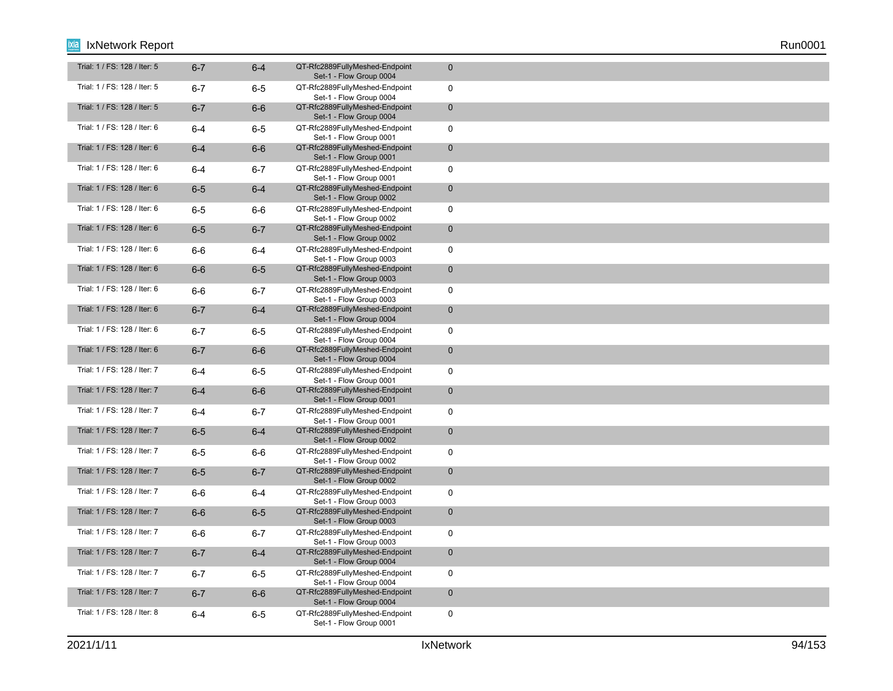| Trial: 1 / FS: 128 / Iter: 5 | $6 - 7$ | $6-4$   | QT-Rfc2889FullyMeshed-Endpoint<br>Set-1 - Flow Group 0004 | $\mathbf 0$  |
|------------------------------|---------|---------|-----------------------------------------------------------|--------------|
| Trial: 1 / FS: 128 / Iter: 5 | $6-7$   | $6 - 5$ | QT-Rfc2889FullyMeshed-Endpoint<br>Set-1 - Flow Group 0004 | $\mathbf 0$  |
| Trial: 1 / FS: 128 / Iter: 5 | $6 - 7$ | $6-6$   | QT-Rfc2889FullyMeshed-Endpoint<br>Set-1 - Flow Group 0004 | $\mathbf 0$  |
| Trial: 1 / FS: 128 / Iter: 6 | $6 - 4$ | $6-5$   | QT-Rfc2889FullyMeshed-Endpoint<br>Set-1 - Flow Group 0001 | $\mathbf 0$  |
| Trial: 1 / FS: 128 / Iter: 6 | $6-4$   | $6-6$   | QT-Rfc2889FullyMeshed-Endpoint<br>Set-1 - Flow Group 0001 | $\mathbf 0$  |
| Trial: 1 / FS: 128 / Iter: 6 | $6 - 4$ | $6 - 7$ | QT-Rfc2889FullyMeshed-Endpoint<br>Set-1 - Flow Group 0001 | $\mathbf 0$  |
| Trial: 1 / FS: 128 / Iter: 6 | $6-5$   | $6 - 4$ | QT-Rfc2889FullyMeshed-Endpoint<br>Set-1 - Flow Group 0002 | $\mathbf 0$  |
| Trial: 1 / FS: 128 / Iter: 6 | $6-5$   | $6-6$   | QT-Rfc2889FullyMeshed-Endpoint<br>Set-1 - Flow Group 0002 | $\mathbf 0$  |
| Trial: 1 / FS: 128 / Iter: 6 | $6-5$   | $6 - 7$ | QT-Rfc2889FullyMeshed-Endpoint<br>Set-1 - Flow Group 0002 | $\mathbf{0}$ |
| Trial: 1 / FS: 128 / Iter: 6 | $6-6$   | 6-4     | QT-Rfc2889FullyMeshed-Endpoint<br>Set-1 - Flow Group 0003 | $\mathbf 0$  |
| Trial: 1 / FS: 128 / Iter: 6 | $6-6$   | $6-5$   | QT-Rfc2889FullyMeshed-Endpoint<br>Set-1 - Flow Group 0003 | $\mathbf 0$  |
| Trial: 1 / FS: 128 / Iter: 6 | 6-6     | $6 - 7$ | QT-Rfc2889FullyMeshed-Endpoint<br>Set-1 - Flow Group 0003 | $\mathbf 0$  |
| Trial: 1 / FS: 128 / Iter: 6 | $6 - 7$ | $6-4$   | QT-Rfc2889FullyMeshed-Endpoint<br>Set-1 - Flow Group 0004 | $\mathbf 0$  |
| Trial: 1 / FS: 128 / Iter: 6 | $6-7$   | $6-5$   | QT-Rfc2889FullyMeshed-Endpoint<br>Set-1 - Flow Group 0004 | $\mathbf 0$  |
| Trial: 1 / FS: 128 / Iter: 6 | $6 - 7$ | $6-6$   | QT-Rfc2889FullyMeshed-Endpoint<br>Set-1 - Flow Group 0004 | $\mathbf 0$  |
| Trial: 1 / FS: 128 / Iter: 7 | $6 - 4$ | $6 - 5$ | QT-Rfc2889FullyMeshed-Endpoint<br>Set-1 - Flow Group 0001 | $\mathbf 0$  |
| Trial: 1 / FS: 128 / Iter: 7 | $6-4$   | $6-6$   | QT-Rfc2889FullyMeshed-Endpoint<br>Set-1 - Flow Group 0001 | $\mathbf 0$  |
| Trial: 1 / FS: 128 / Iter: 7 | $6 - 4$ | $6 - 7$ | QT-Rfc2889FullyMeshed-Endpoint<br>Set-1 - Flow Group 0001 | $\mathbf 0$  |
| Trial: 1 / FS: 128 / Iter: 7 | $6-5$   | $6-4$   | QT-Rfc2889FullyMeshed-Endpoint<br>Set-1 - Flow Group 0002 | $\mathbf 0$  |
| Trial: 1 / FS: 128 / Iter: 7 | $6-5$   | 6-6     | QT-Rfc2889FullyMeshed-Endpoint<br>Set-1 - Flow Group 0002 | $\mathbf 0$  |
| Trial: 1 / FS: 128 / Iter: 7 | $6-5$   | $6 - 7$ | QT-Rfc2889FullyMeshed-Endpoint<br>Set-1 - Flow Group 0002 | $\mathbf 0$  |
| Trial: 1 / FS: 128 / Iter: 7 | $6-6$   | 6-4     | QT-Rfc2889FullyMeshed-Endpoint<br>Set-1 - Flow Group 0003 | $\mathbf 0$  |
| Trial: 1 / FS: 128 / Iter: 7 | $6-6$   | $6-5$   | QT-Rfc2889FullyMeshed-Endpoint<br>Set-1 - Flow Group 0003 | $\mathbf{0}$ |
| Trial: 1 / FS: 128 / Iter: 7 | $6-6$   | $6 - 7$ | QT-Rfc2889FullyMeshed-Endpoint<br>Set-1 - Flow Group 0003 | $\mathbf 0$  |
| Trial: 1 / FS: 128 / Iter: 7 | $6 - 7$ | $6-4$   | QT-Rfc2889FullyMeshed-Endpoint<br>Set-1 - Flow Group 0004 | $\mathbf 0$  |
| Trial: 1 / FS: 128 / Iter: 7 | $6-7$   | $6-5$   | QT-Rfc2889FullyMeshed-Endpoint<br>Set-1 - Flow Group 0004 | $\mathbf 0$  |
| Trial: 1 / FS: 128 / Iter: 7 | $6 - 7$ | $6-6$   | QT-Rfc2889FullyMeshed-Endpoint<br>Set-1 - Flow Group 0004 | $\mathbf 0$  |
| Trial: 1 / FS: 128 / Iter: 8 | $6 - 4$ | $6 - 5$ | QT-Rfc2889FullyMeshed-Endpoint<br>Set-1 - Flow Group 0001 | $\mathbf 0$  |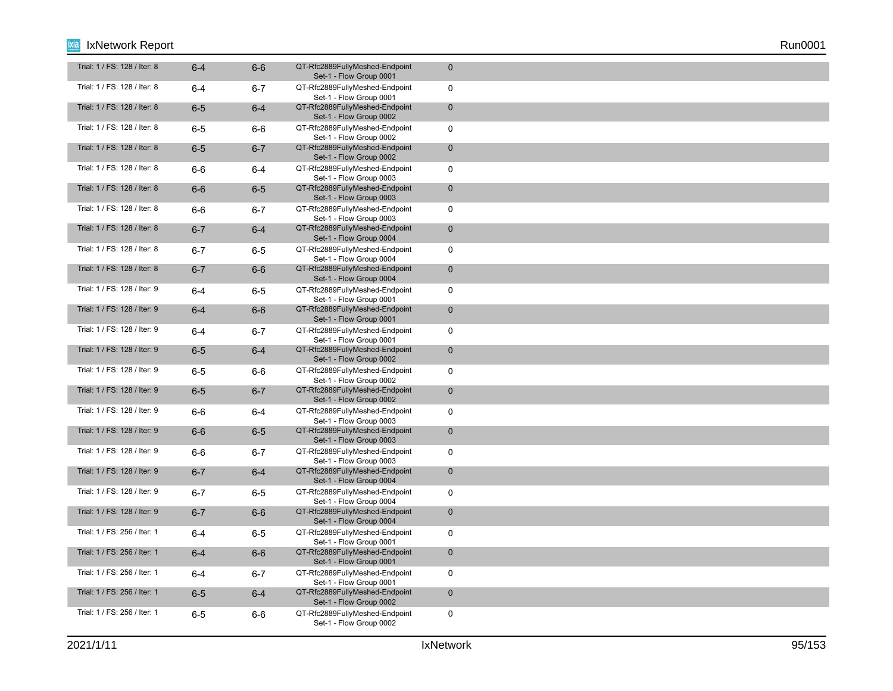| Trial: 1 / FS: 128 / Iter: 8 | $6 - 4$ | $6-6$   | QT-Rfc2889FullyMeshed-Endpoint<br>Set-1 - Flow Group 0001 | $\mathbf 0$  |
|------------------------------|---------|---------|-----------------------------------------------------------|--------------|
| Trial: 1 / FS: 128 / Iter: 8 | $6 - 4$ | $6 - 7$ | QT-Rfc2889FullyMeshed-Endpoint<br>Set-1 - Flow Group 0001 | $\mathbf 0$  |
| Trial: 1 / FS: 128 / Iter: 8 | $6-5$   | $6-4$   | QT-Rfc2889FullyMeshed-Endpoint<br>Set-1 - Flow Group 0002 | $\mathbf 0$  |
| Trial: 1 / FS: 128 / Iter: 8 | $6-5$   | $6-6$   | QT-Rfc2889FullyMeshed-Endpoint<br>Set-1 - Flow Group 0002 | $\mathbf 0$  |
| Trial: 1 / FS: 128 / Iter: 8 | $6-5$   | $6 - 7$ | QT-Rfc2889FullyMeshed-Endpoint<br>Set-1 - Flow Group 0002 | $\mathbf 0$  |
| Trial: 1 / FS: 128 / Iter: 8 | $6-6$   | 6-4     | QT-Rfc2889FullyMeshed-Endpoint<br>Set-1 - Flow Group 0003 | $\mathbf 0$  |
| Trial: 1 / FS: 128 / Iter: 8 | $6-6$   | $6-5$   | QT-Rfc2889FullyMeshed-Endpoint<br>Set-1 - Flow Group 0003 | $\mathbf 0$  |
| Trial: 1 / FS: 128 / Iter: 8 | $6-6$   | $6 - 7$ | QT-Rfc2889FullyMeshed-Endpoint<br>Set-1 - Flow Group 0003 | $\mathbf 0$  |
| Trial: 1 / FS: 128 / Iter: 8 | $6 - 7$ | $6 - 4$ | QT-Rfc2889FullyMeshed-Endpoint<br>Set-1 - Flow Group 0004 | $\mathbf 0$  |
| Trial: 1 / FS: 128 / Iter: 8 | $6 - 7$ | $6-5$   | QT-Rfc2889FullyMeshed-Endpoint<br>Set-1 - Flow Group 0004 | $\mathbf 0$  |
| Trial: 1 / FS: 128 / Iter: 8 | $6 - 7$ | $6-6$   | QT-Rfc2889FullyMeshed-Endpoint<br>Set-1 - Flow Group 0004 | $\mathbf 0$  |
| Trial: 1 / FS: 128 / Iter: 9 | $6 - 4$ | $6-5$   | QT-Rfc2889FullyMeshed-Endpoint<br>Set-1 - Flow Group 0001 | $\mathbf 0$  |
| Trial: 1 / FS: 128 / Iter: 9 | $6-4$   | $6-6$   | QT-Rfc2889FullyMeshed-Endpoint<br>Set-1 - Flow Group 0001 | $\mathbf 0$  |
| Trial: 1 / FS: 128 / Iter: 9 | $6-4$   | $6 - 7$ | QT-Rfc2889FullyMeshed-Endpoint<br>Set-1 - Flow Group 0001 | $\mathbf 0$  |
| Trial: 1 / FS: 128 / Iter: 9 | $6-5$   | $6-4$   | QT-Rfc2889FullyMeshed-Endpoint<br>Set-1 - Flow Group 0002 | $\mathbf 0$  |
| Trial: 1 / FS: 128 / Iter: 9 | $6-5$   | $6-6$   | QT-Rfc2889FullyMeshed-Endpoint<br>Set-1 - Flow Group 0002 | $\mathbf 0$  |
| Trial: 1 / FS: 128 / Iter: 9 | $6-5$   | $6 - 7$ | QT-Rfc2889FullyMeshed-Endpoint<br>Set-1 - Flow Group 0002 | $\mathbf{0}$ |
| Trial: 1 / FS: 128 / Iter: 9 | $6-6$   | $6 - 4$ | QT-Rfc2889FullyMeshed-Endpoint<br>Set-1 - Flow Group 0003 | $\mathbf 0$  |
| Trial: 1 / FS: 128 / Iter: 9 | $6-6$   | $6-5$   | QT-Rfc2889FullyMeshed-Endpoint<br>Set-1 - Flow Group 0003 | $\mathbf 0$  |
| Trial: 1 / FS: 128 / Iter: 9 | $6-6$   | $6 - 7$ | QT-Rfc2889FullyMeshed-Endpoint<br>Set-1 - Flow Group 0003 | $\mathbf 0$  |
| Trial: 1 / FS: 128 / Iter: 9 | $6 - 7$ | $6-4$   | QT-Rfc2889FullyMeshed-Endpoint<br>Set-1 - Flow Group 0004 | $\mathbf 0$  |
| Trial: 1 / FS: 128 / Iter: 9 | $6 - 7$ | $6-5$   | QT-Rfc2889FullyMeshed-Endpoint<br>Set-1 - Flow Group 0004 | $\mathbf 0$  |
| Trial: 1 / FS: 128 / Iter: 9 | $6 - 7$ | $6-6$   | QT-Rfc2889FullyMeshed-Endpoint<br>Set-1 - Flow Group 0004 | $\mathbf{0}$ |
| Trial: 1 / FS: 256 / Iter: 1 | $6 - 4$ | $6-5$   | QT-Rfc2889FullyMeshed-Endpoint<br>Set-1 - Flow Group 0001 | $\mathbf 0$  |
| Trial: 1 / FS: 256 / Iter: 1 | $6 - 4$ | $6-6$   | QT-Rfc2889FullyMeshed-Endpoint<br>Set-1 - Flow Group 0001 | $\mathbf 0$  |
| Trial: 1 / FS: 256 / Iter: 1 | $6-4$   | $6 - 7$ | QT-Rfc2889FullyMeshed-Endpoint<br>Set-1 - Flow Group 0001 | $\mathbf 0$  |
| Trial: 1 / FS: 256 / Iter: 1 | $6-5$   | $6-4$   | QT-Rfc2889FullyMeshed-Endpoint<br>Set-1 - Flow Group 0002 | $\mathbf 0$  |
| Trial: 1 / FS: 256 / Iter: 1 | $6-5$   | 6-6     | QT-Rfc2889FullyMeshed-Endpoint<br>Set-1 - Flow Group 0002 | $\mathbf 0$  |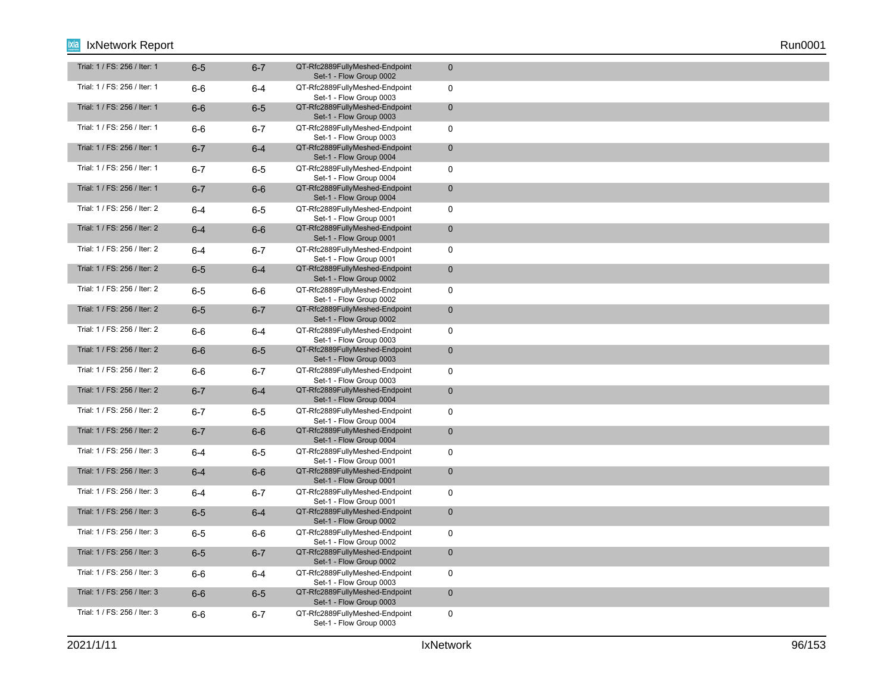| Trial: 1 / FS: 256 / Iter: 1 | $6-5$   | $6 - 7$ | QT-Rfc2889FullyMeshed-Endpoint<br>Set-1 - Flow Group 0002 | $\mathbf{0}$ |
|------------------------------|---------|---------|-----------------------------------------------------------|--------------|
| Trial: 1 / FS: 256 / Iter: 1 | $6-6$   | $6-4$   | QT-Rfc2889FullyMeshed-Endpoint<br>Set-1 - Flow Group 0003 | $\mathbf 0$  |
| Trial: 1 / FS: 256 / Iter: 1 | $6-6$   | $6-5$   | QT-Rfc2889FullyMeshed-Endpoint<br>Set-1 - Flow Group 0003 | $\mathbf 0$  |
| Trial: 1 / FS: 256 / Iter: 1 | $6-6$   | $6 - 7$ | QT-Rfc2889FullyMeshed-Endpoint<br>Set-1 - Flow Group 0003 | $\mathbf 0$  |
| Trial: 1 / FS: 256 / Iter: 1 | $6 - 7$ | $6-4$   | QT-Rfc2889FullyMeshed-Endpoint<br>Set-1 - Flow Group 0004 | $\mathbf 0$  |
| Trial: 1 / FS: 256 / Iter: 1 | $6 - 7$ | $6-5$   | QT-Rfc2889FullyMeshed-Endpoint<br>Set-1 - Flow Group 0004 | $\mathbf 0$  |
| Trial: 1 / FS: 256 / Iter: 1 | $6 - 7$ | $6-6$   | QT-Rfc2889FullyMeshed-Endpoint<br>Set-1 - Flow Group 0004 | $\mathbf 0$  |
| Trial: 1 / FS: 256 / Iter: 2 | $6 - 4$ | $6-5$   | QT-Rfc2889FullyMeshed-Endpoint<br>Set-1 - Flow Group 0001 | $\mathbf 0$  |
| Trial: 1 / FS: 256 / Iter: 2 | $6 - 4$ | $6-6$   | QT-Rfc2889FullyMeshed-Endpoint<br>Set-1 - Flow Group 0001 | $\mathbf{0}$ |
| Trial: 1 / FS: 256 / Iter: 2 | $6 - 4$ | $6 - 7$ | QT-Rfc2889FullyMeshed-Endpoint<br>Set-1 - Flow Group 0001 | $\mathbf 0$  |
| Trial: 1 / FS: 256 / Iter: 2 | $6-5$   | $6-4$   | QT-Rfc2889FullyMeshed-Endpoint<br>Set-1 - Flow Group 0002 | $\mathbf 0$  |
| Trial: 1 / FS: 256 / Iter: 2 | $6-5$   | $6-6$   | QT-Rfc2889FullyMeshed-Endpoint<br>Set-1 - Flow Group 0002 | $\mathbf 0$  |
| Trial: 1 / FS: 256 / Iter: 2 | $6-5$   | $6 - 7$ | QT-Rfc2889FullyMeshed-Endpoint<br>Set-1 - Flow Group 0002 | $\mathbf 0$  |
| Trial: 1 / FS: 256 / Iter: 2 | $6-6$   | 6-4     | QT-Rfc2889FullyMeshed-Endpoint<br>Set-1 - Flow Group 0003 | $\mathbf 0$  |
| Trial: 1 / FS: 256 / Iter: 2 | $6-6$   | $6-5$   | QT-Rfc2889FullyMeshed-Endpoint<br>Set-1 - Flow Group 0003 | $\mathbf{0}$ |
| Trial: 1 / FS: 256 / Iter: 2 | $6-6$   | $6 - 7$ | QT-Rfc2889FullyMeshed-Endpoint<br>Set-1 - Flow Group 0003 | $\mathbf 0$  |
| Trial: 1 / FS: 256 / Iter: 2 | $6 - 7$ | $6-4$   | QT-Rfc2889FullyMeshed-Endpoint<br>Set-1 - Flow Group 0004 | $\mathbf 0$  |
| Trial: 1 / FS: 256 / Iter: 2 | $6 - 7$ | $6-5$   | QT-Rfc2889FullyMeshed-Endpoint<br>Set-1 - Flow Group 0004 | $\mathbf 0$  |
| Trial: 1 / FS: 256 / Iter: 2 | $6 - 7$ | $6-6$   | QT-Rfc2889FullyMeshed-Endpoint<br>Set-1 - Flow Group 0004 | $\mathbf{0}$ |
| Trial: 1 / FS: 256 / Iter: 3 | $6 - 4$ | $6-5$   | QT-Rfc2889FullyMeshed-Endpoint<br>Set-1 - Flow Group 0001 | $\mathbf 0$  |
| Trial: 1 / FS: 256 / Iter: 3 | $6 - 4$ | $6-6$   | QT-Rfc2889FullyMeshed-Endpoint<br>Set-1 - Flow Group 0001 | $\mathbf 0$  |
| Trial: 1 / FS: 256 / Iter: 3 | $6 - 4$ | $6 - 7$ | QT-Rfc2889FullyMeshed-Endpoint<br>Set-1 - Flow Group 0001 | $\mathbf 0$  |
| Trial: 1 / FS: 256 / Iter: 3 | $6-5$   | $6-4$   | QT-Rfc2889FullyMeshed-Endpoint<br>Set-1 - Flow Group 0002 | $\mathbf{0}$ |
| Trial: 1 / FS: 256 / Iter: 3 | $6-5$   | 6-6     | QT-Rfc2889FullyMeshed-Endpoint<br>Set-1 - Flow Group 0002 | $\mathbf 0$  |
| Trial: 1 / FS: 256 / Iter: 3 | $6-5$   | $6 - 7$ | QT-Rfc2889FullyMeshed-Endpoint<br>Set-1 - Flow Group 0002 | $\mathbf 0$  |
| Trial: 1 / FS: 256 / Iter: 3 | $6-6$   | 6-4     | QT-Rfc2889FullyMeshed-Endpoint<br>Set-1 - Flow Group 0003 | $\mathbf 0$  |
| Trial: 1 / FS: 256 / Iter: 3 | $6-6$   | $6-5$   | QT-Rfc2889FullyMeshed-Endpoint<br>Set-1 - Flow Group 0003 | $\mathbf 0$  |
| Trial: 1 / FS: 256 / Iter: 3 | $6-6$   | $6 - 7$ | QT-Rfc2889FullyMeshed-Endpoint<br>Set-1 - Flow Group 0003 | $\mathbf 0$  |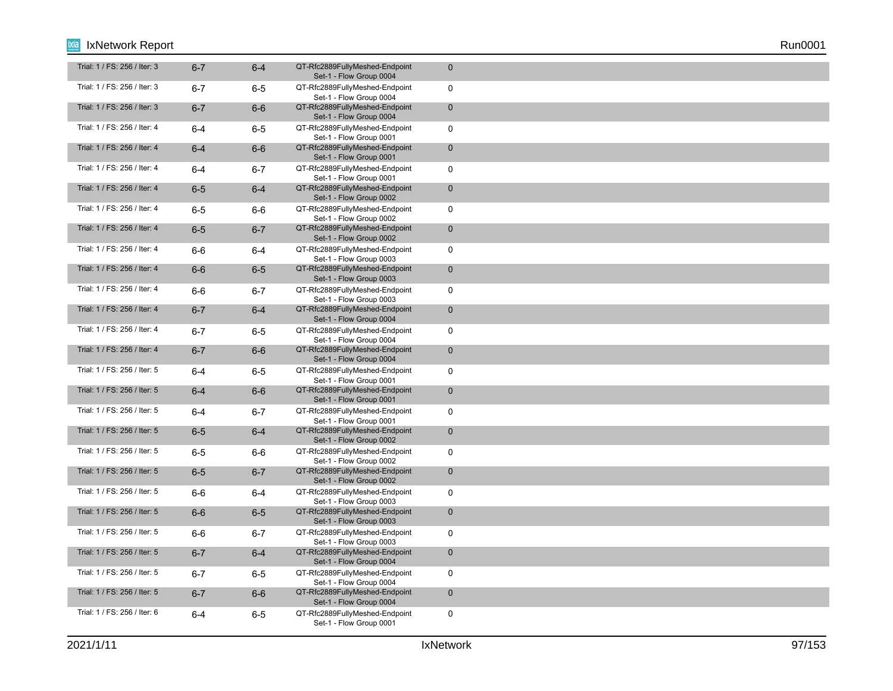| Trial: 1 / FS: 256 / Iter: 3 | $6 - 7$ | $6 - 4$ | QT-Rfc2889FullyMeshed-Endpoint<br>Set-1 - Flow Group 0004 | $\mathbf 0$  |
|------------------------------|---------|---------|-----------------------------------------------------------|--------------|
| Trial: 1 / FS: 256 / Iter: 3 | $6 - 7$ | $6-5$   | QT-Rfc2889FullyMeshed-Endpoint<br>Set-1 - Flow Group 0004 | $\mathbf 0$  |
| Trial: 1 / FS: 256 / Iter: 3 | $6 - 7$ | $6-6$   | QT-Rfc2889FullyMeshed-Endpoint<br>Set-1 - Flow Group 0004 | $\mathbf 0$  |
| Trial: 1 / FS: 256 / Iter: 4 | $6 - 4$ | $6-5$   | QT-Rfc2889FullyMeshed-Endpoint<br>Set-1 - Flow Group 0001 | $\mathsf 0$  |
| Trial: 1 / FS: 256 / Iter: 4 | $6-4$   | $6-6$   | QT-Rfc2889FullyMeshed-Endpoint<br>Set-1 - Flow Group 0001 | $\mathbf 0$  |
| Trial: 1 / FS: 256 / Iter: 4 | $6-4$   | $6 - 7$ | QT-Rfc2889FullyMeshed-Endpoint<br>Set-1 - Flow Group 0001 | $\mathbf 0$  |
| Trial: 1 / FS: 256 / Iter: 4 | $6-5$   | $6-4$   | QT-Rfc2889FullyMeshed-Endpoint<br>Set-1 - Flow Group 0002 | $\mathbf 0$  |
| Trial: 1 / FS: 256 / Iter: 4 | $6-5$   | 6-6     | QT-Rfc2889FullyMeshed-Endpoint<br>Set-1 - Flow Group 0002 | $\mathbf 0$  |
| Trial: 1 / FS: 256 / Iter: 4 | $6-5$   | $6 - 7$ | QT-Rfc2889FullyMeshed-Endpoint<br>Set-1 - Flow Group 0002 | $\mathbf 0$  |
| Trial: 1 / FS: 256 / Iter: 4 | $6-6$   | 6-4     | QT-Rfc2889FullyMeshed-Endpoint<br>Set-1 - Flow Group 0003 | $\mathbf 0$  |
| Trial: 1 / FS: 256 / Iter: 4 | $6-6$   | $6-5$   | QT-Rfc2889FullyMeshed-Endpoint<br>Set-1 - Flow Group 0003 | $\mathbf 0$  |
| Trial: 1 / FS: 256 / Iter: 4 | $6-6$   | $6 - 7$ | QT-Rfc2889FullyMeshed-Endpoint<br>Set-1 - Flow Group 0003 | $\mathbf 0$  |
| Trial: 1 / FS: 256 / Iter: 4 | $6 - 7$ | $6-4$   | QT-Rfc2889FullyMeshed-Endpoint<br>Set-1 - Flow Group 0004 | $\mathbf 0$  |
| Trial: 1 / FS: 256 / Iter: 4 | $6 - 7$ | 6-5     | QT-Rfc2889FullyMeshed-Endpoint<br>Set-1 - Flow Group 0004 | $\mathbf 0$  |
| Trial: 1 / FS: 256 / Iter: 4 | $6 - 7$ | $6-6$   | QT-Rfc2889FullyMeshed-Endpoint<br>Set-1 - Flow Group 0004 | $\mathbf 0$  |
| Trial: 1 / FS: 256 / Iter: 5 | $6 - 4$ | $6-5$   | QT-Rfc2889FullyMeshed-Endpoint<br>Set-1 - Flow Group 0001 | $\mathbf 0$  |
| Trial: 1 / FS: 256 / Iter: 5 | $6-4$   | $6-6$   | QT-Rfc2889FullyMeshed-Endpoint<br>Set-1 - Flow Group 0001 | $\mathbf{0}$ |
| Trial: 1 / FS: 256 / Iter: 5 | $6 - 4$ | $6 - 7$ | QT-Rfc2889FullyMeshed-Endpoint<br>Set-1 - Flow Group 0001 | $\mathbf 0$  |
| Trial: 1 / FS: 256 / Iter: 5 | $6-5$   | $6-4$   | QT-Rfc2889FullyMeshed-Endpoint<br>Set-1 - Flow Group 0002 | $\mathbf 0$  |
| Trial: 1 / FS: 256 / Iter: 5 | $6-5$   | $6-6$   | QT-Rfc2889FullyMeshed-Endpoint<br>Set-1 - Flow Group 0002 | $\mathbf 0$  |
| Trial: 1 / FS: 256 / Iter: 5 | $6-5$   | $6 - 7$ | QT-Rfc2889FullyMeshed-Endpoint<br>Set-1 - Flow Group 0002 | $\mathbf 0$  |
| Trial: 1 / FS: 256 / Iter: 5 | $6-6$   | 6-4     | QT-Rfc2889FullyMeshed-Endpoint<br>Set-1 - Flow Group 0003 | $\mathbf 0$  |
| Trial: 1 / FS: 256 / Iter: 5 | $6-6$   | $6-5$   | QT-Rfc2889FullyMeshed-Endpoint<br>Set-1 - Flow Group 0003 | $\mathbf{0}$ |
| Trial: 1 / FS: 256 / Iter: 5 | $6-6$   | $6 - 7$ | QT-Rfc2889FullyMeshed-Endpoint<br>Set-1 - Flow Group 0003 | $\mathbf 0$  |
| Trial: 1 / FS: 256 / Iter: 5 | $6 - 7$ | $6-4$   | QT-Rfc2889FullyMeshed-Endpoint<br>Set-1 - Flow Group 0004 | $\mathbf 0$  |
| Trial: 1 / FS: 256 / Iter: 5 | $6 - 7$ | 6-5     | QT-Rfc2889FullyMeshed-Endpoint<br>Set-1 - Flow Group 0004 | $\mathbf 0$  |
| Trial: 1 / FS: 256 / Iter: 5 | $6 - 7$ | $6-6$   | QT-Rfc2889FullyMeshed-Endpoint<br>Set-1 - Flow Group 0004 | $\mathbf 0$  |
| Trial: 1 / FS: 256 / Iter: 6 | $6 - 4$ | $6-5$   | QT-Rfc2889FullyMeshed-Endpoint<br>Set-1 - Flow Group 0001 | $\mathbf 0$  |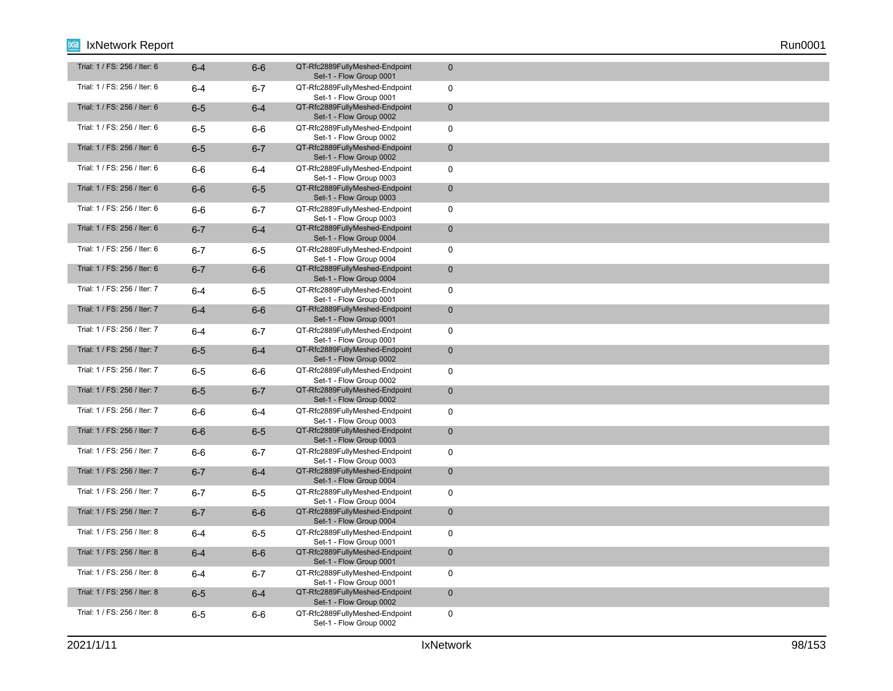| Trial: 1 / FS: 256 / Iter: 6 | $6 - 4$ | $6-6$   | QT-Rfc2889FullyMeshed-Endpoint<br>Set-1 - Flow Group 0001 | $\mathbf 0$  |
|------------------------------|---------|---------|-----------------------------------------------------------|--------------|
| Trial: 1 / FS: 256 / Iter: 6 | $6 - 4$ | $6 - 7$ | QT-Rfc2889FullyMeshed-Endpoint<br>Set-1 - Flow Group 0001 | $\mathbf 0$  |
| Trial: 1 / FS: 256 / Iter: 6 | $6-5$   | $6-4$   | QT-Rfc2889FullyMeshed-Endpoint<br>Set-1 - Flow Group 0002 | $\mathbf 0$  |
| Trial: 1 / FS: 256 / Iter: 6 | $6-5$   | 6-6     | QT-Rfc2889FullyMeshed-Endpoint<br>Set-1 - Flow Group 0002 | $\mathsf 0$  |
| Trial: 1 / FS: 256 / Iter: 6 | $6-5$   | $6 - 7$ | QT-Rfc2889FullyMeshed-Endpoint<br>Set-1 - Flow Group 0002 | $\mathbf 0$  |
| Trial: 1 / FS: 256 / Iter: 6 | $6-6$   | 6-4     | QT-Rfc2889FullyMeshed-Endpoint<br>Set-1 - Flow Group 0003 | $\mathbf 0$  |
| Trial: 1 / FS: 256 / Iter: 6 | $6-6$   | $6-5$   | QT-Rfc2889FullyMeshed-Endpoint<br>Set-1 - Flow Group 0003 | $\mathbf 0$  |
| Trial: 1 / FS: 256 / Iter: 6 | $6-6$   | $6 - 7$ | QT-Rfc2889FullyMeshed-Endpoint<br>Set-1 - Flow Group 0003 | $\mathbf 0$  |
| Trial: 1 / FS: 256 / Iter: 6 | $6 - 7$ | $6 - 4$ | QT-Rfc2889FullyMeshed-Endpoint<br>Set-1 - Flow Group 0004 | $\mathbf 0$  |
| Trial: 1 / FS: 256 / Iter: 6 | $6 - 7$ | 6-5     | QT-Rfc2889FullyMeshed-Endpoint<br>Set-1 - Flow Group 0004 | $\mathbf 0$  |
| Trial: 1 / FS: 256 / Iter: 6 | $6 - 7$ | $6-6$   | QT-Rfc2889FullyMeshed-Endpoint<br>Set-1 - Flow Group 0004 | $\mathbf 0$  |
| Trial: 1 / FS: 256 / Iter: 7 | $6-4$   | $6-5$   | QT-Rfc2889FullyMeshed-Endpoint<br>Set-1 - Flow Group 0001 | $\mathbf 0$  |
| Trial: 1 / FS: 256 / Iter: 7 | $6-4$   | $6-6$   | QT-Rfc2889FullyMeshed-Endpoint<br>Set-1 - Flow Group 0001 | $\pmb{0}$    |
| Trial: 1 / FS: 256 / Iter: 7 | 6-4     | $6 - 7$ | QT-Rfc2889FullyMeshed-Endpoint<br>Set-1 - Flow Group 0001 | $\mathbf 0$  |
| Trial: 1 / FS: 256 / Iter: 7 | $6-5$   | $6-4$   | QT-Rfc2889FullyMeshed-Endpoint<br>Set-1 - Flow Group 0002 | $\mathbf 0$  |
| Trial: 1 / FS: 256 / Iter: 7 | $6-5$   | 6-6     | QT-Rfc2889FullyMeshed-Endpoint<br>Set-1 - Flow Group 0002 | $\mathsf 0$  |
| Trial: 1 / FS: 256 / Iter: 7 | $6-5$   | $6 - 7$ | QT-Rfc2889FullyMeshed-Endpoint<br>Set-1 - Flow Group 0002 | $\mathbf{0}$ |
| Trial: 1 / FS: 256 / Iter: 7 | $6-6$   | $6-4$   | QT-Rfc2889FullyMeshed-Endpoint<br>Set-1 - Flow Group 0003 | $\mathbf 0$  |
| Trial: 1 / FS: 256 / Iter: 7 | $6-6$   | $6-5$   | QT-Rfc2889FullyMeshed-Endpoint<br>Set-1 - Flow Group 0003 | $\mathbf 0$  |
| Trial: 1 / FS: 256 / Iter: 7 | $6-6$   | $6 - 7$ | QT-Rfc2889FullyMeshed-Endpoint<br>Set-1 - Flow Group 0003 | $\mathbf 0$  |
| Trial: 1 / FS: 256 / Iter: 7 | $6 - 7$ | $6-4$   | QT-Rfc2889FullyMeshed-Endpoint<br>Set-1 - Flow Group 0004 | $\mathbf 0$  |
| Trial: 1 / FS: 256 / Iter: 7 | $6 - 7$ | $6-5$   | QT-Rfc2889FullyMeshed-Endpoint<br>Set-1 - Flow Group 0004 | $\mathbf 0$  |
| Trial: 1 / FS: 256 / Iter: 7 | $6 - 7$ | $6-6$   | QT-Rfc2889FullyMeshed-Endpoint<br>Set-1 - Flow Group 0004 | $\mathbf{0}$ |
| Trial: 1 / FS: 256 / Iter: 8 | $6 - 4$ | $6-5$   | QT-Rfc2889FullyMeshed-Endpoint<br>Set-1 - Flow Group 0001 | $\mathbf 0$  |
| Trial: 1 / FS: 256 / Iter: 8 | $6 - 4$ | $6-6$   | QT-Rfc2889FullyMeshed-Endpoint<br>Set-1 - Flow Group 0001 | $\mathbf 0$  |
| Trial: 1 / FS: 256 / Iter: 8 | $6-4$   | 6-7     | QT-Rfc2889FullyMeshed-Endpoint<br>Set-1 - Flow Group 0001 | $\mathbf 0$  |
| Trial: 1 / FS: 256 / Iter: 8 | $6-5$   | $6-4$   | QT-Rfc2889FullyMeshed-Endpoint<br>Set-1 - Flow Group 0002 | $\mathbf 0$  |
| Trial: 1 / FS: 256 / Iter: 8 | $6-5$   | 6-6     | QT-Rfc2889FullyMeshed-Endpoint<br>Set-1 - Flow Group 0002 | $\mathbf 0$  |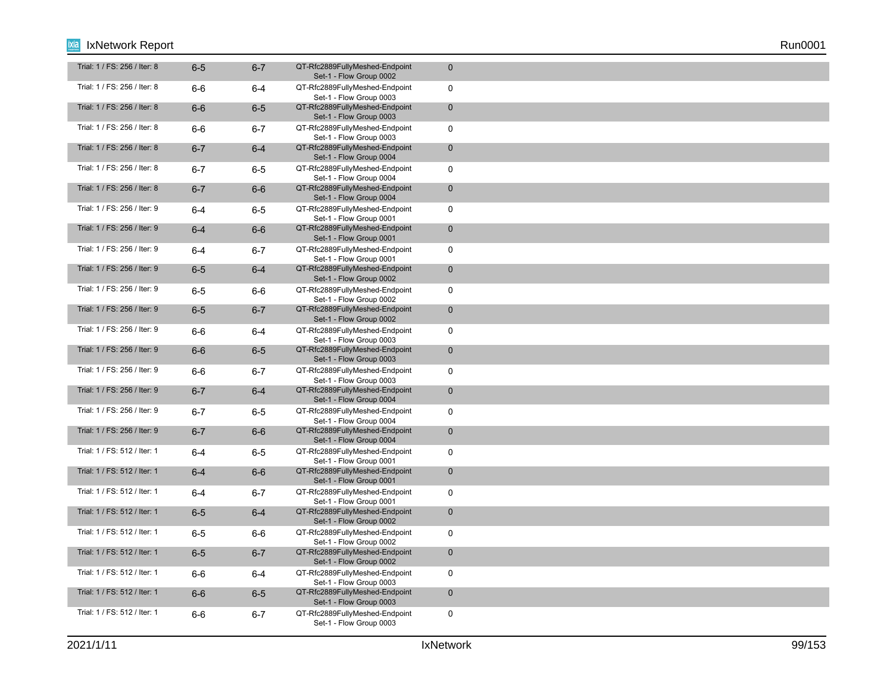| Trial: 1 / FS: 256 / Iter: 8 | $6-5$   | $6 - 7$ | QT-Rfc2889FullyMeshed-Endpoint<br>Set-1 - Flow Group 0002 | $\mathbf 0$  |
|------------------------------|---------|---------|-----------------------------------------------------------|--------------|
| Trial: 1 / FS: 256 / Iter: 8 | $6-6$   | $6-4$   | QT-Rfc2889FullyMeshed-Endpoint<br>Set-1 - Flow Group 0003 | $\mathbf 0$  |
| Trial: 1 / FS: 256 / Iter: 8 | $6-6$   | $6-5$   | QT-Rfc2889FullyMeshed-Endpoint<br>Set-1 - Flow Group 0003 | $\mathbf 0$  |
| Trial: 1 / FS: 256 / Iter: 8 | $6-6$   | $6 - 7$ | QT-Rfc2889FullyMeshed-Endpoint<br>Set-1 - Flow Group 0003 | $\mathbf 0$  |
| Trial: 1 / FS: 256 / Iter: 8 | $6 - 7$ | $6-4$   | QT-Rfc2889FullyMeshed-Endpoint<br>Set-1 - Flow Group 0004 | $\mathbf 0$  |
| Trial: 1 / FS: 256 / Iter: 8 | $6 - 7$ | $6-5$   | QT-Rfc2889FullyMeshed-Endpoint<br>Set-1 - Flow Group 0004 | $\mathbf 0$  |
| Trial: 1 / FS: 256 / Iter: 8 | $6 - 7$ | $6-6$   | QT-Rfc2889FullyMeshed-Endpoint<br>Set-1 - Flow Group 0004 | $\mathbf 0$  |
| Trial: 1 / FS: 256 / Iter: 9 | $6 - 4$ | $6-5$   | QT-Rfc2889FullyMeshed-Endpoint<br>Set-1 - Flow Group 0001 | $\mathbf 0$  |
| Trial: 1 / FS: 256 / Iter: 9 | $6-4$   | $6-6$   | QT-Rfc2889FullyMeshed-Endpoint<br>Set-1 - Flow Group 0001 | $\mathbf{0}$ |
| Trial: 1 / FS: 256 / Iter: 9 | $6 - 4$ | $6 - 7$ | QT-Rfc2889FullyMeshed-Endpoint<br>Set-1 - Flow Group 0001 | $\mathbf 0$  |
| Trial: 1 / FS: 256 / Iter: 9 | $6-5$   | $6-4$   | QT-Rfc2889FullyMeshed-Endpoint<br>Set-1 - Flow Group 0002 | $\mathbf 0$  |
| Trial: 1 / FS: 256 / Iter: 9 | $6-5$   | $6-6$   | QT-Rfc2889FullyMeshed-Endpoint<br>Set-1 - Flow Group 0002 | $\mathbf 0$  |
| Trial: 1 / FS: 256 / Iter: 9 | $6-5$   | $6 - 7$ | QT-Rfc2889FullyMeshed-Endpoint<br>Set-1 - Flow Group 0002 | $\mathbf 0$  |
| Trial: 1 / FS: 256 / Iter: 9 | 6-6     | 6-4     | QT-Rfc2889FullyMeshed-Endpoint<br>Set-1 - Flow Group 0003 | $\mathbf 0$  |
| Trial: 1 / FS: 256 / Iter: 9 | $6-6$   | $6-5$   | QT-Rfc2889FullyMeshed-Endpoint<br>Set-1 - Flow Group 0003 | $\mathbf 0$  |
| Trial: 1 / FS: 256 / Iter: 9 | $6-6$   | $6 - 7$ | QT-Rfc2889FullyMeshed-Endpoint<br>Set-1 - Flow Group 0003 | $\mathbf 0$  |
| Trial: 1 / FS: 256 / Iter: 9 | $6 - 7$ | $6-4$   | QT-Rfc2889FullyMeshed-Endpoint<br>Set-1 - Flow Group 0004 | $\mathbf{0}$ |
| Trial: 1 / FS: 256 / Iter: 9 | $6 - 7$ | $6-5$   | QT-Rfc2889FullyMeshed-Endpoint<br>Set-1 - Flow Group 0004 | $\mathbf 0$  |
| Trial: 1 / FS: 256 / Iter: 9 | $6 - 7$ | $6-6$   | QT-Rfc2889FullyMeshed-Endpoint<br>Set-1 - Flow Group 0004 | $\mathbf 0$  |
| Trial: 1 / FS: 512 / Iter: 1 | $6 - 4$ | $6-5$   | QT-Rfc2889FullyMeshed-Endpoint<br>Set-1 - Flow Group 0001 | $\mathbf 0$  |
| Trial: 1 / FS: 512 / Iter: 1 | $6-4$   | $6-6$   | QT-Rfc2889FullyMeshed-Endpoint<br>Set-1 - Flow Group 0001 | $\mathbf 0$  |
| Trial: 1 / FS: 512 / Iter: 1 | $6 - 4$ | $6 - 7$ | QT-Rfc2889FullyMeshed-Endpoint<br>Set-1 - Flow Group 0001 | $\mathbf 0$  |
| Trial: 1 / FS: 512 / Iter: 1 | $6-5$   | $6-4$   | QT-Rfc2889FullyMeshed-Endpoint<br>Set-1 - Flow Group 0002 | $\mathbf{0}$ |
| Trial: 1 / FS: 512 / Iter: 1 | $6-5$   | 6-6     | QT-Rfc2889FullyMeshed-Endpoint<br>Set-1 - Flow Group 0002 | $\mathbf 0$  |
| Trial: 1 / FS: 512 / Iter: 1 | $6-5$   | $6 - 7$ | QT-Rfc2889FullyMeshed-Endpoint<br>Set-1 - Flow Group 0002 | $\mathbf 0$  |
| Trial: 1 / FS: 512 / Iter: 1 | $6-6$   | $6-4$   | QT-Rfc2889FullyMeshed-Endpoint<br>Set-1 - Flow Group 0003 | $\mathbf 0$  |
| Trial: 1 / FS: 512 / Iter: 1 | $6-6$   | $6-5$   | QT-Rfc2889FullyMeshed-Endpoint<br>Set-1 - Flow Group 0003 | $\mathbf 0$  |
| Trial: 1 / FS: 512 / Iter: 1 | $6-6$   | $6 - 7$ | QT-Rfc2889FullyMeshed-Endpoint<br>Set-1 - Flow Group 0003 | $\mathbf 0$  |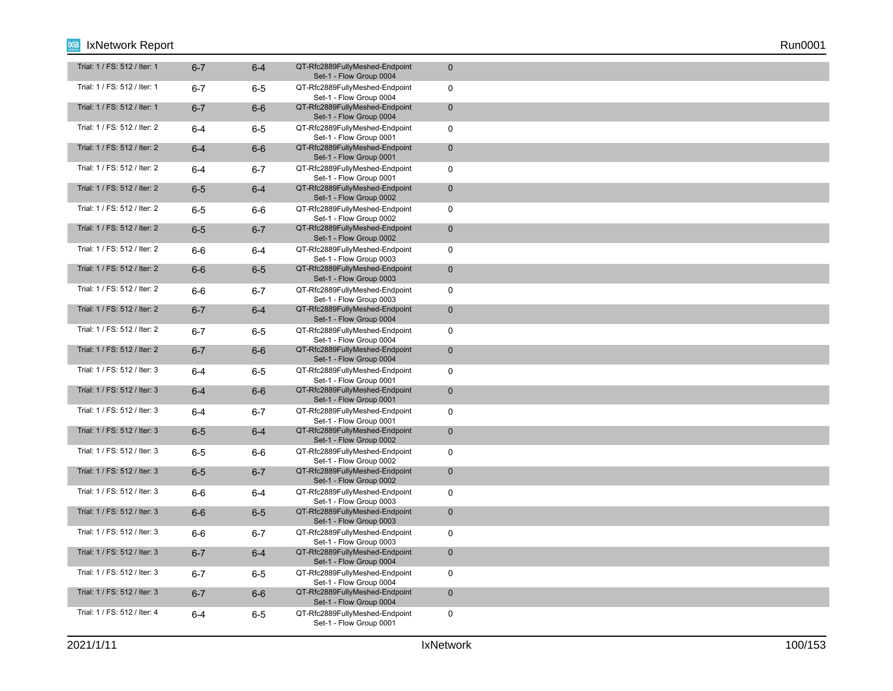| Trial: 1 / FS: 512 / Iter: 1 | $6 - 7$ | $6 - 4$ | QT-Rfc2889FullyMeshed-Endpoint<br>Set-1 - Flow Group 0004 | $\mathbf{0}$   |
|------------------------------|---------|---------|-----------------------------------------------------------|----------------|
| Trial: 1 / FS: 512 / Iter: 1 | $6 - 7$ | $6-5$   | QT-Rfc2889FullyMeshed-Endpoint<br>Set-1 - Flow Group 0004 | $\mathbf 0$    |
| Trial: 1 / FS: 512 / Iter: 1 | $6 - 7$ | $6-6$   | QT-Rfc2889FullyMeshed-Endpoint<br>Set-1 - Flow Group 0004 | $\overline{0}$ |
| Trial: 1 / FS: 512 / Iter: 2 | $6 - 4$ | $6-5$   | QT-Rfc2889FullyMeshed-Endpoint<br>Set-1 - Flow Group 0001 | $\mathbf 0$    |
| Trial: 1 / FS: 512 / Iter: 2 | $6-4$   | $6-6$   | QT-Rfc2889FullyMeshed-Endpoint<br>Set-1 - Flow Group 0001 | $\mathbf 0$    |
| Trial: 1 / FS: 512 / Iter: 2 | $6 - 4$ | $6 - 7$ | QT-Rfc2889FullyMeshed-Endpoint<br>Set-1 - Flow Group 0001 | $\mathbf 0$    |
| Trial: 1 / FS: 512 / Iter: 2 | $6-5$   | $6 - 4$ | QT-Rfc2889FullyMeshed-Endpoint<br>Set-1 - Flow Group 0002 | $\mathbf 0$    |
| Trial: 1 / FS: 512 / Iter: 2 | $6-5$   | $6-6$   | QT-Rfc2889FullyMeshed-Endpoint<br>Set-1 - Flow Group 0002 | 0              |
| Trial: 1 / FS: 512 / Iter: 2 | $6-5$   | $6 - 7$ | QT-Rfc2889FullyMeshed-Endpoint<br>Set-1 - Flow Group 0002 | $\mathbf 0$    |
| Trial: 1 / FS: 512 / Iter: 2 | $6-6$   | $6 - 4$ | QT-Rfc2889FullyMeshed-Endpoint<br>Set-1 - Flow Group 0003 | 0              |
| Trial: 1 / FS: 512 / Iter: 2 | $6-6$   | $6-5$   | QT-Rfc2889FullyMeshed-Endpoint<br>Set-1 - Flow Group 0003 | $\mathbf 0$    |
| Trial: 1 / FS: 512 / Iter: 2 | $6-6$   | $6 - 7$ | QT-Rfc2889FullyMeshed-Endpoint<br>Set-1 - Flow Group 0003 | 0              |
| Trial: 1 / FS: 512 / Iter: 2 | $6 - 7$ | $6-4$   | QT-Rfc2889FullyMeshed-Endpoint<br>Set-1 - Flow Group 0004 | $\mathbf 0$    |
| Trial: 1 / FS: 512 / Iter: 2 | $6 - 7$ | $6-5$   | QT-Rfc2889FullyMeshed-Endpoint<br>Set-1 - Flow Group 0004 | 0              |
| Trial: 1 / FS: 512 / Iter: 2 | $6 - 7$ | $6-6$   | QT-Rfc2889FullyMeshed-Endpoint<br>Set-1 - Flow Group 0004 | $\mathbf 0$    |
| Trial: 1 / FS: 512 / Iter: 3 | $6 - 4$ | $6-5$   | QT-Rfc2889FullyMeshed-Endpoint<br>Set-1 - Flow Group 0001 | $\mathbf 0$    |
| Trial: 1 / FS: 512 / Iter: 3 | $6-4$   | $6-6$   | QT-Rfc2889FullyMeshed-Endpoint<br>Set-1 - Flow Group 0001 | $\overline{0}$ |
| Trial: 1 / FS: 512 / Iter: 3 | $6 - 4$ | $6 - 7$ | QT-Rfc2889FullyMeshed-Endpoint<br>Set-1 - Flow Group 0001 | 0              |
| Trial: 1 / FS: 512 / Iter: 3 | $6-5$   | $6-4$   | QT-Rfc2889FullyMeshed-Endpoint<br>Set-1 - Flow Group 0002 | $\mathbf{0}$   |
| Trial: 1 / FS: 512 / Iter: 3 | $6-5$   | 6-6     | QT-Rfc2889FullyMeshed-Endpoint<br>Set-1 - Flow Group 0002 | $\mathbf 0$    |
| Trial: 1 / FS: 512 / Iter: 3 | $6-5$   | $6 - 7$ | QT-Rfc2889FullyMeshed-Endpoint<br>Set-1 - Flow Group 0002 | $\mathbf 0$    |
| Trial: 1 / FS: 512 / Iter: 3 | $6-6$   | $6-4$   | QT-Rfc2889FullyMeshed-Endpoint<br>Set-1 - Flow Group 0003 | 0              |
| Trial: 1 / FS: 512 / Iter: 3 | $6-6$   | $6-5$   | QT-Rfc2889FullyMeshed-Endpoint<br>Set-1 - Flow Group 0003 | $\mathbf 0$    |
| Trial: 1 / FS: 512 / Iter: 3 | $6-6$   | $6 - 7$ | QT-Rfc2889FullyMeshed-Endpoint<br>Set-1 - Flow Group 0003 | 0              |
| Trial: 1 / FS: 512 / Iter: 3 | $6 - 7$ | $6 - 4$ | QT-Rfc2889FullyMeshed-Endpoint<br>Set-1 - Flow Group 0004 | $\mathbf 0$    |
| Trial: 1 / FS: 512 / Iter: 3 | $6 - 7$ | $6-5$   | QT-Rfc2889FullyMeshed-Endpoint<br>Set-1 - Flow Group 0004 | 0              |
| Trial: 1 / FS: 512 / Iter: 3 | $6 - 7$ | $6-6$   | QT-Rfc2889FullyMeshed-Endpoint<br>Set-1 - Flow Group 0004 | $\mathbf 0$    |
| Trial: 1 / FS: 512 / Iter: 4 | $6-4$   | $6-5$   | QT-Rfc2889FullyMeshed-Endpoint<br>Set-1 - Flow Group 0001 | 0              |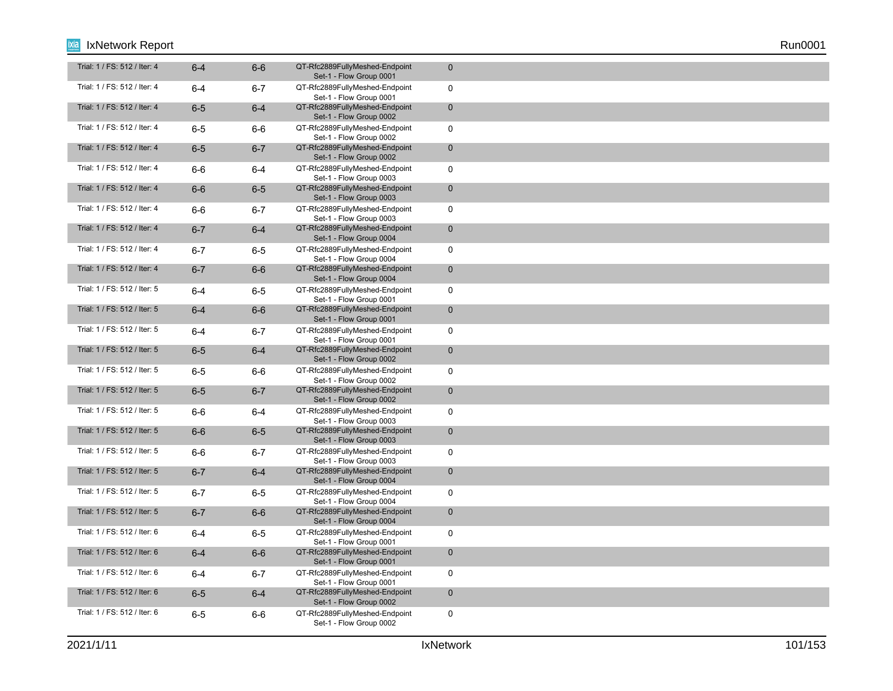| Trial: 1 / FS: 512 / Iter: 4 | $6 - 4$ | $6-6$   | QT-Rfc2889FullyMeshed-Endpoint<br>Set-1 - Flow Group 0001 | $\mathbf 0$  |
|------------------------------|---------|---------|-----------------------------------------------------------|--------------|
| Trial: 1 / FS: 512 / Iter: 4 | $6 - 4$ | $6 - 7$ | QT-Rfc2889FullyMeshed-Endpoint<br>Set-1 - Flow Group 0001 | $\mathbf 0$  |
| Trial: 1 / FS: 512 / Iter: 4 | $6-5$   | $6-4$   | QT-Rfc2889FullyMeshed-Endpoint<br>Set-1 - Flow Group 0002 | $\mathbf 0$  |
| Trial: 1 / FS: 512 / Iter: 4 | $6-5$   | $6-6$   | QT-Rfc2889FullyMeshed-Endpoint<br>Set-1 - Flow Group 0002 | $\mathbf 0$  |
| Trial: 1 / FS: 512 / Iter: 4 | $6-5$   | $6 - 7$ | QT-Rfc2889FullyMeshed-Endpoint<br>Set-1 - Flow Group 0002 | $\mathbf 0$  |
| Trial: 1 / FS: 512 / Iter: 4 | $6-6$   | 6-4     | QT-Rfc2889FullyMeshed-Endpoint<br>Set-1 - Flow Group 0003 | $\mathbf 0$  |
| Trial: 1 / FS: 512 / Iter: 4 | $6-6$   | $6-5$   | QT-Rfc2889FullyMeshed-Endpoint<br>Set-1 - Flow Group 0003 | $\mathbf 0$  |
| Trial: 1 / FS: 512 / Iter: 4 | $6-6$   | $6 - 7$ | QT-Rfc2889FullyMeshed-Endpoint<br>Set-1 - Flow Group 0003 | $\mathbf 0$  |
| Trial: 1 / FS: 512 / Iter: 4 | $6 - 7$ | $6 - 4$ | QT-Rfc2889FullyMeshed-Endpoint<br>Set-1 - Flow Group 0004 | $\mathbf 0$  |
| Trial: 1 / FS: 512 / Iter: 4 | $6 - 7$ | $6-5$   | QT-Rfc2889FullyMeshed-Endpoint<br>Set-1 - Flow Group 0004 | $\mathbf 0$  |
| Trial: 1 / FS: 512 / Iter: 4 | $6 - 7$ | $6-6$   | QT-Rfc2889FullyMeshed-Endpoint<br>Set-1 - Flow Group 0004 | $\mathbf 0$  |
| Trial: 1 / FS: 512 / Iter: 5 | $6 - 4$ | $6-5$   | QT-Rfc2889FullyMeshed-Endpoint<br>Set-1 - Flow Group 0001 | $\mathbf 0$  |
| Trial: 1 / FS: 512 / Iter: 5 | $6-4$   | $6-6$   | QT-Rfc2889FullyMeshed-Endpoint<br>Set-1 - Flow Group 0001 | $\mathbf 0$  |
| Trial: 1 / FS: 512 / Iter: 5 | 6-4     | $6 - 7$ | QT-Rfc2889FullyMeshed-Endpoint<br>Set-1 - Flow Group 0001 | $\mathbf 0$  |
| Trial: 1 / FS: 512 / Iter: 5 | $6-5$   | $6-4$   | QT-Rfc2889FullyMeshed-Endpoint<br>Set-1 - Flow Group 0002 | $\mathbf 0$  |
| Trial: 1 / FS: 512 / Iter: 5 | $6-5$   | $6-6$   | QT-Rfc2889FullyMeshed-Endpoint<br>Set-1 - Flow Group 0002 | $\mathbf 0$  |
| Trial: 1 / FS: 512 / Iter: 5 | $6-5$   | $6 - 7$ | QT-Rfc2889FullyMeshed-Endpoint<br>Set-1 - Flow Group 0002 | $\mathbf{0}$ |
| Trial: 1 / FS: 512 / Iter: 5 | $6-6$   | $6 - 4$ | QT-Rfc2889FullyMeshed-Endpoint<br>Set-1 - Flow Group 0003 | $\mathbf 0$  |
| Trial: 1 / FS: 512 / Iter: 5 | $6-6$   | $6-5$   | QT-Rfc2889FullyMeshed-Endpoint<br>Set-1 - Flow Group 0003 | $\mathbf 0$  |
| Trial: 1 / FS: 512 / Iter: 5 | $6-6$   | $6 - 7$ | QT-Rfc2889FullyMeshed-Endpoint<br>Set-1 - Flow Group 0003 | $\mathbf 0$  |
| Trial: 1 / FS: 512 / Iter: 5 | $6 - 7$ | $6-4$   | QT-Rfc2889FullyMeshed-Endpoint<br>Set-1 - Flow Group 0004 | $\mathbf 0$  |
| Trial: 1 / FS: 512 / Iter: 5 | $6 - 7$ | $6-5$   | QT-Rfc2889FullyMeshed-Endpoint<br>Set-1 - Flow Group 0004 | $\mathbf 0$  |
| Trial: 1 / FS: 512 / Iter: 5 | $6 - 7$ | $6-6$   | QT-Rfc2889FullyMeshed-Endpoint<br>Set-1 - Flow Group 0004 | $\mathbf{0}$ |
| Trial: 1 / FS: 512 / Iter: 6 | $6 - 4$ | 6-5     | QT-Rfc2889FullyMeshed-Endpoint<br>Set-1 - Flow Group 0001 | $\mathbf 0$  |
| Trial: 1 / FS: 512 / Iter: 6 | $6 - 4$ | $6-6$   | QT-Rfc2889FullyMeshed-Endpoint<br>Set-1 - Flow Group 0001 | $\mathbf 0$  |
| Trial: 1 / FS: 512 / Iter: 6 | $6-4$   | $6 - 7$ | QT-Rfc2889FullyMeshed-Endpoint<br>Set-1 - Flow Group 0001 | $\mathbf 0$  |
| Trial: 1 / FS: 512 / Iter: 6 | $6-5$   | $6-4$   | QT-Rfc2889FullyMeshed-Endpoint<br>Set-1 - Flow Group 0002 | $\mathbf 0$  |
| Trial: 1 / FS: 512 / Iter: 6 | $6-5$   | 6-6     | QT-Rfc2889FullyMeshed-Endpoint<br>Set-1 - Flow Group 0002 | $\mathbf 0$  |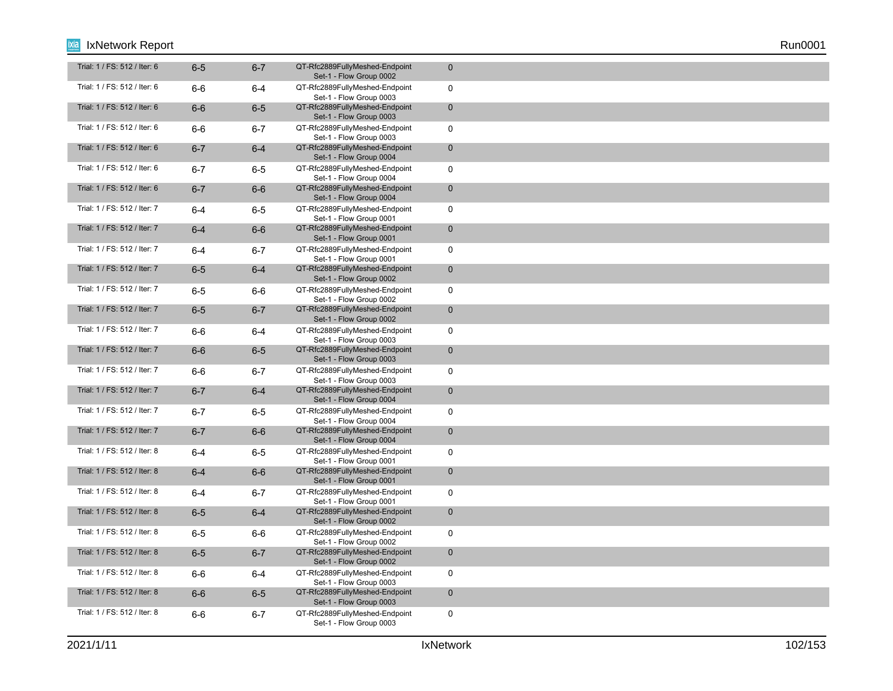| Trial: 1 / FS: 512 / Iter: 6 | $6-5$   | $6 - 7$ | QT-Rfc2889FullyMeshed-Endpoint<br>Set-1 - Flow Group 0002 | $\mathbf 0$  |
|------------------------------|---------|---------|-----------------------------------------------------------|--------------|
| Trial: 1 / FS: 512 / Iter: 6 | $6-6$   | $6-4$   | QT-Rfc2889FullyMeshed-Endpoint<br>Set-1 - Flow Group 0003 | $\mathbf 0$  |
| Trial: 1 / FS: 512 / Iter: 6 | $6-6$   | $6-5$   | QT-Rfc2889FullyMeshed-Endpoint<br>Set-1 - Flow Group 0003 | $\mathbf 0$  |
| Trial: 1 / FS: 512 / Iter: 6 | $6-6$   | $6 - 7$ | QT-Rfc2889FullyMeshed-Endpoint<br>Set-1 - Flow Group 0003 | $\mathbf 0$  |
| Trial: 1 / FS: 512 / Iter: 6 | $6 - 7$ | $6-4$   | QT-Rfc2889FullyMeshed-Endpoint<br>Set-1 - Flow Group 0004 | $\mathbf 0$  |
| Trial: 1 / FS: 512 / Iter: 6 | $6 - 7$ | $6-5$   | QT-Rfc2889FullyMeshed-Endpoint<br>Set-1 - Flow Group 0004 | $\mathbf 0$  |
| Trial: 1 / FS: 512 / Iter: 6 | $6 - 7$ | $6-6$   | QT-Rfc2889FullyMeshed-Endpoint<br>Set-1 - Flow Group 0004 | $\mathbf 0$  |
| Trial: 1 / FS: 512 / Iter: 7 | $6 - 4$ | $6-5$   | QT-Rfc2889FullyMeshed-Endpoint<br>Set-1 - Flow Group 0001 | $\mathbf 0$  |
| Trial: 1 / FS: 512 / Iter: 7 | $6-4$   | $6-6$   | QT-Rfc2889FullyMeshed-Endpoint<br>Set-1 - Flow Group 0001 | $\mathbf 0$  |
| Trial: 1 / FS: 512 / Iter: 7 | $6 - 4$ | $6 - 7$ | QT-Rfc2889FullyMeshed-Endpoint<br>Set-1 - Flow Group 0001 | $\mathbf 0$  |
| Trial: 1 / FS: 512 / Iter: 7 | $6-5$   | $6-4$   | QT-Rfc2889FullyMeshed-Endpoint<br>Set-1 - Flow Group 0002 | $\mathbf 0$  |
| Trial: 1 / FS: 512 / Iter: 7 | $6-5$   | $6-6$   | QT-Rfc2889FullyMeshed-Endpoint<br>Set-1 - Flow Group 0002 | $\mathbf 0$  |
| Trial: 1 / FS: 512 / Iter: 7 | $6-5$   | $6 - 7$ | QT-Rfc2889FullyMeshed-Endpoint<br>Set-1 - Flow Group 0002 | $\mathbf 0$  |
| Trial: 1 / FS: 512 / Iter: 7 | 6-6     | 6-4     | QT-Rfc2889FullyMeshed-Endpoint<br>Set-1 - Flow Group 0003 | $\mathbf 0$  |
| Trial: 1 / FS: 512 / Iter: 7 | $6-6$   | $6-5$   | QT-Rfc2889FullyMeshed-Endpoint<br>Set-1 - Flow Group 0003 | $\mathbf 0$  |
| Trial: 1 / FS: 512 / Iter: 7 | $6-6$   | $6 - 7$ | QT-Rfc2889FullyMeshed-Endpoint<br>Set-1 - Flow Group 0003 | $\mathbf 0$  |
| Trial: 1 / FS: 512 / Iter: 7 | $6 - 7$ | $6-4$   | QT-Rfc2889FullyMeshed-Endpoint<br>Set-1 - Flow Group 0004 | $\mathbf{0}$ |
| Trial: 1 / FS: 512 / Iter: 7 | $6 - 7$ | $6-5$   | QT-Rfc2889FullyMeshed-Endpoint<br>Set-1 - Flow Group 0004 | $\mathbf 0$  |
| Trial: 1 / FS: 512 / Iter: 7 | $6 - 7$ | $6-6$   | QT-Rfc2889FullyMeshed-Endpoint<br>Set-1 - Flow Group 0004 | $\mathbf 0$  |
| Trial: 1 / FS: 512 / Iter: 8 | $6 - 4$ | $6-5$   | QT-Rfc2889FullyMeshed-Endpoint<br>Set-1 - Flow Group 0001 | $\mathbf 0$  |
| Trial: 1 / FS: 512 / Iter: 8 | $6-4$   | $6-6$   | QT-Rfc2889FullyMeshed-Endpoint<br>Set-1 - Flow Group 0001 | $\mathbf 0$  |
| Trial: 1 / FS: 512 / Iter: 8 | $6 - 4$ | $6 - 7$ | QT-Rfc2889FullyMeshed-Endpoint<br>Set-1 - Flow Group 0001 | $\mathbf 0$  |
| Trial: 1 / FS: 512 / Iter: 8 | $6-5$   | $6-4$   | QT-Rfc2889FullyMeshed-Endpoint<br>Set-1 - Flow Group 0002 | $\mathbf{0}$ |
| Trial: 1 / FS: 512 / Iter: 8 | $6-5$   | 6-6     | QT-Rfc2889FullyMeshed-Endpoint<br>Set-1 - Flow Group 0002 | $\mathbf 0$  |
| Trial: 1 / FS: 512 / Iter: 8 | $6-5$   | $6 - 7$ | QT-Rfc2889FullyMeshed-Endpoint<br>Set-1 - Flow Group 0002 | $\mathbf 0$  |
| Trial: 1 / FS: 512 / Iter: 8 | $6-6$   | $6-4$   | QT-Rfc2889FullyMeshed-Endpoint<br>Set-1 - Flow Group 0003 | $\mathbf 0$  |
| Trial: 1 / FS: 512 / Iter: 8 | $6-6$   | $6-5$   | QT-Rfc2889FullyMeshed-Endpoint<br>Set-1 - Flow Group 0003 | $\mathbf 0$  |
| Trial: 1 / FS: 512 / Iter: 8 | $6-6$   | $6 - 7$ | QT-Rfc2889FullyMeshed-Endpoint<br>Set-1 - Flow Group 0003 | $\mathbf 0$  |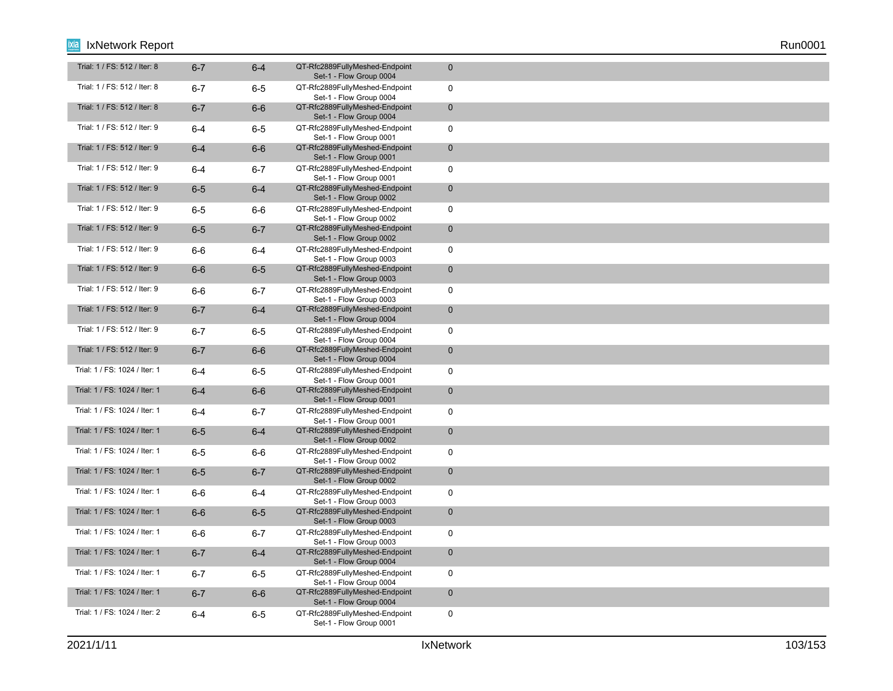| Trial: 1 / FS: 512 / Iter: 8  | $6 - 7$ | $6-4$   | QT-Rfc2889FullyMeshed-Endpoint<br>Set-1 - Flow Group 0004 | $\mathbf 0$  |
|-------------------------------|---------|---------|-----------------------------------------------------------|--------------|
| Trial: 1 / FS: 512 / Iter: 8  | $6 - 7$ | $6-5$   | QT-Rfc2889FullyMeshed-Endpoint<br>Set-1 - Flow Group 0004 | $\mathbf 0$  |
| Trial: 1 / FS: 512 / Iter: 8  | $6 - 7$ | $6-6$   | QT-Rfc2889FullyMeshed-Endpoint<br>Set-1 - Flow Group 0004 | $\mathbf 0$  |
| Trial: 1 / FS: 512 / Iter: 9  | $6 - 4$ | $6-5$   | QT-Rfc2889FullyMeshed-Endpoint<br>Set-1 - Flow Group 0001 | $\mathbf 0$  |
| Trial: 1 / FS: 512 / Iter: 9  | $6-4$   | $6-6$   | QT-Rfc2889FullyMeshed-Endpoint<br>Set-1 - Flow Group 0001 | $\mathbf 0$  |
| Trial: 1 / FS: 512 / Iter: 9  | $6-4$   | $6 - 7$ | QT-Rfc2889FullyMeshed-Endpoint<br>Set-1 - Flow Group 0001 | $\mathbf 0$  |
| Trial: 1 / FS: 512 / Iter: 9  | $6-5$   | $6-4$   | QT-Rfc2889FullyMeshed-Endpoint<br>Set-1 - Flow Group 0002 | $\mathbf 0$  |
| Trial: 1 / FS: 512 / Iter: 9  | $6-5$   | 6-6     | QT-Rfc2889FullyMeshed-Endpoint<br>Set-1 - Flow Group 0002 | $\mathbf 0$  |
| Trial: 1 / FS: 512 / Iter: 9  | $6-5$   | $6 - 7$ | QT-Rfc2889FullyMeshed-Endpoint<br>Set-1 - Flow Group 0002 | $\mathbf 0$  |
| Trial: 1 / FS: 512 / Iter: 9  | $6-6$   | 6-4     | QT-Rfc2889FullyMeshed-Endpoint<br>Set-1 - Flow Group 0003 | $\mathbf 0$  |
| Trial: 1 / FS: 512 / Iter: 9  | $6-6$   | $6-5$   | QT-Rfc2889FullyMeshed-Endpoint<br>Set-1 - Flow Group 0003 | $\mathbf 0$  |
| Trial: 1 / FS: 512 / Iter: 9  | $6-6$   | $6 - 7$ | QT-Rfc2889FullyMeshed-Endpoint<br>Set-1 - Flow Group 0003 | $\mathbf 0$  |
| Trial: 1 / FS: 512 / Iter: 9  | $6 - 7$ | $6-4$   | QT-Rfc2889FullyMeshed-Endpoint<br>Set-1 - Flow Group 0004 | $\mathbf 0$  |
| Trial: 1 / FS: 512 / Iter: 9  | $6 - 7$ | 6-5     | QT-Rfc2889FullyMeshed-Endpoint<br>Set-1 - Flow Group 0004 | $\mathbf 0$  |
| Trial: 1 / FS: 512 / Iter: 9  | $6 - 7$ | $6-6$   | QT-Rfc2889FullyMeshed-Endpoint<br>Set-1 - Flow Group 0004 | $\mathbf 0$  |
| Trial: 1 / FS: 1024 / Iter: 1 | $6 - 4$ | $6-5$   | QT-Rfc2889FullyMeshed-Endpoint<br>Set-1 - Flow Group 0001 | $\mathbf 0$  |
| Trial: 1 / FS: 1024 / Iter: 1 | $6-4$   | $6-6$   | QT-Rfc2889FullyMeshed-Endpoint<br>Set-1 - Flow Group 0001 | $\mathbf{0}$ |
| Trial: 1 / FS: 1024 / Iter: 1 | $6 - 4$ | $6 - 7$ | QT-Rfc2889FullyMeshed-Endpoint<br>Set-1 - Flow Group 0001 | $\mathbf 0$  |
| Trial: 1 / FS: 1024 / Iter: 1 | $6-5$   | $6-4$   | QT-Rfc2889FullyMeshed-Endpoint<br>Set-1 - Flow Group 0002 | $\mathbf 0$  |
| Trial: 1 / FS: 1024 / Iter: 1 | $6-5$   | $6-6$   | QT-Rfc2889FullyMeshed-Endpoint<br>Set-1 - Flow Group 0002 | $\mathbf 0$  |
| Trial: 1 / FS: 1024 / Iter: 1 | $6-5$   | $6 - 7$ | QT-Rfc2889FullyMeshed-Endpoint<br>Set-1 - Flow Group 0002 | $\mathbf 0$  |
| Trial: 1 / FS: 1024 / Iter: 1 | $6-6$   | $6 - 4$ | QT-Rfc2889FullyMeshed-Endpoint<br>Set-1 - Flow Group 0003 | $\mathbf 0$  |
| Trial: 1 / FS: 1024 / Iter: 1 | $6-6$   | $6-5$   | QT-Rfc2889FullyMeshed-Endpoint<br>Set-1 - Flow Group 0003 | $\mathbf{0}$ |
| Trial: 1 / FS: 1024 / Iter: 1 | $6-6$   | $6 - 7$ | QT-Rfc2889FullyMeshed-Endpoint<br>Set-1 - Flow Group 0003 | $\mathbf 0$  |
| Trial: 1 / FS: 1024 / Iter: 1 | $6 - 7$ | $6-4$   | QT-Rfc2889FullyMeshed-Endpoint<br>Set-1 - Flow Group 0004 | $\mathbf 0$  |
| Trial: 1 / FS: 1024 / Iter: 1 | $6 - 7$ | $6-5$   | QT-Rfc2889FullyMeshed-Endpoint<br>Set-1 - Flow Group 0004 | $\mathbf 0$  |
| Trial: 1 / FS: 1024 / Iter: 1 | $6 - 7$ | $6-6$   | QT-Rfc2889FullyMeshed-Endpoint<br>Set-1 - Flow Group 0004 | $\mathbf 0$  |
| Trial: 1 / FS: 1024 / Iter: 2 | $6 - 4$ | $6-5$   | QT-Rfc2889FullyMeshed-Endpoint<br>Set-1 - Flow Group 0001 | $\mathbf 0$  |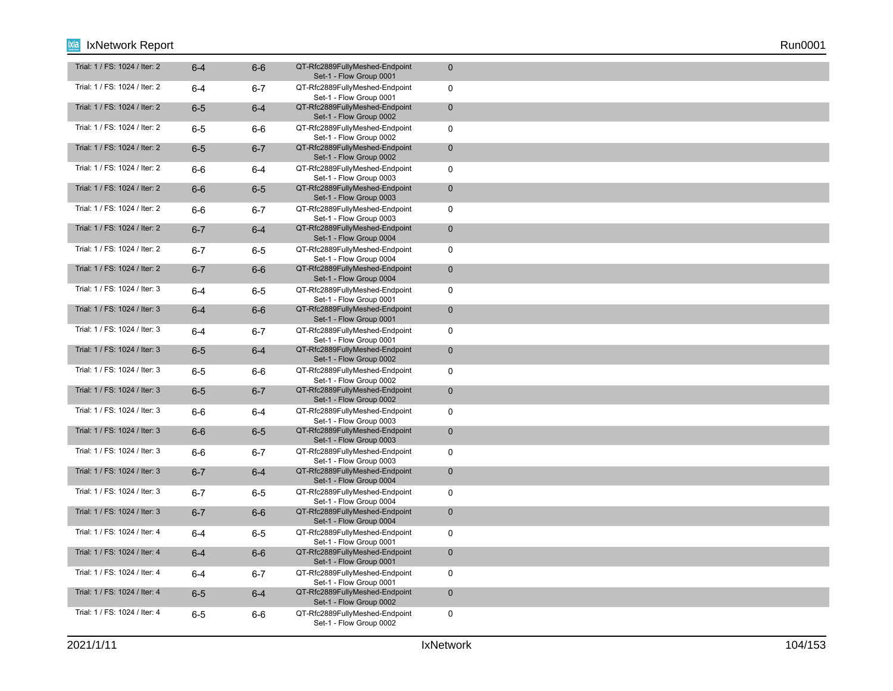| Trial: 1 / FS: 1024 / Iter: 2 | $6 - 4$ | $6-6$   | QT-Rfc2889FullyMeshed-Endpoint<br>Set-1 - Flow Group 0001 | $\mathbf 0$  |
|-------------------------------|---------|---------|-----------------------------------------------------------|--------------|
| Trial: 1 / FS: 1024 / Iter: 2 | $6 - 4$ | $6 - 7$ | QT-Rfc2889FullyMeshed-Endpoint<br>Set-1 - Flow Group 0001 | $\mathbf 0$  |
| Trial: 1 / FS: 1024 / Iter: 2 | $6-5$   | $6-4$   | QT-Rfc2889FullyMeshed-Endpoint<br>Set-1 - Flow Group 0002 | $\mathbf 0$  |
| Trial: 1 / FS: 1024 / Iter: 2 | $6-5$   | $6-6$   | QT-Rfc2889FullyMeshed-Endpoint<br>Set-1 - Flow Group 0002 | $\mathbf 0$  |
| Trial: 1 / FS: 1024 / Iter: 2 | $6-5$   | $6 - 7$ | QT-Rfc2889FullyMeshed-Endpoint<br>Set-1 - Flow Group 0002 | $\mathbf 0$  |
| Trial: 1 / FS: 1024 / Iter: 2 | $6-6$   | 6-4     | QT-Rfc2889FullyMeshed-Endpoint<br>Set-1 - Flow Group 0003 | $\mathbf 0$  |
| Trial: 1 / FS: 1024 / Iter: 2 | $6-6$   | $6-5$   | QT-Rfc2889FullyMeshed-Endpoint<br>Set-1 - Flow Group 0003 | $\mathbf 0$  |
| Trial: 1 / FS: 1024 / Iter: 2 | $6-6$   | $6 - 7$ | QT-Rfc2889FullyMeshed-Endpoint<br>Set-1 - Flow Group 0003 | $\mathbf 0$  |
| Trial: 1 / FS: 1024 / Iter: 2 | $6 - 7$ | $6 - 4$ | QT-Rfc2889FullyMeshed-Endpoint<br>Set-1 - Flow Group 0004 | $\mathbf 0$  |
| Trial: 1 / FS: 1024 / Iter: 2 | $6 - 7$ | $6-5$   | QT-Rfc2889FullyMeshed-Endpoint<br>Set-1 - Flow Group 0004 | $\mathbf 0$  |
| Trial: 1 / FS: 1024 / Iter: 2 | $6 - 7$ | $6-6$   | QT-Rfc2889FullyMeshed-Endpoint<br>Set-1 - Flow Group 0004 | $\mathbf 0$  |
| Trial: 1 / FS: 1024 / Iter: 3 | $6 - 4$ | $6-5$   | QT-Rfc2889FullyMeshed-Endpoint<br>Set-1 - Flow Group 0001 | $\mathbf 0$  |
| Trial: 1 / FS: 1024 / Iter: 3 | $6-4$   | $6-6$   | QT-Rfc2889FullyMeshed-Endpoint<br>Set-1 - Flow Group 0001 | $\mathbf 0$  |
| Trial: 1 / FS: 1024 / Iter: 3 | $6-4$   | $6 - 7$ | QT-Rfc2889FullyMeshed-Endpoint<br>Set-1 - Flow Group 0001 | $\mathbf 0$  |
| Trial: 1 / FS: 1024 / Iter: 3 | $6-5$   | $6-4$   | QT-Rfc2889FullyMeshed-Endpoint<br>Set-1 - Flow Group 0002 | $\mathbf 0$  |
| Trial: 1 / FS: 1024 / Iter: 3 | $6-5$   | $6-6$   | QT-Rfc2889FullyMeshed-Endpoint<br>Set-1 - Flow Group 0002 | $\mathbf 0$  |
| Trial: 1 / FS: 1024 / Iter: 3 | $6-5$   | $6 - 7$ | QT-Rfc2889FullyMeshed-Endpoint<br>Set-1 - Flow Group 0002 | $\mathbf{0}$ |
| Trial: 1 / FS: 1024 / Iter: 3 | $6-6$   | $6 - 4$ | QT-Rfc2889FullyMeshed-Endpoint<br>Set-1 - Flow Group 0003 | $\mathbf 0$  |
| Trial: 1 / FS: 1024 / Iter: 3 | $6-6$   | $6-5$   | QT-Rfc2889FullyMeshed-Endpoint<br>Set-1 - Flow Group 0003 | $\mathbf 0$  |
| Trial: 1 / FS: 1024 / Iter: 3 | $6-6$   | $6 - 7$ | QT-Rfc2889FullyMeshed-Endpoint<br>Set-1 - Flow Group 0003 | $\mathbf 0$  |
| Trial: 1 / FS: 1024 / Iter: 3 | $6 - 7$ | $6-4$   | QT-Rfc2889FullyMeshed-Endpoint<br>Set-1 - Flow Group 0004 | $\mathbf 0$  |
| Trial: 1 / FS: 1024 / Iter: 3 | $6 - 7$ | $6-5$   | QT-Rfc2889FullyMeshed-Endpoint<br>Set-1 - Flow Group 0004 | $\mathbf 0$  |
| Trial: 1 / FS: 1024 / Iter: 3 | $6 - 7$ | $6-6$   | QT-Rfc2889FullyMeshed-Endpoint<br>Set-1 - Flow Group 0004 | $\mathbf{0}$ |
| Trial: 1 / FS: 1024 / Iter: 4 | $6 - 4$ | $6-5$   | QT-Rfc2889FullyMeshed-Endpoint<br>Set-1 - Flow Group 0001 | $\mathbf 0$  |
| Trial: 1 / FS: 1024 / Iter: 4 | $6 - 4$ | $6-6$   | QT-Rfc2889FullyMeshed-Endpoint<br>Set-1 - Flow Group 0001 | $\mathbf 0$  |
| Trial: 1 / FS: 1024 / Iter: 4 | $6-4$   | $6 - 7$ | QT-Rfc2889FullyMeshed-Endpoint<br>Set-1 - Flow Group 0001 | $\mathbf 0$  |
| Trial: 1 / FS: 1024 / Iter: 4 | $6-5$   | $6-4$   | QT-Rfc2889FullyMeshed-Endpoint<br>Set-1 - Flow Group 0002 | $\mathbf 0$  |
| Trial: 1 / FS: 1024 / Iter: 4 | $6-5$   | 6-6     | QT-Rfc2889FullyMeshed-Endpoint<br>Set-1 - Flow Group 0002 | $\mathbf 0$  |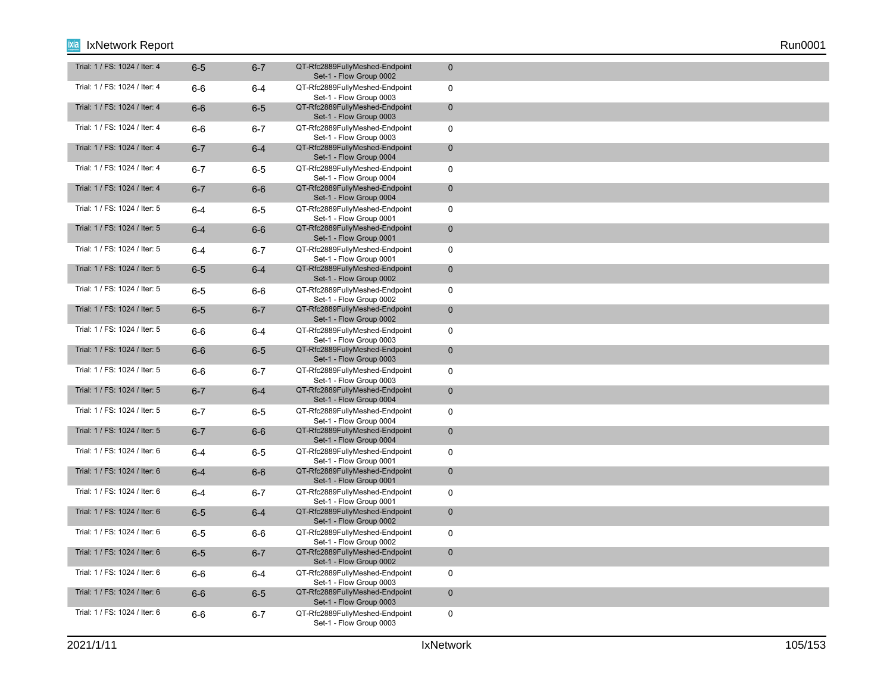| Trial: 1 / FS: 1024 / Iter: 4 | $6-5$   | $6 - 7$ | QT-Rfc2889FullyMeshed-Endpoint<br>Set-1 - Flow Group 0002 | $\mathbf{0}$   |
|-------------------------------|---------|---------|-----------------------------------------------------------|----------------|
| Trial: 1 / FS: 1024 / Iter: 4 | $6-6$   | $6 - 4$ | QT-Rfc2889FullyMeshed-Endpoint<br>Set-1 - Flow Group 0003 | $\mathbf 0$    |
| Trial: 1 / FS: 1024 / Iter: 4 | $6-6$   | $6-5$   | QT-Rfc2889FullyMeshed-Endpoint<br>Set-1 - Flow Group 0003 | $\overline{0}$ |
| Trial: 1 / FS: 1024 / Iter: 4 | $6-6$   | $6 - 7$ | QT-Rfc2889FullyMeshed-Endpoint<br>Set-1 - Flow Group 0003 | $\mathbf 0$    |
| Trial: 1 / FS: 1024 / Iter: 4 | $6 - 7$ | $6-4$   | QT-Rfc2889FullyMeshed-Endpoint<br>Set-1 - Flow Group 0004 | $\mathbf{0}$   |
| Trial: 1 / FS: 1024 / Iter: 4 | $6 - 7$ | $6-5$   | QT-Rfc2889FullyMeshed-Endpoint<br>Set-1 - Flow Group 0004 | $\mathbf 0$    |
| Trial: 1 / FS: 1024 / Iter: 4 | $6 - 7$ | $6-6$   | QT-Rfc2889FullyMeshed-Endpoint<br>Set-1 - Flow Group 0004 | $\mathbf{0}$   |
| Trial: 1 / FS: 1024 / Iter: 5 | $6 - 4$ | $6-5$   | QT-Rfc2889FullyMeshed-Endpoint<br>Set-1 - Flow Group 0001 | $\mathbf 0$    |
| Trial: 1 / FS: 1024 / Iter: 5 | $6-4$   | $6-6$   | QT-Rfc2889FullyMeshed-Endpoint<br>Set-1 - Flow Group 0001 | $\mathbf{0}$   |
| Trial: 1 / FS: 1024 / Iter: 5 | $6 - 4$ | $6 - 7$ | QT-Rfc2889FullyMeshed-Endpoint<br>Set-1 - Flow Group 0001 | $\mathbf 0$    |
| Trial: 1 / FS: 1024 / Iter: 5 | $6-5$   | $6-4$   | QT-Rfc2889FullyMeshed-Endpoint<br>Set-1 - Flow Group 0002 | $\mathbf{0}$   |
| Trial: 1 / FS: 1024 / Iter: 5 | $6-5$   | $6-6$   | QT-Rfc2889FullyMeshed-Endpoint<br>Set-1 - Flow Group 0002 | $\mathbf 0$    |
| Trial: 1 / FS: 1024 / Iter: 5 | $6-5$   | $6 - 7$ | QT-Rfc2889FullyMeshed-Endpoint<br>Set-1 - Flow Group 0002 | $\pmb{0}$      |
| Trial: 1 / FS: 1024 / Iter: 5 | $6-6$   | $6 - 4$ | QT-Rfc2889FullyMeshed-Endpoint<br>Set-1 - Flow Group 0003 | $\mathbf 0$    |
| Trial: 1 / FS: 1024 / Iter: 5 | $6-6$   | $6-5$   | QT-Rfc2889FullyMeshed-Endpoint<br>Set-1 - Flow Group 0003 | $\mathbf 0$    |
| Trial: 1 / FS: 1024 / Iter: 5 | 6-6     | 6-7     | QT-Rfc2889FullyMeshed-Endpoint<br>Set-1 - Flow Group 0003 | $\mathbf 0$    |
| Trial: 1 / FS: 1024 / Iter: 5 | $6 - 7$ | $6-4$   | QT-Rfc2889FullyMeshed-Endpoint<br>Set-1 - Flow Group 0004 | $\mathbf 0$    |
| Trial: 1 / FS: 1024 / Iter: 5 | $6 - 7$ | $6-5$   | QT-Rfc2889FullyMeshed-Endpoint<br>Set-1 - Flow Group 0004 | $\pmb{0}$      |
| Trial: 1 / FS: 1024 / Iter: 5 | $6 - 7$ | $6-6$   | QT-Rfc2889FullyMeshed-Endpoint<br>Set-1 - Flow Group 0004 | $\mathbf 0$    |
| Trial: 1 / FS: 1024 / Iter: 6 | $6-4$   | $6-5$   | QT-Rfc2889FullyMeshed-Endpoint<br>Set-1 - Flow Group 0001 | $\mathbf 0$    |
| Trial: 1 / FS: 1024 / Iter: 6 | $6 - 4$ | $6-6$   | QT-Rfc2889FullyMeshed-Endpoint<br>Set-1 - Flow Group 0001 | $\mathbf 0$    |
| Trial: 1 / FS: 1024 / Iter: 6 | $6-4$   | $6 - 7$ | QT-Rfc2889FullyMeshed-Endpoint<br>Set-1 - Flow Group 0001 | 0              |
| Trial: 1 / FS: 1024 / Iter: 6 | $6-5$   | $6-4$   | QT-Rfc2889FullyMeshed-Endpoint<br>Set-1 - Flow Group 0002 | $\mathbf 0$    |
| Trial: 1 / FS: 1024 / Iter: 6 | $6-5$   | $6-6$   | QT-Rfc2889FullyMeshed-Endpoint<br>Set-1 - Flow Group 0002 | 0              |
| Trial: 1 / FS: 1024 / Iter: 6 | $6-5$   | $6 - 7$ | QT-Rfc2889FullyMeshed-Endpoint<br>Set-1 - Flow Group 0002 | $\mathbf 0$    |
| Trial: 1 / FS: 1024 / Iter: 6 | 6-6     | $6 - 4$ | QT-Rfc2889FullyMeshed-Endpoint<br>Set-1 - Flow Group 0003 | 0              |
| Trial: 1 / FS: 1024 / Iter: 6 | $6-6$   | $6-5$   | QT-Rfc2889FullyMeshed-Endpoint<br>Set-1 - Flow Group 0003 | $\mathbf 0$    |
| Trial: 1 / FS: 1024 / Iter: 6 | 6-6     | $6 - 7$ | QT-Rfc2889FullyMeshed-Endpoint<br>Set-1 - Flow Group 0003 | 0              |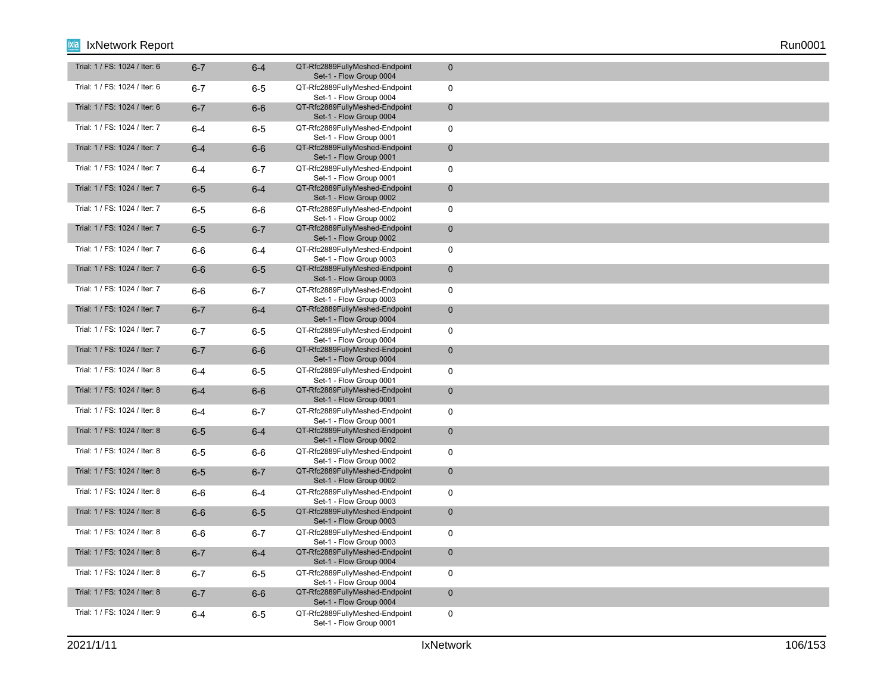| Trial: 1 / FS: 1024 / Iter: 6 | $6 - 7$ | $6 - 4$ | QT-Rfc2889FullyMeshed-Endpoint<br>Set-1 - Flow Group 0004 | $\mathbf{0}$ |
|-------------------------------|---------|---------|-----------------------------------------------------------|--------------|
| Trial: 1 / FS: 1024 / Iter: 6 | $6 - 7$ | $6-5$   | QT-Rfc2889FullyMeshed-Endpoint<br>Set-1 - Flow Group 0004 | $\mathbf 0$  |
| Trial: 1 / FS: 1024 / Iter: 6 | $6 - 7$ | $6-6$   | QT-Rfc2889FullyMeshed-Endpoint<br>Set-1 - Flow Group 0004 | $\mathbf 0$  |
| Trial: 1 / FS: 1024 / Iter: 7 | $6 - 4$ | $6-5$   | QT-Rfc2889FullyMeshed-Endpoint<br>Set-1 - Flow Group 0001 | $\mathbf 0$  |
| Trial: 1 / FS: 1024 / Iter: 7 | $6 - 4$ | $6-6$   | QT-Rfc2889FullyMeshed-Endpoint<br>Set-1 - Flow Group 0001 | $\mathbf{0}$ |
| Trial: 1 / FS: 1024 / Iter: 7 | $6 - 4$ | $6 - 7$ | QT-Rfc2889FullyMeshed-Endpoint<br>Set-1 - Flow Group 0001 | $\mathbf 0$  |
| Trial: 1 / FS: 1024 / Iter: 7 | $6-5$   | $6-4$   | QT-Rfc2889FullyMeshed-Endpoint<br>Set-1 - Flow Group 0002 | $\mathbf{0}$ |
| Trial: 1 / FS: 1024 / Iter: 7 | $6-5$   | $6-6$   | QT-Rfc2889FullyMeshed-Endpoint<br>Set-1 - Flow Group 0002 | $\mathbf 0$  |
| Trial: 1 / FS: 1024 / Iter: 7 | $6-5$   | $6 - 7$ | QT-Rfc2889FullyMeshed-Endpoint<br>Set-1 - Flow Group 0002 | $\mathbf{0}$ |
| Trial: 1 / FS: 1024 / Iter: 7 | $6-6$   | $6 - 4$ | QT-Rfc2889FullyMeshed-Endpoint<br>Set-1 - Flow Group 0003 | $\mathbf 0$  |
| Trial: 1 / FS: 1024 / Iter: 7 | $6-6$   | $6-5$   | QT-Rfc2889FullyMeshed-Endpoint<br>Set-1 - Flow Group 0003 | $\mathbf{0}$ |
| Trial: 1 / FS: 1024 / Iter: 7 | $6-6$   | $6 - 7$ | QT-Rfc2889FullyMeshed-Endpoint<br>Set-1 - Flow Group 0003 | $\mathbf 0$  |
| Trial: 1 / FS: 1024 / Iter: 7 | $6 - 7$ | $6-4$   | QT-Rfc2889FullyMeshed-Endpoint<br>Set-1 - Flow Group 0004 | $\pmb{0}$    |
| Trial: 1 / FS: 1024 / Iter: 7 | $6 - 7$ | $6-5$   | QT-Rfc2889FullyMeshed-Endpoint<br>Set-1 - Flow Group 0004 | $\mathbf 0$  |
| Trial: 1 / FS: 1024 / Iter: 7 | $6 - 7$ | $6-6$   | QT-Rfc2889FullyMeshed-Endpoint<br>Set-1 - Flow Group 0004 | $\mathbf 0$  |
| Trial: 1 / FS: 1024 / Iter: 8 | $6 - 4$ | $6-5$   | QT-Rfc2889FullyMeshed-Endpoint<br>Set-1 - Flow Group 0001 | $\mathbf 0$  |
| Trial: 1 / FS: 1024 / Iter: 8 | $6-4$   | $6-6$   | QT-Rfc2889FullyMeshed-Endpoint<br>Set-1 - Flow Group 0001 | $\mathbf 0$  |
| Trial: 1 / FS: 1024 / Iter: 8 | $6 - 4$ | $6 - 7$ | QT-Rfc2889FullyMeshed-Endpoint<br>Set-1 - Flow Group 0001 | $\pmb{0}$    |
| Trial: 1 / FS: 1024 / Iter: 8 | $6-5$   | $6-4$   | QT-Rfc2889FullyMeshed-Endpoint<br>Set-1 - Flow Group 0002 | $\mathbf 0$  |
| Trial: 1 / FS: 1024 / Iter: 8 | $6-5$   | 6-6     | QT-Rfc2889FullyMeshed-Endpoint<br>Set-1 - Flow Group 0002 | $\mathbf 0$  |
| Trial: 1 / FS: 1024 / Iter: 8 | $6-5$   | $6 - 7$ | QT-Rfc2889FullyMeshed-Endpoint<br>Set-1 - Flow Group 0002 | $\mathbf 0$  |
| Trial: 1 / FS: 1024 / Iter: 8 | 6-6     | $6-4$   | QT-Rfc2889FullyMeshed-Endpoint<br>Set-1 - Flow Group 0003 | 0            |
| Trial: 1 / FS: 1024 / Iter: 8 | $6-6$   | $6-5$   | QT-Rfc2889FullyMeshed-Endpoint<br>Set-1 - Flow Group 0003 | $\mathbf 0$  |
| Trial: 1 / FS: 1024 / Iter: 8 | $6-6$   | $6 - 7$ | QT-Rfc2889FullyMeshed-Endpoint<br>Set-1 - Flow Group 0003 | 0            |
| Trial: 1 / FS: 1024 / Iter: 8 | $6 - 7$ | $6-4$   | QT-Rfc2889FullyMeshed-Endpoint<br>Set-1 - Flow Group 0004 | $\mathbf 0$  |
| Trial: 1 / FS: 1024 / Iter: 8 | $6 - 7$ | $6-5$   | QT-Rfc2889FullyMeshed-Endpoint<br>Set-1 - Flow Group 0004 | 0            |
| Trial: 1 / FS: 1024 / Iter: 8 | $6 - 7$ | $6-6$   | QT-Rfc2889FullyMeshed-Endpoint<br>Set-1 - Flow Group 0004 | $\mathbf 0$  |
| Trial: 1 / FS: 1024 / Iter: 9 | $6 - 4$ | $6-5$   | QT-Rfc2889FullyMeshed-Endpoint<br>Set-1 - Flow Group 0001 | 0            |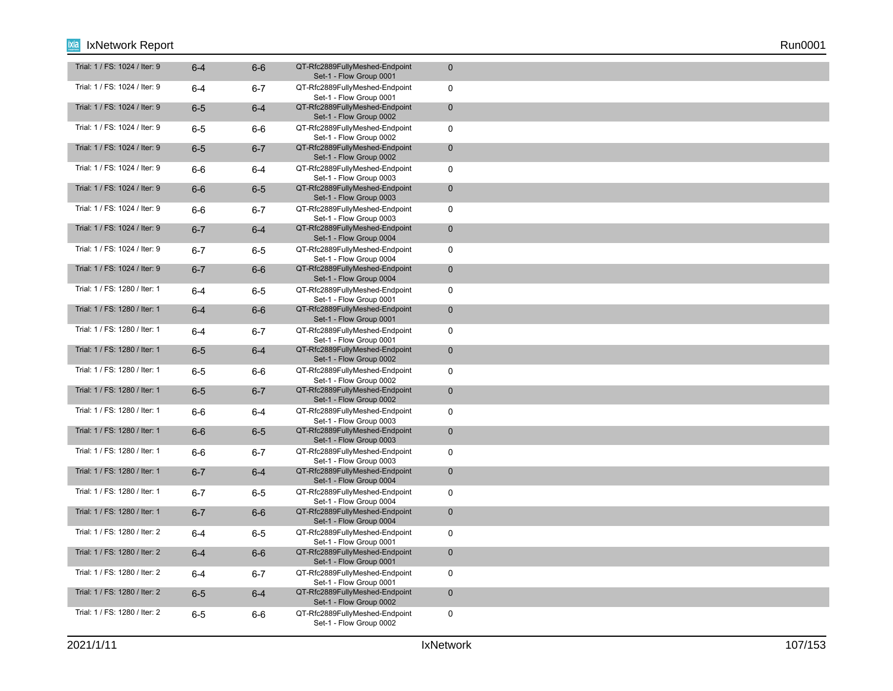| Trial: 1 / FS: 1024 / Iter: 9 | $6 - 4$ | $6-6$   | QT-Rfc2889FullyMeshed-Endpoint<br>Set-1 - Flow Group 0001 | $\mathbf 0$  |
|-------------------------------|---------|---------|-----------------------------------------------------------|--------------|
| Trial: 1 / FS: 1024 / Iter: 9 | $6 - 4$ | $6 - 7$ | QT-Rfc2889FullyMeshed-Endpoint<br>Set-1 - Flow Group 0001 | $\mathbf 0$  |
| Trial: 1 / FS: 1024 / Iter: 9 | $6-5$   | $6-4$   | QT-Rfc2889FullyMeshed-Endpoint<br>Set-1 - Flow Group 0002 | $\mathbf 0$  |
| Trial: 1 / FS: 1024 / Iter: 9 | $6-5$   | $6-6$   | QT-Rfc2889FullyMeshed-Endpoint<br>Set-1 - Flow Group 0002 | $\mathbf 0$  |
| Trial: 1 / FS: 1024 / Iter: 9 | $6-5$   | $6 - 7$ | QT-Rfc2889FullyMeshed-Endpoint<br>Set-1 - Flow Group 0002 | $\mathbf 0$  |
| Trial: 1 / FS: 1024 / Iter: 9 | $6-6$   | 6-4     | QT-Rfc2889FullyMeshed-Endpoint<br>Set-1 - Flow Group 0003 | $\mathbf 0$  |
| Trial: 1 / FS: 1024 / Iter: 9 | $6-6$   | $6-5$   | QT-Rfc2889FullyMeshed-Endpoint<br>Set-1 - Flow Group 0003 | $\mathbf 0$  |
| Trial: 1 / FS: 1024 / Iter: 9 | $6-6$   | $6 - 7$ | QT-Rfc2889FullyMeshed-Endpoint<br>Set-1 - Flow Group 0003 | $\mathbf 0$  |
| Trial: 1 / FS: 1024 / Iter: 9 | $6 - 7$ | $6 - 4$ | QT-Rfc2889FullyMeshed-Endpoint<br>Set-1 - Flow Group 0004 | $\mathbf 0$  |
| Trial: 1 / FS: 1024 / Iter: 9 | $6 - 7$ | $6-5$   | QT-Rfc2889FullyMeshed-Endpoint<br>Set-1 - Flow Group 0004 | $\mathbf 0$  |
| Trial: 1 / FS: 1024 / Iter: 9 | $6 - 7$ | $6-6$   | QT-Rfc2889FullyMeshed-Endpoint<br>Set-1 - Flow Group 0004 | $\mathbf 0$  |
| Trial: 1 / FS: 1280 / Iter: 1 | $6 - 4$ | $6-5$   | QT-Rfc2889FullyMeshed-Endpoint<br>Set-1 - Flow Group 0001 | $\mathbf 0$  |
| Trial: 1 / FS: 1280 / Iter: 1 | $6-4$   | $6-6$   | QT-Rfc2889FullyMeshed-Endpoint<br>Set-1 - Flow Group 0001 | $\mathbf 0$  |
| Trial: 1 / FS: 1280 / Iter: 1 | $6-4$   | $6 - 7$ | QT-Rfc2889FullyMeshed-Endpoint<br>Set-1 - Flow Group 0001 | $\mathbf 0$  |
| Trial: 1 / FS: 1280 / Iter: 1 | $6-5$   | $6-4$   | QT-Rfc2889FullyMeshed-Endpoint<br>Set-1 - Flow Group 0002 | $\mathbf 0$  |
| Trial: 1 / FS: 1280 / Iter: 1 | $6-5$   | $6-6$   | QT-Rfc2889FullyMeshed-Endpoint<br>Set-1 - Flow Group 0002 | $\mathbf 0$  |
| Trial: 1 / FS: 1280 / Iter: 1 | $6-5$   | $6 - 7$ | QT-Rfc2889FullyMeshed-Endpoint<br>Set-1 - Flow Group 0002 | $\mathbf{0}$ |
| Trial: 1 / FS: 1280 / Iter: 1 | $6-6$   | $6 - 4$ | QT-Rfc2889FullyMeshed-Endpoint<br>Set-1 - Flow Group 0003 | $\mathbf 0$  |
| Trial: 1 / FS: 1280 / Iter: 1 | $6-6$   | $6-5$   | QT-Rfc2889FullyMeshed-Endpoint<br>Set-1 - Flow Group 0003 | $\mathbf 0$  |
| Trial: 1 / FS: 1280 / Iter: 1 | $6-6$   | $6 - 7$ | QT-Rfc2889FullyMeshed-Endpoint<br>Set-1 - Flow Group 0003 | $\mathbf 0$  |
| Trial: 1 / FS: 1280 / Iter: 1 | $6 - 7$ | $6-4$   | QT-Rfc2889FullyMeshed-Endpoint<br>Set-1 - Flow Group 0004 | $\mathbf 0$  |
| Trial: 1 / FS: 1280 / Iter: 1 | $6 - 7$ | $6-5$   | QT-Rfc2889FullyMeshed-Endpoint<br>Set-1 - Flow Group 0004 | $\mathbf 0$  |
| Trial: 1 / FS: 1280 / Iter: 1 | $6 - 7$ | $6-6$   | QT-Rfc2889FullyMeshed-Endpoint<br>Set-1 - Flow Group 0004 | $\mathbf{0}$ |
| Trial: 1 / FS: 1280 / Iter: 2 | $6 - 4$ | $6-5$   | QT-Rfc2889FullyMeshed-Endpoint<br>Set-1 - Flow Group 0001 | $\mathbf 0$  |
| Trial: 1 / FS: 1280 / Iter: 2 | $6-4$   | $6-6$   | QT-Rfc2889FullyMeshed-Endpoint<br>Set-1 - Flow Group 0001 | $\mathbf 0$  |
| Trial: 1 / FS: 1280 / Iter: 2 | $6 - 4$ | $6 - 7$ | QT-Rfc2889FullyMeshed-Endpoint<br>Set-1 - Flow Group 0001 | $\mathbf 0$  |
| Trial: 1 / FS: 1280 / Iter: 2 | $6-5$   | $6-4$   | QT-Rfc2889FullyMeshed-Endpoint<br>Set-1 - Flow Group 0002 | $\mathbf 0$  |
| Trial: 1 / FS: 1280 / Iter: 2 | $6-5$   | 6-6     | QT-Rfc2889FullyMeshed-Endpoint<br>Set-1 - Flow Group 0002 | $\mathbf 0$  |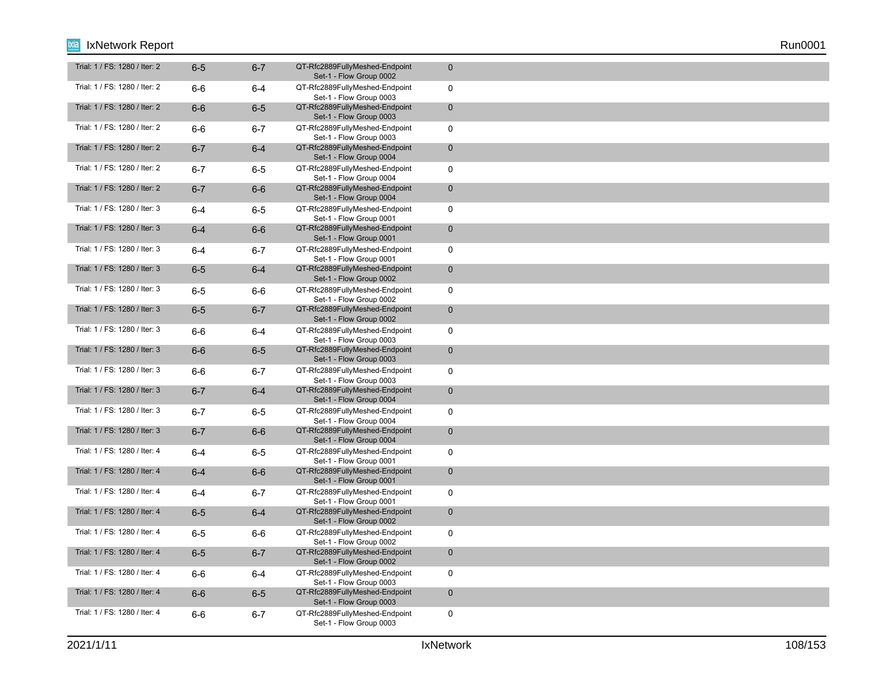| Trial: 1 / FS: 1280 / Iter: 2 | $6-5$   | $6 - 7$ | QT-Rfc2889FullyMeshed-Endpoint<br>Set-1 - Flow Group 0002 | $\mathbf 0$  |
|-------------------------------|---------|---------|-----------------------------------------------------------|--------------|
| Trial: 1 / FS: 1280 / Iter: 2 | $6-6$   | $6-4$   | QT-Rfc2889FullyMeshed-Endpoint<br>Set-1 - Flow Group 0003 | $\mathbf 0$  |
| Trial: 1 / FS: 1280 / Iter: 2 | $6-6$   | $6-5$   | QT-Rfc2889FullyMeshed-Endpoint<br>Set-1 - Flow Group 0003 | $\mathbf 0$  |
| Trial: 1 / FS: 1280 / Iter: 2 | $6-6$   | $6 - 7$ | QT-Rfc2889FullyMeshed-Endpoint<br>Set-1 - Flow Group 0003 | $\mathbf 0$  |
| Trial: 1 / FS: 1280 / Iter: 2 | $6 - 7$ | $6-4$   | QT-Rfc2889FullyMeshed-Endpoint<br>Set-1 - Flow Group 0004 | $\mathbf 0$  |
| Trial: 1 / FS: 1280 / Iter: 2 | $6 - 7$ | $6-5$   | QT-Rfc2889FullyMeshed-Endpoint<br>Set-1 - Flow Group 0004 | $\mathbf 0$  |
| Trial: 1 / FS: 1280 / Iter: 2 | $6 - 7$ | $6-6$   | QT-Rfc2889FullyMeshed-Endpoint<br>Set-1 - Flow Group 0004 | $\mathbf 0$  |
| Trial: 1 / FS: 1280 / Iter: 3 | $6 - 4$ | $6-5$   | QT-Rfc2889FullyMeshed-Endpoint<br>Set-1 - Flow Group 0001 | $\mathbf 0$  |
| Trial: 1 / FS: 1280 / Iter: 3 | $6-4$   | $6-6$   | QT-Rfc2889FullyMeshed-Endpoint<br>Set-1 - Flow Group 0001 | $\mathbf 0$  |
| Trial: 1 / FS: 1280 / Iter: 3 | $6 - 4$ | $6 - 7$ | QT-Rfc2889FullyMeshed-Endpoint<br>Set-1 - Flow Group 0001 | $\mathbf 0$  |
| Trial: 1 / FS: 1280 / Iter: 3 | $6-5$   | $6-4$   | QT-Rfc2889FullyMeshed-Endpoint<br>Set-1 - Flow Group 0002 | $\mathbf 0$  |
| Trial: 1 / FS: 1280 / Iter: 3 | $6-5$   | $6-6$   | QT-Rfc2889FullyMeshed-Endpoint<br>Set-1 - Flow Group 0002 | $\mathbf 0$  |
| Trial: 1 / FS: 1280 / Iter: 3 | $6-5$   | $6 - 7$ | QT-Rfc2889FullyMeshed-Endpoint<br>Set-1 - Flow Group 0002 | $\mathbf 0$  |
| Trial: 1 / FS: 1280 / Iter: 3 | 6-6     | $6-4$   | QT-Rfc2889FullyMeshed-Endpoint<br>Set-1 - Flow Group 0003 | $\mathbf 0$  |
| Trial: 1 / FS: 1280 / Iter: 3 | $6-6$   | $6-5$   | QT-Rfc2889FullyMeshed-Endpoint<br>Set-1 - Flow Group 0003 | $\mathbf 0$  |
| Trial: 1 / FS: 1280 / Iter: 3 | $6-6$   | $6 - 7$ | QT-Rfc2889FullyMeshed-Endpoint<br>Set-1 - Flow Group 0003 | $\mathbf 0$  |
| Trial: 1 / FS: 1280 / Iter: 3 | $6 - 7$ | $6-4$   | QT-Rfc2889FullyMeshed-Endpoint<br>Set-1 - Flow Group 0004 | $\mathbf{0}$ |
| Trial: 1 / FS: 1280 / Iter: 3 | $6 - 7$ | $6-5$   | QT-Rfc2889FullyMeshed-Endpoint<br>Set-1 - Flow Group 0004 | $\mathbf 0$  |
| Trial: 1 / FS: 1280 / Iter: 3 | $6 - 7$ | $6-6$   | QT-Rfc2889FullyMeshed-Endpoint<br>Set-1 - Flow Group 0004 | $\mathbf 0$  |
| Trial: 1 / FS: 1280 / Iter: 4 | $6 - 4$ | $6-5$   | QT-Rfc2889FullyMeshed-Endpoint<br>Set-1 - Flow Group 0001 | $\mathbf 0$  |
| Trial: 1 / FS: 1280 / Iter: 4 | $6-4$   | $6-6$   | QT-Rfc2889FullyMeshed-Endpoint<br>Set-1 - Flow Group 0001 | $\mathbf 0$  |
| Trial: 1 / FS: 1280 / Iter: 4 | $6 - 4$ | $6 - 7$ | QT-Rfc2889FullyMeshed-Endpoint<br>Set-1 - Flow Group 0001 | $\mathbf 0$  |
| Trial: 1 / FS: 1280 / Iter: 4 | $6-5$   | $6-4$   | QT-Rfc2889FullyMeshed-Endpoint<br>Set-1 - Flow Group 0002 | $\mathbf{0}$ |
| Trial: 1 / FS: 1280 / Iter: 4 | $6-5$   | $6-6$   | QT-Rfc2889FullyMeshed-Endpoint<br>Set-1 - Flow Group 0002 | $\mathbf 0$  |
| Trial: 1 / FS: 1280 / Iter: 4 | $6-5$   | $6 - 7$ | QT-Rfc2889FullyMeshed-Endpoint<br>Set-1 - Flow Group 0002 | $\mathbf 0$  |
| Trial: 1 / FS: 1280 / Iter: 4 | $6-6$   | $6-4$   | QT-Rfc2889FullyMeshed-Endpoint<br>Set-1 - Flow Group 0003 | $\mathbf 0$  |
| Trial: 1 / FS: 1280 / Iter: 4 | $6-6$   | $6-5$   | QT-Rfc2889FullyMeshed-Endpoint<br>Set-1 - Flow Group 0003 | $\mathbf 0$  |
| Trial: 1 / FS: 1280 / Iter: 4 | $6-6$   | $6 - 7$ | QT-Rfc2889FullyMeshed-Endpoint<br>Set-1 - Flow Group 0003 | $\mathbf 0$  |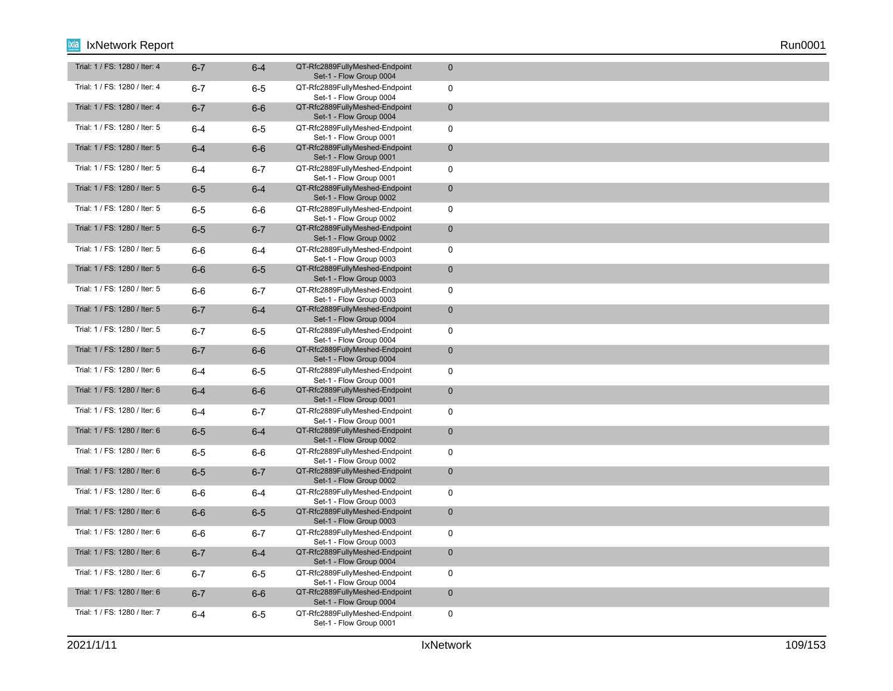| Trial: 1 / FS: 1280 / Iter: 4 | $6 - 7$ | $6 - 4$ | QT-Rfc2889FullyMeshed-Endpoint<br>Set-1 - Flow Group 0004 | $\mathbf{0}$ |
|-------------------------------|---------|---------|-----------------------------------------------------------|--------------|
| Trial: 1 / FS: 1280 / Iter: 4 | $6 - 7$ | $6-5$   | QT-Rfc2889FullyMeshed-Endpoint<br>Set-1 - Flow Group 0004 | $\mathbf 0$  |
| Trial: 1 / FS: 1280 / Iter: 4 | $6 - 7$ | $6-6$   | QT-Rfc2889FullyMeshed-Endpoint<br>Set-1 - Flow Group 0004 | $\mathbf 0$  |
| Trial: 1 / FS: 1280 / Iter: 5 | $6 - 4$ | $6-5$   | QT-Rfc2889FullyMeshed-Endpoint<br>Set-1 - Flow Group 0001 | $\mathbf 0$  |
| Trial: 1 / FS: 1280 / Iter: 5 | $6-4$   | $6-6$   | QT-Rfc2889FullyMeshed-Endpoint<br>Set-1 - Flow Group 0001 | $\mathbf 0$  |
| Trial: 1 / FS: 1280 / Iter: 5 | $6-4$   | $6 - 7$ | QT-Rfc2889FullyMeshed-Endpoint<br>Set-1 - Flow Group 0001 | $\mathbf 0$  |
| Trial: 1 / FS: 1280 / Iter: 5 | $6-5$   | $6 - 4$ | QT-Rfc2889FullyMeshed-Endpoint<br>Set-1 - Flow Group 0002 | $\mathbf 0$  |
| Trial: 1 / FS: 1280 / Iter: 5 | $6-5$   | 6-6     | QT-Rfc2889FullyMeshed-Endpoint<br>Set-1 - Flow Group 0002 | 0            |
| Trial: 1 / FS: 1280 / Iter: 5 | $6-5$   | $6 - 7$ | QT-Rfc2889FullyMeshed-Endpoint<br>Set-1 - Flow Group 0002 | $\mathbf 0$  |
| Trial: 1 / FS: 1280 / Iter: 5 | $6-6$   | $6 - 4$ | QT-Rfc2889FullyMeshed-Endpoint<br>Set-1 - Flow Group 0003 | $\mathbf 0$  |
| Trial: 1 / FS: 1280 / Iter: 5 | $6-6$   | $6-5$   | QT-Rfc2889FullyMeshed-Endpoint<br>Set-1 - Flow Group 0003 | $\mathbf 0$  |
| Trial: 1 / FS: 1280 / Iter: 5 | $6-6$   | $6 - 7$ | QT-Rfc2889FullyMeshed-Endpoint<br>Set-1 - Flow Group 0003 | $\mathbf 0$  |
| Trial: 1 / FS: 1280 / Iter: 5 | $6 - 7$ | $6-4$   | QT-Rfc2889FullyMeshed-Endpoint<br>Set-1 - Flow Group 0004 | $\mathbf 0$  |
| Trial: 1 / FS: 1280 / Iter: 5 | $6 - 7$ | 6-5     | QT-Rfc2889FullyMeshed-Endpoint<br>Set-1 - Flow Group 0004 | $\mathbf 0$  |
| Trial: 1 / FS: 1280 / Iter: 5 | $6 - 7$ | $6-6$   | QT-Rfc2889FullyMeshed-Endpoint<br>Set-1 - Flow Group 0004 | $\mathbf 0$  |
| Trial: 1 / FS: 1280 / Iter: 6 | $6 - 4$ | $6-5$   | QT-Rfc2889FullyMeshed-Endpoint<br>Set-1 - Flow Group 0001 | $\mathbf 0$  |
| Trial: 1 / FS: 1280 / Iter: 6 | $6-4$   | $6-6$   | QT-Rfc2889FullyMeshed-Endpoint<br>Set-1 - Flow Group 0001 | $\pmb{0}$    |
| Trial: 1 / FS: 1280 / Iter: 6 | $6 - 4$ | $6 - 7$ | QT-Rfc2889FullyMeshed-Endpoint<br>Set-1 - Flow Group 0001 | $\mathbf 0$  |
| Trial: 1 / FS: 1280 / Iter: 6 | $6-5$   | $6-4$   | QT-Rfc2889FullyMeshed-Endpoint<br>Set-1 - Flow Group 0002 | $\mathbf 0$  |
| Trial: 1 / FS: 1280 / Iter: 6 | $6-5$   | $6-6$   | QT-Rfc2889FullyMeshed-Endpoint<br>Set-1 - Flow Group 0002 | $\mathbf 0$  |
| Trial: 1 / FS: 1280 / Iter: 6 | $6-5$   | $6 - 7$ | QT-Rfc2889FullyMeshed-Endpoint<br>Set-1 - Flow Group 0002 | $\mathbf 0$  |
| Trial: 1 / FS: 1280 / Iter: 6 | $6-6$   | $6-4$   | QT-Rfc2889FullyMeshed-Endpoint<br>Set-1 - Flow Group 0003 | $\mathbf 0$  |
| Trial: 1 / FS: 1280 / Iter: 6 | $6-6$   | $6-5$   | QT-Rfc2889FullyMeshed-Endpoint<br>Set-1 - Flow Group 0003 | $\mathbf{0}$ |
| Trial: 1 / FS: 1280 / Iter: 6 | $6-6$   | $6 - 7$ | QT-Rfc2889FullyMeshed-Endpoint<br>Set-1 - Flow Group 0003 | $\mathbf 0$  |
| Trial: 1 / FS: 1280 / Iter: 6 | $6 - 7$ | $6-4$   | QT-Rfc2889FullyMeshed-Endpoint<br>Set-1 - Flow Group 0004 | $\mathbf 0$  |
| Trial: 1 / FS: 1280 / Iter: 6 | $6 - 7$ | $6-5$   | QT-Rfc2889FullyMeshed-Endpoint<br>Set-1 - Flow Group 0004 | $\mathbf 0$  |
| Trial: 1 / FS: 1280 / Iter: 6 | $6 - 7$ | $6-6$   | QT-Rfc2889FullyMeshed-Endpoint<br>Set-1 - Flow Group 0004 | $\mathbf 0$  |
| Trial: 1 / FS: 1280 / Iter: 7 | $6 - 4$ | $6-5$   | QT-Rfc2889FullyMeshed-Endpoint<br>Set-1 - Flow Group 0001 | $\mathbf 0$  |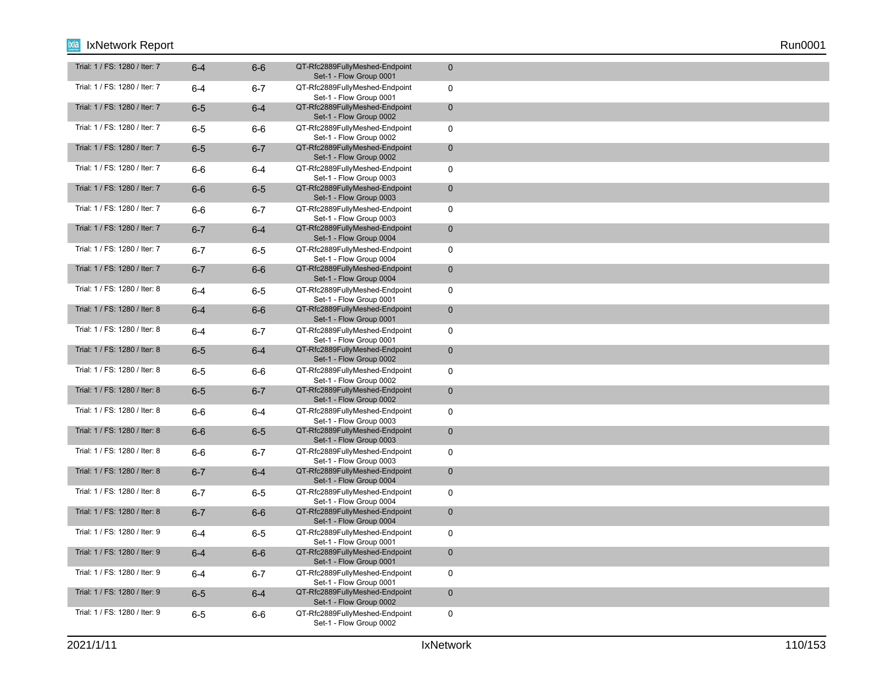| Trial: 1 / FS: 1280 / Iter: 7 | $6-4$   | $6-6$   | QT-Rfc2889FullyMeshed-Endpoint<br>Set-1 - Flow Group 0001 | $\mathbf 0$  |
|-------------------------------|---------|---------|-----------------------------------------------------------|--------------|
| Trial: 1 / FS: 1280 / Iter: 7 | $6-4$   | $6 - 7$ | QT-Rfc2889FullyMeshed-Endpoint<br>Set-1 - Flow Group 0001 | $\mathbf 0$  |
| Trial: 1 / FS: 1280 / Iter: 7 | $6-5$   | $6-4$   | QT-Rfc2889FullyMeshed-Endpoint<br>Set-1 - Flow Group 0002 | $\mathbf 0$  |
| Trial: 1 / FS: 1280 / Iter: 7 | $6-5$   | 6-6     | QT-Rfc2889FullyMeshed-Endpoint<br>Set-1 - Flow Group 0002 | $\mathbf 0$  |
| Trial: 1 / FS: 1280 / Iter: 7 | $6-5$   | $6 - 7$ | QT-Rfc2889FullyMeshed-Endpoint<br>Set-1 - Flow Group 0002 | $\mathbf 0$  |
| Trial: 1 / FS: 1280 / Iter: 7 | 6-6     | $6 - 4$ | QT-Rfc2889FullyMeshed-Endpoint<br>Set-1 - Flow Group 0003 | $\mathbf 0$  |
| Trial: 1 / FS: 1280 / Iter: 7 | $6-6$   | $6-5$   | QT-Rfc2889FullyMeshed-Endpoint<br>Set-1 - Flow Group 0003 | $\mathbf 0$  |
| Trial: 1 / FS: 1280 / Iter: 7 | 6-6     | $6 - 7$ | QT-Rfc2889FullyMeshed-Endpoint<br>Set-1 - Flow Group 0003 | $\mathbf 0$  |
| Trial: 1 / FS: 1280 / Iter: 7 | $6 - 7$ | $6-4$   | QT-Rfc2889FullyMeshed-Endpoint<br>Set-1 - Flow Group 0004 | $\mathbf 0$  |
| Trial: 1 / FS: 1280 / Iter: 7 | $6 - 7$ | 6-5     | QT-Rfc2889FullyMeshed-Endpoint<br>Set-1 - Flow Group 0004 | $\mathbf 0$  |
| Trial: 1 / FS: 1280 / Iter: 7 | $6 - 7$ | $6-6$   | QT-Rfc2889FullyMeshed-Endpoint<br>Set-1 - Flow Group 0004 | $\mathbf 0$  |
| Trial: 1 / FS: 1280 / Iter: 8 | $6 - 4$ | $6-5$   | QT-Rfc2889FullyMeshed-Endpoint<br>Set-1 - Flow Group 0001 | $\mathbf 0$  |
| Trial: 1 / FS: 1280 / Iter: 8 | $6-4$   | $6-6$   | QT-Rfc2889FullyMeshed-Endpoint<br>Set-1 - Flow Group 0001 | $\mathbf 0$  |
| Trial: 1 / FS: 1280 / Iter: 8 | $6 - 4$ | $6 - 7$ | QT-Rfc2889FullyMeshed-Endpoint<br>Set-1 - Flow Group 0001 | $\mathbf 0$  |
| Trial: 1 / FS: 1280 / Iter: 8 | $6-5$   | $6-4$   | QT-Rfc2889FullyMeshed-Endpoint<br>Set-1 - Flow Group 0002 | $\mathbf 0$  |
| Trial: 1 / FS: 1280 / Iter: 8 | $6-5$   | 6-6     | QT-Rfc2889FullyMeshed-Endpoint<br>Set-1 - Flow Group 0002 | $\mathbf 0$  |
| Trial: 1 / FS: 1280 / Iter: 8 | $6-5$   | $6 - 7$ | QT-Rfc2889FullyMeshed-Endpoint<br>Set-1 - Flow Group 0002 | $\mathbf 0$  |
| Trial: 1 / FS: 1280 / Iter: 8 | $6-6$   | $6 - 4$ | QT-Rfc2889FullyMeshed-Endpoint<br>Set-1 - Flow Group 0003 | $\mathbf 0$  |
| Trial: 1 / FS: 1280 / Iter: 8 | $6-6$   | $6-5$   | QT-Rfc2889FullyMeshed-Endpoint<br>Set-1 - Flow Group 0003 | $\mathbf 0$  |
| Trial: 1 / FS: 1280 / Iter: 8 | $6-6$   | $6 - 7$ | QT-Rfc2889FullyMeshed-Endpoint<br>Set-1 - Flow Group 0003 | $\mathbf 0$  |
| Trial: 1 / FS: 1280 / Iter: 8 | $6 - 7$ | $6 - 4$ | QT-Rfc2889FullyMeshed-Endpoint<br>Set-1 - Flow Group 0004 | $\mathbf 0$  |
| Trial: 1 / FS: 1280 / Iter: 8 | $6 - 7$ | $6-5$   | QT-Rfc2889FullyMeshed-Endpoint<br>Set-1 - Flow Group 0004 | $\mathbf 0$  |
| Trial: 1 / FS: 1280 / Iter: 8 | $6 - 7$ | $6-6$   | QT-Rfc2889FullyMeshed-Endpoint<br>Set-1 - Flow Group 0004 | $\mathbf{0}$ |
| Trial: 1 / FS: 1280 / Iter: 9 | $6 - 4$ | $6 - 5$ | QT-Rfc2889FullyMeshed-Endpoint<br>Set-1 - Flow Group 0001 | $\mathbf 0$  |
| Trial: 1 / FS: 1280 / Iter: 9 | $6-4$   | $6-6$   | QT-Rfc2889FullyMeshed-Endpoint<br>Set-1 - Flow Group 0001 | $\mathbf 0$  |
| Trial: 1 / FS: 1280 / Iter: 9 | $6 - 4$ | $6 - 7$ | QT-Rfc2889FullyMeshed-Endpoint<br>Set-1 - Flow Group 0001 | $\mathbf 0$  |
| Trial: 1 / FS: 1280 / Iter: 9 | $6-5$   | $6-4$   | QT-Rfc2889FullyMeshed-Endpoint<br>Set-1 - Flow Group 0002 | $\mathbf 0$  |
| Trial: 1 / FS: 1280 / Iter: 9 | $6-5$   | 6-6     | QT-Rfc2889FullyMeshed-Endpoint<br>Set-1 - Flow Group 0002 | $\mathbf 0$  |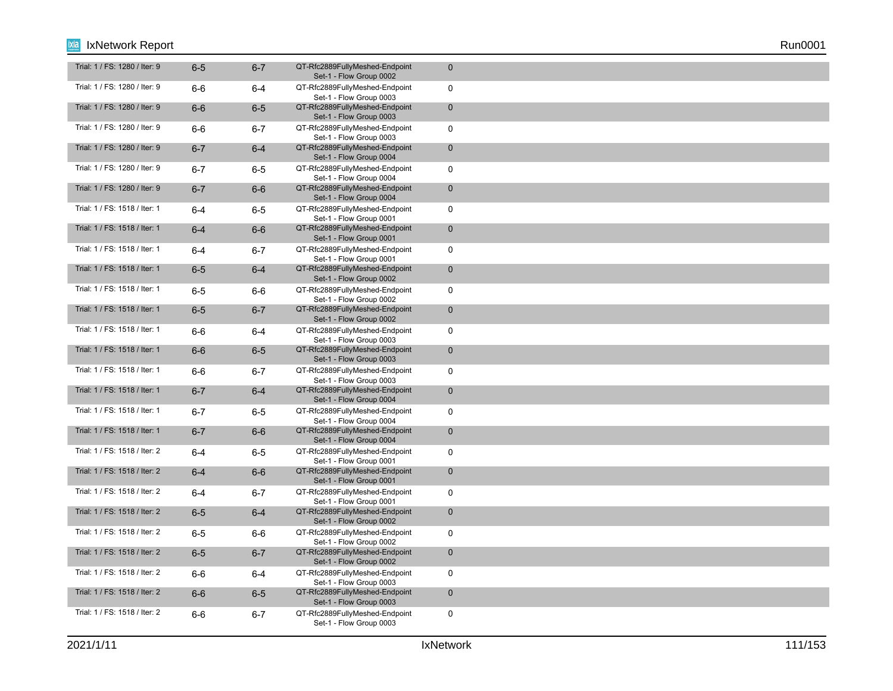| Trial: 1 / FS: 1280 / Iter: 9 | $6-5$   | $6 - 7$ | QT-Rfc2889FullyMeshed-Endpoint<br>Set-1 - Flow Group 0002 | $\mathbf{0}$ |
|-------------------------------|---------|---------|-----------------------------------------------------------|--------------|
| Trial: 1 / FS: 1280 / Iter: 9 | $6-6$   | $6 - 4$ | QT-Rfc2889FullyMeshed-Endpoint<br>Set-1 - Flow Group 0003 | $\mathbf 0$  |
| Trial: 1 / FS: 1280 / Iter: 9 | $6-6$   | $6-5$   | QT-Rfc2889FullyMeshed-Endpoint<br>Set-1 - Flow Group 0003 | $\mathbf 0$  |
| Trial: 1 / FS: 1280 / Iter: 9 | $6-6$   | $6 - 7$ | QT-Rfc2889FullyMeshed-Endpoint<br>Set-1 - Flow Group 0003 | $\mathsf{O}$ |
| Trial: 1 / FS: 1280 / Iter: 9 | $6 - 7$ | $6-4$   | QT-Rfc2889FullyMeshed-Endpoint<br>Set-1 - Flow Group 0004 | $\mathbf 0$  |
| Trial: 1 / FS: 1280 / Iter: 9 | $6 - 7$ | $6-5$   | QT-Rfc2889FullyMeshed-Endpoint<br>Set-1 - Flow Group 0004 | $\mathsf{O}$ |
| Trial: 1 / FS: 1280 / Iter: 9 | $6 - 7$ | $6-6$   | QT-Rfc2889FullyMeshed-Endpoint<br>Set-1 - Flow Group 0004 | $\mathbf 0$  |
| Trial: 1 / FS: 1518 / Iter: 1 | $6 - 4$ | $6-5$   | QT-Rfc2889FullyMeshed-Endpoint<br>Set-1 - Flow Group 0001 | 0            |
| Trial: 1 / FS: 1518 / Iter: 1 | $6-4$   | $6-6$   | QT-Rfc2889FullyMeshed-Endpoint<br>Set-1 - Flow Group 0001 | $\mathbf 0$  |
| Trial: 1 / FS: 1518 / Iter: 1 | $6 - 4$ | $6 - 7$ | QT-Rfc2889FullyMeshed-Endpoint<br>Set-1 - Flow Group 0001 | $\mathbf 0$  |
| Trial: 1 / FS: 1518 / Iter: 1 | $6-5$   | $6 - 4$ | QT-Rfc2889FullyMeshed-Endpoint<br>Set-1 - Flow Group 0002 | $\mathbf 0$  |
| Trial: 1 / FS: 1518 / Iter: 1 | $6-5$   | 6-6     | QT-Rfc2889FullyMeshed-Endpoint<br>Set-1 - Flow Group 0002 | $\mathbf 0$  |
| Trial: 1 / FS: 1518 / Iter: 1 | $6-5$   | $6 - 7$ | QT-Rfc2889FullyMeshed-Endpoint<br>Set-1 - Flow Group 0002 | $\mathbf 0$  |
| Trial: 1 / FS: 1518 / Iter: 1 | 6-6     | $6 - 4$ | QT-Rfc2889FullyMeshed-Endpoint<br>Set-1 - Flow Group 0003 | $\mathbf 0$  |
| Trial: 1 / FS: 1518 / Iter: 1 | $6-6$   | $6-5$   | QT-Rfc2889FullyMeshed-Endpoint<br>Set-1 - Flow Group 0003 | $\mathbf 0$  |
| Trial: 1 / FS: 1518 / Iter: 1 | $6-6$   | $6 - 7$ | QT-Rfc2889FullyMeshed-Endpoint<br>Set-1 - Flow Group 0003 | $\mathbf 0$  |
| Trial: 1 / FS: 1518 / Iter: 1 | $6 - 7$ | $6-4$   | QT-Rfc2889FullyMeshed-Endpoint<br>Set-1 - Flow Group 0004 | $\pmb{0}$    |
| Trial: 1 / FS: 1518 / Iter: 1 | $6 - 7$ | $6-5$   | QT-Rfc2889FullyMeshed-Endpoint<br>Set-1 - Flow Group 0004 | $\mathbf 0$  |
| Trial: 1 / FS: 1518 / Iter: 1 | $6 - 7$ | $6-6$   | QT-Rfc2889FullyMeshed-Endpoint<br>Set-1 - Flow Group 0004 | $\mathbf 0$  |
| Trial: 1 / FS: 1518 / Iter: 2 | $6 - 4$ | $6-5$   | QT-Rfc2889FullyMeshed-Endpoint<br>Set-1 - Flow Group 0001 | $\mathbf 0$  |
| Trial: 1 / FS: 1518 / Iter: 2 | $6-4$   | $6-6$   | QT-Rfc2889FullyMeshed-Endpoint<br>Set-1 - Flow Group 0001 | $\mathbf 0$  |
| Trial: 1 / FS: 1518 / Iter: 2 | $6 - 4$ | $6 - 7$ | QT-Rfc2889FullyMeshed-Endpoint<br>Set-1 - Flow Group 0001 | $\mathbf 0$  |
| Trial: 1 / FS: 1518 / Iter: 2 | $6-5$   | $6-4$   | QT-Rfc2889FullyMeshed-Endpoint<br>Set-1 - Flow Group 0002 | $\mathbf{0}$ |
| Trial: 1 / FS: 1518 / Iter: 2 | $6-5$   | $6-6$   | QT-Rfc2889FullyMeshed-Endpoint<br>Set-1 - Flow Group 0002 | $\mathbf 0$  |
| Trial: 1 / FS: 1518 / Iter: 2 | $6-5$   | $6 - 7$ | QT-Rfc2889FullyMeshed-Endpoint<br>Set-1 - Flow Group 0002 | $\mathbf 0$  |
| Trial: 1 / FS: 1518 / Iter: 2 | $6-6$   | $6 - 4$ | QT-Rfc2889FullyMeshed-Endpoint<br>Set-1 - Flow Group 0003 | $\mathbf 0$  |
| Trial: 1 / FS: 1518 / Iter: 2 | $6-6$   | $6-5$   | QT-Rfc2889FullyMeshed-Endpoint<br>Set-1 - Flow Group 0003 | $\mathbf 0$  |
| Trial: 1 / FS: 1518 / Iter: 2 | $6-6$   | $6 - 7$ | QT-Rfc2889FullyMeshed-Endpoint<br>Set-1 - Flow Group 0003 | $\mathbf 0$  |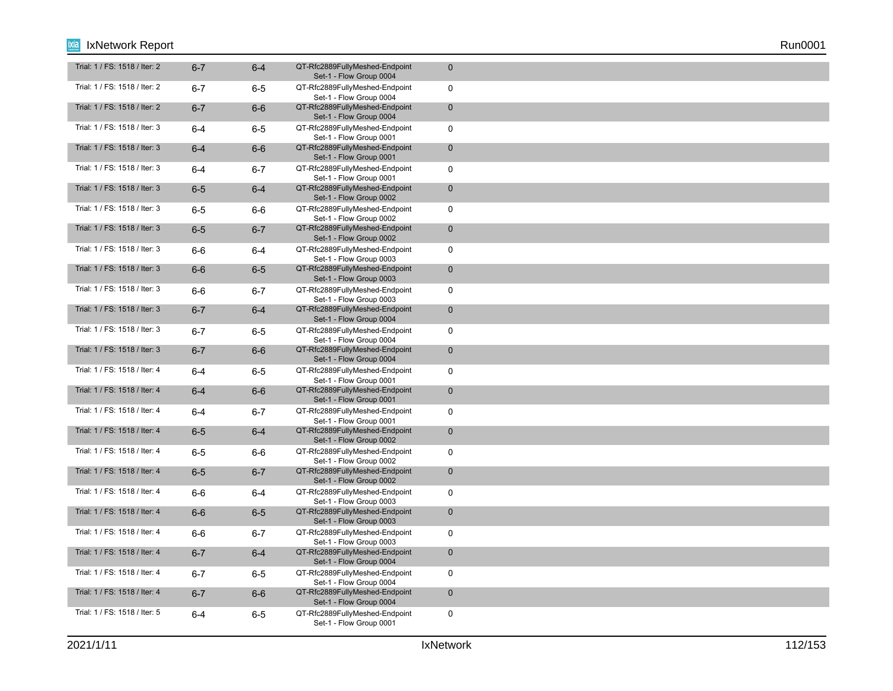| Trial: 1 / FS: 1518 / Iter: 2 | $6 - 7$ | $6 - 4$ | QT-Rfc2889FullyMeshed-Endpoint<br>Set-1 - Flow Group 0004 | $\mathbf{0}$ |
|-------------------------------|---------|---------|-----------------------------------------------------------|--------------|
| Trial: 1 / FS: 1518 / Iter: 2 | $6 - 7$ | $6-5$   | QT-Rfc2889FullyMeshed-Endpoint<br>Set-1 - Flow Group 0004 | $\mathbf 0$  |
| Trial: 1 / FS: 1518 / Iter: 2 | $6 - 7$ | $6-6$   | QT-Rfc2889FullyMeshed-Endpoint<br>Set-1 - Flow Group 0004 | $\mathbf 0$  |
| Trial: 1 / FS: 1518 / Iter: 3 | $6 - 4$ | $6-5$   | QT-Rfc2889FullyMeshed-Endpoint<br>Set-1 - Flow Group 0001 | $\mathsf{O}$ |
| Trial: 1 / FS: 1518 / Iter: 3 | $6-4$   | $6-6$   | QT-Rfc2889FullyMeshed-Endpoint<br>Set-1 - Flow Group 0001 | $\mathbf 0$  |
| Trial: 1 / FS: 1518 / Iter: 3 | $6 - 4$ | $6 - 7$ | QT-Rfc2889FullyMeshed-Endpoint<br>Set-1 - Flow Group 0001 | $\mathsf{O}$ |
| Trial: 1 / FS: 1518 / Iter: 3 | $6-5$   | $6 - 4$ | QT-Rfc2889FullyMeshed-Endpoint<br>Set-1 - Flow Group 0002 | $\mathbf 0$  |
| Trial: 1 / FS: 1518 / Iter: 3 | $6-5$   | 6-6     | QT-Rfc2889FullyMeshed-Endpoint<br>Set-1 - Flow Group 0002 | 0            |
| Trial: 1 / FS: 1518 / Iter: 3 | $6-5$   | $6 - 7$ | QT-Rfc2889FullyMeshed-Endpoint<br>Set-1 - Flow Group 0002 | $\mathbf 0$  |
| Trial: 1 / FS: 1518 / Iter: 3 | $6-6$   | $6 - 4$ | QT-Rfc2889FullyMeshed-Endpoint<br>Set-1 - Flow Group 0003 | $\mathbf 0$  |
| Trial: 1 / FS: 1518 / Iter: 3 | $6-6$   | $6-5$   | QT-Rfc2889FullyMeshed-Endpoint<br>Set-1 - Flow Group 0003 | $\mathbf 0$  |
| Trial: 1 / FS: 1518 / Iter: 3 | 6-6     | $6 - 7$ | QT-Rfc2889FullyMeshed-Endpoint<br>Set-1 - Flow Group 0003 | $\mathbf 0$  |
| Trial: 1 / FS: 1518 / Iter: 3 | $6 - 7$ | $6-4$   | QT-Rfc2889FullyMeshed-Endpoint<br>Set-1 - Flow Group 0004 | $\mathbf 0$  |
| Trial: 1 / FS: 1518 / Iter: 3 | $6 - 7$ | $6-5$   | QT-Rfc2889FullyMeshed-Endpoint<br>Set-1 - Flow Group 0004 | $\mathbf 0$  |
| Trial: 1 / FS: 1518 / Iter: 3 | $6 - 7$ | $6-6$   | QT-Rfc2889FullyMeshed-Endpoint<br>Set-1 - Flow Group 0004 | $\mathbf 0$  |
| Trial: 1 / FS: 1518 / Iter: 4 | $6 - 4$ | $6-5$   | QT-Rfc2889FullyMeshed-Endpoint<br>Set-1 - Flow Group 0001 | $\mathbf 0$  |
| Trial: 1 / FS: 1518 / Iter: 4 | $6-4$   | $6-6$   | QT-Rfc2889FullyMeshed-Endpoint<br>Set-1 - Flow Group 0001 | $\pmb{0}$    |
| Trial: 1 / FS: 1518 / Iter: 4 | $6 - 4$ | $6 - 7$ | QT-Rfc2889FullyMeshed-Endpoint<br>Set-1 - Flow Group 0001 | $\mathbf 0$  |
| Trial: 1 / FS: 1518 / Iter: 4 | $6-5$   | $6-4$   | QT-Rfc2889FullyMeshed-Endpoint<br>Set-1 - Flow Group 0002 | $\mathbf 0$  |
| Trial: 1 / FS: 1518 / Iter: 4 | $6-5$   | $6-6$   | QT-Rfc2889FullyMeshed-Endpoint<br>Set-1 - Flow Group 0002 | $\mathbf 0$  |
| Trial: 1 / FS: 1518 / Iter: 4 | $6-5$   | $6 - 7$ | QT-Rfc2889FullyMeshed-Endpoint<br>Set-1 - Flow Group 0002 | $\mathbf 0$  |
| Trial: 1 / FS: 1518 / Iter: 4 | $6-6$   | $6 - 4$ | QT-Rfc2889FullyMeshed-Endpoint<br>Set-1 - Flow Group 0003 | $\mathbf 0$  |
| Trial: 1 / FS: 1518 / Iter: 4 | $6-6$   | $6-5$   | QT-Rfc2889FullyMeshed-Endpoint<br>Set-1 - Flow Group 0003 | $\mathbf{0}$ |
| Trial: 1 / FS: 1518 / Iter: 4 | $6-6$   | $6 - 7$ | QT-Rfc2889FullyMeshed-Endpoint<br>Set-1 - Flow Group 0003 | $\mathbf 0$  |
| Trial: 1 / FS: 1518 / Iter: 4 | $6 - 7$ | $6-4$   | QT-Rfc2889FullyMeshed-Endpoint<br>Set-1 - Flow Group 0004 | $\mathbf 0$  |
| Trial: 1 / FS: 1518 / Iter: 4 | $6 - 7$ | $6-5$   | QT-Rfc2889FullyMeshed-Endpoint<br>Set-1 - Flow Group 0004 | $\mathbf 0$  |
| Trial: 1 / FS: 1518 / Iter: 4 | $6 - 7$ | $6-6$   | QT-Rfc2889FullyMeshed-Endpoint<br>Set-1 - Flow Group 0004 | $\mathbf 0$  |
| Trial: 1 / FS: 1518 / Iter: 5 | $6 - 4$ | $6-5$   | QT-Rfc2889FullyMeshed-Endpoint<br>Set-1 - Flow Group 0001 | $\mathbf 0$  |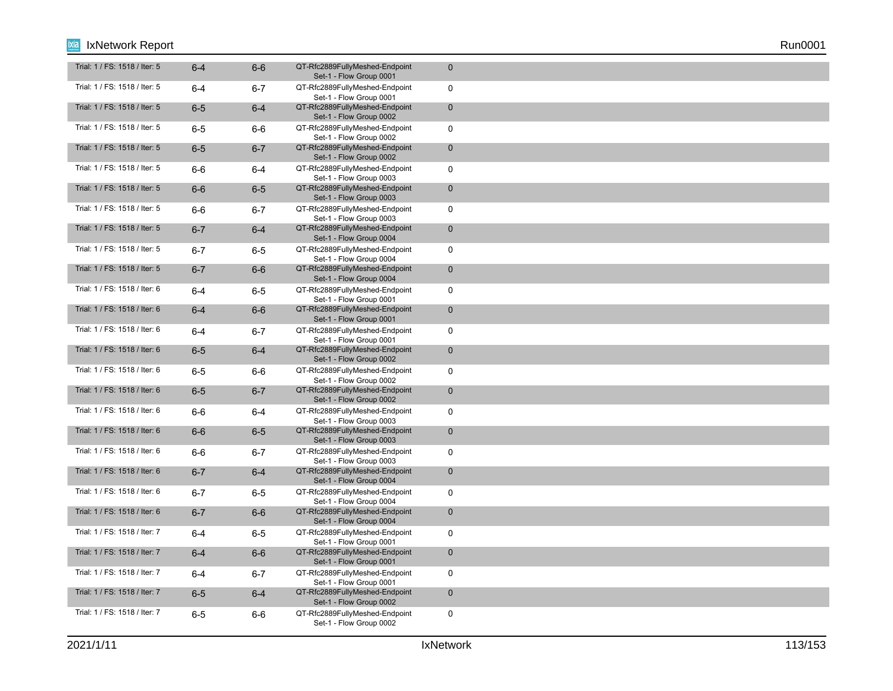| Trial: 1 / FS: 1518 / Iter: 5 | $6-4$   | $6-6$   | QT-Rfc2889FullyMeshed-Endpoint<br>Set-1 - Flow Group 0001 | $\mathbf 0$         |
|-------------------------------|---------|---------|-----------------------------------------------------------|---------------------|
| Trial: 1 / FS: 1518 / Iter: 5 | $6-4$   | $6 - 7$ | QT-Rfc2889FullyMeshed-Endpoint<br>Set-1 - Flow Group 0001 | $\mathbf 0$         |
| Trial: 1 / FS: 1518 / Iter: 5 | $6-5$   | $6 - 4$ | QT-Rfc2889FullyMeshed-Endpoint<br>Set-1 - Flow Group 0002 | $\mathbf 0$         |
| Trial: 1 / FS: 1518 / Iter: 5 | $6-5$   | $6-6$   | QT-Rfc2889FullyMeshed-Endpoint<br>Set-1 - Flow Group 0002 | $\mathbf 0$         |
| Trial: 1 / FS: 1518 / Iter: 5 | $6-5$   | $6 - 7$ | QT-Rfc2889FullyMeshed-Endpoint<br>Set-1 - Flow Group 0002 | $\mathbf 0$         |
| Trial: 1 / FS: 1518 / Iter: 5 | $6-6$   | 6-4     | QT-Rfc2889FullyMeshed-Endpoint<br>Set-1 - Flow Group 0003 | $\mathbf 0$         |
| Trial: 1 / FS: 1518 / Iter: 5 | $6-6$   | $6-5$   | QT-Rfc2889FullyMeshed-Endpoint<br>Set-1 - Flow Group 0003 | $\mathbf 0$         |
| Trial: 1 / FS: 1518 / Iter: 5 | $6-6$   | $6 - 7$ | QT-Rfc2889FullyMeshed-Endpoint<br>Set-1 - Flow Group 0003 | $\mathbf 0$         |
| Trial: 1 / FS: 1518 / Iter: 5 | $6 - 7$ | $6 - 4$ | QT-Rfc2889FullyMeshed-Endpoint<br>Set-1 - Flow Group 0004 | $\mathbf 0$         |
| Trial: 1 / FS: 1518 / Iter: 5 | $6 - 7$ | $6-5$   | QT-Rfc2889FullyMeshed-Endpoint<br>Set-1 - Flow Group 0004 | $\mathbf 0$         |
| Trial: 1 / FS: 1518 / Iter: 5 | $6 - 7$ | $6-6$   | QT-Rfc2889FullyMeshed-Endpoint<br>Set-1 - Flow Group 0004 | $\mathbf 0$         |
| Trial: 1 / FS: 1518 / Iter: 6 | $6 - 4$ | $6-5$   | QT-Rfc2889FullyMeshed-Endpoint<br>Set-1 - Flow Group 0001 | $\mathbf 0$         |
| Trial: 1 / FS: 1518 / Iter: 6 | $6-4$   | $6-6$   | QT-Rfc2889FullyMeshed-Endpoint<br>Set-1 - Flow Group 0001 | $\mathbf 0$         |
| Trial: 1 / FS: 1518 / Iter: 6 | 6-4     | $6 - 7$ | QT-Rfc2889FullyMeshed-Endpoint<br>Set-1 - Flow Group 0001 | $\mathbf 0$         |
| Trial: 1 / FS: 1518 / Iter: 6 | $6-5$   | $6 - 4$ | QT-Rfc2889FullyMeshed-Endpoint<br>Set-1 - Flow Group 0002 | $\mathbf 0$         |
| Trial: 1 / FS: 1518 / Iter: 6 | $6-5$   | $6-6$   | QT-Rfc2889FullyMeshed-Endpoint<br>Set-1 - Flow Group 0002 | $\mathbf 0$         |
| Trial: 1 / FS: 1518 / Iter: 6 | $6-5$   | $6 - 7$ | QT-Rfc2889FullyMeshed-Endpoint<br>Set-1 - Flow Group 0002 | $\mathsf{O}\xspace$ |
| Trial: 1 / FS: 1518 / Iter: 6 | $6-6$   | $6 - 4$ | QT-Rfc2889FullyMeshed-Endpoint<br>Set-1 - Flow Group 0003 | $\mathbf 0$         |
| Trial: 1 / FS: 1518 / Iter: 6 | $6-6$   | $6-5$   | QT-Rfc2889FullyMeshed-Endpoint<br>Set-1 - Flow Group 0003 | $\mathbf 0$         |
| Trial: 1 / FS: 1518 / Iter: 6 | $6-6$   | $6 - 7$ | QT-Rfc2889FullyMeshed-Endpoint<br>Set-1 - Flow Group 0003 | $\mathbf 0$         |
| Trial: 1 / FS: 1518 / Iter: 6 | $6 - 7$ | $6-4$   | QT-Rfc2889FullyMeshed-Endpoint<br>Set-1 - Flow Group 0004 | $\mathbf 0$         |
| Trial: 1 / FS: 1518 / Iter: 6 | $6 - 7$ | $6-5$   | QT-Rfc2889FullyMeshed-Endpoint<br>Set-1 - Flow Group 0004 | $\mathbf 0$         |
| Trial: 1 / FS: 1518 / Iter: 6 | $6 - 7$ | $6-6$   | QT-Rfc2889FullyMeshed-Endpoint<br>Set-1 - Flow Group 0004 | $\mathbf{0}$        |
| Trial: 1 / FS: 1518 / Iter: 7 | $6 - 4$ | $6-5$   | QT-Rfc2889FullyMeshed-Endpoint<br>Set-1 - Flow Group 0001 | $\mathbf 0$         |
| Trial: 1 / FS: 1518 / Iter: 7 | $6-4$   | $6-6$   | QT-Rfc2889FullyMeshed-Endpoint<br>Set-1 - Flow Group 0001 | $\mathbf 0$         |
| Trial: 1 / FS: 1518 / Iter: 7 | 6-4     | $6 - 7$ | QT-Rfc2889FullyMeshed-Endpoint<br>Set-1 - Flow Group 0001 | $\mathbf 0$         |
| Trial: 1 / FS: 1518 / Iter: 7 | $6-5$   | $6-4$   | QT-Rfc2889FullyMeshed-Endpoint<br>Set-1 - Flow Group 0002 | $\mathbf 0$         |
| Trial: 1 / FS: 1518 / Iter: 7 | $6-5$   | $6-6$   | QT-Rfc2889FullyMeshed-Endpoint<br>Set-1 - Flow Group 0002 | $\mathbf 0$         |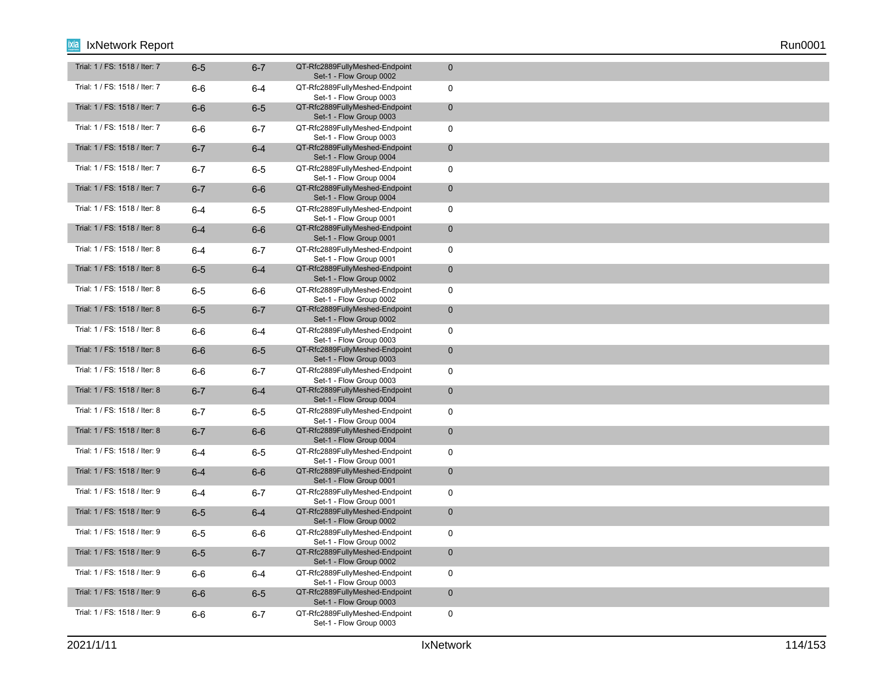| Trial: 1 / FS: 1518 / Iter: 7 | $6-5$   | $6 - 7$ | QT-Rfc2889FullyMeshed-Endpoint<br>Set-1 - Flow Group 0002 | $\mathbf{0}$ |
|-------------------------------|---------|---------|-----------------------------------------------------------|--------------|
| Trial: 1 / FS: 1518 / Iter: 7 | $6-6$   | $6 - 4$ | QT-Rfc2889FullyMeshed-Endpoint<br>Set-1 - Flow Group 0003 | $\mathbf 0$  |
| Trial: 1 / FS: 1518 / Iter: 7 | $6-6$   | $6-5$   | QT-Rfc2889FullyMeshed-Endpoint<br>Set-1 - Flow Group 0003 | $\mathbf 0$  |
| Trial: 1 / FS: 1518 / Iter: 7 | $6-6$   | $6 - 7$ | QT-Rfc2889FullyMeshed-Endpoint<br>Set-1 - Flow Group 0003 | $\mathsf{O}$ |
| Trial: 1 / FS: 1518 / Iter: 7 | $6 - 7$ | $6-4$   | QT-Rfc2889FullyMeshed-Endpoint<br>Set-1 - Flow Group 0004 | $\mathbf 0$  |
| Trial: 1 / FS: 1518 / Iter: 7 | $6 - 7$ | $6-5$   | QT-Rfc2889FullyMeshed-Endpoint<br>Set-1 - Flow Group 0004 | $\mathsf{O}$ |
| Trial: 1 / FS: 1518 / Iter: 7 | $6 - 7$ | $6-6$   | QT-Rfc2889FullyMeshed-Endpoint<br>Set-1 - Flow Group 0004 | $\mathbf 0$  |
| Trial: 1 / FS: 1518 / Iter: 8 | $6 - 4$ | $6-5$   | QT-Rfc2889FullyMeshed-Endpoint<br>Set-1 - Flow Group 0001 | 0            |
| Trial: 1 / FS: 1518 / Iter: 8 | $6-4$   | $6-6$   | QT-Rfc2889FullyMeshed-Endpoint<br>Set-1 - Flow Group 0001 | $\mathbf 0$  |
| Trial: 1 / FS: 1518 / Iter: 8 | $6 - 4$ | $6 - 7$ | QT-Rfc2889FullyMeshed-Endpoint<br>Set-1 - Flow Group 0001 | $\mathbf 0$  |
| Trial: 1 / FS: 1518 / Iter: 8 | $6-5$   | $6-4$   | QT-Rfc2889FullyMeshed-Endpoint<br>Set-1 - Flow Group 0002 | $\mathbf 0$  |
| Trial: 1 / FS: 1518 / Iter: 8 | $6-5$   | 6-6     | QT-Rfc2889FullyMeshed-Endpoint<br>Set-1 - Flow Group 0002 | $\mathbf 0$  |
| Trial: 1 / FS: 1518 / Iter: 8 | $6-5$   | $6 - 7$ | QT-Rfc2889FullyMeshed-Endpoint<br>Set-1 - Flow Group 0002 | $\mathbf 0$  |
| Trial: 1 / FS: 1518 / Iter: 8 | 6-6     | $6 - 4$ | QT-Rfc2889FullyMeshed-Endpoint<br>Set-1 - Flow Group 0003 | $\mathbf 0$  |
| Trial: 1 / FS: 1518 / Iter: 8 | $6-6$   | $6-5$   | QT-Rfc2889FullyMeshed-Endpoint<br>Set-1 - Flow Group 0003 | $\mathbf 0$  |
| Trial: 1 / FS: 1518 / Iter: 8 | $6-6$   | $6 - 7$ | QT-Rfc2889FullyMeshed-Endpoint<br>Set-1 - Flow Group 0003 | $\mathbf 0$  |
| Trial: 1 / FS: 1518 / Iter: 8 | $6 - 7$ | $6-4$   | QT-Rfc2889FullyMeshed-Endpoint<br>Set-1 - Flow Group 0004 | $\pmb{0}$    |
| Trial: 1 / FS: 1518 / Iter: 8 | $6 - 7$ | $6-5$   | QT-Rfc2889FullyMeshed-Endpoint<br>Set-1 - Flow Group 0004 | $\mathbf 0$  |
| Trial: 1 / FS: 1518 / Iter: 8 | $6 - 7$ | $6-6$   | QT-Rfc2889FullyMeshed-Endpoint<br>Set-1 - Flow Group 0004 | $\mathbf 0$  |
| Trial: 1 / FS: 1518 / Iter: 9 | $6 - 4$ | $6-5$   | QT-Rfc2889FullyMeshed-Endpoint<br>Set-1 - Flow Group 0001 | $\mathbf 0$  |
| Trial: 1 / FS: 1518 / Iter: 9 | $6-4$   | $6-6$   | QT-Rfc2889FullyMeshed-Endpoint<br>Set-1 - Flow Group 0001 | $\mathbf 0$  |
| Trial: 1 / FS: 1518 / Iter: 9 | $6 - 4$ | $6 - 7$ | QT-Rfc2889FullyMeshed-Endpoint<br>Set-1 - Flow Group 0001 | $\mathbf 0$  |
| Trial: 1 / FS: 1518 / Iter: 9 | $6-5$   | $6-4$   | QT-Rfc2889FullyMeshed-Endpoint<br>Set-1 - Flow Group 0002 | $\mathbf{0}$ |
| Trial: 1 / FS: 1518 / Iter: 9 | $6-5$   | $6-6$   | QT-Rfc2889FullyMeshed-Endpoint<br>Set-1 - Flow Group 0002 | $\mathbf 0$  |
| Trial: 1 / FS: 1518 / Iter: 9 | $6-5$   | $6 - 7$ | QT-Rfc2889FullyMeshed-Endpoint<br>Set-1 - Flow Group 0002 | $\mathbf 0$  |
| Trial: 1 / FS: 1518 / Iter: 9 | $6-6$   | $6 - 4$ | QT-Rfc2889FullyMeshed-Endpoint<br>Set-1 - Flow Group 0003 | $\mathbf 0$  |
| Trial: 1 / FS: 1518 / Iter: 9 | $6-6$   | $6-5$   | QT-Rfc2889FullyMeshed-Endpoint<br>Set-1 - Flow Group 0003 | $\mathbf 0$  |
| Trial: 1 / FS: 1518 / Iter: 9 | $6-6$   | $6 - 7$ | QT-Rfc2889FullyMeshed-Endpoint<br>Set-1 - Flow Group 0003 | $\mathbf 0$  |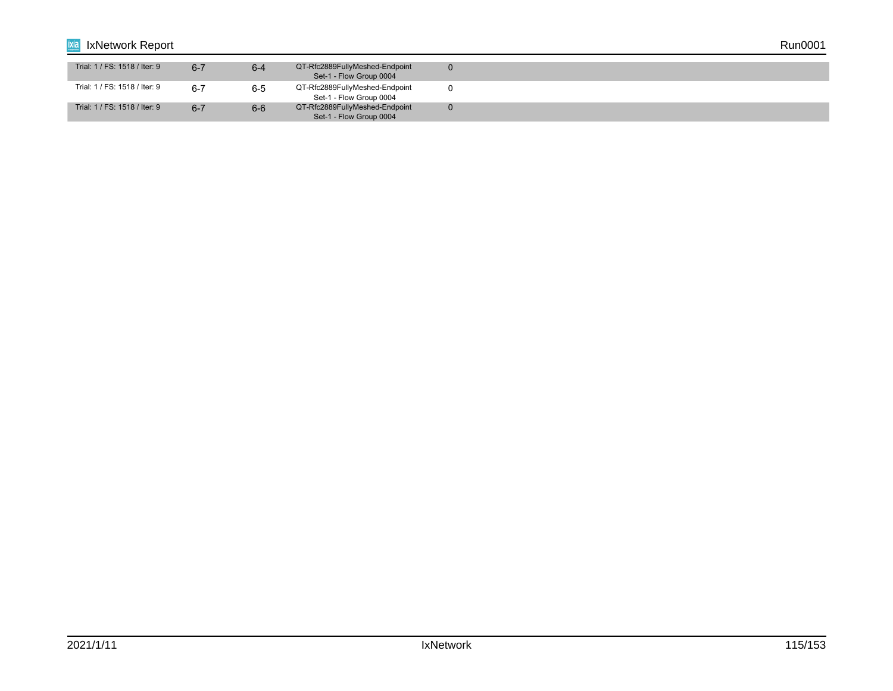| ixia<br>IxNetwork Report      |         |         |                                                           |  | Run0001 |  |
|-------------------------------|---------|---------|-----------------------------------------------------------|--|---------|--|
| Trial: 1 / FS: 1518 / Iter: 9 | $6 - 7$ | $6 - 4$ | QT-Rfc2889FullyMeshed-Endpoint<br>Set-1 - Flow Group 0004 |  |         |  |
| Trial: 1 / FS: 1518 / Iter: 9 | $6 - 7$ | $6 - 5$ | QT-Rfc2889FullyMeshed-Endpoint<br>Set-1 - Flow Group 0004 |  |         |  |
| Trial: 1 / FS: 1518 / Iter: 9 | $6 - 7$ | $6-6$   | QT-Rfc2889FullyMeshed-Endpoint<br>Set-1 - Flow Group 0004 |  |         |  |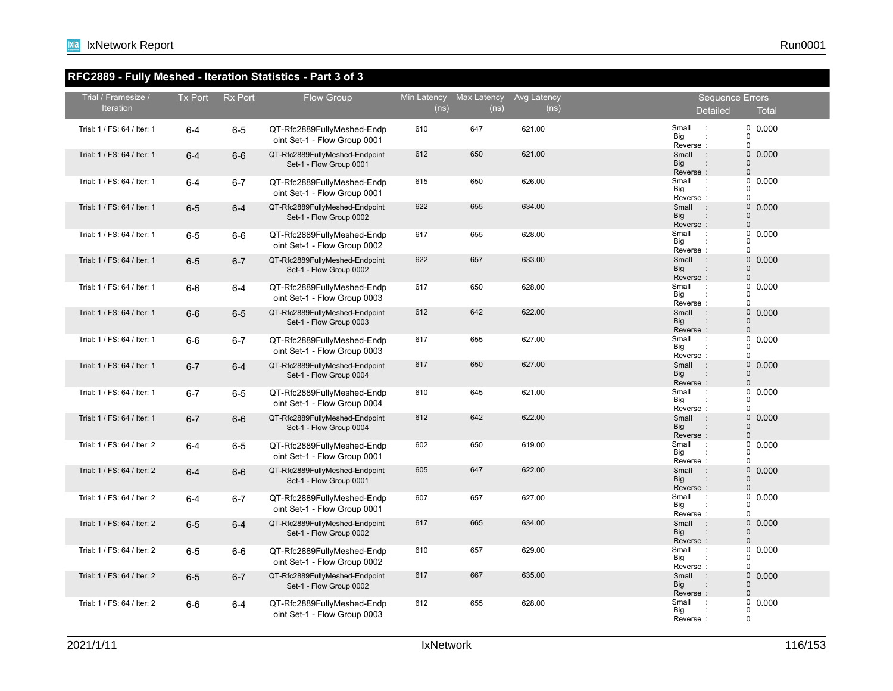# **RFC2889 - Fully Meshed - Iteration Statistics - Part 3 of 3**

| Trial / Framesize /<br><b>Iteration</b> | Tx Port | <b>Rx Port</b> | Flow Group                                                 | (ns) | Min Latency Max Latency<br>(ns) | Avg Latency<br>(ns) | <b>Sequence Errors</b><br><b>Detailed</b><br><b>Total</b>                                                |
|-----------------------------------------|---------|----------------|------------------------------------------------------------|------|---------------------------------|---------------------|----------------------------------------------------------------------------------------------------------|
| Trial: 1 / FS: 64 / Iter: 1             | $6 - 4$ | $6-5$          | QT-Rfc2889FullyMeshed-Endp<br>oint Set-1 - Flow Group 0001 | 610  | 647                             | 621.00              | 0 0.000<br>Small<br>$\therefore$<br>Big<br>$\Omega$<br>$\mathbf 0$<br>Reverse:                           |
| Trial: 1 / FS: 64 / Iter: 1             | $6 - 4$ | $6-6$          | QT-Rfc2889FullyMeshed-Endpoint<br>Set-1 - Flow Group 0001  | 612  | 650                             | 621.00              | $\mathbf{0}$<br>0.000<br>Small<br>$\sim$ 10<br>Big<br>$\Omega$<br>$\Omega$<br>Reverse:                   |
| Trial: 1 / FS: 64 / Iter: 1             | $6 - 4$ | $6 - 7$        | QT-Rfc2889FullyMeshed-Endp<br>oint Set-1 - Flow Group 0001 | 615  | 650                             | 626.00              | 0.000<br>Small<br>$\mathbf 0$<br>$\mathbb{R}^2$<br>Big<br>$\Omega$<br>$\Omega$<br>Reverse:               |
| Trial: 1 / FS: 64 / Iter: 1             | $6-5$   | $6 - 4$        | QT-Rfc2889FullyMeshed-Endpoint<br>Set-1 - Flow Group 0002  | 622  | 655                             | 634.00              | $\mathbf{0}$<br>0.000<br>Small<br>$\rightarrow$<br><b>Big</b><br>$\Omega$<br>$\mathbf 0$<br>Reverse:     |
| Trial: 1 / FS: 64 / Iter: 1             | $6-5$   | $6-6$          | QT-Rfc2889FullyMeshed-Endp<br>oint Set-1 - Flow Group 0002 | 617  | 655                             | 628.00              | Small<br>0.000<br>0<br>Big<br>0<br>$\mathbf 0$<br>Reverse:                                               |
| Trial: 1 / FS: 64 / Iter: 1             | $6-5$   | $6 - 7$        | QT-Rfc2889FullyMeshed-Endpoint<br>Set-1 - Flow Group 0002  | 622  | 657                             | 633.00              | $0$ $0.000$<br>Small<br>$\sim$ :<br><b>Big</b><br>$\Omega$<br>Reverse:<br>$\Omega$                       |
| Trial: 1 / FS: 64 / Iter: 1             | $6-6$   | $6 - 4$        | QT-Rfc2889FullyMeshed-Endp<br>oint Set-1 - Flow Group 0003 | 617  | 650                             | 628.00              | 0.000<br>Small<br>0<br>$\mathbb{R}^2$<br>Big<br>0<br>$\Omega$<br>Reverse:                                |
| Trial: 1 / FS: 64 / Iter: 1             | $6-6$   | $6 - 5$        | QT-Rfc2889FullyMeshed-Endpoint<br>Set-1 - Flow Group 0003  | 612  | 642                             | 622.00              | 0.000<br>$\mathbf{0}$<br>Small<br>$\rightarrow$<br>Big<br>$\mathbf 0$<br>$\Omega$<br>Reverse:            |
| Trial: 1 / FS: 64 / Iter: 1             | $6-6$   | $6 - 7$        | QT-Rfc2889FullyMeshed-Endp<br>oint Set-1 - Flow Group 0003 | 617  | 655                             | 627.00              | 0.000<br>Small<br>$\mathbf 0$<br>$\mathbb{R}^2$<br>Big<br>$\Omega$<br>Reverse:                           |
| Trial: 1 / FS: 64 / Iter: 1             | $6 - 7$ | $6 - 4$        | QT-Rfc2889FullyMeshed-Endpoint<br>Set-1 - Flow Group 0004  | 617  | 650                             | 627.00              | $\mathbf{0}$<br>0.000<br>$\rightarrow$<br>Small<br>$\mathbf{0}$<br><b>Big</b><br>Reverse:<br>$\mathbf 0$ |
| Trial: 1 / FS: 64 / Iter: 1             | $6 - 7$ | $6-5$          | QT-Rfc2889FullyMeshed-Endp<br>oint Set-1 - Flow Group 0004 | 610  | 645                             | 621.00              | 0.000<br>Small<br>0<br>$\cdot$ :<br>Big<br>$\Omega$<br>$\Omega$<br>Reverse:                              |
| Trial: 1 / FS: 64 / Iter: 1             | $6 - 7$ | $6-6$          | QT-Rfc2889FullyMeshed-Endpoint<br>Set-1 - Flow Group 0004  | 612  | 642                             | 622.00              | $0$ $0.000$<br>Small<br>$\sim$ 1<br><b>Big</b><br>$\Omega$<br>$\Omega$<br>Reverse:                       |
| Trial: 1 / FS: 64 / Iter: 2             | $6 - 4$ | $6-5$          | QT-Rfc2889FullyMeshed-Endp<br>oint Set-1 - Flow Group 0001 | 602  | 650                             | 619.00              | 0.000<br>Small<br>0<br>$\ddot{\phantom{a}}$<br>Big<br>$\Omega$<br>Reverse:<br>$\Omega$                   |
| Trial: 1 / FS: 64 / Iter: 2             | $6 - 4$ | $6-6$          | QT-Rfc2889FullyMeshed-Endpoint<br>Set-1 - Flow Group 0001  | 605  | 647                             | 622.00              | 0.000<br>$\mathbf{0}$<br>Small<br>$\sim$ 1<br><b>Big</b><br>$\Omega$<br>Reverse:<br>$\Omega$             |
| Trial: 1 / FS: 64 / Iter: 2             | $6 - 4$ | $6 - 7$        | QT-Rfc2889FullyMeshed-Endp<br>oint Set-1 - Flow Group 0001 | 607  | 657                             | 627.00              | 0.000<br>Small<br>0<br>$\cdot$ :<br>Big<br>$\Omega$<br>Reverse:<br>$\Omega$                              |
| Trial: 1 / FS: 64 / Iter: 2             | $6-5$   | $6 - 4$        | QT-Rfc2889FullyMeshed-Endpoint<br>Set-1 - Flow Group 0002  | 617  | 665                             | 634.00              | $\mathbf 0$<br>0.000<br>Small<br>$\rightarrow$<br><b>Big</b><br>$\Omega$<br>Reverse:<br>$\mathbf 0$      |
| Trial: 1 / FS: 64 / Iter: 2             | $6-5$   | $6-6$          | QT-Rfc2889FullyMeshed-Endp<br>oint Set-1 - Flow Group 0002 | 610  | 657                             | 629.00              | 0.000<br>Small<br>$\cdot$ :<br>0<br>Big<br>$\Omega$<br>$\Omega$<br>Reverse:                              |
| Trial: 1 / FS: 64 / Iter: 2             | $6-5$   | $6 - 7$        | QT-Rfc2889FullyMeshed-Endpoint<br>Set-1 - Flow Group 0002  | 617  | 667                             | 635.00              | $0$ $0.000$<br>$\rightarrow$<br>Small<br>Big<br>$\Omega$<br>$\Omega$<br>Reverse:                         |
| Trial: 1 / FS: 64 / Iter: 2             | $6-6$   | $6 - 4$        | QT-Rfc2889FullyMeshed-Endp<br>oint Set-1 - Flow Group 0003 | 612  | 655                             | 628.00              | Small<br>$\mathbf 0$<br>0.000<br>Big<br>$\Omega$<br>$\mathbf 0$<br>Reverse:                              |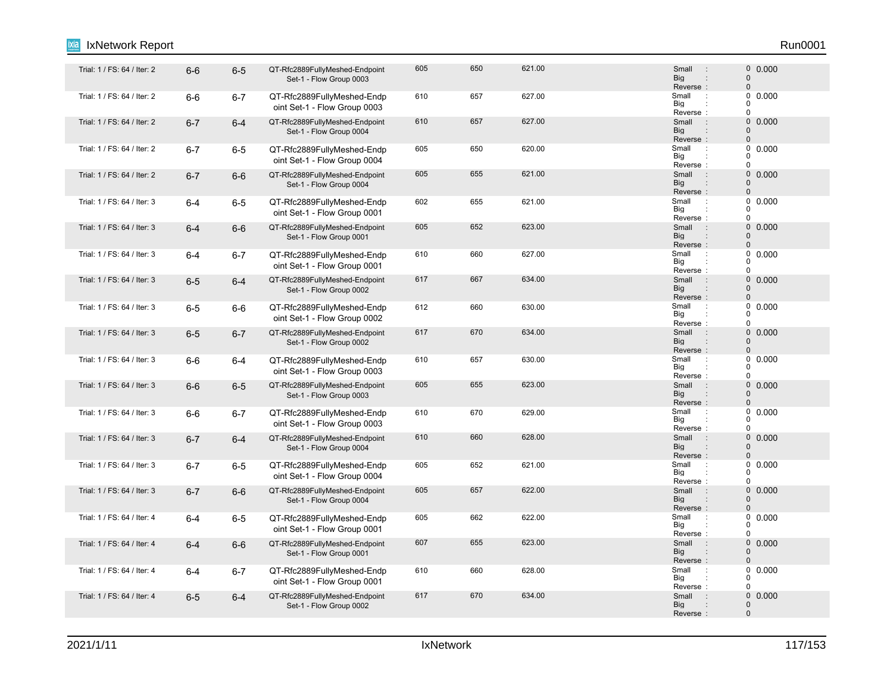#### Trial: 1 / FS: 64 / Iter: 2 6-6 6-5 QT-Rfc2889FullyMeshed-Endpoint 605 650 621.00 Small : 0 Set-1 - Flow Group 0003 605 650 621.00 600 600 5mail : 0 0.000 Reverse : Big Small 0 0 : : Trial: 1 / FS: 64 / Iter: 2 6-6 6-7 QT-Rfc2889FullyMeshed-Endp 610 657 627.00 Small : oint Set-1 - Flow Group 0003 610 657 627.00 Small : 0 0.000 Reverse Big 0  $\overline{0}$  $\Omega$ : : Trial: 1 / FS: 64 / Iter: 2 6-7 6-4 QT-Rfc2889FullyMeshed-Endpoint 610 657 627.00 Small : 0 Set-1 - Flow Group 0004 610 657 627.00 0.000 Big<br>Reverse : **Big** Small 0  $\Omega$ : Trial: 1 / FS: 64 / Iter: 2 6-7 6-5 QT-Rfc2889FullyMeshed-Endp 605 650 620.00 Small oint Set-1 - Flow Group 0004 605 650 620.00 Small 0.000 Reverse Big 0  $\begin{matrix}0\\0\end{matrix}$ 0 : : Trial: 1 / FS: 64 / Iter: 2 6-6 QT-Rfc2889FullyMeshed-Endpoint 605 655 621.00 Small 0 Set-1 - Flow Group 0004 605 655 621.00 **61.000 61.000 61.000 61.000 61.000 61.000** 60.000 61.000 61.000 61 Reverse : Big Small 0 0 : : Trial: 1 / FS: 64 / Iter: 3 6-4 6-5 QT-Rfc2889FullyMeshed-Endp 602 655 621.00 Small : oint Set-1 - Flow Group 0001 602 655 621.00 **Small 2.0000 602 612.0000** Reverse Big 0  $\begin{matrix}0\\0\end{matrix}$  $\Omega$ : : Trial: 1 / FS: 64 / Iter: 3 6-4 6-6 QT-Rfc2889FullyMeshed-Endpoint 605 623 623.00 Small : 0 Set-1 - Flow Group 0001 605 652 623.00 603 606 606 607 608 609 609 609 609 609 61 623.00 Reverse : Big Small  $\Omega$ 0 : : Trial: 1 / FS: 64 / Iter: 3 6-4 6-7 QT-Rfc2889FullyMeshed-Endp 610 660 627.00 Small : oint Set-1 - Flow Group 0001 610 660 627.00 Small 0.000 Reverse Big  $\Omega$  $\begin{matrix}0\\0\end{matrix}$  $\Omega$ : : Trial: 1 / FS: 64 / Iter: 3 6-5 6-4 QT-Rfc2889FullyMeshed-Endpoint 617 667 634.00 Small 0 Set-1 - Flow Group 0002 617 667 634.00 **Small** 9 630.00 **0.000** Reverse : Big Small  $\Omega$  $\Omega$ : : Trial: 1 / FS: 64 / Iter: 3 6-5 6-6 QT-Rfc2889FullyMeshed-Endp 612 660 630.00 Small : oint Set-1 - Flow Group 0002 612 660 630.00 630.00 Small : 0 0.000 Reverse : Big 0  $\Omega$  $\Omega$ : Trial: 1 / FS: 64 / Iter: 3 6-5 6-7 QT-Rfc2889FullyMeshed-Endpoint 617 670 634.00 Small : 0 Set-1 - Flow Group 0002 617 670 634.00 0.000 Reverse Big Small 0  $\Omega$ : : : Trial: 1 / FS: 64 / Iter: 3 6-6 6-4 QT-Rfc2889FullyMeshed-Endp 610 657 630.00 Small : oint Set-1 - Flow Group 0003 610 657 630.00 Small 0.000 Reverse Big 0  $\begin{matrix}0\\0\end{matrix}$  $\Omega$ : : Trial: 1 / FS: 64 / Iter: 3 6-6 6-5 QT-Rfc2889FullyMeshed-Endpoint 605 655 623.00 Small 0 Set-1 - Flow Group 0003 605 655 623.00 **Small** 9 60.000 Reverse : Big Small  $\Omega$  $\Omega$ : : Trial: 1 / FS: 64 / Iter: 3 6-6 6-7 QT-Rfc2889FullyMeshed-Endp 610 670 629.00 Small : oint Set-1 - Flow Group 0003 610 670 629.00 629.00 610 5mall 0.0000 Reverse Big 0  $\begin{matrix}0\\0\end{matrix}$  $\overline{0}$ : : Trial: 1 / FS: 64 / Iter: 3 6-7 6-4 QT-Rfc2889FullyMeshed-Endpoint 610 660 628.00 Small : 0 Set-1 - Flow Group 0004 610 660 628.00 0.000 Reverse : Big Small  $\Omega$ 0 : : Trial: 1 / FS: 64 / Iter: 3 6-7 6-5 QT-Rfc2889FullyMeshed-Endp 605 652 621.00 Small : oint Set-1 - Flow Group 0004 605 652 621.00 Small 0.000 Reverse Big 0  $\begin{matrix}0\\0\end{matrix}$ 0 : : Trial: 1 / FS: 64 / Iter: 3 6-6 QT-Rfc2889FullyMeshed-Endpoint 605 622.00 Small 0 Set-1 - Flow Group 0004 605 657 622.00 **61 622.00** 5mail : 0 0.000 Reverse : Big Small  $\Omega$  $\Omega$ : : 1 / FS: 64 / Iter: 4 6-4 6-5 QT-Rfc2889FullyMeshed-Endp 605 662 622.00 Small oint Set-1 - Flow Group 0001 605 662 622.00 **Small 2.0000** 605 602 662 622.00 Reverse Big 0  $\Omega$  $\Omega$ : : Trial: 1 / FS: 64 / Iter: 4 6-4 6-6 QT-Rfc2889FullyMeshed-Endpoint 607 655 623.00 Small : 0 Set-1 - Flow Group 0001 607 655 623.00 0.000 Reverse : Big Small 0  $\Omega$ : : Trial: 1 / FS: 64 / Iter: 4 6-4 6-7 QT-Rfc2889FullyMeshed-Endp 610 660 628.00 Small : oint Set-1 - Flow Group 0001 610 660 628.00 Small 0.000 Reverse Big 0  $\begin{array}{c} 0 \\ 0 \end{array}$  0.000  $\Omega$ : : Trial: 1 / FS: 64 / Iter: 4 6-5 6-4 QT-Rfc2889FullyMeshed-Endpoint 617 670 634.00 Small : 0 Set-1 - Flow Group 0002 617 670 634.00 634.00 Small : 0 0.000 Reverse : Big Small 0 0 : IxNetwork Report Run0001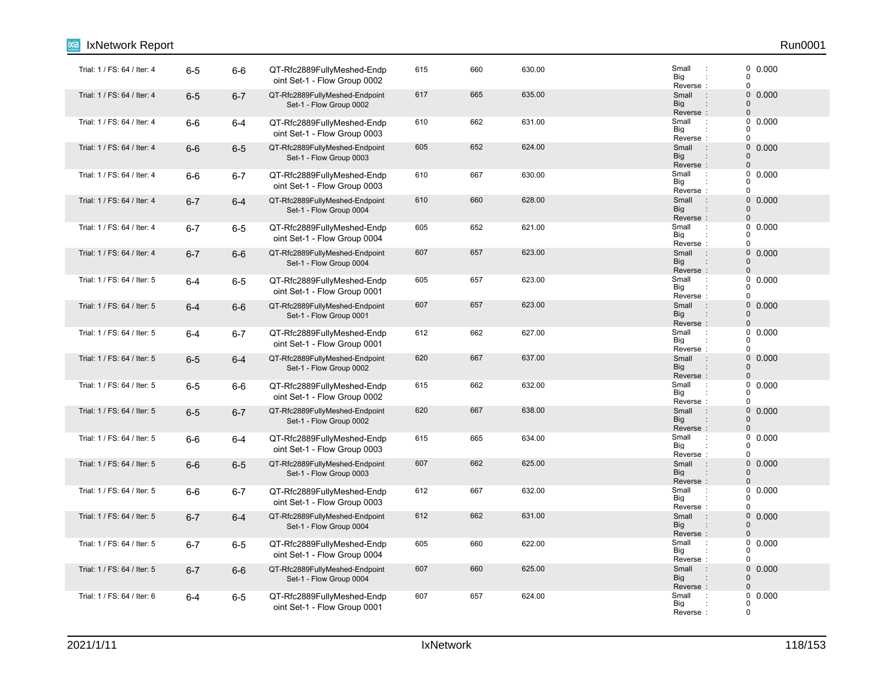| IxNetwork Report            |         |         |                                                            |     |     |        |                                                               | Run0001                                   |
|-----------------------------|---------|---------|------------------------------------------------------------|-----|-----|--------|---------------------------------------------------------------|-------------------------------------------|
| Trial: 1 / FS: 64 / Iter: 4 | $6-5$   | $6-6$   | QT-Rfc2889FullyMeshed-Endp<br>oint Set-1 - Flow Group 0002 | 615 | 660 | 630.00 | Small<br>$\cdot$<br>Big<br>Reverse:                           | 0.000<br>0<br>0                           |
| Trial: 1 / FS: 64 / Iter: 4 | $6-5$   | $6 - 7$ | QT-Rfc2889FullyMeshed-Endpoint<br>Set-1 - Flow Group 0002  | 617 | 665 | 635.00 | $\overline{\phantom{a}}$ :<br>Small<br>Big<br>Reverse:        | $\mathbf 0$<br>0.000<br>$\mathbf{0}$<br>0 |
| Trial: 1 / FS: 64 / Iter: 4 | $6-6$   | $6-4$   | QT-Rfc2889FullyMeshed-Endp<br>oint Set-1 - Flow Group 0003 | 610 | 662 | 631.00 | Small<br>$\cdot$ :<br>Big<br>Reverse:                         | 0<br>0.000<br>0<br>0                      |
| Trial: 1 / FS: 64 / Iter: 4 | $6-6$   | $6-5$   | QT-Rfc2889FullyMeshed-Endpoint<br>Set-1 - Flow Group 0003  | 605 | 652 | 624.00 | Small<br>$\sim$ 1<br><b>Big</b><br>Reverse:                   | $\mathbf 0$<br>0.000<br>0<br>$\mathbf 0$  |
| Trial: 1 / FS: 64 / Iter: 4 | $6-6$   | $6 - 7$ | QT-Rfc2889FullyMeshed-Endp<br>oint Set-1 - Flow Group 0003 | 610 | 667 | 630.00 | Small<br>$\cdot$<br>Big<br>Reverse:                           | 0<br>0.000<br>0<br>0                      |
| Trial: 1 / FS: 64 / Iter: 4 | $6 - 7$ | $6-4$   | QT-Rfc2889FullyMeshed-Endpoint<br>Set-1 - Flow Group 0004  | 610 | 660 | 628.00 | Small<br>$\therefore$<br><b>Big</b><br>Reverse:               | $\mathbf 0$<br>0.000<br>$\mathbf 0$<br>0  |
| Trial: 1 / FS: 64 / Iter: 4 | $6-7$   | $6-5$   | QT-Rfc2889FullyMeshed-Endp<br>oint Set-1 - Flow Group 0004 | 605 | 652 | 621.00 | Small<br>$\cdot$ :<br>Big<br>Reverse:                         | 0<br>0.000<br>0<br>0                      |
| Trial: 1 / FS: 64 / Iter: 4 | $6 - 7$ | $6-6$   | QT-Rfc2889FullyMeshed-Endpoint<br>Set-1 - Flow Group 0004  | 607 | 657 | 623.00 | Small<br>$\therefore$<br>Big<br>Reverse:                      | 0<br>0.000<br>$\Omega$<br>0               |
| Trial: 1 / FS: 64 / Iter: 5 | $6 - 4$ | $6-5$   | QT-Rfc2889FullyMeshed-Endp<br>oint Set-1 - Flow Group 0001 | 605 | 657 | 623.00 | Small<br>$\ddot{\phantom{a}}$<br>Big<br>Reverse:              | 0<br>0.000<br>0<br>0                      |
| Trial: 1 / FS: 64 / Iter: 5 | $6 - 4$ | $6-6$   | QT-Rfc2889FullyMeshed-Endpoint<br>Set-1 - Flow Group 0001  | 607 | 657 | 623.00 | Small<br>$\mathbb{R}^2$<br>Big<br>Reverse:                    | 0 0.000<br>$\overline{0}$<br>$\mathbf 0$  |
| Trial: 1 / FS: 64 / Iter: 5 | $6 - 4$ | $6 - 7$ | QT-Rfc2889FullyMeshed-Endp<br>oint Set-1 - Flow Group 0001 | 612 | 662 | 627.00 | Small<br>$\ddot{\phantom{a}}$<br>Big<br>Reverse:              | 0<br>0.000<br>0<br>0                      |
| Trial: 1 / FS: 64 / Iter: 5 | $6-5$   | $6-4$   | QT-Rfc2889FullyMeshed-Endpoint<br>Set-1 - Flow Group 0002  | 620 | 667 | 637.00 | Small<br>$\therefore$<br><b>Big</b><br>Reverse:               | 0<br>0.000<br>$\overline{0}$<br>0         |
| Trial: 1 / FS: 64 / Iter: 5 | $6-5$   | $6-6$   | QT-Rfc2889FullyMeshed-Endp<br>oint Set-1 - Flow Group 0002 | 615 | 662 | 632.00 | Small<br>$\cdot$<br>Big<br>Reverse:                           | 0.000<br>0<br>0<br>0                      |
| Trial: 1 / FS: 64 / Iter: 5 | $6-5$   | $6 - 7$ | QT-Rfc2889FullyMeshed-Endpoint<br>Set-1 - Flow Group 0002  | 620 | 667 | 638.00 | Small<br>$\sim$ 1<br>Big<br>Reverse:                          | $\mathbf 0$<br>0.000<br>$\Omega$<br>0     |
| Trial: 1 / FS: 64 / Iter: 5 | $6-6$   | $6-4$   | QT-Rfc2889FullyMeshed-Endp<br>oint Set-1 - Flow Group 0003 | 615 | 665 | 634.00 | Small<br>$\cdot$ :<br>Big<br>Reverse:                         | 0<br>0.000<br>0<br>$\Omega$               |
| Trial: 1 / FS: 64 / Iter: 5 | $6-6$   | $6-5$   | QT-Rfc2889FullyMeshed-Endpoint<br>Set-1 - Flow Group 0003  | 607 | 662 | 625.00 | $\sim$ 1.<br>Small<br>Big<br>$\ddot{\phantom{a}}$<br>Reverse: | 0<br>0.000<br>0<br>$\mathbf 0$            |
| Trial: 1 / FS: 64 / Iter: 5 | $6-6$   | $6 - 7$ | QT-Rfc2889FullyMeshed-Endp<br>oint Set-1 - Flow Group 0003 | 612 | 667 | 632.00 | Small<br>$\cdot$ :<br>Big<br>Reverse:                         | 0.000<br>0<br>0<br>0                      |
| Trial: 1 / FS: 64 / Iter: 5 | $6 - 7$ | $6 - 4$ | QT-Rfc2889FullyMeshed-Endpoint<br>Set-1 - Flow Group 0004  | 612 | 662 | 631.00 | Small<br>$\sim$ :<br><b>Big</b><br>Reverse:                   | $\mathbf 0$<br>0.000<br>$\mathbf 0$<br>0  |
| Trial: 1 / FS: 64 / Iter: 5 | $6 - 7$ | $6-5$   | QT-Rfc2889FullyMeshed-Endp<br>oint Set-1 - Flow Group 0004 | 605 | 660 | 622.00 | Small<br>$\ddot{\phantom{a}}$<br>Big<br>Reverse:              | 0.000<br>0<br>0<br>0                      |
| Trial: 1 / FS: 64 / Iter: 5 | $6 - 7$ | $6-6$   | QT-Rfc2889FullyMeshed-Endpoint<br>Set-1 - Flow Group 0004  | 607 | 660 | 625.00 | Small<br>$\therefore$<br><b>Big</b><br>Reverse:               | 0<br>0.000<br>0<br>0                      |
| Trial: 1 / FS: 64 / Iter: 6 | $6 - 4$ | $6-5$   | QT-Rfc2889FullyMeshed-Endp<br>oint Set-1 - Flow Group 0001 | 607 | 657 | 624.00 | Small<br>$\cdot$ :<br>Big<br>Reverse:                         | 0<br>0.000<br>0<br>0                      |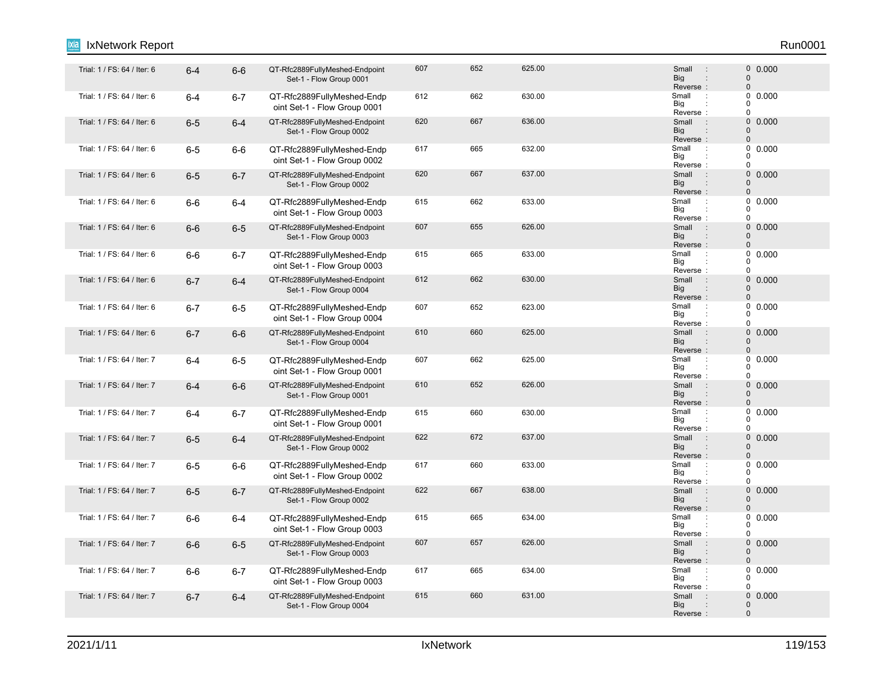#### Trial: 1 / FS: 64 / Iter: 6 6-4 6-6 QT-Rfc2889FullyMeshed-Endpoint 607 652 625.00 Small 0 Set-1 - Flow Group 0001 607 652 625.00 605 605 606 607 60000 607 60000 607 61 Reverse : Big Small 0 0 : : Trial: 1 / FS: 64 / Iter: 6 6-4 6-7 QT-Rfc2889FullyMeshed-Endp 612 662 630.00 Small : oint Set-1 - Flow Group 0001 612 662 630.00 **Small Defined Algebra** Small D 0.000 Reverse Big 0  $\overline{0}$  $\Omega$ : : Trial: 1 / FS: 64 / Iter: 6 6-5 6-4 QT-Rfc2889FullyMeshed-Endpoint 620 667 636.00 Small : 0 Set-1 - Flow Group 0002 620 667 636.00 6.000 Big<br>Reverse : **Big** Small 0  $\Omega$ : Trial: 1 / FS: 64 / Iter: 6 6-5 6-6 QT-Rfc2889FullyMeshed-Endp 617 665 632.00 S<br>Trial: 1 / FS: 64 / Iter: 6 6-5 6-6 QT-Rfc2889FullyMeshed-Endp 617 665 632.00 oint Set-1 - Flow Group 0002 617 665 632.00 Small 0.000 Reverse Big 0  $\begin{matrix}0\\0\end{matrix}$ 0 : : Trial: 1 / FS: 64 / Iter: 6 6-5 6-7 QT-Rfc2889FullyMeshed-Endpoint 620 667 637.00 Small : 0 Set-1 - Flow Group 0002 620 667 637.00 5mail 9 60000 Reverse : Big Small 0 0 : : Trial: 1 / FS: 64 / tler: 6 6-6 6-4 QT-Rfc2889FullyMeshed-Endp 615 662 633.00 Small : oint Set-1 - Flow Group 0003 615 662 633.00 Small : 0 0.000 Reverse Big 0  $\begin{matrix}0\\0\end{matrix}$  $\Omega$ : : Trial: 1 / FS: 64 / Iter: 6 6-6 6-5 QT-Rfc2889FullyMeshed-Endpoint 607 655 626.00 Small : 0 Set-1 - Flow Group 0003 607 655 626.00 0.000 Reverse : Big Small  $\Omega$ 0 : : Trial: 1 / FS: 64 / Iter: 6 6-6 6-7 QT-Rfc2889FullyMeshed-Endp 615 665 633.00 Small oint Set-1 - Flow Group 0003 615 665 633.00 Small 0.000 Reverse Big  $\Omega$  $\begin{matrix}0\\0\end{matrix}$  $\Omega$ : : Trial: 1 / FS: 64 / Iter: 6 6-7 6-4 QT-Rfc2889FullyMeshed-Endpoint 612 662 630.00 Small : 0 Set-1 - Flow Group 0004 612 662 630.00 630.00 612 5 631 631 642 631 642 631 642 643 644 642 643 643 651 6 Reverse : Big Small  $\Omega$  $\Omega$ : : 1 / FS: 64 / Iter: 6 6-7 6-5 QT-Rfc2889FullyMeshed-Endp 607 652 623.00 Small oint Set-1 - Flow Group 0004 607 652 623.00 **Small 2.0000** 607 60000 Reverse : Big 0  $\Omega$  $\theta$ : Trial: 1 / FS: 64 / Iter: 6 6-7 6-6 QT-Rfc2889FullyMeshed-Endpoint 610 660 625.00 Small : 0 Set-1 - Flow Group 0004 610 660 625.00 0.000 Reverse Big Small 0  $\Omega$ : : : Trial: 1 / FS: 64 / Iter: 7 6-4 6-5 QT-Rfc2889FullyMeshed-Endp 607 662 625.00 Small : oint Set-1 - Flow Group 0001 607 662 625.00 Small 0.000 Reverse Big 0  $\begin{matrix}0\\0\end{matrix}$  $\Omega$ : : Trial: 1 / FS: 64 / Iter: 7 6-6 QT-Rfc2889FullyMeshed-Endpoint 610 626 626.00 Small 0 Set-1 - Flow Group 0001 610 652 626.00 6652 626.00 610 610 611 626.00 610 611 626.00 611 626.00 611 626.00 611 627 628.00 61 62 60 61 Reverse : Big Small  $\Omega$  $\Omega$ : : Trial: 1 / FS: 64 / Iter: 7 6-4 6-7 QT-Rfc2889FullyMeshed-Endp 615 660 630.00 Small : oint Set-1 - Flow Group 0001 615 660 630.00 630.00 5mail 9 60.000 Reverse Big 0  $\begin{matrix}0\\0\end{matrix}$  $\overline{0}$ : : Trial: 1 / FS: 64 / Iter: 7 6-5 6-4 QT-Rfc2889FullyMeshed-Endpoint 622 672 637.00 Small : 0 Set-1 - Flow Group 0002 622 672 637.00 **672 637.00** 627 637.00 Reverse : Big Small  $\Omega$ 0 : : Trial: 1 / FS: 64 / Iter: 7 6-5 6-6 QT-Rfc2889FullyMeshed-Endp 617 660 633.00 Small : oint Set-1 - Flow Group 0002 617 660 633.00 Small 0.000 Reverse Big 0  $\begin{matrix}0\\0\end{matrix}$ 0 : : Trial: 1 / FS: 64 / Iter: 7 6-5 6-7 QT-Rfc2889FullyMeshed-Endpoint 622 667 638.00 Small 0 Set-1 - Flow Group 0002 622 667 638.00 **Small** 9 630.00 **CONTENT SMALL** 60 0.000 Reverse : Big Small  $\Omega$  $\Omega$ : : Trial: 1 / FS: 64 / Iter: 7 6-6 6-4 QT-Rfc2889FullyMeshed-Endp 615 665 634.00 Small : oint Set-1 - Flow Group 0003 615 665 634.00 Small : 0 0.000 Reverse Big 0  $\Omega$  $\Omega$ : : Trial: 1 / FS: 64 / Iter: 7 6-6 6-5 QT-Rfc2889FullyMeshed-Endpoint 607 657 626.00 Small : 0 Set-1 - Flow Group 0003 607 657 626.00 0.000 Reverse : Big Small 0  $\Omega$ : : Trial: 1 / FS: 64 / Iter: 7 6-6 6-7 QT-Rfc2889FullyMeshed-Endp 617 665 634.00 Small : oint Set-1 - Flow Group 0003 617 665 634.00 **Small 1 665 634.00** Reverse Big 0  $\begin{array}{c} 0 \\ 0 \end{array}$  0.000  $\Omega$ : : Trial: 1 / FS: 64 / Iter: 7 6-7 6-4 QT-Rfc2889FullyMeshed-Endpoint 615 660 631.00 Small 0 Set-1 - Flow Group 0004 615 660 631.00 631.00 500 631.00 615 Reverse : Big Small 0 0 : IxNetwork Report Run0001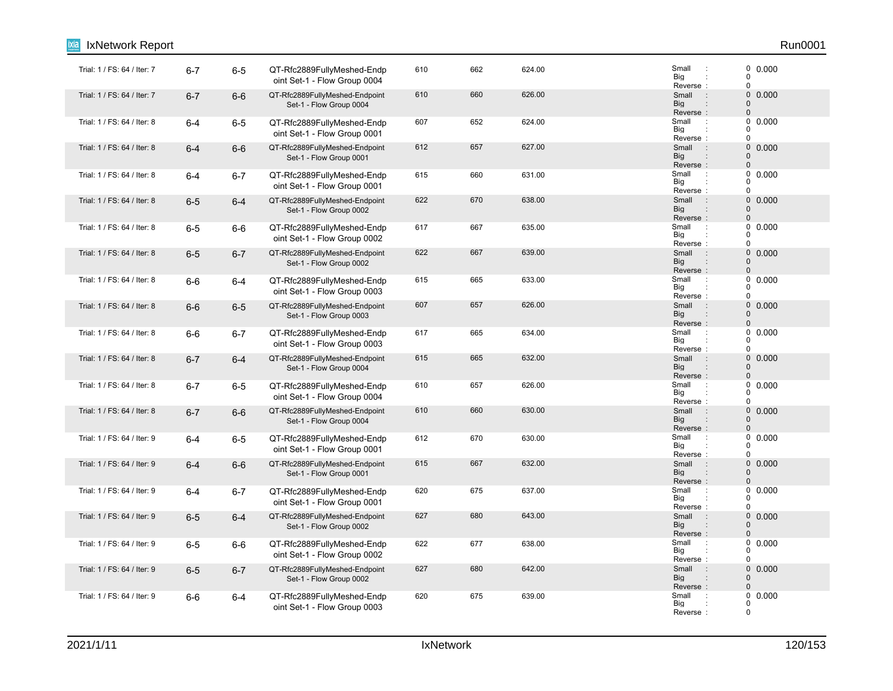| IxNetwork Report            |         |         |                                                            |     |     |        |                                                                      | Run0001                                         |
|-----------------------------|---------|---------|------------------------------------------------------------|-----|-----|--------|----------------------------------------------------------------------|-------------------------------------------------|
| Trial: 1 / FS: 64 / Iter: 7 | $6 - 7$ | $6-5$   | QT-Rfc2889FullyMeshed-Endp<br>oint Set-1 - Flow Group 0004 | 610 | 662 | 624.00 | Small<br>$\cdot$<br>Big<br>Reverse:                                  | 0.000<br>0<br>0                                 |
| Trial: 1 / FS: 64 / Iter: 7 | $6 - 7$ | $6-6$   | QT-Rfc2889FullyMeshed-Endpoint<br>Set-1 - Flow Group 0004  | 610 | 660 | 626.00 | $\overline{\phantom{a}}$ :<br>Small<br>Big<br>Reverse:               | $\mathbf 0$<br>0.000<br>$\overline{0}$<br>0     |
| Trial: 1 / FS: 64 / Iter: 8 | $6-4$   | $6-5$   | QT-Rfc2889FullyMeshed-Endp<br>oint Set-1 - Flow Group 0001 | 607 | 652 | 624.00 | Small<br>$\cdot$ :<br>Big<br>Reverse:                                | 0<br>0.000<br>0<br>0                            |
| Trial: 1 / FS: 64 / Iter: 8 | $6 - 4$ | $6-6$   | QT-Rfc2889FullyMeshed-Endpoint<br>Set-1 - Flow Group 0001  | 612 | 657 | 627.00 | Small<br>$\sim$ 1<br><b>Big</b><br>Reverse:                          | $\mathbf 0$<br>0.000<br>$\mathbf 0$<br>$\Omega$ |
| Trial: 1 / FS: 64 / Iter: 8 | $6 - 4$ | $6 - 7$ | QT-Rfc2889FullyMeshed-Endp<br>oint Set-1 - Flow Group 0001 | 615 | 660 | 631.00 | Small<br>$\ddot{\phantom{a}}$<br>Big<br>Reverse:                     | 0<br>0.000<br>0<br>0                            |
| Trial: 1 / FS: 64 / Iter: 8 | $6-5$   | $6 - 4$ | QT-Rfc2889FullyMeshed-Endpoint<br>Set-1 - Flow Group 0002  | 622 | 670 | 638.00 | Small<br>$\therefore$<br>Big<br>Reverse:                             | $\mathbf 0$<br>0.000<br>$\Omega$<br>0           |
| Trial: 1 / FS: 64 / Iter: 8 | $6-5$   | $6-6$   | QT-Rfc2889FullyMeshed-Endp<br>oint Set-1 - Flow Group 0002 | 617 | 667 | 635.00 | Small<br>$\ddot{\phantom{a}}$<br>Big<br>Reverse:                     | 0<br>0.000<br>0<br>0                            |
| Trial: 1 / FS: 64 / Iter: 8 | $6-5$   | $6 - 7$ | QT-Rfc2889FullyMeshed-Endpoint<br>Set-1 - Flow Group 0002  | 622 | 667 | 639.00 | $\pm$<br>Small<br><b>Big</b><br>Reverse:                             | $\mathbf 0$<br>0.000<br>$\Omega$<br>0           |
| Trial: 1 / FS: 64 / Iter: 8 | $6-6$   | $6-4$   | QT-Rfc2889FullyMeshed-Endp<br>oint Set-1 - Flow Group 0003 | 615 | 665 | 633.00 | Small<br>$\ddot{\phantom{a}}$<br>Big<br>Reverse:                     | 0.000<br>0<br>0<br>0                            |
| Trial: 1 / FS: 64 / Iter: 8 | $6-6$   | $6-5$   | QT-Rfc2889FullyMeshed-Endpoint<br>Set-1 - Flow Group 0003  | 607 | 657 | 626.00 | Small<br>$\sim$ 1<br><b>Big</b><br>Reverse:                          | 0 0.000<br>0<br>0                               |
| Trial: 1 / FS: 64 / Iter: 8 | $6-6$   | $6 - 7$ | QT-Rfc2889FullyMeshed-Endp<br>oint Set-1 - Flow Group 0003 | 617 | 665 | 634.00 | Small<br>$\ddot{\phantom{a}}$<br>Big<br>Reverse:                     | 0<br>0.000<br>0<br>0                            |
| Trial: 1 / FS: 64 / Iter: 8 | $6 - 7$ | $6-4$   | QT-Rfc2889FullyMeshed-Endpoint<br>Set-1 - Flow Group 0004  | 615 | 665 | 632.00 | Small<br>$\therefore$<br>Big<br>Reverse:                             | $\mathbf 0$<br>0.000<br>0<br>0                  |
| Trial: 1 / FS: 64 / Iter: 8 | $6 - 7$ | $6-5$   | QT-Rfc2889FullyMeshed-Endp<br>oint Set-1 - Flow Group 0004 | 610 | 657 | 626.00 | Small<br>$\cdot$<br>Big<br>Reverse:                                  | 0.000<br>0<br>0<br>0                            |
| Trial: 1 / FS: 64 / Iter: 8 | $6 - 7$ | $6-6$   | QT-Rfc2889FullyMeshed-Endpoint<br>Set-1 - Flow Group 0004  | 610 | 660 | 630.00 | Small<br>$\sim$ 1<br><b>Big</b><br>Reverse:                          | $\mathbf 0$<br>0.000<br>0<br>0                  |
| Trial: 1 / FS: 64 / Iter: 9 | $6 - 4$ | $6-5$   | QT-Rfc2889FullyMeshed-Endp<br>oint Set-1 - Flow Group 0001 | 612 | 670 | 630.00 | Small<br>$\cdot$<br>Big<br>Reverse:                                  | 0<br>0.000<br>$\Omega$<br>0                     |
| Trial: 1 / FS: 64 / Iter: 9 | $6 - 4$ | $6-6$   | QT-Rfc2889FullyMeshed-Endpoint<br>Set-1 - Flow Group 0001  | 615 | 667 | 632.00 | Small<br>$\sim 10$<br><b>Big</b><br>$\ddot{\phantom{a}}$<br>Reverse: | $\mathbf 0$<br>0.000<br>0<br>$\Omega$           |
| Trial: 1 / FS: 64 / Iter: 9 | $6 - 4$ | $6-7$   | QT-Rfc2889FullyMeshed-Endp<br>oint Set-1 - Flow Group 0001 | 620 | 675 | 637.00 | Small<br>$\cdot$<br>Big<br>Reverse:                                  | 0<br>0.000<br>0<br>0                            |
| Trial: 1 / FS: 64 / Iter: 9 | $6-5$   | $6 - 4$ | QT-Rfc2889FullyMeshed-Endpoint<br>Set-1 - Flow Group 0002  | 627 | 680 | 643.00 | Small<br>$\sim$<br><b>Big</b><br>Reverse:                            | 0<br>0.000<br>$\mathbf 0$<br>$\mathbf{0}$       |
| Trial: 1 / FS: 64 / Iter: 9 | $6-5$   | $6-6$   | QT-Rfc2889FullyMeshed-Endp<br>oint Set-1 - Flow Group 0002 | 622 | 677 | 638.00 | Small<br>$\cdot$<br>Big<br>Reverse:                                  | 0,0.000<br>0<br>0                               |
| Trial: 1 / FS: 64 / Iter: 9 | $6-5$   | $6 - 7$ | QT-Rfc2889FullyMeshed-Endpoint<br>Set-1 - Flow Group 0002  | 627 | 680 | 642.00 | $\pm$<br>Small<br>Big<br>Reverse:                                    | 0<br>0.000<br>0<br>0                            |
| Trial: 1 / FS: 64 / Iter: 9 | 6-6     | $6-4$   | QT-Rfc2889FullyMeshed-Endp<br>oint Set-1 - Flow Group 0003 | 620 | 675 | 639.00 | Small<br>÷<br>Big<br>Reverse:                                        | 0.000<br>0<br>0<br>0                            |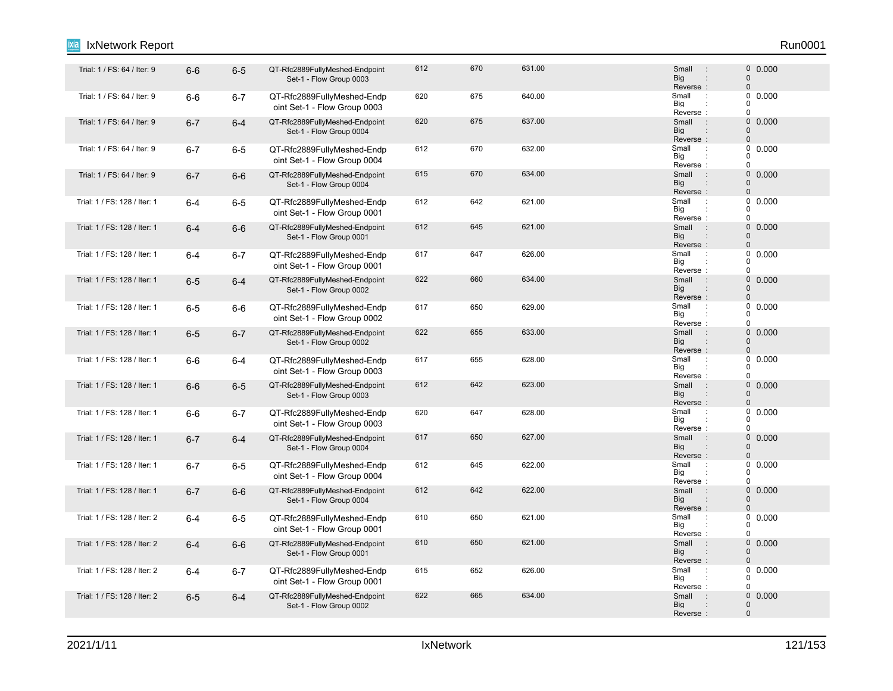#### 6-6 6-5 QT-Rfc2889FullyMeshed-Endpoint Trial: 1 / FS: 64 / Iter: 9 : 0 Set-1 - Flow Group 0003 612 670 631.00 631.00 5mail 9 60.000 Reverse : Big Small 0 0 : : Trial: 1 / FS: 64 / Iter: 9 6-6 6-7 QT-Rfc2889FullyMeshed-Endp 620 675 640.00 Small : oint Set-1 - Flow Group 0003 620 675 640.00 **Small 1 6 640.00** Reverse Big  $\overline{0}$  $\overline{0}$  $\Omega$ : : Trial: 1 / FS: 64 / Iter: 9 6-7 6-4 QT-Rfc2889FullyMeshed-Endpoint 620 675 637.00 Small : 0 Set-1 - Flow Group 0004 620 675 637.00 637.00 620 637.00 620 620 637.00 620 637.00 637.00 637.00 637.00 6 Big<br>Reverse : **Big** Small 0  $\Omega$ : Trial: 1 / FS: 64 / Iter: 9 6-7 6-5 QT-Rfc2889FullyMeshed-Endp 612 670 632.00 Small oint Set-1 - Flow Group 0004 612 670 632.00 Small 0.000 Reverse Big  $\Omega$  $\begin{matrix}0\\0\end{matrix}$ 0 : : Trial: 1 / FS: 64 / Iter: 9 6-7 6-6 QT-Rfc2889FullyMeshed-Endpoint 615 670 634.00 Small : 0 Set-1 - Flow Group 0004 615 670 634.00 5mail 9 60.000 Reverse : Big Small 0 0 : : Trial: 1 / FS: 128 / Iter: 1 6-4 6-5 QT-Rfc2889FullyMeshed-Endp 612 642 621.00 Small : oint Set-1 - Flow Group 0001 612 642 621.00 Small : 0 0.000 Reverse Big  $\Omega$  $\begin{matrix}0\\0\end{matrix}$  $\Omega$ : : 1 / 1 / FS: 128 / Iter: 1 6-4 6-6 QT-Rfc2889FullyMeshed-Endpoint 612 645 621.00 Small 0 Set-1 - Flow Group 0001 612 645 621.00 **621.00** 612 621.00 Reverse : Big Small  $\Omega$ 0 : : "Trial: 1 / FS: 128 / Iter: 1 6-4 6-7 QT-Rfc2889FullyMeshed-Endp 617 647 626.00 Small oint Set-1 - Flow Group 0001 617 647 626.00 Small : 0 0.000 Reverse Big  $\Omega$  $\begin{matrix}0\\0\end{matrix}$  $\Omega$ : : 1 Trial: 1 / FS: 128 / Iter: 1 6-5 6-4 QT-Rfc2889FullyMeshed-Endpoint 622 660 634.00 Small 0 Set-1 - Flow Group 0002 622 660 634.00 634.00 5 Small : 0 0.000 Reverse : Big Small  $\Omega$  $\Omega$ : : 1 / FS: 128 / Iter: 1 6-5 6-6 QT-Rfc2889FullyMeshed-Endp 617 650 629.00 Small oint Set-1 - Flow Group 0002 617 650 629.00 629.00 600 5mail 9 60.000 Big<br>Reverse : Big 0  $\Omega$  $\theta$ 1 Trial: 1 / FS: 128 / Iter: 1 6-5 6-7 QT-Rfc2889FullyMeshed-Endpoint 622 655 633.00 Small : 0 Set-1 - Flow Group 0002 622 655 633.00 Small : 0 0.000 Reverse Big Small 0  $\Omega$ : : : Trial: 1 / FS: 128 / Iter: 1 6-6 6-4 QT-Rfc2889FullyMeshed-Endp 617 655 628.00 Small : oint Set-1 - Flow Group 0003 617 655 628.00 Small 0.000 Reverse Big 0  $\begin{matrix}0\\0\end{matrix}$  $\Omega$ : : 6-6 6-5 QT-Rfc2889FullyMeshed-Endpoint Trial: 1 / FS: 128 / Iter: 1 : 0 Set-1 - Flow Group 0003 612 642 623.00 **Small** 9 612 623.00 Reverse : Big Small  $\Omega$  $\Omega$ : : 1 / FS: 128 / Iter: 1 6-6 6-7 QT-Rfc2889FullyMeshed-Endp 620 647 628.00 Small oint Set-1 - Flow Group 0003 620 647 628.00 Small : 0 0.000 Reverse Big 0  $\begin{matrix}0\\0\end{matrix}$  $\overline{0}$ : : Trial: 1 / FS: 128 / Iter: 1 6-7 6-4 QT-Rfc2889FullyMeshed-Endpoint 617 650 627.00 Small : 0 Set-1 - Flow Group 0004 617 650 627.00 0.000 Reverse : Big Small  $\Omega$ 0 : : Trial: 1 / FS: 128 / Iter: 1 6-7 6-5 QT-Rfc2889FullyMeshed-Endp 612 622.00 Small oint Set-1 - Flow Group 0004 612 645 622.00 **Small 2.0000** 645 622.00 Reverse Big 0  $\begin{matrix}0\\0\end{matrix}$ 0 : : 6-7 6-6 QT-Rfc2889FullyMeshed-Endpoint Trial: 1 / FS: 128 / Iter: 1 : 0 Set-1 - Flow Group 0004 612 642 622.00 **Small** 9 612 Reverse : Big Small  $\Omega$  $\Omega$ : : Trial: 1 / FS: 128 / Iter: 2 6-4 6-5 QT-Rfc2889FullyMeshed-Endp 610 650 621.00 Small : oint Set-1 - Flow Group 0001 610 650 621.00 650 621.00 610 5mail 9 60.000 610 Reverse Big 0  $\Omega$  $\theta$ : : Trial: 1 / FS: 128 / Iter: 2 6-4 6-6 QT-Rfc2889FullyMeshed-Endpoint 610 650 621.00 Small : 0 Set-1 - Flow Group 0001 610 650 621.00 0.000 Reverse : Big Small 0  $\Omega$ : : Trial: 1 / FS: 128 / Iter: 2 6-4 6-7 QT-Rfc2889FullyMeshed-Endp 615 626.00 Small oint Set-1 - Flow Group 0001 615 652 626.00 **Small 1 6.0000** 615 Reverse Big 0  $\begin{array}{c} 0 \\ 0 \end{array}$  0.000  $\Omega$ : : Trial: 1 / FS: 128 / Iter: 2 6-5 6-4 QT-Rfc2889FullyMeshed-Endpoint 622 665 634.00 Small 0 Set-1 - Flow Group 0002 622 665 634.00 **Small** 9 630 634.00 Reverse : Big Small 0 0 : IxNetwork Report Run0001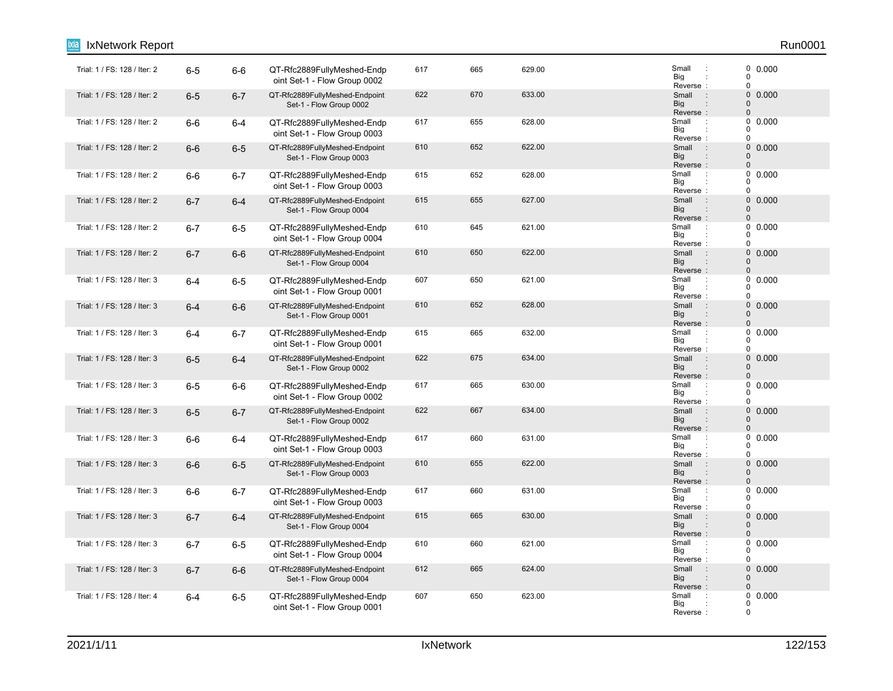| IxNetwork Report             |         |         |                                                            |     |     |        |                                                                      | Run0001                                                    |
|------------------------------|---------|---------|------------------------------------------------------------|-----|-----|--------|----------------------------------------------------------------------|------------------------------------------------------------|
| Trial: 1 / FS: 128 / Iter: 2 | $6-5$   | $6-6$   | QT-Rfc2889FullyMeshed-Endp<br>oint Set-1 - Flow Group 0002 | 617 | 665 | 629.00 | Small<br>$\cdot$<br>Big<br>Reverse:                                  | 0 0.000<br>$\pmb{0}$<br>$\mathbf 0$                        |
| Trial: 1 / FS: 128 / Iter: 2 | $6-5$   | $6 - 7$ | QT-Rfc2889FullyMeshed-Endpoint<br>Set-1 - Flow Group 0002  | 622 | 670 | 633.00 | Small<br>$\sim$ 1<br><b>Big</b><br>Reverse:                          | 0<br>0.000<br>$\pmb{0}$<br>$\pmb{0}$                       |
| Trial: 1 / FS: 128 / Iter: 2 | $6-6$   | $6 - 4$ | QT-Rfc2889FullyMeshed-Endp<br>oint Set-1 - Flow Group 0003 | 617 | 655 | 628.00 | Small<br>$\cdot$ :<br>Big<br>Reverse:                                | 0<br>0.000<br>$\Omega$<br>$\mathbf 0$                      |
| Trial: 1 / FS: 128 / Iter: 2 | $6-6$   | $6-5$   | QT-Rfc2889FullyMeshed-Endpoint<br>Set-1 - Flow Group 0003  | 610 | 652 | 622.00 | $\sim$ 1.<br>Small<br><b>Big</b><br>$\ddot{\phantom{a}}$<br>Reverse: | $\mathsf{O}\xspace$<br>0.000<br>$\mathbf 0$<br>$\mathbf 0$ |
| Trial: 1 / FS: 128 / Iter: 2 | $6-6$   | $6 - 7$ | QT-Rfc2889FullyMeshed-Endp<br>oint Set-1 - Flow Group 0003 | 615 | 652 | 628.00 | Small<br>$\cdot$ :<br>Big<br>Reverse:                                | $\mathbf 0$<br>0.000<br>0<br>$\mathbf 0$                   |
| Trial: 1 / FS: 128 / Iter: 2 | $6 - 7$ | $6 - 4$ | QT-Rfc2889FullyMeshed-Endpoint<br>Set-1 - Flow Group 0004  | 615 | 655 | 627.00 | Small<br>$\pm$<br><b>Big</b><br>$\ddot{\phantom{a}}$<br>Reverse:     | 0<br>0.000<br>$\mathbf 0$<br>$\pmb{0}$                     |
| Trial: 1 / FS: 128 / Iter: 2 | $6 - 7$ | $6-5$   | QT-Rfc2889FullyMeshed-Endp<br>oint Set-1 - Flow Group 0004 | 610 | 645 | 621.00 | Small<br>$\ddot{\phantom{a}}$<br>Big<br>Reverse:                     | 0<br>0.000<br>0<br>$\pmb{0}$                               |
| Trial: 1 / FS: 128 / Iter: 2 | $6 - 7$ | $6-6$   | QT-Rfc2889FullyMeshed-Endpoint<br>Set-1 - Flow Group 0004  | 610 | 650 | 622.00 | Small<br>$\pm$<br>Big<br>Reverse:                                    | $\mathbf 0$<br>0.000<br>$\mathbf 0$<br>$\Omega$            |
| Trial: 1 / FS: 128 / Iter: 3 | $6 - 4$ | $6-5$   | QT-Rfc2889FullyMeshed-Endp<br>oint Set-1 - Flow Group 0001 | 607 | 650 | 621.00 | Small<br>$\ddot{\phantom{a}}$<br>Big<br>Reverse:                     | $\pmb{0}$<br>0.000<br>$\mathbf 0$<br>$\pmb{0}$             |
| Trial: 1 / FS: 128 / Iter: 3 | $6 - 4$ | $6-6$   | QT-Rfc2889FullyMeshed-Endpoint<br>Set-1 - Flow Group 0001  | 610 | 652 | 628.00 | Small<br>$\sim$<br>Big<br>Reverse:                                   | 0 0.000<br>$\mathbf 0$<br>0                                |
| Trial: 1 / FS: 128 / Iter: 3 | $6 - 4$ | $6 - 7$ | QT-Rfc2889FullyMeshed-Endp<br>oint Set-1 - Flow Group 0001 | 615 | 665 | 632.00 | Small<br>$\ddot{\phantom{a}}$<br>Big<br>Reverse:                     | $\pmb{0}$<br>0.000<br>0<br>$\pmb{0}$                       |
| Trial: 1 / FS: 128 / Iter: 3 | $6-5$   | $6 - 4$ | QT-Rfc2889FullyMeshed-Endpoint<br>Set-1 - Flow Group 0002  | 622 | 675 | 634.00 | Small<br>$\cdot$ :<br><b>Big</b><br>$\ddot{\phantom{a}}$<br>Reverse: | 0<br>0.000<br>$\mathbf 0$<br>$\pmb{0}$                     |
| Trial: 1 / FS: 128 / Iter: 3 | $6-5$   | $6-6$   | QT-Rfc2889FullyMeshed-Endp<br>oint Set-1 - Flow Group 0002 | 617 | 665 | 630.00 | Small<br>Big<br>Reverse:                                             | 0.000<br>0<br>0<br>$\pmb{0}$                               |
| Trial: 1 / FS: 128 / Iter: 3 | $6-5$   | $6 - 7$ | QT-Rfc2889FullyMeshed-Endpoint<br>Set-1 - Flow Group 0002  | 622 | 667 | 634.00 | Small<br>$\pm$<br>Big<br>Reverse:                                    | $\mathsf{O}\xspace$<br>0.000<br>$\Omega$<br>$\pmb{0}$      |
| Trial: 1 / FS: 128 / Iter: 3 | $6-6$   | $6 - 4$ | QT-Rfc2889FullyMeshed-Endp<br>oint Set-1 - Flow Group 0003 | 617 | 660 | 631.00 | Small<br>$\ddot{\phantom{a}}$<br>Big<br>Reverse:                     | $\pmb{0}$<br>0.000<br>0<br>$\mathbf 0$                     |
| Trial: 1 / FS: 128 / Iter: 3 | $6-6$   | $6-5$   | QT-Rfc2889FullyMeshed-Endpoint<br>Set-1 - Flow Group 0003  | 610 | 655 | 622.00 | Small<br>$\sim$ 1.<br>Big<br>$\ddot{\phantom{a}}$<br>Reverse:        | 0<br>0.000<br>$\pmb{0}$<br>$\mathbf 0$                     |
| Trial: 1 / FS: 128 / Iter: 3 | $6-6$   | $6 - 7$ | QT-Rfc2889FullyMeshed-Endp<br>oint Set-1 - Flow Group 0003 | 617 | 660 | 631.00 | Small<br>$\cdot$<br>Big<br>Reverse:                                  | 0.000<br>0<br>0<br>$\mathbf 0$                             |
| Trial: 1 / FS: 128 / Iter: 3 | $6 - 7$ | $6 - 4$ | QT-Rfc2889FullyMeshed-Endpoint<br>Set-1 - Flow Group 0004  | 615 | 665 | 630.00 | $\sim$ 1.<br>Small<br>Big<br>$\ddot{\phantom{a}}$<br>Reverse:        | $\mathsf{O}\xspace$<br>0.000<br>0<br>$\pmb{0}$             |
| Trial: 1 / FS: 128 / Iter: 3 | $6 - 7$ | $6-5$   | QT-Rfc2889FullyMeshed-Endp<br>oint Set-1 - Flow Group 0004 | 610 | 660 | 621.00 | Small<br>$\cdot$<br>Big<br>Reverse:                                  | 0<br>0.000<br>0<br>$\mathbf 0$                             |
| Trial: 1 / FS: 128 / Iter: 3 | $6 - 7$ | $6-6$   | QT-Rfc2889FullyMeshed-Endpoint<br>Set-1 - Flow Group 0004  | 612 | 665 | 624.00 | Small<br>$\mathbf{r}$<br>Big<br>Reverse:                             | $\mathbf 0$<br>0.000<br>0<br>$\mathbf{0}$                  |
| Trial: 1 / FS: 128 / Iter: 4 | $6 - 4$ | $6-5$   | QT-Rfc2889FullyMeshed-Endp<br>oint Set-1 - Flow Group 0001 | 607 | 650 | 623.00 | Small<br>Big<br>Reverse:                                             | $\mathbf 0$<br>0.000<br>0<br>$\mathbf 0$                   |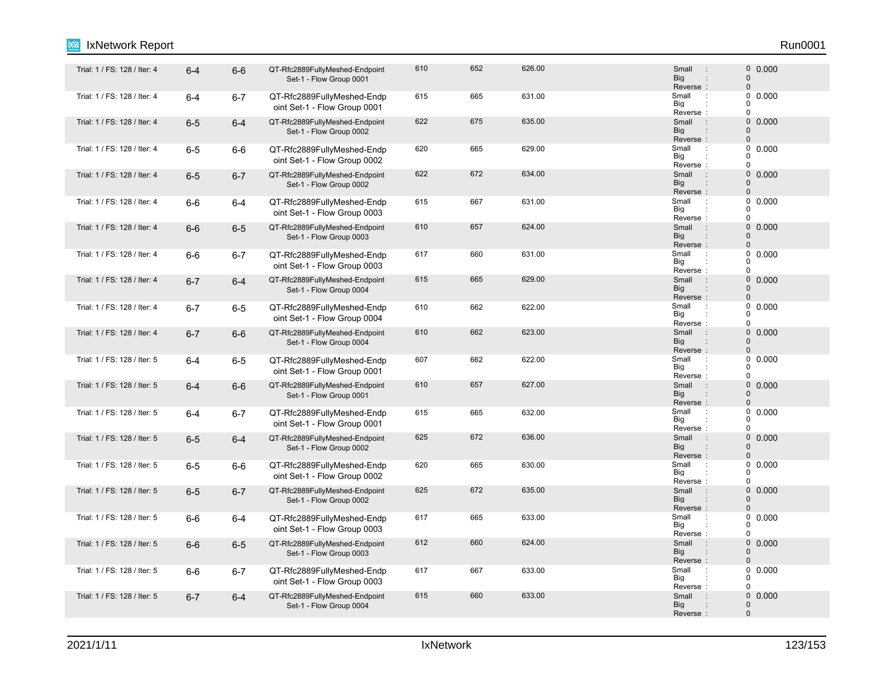#### 6-4 6-6 QT-Rfc2889FullyMeshed-Endpoint Trial: 1 / FS: 128 / Iter: 4 : 0 Set-1 - Flow Group 0001 610 652 626.00 666 626.00 610 626.00 610 610 610 626.00 610 626.00 610 626.00 610 626.000 626.000 626.000 626. Reverse : Big Small 0 0 : : Trial: 1 / FS: 128 / Iter: 4 6-4 6-7 QT-Rfc2889FullyMeshed-Endp 615 665 631.00 Small : oint Set-1 - Flow Group 0001 615 665 631.00 Small : 0 0.000 Reverse Big  $\overline{0}$  $\overline{0}$  $\Omega$ : : Trial: 1 / FS: 128 / Iter: 4 6-5 6-4 QT-Rfc2889FullyMeshed-Endpoint 622 675 635.00 Small : 0 Set-1 - Flow Group 0002 622 675 635.00 635.00 685.00 68 695.00 686 697 687 698 698 698 698 698 698 698 6 Big<br>Reverse : **Big** Small 0  $\Omega$ : "Trial: 1 / FS: 128 / Iter: 4 6-5 6-6 QT-Rfc2889FullyMeshed-Endp 620 665 629.00 S<br>Trial: 1 / FS: 128 / Iter: 4 6 -5 6-6 QT-Rfc2889FullyMeshed-Endp 620 665 629.00 oint Set-1 - Flow Group 0002 620 665 629.00 **Small 9.1 Small 0.000** Reverse Big  $\Omega$  $\begin{matrix}0\\0\end{matrix}$ 0 : : 1 Trial: 1 / FS: 128 / Iter: 4 6-5 6-7 QT-Rfc2889FullyMeshed-Endpoint 622 672 634.00 Small 0 Set-1 - Flow Group 0002 622 672 634.00 **Small 2012 622 634.00** Reverse : Big Small 0 0 : : "Trial: 1 / FS: 128 / Iter: 4 6-6 6-4 QT-Rfc2889FullyMeshed-Endp 615 667 631.00 Small oint Set-1 - Flow Group 0003 615 667 631.00 **Small 1 667 631.00** Reverse Big  $\Omega$  $\begin{matrix}0\\0\end{matrix}$  $\Omega$ : : 1. Trial: 1 / FS: 128 / Iter: 4 6-6 6-5 QT-Rfc2889FullyMeshed-Endpoint 610 657 624.00 Small : 0 Set-1 - Flow Group 0003 610 657 624.00 0.000 Reverse : Big Small  $\Omega$ 0 : : "Trial: 1 / FS: 128 / Iter: 4 6-6 6-7 QT-Rfc2889FullyMeshed-Endp 617 660 631.00 Small oint Set-1 - Flow Group 0003 617 660 631.00 Small 0.000 Reverse Big  $\Omega$  $\begin{matrix}0\\0\end{matrix}$  $\Omega$ : : Trial: 1 / FS: 128 / Iter: 4 6-7 6-4 QT-Rfc2889FullyMeshed-Endpoint 615 665 629.00 Small : 0 Set-1 - Flow Group 0004 615 665 629.00 **615** 670.000 **616** Reverse : Big Small  $\Omega$  $\Omega$ : : Trial: 1 / FS: 128 / Iter: 4 **6-7 6-5 QT-Rfc2889FullyMeshed-Endp** 610 662 622.00 Small : oint Set-1 - Flow Group 0004 610 662 622.00 **Small 2.0000 610** 610 Big<br>Reverse : Big 0  $\Omega$  $\Omega$ Trial: 1 / FS: 128 / Iter: 4 6-7 6-6 QT-Rfc2889FullyMeshed-Endpoint 610 662 623.00 Small : 0 Set-1 - Flow Group 0004 610 662 623.00 662 623.00 610 623.00 610 610 623 623 623 623 623 623 623 623 623 6 Reverse Big Small 0  $\Omega$ : : : Trial: 1 / FS: 128 / Iter: 5 6-4 6-5 QT-Rfc2889FullyMeshed-Endp 607 662 622.00 Small oint Set-1 - Flow Group 0001 607 662 622.00 Small 0.000 Reverse Big 0  $0$  $\Omega$ : : Trial: 1 / FS: 128 / Iter: 5 6-4 6-6 QT-Rfc2889FullyMeshed-Endpoint 610 657 627.00 Small 0 Set-1 - Flow Group 0001 610 657 627.00 6657 627.00 Reverse : Big Small  $\Omega$  $\Omega$ : : Trial: 1 / FS: 128 / Iter: 5 **6-4 6-7 QT-Rfc2889FullyMeshed-Endp** 665 632.00 Small : oint Set-1 - Flow Group 0001 615 665 632.00 Small : 0 0.000 Reverse Big 0  $\begin{matrix}0\\0\end{matrix}$  $\overline{0}$ : : Trial: 1 / FS: 128 / Iter: 5 6-5 6-4 QT-Rfc2889FullyMeshed-Endpoint 625 672 636.00 Small : 0 Set-1 - Flow Group 0002 625 672 636.00 **672 636.00** 626.00 626 626 627 638.00 627 638.00 627 638.00 627 6 Reverse<br>Small Big Small  $\Omega$ 0 : : : "Trial: 1 / FS: 128 / Iter: 5 6-5 6-6 QT-Rfc2889FullyMeshed-Endp 620 665 630.00 Small oint Set-1 - Flow Group 0002 620 665 630.00 665 630.00 5mail 0.000 665 Reverse Big 0  $\Omega$ 0 : : 1 Trial: 1 / FS: 128 / Iter: 5 6-5 6-7 QT-Rfc2889FullyMeshed-Endpoint 625 672 635.00 Small 0 Set-1 - Flow Group 0002 625 672 635.00 **672 631.00** 625 639.00 **120 631.00 625** 672 635.00 Reverse : Big Small  $\Omega$  $\Omega$ : : "Trial: 1 / FS: 128 / Iter: 5 6-6 6-4 QT-Rfc2889FullyMeshed-Endp 617 665 633.00 Small oint Set-1 - Flow Group 0003 617 665 633.00 Small : 0 0.000 Reverse Big 0  $\Omega$  $\Omega$ : : Trial: 1 / FS: 128 / Iter: 5 6-6 6-5 QT-Rfc2889FullyMeshed-Endpoint 612 660 624.00 Small : 0 Set-1 - Flow Group 0003 612 660 624.00 5mail 9 60000 624.00 Reverse : Big Small 0  $\Omega$ : : Trial: 1 / FS: 128 / Iter: 5 6-6 6-7 QT-Rfc2889FullyMeshed-Endp 617 667 633.00 Small : oint Set-1 - Flow Group 0003 617 667 633.00 Small : 0 0.000 Reverse Big 0  $\begin{array}{c} 0 \\ 0 \end{array}$  0.000  $\Omega$ : : Trial: 1 / FS: 128 / Iter: 5 6-7 6-4 QT-Rfc2889FullyMeshed-Endpoint 615 660 633.00 Small 0 Set-1 - Flow Group 0004 615 660 633.00 **615** 660 633.00 Big Small  $\Omega$ 0 :

IxNetwork Report Run0001

Reverse :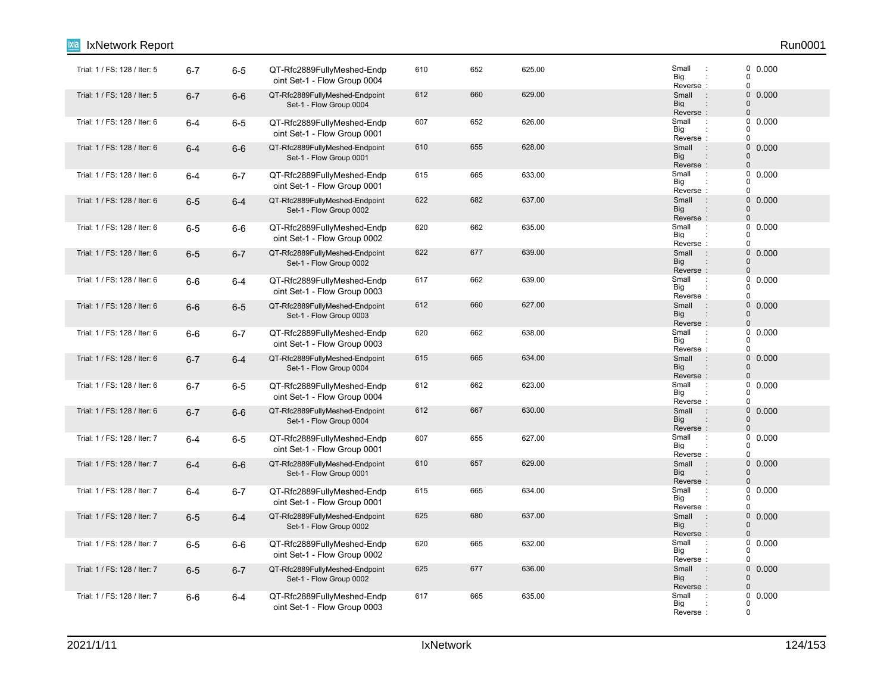| <b>IxNetwork Report</b>      |         |         |                                                            |     |     |        |                                                                      | Run0001                                             |
|------------------------------|---------|---------|------------------------------------------------------------|-----|-----|--------|----------------------------------------------------------------------|-----------------------------------------------------|
| Trial: 1 / FS: 128 / Iter: 5 | $6 - 7$ | $6-5$   | QT-Rfc2889FullyMeshed-Endp<br>oint Set-1 - Flow Group 0004 | 610 | 652 | 625.00 | Small<br>$\cdot$<br>Big<br>Reverse:                                  | 0 0.000<br>$\pmb{0}$<br>$\mathbf 0$                 |
| Trial: 1 / FS: 128 / Iter: 5 | $6 - 7$ | $6-6$   | QT-Rfc2889FullyMeshed-Endpoint<br>Set-1 - Flow Group 0004  | 612 | 660 | 629.00 | $\sim$ 1<br>Small<br>Big<br>$\ddot{\phantom{a}}$<br>Reverse:         | 0<br>0.000<br>$\mathbf{0}$<br>$\pmb{0}$             |
| Trial: 1 / FS: 128 / Iter: 6 | $6 - 4$ | $6-5$   | QT-Rfc2889FullyMeshed-Endp<br>oint Set-1 - Flow Group 0001 | 607 | 652 | 626.00 | Small<br>$\cdot$ :<br>Big<br>Reverse:                                | 0<br>0.000<br>0<br>$\mathbf 0$                      |
| Trial: 1 / FS: 128 / Iter: 6 | $6 - 4$ | $6-6$   | QT-Rfc2889FullyMeshed-Endpoint<br>Set-1 - Flow Group 0001  | 610 | 655 | 628.00 | Small<br>$\pm$<br>Big<br>:<br>Reverse:                               | $\mathsf{O}\xspace$<br>0.000<br>0<br>$\overline{0}$ |
| Trial: 1 / FS: 128 / Iter: 6 | $6 - 4$ | $6 - 7$ | QT-Rfc2889FullyMeshed-Endp<br>oint Set-1 - Flow Group 0001 | 615 | 665 | 633.00 | Small<br>$\ddot{\phantom{a}}$<br>Big<br>Reverse:                     | 0.000<br>0<br>$\Omega$<br>$\pmb{0}$                 |
| Trial: 1 / FS: 128 / Iter: 6 | $6-5$   | $6 - 4$ | QT-Rfc2889FullyMeshed-Endpoint<br>Set-1 - Flow Group 0002  | 622 | 682 | 637.00 | Small<br>$\div$<br>Big<br>Reverse:                                   | $\mathsf{O}\xspace$<br>0.000<br>0<br>$\pmb{0}$      |
| Trial: 1 / FS: 128 / Iter: 6 | $6-5$   | $6-6$   | QT-Rfc2889FullyMeshed-Endp<br>oint Set-1 - Flow Group 0002 | 620 | 662 | 635.00 | Small<br>$\ddot{\phantom{a}}$<br>Big<br>Reverse:                     | 0<br>0.000<br>$\Omega$<br>$\mathbf 0$               |
| Trial: 1 / FS: 128 / Iter: 6 | $6-5$   | $6 - 7$ | QT-Rfc2889FullyMeshed-Endpoint<br>Set-1 - Flow Group 0002  | 622 | 677 | 639.00 | Small<br>$\therefore$<br><b>Big</b><br>Reverse:                      | 0<br>0.000<br>$\Omega$<br>$\mathbf 0$               |
| Trial: 1 / FS: 128 / Iter: 6 | $6-6$   | $6 - 4$ | QT-Rfc2889FullyMeshed-Endp<br>oint Set-1 - Flow Group 0003 | 617 | 662 | 639.00 | Small<br>$\cdot$ :<br>Big<br>Reverse:                                | 0<br>0.000<br>$\Omega$<br>$\pmb{0}$                 |
| Trial: 1 / FS: 128 / Iter: 6 | $6-6$   | $6-5$   | QT-Rfc2889FullyMeshed-Endpoint<br>Set-1 - Flow Group 0003  | 612 | 660 | 627.00 | Small<br>$\bigodot$<br><b>Big</b><br>Reverse:                        | 0 0.000<br>$\mathbf 0$<br>$\pmb{0}$                 |
| Trial: 1 / FS: 128 / Iter: 6 | $6-6$   | $6 - 7$ | QT-Rfc2889FullyMeshed-Endp<br>oint Set-1 - Flow Group 0003 | 620 | 662 | 638.00 | Small<br>$\ddot{\phantom{a}}$<br>Big<br>Reverse:                     | $\pmb{0}$<br>0.000<br>0<br>$\pmb{0}$                |
| Trial: 1 / FS: 128 / Iter: 6 | $6 - 7$ | $6 - 4$ | QT-Rfc2889FullyMeshed-Endpoint<br>Set-1 - Flow Group 0004  | 615 | 665 | 634.00 | Small<br>$\pm$<br><b>Big</b><br>$\ddot{\phantom{a}}$<br>Reverse:     | 0<br>0.000<br>$\pmb{0}$<br>$\mathbf 0$              |
| Trial: 1 / FS: 128 / Iter: 6 | $6 - 7$ | $6-5$   | QT-Rfc2889FullyMeshed-Endp<br>oint Set-1 - Flow Group 0004 | 612 | 662 | 623.00 | Small<br>$\ddot{\phantom{a}}$<br>Big<br>Reverse:                     | 0.000<br>0<br>$\Omega$<br>$\pmb{0}$                 |
| Trial: 1 / FS: 128 / Iter: 6 | $6 - 7$ | $6-6$   | QT-Rfc2889FullyMeshed-Endpoint<br>Set-1 - Flow Group 0004  | 612 | 667 | 630.00 | Small<br>$\sim$ 1<br><b>Big</b><br>Reverse:                          | 0<br>0.000<br>$\mathbf 0$<br>$\pmb{0}$              |
| Trial: 1 / FS: 128 / Iter: 7 | $6 - 4$ | $6-5$   | QT-Rfc2889FullyMeshed-Endp<br>oint Set-1 - Flow Group 0001 | 607 | 655 | 627.00 | Small<br>$\cdot$<br>Big<br>Reverse:                                  | 0<br>0.000<br>$\Omega$<br>$\Omega$                  |
| Trial: 1 / FS: 128 / Iter: 7 | $6 - 4$ | $6-6$   | QT-Rfc2889FullyMeshed-Endpoint<br>Set-1 - Flow Group 0001  | 610 | 657 | 629.00 | Small<br>$\sim 10$<br><b>Big</b><br>$\ddot{\phantom{a}}$<br>Reverse: | 0<br>0.000<br>$\pmb{0}$<br>$\Omega$                 |
| Trial: 1 / FS: 128 / Iter: 7 | $6 - 4$ | $6 - 7$ | QT-Rfc2889FullyMeshed-Endp<br>oint Set-1 - Flow Group 0001 | 615 | 665 | 634.00 | Small<br>$\cdot$<br>Big<br>Reverse:                                  | 0<br>0.000<br>0<br>$\pmb{0}$                        |
| Trial: 1 / FS: 128 / Iter: 7 | $6-5$   | $6 - 4$ | QT-Rfc2889FullyMeshed-Endpoint<br>Set-1 - Flow Group 0002  | 625 | 680 | 637.00 | Small<br>$\pm$<br>Big<br>$\ddot{\phantom{a}}$<br>Reverse:            | 0<br>0.000<br>0<br>$\mathbf{0}$                     |
| Trial: 1 / FS: 128 / Iter: 7 | $6-5$   | $6-6$   | QT-Rfc2889FullyMeshed-Endp<br>oint Set-1 - Flow Group 0002 | 620 | 665 | 632.00 | Small<br>$\cdot$<br>Big<br>Reverse:                                  | 0<br>0.000<br>0<br>$\pmb{0}$                        |
| Trial: 1 / FS: 128 / Iter: 7 | $6-5$   | $6 - 7$ | QT-Rfc2889FullyMeshed-Endpoint<br>Set-1 - Flow Group 0002  | 625 | 677 | 636.00 | Small<br>$\div$<br><b>Big</b><br>Reverse:                            | $\mathbf 0$<br>0.000<br>$\mathbf 0$<br>$\pmb{0}$    |
| Trial: 1 / FS: 128 / Iter: 7 | $6-6$   | $6 - 4$ | QT-Rfc2889FullyMeshed-Endp<br>oint Set-1 - Flow Group 0003 | 617 | 665 | 635.00 | Small<br>÷<br>Big<br>Reverse:                                        | 0.000<br>0<br>$\mathbf 0$<br>$\mathbf 0$            |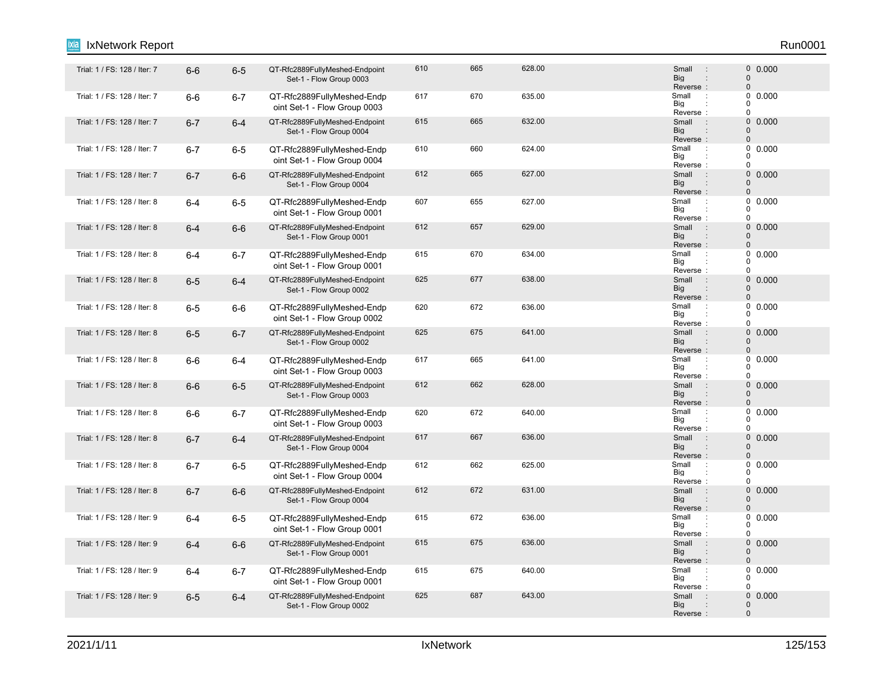#### 6-6 6-5 QT-Rfc2889FullyMeshed-Endpoint Trial: 1 / FS: 128 / Iter: 7 : 0 Set-1 - Flow Group 0003 610 665 628.00 0.000 Reverse : Big Small 0 0 : : Trial: 1 / FS: 128 / Iter: 7 6-6 6-7 QT-Rfc2889FullyMeshed-Endp 617 670 635.00 Small : oint Set-1 - Flow Group 0003 617 670 635.00 635.00 Small : 0 0.000 Reverse Big  $\overline{0}$  $\overline{0}$  $\Omega$ : : Trial: 1 / FS: 128 / Iter: 7 6-7 6-4 QT-Rfc2889FullyMeshed-Endpoint 615 665 632.00 Small : 0 Set-1 - Flow Group 0004 615 665 632.00 0.000 Big<br>Reverse : **Big** Small 0  $\Omega$ : "Trial: 1 / FS: 128 / Iter: 7 6-7 6-5 QT-Rfc2889FullyMeshed-Endp 610 660 624.00 5<br>Trial: 1 / FS: 128 / Iter: 7 6 -7 6-5 QT-Rfc2889FullyMeshed-Endp oint Set-1 - Flow Group 0004 610 660 624.00 Small 0.000 Reverse Big  $\Omega$  $\begin{matrix}0\\0\end{matrix}$ 0 : : Trial: 1 / FS: 128 / Iter: 7 6-7 6-6 QT-Rfc2889FullyMeshed-Endpoint 612 665 627.00 Small : 0 Set-1 - Flow Group 0004 612 665 627.00 **Small : 0 0.000** Reverse : Big Small 0 0 : : Trial: 1 / FS: 128 / Iter: 8 6-4 6-5 QT-Rfc2889FullyMeshed-Endp 607 655 627.00 Small : oint Set-1 - Flow Group 0001 607 655 627.00 Small : 0 0.000 Reverse Big  $\Omega$  $\begin{matrix}0\\0\end{matrix}$  $\Omega$ : : Trial: 1 / FS: 128 / Iter: 8 6-4 6-6 QT-Rfc2889FullyMeshed-Endpoint 612 657 629.00 Small : 0 Set-1 - Flow Group 0001 612 657 629.00 0.000 Reverse : Big Small  $\Omega$ 0 : : Trial: 1 / FS: 128 / Iter: 8 6-4 6-7 QT-Rfc2889FullyMeshed-Endp 615 670 634.00 Shall :<br>Trial: 1 / FS: 128 / Iter: 8 6-4 6-7 QT-Rfc2889FullyMeshed-Endp 615 oint Set-1 - Flow Group 0001 615 670 634.00 Small 0.000 Reverse Big  $\Omega$  $\begin{matrix}0\\0\end{matrix}$  $\Omega$ : : Trial: 1 / FS: 128 / Iter: 8 6-5 6-4 QT-Rfc2889FullyMeshed-Endpoint 625 677 638.00 Small 0 Set-1 - Flow Group 0002 625 677 638.00 Small : 0 0.000 Reverse : Big Small  $\Omega$  $\Omega$ : : Trial: 1 / FS: 128 / Iter: 8 6-5 6-6 QT-Rfc2889FullyMeshed-Endp 620 672 636.00 Small : oint Set-1 - Flow Group 0002 620 672 636.00 Small : 0 0.000 Big<br>Reverse : Big 0  $\Omega$  $\theta$ 1 Trial: 1 / FS: 128 / Iter: 8 6-5 6-7 QT-Rfc2889FullyMeshed-Endpoint 625 675 641.00 Small 0 Set-1 - Flow Group 0002 625 675 641.00 Small : 0 0.000 Reverse Big Small 0  $\Omega$ : : 6-6 6-4 QT-Rfc2889FullyMeshed-Endp Trial: 1 / FS: 128 / Iter: 8 : oint Set-1 - Flow Group 0003 617 665 641.00 **Small 1 665 641.00** Reverse Big 0  $0$  $\Omega$ : : 6-6 6-5 QT-Rfc2889FullyMeshed-Endpoint Trial: 1 / FS: 128 / Iter: 8 : 0 Set-1 - Flow Group 0003 612 662 628.00 628.00 5 Small : 0 0.000 Reverse : Big Small  $\Omega$  $\Omega$ : : Trial: 1 / FS: 128 / Iter: 8 6-6 6-7 QT-Rfc2889FullyMeshed-Endp 620 672 640.00 Small : oint Set-1 - Flow Group 0003 620 672 640.00 **Small 1 6 640.00** Reverse Big 0  $\begin{matrix}0\\0\end{matrix}$  $\overline{0}$ : : Trial: 1 / FS: 128 / Iter: 8 6-7 6-4 QT-Rfc2889FullyMeshed-Endpoint 617 667 636.00 Small : 0 Set-1 - Flow Group 0004 617 667 636.00 0.000 Reverse<br>Small Big Small  $\Omega$ 0 : : 6-7 6-5 QT-Rfc2889FullyMeshed-Endp Trial: 1 / FS: 128 / Iter: 8 : oint Set-1 - Flow Group 0004 612 662 625.00 662 67 Small : 0 0.000 Reverse Big 0  $\Omega$ 0 : : 6-7 6-6 QT-Rfc2889FullyMeshed-Endpoint Trial: 1 / FS: 128 / Iter: 8 : 0 Set-1 - Flow Group 0004 612 672 631.00 676 678 678 679 68 672 631.00 Reverse : Big Small  $\Omega$  $\Omega$ : : Trial: 1 / FS: 128 / Iter: 9 6-4 6-5 QT-Rfc2889FullyMeshed-Endp 615 672 636.00 Small : oint Set-1 - Flow Group 0001 615 672 636.00 Small : 0 0.000 Reverse Big 0  $\Omega$  $\theta$ : : 1. Trial: 1 / FS: 128 / Iter: 9 6-4 6-6 QT-Rfc2889FullyMeshed-Endpoint 615 675 636.00 Small : 0 Set-1 - Flow Group 0001 615 675 636.00 0.000 Reverse : Big Small 0  $\Omega$ : : Trial: 1 / FS: 128 / Iter: 9 6-4 6-7 QT-Rfc2889FullyMeshed-Endp 615 640.00 Small oint Set-1 - Flow Group 0001 615 675 640.00 **Small 1 610.000** Reverse Big 0  $\begin{array}{c} 0 \\ 0 \end{array}$  0.000  $\Omega$ : : Trial: 1 / FS: 128 / Iter: 9 6-5 6-4 QT-Rfc2889FullyMeshed-Endpoint 625 687 643.00 Small 0 Set-1 - Flow Group 0002 625 687 643.00 **Small** 9 640.00 Reverse : Big Small  $\Omega$ 0 : IxNetwork Report Run0001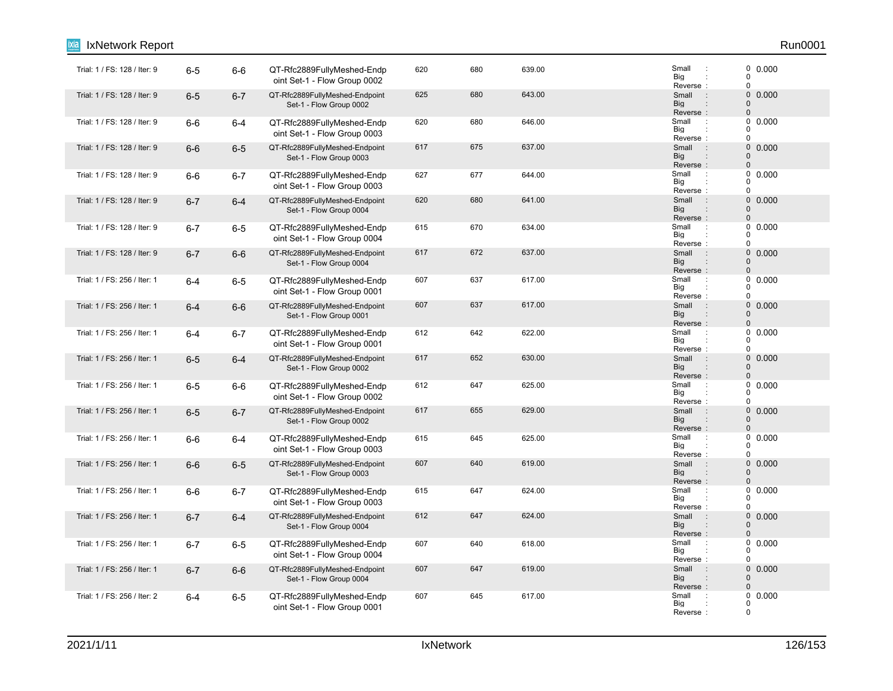| IxNetwork Report             |         |         |                                                            |     |     |        |                                                                                 | Run0001                                                             |
|------------------------------|---------|---------|------------------------------------------------------------|-----|-----|--------|---------------------------------------------------------------------------------|---------------------------------------------------------------------|
| Trial: 1 / FS: 128 / Iter: 9 | $6-5$   | $6-6$   | QT-Rfc2889FullyMeshed-Endp<br>oint Set-1 - Flow Group 0002 | 620 | 680 | 639.00 | Small<br>$\ddot{\phantom{a}}$<br>Big<br>Reverse:                                | $\begin{smallmatrix} 0 & 0.000 \ 0 & \end{smallmatrix}$<br>$\Omega$ |
| Trial: 1 / FS: 128 / Iter: 9 | $6-5$   | $6 - 7$ | QT-Rfc2889FullyMeshed-Endpoint<br>Set-1 - Flow Group 0002  | 625 | 680 | 643.00 | Small<br>$\sim$ 1.<br><b>Big</b><br>Reverse:                                    | $\pmb{0}$<br>0.000<br>$\mathbf 0$<br>$\mathbf 0$                    |
| Trial: 1 / FS: 128 / Iter: 9 | $6-6$   | $6-4$   | QT-Rfc2889FullyMeshed-Endp<br>oint Set-1 - Flow Group 0003 | 620 | 680 | 646.00 | Small<br>$\cdot$<br>Big<br>Reverse:                                             | 0<br>0.000<br>$\Omega$<br>$\Omega$                                  |
| Trial: 1 / FS: 128 / Iter: 9 | $6-6$   | $6-5$   | QT-Rfc2889FullyMeshed-Endpoint<br>Set-1 - Flow Group 0003  | 617 | 675 | 637.00 | $\sim$ 1 $\sim$<br>Small<br><b>Big</b><br>$\ddot{\phantom{a}}$<br>Reverse:      | $\pmb{0}$<br>0.000<br>$\mathbf 0$<br>$\Omega$                       |
| Trial: 1 / FS: 128 / Iter: 9 | $6-6$   | $6-7$   | QT-Rfc2889FullyMeshed-Endp<br>oint Set-1 - Flow Group 0003 | 627 | 677 | 644.00 | Small<br>Big<br>Reverse:                                                        | 0.000<br>0<br>$\Omega$<br>$\Omega$                                  |
| Trial: 1 / FS: 128 / Iter: 9 | $6 - 7$ | $6 - 4$ | QT-Rfc2889FullyMeshed-Endpoint<br>Set-1 - Flow Group 0004  | 620 | 680 | 641.00 | Small<br>$\ddot{\phantom{a}}$<br><b>Big</b><br>$\ddot{\phantom{a}}$<br>Reverse: | 0<br>0.000<br>$\mathbf 0$<br>$\mathbf 0$                            |
| Trial: 1 / FS: 128 / Iter: 9 | $6 - 7$ | $6-5$   | QT-Rfc2889FullyMeshed-Endp<br>oint Set-1 - Flow Group 0004 | 615 | 670 | 634.00 | Small<br>$\ddot{\phantom{a}}$<br>Big<br>Reverse:                                | 0<br>0.000<br>0<br>$\Omega$                                         |
| Trial: 1 / FS: 128 / Iter: 9 | $6 - 7$ | $6-6$   | QT-Rfc2889FullyMeshed-Endpoint<br>Set-1 - Flow Group 0004  | 617 | 672 | 637.00 | Small<br>$\ddot{\phantom{a}}$<br><b>Big</b><br>Reverse:                         | $\pmb{0}$<br>0.000<br>$\mathbf 0$<br>$\Omega$                       |
| Trial: 1 / FS: 256 / Iter: 1 | $6 - 4$ | $6-5$   | QT-Rfc2889FullyMeshed-Endp<br>oint Set-1 - Flow Group 0001 | 607 | 637 | 617.00 | Small<br>$\ddot{\phantom{a}}$<br>Big<br>Reverse:                                | 0<br>0.000<br>$\mathbf 0$<br>$\Omega$                               |
| Trial: 1 / FS: 256 / Iter: 1 | $6 - 4$ | $6-6$   | QT-Rfc2889FullyMeshed-Endpoint<br>Set-1 - Flow Group 0001  | 607 | 637 | 617.00 | Small<br>$\therefore$<br>Big<br>Reverse:                                        | 0 0.000<br>$\Omega$<br>$\mathbf 0$                                  |
| Trial: 1 / FS: 256 / Iter: 1 | $6 - 4$ | $6 - 7$ | QT-Rfc2889FullyMeshed-Endp<br>oint Set-1 - Flow Group 0001 | 612 | 642 | 622.00 | Small<br>÷<br>Big<br>Reverse:                                                   | 0<br>0.000<br>0<br>$\mathbf 0$                                      |
| Trial: 1 / FS: 256 / Iter: 1 | $6-5$   | $6-4$   | QT-Rfc2889FullyMeshed-Endpoint<br>Set-1 - Flow Group 0002  | 617 | 652 | 630.00 | Small<br>$\therefore$<br>Big<br>$\vdots$<br>Reverse:                            | 0<br>0.000<br>$\Omega$<br>$\mathbf 0$                               |
| Trial: 1 / FS: 256 / Iter: 1 | $6-5$   | $6-6$   | QT-Rfc2889FullyMeshed-Endp<br>oint Set-1 - Flow Group 0002 | 612 | 647 | 625.00 | Small<br>÷<br>Big<br>Reverse:                                                   | 0<br>0.000<br>$\Omega$<br>$\Omega$                                  |
| Trial: 1 / FS: 256 / Iter: 1 | $6-5$   | $6 - 7$ | QT-Rfc2889FullyMeshed-Endpoint<br>Set-1 - Flow Group 0002  | 617 | 655 | 629.00 | Small<br>$\ddot{\phantom{a}}$<br><b>Big</b><br>Reverse:                         | 0<br>0.000<br>$\mathbf 0$<br>$\Omega$                               |
| Trial: 1 / FS: 256 / Iter: 1 | $6-6$   | $6-4$   | QT-Rfc2889FullyMeshed-Endp<br>oint Set-1 - Flow Group 0003 | 615 | 645 | 625.00 | Small<br>÷<br>Big<br>Reverse:                                                   | 0<br>0.000<br>$\Omega$<br>$\mathbf 0$                               |
| Trial: 1 / FS: 256 / Iter: 1 | $6-6$   | $6-5$   | QT-Rfc2889FullyMeshed-Endpoint<br>Set-1 - Flow Group 0003  | 607 | 640 | 619.00 | $\sim$ :<br>Small<br><b>Big</b><br>Reverse:                                     | $\pmb{0}$<br>0.000<br>$\mathbf 0$<br>$\mathbf 0$                    |
| Trial: 1 / FS: 256 / Iter: 1 | $6-6$   | $6 - 7$ | QT-Rfc2889FullyMeshed-Endp<br>oint Set-1 - Flow Group 0003 | 615 | 647 | 624.00 | Small<br>$\therefore$<br>Big<br>Reverse:                                        | 0.000<br>0<br>$\Omega$<br>$\mathbf 0$                               |
| Trial: 1 / FS: 256 / Iter: 1 | $6 - 7$ | $6 - 4$ | QT-Rfc2889FullyMeshed-Endpoint<br>Set-1 - Flow Group 0004  | 612 | 647 | 624.00 | $\mathbb{R}^2$<br>Small<br><b>Big</b><br>$\ddot{\phantom{a}}$<br>Reverse:       | $\mathbf 0$<br>0.000<br>$\mathbf 0$<br>$\mathbf 0$                  |
| Trial: 1 / FS: 256 / Iter: 1 | $6 - 7$ | $6-5$   | QT-Rfc2889FullyMeshed-Endp<br>oint Set-1 - Flow Group 0004 | 607 | 640 | 618.00 | Small<br>÷<br>Big<br>Reverse:                                                   | 0<br>0.000<br>$\Omega$<br>$\Omega$                                  |
| Trial: 1 / FS: 256 / Iter: 1 | $6 - 7$ | $6-6$   | QT-Rfc2889FullyMeshed-Endpoint<br>Set-1 - Flow Group 0004  | 607 | 647 | 619.00 | $\ddot{\phantom{a}}$<br>Small<br><b>Big</b><br>Reverse:                         | 0<br>0.000<br>$\Omega$<br>$\mathbf 0$                               |
| Trial: 1 / FS: 256 / Iter: 2 | $6 - 4$ | $6-5$   | QT-Rfc2889FullyMeshed-Endp<br>oint Set-1 - Flow Group 0001 | 607 | 645 | 617.00 | Small<br>Big<br>Reverse                                                         | 0<br>0.000<br>0<br>$\mathbf 0$                                      |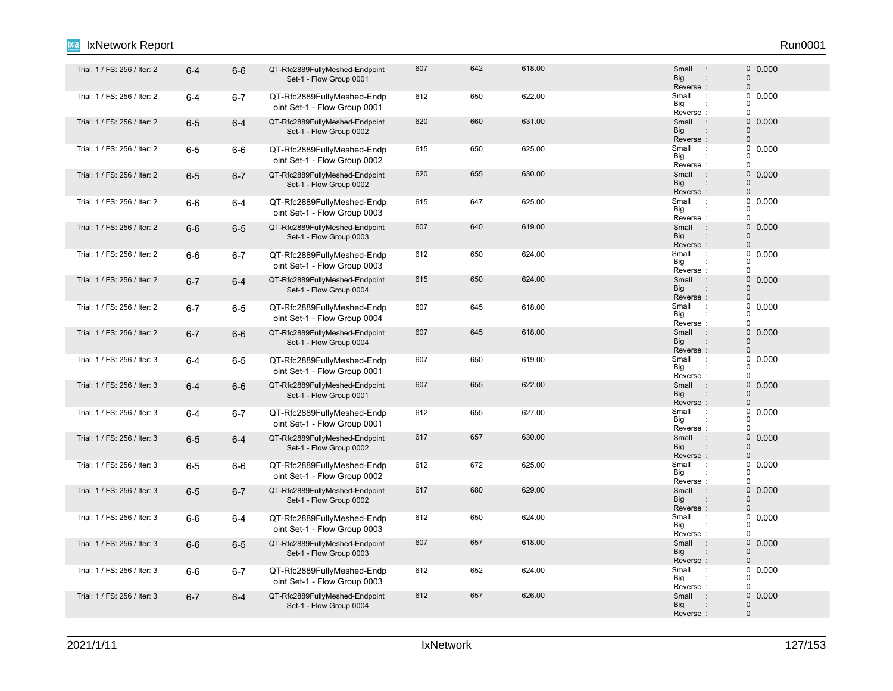#### 1 / Frial: 1 / FS: 256 / Iter: 2 6-4 6-6 QT-Rfc2889FullyMeshed-Endpoint 607 642 618.00 Small 0 Set-1 - Flow Group 0001 607 642 618.00 607 Small : 0 0.000 Reverse : Big Small 0 0 : : Trial: 1 / FS: 256 / Iter: 2 6-4 6-7 QT-Rfc2889FullyMeshed-Endp 612 650 622.00 Small : oint Set-1 - Flow Group 0001 612 650 622.00 622.00 Small : 0 0.000 Reverse Big  $\overline{0}$  $\overline{0}$  $\Omega$ : : Trial: 1 / FS: 256 / Iter: 2 6-5 6-4 QT-Rfc2889FullyMeshed-Endpoint 620 660 631.00 Small 0 Set-1 - Flow Group 0002 620 660 631.00 0.000 Big<br>Reverse : **Big** Small 0  $\Omega$ : "Trial: 1 / FS: 256 / Iter: 2 6-5 6-6 QT-Rfc2889FullyMeshed-Endp 615 650 625.00<br>Trial: 1 / FS: 256 / Iter: 2 6 =5 6-6 QT-Rfc2889FullyMeshed-Endp 615 oint Set-1 - Flow Group 0002 615 650 625.00 Small 0.000 Reverse Big  $\Omega$  $\begin{matrix}0\\0\end{matrix}$ 0 : : 1 Trial: 1 / FS: 256 / Iter: 2 6-5 6-7 QT-Rfc2889FullyMeshed-Endpoint 620 65 630.00 Small 0 Set-1 - Flow Group 0002 620 655 630.00 630.00 630.00 620 630.000 620 630.000 655 630.000 655 630.000 656 6 Reverse : Big Small 0 0 : : Trial: 1 / FS: 256 / Iter: 2 6-6 6-4 QT-Rfc2889FullyMeshed-Endp 615 647 625.00 Small : oint Set-1 - Flow Group 0003 615 647 625.00 Small : 0 0.000 Reverse Big  $\Omega$  $\begin{matrix}0\\0\end{matrix}$  $\Omega$ : : 1. Trial: 1 / FS: 256 / Iter: 2 6-6 GT-Rfc2889FullyMeshed-Endpoint 607 619.00 Small 0 Set-1 - Flow Group 0003 607 640 619.00 0.000 Reverse : Big Small  $\Omega$  $\Omega$ : : "Trial: 1 / FS: 256 / Iter: 2 6-6 6-7 QT-Rfc2889FullyMeshed-Endp 612 650 624.00 Small oint Set-1 - Flow Group 0003 612 650 624.00 Small 0.000 Reverse Big  $\Omega$  $\begin{matrix}0\\0\end{matrix}$  $\Omega$ : : Trial: 1 / FS: 256 / Iter: 2 6-7 6-4 QT-Rfc2889FullyMeshed-Endpoint 615 650 624.00 Small : 0 Set-1 - Flow Group 0004 615 650 624.00 620 621.00 600 624.00 Reverse : Big Small  $\Omega$  $\Omega$ : : Trial: 1 / FS: 256 / Iter: 2 6-7 6-5 QT-Rfc2889FullyMeshed-Endp 607 645 618.00 oint Set-1 - Flow Group 0004 607 645 618.00 **Small 1 60000 607** 60000 Big<br>Reverse : Big 0  $\Omega$  $\theta$ 1. Trial: 1 / FS: 256 / Iter: 2 6-7 6-6 QT-Rfc2889FullyMeshed-Endpoint 607 645 618.00 Small : 0 Set-1 - Flow Group 0004 607 645 618.00 607 Small : 0 0.000 Reverse Big Small 0  $\Omega$ : : : Trial: 1 / FS: 256 / Iter: 3 6-4 6-5 QT-Rfc2889FullyMeshed-Endp 607 650 619.00 Small : oint Set-1 - Flow Group 0001 607 650 619.00 Small 0.000 Reverse Big 0  $0$  $\Omega$ : : 1 / Frial: 1 / FS: 256 / Iter: 3 6-4 6-6 QT-Rfc2889FullyMeshed-Endpoint 607 655 622.00 Small 0 Set-1 - Flow Group 0001 607 655 622.00 607 Small : 0 0.000 Reverse : Big Small  $\Omega$  $\Omega$ : : Trial: 1 / FS: 256 / Iter: 3 6-4 6-7 QT-Rfc2889FullyMeshed-Endp 612 655 627.00 Small : oint Set-1 - Flow Group 0001 612 655 627.00 Small : 0 0.000 Reverse Big 0  $\begin{matrix}0\\0\end{matrix}$  $\overline{0}$ : : 1 / FS: 256 / Iter: 3 6-5 6-4 QT-Rfc2889FullyMeshed-Endpoint 617 657 630.00 Small 0 Set-1 - Flow Group 0002 617 657 630.00 0.000 Reverse : Big Small  $\Omega$  $\Omega$ : : Trial: 1 / FS: 256 / Iter: 3 6-5 6-6 QT-Rfc2889FullyMeshed-Endp 612 672 625.00 Small : oint Set-1 - Flow Group 0002 612 672 625.00 **Small 2.0000 625.00** Reverse Big 0  $\begin{matrix}0\\0\end{matrix}$ 0 : : 1 Trial: 1 / FS: 256 / Iter: 3 6-5 6-7 QT-Rfc2889FullyMeshed-Endpoint 617 680 629.00 Small 0 Set-1 - Flow Group 0002 617 680 629.00 contracts of the Small (1900-000) Reverse : Big Small  $\Omega$  $\Omega$ : : Trial: 1 / FS: 256 / Iter: 3 6-6 6-4 QT-Rfc2889FullyMeshed-Endp 612 650 624.00 Small : oint Set-1 - Flow Group 0003 612 650 624.00 624.00 Small : 0 0.000 Reverse Big 0  $\Omega$  $\Omega$ : : 1. Trial: 1 / FS: 256 / Iter: 3 6-6 G-5 QT-Rfc2889FullyMeshed-Endpoint 607 618.00 Small 0 Set-1 - Flow Group 0003 607 657 618.00 0.000 Reverse : Big Small 0  $\Omega$ : : Trial: 1 / FS: 256 / Iter: 3 6-6 6-7 QT-Rfc2889FullyMeshed-Endp 612 652 624.00 Small : oint Set-1 - Flow Group 0003 612 652 624.00 **Small** 9 60.000 Reverse Big 0  $\begin{array}{c} 0 \\ 0 \end{array}$  0.000  $\Omega$ : : Trial: 1 / FS: 256 / Iter: 3 6-7 6-4 QT-Rfc2889FullyMeshed-Endpoint 612 657 626.00 Small 0 Set-1 - Flow Group 0004 612 657 626.00 **612 626.00** 5mail 612 60.000 Reverse : Big Small  $\Omega$ 0 : IxNetwork Report Run0001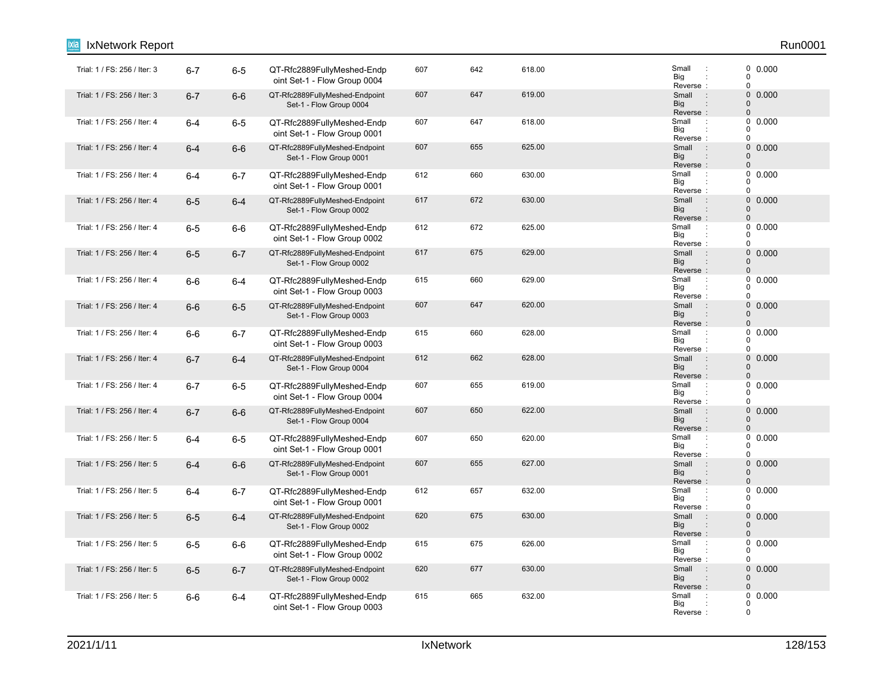| <b>IxNetwork Report</b>      |         |         |                                                            |     |     |        |                                                               | Run0001                                             |
|------------------------------|---------|---------|------------------------------------------------------------|-----|-----|--------|---------------------------------------------------------------|-----------------------------------------------------|
| Trial: 1 / FS: 256 / Iter: 3 | $6 - 7$ | $6-5$   | QT-Rfc2889FullyMeshed-Endp<br>oint Set-1 - Flow Group 0004 | 607 | 642 | 618.00 | Small<br>$\cdot$ :<br>Big<br>Reverse:                         | 0 0.000<br>0<br>0                                   |
| Trial: 1 / FS: 256 / Iter: 3 | $6 - 7$ | $6-6$   | QT-Rfc2889FullyMeshed-Endpoint<br>Set-1 - Flow Group 0004  | 607 | 647 | 619.00 | $\sim$ :<br>Small<br><b>Big</b><br>Reverse:                   | $\mathbf 0$<br>0.000<br>$\mathbf{0}$<br>$\mathbf 0$ |
| Trial: 1 / FS: 256 / Iter: 4 | $6 - 4$ | $6-5$   | QT-Rfc2889FullyMeshed-Endp<br>oint Set-1 - Flow Group 0001 | 607 | 647 | 618.00 | Small<br>$\cdot$ :<br>Big<br>Reverse:                         | 0<br>0.000<br>0<br>0                                |
| Trial: 1 / FS: 256 / Iter: 4 | $6-4$   | $6-6$   | QT-Rfc2889FullyMeshed-Endpoint<br>Set-1 - Flow Group 0001  | 607 | 655 | 625.00 | Small<br>$\sim$ 1<br><b>Big</b><br>Reverse:                   | $\mathbf 0$<br>0.000<br>0<br>$\mathbf 0$            |
| Trial: 1 / FS: 256 / Iter: 4 | $6-4$   | $6 - 7$ | QT-Rfc2889FullyMeshed-Endp<br>oint Set-1 - Flow Group 0001 | 612 | 660 | 630.00 | Small<br>$\ddot{\phantom{a}}$ :<br>Big<br>Reverse:            | 0<br>0.000<br>$\Omega$<br>0                         |
| Trial: 1 / FS: 256 / Iter: 4 | $6-5$   | $6 - 4$ | QT-Rfc2889FullyMeshed-Endpoint<br>Set-1 - Flow Group 0002  | 617 | 672 | 630.00 | Small<br>$\therefore$<br><b>Big</b><br>Reverse:               | $\mathbf 0$<br>0.000<br>$\mathbf 0$<br>$\mathbf 0$  |
| Trial: 1 / FS: 256 / Iter: 4 | $6-5$   | $6-6$   | QT-Rfc2889FullyMeshed-Endp<br>oint Set-1 - Flow Group 0002 | 612 | 672 | 625.00 | Small<br>$\ddot{\phantom{a}}$<br>Big<br>Reverse:              | 0<br>0.000<br>0<br>$\mathbf 0$                      |
| Trial: 1 / FS: 256 / Iter: 4 | $6-5$   | $6 - 7$ | QT-Rfc2889FullyMeshed-Endpoint<br>Set-1 - Flow Group 0002  | 617 | 675 | 629.00 | $\therefore$<br>Small<br><b>Big</b><br>Reverse:               | $\mathbf 0$<br>0.000<br>$\Omega$<br>$\mathbf 0$     |
| Trial: 1 / FS: 256 / Iter: 4 | $6-6$   | $6 - 4$ | QT-Rfc2889FullyMeshed-Endp<br>oint Set-1 - Flow Group 0003 | 615 | 660 | 629.00 | Small<br>$\cdot$<br>Big<br>Reverse:                           | 0<br>0.000<br>$\Omega$<br>0                         |
| Trial: 1 / FS: 256 / Iter: 4 | $6-6$   | $6-5$   | QT-Rfc2889FullyMeshed-Endpoint<br>Set-1 - Flow Group 0003  | 607 | 647 | 620.00 | Small<br>$\sim$ 1<br><b>Big</b><br>Reverse:                   | 0 0.000<br>$\mathbf 0$<br>$\mathbf 0$               |
| Trial: 1 / FS: 256 / Iter: 4 | $6-6$   | $6 - 7$ | QT-Rfc2889FullyMeshed-Endp<br>oint Set-1 - Flow Group 0003 | 615 | 660 | 628.00 | Small<br>$\ddot{\phantom{a}}$ :<br>Big<br>Reverse:            | 0<br>0.000<br>0<br>0                                |
| Trial: 1 / FS: 256 / Iter: 4 | $6 - 7$ | $6 - 4$ | QT-Rfc2889FullyMeshed-Endpoint<br>Set-1 - Flow Group 0004  | 612 | 662 | 628.00 | Small<br>$\mathbb{R}^2$<br><b>Big</b><br>$\vdots$<br>Reverse: | $\mathbf 0$<br>0.000<br>$\mathbf 0$<br>$\mathbf 0$  |
| Trial: 1 / FS: 256 / Iter: 4 | $6 - 7$ | $6 - 5$ | QT-Rfc2889FullyMeshed-Endp<br>oint Set-1 - Flow Group 0004 | 607 | 655 | 619.00 | Small<br>$\therefore$<br>Big<br>Reverse:                      | 0.000<br>0<br>0<br>0                                |
| Trial: 1 / FS: 256 / Iter: 4 | $6 - 7$ | $6-6$   | QT-Rfc2889FullyMeshed-Endpoint<br>Set-1 - Flow Group 0004  | 607 | 650 | 622.00 | Small<br>$\sim$ 1<br><b>Big</b><br>Reverse:                   | $\mathbf 0$<br>0.000<br>$\mathbf 0$<br>$\pmb{0}$    |
| Trial: 1 / FS: 256 / Iter: 5 | $6-4$   | $6-5$   | QT-Rfc2889FullyMeshed-Endp<br>oint Set-1 - Flow Group 0001 | 607 | 650 | 620.00 | Small<br>$\cdot$ :<br>Big<br>Reverse:                         | 0<br>0.000<br>$\Omega$<br>0                         |
| Trial: 1 / FS: 256 / Iter: 5 | $6 - 4$ | $6-6$   | QT-Rfc2889FullyMeshed-Endpoint<br>Set-1 - Flow Group 0001  | 607 | 655 | 627.00 | Small<br>$\sim 10$<br>Big<br>$\ddot{\phantom{a}}$<br>Reverse: | $\mathbf 0$<br>0.000<br>$\mathbf 0$<br>$\Omega$     |
| Trial: 1 / FS: 256 / Iter: 5 | $6-4$   | $6 - 7$ | QT-Rfc2889FullyMeshed-Endp<br>oint Set-1 - Flow Group 0001 | 612 | 657 | 632.00 | Small<br>$\cdot$ :<br>Big<br>Reverse:                         | 0<br>0.000<br>$\Omega$<br>0                         |
| Trial: 1 / FS: 256 / Iter: 5 | $6-5$   | $6 - 4$ | QT-Rfc2889FullyMeshed-Endpoint<br>Set-1 - Flow Group 0002  | 620 | 675 | 630.00 | Small<br>$\sim$ :<br><b>Big</b><br>$\vdots$<br>Reverse:       | $\mathbf 0$<br>0.000<br>$\mathbf 0$<br>$\mathbf{0}$ |
| Trial: 1 / FS: 256 / Iter: 5 | $6-5$   | $6-6$   | QT-Rfc2889FullyMeshed-Endp<br>oint Set-1 - Flow Group 0002 | 615 | 675 | 626.00 | Small<br>$\cdot$<br>Big<br>Reverse:                           | $0$ 0.000<br>$\Omega$<br>0                          |
| Trial: 1 / FS: 256 / Iter: 5 | $6-5$   | $6 - 7$ | QT-Rfc2889FullyMeshed-Endpoint<br>Set-1 - Flow Group 0002  | 620 | 677 | 630.00 | $\therefore$<br>Small<br><b>Big</b><br>Reverse:               | 0<br>0.000<br>$\mathbf 0$<br>$\mathbf 0$            |
| Trial: 1 / FS: 256 / Iter: 5 | 6-6     | $6 - 4$ | QT-Rfc2889FullyMeshed-Endp<br>oint Set-1 - Flow Group 0003 | 615 | 665 | 632.00 | Small<br>÷<br>Big<br>Reverse:                                 | 0.000<br>0<br>0<br>0                                |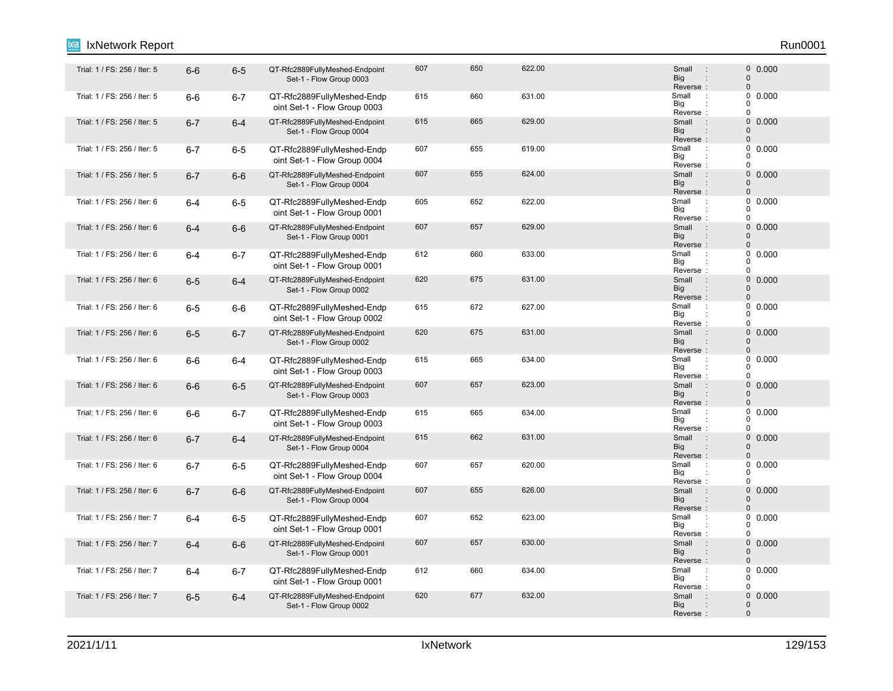#### 6-6 6-5 QT-Rfc2889FullyMeshed-Endpoint Trial: 1 / FS: 256 / Iter: 5 : 0 Set-1 - Flow Group 0003 607 650 622.00 602 607 Small : 0 0.000 Reverse : Big Small 0 0 : : Trial: 1 / FS: 256 / Iter: 5 6-6 6-7 QT-Rfc2889FullyMeshed-Endp 615 660 631.00 Small : oint Set-1 - Flow Group 0003 615 660 631.00 **611.00** Small : 0 0.000 Reverse Big  $\overline{0}$  $\overline{0}$  $\Omega$ : : Trial: 1 / FS: 256 / Iter: 5 6-7 6-4 QT-Rfc2889FullyMeshed-Endpoint 615 665 629.00 Small : 0 Set-1 - Flow Group 0004 615 665 629.00 0.000 Big<br>Reverse : **Big** Small 0  $\Omega$ : "Trial: 1 / FS: 256 / Iter: 5 6-7 6-5 QT-Rfc2889FullyMeshed-Endp 607 655 619.00 Small oint Set-1 - Flow Group 0004 607 655 619.00 Small 0.000 Reverse Big  $\Omega$  $\begin{matrix}0\\0\end{matrix}$ 0 : : 1 / Frial: 1 / FS: 256 / Iter: 5  $6-7$  6-6 QT-Rfc2889FullyMeshed-Endpoint 607 655 624.00 655 624.00 Set-1 - Flow Group 0004 607 655 624.00 **601 624.00** 607 5 608 607 600 600 600 600 61 61 624.00 60 61 62 6 Reverse : Big Small 0 0 : : "Trial: 1 / FS: 256 / Iter: 6 6-4 6-5 QT-Rfc2889FullyMeshed-Endp 605 622 622.00 Small oint Set-1 - Flow Group 0001 605 652 622.00 **Small 2.0000** 605 605 607 612 622.00 Reverse Big  $\Omega$  $\begin{matrix}0\\0\end{matrix}$  $\Omega$ : : Trial: 1 / FS: 256 / Iter: 6 6-4 6-6 QT-Rfc2889FullyMeshed-Endpoint 607 657 629.00 Small : 0 Set-1 - Flow Group 0001 607 657 629.00 0.000 Reverse : Big Small  $\Omega$  $\Omega$ : : "Trial: 1 / FS: 256 / Iter: 6 6-4 6-7 QT-Rfc2889FullyMeshed-Endp 612 660 633.00 Shall oint Set-1 - Flow Group 0001 612 660 633.00 **Small 1 60.000** Reverse Big  $\Omega$  $\begin{matrix}0\\0\end{matrix}$  $\Omega$ : : 6-5 6-4 QT-Rfc2889FullyMeshed-Endpoint Trial: 1 / FS: 256 / Iter: 6 : 0 Set-1 - Flow Group 0002 620 675 631.00 631.00 631.00 631.00 620 631.00 620 631.00 676 677 681 682 683 691 61 61 61 61 61 61 61 61 61 6 Reverse : Big Small  $\Omega$  $\Omega$ : : "Trial: 1 / FS: 256 / Iter: 6 6-5 6-6 QT-Rfc2889FullyMeshed-Endp 615 672 627.00 oint Set-1 - Flow Group 0002 615 672 627.00 Small : 0 0.000 Big<br>Reverse : Big 0  $\Omega$  $\theta$ 1. Trial: 1 / FS: 256 / Iter: 6 6-5 6-7 QT-Rfc2889FullyMeshed-Endpoint 620 675 631.00 Small : 0 Set-1 - Flow Group 0002 620 675 631.00 621 631.00 620 631.00 620 631.00 620 631.00 631.00 631.00 631.00 6 Reverse Big Small 0  $\Omega$ : : : Trial: 1 / FS: 256 / Iter: 6 6-6 6-4 QT-Rfc2889FullyMeshed-Endp 615 665 634.00 Small : oint Set-1 - Flow Group 0003 615 665 634.00 **Small 1 665 634.00** Reverse Big 0  $\begin{matrix}0\\0\end{matrix}$  $\Omega$ : : 6-6 6-5 QT-Rfc2889FullyMeshed-Endpoint Trial: 1 / FS: 256 / Iter: 6 : 0 Set-1 - Flow Group 0003 607 657 623.00 **607** 5 607 623.00 Reverse : Big Small  $\Omega$  $\Omega$ : : "Trial: 1 / FS: 256 / Iter: 6 6-6 6-7 QT-Rfc2889FullyMeshed-Endp 615 665 634.00 Small oint Set-1 - Flow Group 0003 615 665 634.00 Small : 0 0.000 Reverse Big 0  $\begin{matrix}0\\0\end{matrix}$  $\overline{0}$ : : Trial: 1 / FS: 256 / Iter: 6 6-7 6-4 QT-Rfc2889FullyMeshed-Endpoint 615 662 631.00 Small : 0 Set-1 - Flow Group 0004 615 662 631.00 0.000 Reverse : Big Small  $\Omega$ 0 : : Trial: 1 / FS: 256 / Iter: 6 6-7 6-5 QT-Rfc2889FullyMeshed-Endp 607 657 620.00 Small : oint Set-1 - Flow Group 0004 607 657 620.00 Small 0.000 Reverse Big 0  $\Omega$ 0 : : 6-7 6-6 QT-Rfc2889FullyMeshed-Endpoint Trial: 1 / FS: 256 / Iter: 6 : 0 Set-1 - Flow Group 0004 607 655 626.00 0.000 Reverse : Big Small  $\Omega$  $\Omega$ : : "Trial: 1 / FS: 256 / Iter: 7 6-4 6-5 QT-Rfc2889FullyMeshed-Endp 607 652 623.00 oint Set-1 - Flow Group 0001 607 652 623.00 **Small 2.0000** 607 60000 Reverse Big 0  $\Omega$  $\theta$ : : Trial: 1 / FS: 256 / Iter: 7 6-4 6-6 QT-Rfc2889FullyMeshed-Endpoint 607 657 630.00 Small : 0 Set-1 - Flow Group 0001 607 657 630.00 0.000 Reverse : Big Small 0  $\Omega$ : : Trial: 1 / FS: 256 / Iter: 7 6-4 6-7 QT-Rfc2889FullyMeshed-Endp 612 660 634.00 Small : oint Set-1 - Flow Group 0001 612 660 634.00 639.00 Small : 0 0.000 Reverse Big 0  $\begin{array}{c} 0 \\ 0 \end{array}$  0.000  $\Omega$ : : Trial: 1 / FS: 256 / Iter: 7 6-5 6-4 QT-Rfc2889FullyMeshed-Endpoint 620 677 632.00 Small 0 Set-1 - Flow Group 0002 620 677 632.00 **Small** 9 630.00 **CONTENT SMALL** 60 0.000 Reverse : Big Small  $\Omega$ 0 : IxNetwork Report Run0001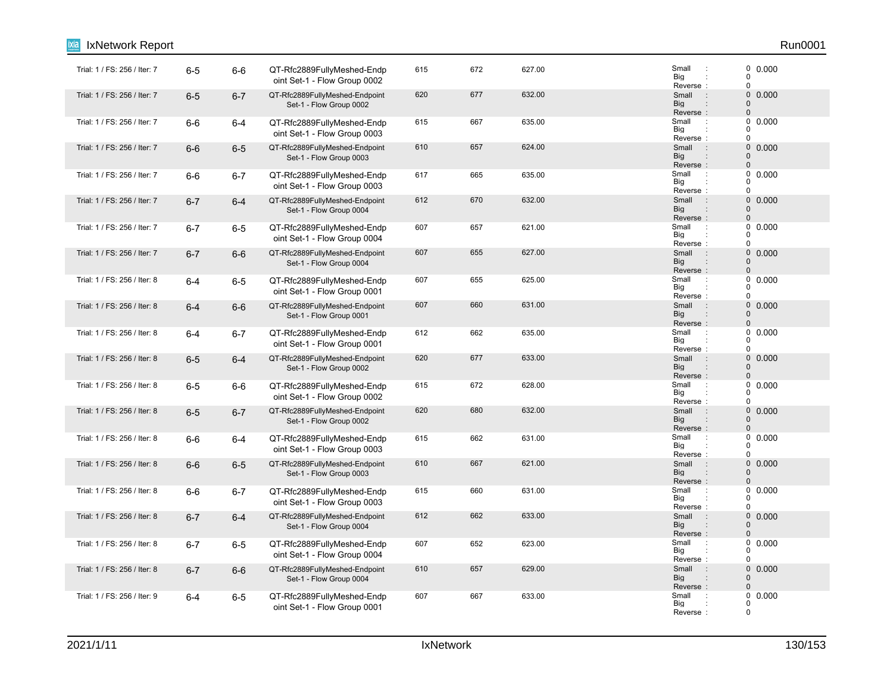| IxNetwork Report             |         |         |                                                            |     |     |        |                                                                     | Run0001                                                       |
|------------------------------|---------|---------|------------------------------------------------------------|-----|-----|--------|---------------------------------------------------------------------|---------------------------------------------------------------|
| Trial: 1 / FS: 256 / Iter: 7 | $6-5$   | $6-6$   | QT-Rfc2889FullyMeshed-Endp<br>oint Set-1 - Flow Group 0002 | 615 | 672 | 627.00 | Small<br>$\cdot$ :<br>Big<br>Reverse:                               | 0 0.000<br>0<br>0                                             |
| Trial: 1 / FS: 256 / Iter: 7 | $6-5$   | $6 - 7$ | QT-Rfc2889FullyMeshed-Endpoint<br>Set-1 - Flow Group 0002  | 620 | 677 | 632.00 | Small<br>$\sim$ 1<br><b>Big</b><br>Reverse:                         | $\mathsf{O}\xspace$<br>0.000<br>$\mathbf 0$<br>$\pmb{0}$      |
| Trial: 1 / FS: 256 / Iter: 7 | $6-6$   | $6 - 4$ | QT-Rfc2889FullyMeshed-Endp<br>oint Set-1 - Flow Group 0003 | 615 | 667 | 635.00 | Small<br>$\sim$<br>Big<br>Reverse:                                  | 0<br>0.000<br>$\Omega$<br>$\mathbf 0$                         |
| Trial: 1 / FS: 256 / Iter: 7 | $6-6$   | $6-5$   | QT-Rfc2889FullyMeshed-Endpoint<br>Set-1 - Flow Group 0003  | 610 | 657 | 624.00 | $\sim$ 1<br>Small<br><b>Big</b><br>:<br>Reverse:                    | $\mathsf{O}\xspace$<br>0.000<br>$\mathbf 0$<br>$\overline{0}$ |
| Trial: 1 / FS: 256 / Iter: 7 | $6-6$   | $6 - 7$ | QT-Rfc2889FullyMeshed-Endp<br>oint Set-1 - Flow Group 0003 | 617 | 665 | 635.00 | Small<br>$\ddot{\phantom{a}}$<br>Big<br>Reverse:                    | 0<br>0.000<br>0<br>0                                          |
| Trial: 1 / FS: 256 / Iter: 7 | $6 - 7$ | $6 - 4$ | QT-Rfc2889FullyMeshed-Endpoint<br>Set-1 - Flow Group 0004  | 612 | 670 | 632.00 | Small<br>$\cdot$ :<br><b>Big</b><br>$\vdots$<br>Reverse:            | 0<br>0.000<br>$\mathbf 0$<br>$\mathbf 0$                      |
| Trial: 1 / FS: 256 / Iter: 7 | $6 - 7$ | $6-5$   | QT-Rfc2889FullyMeshed-Endp<br>oint Set-1 - Flow Group 0004 | 607 | 657 | 621.00 | Small<br>$\mathbb{R}^2$<br>Big<br>Reverse:                          | 0<br>0.000<br>0<br>0                                          |
| Trial: 1 / FS: 256 / Iter: 7 | $6 - 7$ | $6-6$   | QT-Rfc2889FullyMeshed-Endpoint<br>Set-1 - Flow Group 0004  | 607 | 655 | 627.00 | Small<br>$\overline{\phantom{a}}$ :<br><b>Big</b><br>Reverse:       | $\mathbf 0$<br>0.000<br>0<br>$\mathbf 0$                      |
| Trial: 1 / FS: 256 / Iter: 8 | $6 - 4$ | $6-5$   | QT-Rfc2889FullyMeshed-Endp<br>oint Set-1 - Flow Group 0001 | 607 | 655 | 625.00 | Small<br>$\cdot$<br>Big<br>Reverse:                                 | 0<br>0.000<br>$\mathbf 0$<br>0                                |
| Trial: 1 / FS: 256 / Iter: 8 | $6 - 4$ | $6-6$   | QT-Rfc2889FullyMeshed-Endpoint<br>Set-1 - Flow Group 0001  | 607 | 660 | 631.00 | Small<br>$\sim$ 1.<br><b>Big</b><br>Reverse:                        | 0 0.000<br>$\mathbf 0$<br>$\mathbf{0}$                        |
| Trial: 1 / FS: 256 / Iter: 8 | $6 - 4$ | $6 - 7$ | QT-Rfc2889FullyMeshed-Endp<br>oint Set-1 - Flow Group 0001 | 612 | 662 | 635.00 | Small<br>$\ddot{\phantom{a}}$ :<br>Big<br>Reverse:                  | 0<br>0.000<br>0<br>0                                          |
| Trial: 1 / FS: 256 / Iter: 8 | $6-5$   | $6 - 4$ | QT-Rfc2889FullyMeshed-Endpoint<br>Set-1 - Flow Group 0002  | 620 | 677 | 633.00 | Small<br>$\sim$ 1.<br><b>Big</b><br>$\vdots$<br>Reverse:            | $\mathsf{O}\xspace$<br>0.000<br>$\mathbf 0$<br>$\mathbf 0$    |
| Trial: 1 / FS: 256 / Iter: 8 | $6-5$   | $6-6$   | QT-Rfc2889FullyMeshed-Endp<br>oint Set-1 - Flow Group 0002 | 615 | 672 | 628.00 | Small<br>$\therefore$<br>Big<br>Reverse:                            | 0.000<br>0<br>0<br>0                                          |
| Trial: 1 / FS: 256 / Iter: 8 | $6-5$   | $6 - 7$ | QT-Rfc2889FullyMeshed-Endpoint<br>Set-1 - Flow Group 0002  | 620 | 680 | 632.00 | Small<br>$\sim$ 1<br><b>Big</b><br>Reverse:                         | $\mathbf 0$<br>0.000<br>$\mathbf 0$<br>$\pmb{0}$              |
| Trial: 1 / FS: 256 / Iter: 8 | $6-6$   | $6 - 4$ | QT-Rfc2889FullyMeshed-Endp<br>oint Set-1 - Flow Group 0003 | 615 | 662 | 631.00 | Small<br>$\pm$<br>Big<br>Reverse:                                   | 0<br>0.000<br>0<br>0                                          |
| Trial: 1 / FS: 256 / Iter: 8 | $6-6$   | $6-5$   | QT-Rfc2889FullyMeshed-Endpoint<br>Set-1 - Flow Group 0003  | 610 | 667 | 621.00 | $\sim$ 1<br>Small<br><b>Big</b><br>$\ddot{\phantom{a}}$<br>Reverse: | 0<br>0.000<br>$\mathbf 0$<br>$\mathbf 0$                      |
| Trial: 1 / FS: 256 / Iter: 8 | $6-6$   | $6 - 7$ | QT-Rfc2889FullyMeshed-Endp<br>oint Set-1 - Flow Group 0003 | 615 | 660 | 631.00 | Small<br>$\ddot{\phantom{a}}$ :<br>Big<br>Reverse:                  | 0.000<br>0<br>0<br>0                                          |
| Trial: 1 / FS: 256 / Iter: 8 | $6 - 7$ | $6 - 4$ | QT-Rfc2889FullyMeshed-Endpoint<br>Set-1 - Flow Group 0004  | 612 | 662 | 633.00 | $\sim$ 1<br>Small<br><b>Big</b><br>:<br>Reverse:                    | $\mathsf{O}\xspace$<br>0.000<br>0<br>$\pmb{0}$                |
| Trial: 1 / FS: 256 / Iter: 8 | $6 - 7$ | $6-5$   | QT-Rfc2889FullyMeshed-Endp<br>oint Set-1 - Flow Group 0004 | 607 | 652 | 623.00 | Small<br>$\therefore$<br>Big<br>Reverse:                            | 0<br>0.000<br>0<br>$\mathbf 0$                                |
| Trial: 1 / FS: 256 / Iter: 8 | $6 - 7$ | $6-6$   | QT-Rfc2889FullyMeshed-Endpoint<br>Set-1 - Flow Group 0004  | 610 | 657 | 629.00 | Small<br>$\therefore$<br><b>Big</b><br>Reverse:                     | 0<br>0.000<br>$\mathbf 0$<br>$\mathbf{0}$                     |
| Trial: 1 / FS: 256 / Iter: 9 | $6 - 4$ | $6-5$   | QT-Rfc2889FullyMeshed-Endp<br>oint Set-1 - Flow Group 0001 | 607 | 667 | 633.00 | Small<br>$\cdot$ :<br>Big<br>Reverse:                               | $0\ 0.000$<br>0<br>$\mathbf 0$                                |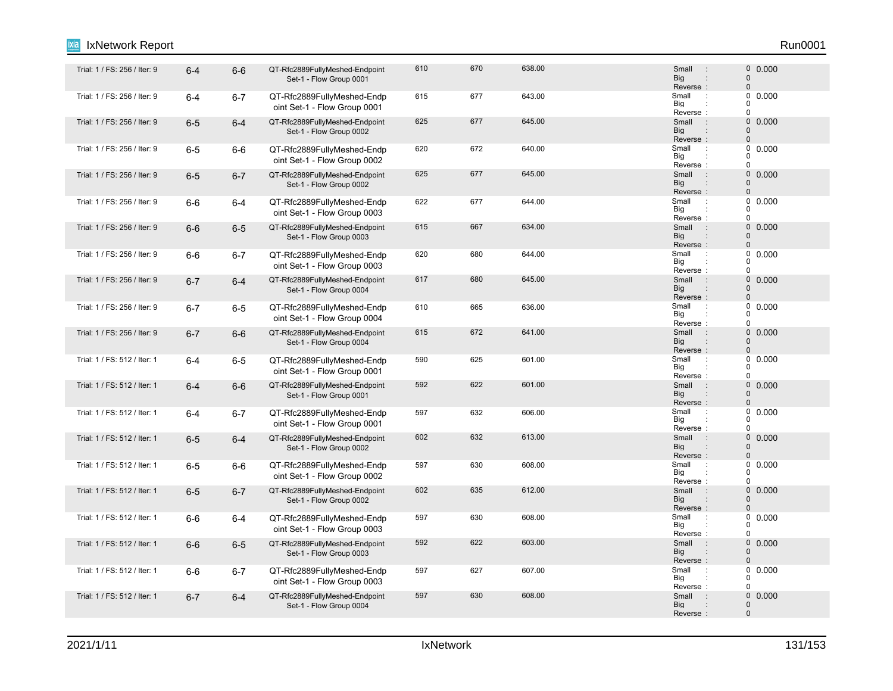#### 1 / Frial: 1 / FS: 256 / Iter: 9 6-4 6-6 QT-Rfc2889FullyMeshed-Endpoint 610 670 638.00 Small 0 Set-1 - Flow Group 0001 610 670 638.00 638.00 5mail 9 60.000 Reverse : Big Small 0 0 : : Trial: 1 / FS: 256 / Iter: 9 6-4 6-7 QT-Rfc2889FullyMeshed-Endp 615 677 643.00 Small : oint Set-1 - Flow Group 0001 615 677 643.00 Small : 0 0.000 Reverse Big  $\overline{0}$  $\overline{0}$  $\Omega$ : : 1 / FS: 256 / Iter: 9 6-5 6-4 QT-Rfc2889FullyMeshed-Endpoint 625 677 645.00 Small 0 Set-1 - Flow Group 0002 625 677 645.00 0.000 Big<br>Reverse : **Big** Small 0  $\Omega$ : Trial: 1 / FS: 256 / Iter: 9 6-5 6-6 QT-Rfc2889FullyMeshed-Endp 620 672 640.00 Small : oint Set-1 - Flow Group 0002 620 672 640.00 **Small 9.1 Small** 0.000 Reverse Big  $\Omega$  $\begin{matrix}0\\0\end{matrix}$ 0 : : 1 Trial: 1 / FS: 256 / Iter: 9 6-5 6-7 QT-Rfc2889FullyMeshed-Endpoint 625 677 645.00 Small 0 Set-1 - Flow Group 0002 625 677 645.00 **625 626 626 626 626 626 626 626 627 645.00** Reverse : Big Small 0 0 : : Trial: 1 / FS: 256 / Iter: 9 6-6 6-4 QT-Rfc2889FullyMeshed-Endp 622 677 644.00 Small : oint Set-1 - Flow Group 0003 622 677 644.00 Small : 0 0.000 Reverse Big  $\Omega$  $\begin{matrix}0\\0\end{matrix}$  $\Omega$ : : 1. Trial: 1 / FS: 256 / Iter: 9 6-6 6-5 QT-Rfc2889FullyMeshed-Endpoint 615 667 634.00 Small : 0 Set-1 - Flow Group 0003 615 667 634.00 0.000 Reverse : Big Small  $\Omega$ 0 : : Trial: 1 / FS: 256 / Iter: 9 6-6 6-7 QT-Rfc2889FullyMeshed-Endp 620 644.00 Small oint Set-1 - Flow Group 0003 620 680 644.00 Small : 0 0.000 Reverse Big  $\Omega$  $\begin{matrix}0\\0\end{matrix}$  $\Omega$ : : Trial: 1 / FS: 256 / Iter: 9 6-7 6-4 QT-Rfc2889FullyMeshed-Endpoint 617 680 645.00 Small : 0 Set-1 - Flow Group 0004 617 680 645.00 646.00 Small : 0 0.000 Reverse : Big Small  $\Omega$  $\Omega$ : : Trial: 1 / FS: 256 / Iter: 9 6-7 6-5 QT-Rfc2889FullyMeshed-Endp 610 665 636.00 Small : oint Set-1 - Flow Group 0004 610 665 636.00 Small : 0 0.000 Big<br>Reverse : Big 0  $\Omega$  $\theta$ 1. Trial: 1 / FS: 256 / Iter: 9 6-7 6-6 QT-Rfc2889FullyMeshed-Endpoint 615 672 641.00 Small : 0 Set-1 - Flow Group 0004 615 672 641.00 0.000 Reverse Big Small 0  $\Omega$ : : : Trial: 1 / FS: 512 / Iter: 1 6-4 6-5 QT-Rfc2889FullyMeshed-Endp 590 625 601.00 Small : oint Set-1 - Flow Group 0001 590 625 601.00 **Small 1 60.000** Reverse Big 0  $0$  $\Omega$ : : 1. Trial: 1 / FS: 512 / Iter: 1 6-4 6-6 QT-Rfc2889FullyMeshed-Endpoint 592 602 601.00 Set-1 - Flow Group 0001 592 622 601.00 0.000 Reverse : Big Small  $\Omega$  $\Omega$ : : Trial: 1 / FS: 512 / Iter: 1 6-4 6-7 QT-Rfc2889FullyMeshed-Endp 597 632 606.00 Small : oint Set-1 - Flow Group 0001 597 632 606.00 **Small Defined Algebra** Small D 0.000 Reverse Big 0  $\begin{matrix}0\\0\end{matrix}$  $\overline{0}$ : : Trial: 1 / FS: 512 / Iter: 1 6-5 6-4 QT-Rfc2889FullyMeshed-Endpoint 602 613.00 Small : 0 Set-1 - Flow Group 0002 602 632 613.00 609 613.00 602 5mail 9 600 6000 602 613.00 613.00 613.00 613.00 61 Reverse : Big Small  $\Omega$ 0 : : Trial: 1 / FS: 512 / Iter: 1 6-5 6-6 QT-Rfc2889FullyMeshed-Endp 597 630 608.00 Small : oint Set-1 - Flow Group 0002 597 630 608.00 608.00 Small : 0 0.000 Reverse Big 0  $\begin{matrix}0\\0\end{matrix}$ 0 : : 1. Trial: 1 / FS: 512 / Iter: 1 6-5 6-7 QT-Rfc2889FullyMeshed-Endpoint 602 635 612.00 Small 0 Set-1 - Flow Group 0002 602 635 612.00 636 612.00 602 5 602 603 603 603 604 612.00 612.00 612.00 612.00 61 Reverse : Big Small  $\Omega$  $\Omega$ : : "Trial: 1 / FS: 512 / Iter: 1 6-6 6-4 QT-Rfc2889FullyMeshed-Endp 597 630 608.00 Small oint Set-1 - Flow Group 0003 597 630 608.00 608.00 Small : 0 0.000 Reverse Big 0  $\Omega$  $\Omega$ : : 1. Trial: 1 / FS: 512 / Iter: 1 6-6 6-5 QT-Rfc2889FullyMeshed-Endpoint 592 603.00 Small 0 Set-1 - Flow Group 0003 592 622 603.00 603.00 590 603.00 603.00 603.00 603.00 603.00 603.00 603.00 603.00 603.00 603.00 603.00 603.00 Reverse : Big Small 0  $\Omega$ : : Trial: 1 / FS: 512 / Iter: 1 6-6 6-7 QT-Rfc2889FullyMeshed-Endp 597 627 607.00 Small : oint Set-1 - Flow Group 0003 597 627 607.00 Small 0.000 Reverse Big 0  $\begin{array}{c} 0 \\ 0 \end{array}$  0.000  $\Omega$ : : 6-7 6-4 QT-Rfc2889FullyMeshed-Endpoint Trial: 1 / FS: 512 / Iter: 1 : 0 Set-1 - Flow Group 0004 597 630 608.00 608.00 597 5mail 9 600.000 608.00 608.00 600 600 600 600 600 600 60 Big Small 0 :

IxNetwork Report Run0001

Reverse :

0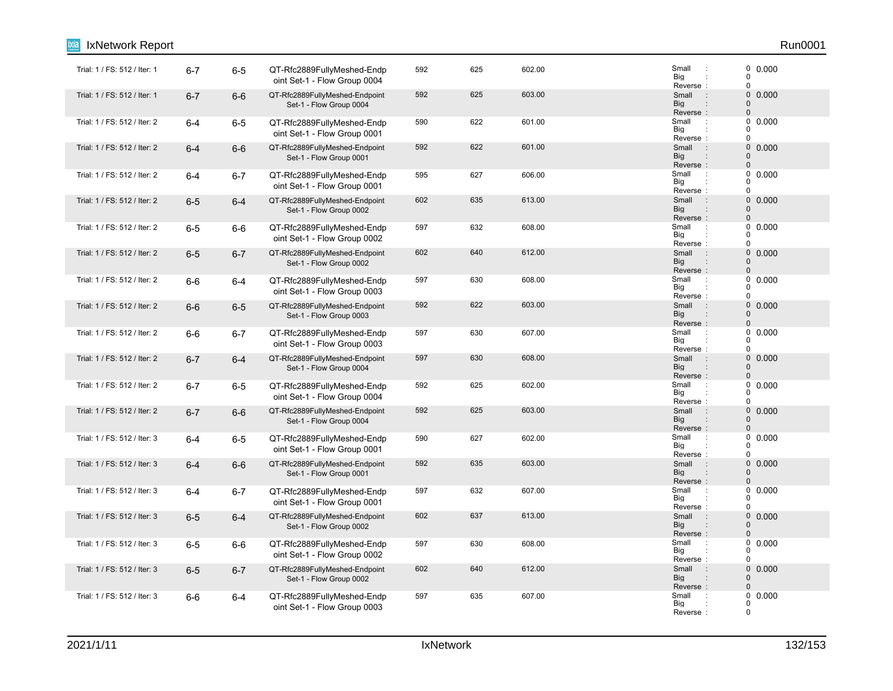| IxNetwork Report             |         |         |                                                            |     |     |        |                                                                      | Run0001                                                    |
|------------------------------|---------|---------|------------------------------------------------------------|-----|-----|--------|----------------------------------------------------------------------|------------------------------------------------------------|
| Trial: 1 / FS: 512 / Iter: 1 | $6 - 7$ | $6-5$   | QT-Rfc2889FullyMeshed-Endp<br>oint Set-1 - Flow Group 0004 | 592 | 625 | 602.00 | Small<br>$\ddot{\phantom{a}}$<br>Big<br>Reverse:                     | 0 0.000<br>$\overline{0}$<br>$\mathbf 0$                   |
| Trial: 1 / FS: 512 / Iter: 1 | $6 - 7$ | $6-6$   | QT-Rfc2889FullyMeshed-Endpoint<br>Set-1 - Flow Group 0004  | 592 | 625 | 603.00 | $\sim$ 1<br>Small<br><b>Big</b><br>Reverse:                          | 0<br>0.000<br>$\pmb{0}$<br>$\pmb{0}$                       |
| Trial: 1 / FS: 512 / Iter: 2 | $6-4$   | $6-5$   | QT-Rfc2889FullyMeshed-Endp<br>oint Set-1 - Flow Group 0001 | 590 | 622 | 601.00 | Small<br>$\cdot$ :<br>Big<br>Reverse:                                | 0<br>0.000<br>$\Omega$<br>$\mathbf 0$                      |
| Trial: 1 / FS: 512 / Iter: 2 | $6 - 4$ | $6-6$   | QT-Rfc2889FullyMeshed-Endpoint<br>Set-1 - Flow Group 0001  | 592 | 622 | 601.00 | $\sim$ 1.<br>Small<br><b>Big</b><br>$\ddot{\phantom{a}}$<br>Reverse: | $\mathsf{O}\xspace$<br>0.000<br>$\mathbf 0$<br>$\mathbf 0$ |
| Trial: 1 / FS: 512 / Iter: 2 | $6 - 4$ | $6 - 7$ | QT-Rfc2889FullyMeshed-Endp<br>oint Set-1 - Flow Group 0001 | 595 | 627 | 606.00 | Small<br>$\cdot$ :<br>Big<br>Reverse:                                | $\mathbf 0$<br>0.000<br>0<br>$\mathbf 0$                   |
| Trial: 1 / FS: 512 / Iter: 2 | $6-5$   | $6 - 4$ | QT-Rfc2889FullyMeshed-Endpoint<br>Set-1 - Flow Group 0002  | 602 | 635 | 613.00 | Small<br>$\pm$<br><b>Big</b><br>$\ddot{\phantom{a}}$<br>Reverse:     | 0<br>0.000<br>$\mathbf 0$<br>$\pmb{0}$                     |
| Trial: 1 / FS: 512 / Iter: 2 | $6-5$   | $6-6$   | QT-Rfc2889FullyMeshed-Endp<br>oint Set-1 - Flow Group 0002 | 597 | 632 | 608.00 | Small<br>$\ddot{\phantom{a}}$<br>Big<br>Reverse:                     | 0<br>0.000<br>0<br>$\pmb{0}$                               |
| Trial: 1 / FS: 512 / Iter: 2 | $6-5$   | $6 - 7$ | QT-Rfc2889FullyMeshed-Endpoint<br>Set-1 - Flow Group 0002  | 602 | 640 | 612.00 | Small<br>$\pm$<br>Big<br>Reverse:                                    | $\mathbf 0$<br>0.000<br>$\mathbf 0$<br>$\Omega$            |
| Trial: 1 / FS: 512 / Iter: 2 | $6-6$   | $6 - 4$ | QT-Rfc2889FullyMeshed-Endp<br>oint Set-1 - Flow Group 0003 | 597 | 630 | 608.00 | Small<br>$\ddot{\phantom{a}}$<br>Big<br>Reverse:                     | $\pmb{0}$<br>0.000<br>$\mathbf 0$<br>$\pmb{0}$             |
| Trial: 1 / FS: 512 / Iter: 2 | $6-6$   | $6-5$   | QT-Rfc2889FullyMeshed-Endpoint<br>Set-1 - Flow Group 0003  | 592 | 622 | 603.00 | Small<br>$\sim$<br>Big<br>Reverse:                                   | 0 0.000<br>$\mathbf 0$<br>$\Omega$                         |
| Trial: 1 / FS: 512 / Iter: 2 | $6-6$   | $6 - 7$ | QT-Rfc2889FullyMeshed-Endp<br>oint Set-1 - Flow Group 0003 | 597 | 630 | 607.00 | Small<br>$\ddot{\phantom{a}}$<br>Big<br>Reverse:                     | $\pmb{0}$<br>0.000<br>0<br>$\pmb{0}$                       |
| Trial: 1 / FS: 512 / Iter: 2 | $6 - 7$ | $6 - 4$ | QT-Rfc2889FullyMeshed-Endpoint<br>Set-1 - Flow Group 0004  | 597 | 630 | 608.00 | Small<br>$\cdot$ :<br><b>Big</b><br>$\ddot{\phantom{a}}$<br>Reverse: | 0<br>0.000<br>$\mathbf 0$<br>$\pmb{0}$                     |
| Trial: 1 / FS: 512 / Iter: 2 | $6 - 7$ | $6-5$   | QT-Rfc2889FullyMeshed-Endp<br>oint Set-1 - Flow Group 0004 | 592 | 625 | 602.00 | Small<br>Big<br>Reverse:                                             | 0.000<br>0<br>0<br>$\pmb{0}$                               |
| Trial: 1 / FS: 512 / Iter: 2 | $6 - 7$ | $6-6$   | QT-Rfc2889FullyMeshed-Endpoint<br>Set-1 - Flow Group 0004  | 592 | 625 | 603.00 | Small<br>$\sim$ 1.<br><b>Big</b><br>Reverse:                         | $\mathsf{O}\xspace$<br>0.000<br>$\Omega$<br>$\pmb{0}$      |
| Trial: 1 / FS: 512 / Iter: 3 | $6 - 4$ | $6-5$   | QT-Rfc2889FullyMeshed-Endp<br>oint Set-1 - Flow Group 0001 | 590 | 627 | 602.00 | Small<br>$\ddot{\phantom{a}}$<br>Big<br>Reverse:                     | $\pmb{0}$<br>0.000<br>0<br>$\mathbf 0$                     |
| Trial: 1 / FS: 512 / Iter: 3 | $6 - 4$ | $6-6$   | QT-Rfc2889FullyMeshed-Endpoint<br>Set-1 - Flow Group 0001  | 592 | 635 | 603.00 | Small<br>$\sim$ 1.<br>Big<br>$\ddot{\phantom{a}}$<br>Reverse:        | 0<br>0.000<br>$\pmb{0}$<br>$\mathbf 0$                     |
| Trial: 1 / FS: 512 / Iter: 3 | $6 - 4$ | $6 - 7$ | QT-Rfc2889FullyMeshed-Endp<br>oint Set-1 - Flow Group 0001 | 597 | 632 | 607.00 | Small<br>$\cdot$<br>Big<br>Reverse:                                  | 0.000<br>0<br>0<br>$\mathbf 0$                             |
| Trial: 1 / FS: 512 / Iter: 3 | $6-5$   | $6 - 4$ | QT-Rfc2889FullyMeshed-Endpoint<br>Set-1 - Flow Group 0002  | 602 | 637 | 613.00 | $\sim$ 1.<br>Small<br>Big<br>$\ddot{\phantom{a}}$<br>Reverse:        | $\mathsf{O}\xspace$<br>0.000<br>0<br>$\pmb{0}$             |
| Trial: 1 / FS: 512 / Iter: 3 | $6-5$   | $6-6$   | QT-Rfc2889FullyMeshed-Endp<br>oint Set-1 - Flow Group 0002 | 597 | 630 | 608.00 | Small<br>$\cdot$<br>Big<br>Reverse:                                  | 0<br>0.000<br>0<br>$\mathbf 0$                             |
| Trial: 1 / FS: 512 / Iter: 3 | $6-5$   | $6 - 7$ | QT-Rfc2889FullyMeshed-Endpoint<br>Set-1 - Flow Group 0002  | 602 | 640 | 612.00 | Small<br>$\mathbf{r}$<br>Big<br>Reverse:                             | $\mathbf 0$<br>0.000<br>0<br>$\mathbf{0}$                  |
| Trial: 1 / FS: 512 / Iter: 3 | $6-6$   | $6 - 4$ | QT-Rfc2889FullyMeshed-Endp<br>oint Set-1 - Flow Group 0003 | 597 | 635 | 607.00 | Small<br>Big<br>Reverse:                                             | 0<br>0.000<br>0<br>$\mathbf 0$                             |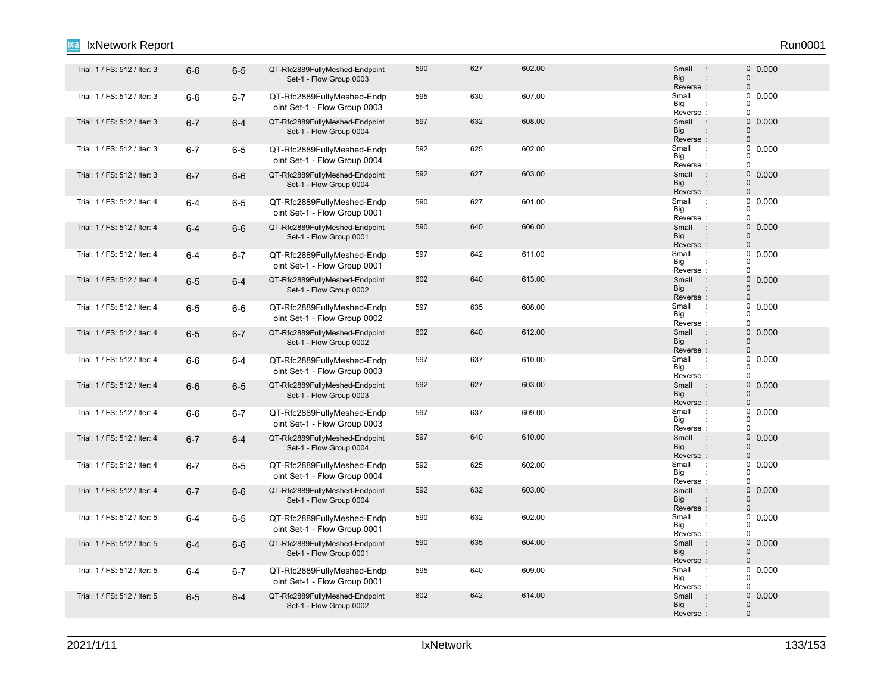#### 1. Trial: 1 / FS: 512 / Iter: 3 6-6 6-5 QT-Rfc2889FullyMeshed-Endpoint 590 627 602.00 Small 0 Set-1 - Flow Group 0003 590 627 602.00 602.00 5mail : 0 0.000 Reverse : Big Small 0 0 : : Trial: 1 / FS: 512 / Iter: 3 6-6 6-7 QT-Rfc2889FullyMeshed-Endp 595 607 607.00 Small : oint Set-1 - Flow Group 0003 595 630 607.00 607.00 Small : 0 0.000 Reverse Big  $\overline{0}$  $\overline{0}$  $\Omega$ : : Trial: 1 / FS: 512 / Iter: 3 6-7 6-4 QT-Rfc2889FullyMeshed-Endpoint 597 632 608.00 Small : 0 Set-1 - Flow Group 0004 597 632 608.00 0.000 Big<br>Reverse : **Big** Small 0  $\Omega$ : "Trial: 1 / FS: 512 / Iter: 3 6-7 6-5 QT-Rfc2889FullyMeshed-Endp 592 625 602.00<br>Trial: 1 / FS: 512 / Iter: 3 6-7 6-5 QT-Rfc2889FullyMeshed-Endp 592 625 oint Set-1 - Flow Group 0004 592 625 602.00 Small 0.000 Reverse Big  $\Omega$  $\begin{matrix}0\\0\end{matrix}$ 0 : : 6-7 6-6 QT-Rfc2889FullyMeshed-Endpoint Trial: 1 / FS: 512 / Iter: 3 : 0 Set-1 - Flow Group 0004 592 627 603.00 603.00 599 603.00 603.00 603.00 603.00 603.00 603.00 603.00 603.00 603.00 603.00 603.00 603.00 Reverse : Big Small 0 0 : : Trial: 1 / FS: 512 / Iter: 4 6-4 6-5 QT-Rfc2889FullyMeshed-Endp 590 627 601.00 Small : oint Set-1 - Flow Group 0001 590 627 601.00 **Small 1 60.000** Reverse Big  $\Omega$  $\begin{matrix}0\\0\end{matrix}$  $\Omega$ : : 1. Trial: 1 / FS: 512 / Iter: 4 6-4 6-6 QT-Rfc2889FullyMeshed-Endpoint 590 606.00 Small 0 Set-1 - Flow Group 0001 590 640 606.00 606.00 5mail : 0 0.000 Reverse : Big Small  $\Omega$ 0 : : "Trial: 1 / FS: 512 / Iter: 4 6-4 6-7 QT-Rfc2889FullyMeshed-Endp 597 642 611.00 Small oint Set-1 - Flow Group 0001 597 642 611.00 Small : 0 0.000 Reverse Big  $\Omega$  $\begin{matrix}0\\0\end{matrix}$  $\Omega$ : : 1 Trial: 1 / FS: 512 / Iter: 4 6-5 6-4 QT-Rfc2889FullyMeshed-Endpoint 602 640 613.00 Small 0 Set-1 - Flow Group 0002 602 640 613.00 600 Small : 0 0.000 Reverse : Big Small  $\Omega$  $\Omega$ : : "Trial: 1 / FS: 512 / Iter: 4 6-5 6-6 QT-Rfc2889FullyMeshed-Endp 597 635 608.00 oint Set-1 - Flow Group 0002 597 635 608.00 608.00 Small : 0 0.000 Big<br>Reverse : Big 0  $\Omega$  $\theta$ 1. Trial: 1 / FS: 512 / Iter: 4 6-5 6-7 QT-Rfc2889FullyMeshed-Endpoint 602 640 612.00 Small : 0 Set-1 - Flow Group 0002 602 640 612.00 602 Small : 0 0.000 Reverse Big Small 0  $\Omega$ : : : Trial: 1 / FS: 512 / Iter: 4 6-6 6-4 QT-Rfc2889FullyMeshed-Endp 597 610.00 Small oint Set-1 - Flow Group 0003 597 637 610.00 **Small Disk Small Disk Small** O 0.000 Reverse Big 0  $0$  $\Omega$ : : 1. Trial: 1 / FS: 512 / Iter: 4 6-6 6-5 QT-Rfc2889FullyMeshed-Endpoint 592 627 603.00 Set-1 - Flow Group 0003 592 627 603.00 **Small** 9 603.00 Reverse : Big Small  $\Omega$  $\Omega$ : : Trial: 1 / FS: 512 / Iter: 4 6-6 6-7 QT-Rfc2889FullyMeshed-Endp 597 6037 609.00 Small : oint Set-1 - Flow Group 0003 597 637 609.00 609.00 Small : 0 0.000 Reverse Big 0  $\begin{matrix}0\\0\end{matrix}$  $\overline{0}$ : : Trial: 1 / FS: 512 / Iter: 4 6-7 6-4 QT-Rfc2889FullyMeshed-Endpoint 597 640 610.00 Small : 0 Set-1 - Flow Group 0004 597 640 610.00 0.000 Reverse<br>Small Big Small  $\Omega$ 0 : : : Trial: 1 / FS: 512 / Iter: 4 **6-7 6-5 QT-Rfc2889FullyMeshed-Endp** 692 602.00 Small : oint Set-1 - Flow Group 0004 592 625 602.00 Small 0.000 Reverse Big 0  $\begin{matrix}0\\0\end{matrix}$ 0 : : 6-7 6-6 QT-Rfc2889FullyMeshed-Endpoint Trial: 1 / FS: 512 / Iter: 4 : 0 Set-1 - Flow Group 0004 592 632 603.00 603.00 592 603.00 Reverse : Big Small  $\Omega$  $\Omega$ : : "Trial: 1 / FS: 512 / Iter: 5 **6-4 6-5 QT-Rfc2889FullyMeshed-Endp** 690 602.00 Small oint Set-1 - Flow Group 0001 590 632 602.00 602.00 Small : 0 0.000 Reverse Big 0  $\Omega$  $\theta$ : : Trial: 1 / FS: 512 / Iter: 5 6-4 6-6 QT-Rfc2889FullyMeshed-Endpoint 590 635 604.00 Small : 0 Set-1 - Flow Group 0001 590 635 604.00 **Small : 0 0.000** Reverse : Big Small 0  $\Omega$ : : Trial: 1 / FS: 512 / Iter: 5 6-4 6-7 QT-Rfc2889FullyMeshed-Endp 595 640 609.00 Small : oint Set-1 - Flow Group 0001 595 640 609.00 Small 0.000 Reverse Big 0  $\begin{array}{c} 0 \\ 0 \end{array}$  0.000  $\Omega$ : : Trial: 1 / FS: 512 / Iter: 5 6-5 6-4 QT-Rfc2889FullyMeshed-Endpoint 602 642 614.00 Small 0 Set-1 - Flow Group 0002 602 642 614.00 **Small** 9 600 600 602 Reverse : Big Small  $\Omega$ 0 : IxNetwork Report Run0001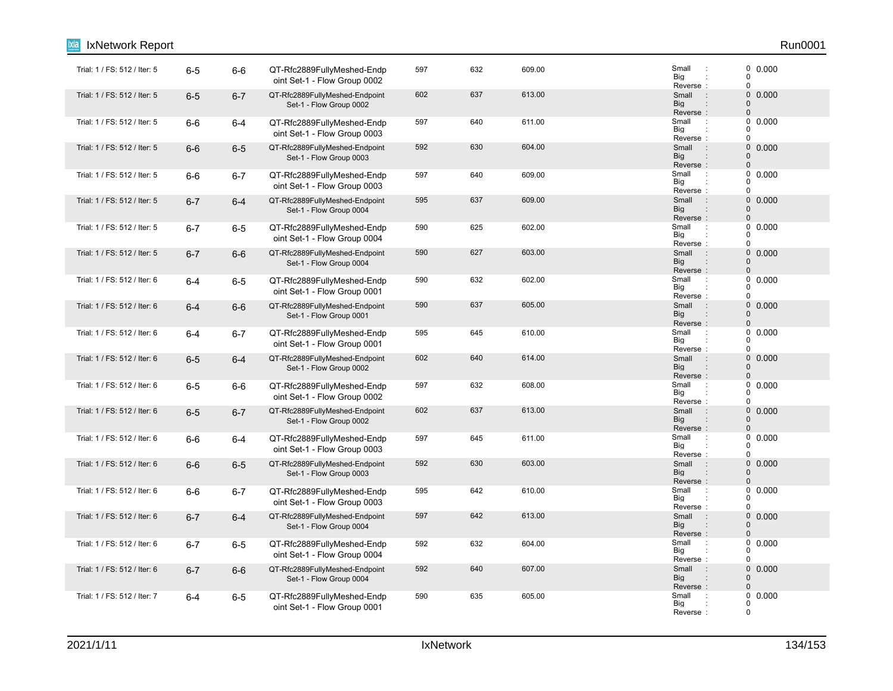| IxNetwork Report             |         |         |                                                            |     |     |        |                                                                      | Run0001                                               |
|------------------------------|---------|---------|------------------------------------------------------------|-----|-----|--------|----------------------------------------------------------------------|-------------------------------------------------------|
| Trial: 1 / FS: 512 / Iter: 5 | $6-5$   | $6-6$   | QT-Rfc2889FullyMeshed-Endp<br>oint Set-1 - Flow Group 0002 | 597 | 632 | 609.00 | Small<br>$\cdot$ :<br>Big<br>Reverse:                                | 0 0.000<br>0<br>0                                     |
| Trial: 1 / FS: 512 / Iter: 5 | $6-5$   | $6 - 7$ | QT-Rfc2889FullyMeshed-Endpoint<br>Set-1 - Flow Group 0002  | 602 | 637 | 613.00 | Small<br>$\sim$ 1<br><b>Big</b><br>Reverse:                          | $\mathbf 0$<br>0.000<br>$\mathbf{0}$<br>$\pmb{0}$     |
| Trial: 1 / FS: 512 / Iter: 5 | $6-6$   | $6 - 4$ | QT-Rfc2889FullyMeshed-Endp<br>oint Set-1 - Flow Group 0003 | 597 | 640 | 611.00 | Small<br>$\cdot$ :<br>Big<br>Reverse:                                | 0.000<br>0<br>$\Omega$<br>$\mathbf 0$                 |
| Trial: 1 / FS: 512 / Iter: 5 | $6-6$   | $6-5$   | QT-Rfc2889FullyMeshed-Endpoint<br>Set-1 - Flow Group 0003  | 592 | 630 | 604.00 | $\sim$ 1<br>Small<br><b>Big</b><br>Reverse:                          | $\mathbf 0$<br>0.000<br>$\mathbf 0$<br>$\overline{0}$ |
| Trial: 1 / FS: 512 / Iter: 5 | $6-6$   | $6 - 7$ | QT-Rfc2889FullyMeshed-Endp<br>oint Set-1 - Flow Group 0003 | 597 | 640 | 609.00 | Small<br>$\ddot{\phantom{a}}$<br>Big<br>Reverse:                     | 0<br>0.000<br>$\Omega$<br>0                           |
| Trial: 1 / FS: 512 / Iter: 5 | $6 - 7$ | $6 - 4$ | QT-Rfc2889FullyMeshed-Endpoint<br>Set-1 - Flow Group 0004  | 595 | 637 | 609.00 | Small<br>$\cdot$ :<br><b>Big</b><br>Reverse:                         | $\mathbf 0$<br>0.000<br>$\mathbf 0$<br>$\mathbf 0$    |
| Trial: 1 / FS: 512 / Iter: 5 | $6-7$   | $6-5$   | QT-Rfc2889FullyMeshed-Endp<br>oint Set-1 - Flow Group 0004 | 590 | 625 | 602.00 | Small<br>$\cdot$ :<br>Big<br>Reverse:                                | 0<br>0.000<br>$\Omega$<br>0                           |
| Trial: 1 / FS: 512 / Iter: 5 | $6 - 7$ | $6-6$   | QT-Rfc2889FullyMeshed-Endpoint<br>Set-1 - Flow Group 0004  | 590 | 627 | 603.00 | $\overline{\phantom{a}}$ :<br>Small<br><b>Big</b><br>Reverse:        | $\mathbf 0$<br>0.000<br>0<br>$\mathbf 0$              |
| Trial: 1 / FS: 512 / Iter: 6 | $6-4$   | $6-5$   | QT-Rfc2889FullyMeshed-Endp<br>oint Set-1 - Flow Group 0001 | 590 | 632 | 602.00 | Small<br>$\ddot{\phantom{a}}$ :<br>Big<br>Reverse:                   | 0<br>0.000<br>$\mathbf 0$<br>0                        |
| Trial: 1 / FS: 512 / Iter: 6 | $6-4$   | $6-6$   | QT-Rfc2889FullyMeshed-Endpoint<br>Set-1 - Flow Group 0001  | 590 | 637 | 605.00 | Small<br>$\sim$ 1.<br><b>Big</b><br>Reverse:                         | $0\ 0.000$<br>$\mathbf 0$<br>$\mathbf{0}$             |
| Trial: 1 / FS: 512 / Iter: 6 | 6-4     | $6 - 7$ | QT-Rfc2889FullyMeshed-Endp<br>oint Set-1 - Flow Group 0001 | 595 | 645 | 610.00 | Small<br>$\ddot{\phantom{a}}$ :<br>Big<br>Reverse:                   | 0<br>0.000<br>$\Omega$<br>0                           |
| Trial: 1 / FS: 512 / Iter: 6 | $6-5$   | $6 - 4$ | QT-Rfc2889FullyMeshed-Endpoint<br>Set-1 - Flow Group 0002  | 602 | 640 | 614.00 | Small<br>$\therefore$<br>Big<br>Reverse:                             | $\mathbf 0$<br>0.000<br>$\mathbf 0$<br>$\mathbf 0$    |
| Trial: 1 / FS: 512 / Iter: 6 | $6-5$   | $6-6$   | QT-Rfc2889FullyMeshed-Endp<br>oint Set-1 - Flow Group 0002 | 597 | 632 | 608.00 | Small<br>$\cdot$<br>Big<br>Reverse:                                  | 0.000<br>0<br>0<br>0                                  |
| Trial: 1 / FS: 512 / Iter: 6 | $6-5$   | $6 - 7$ | QT-Rfc2889FullyMeshed-Endpoint<br>Set-1 - Flow Group 0002  | 602 | 637 | 613.00 | Small<br>$\sim$ 1<br>Big<br>Reverse:                                 | $\mathbf 0$<br>0.000<br>$\Omega$<br>$\mathbf 0$       |
| Trial: 1 / FS: 512 / Iter: 6 | $6-6$   | $6 - 4$ | QT-Rfc2889FullyMeshed-Endp<br>oint Set-1 - Flow Group 0003 | 597 | 645 | 611.00 | Small<br>$\ddot{\phantom{a}}$ :<br>Big<br>Reverse:                   | 0<br>0.000<br>0<br>0                                  |
| Trial: 1 / FS: 512 / Iter: 6 | $6-6$   | $6-5$   | QT-Rfc2889FullyMeshed-Endpoint<br>Set-1 - Flow Group 0003  | 592 | 630 | 603.00 | $\sim$ 1.<br>Small<br><b>Big</b><br>$\ddot{\phantom{a}}$<br>Reverse: | $\mathbf 0$<br>0.000<br>$\mathbf 0$<br>$\mathbf 0$    |
| Trial: 1 / FS: 512 / Iter: 6 | $6-6$   | $6 - 7$ | QT-Rfc2889FullyMeshed-Endp<br>oint Set-1 - Flow Group 0003 | 595 | 642 | 610.00 | Small<br>Big<br>Reverse:                                             | 0.000<br>0<br>0<br>0                                  |
| Trial: 1 / FS: 512 / Iter: 6 | $6 - 7$ | $6 - 4$ | QT-Rfc2889FullyMeshed-Endpoint<br>Set-1 - Flow Group 0004  | 597 | 642 | 613.00 | $\sim$ 1<br>Small<br><b>Big</b><br>Reverse:                          | $\mathbf 0$<br>0.000<br>0<br>$\mathbf 0$              |
| Trial: 1 / FS: 512 / Iter: 6 | $6 - 7$ | $6-5$   | QT-Rfc2889FullyMeshed-Endp<br>oint Set-1 - Flow Group 0004 | 592 | 632 | 604.00 | Small<br>$\therefore$<br>Big<br>Reverse:                             | 0<br>0.000<br>0<br>0                                  |
| Trial: 1 / FS: 512 / Iter: 6 | $6 - 7$ | $6-6$   | QT-Rfc2889FullyMeshed-Endpoint<br>Set-1 - Flow Group 0004  | 592 | 640 | 607.00 | Small<br>$\therefore$<br><b>Big</b><br>Reverse:                      | $\mathbf 0$<br>0.000<br>$\mathbf 0$<br>$\mathbf{0}$   |
| Trial: 1 / FS: 512 / Iter: 7 | $6-4$   | $6-5$   | QT-Rfc2889FullyMeshed-Endp<br>oint Set-1 - Flow Group 0001 | 590 | 635 | 605.00 | Small<br>$\cdot$ :<br>Big<br>Reverse:                                | $0\ 0.000$<br>0<br>$\mathbf 0$                        |

## 2021/1/11 IxNetwork 134/153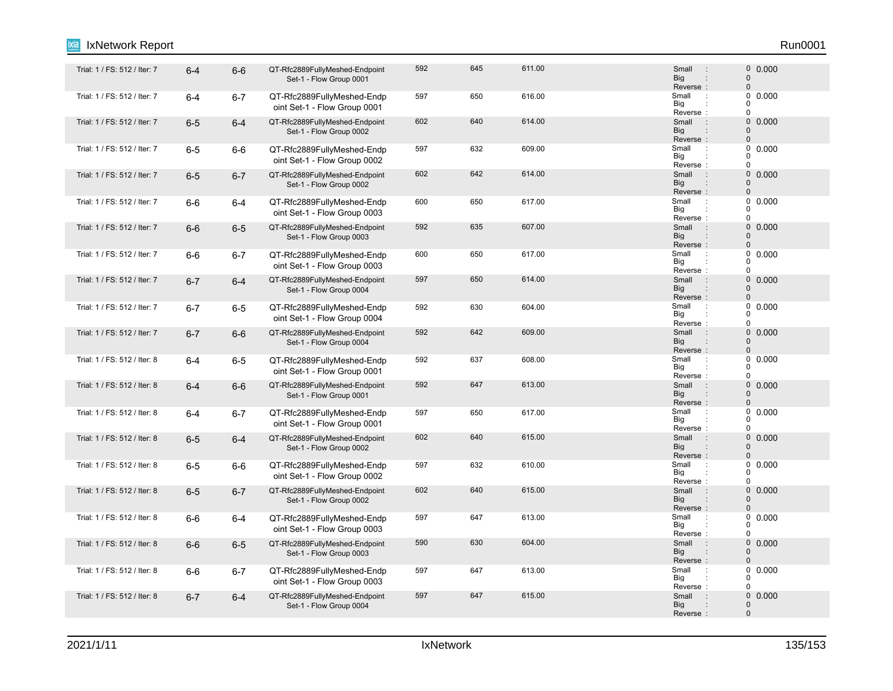#### 6-4 6-6 QT-Rfc2889FullyMeshed-Endpoint Trial: 1 / FS: 512 / Iter: 7 : 0 Set-1 - Flow Group 0001 592 645 611.00 Small : 0 0.000 Reverse : Big Small 0 0 : : Trial: 1 / FS: 512 / Iter: 7 **6-4 6-7 QT-Rfc2889FullyMeshed-Endp** 697 616.00 Small oint Set-1 - Flow Group 0001 597 650 616.00 616.00 Small : 0 0.000 Reverse Big  $\overline{0}$  $\overline{0}$  $\Omega$ : : Trial: 1 / FS: 512 / Iter: 7 6-5 6-4 QT-Rfc2889FullyMeshed-Endpoint 602 640 614.00 Small : 0 Set-1 - Flow Group 0002 602 640 614.00 **614.00** 602 Small : 0 0.000 Big<br>Reverse : **Big** Small 0  $\Omega$ : "Trial: 1 / FS: 512 / Iter: 7 6-5 6-6 QT-Rfc2889FullyMeshed-Endp 597 632 609.00 Small oint Set-1 - Flow Group 0002 597 632 609.00 Small 0.000 Reverse Big  $\Omega$  $\begin{matrix}0\\0\end{matrix}$ 0 : : 1 Trial: 1 / FS: 512 / Iter: 7 6-5 6-7 QT-Rfc2889FullyMeshed-Endpoint 602 642 614.00 Small 0 Set-1 - Flow Group 0002 602 642 614.00 **Small : 0 0.000** Reverse : Big Small 0 0 : : "Trial: 1 / FS: 512 / Iter: 7 6-6 6-4 QT-Rfc2889FullyMeshed-Endp 600 650 617.00 Small oint Set-1 - Flow Group 0003 600 650 617.00 Small 0.000 Reverse Big  $\Omega$  $\begin{matrix}0\\0\end{matrix}$  $\Omega$ : : 1. Trial: 1 / FS: 512 / Iter: 7 6-6 6-5 QT-Rfc2889FullyMeshed-Endpoint 592 635 607.00 Set-1 - Flow Group 0003 592 635 607.00 607.00 5mail 9 60000 607.00 Reverse : Big Small  $\Omega$ 0 : : "Trial: 1 / FS: 512 / Iter: 7 6-6 6-7 QT-Rfc2889FullyMeshed-Endp 600 650 617.00 Small oint Set-1 - Flow Group 0003 600 650 617.00 Small 0.000 Reverse Big  $\Omega$  $\begin{matrix}0\\0\end{matrix}$  $\Omega$ : : Trial: 1 / FS: 512 / Iter: 7 6-7 6-4 QT-Rfc2889FullyMeshed-Endpoint 597 650 614.00 Small 0 Set-1 - Flow Group 0004 597 650 614.00 **Small** 9 60.000 Reverse : Big Small  $\Omega$  $\Omega$ : : Trial: 1 / FS: 512 / Iter: 7 **6-7 6-5 QT-Rfc2889FullyMeshed-Endp 592** 604.00 Small : oint Set-1 - Flow Group 0004 592 630 604.00 604.00 Small : 0 0.000 Big<br>Reverse : Big 0  $\Omega$  $\theta$ 1. Trial: 1 / FS: 512 / Iter: 7 6-7 6-6 QT-Rfc2889FullyMeshed-Endpoint 592 642 609.00 Small 0 Set-1 - Flow Group 0004 592 642 609.00 609.00 590 609.00 609.000 61 62 60 61 61 62 60 61 61 61 62 60 60 60 60 60 60 60 60 60 60 60 60 6 Reverse Big Small 0  $\Omega$ : : 6-4 6-5 QT-Rfc2889FullyMeshed-Endp Trial: 1 / FS: 512 / Iter: 8 : oint Set-1 - Flow Group 0001 592 637 608.00 **Small Defined Arrival Contract Contract Contract Contract Contract Contract Contract Contract Co** Reverse Big 0  $0$  $\Omega$ : : 6-4 6-6 QT-Rfc2889FullyMeshed-Endpoint Trial: 1 / FS: 512 / Iter: 8 : 0 Set-1 - Flow Group 0001 592 647 613.00 **Small** 9 610.000 Reverse : Big Small  $\Omega$  $\Omega$ : : Trial: 1 / FS: 512 / Iter: 8 6-4 6-7 QT-Rfc2889FullyMeshed-Endp 597 650 617.00 Small : oint Set-1 - Flow Group 0001 597 650 617.00 **Small 1 6 617.00** 617.00 Reverse Big 0  $\begin{matrix}0\\0\end{matrix}$  $\overline{0}$ : : Trial: 1 / FS: 512 / Iter: 8 6-5 6-4 QT-Rfc2889FullyMeshed-Endpoint 602 640 615.00 Small : 0 Set-1 - Flow Group 0002 602 640 615.00 605 606 607 608 608 609 600 600 600 600 600 615.00 Reverse<br>Small Big Small  $\Omega$ 0 : : 6-5 6-6 QT-Rfc2889FullyMeshed-Endp Trial: 1 / FS: 512 / Iter: 8 : oint Set-1 - Flow Group 0002 597 632 610.00 **Small Defined Algebra** Small Defined Assemblance Companies of the Small Defined Assemblance Comp Reverse Big 0  $\begin{matrix}0\\0\end{matrix}$ 0 : : 6-5 6-7 QT-Rfc2889FullyMeshed-Endpoint Trial: 1 / FS: 512 / Iter: 8 : 0 Set-1 - Flow Group 0002 602 640 615.00 0.000 Reverse : Big Small  $\Omega$  $\Omega$ : : Trial: 1 / FS: 512 / Iter: 8 6-6 6-4 QT-Rfc2889FullyMeshed-Endp 597 647 613.00 Small : oint Set-1 - Flow Group 0003 597 647 613.00 Small : 0 0.000 Reverse Big 0  $\Omega$  $\Omega$ : : 6-6 6-5 QT-Rfc2889FullyMeshed-Endpoint Trial: 1 / FS: 512 / Iter: 8 : 0 Set-1 - Flow Group 0003 590 630 604.00 604.00 5mail : 0 0.000 Reverse : Big Small 0  $\Omega$ : 6-6 6-7 QT-Rfc2889FullyMeshed-Endp Trial: 1 / FS: 512 / Iter: 8 : oint Set-1 - Flow Group 0003 597 647 613.00 Small 0.000 Reverse Big 0  $\begin{array}{c} 0 \\ 0 \end{array}$  0.000  $\Omega$ : : 6-7 6-4 QT-Rfc2889FullyMeshed-Endpoint Trial: 1 / FS: 512 / Iter: 8 : 0 Set-1 - Flow Group 0004 597 647 615.00 **616.00** Small : 0 0.000 Reverse : Big Small  $\Omega$ 0 : IxNetwork Report Run0001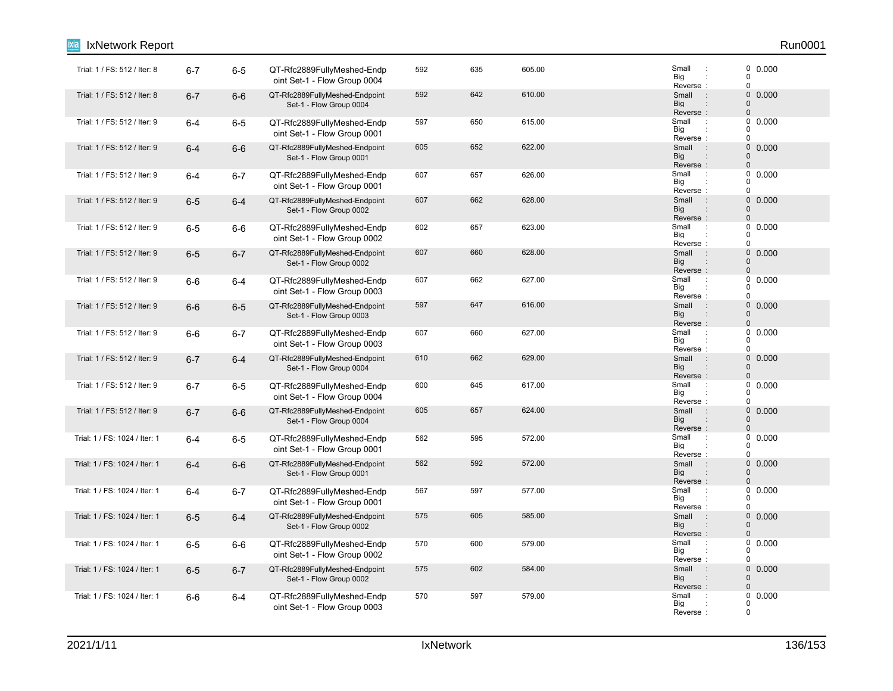| IxNetwork Report              |         |         |                                                            |     |     |        |                                                                                 | Run0001                                                             |
|-------------------------------|---------|---------|------------------------------------------------------------|-----|-----|--------|---------------------------------------------------------------------------------|---------------------------------------------------------------------|
| Trial: 1 / FS: 512 / Iter: 8  | $6 - 7$ | $6-5$   | QT-Rfc2889FullyMeshed-Endp<br>oint Set-1 - Flow Group 0004 | 592 | 635 | 605.00 | Small<br>÷<br>Big<br>Reverse:                                                   | $\begin{smallmatrix} 0 & 0.000 \ 0 & \end{smallmatrix}$<br>$\Omega$ |
| Trial: 1 / FS: 512 / Iter: 8  | $6 - 7$ | $6-6$   | QT-Rfc2889FullyMeshed-Endpoint<br>Set-1 - Flow Group 0004  | 592 | 642 | 610.00 | Small<br>$\sim$ 1.<br><b>Big</b><br>Reverse:                                    | $\pmb{0}$<br>0.000<br>$\mathbf 0$<br>$\mathbf 0$                    |
| Trial: 1 / FS: 512 / Iter: 9  | $6 - 4$ | $6-5$   | QT-Rfc2889FullyMeshed-Endp<br>oint Set-1 - Flow Group 0001 | 597 | 650 | 615.00 | Small<br>$\ddot{\phantom{a}}$<br>Big<br>Reverse:                                | 0<br>0.000<br>$\Omega$<br>$\Omega$                                  |
| Trial: 1 / FS: 512 / Iter: 9  | $6 - 4$ | $6-6$   | QT-Rfc2889FullyMeshed-Endpoint<br>Set-1 - Flow Group 0001  | 605 | 652 | 622.00 | $\therefore$<br>Small<br><b>Big</b><br>$\ddot{\phantom{a}}$<br>Reverse:         | $\pmb{0}$<br>0.000<br>$\mathbf 0$<br>$\mathbf 0$                    |
| Trial: 1 / FS: 512 / Iter: 9  | $6 - 4$ | $6 - 7$ | QT-Rfc2889FullyMeshed-Endp<br>oint Set-1 - Flow Group 0001 | 607 | 657 | 626.00 | Small<br>Big<br>Reverse:                                                        | $\mathbf 0$<br>0.000<br>$\Omega$<br>$\Omega$                        |
| Trial: 1 / FS: 512 / Iter: 9  | $6-5$   | $6 - 4$ | QT-Rfc2889FullyMeshed-Endpoint<br>Set-1 - Flow Group 0002  | 607 | 662 | 628.00 | Small<br>÷<br><b>Big</b><br>$\ddot{\phantom{a}}$<br>Reverse:                    | $\pmb{0}$<br>0.000<br>$\mathbf 0$<br>$\Omega$                       |
| Trial: 1 / FS: 512 / Iter: 9  | $6-5$   | $6-6$   | QT-Rfc2889FullyMeshed-Endp<br>oint Set-1 - Flow Group 0002 | 602 | 657 | 623.00 | Small<br>÷<br>Big<br>Reverse:                                                   | 0<br>0.000<br>$\Omega$<br>$\mathbf 0$                               |
| Trial: 1 / FS: 512 / Iter: 9  | $6-5$   | $6 - 7$ | QT-Rfc2889FullyMeshed-Endpoint<br>Set-1 - Flow Group 0002  | 607 | 660 | 628.00 | Small<br>$\mathbf{r}$<br>Big<br>Reverse:                                        | 0<br>0.000<br>$\mathbf 0$<br>$\Omega$                               |
| Trial: 1 / FS: 512 / Iter: 9  | $6-6$   | $6 - 4$ | QT-Rfc2889FullyMeshed-Endp<br>oint Set-1 - Flow Group 0003 | 607 | 662 | 627.00 | Small<br>$\ddot{\phantom{a}}$<br>Big<br>Reverse:                                | 0<br>0.000<br>$\Omega$<br>$\mathbf 0$                               |
| Trial: 1 / FS: 512 / Iter: 9  | $6-6$   | $6-5$   | QT-Rfc2889FullyMeshed-Endpoint<br>Set-1 - Flow Group 0003  | 597 | 647 | 616.00 | Small<br>$\cdot$ :<br><b>Big</b><br>Reverse:                                    | $0\ 0.000$<br>$\mathbf 0$<br>$\Omega$                               |
| Trial: 1 / FS: 512 / Iter: 9  | $6-6$   | $6 - 7$ | QT-Rfc2889FullyMeshed-Endp<br>oint Set-1 - Flow Group 0003 | 607 | 660 | 627.00 | Small<br>÷<br>Big<br>Reverse:                                                   | 0<br>0.000<br>$\Omega$<br>$\mathbf 0$                               |
| Trial: 1 / FS: 512 / Iter: 9  | $6 - 7$ | $6 - 4$ | QT-Rfc2889FullyMeshed-Endpoint<br>Set-1 - Flow Group 0004  | 610 | 662 | 629.00 | Small<br>$\ddot{\phantom{a}}$<br><b>Big</b><br>$\ddot{\phantom{a}}$<br>Reverse: | $\pmb{0}$<br>0.000<br>$\mathbf 0$<br>$\mathbf 0$                    |
| Trial: 1 / FS: 512 / Iter: 9  | $6 - 7$ | $6-5$   | QT-Rfc2889FullyMeshed-Endp<br>oint Set-1 - Flow Group 0004 | 600 | 645 | 617.00 | Small<br>$\ddot{\phantom{a}}$<br>Big<br>Reverse:                                | 0<br>0.000<br>0<br>$\Omega$                                         |
| Trial: 1 / FS: 512 / Iter: 9  | $6 - 7$ | $6-6$   | QT-Rfc2889FullyMeshed-Endpoint<br>Set-1 - Flow Group 0004  | 605 | 657 | 624.00 | Small<br>$\ddot{\phantom{a}}$<br><b>Big</b><br>Reverse:                         | $\pmb{0}$<br>0.000<br>$\mathbf 0$<br>$\mathbf 0$                    |
| Trial: 1 / FS: 1024 / Iter: 1 | $6 - 4$ | $6-5$   | QT-Rfc2889FullyMeshed-Endp<br>oint Set-1 - Flow Group 0001 | 562 | 595 | 572.00 | Small<br>$\ddot{\phantom{a}}$<br>Big<br>Reverse:                                | 0<br>0.000<br>$\mathbf 0$<br>$\Omega$                               |
| Trial: 1 / FS: 1024 / Iter: 1 | $6 - 4$ | $6-6$   | QT-Rfc2889FullyMeshed-Endpoint<br>Set-1 - Flow Group 0001  | 562 | 592 | 572.00 | $\sim$ 1 $\sim$<br>Small<br><b>Big</b><br>$\ddot{\phantom{a}}$<br>Reverse:      | 0<br>0.000<br>$\Omega$<br>$\mathbf 0$                               |
| Trial: 1 / FS: 1024 / Iter: 1 | $6 - 4$ | $6 - 7$ | QT-Rfc2889FullyMeshed-Endp<br>oint Set-1 - Flow Group 0001 | 567 | 597 | 577.00 | Small<br>$\ddot{\phantom{a}}$<br>Big<br>Reverse:                                | 0.000<br>0<br>0<br>$\Omega$                                         |
| Trial: 1 / FS: 1024 / Iter: 1 | $6-5$   | $6 - 4$ | QT-Rfc2889FullyMeshed-Endpoint<br>Set-1 - Flow Group 0002  | 575 | 605 | 585.00 | $\pm$<br>Small<br><b>Big</b><br>$\ddot{\phantom{a}}$<br>Reverse:                | $\pmb{0}$<br>0.000<br>$\mathbf 0$<br>$\mathbf 0$                    |
| Trial: 1 / FS: 1024 / Iter: 1 | $6-5$   | $6-6$   | QT-Rfc2889FullyMeshed-Endp<br>oint Set-1 - Flow Group 0002 | 570 | 600 | 579.00 | Small<br>$\cdot$<br>Big<br>Reverse:                                             | 0<br>0.000<br>0<br>$\Omega$                                         |
| Trial: 1 / FS: 1024 / Iter: 1 | $6-5$   | $6 - 7$ | QT-Rfc2889FullyMeshed-Endpoint<br>Set-1 - Flow Group 0002  | 575 | 602 | 584.00 | Small<br>÷<br>Big<br>Reverse:                                                   | 0<br>0.000<br>$\mathbf 0$<br>$\Omega$                               |
| Trial: 1 / FS: 1024 / Iter: 1 | $6-6$   | $6 - 4$ | QT-Rfc2889FullyMeshed-Endp<br>oint Set-1 - Flow Group 0003 | 570 | 597 | 579.00 | Small<br>Big<br>Reverse:                                                        | 0.000<br>0<br>$\Omega$<br>$\mathbf 0$                               |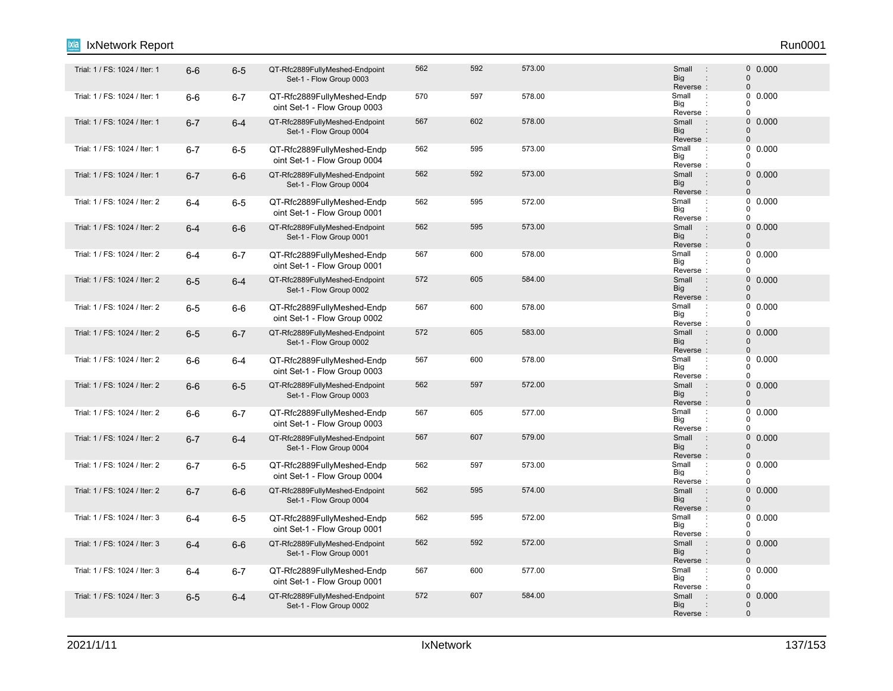#### Trial: 1 / FS: 1024 / Iter: 1 6-6 6-5 QT-Rfc2889FullyMeshed-Endpoint 562 592 573.00 Small 0 Set-1 - Flow Group 0003 562 592 573.00 0.000 Reverse<br>Small Big Small 0 0 : : : Trial: 1 / FS: 1024 / Iter: 1 6-6 6-7 QT-Rfc2889FullyMeshed-Endp 570 597 578.00 Small : oint Set-1 - Flow Group 0003 570 597 578.00 598 578.00 5mail 9 578.00 Reverse Big  $\overline{0}$  $\overline{0}$  $\Omega$ : : Trial: 1 / FS: 1024 / Iter: 1 6-7 6-4 QT-Rfc2889FullyMeshed-Endpoint 567 602 578.00 Small : 0 Set-1 - Flow Group 0004 567 602 578.00 500 500 500 500 500 500 500 600 600 500 600 500 61 61 62 62 63 64 6 Big<br>Reverse : **Big** Small 0  $\Omega$ : "Trial: 1 / FS: 1024 / Iter: 1 6-7 6-5 QT-Rfc2889FullyMeshed-Endp 562 595 57.00<br>Trial: 1 / FS: 1024 / Iter: 1 6-7 6-5 QT-Rfc2889FullyMeshed-Endp oint Set-1 - Flow Group 0004 562 595 573.00 Small 0.000 Reverse Big  $\Omega$  $\begin{matrix}0\\0\end{matrix}$ 0 : : Trial: 1 / FS: 1024 / Iter: 1 6-7 6-6 QT-Rfc2889FullyMeshed-Endpoint 562 592 573.00 Small 0 Set-1 - Flow Group 0004 562 592 573.00 0.000 Reverse : Big Small 0 0 : : Trial: 1 / FS: 1024 / Iter: 2 6-4 6-5 QT-Rfc2889FullyMeshed-Endp 562 595 572.00 Small : oint Set-1 - Flow Group 0001 562 595 572.00 598 572.00 5mail 9.0000 Reverse Big 0  $\begin{matrix}0\\0\end{matrix}$  $\Omega$ : : Trial: 1 / FS: 1024 / Iter: 2 6**-4** 6-6 QT-Rfc2889FullyMeshed-Endpoint 562 595 573.00 Small : 0 Set-1 - Flow Group 0001 562 595 573.00 573.00 5 Small : 0 0.000 Reverse : Big Small  $\Omega$ 0 : : "Trial: 1 / FS: 1024 / Iter: 2 6-4 6-7 QT-Rfc2889FullyMeshed-Endp 567 600 578.00 Small oint Set-1 - Flow Group 0001 567 600 578.00 **Small 1 50000 600** 600 6000 61 578.00 Reverse Big  $\Omega$  $\begin{matrix}0\\0\end{matrix}$  $\Omega$ : : 6-5 6-4 QT-Rfc2889FullyMeshed-Endpoint Trial: 1 / FS: 1024 / Iter: 2 : 0 Set-1 - Flow Group 0002 572 605 584.00 605 584.00 Reverse : Big Small  $\Omega$  $\Omega$ : : "Trial: 1 / FS: 1024 / Iter: 2 6-5 6-6 QT-Rfc2889FullyMeshed-Endp 567 600 578.00 Small oint Set-1 - Flow Group 0002 567 600 578.00 Small : 0 0.000 Big<br>Reverse : Big 0  $\Omega$  $\theta$ Trial: 1 / FS: 1024 / Iter: 2 6**-5** 6-7 QT-Rfc2889FullyMeshed-Endpoint 572 605 583.00 Small : 0 Set-1 - Flow Group 0002 572 605 583.00 0.000 Reverse Big Small 0  $\Omega$ : : : "Trial: 1 / FS: 1024 / Iter: 2 : 6-6 6-4 QT-Rfc2889FullyMeshed-Endp 567 600 578.00 578.00 578.00 5 Small oint Set-1 - Flow Group 0003 567 600 578.00 **Small 1 50.000** Reverse Big 0  $0$  $\Omega$ : : Trial: 1 / FS: 1024 / Iter: 2 6 6-6 GT-Rfc2889FullyMeshed-Endpoint 562 597 572.00 Small : 0 Set-1 - Flow Group 0003 562 597 572.00 5000 5 568 568 568 572.00 Reverse : Big Small  $\Omega$  $\Omega$ : : "Trial: 1 / FS: 1024 / Iter: 2 6-6 6-7 QT-Rfc2889FullyMeshed-Endp 567 605 577.00 Small oint Set-1 - Flow Group 0003 567 605 577.00 Small : 0 0.000 Reverse Big 0  $\begin{matrix}0\\0\end{matrix}$  $\overline{0}$ : : Trial: 1 / FS: 1024 / Iter: 2 6**-7** 6-4 QT-Rfc2889FullyMeshed-Endpoint 567 607 579.00 Small : 0 Set-1 - Flow Group 0004 567 607 579.00 0.000 Reverse<br>Small Big Small  $\Omega$ 0 : : 6-7 6-5 QT-Rfc2889FullyMeshed-Endp Trial: 1 / FS: 1024 / Iter: 2 : oint Set-1 - Flow Group 0004 562 597 573.00 Small 0.000 Reverse Big 0  $\Omega$ 0 : : 6-7 6-6 QT-Rfc2889FullyMeshed-Endpoint Trial: 1 / FS: 1024 / Iter: 2 : 0 Set-1 - Flow Group 0004 562 595 574.00 576 Small : 0 0.000 Reverse : Big Small  $\Omega$  $\Omega$ : : Trial: 1 / FS: 1024 / Iter: 3 6-4 6-5 QT-Rfc2889FullyMeshed-Endp 562 595 572.00 Small : oint Set-1 - Flow Group 0001 562 595 572.00 598 572.00 5mail 9.0000 Reverse Big 0  $\Omega$  $\theta$ : : Trial: 1 / FS: 1024 / Iter: 3 6**-4** 6-6 QT-Rfc2889FullyMeshed-Endpoint 562 592 572.00 Small : 0 Set-1 - Flow Group 0001 562 592 572.00 0.000 Reverse : Big Small 0  $\Omega$ : : Trial: 1 / FS: 1024 / Iter: 3 6-4 6-7 QT-Rfc2889FullyMeshed-Endp 567 600 577.00 Small : oint Set-1 - Flow Group 0001 567 600 577.00 **Small 1 567 6000 61** Reverse Big 0  $\begin{array}{c} 0 \\ 0 \end{array}$  0.000  $\Omega$ : : Trial: 1 / FS: 1024 / Iter: 3 6-5 6-4 QT-Rfc2889FullyMeshed-Endpoint 572 607 584.00 Small : 0 Set-1 - Flow Group 0002 572 607 584.00 607 584.00 Reverse : Big Small  $\Omega$ 0 : IxNetwork Report Run0001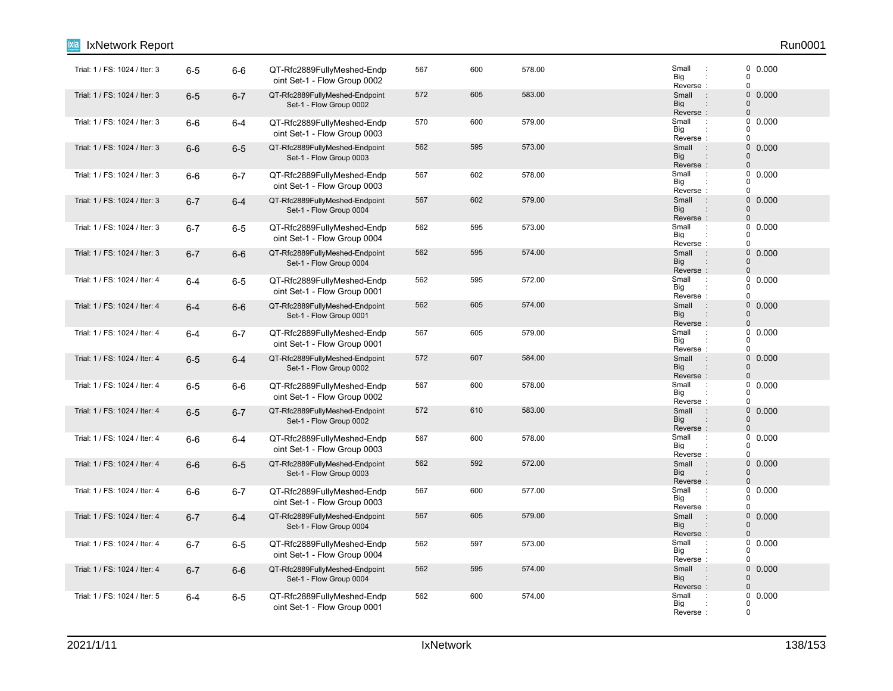| IxNetwork Report              |         |         |                                                            |     |     |        |                                                                      | Run0001                                                    |
|-------------------------------|---------|---------|------------------------------------------------------------|-----|-----|--------|----------------------------------------------------------------------|------------------------------------------------------------|
| Trial: 1 / FS: 1024 / Iter: 3 | $6-5$   | $6-6$   | QT-Rfc2889FullyMeshed-Endp<br>oint Set-1 - Flow Group 0002 | 567 | 600 | 578.00 | Small<br>$\ddot{\phantom{a}}$<br>Big<br>Reverse:                     | 0 0.000<br>$\pmb{0}$<br>$\mathbf 0$                        |
| Trial: 1 / FS: 1024 / Iter: 3 | $6-5$   | $6 - 7$ | QT-Rfc2889FullyMeshed-Endpoint<br>Set-1 - Flow Group 0002  | 572 | 605 | 583.00 | $\sim$ :<br>Small<br><b>Big</b><br>Reverse:                          | $\mathsf{O}\xspace$<br>0.000<br>$\pmb{0}$<br>$\pmb{0}$     |
| Trial: 1 / FS: 1024 / Iter: 3 | $6-6$   | $6 - 4$ | QT-Rfc2889FullyMeshed-Endp<br>oint Set-1 - Flow Group 0003 | 570 | 600 | 579.00 | Small<br>$\cdot$ :<br>Big<br>Reverse:                                | 0<br>0.000<br>0<br>$\mathbf 0$                             |
| Trial: 1 / FS: 1024 / Iter: 3 | $6-6$   | $6-5$   | QT-Rfc2889FullyMeshed-Endpoint<br>Set-1 - Flow Group 0003  | 562 | 595 | 573.00 | $\sim$ 1.<br>Small<br><b>Big</b><br>$\ddot{\phantom{a}}$<br>Reverse: | $\mathsf{O}\xspace$<br>0.000<br>$\mathbf 0$<br>$\mathbf 0$ |
| Trial: 1 / FS: 1024 / Iter: 3 | $6-6$   | $6 - 7$ | QT-Rfc2889FullyMeshed-Endp<br>oint Set-1 - Flow Group 0003 | 567 | 602 | 578.00 | Small<br>$\cdot$ :<br>Big<br>Reverse:                                | $\mathbf 0$<br>0.000<br>0<br>$\mathbf 0$                   |
| Trial: 1 / FS: 1024 / Iter: 3 | $6 - 7$ | $6 - 4$ | QT-Rfc2889FullyMeshed-Endpoint<br>Set-1 - Flow Group 0004  | 567 | 602 | 579.00 | Small<br>$\pm$<br><b>Big</b><br>$\ddot{\phantom{a}}$<br>Reverse:     | $\mathbf 0$<br>0.000<br>$\mathbf 0$<br>$\pmb{0}$           |
| Trial: 1 / FS: 1024 / Iter: 3 | $6 - 7$ | $6-5$   | QT-Rfc2889FullyMeshed-Endp<br>oint Set-1 - Flow Group 0004 | 562 | 595 | 573.00 | Small<br>$\pm$<br>Big<br>Reverse:                                    | 0<br>0.000<br>0<br>$\pmb{0}$                               |
| Trial: 1 / FS: 1024 / Iter: 3 | $6 - 7$ | $6-6$   | QT-Rfc2889FullyMeshed-Endpoint<br>Set-1 - Flow Group 0004  | 562 | 595 | 574.00 | $\pm$<br>Small<br>Big<br>Reverse:                                    | $\mathbf 0$<br>0.000<br>$\mathbf 0$<br>$\pmb{0}$           |
| Trial: 1 / FS: 1024 / Iter: 4 | $6 - 4$ | $6-5$   | QT-Rfc2889FullyMeshed-Endp<br>oint Set-1 - Flow Group 0001 | 562 | 595 | 572.00 | Small<br>$\ddot{\phantom{a}}$<br>Big<br>Reverse:                     | $\pmb{0}$<br>0.000<br>$\mathbf 0$<br>$\pmb{0}$             |
| Trial: 1 / FS: 1024 / Iter: 4 | $6 - 4$ | $6-6$   | QT-Rfc2889FullyMeshed-Endpoint<br>Set-1 - Flow Group 0001  | 562 | 605 | 574.00 | Small<br>$\sim$<br><b>Big</b><br>Reverse:                            | 0 0.000<br>$\mathbf 0$<br>$\Omega$                         |
| Trial: 1 / FS: 1024 / Iter: 4 | $6 - 4$ | $6-7$   | QT-Rfc2889FullyMeshed-Endp<br>oint Set-1 - Flow Group 0001 | 567 | 605 | 579.00 | Small<br>$\ddot{\phantom{a}}$<br>Big<br>Reverse:                     | $\pmb{0}$<br>0.000<br>0<br>$\pmb{0}$                       |
| Trial: 1 / FS: 1024 / Iter: 4 | $6-5$   | $6 - 4$ | QT-Rfc2889FullyMeshed-Endpoint<br>Set-1 - Flow Group 0002  | 572 | 607 | 584.00 | Small<br>$\cdot$ :<br><b>Big</b><br>$\ddot{\phantom{a}}$<br>Reverse: | 0<br>0.000<br>$\mathbf 0$<br>$\pmb{0}$                     |
| Trial: 1 / FS: 1024 / Iter: 4 | $6-5$   | $6-6$   | QT-Rfc2889FullyMeshed-Endp<br>oint Set-1 - Flow Group 0002 | 567 | 600 | 578.00 | Small<br>$\ddot{\phantom{a}}$<br>Big<br>Reverse:                     | 0.000<br>0<br>0<br>$\pmb{0}$                               |
| Trial: 1 / FS: 1024 / Iter: 4 | $6-5$   | $6 - 7$ | QT-Rfc2889FullyMeshed-Endpoint<br>Set-1 - Flow Group 0002  | 572 | 610 | 583.00 | Small<br>$\pm$<br>Big<br>Reverse:                                    | $\mathbf 0$<br>0.000<br>$\Omega$<br>$\pmb{0}$              |
| Trial: 1 / FS: 1024 / Iter: 4 | $6-6$   | $6 - 4$ | QT-Rfc2889FullyMeshed-Endp<br>oint Set-1 - Flow Group 0003 | 567 | 600 | 578.00 | Small<br>$\ddot{\phantom{a}}$<br>Big<br>Reverse:                     | $\pmb{0}$<br>0.000<br>0<br>$\mathbf 0$                     |
| Trial: 1 / FS: 1024 / Iter: 4 | $6-6$   | $6-5$   | QT-Rfc2889FullyMeshed-Endpoint<br>Set-1 - Flow Group 0003  | 562 | 592 | 572.00 | Small<br>$\rightarrow$<br>Big<br>$\ddot{\phantom{a}}$<br>Reverse:    | 0<br>0.000<br>$\pmb{0}$<br>$\mathbf 0$                     |
| Trial: 1 / FS: 1024 / Iter: 4 | $6-6$   | $6 - 7$ | QT-Rfc2889FullyMeshed-Endp<br>oint Set-1 - Flow Group 0003 | 567 | 600 | 577.00 | Small<br>$\cdot$<br>Big<br>Reverse:                                  | 0.000<br>0<br>0<br>$\mathbf 0$                             |
| Trial: 1 / FS: 1024 / Iter: 4 | $6 - 7$ | $6 - 4$ | QT-Rfc2889FullyMeshed-Endpoint<br>Set-1 - Flow Group 0004  | 567 | 605 | 579.00 | $\sim$ 1.<br>Small<br>Big<br>$\ddot{\phantom{a}}$<br>Reverse:        | $\mathsf{O}\xspace$<br>0.000<br>0<br>$\pmb{0}$             |
| Trial: 1 / FS: 1024 / Iter: 4 | $6 - 7$ | $6-5$   | QT-Rfc2889FullyMeshed-Endp<br>oint Set-1 - Flow Group 0004 | 562 | 597 | 573.00 | Small<br>$\ddot{\phantom{a}}$<br>Big<br>Reverse:                     | 0<br>0.000<br>0<br>$\mathbf 0$                             |
| Trial: 1 / FS: 1024 / Iter: 4 | $6 - 7$ | $6-6$   | QT-Rfc2889FullyMeshed-Endpoint<br>Set-1 - Flow Group 0004  | 562 | 595 | 574.00 | Small<br>$\div$<br>Big<br>Reverse:                                   | $\mathbf 0$<br>0.000<br>0<br>$\mathbf{0}$                  |
| Trial: 1 / FS: 1024 / Iter: 5 | $6 - 4$ | $6-5$   | QT-Rfc2889FullyMeshed-Endp<br>oint Set-1 - Flow Group 0001 | 562 | 600 | 574.00 | Small<br>$\cdot$ :<br>Big<br>Reverse:                                | $\mathbf 0$<br>0.000<br>0<br>$\mathbf 0$                   |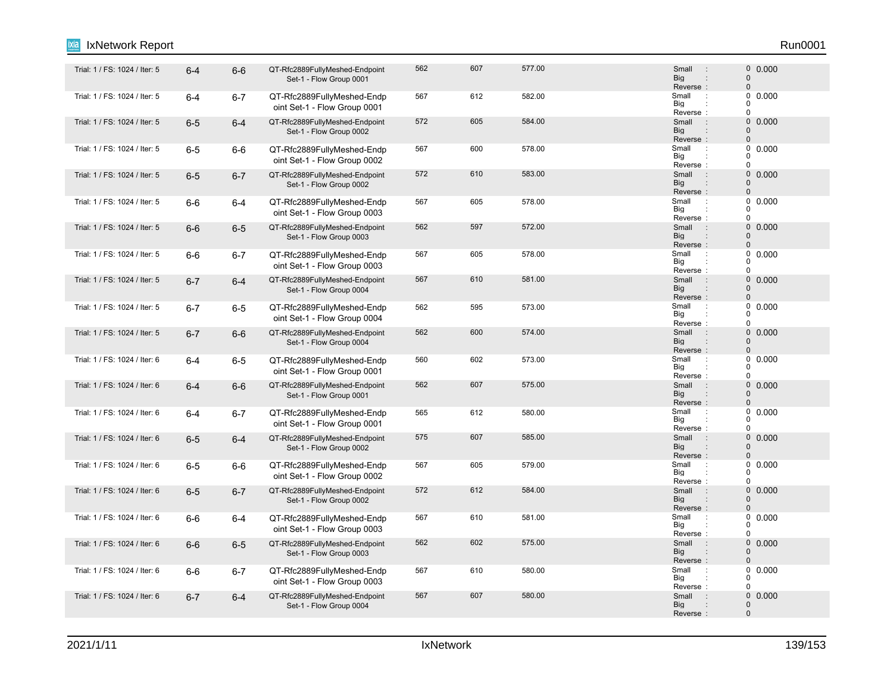#### 6-4 6-6 QT-Rfc2889FullyMeshed-Endpoint Trial: 1 / FS: 1024 / Iter: 5 : 0 Set-1 - Flow Group 0001 562 607 577.00 Small : 0 0.000 Reverse<br>Small Big Small 0 0 : : : Trial: 1 / FS: 1024 / Iter: 5 **6-4 6-7 QT-Rfc2889FullyMeshed-Endp** 667 682.00 Small : oint Set-1 - Flow Group 0001 567 612 582.00 Small : 0 0.000 Reverse Big  $\overline{0}$  $\overline{0}$  $\Omega$ : : Trial: 1 / FS: 1024 / Iter: 5 6-5 6-4 QT-Rfc2889FullyMeshed-Endpoint 572 605 584.00 Small : 0 Set-1 - Flow Group 0002 572 605 584.00 **Small 50.000** Big<br>Reverse : **Big** Small 0  $\Omega$ 6-5 6-6 QT-Rfc2889FullyMeshed-Endp Trial: 1 / FS: 1024 / Iter: 5 : oint Set-1 - Flow Group 0002 567 600 578.00 **Small 1 50000 600 578.00** Reverse Big  $\Omega$  $\begin{matrix}0\\0\end{matrix}$ 0 : : 6-5 6-7 QT-Rfc2889FullyMeshed-Endpoint Trial: 1 / FS: 1024 / Iter: 5 : 0 Set-1 - Flow Group 0002 572 610 583.00 5000 610 581 6000 610 610 610 610 610 610 610 611 612 613 614 610 6 Reverse : Big Small 0 0 : : "Trial: 1 / FS: 1024 / Iter: 5 6-6 6-4 QT-Rfc2889FullyMeshed-Endp 567 605 578.00 Small oint Set-1 - Flow Group 0003 567 605 578.00 **Small 1 50.000** Reverse Big  $\Omega$  $\begin{matrix}0\\0\end{matrix}$  $\Omega$ : : Trial: 1 / FS: 1024 / Iter: 5 6-6 6-5 QT-Rfc2889FullyMeshed-Endpoint 562 597 572.00 Small : 0 Set-1 - Flow Group 0003 562 597 572.00 0.000 Reverse : Big Small  $\Omega$ 0 : : "Trial: 1 / FS: 1024 / Iter: 5 : 6-6 6-7 QT-Rfc2889FullyMeshed-Endp 567 605 578.00 578.00 5 ... [1 oint Set-1 - Flow Group 0003 567 605 578.00 **Small Defined Algebra** Small Discover Small Discover 30 0.000 Reverse Big  $\Omega$  $\begin{matrix}0\\0\end{matrix}$  $\Omega$ : : 6-7 6-4 QT-Rfc2889FullyMeshed-Endpoint Trial: 1 / FS: 1024 / Iter: 5 : 0 Set-1 - Flow Group 0004 567 610 581.00 500 Small : 0 0.000 Reverse : Big Small  $\Omega$  $\Omega$ : : Trial: 1 / FS: 1024 / Iter: 5 **6-7 6-5 QT-Rfc2889FullyMeshed-Endp** 562 575.00 Small : oint Set-1 - Flow Group 0004 562 595 573.00 Small : 0 0.000 Big<br>Reverse : Big 0  $\Omega$  $\theta$ Trial: 1 / FS: 1024 / Iter: 5 6-7 6-6 QT-Rfc2889FullyMeshed-Endpoint 562 600 574.00 Small : 0 Set-1 - Flow Group 0004 562 600 574.00 0.000 Reverse Big Small 0  $\Omega$ : : : Trial: 1 / FS: 1024 / Iter: 6 **6-4 6-5 QT-Rfc2889FullyMeshed-Endp** 600 573.00 Small oint Set-1 - Flow Group 0001 560 602 573.00 Small 0.000 Reverse Big 0  $0$  $\Omega$ : : 6-4 6-6 QT-Rfc2889FullyMeshed-Endpoint Trial: 1 / FS: 1024 / Iter: 6 : 0 Set-1 - Flow Group 0001 562 607 575.00 500 5 600 5 600 5 600 5 600 5 600 5 600 5 600 5 600 5 600 5 600 5 600 5 600 5 600 5 600 5 600 5 Reverse : Big Small  $\Omega$  $\Omega$ : : Trial: 1 / FS: 1024 / Iter: 6 **6-4 6-7 QT-Rfc2889FullyMeshed-Endp** 665 612 580.00 Small : oint Set-1 - Flow Group 0001 565 612 580.00 **Small 1 560.00** 612 Reverse Big 0  $\begin{matrix}0\\0\end{matrix}$  $\overline{0}$ : : Trial: 1 / FS: 1024 / Iter: 6 6-5 6-4 QT-Rfc2889FullyMeshed-Endpoint 575 607 585.00 Small : 0 Set-1 - Flow Group 0002 575 607 585.00 0.000 Reverse<br>Small Big Small  $\Omega$ 0 : : : "Trial: 1 / FS: 1024 / Iter: 6 6-5 6-6 QT-Rfc2889FullyMeshed-Endp 567 605 579.00 Small oint Set-1 - Flow Group 0002 567 605 579.00 **Small Defined American Small** 2 0 0.000 Reverse Big 0  $\Omega$ 0 : : 6-5 6-7 QT-Rfc2889FullyMeshed-Endpoint Trial: 1 / FS: 1024 / Iter: 6 : 0 Set-1 - Flow Group 0002 572 612 584.00 **Small** 9 50.000 Reverse : Big Small  $\Omega$  $\Omega$ : : "Trial: 1 / FS: 1024 / Iter: 6 6-6 6-4 QT-Rfc2889FullyMeshed-Endp 567 610 581.00 Small oint Set-1 - Flow Group 0003 567 610 581.00 **Small 1 567 61000** Reverse Big 0  $\Omega$  $\Omega$ : : Trial: 1 / FS: 1024 / Iter: 6 6-6 6-5 QT-Rfc2889FullyMeshed-Endpoint 562 602 575.00 Small : 0 Set-1 - Flow Group 0003 562 602 575.00 0.000 Reverse : Big Small 0  $\Omega$ : : "Trial: 1 / FS: 1024 / Iter: 6 **6-6 6-7 QT-Rfc2889FullyMeshed-Endp** 667 610 580.00 Small : oint Set-1 - Flow Group 0003 567 610 580.00 **SMall 1 567 610** Reverse Big 0  $\begin{array}{c} 0 \\ 0 \end{array}$  0.000  $\Omega$ : : Trial: 1 / FS: 1024 / Iter: 6 6**-7** 6-4 QT-Rfc2889FullyMeshed-Endpoint 567 607 580.00 Small : 0 Set-1 - Flow Group 0004 567 607 580.00 607 580.00 567 5 67 5 680.00 Reverse : Big Small  $\Omega$ 0 : IxNetwork Report Run0001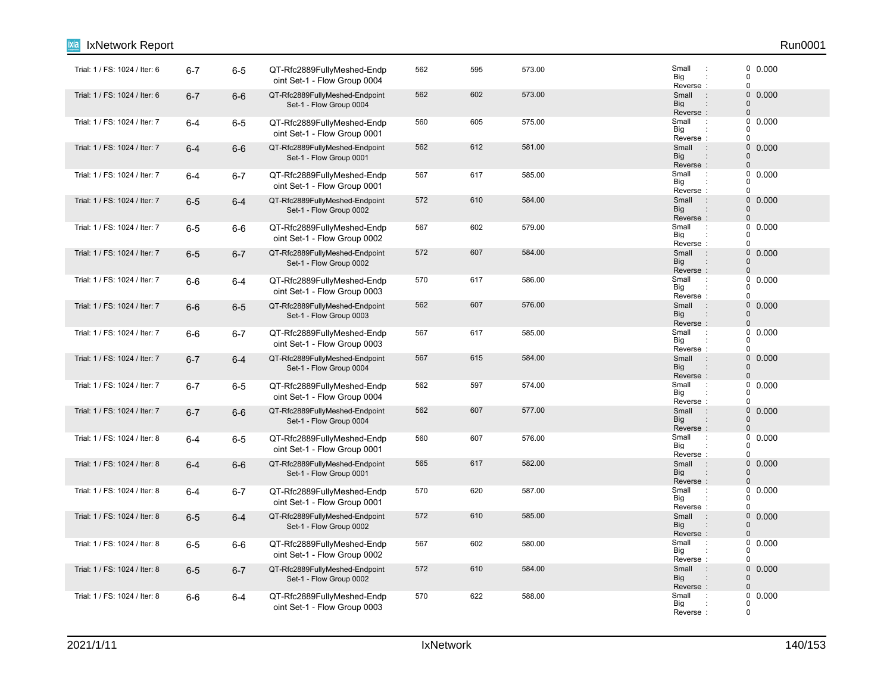| IxNetwork Report              |         |         |                                                            |     |     |        |                                                                                 | Run0001                                                             |
|-------------------------------|---------|---------|------------------------------------------------------------|-----|-----|--------|---------------------------------------------------------------------------------|---------------------------------------------------------------------|
| Trial: 1 / FS: 1024 / Iter: 6 | $6 - 7$ | $6-5$   | QT-Rfc2889FullyMeshed-Endp<br>oint Set-1 - Flow Group 0004 | 562 | 595 | 573.00 | Small<br>÷<br>Big<br>Reverse:                                                   | $\begin{smallmatrix} 0 & 0.000 \ 0 & \end{smallmatrix}$<br>$\Omega$ |
| Trial: 1 / FS: 1024 / Iter: 6 | $6 - 7$ | $6-6$   | QT-Rfc2889FullyMeshed-Endpoint<br>Set-1 - Flow Group 0004  | 562 | 602 | 573.00 | Small<br>$\sim$ 1.<br><b>Big</b><br>Reverse:                                    | $\pmb{0}$<br>0.000<br>$\mathbf 0$<br>$\mathbf 0$                    |
| Trial: 1 / FS: 1024 / Iter: 7 | $6 - 4$ | $6-5$   | QT-Rfc2889FullyMeshed-Endp<br>oint Set-1 - Flow Group 0001 | 560 | 605 | 575.00 | Small<br>$\ddot{\phantom{a}}$<br>Big<br>Reverse:                                | 0<br>0.000<br>$\Omega$<br>$\Omega$                                  |
| Trial: 1 / FS: 1024 / Iter: 7 | $6 - 4$ | $6-6$   | QT-Rfc2889FullyMeshed-Endpoint<br>Set-1 - Flow Group 0001  | 562 | 612 | 581.00 | $\sim$ 1.<br>Small<br><b>Big</b><br>$\ddot{\phantom{a}}$<br>Reverse:            | $\pmb{0}$<br>0.000<br>$\mathbf 0$<br>$\mathbf 0$                    |
| Trial: 1 / FS: 1024 / Iter: 7 | $6 - 4$ | $6 - 7$ | QT-Rfc2889FullyMeshed-Endp<br>oint Set-1 - Flow Group 0001 | 567 | 617 | 585.00 | Small<br>Big<br>Reverse:                                                        | $\mathbf 0$<br>0.000<br>$\Omega$<br>$\Omega$                        |
| Trial: 1 / FS: 1024 / Iter: 7 | $6-5$   | $6-4$   | QT-Rfc2889FullyMeshed-Endpoint<br>Set-1 - Flow Group 0002  | 572 | 610 | 584.00 | Small<br>÷<br><b>Big</b><br>$\ddot{\phantom{a}}$<br>Reverse:                    | $\pmb{0}$<br>0.000<br>$\mathbf 0$<br>$\Omega$                       |
| Trial: 1 / FS: 1024 / Iter: 7 | $6-5$   | $6-6$   | QT-Rfc2889FullyMeshed-Endp<br>oint Set-1 - Flow Group 0002 | 567 | 602 | 579.00 | Small<br>÷<br>Big<br>Reverse:                                                   | 0<br>0.000<br>$\Omega$<br>$\mathbf 0$                               |
| Trial: 1 / FS: 1024 / Iter: 7 | $6-5$   | $6 - 7$ | QT-Rfc2889FullyMeshed-Endpoint<br>Set-1 - Flow Group 0002  | 572 | 607 | 584.00 | Small<br>$\mathbf{r}$<br>Big<br>Reverse:                                        | 0<br>0.000<br>$\mathbf 0$<br>$\Omega$                               |
| Trial: 1 / FS: 1024 / Iter: 7 | $6-6$   | $6 - 4$ | QT-Rfc2889FullyMeshed-Endp<br>oint Set-1 - Flow Group 0003 | 570 | 617 | 586.00 | Small<br>$\ddot{\phantom{a}}$<br>Big<br>Reverse:                                | 0<br>0.000<br>$\Omega$<br>$\mathbf 0$                               |
| Trial: 1 / FS: 1024 / Iter: 7 | $6-6$   | $6-5$   | QT-Rfc2889FullyMeshed-Endpoint<br>Set-1 - Flow Group 0003  | 562 | 607 | 576.00 | Small<br>$\cdot$ :<br><b>Big</b><br>Reverse:                                    | $0\ 0.000$<br>$\mathbf 0$<br>$\Omega$                               |
| Trial: 1 / FS: 1024 / Iter: 7 | $6-6$   | $6 - 7$ | QT-Rfc2889FullyMeshed-Endp<br>oint Set-1 - Flow Group 0003 | 567 | 617 | 585.00 | Small<br>÷<br>Big<br>Reverse:                                                   | 0<br>0.000<br>$\Omega$<br>$\mathbf 0$                               |
| Trial: 1 / FS: 1024 / Iter: 7 | $6 - 7$ | $6 - 4$ | QT-Rfc2889FullyMeshed-Endpoint<br>Set-1 - Flow Group 0004  | 567 | 615 | 584.00 | Small<br>$\ddot{\phantom{a}}$<br><b>Big</b><br>$\ddot{\phantom{a}}$<br>Reverse: | $\pmb{0}$<br>0.000<br>$\mathbf 0$<br>$\mathbf 0$                    |
| Trial: 1 / FS: 1024 / Iter: 7 | $6 - 7$ | $6-5$   | QT-Rfc2889FullyMeshed-Endp<br>oint Set-1 - Flow Group 0004 | 562 | 597 | 574.00 | Small<br>$\ddot{\phantom{a}}$<br>Big<br>Reverse:                                | 0<br>0.000<br>0<br>$\Omega$                                         |
| Trial: 1 / FS: 1024 / Iter: 7 | $6 - 7$ | $6-6$   | QT-Rfc2889FullyMeshed-Endpoint<br>Set-1 - Flow Group 0004  | 562 | 607 | 577.00 | Small<br>$\ddot{\phantom{a}}$<br><b>Big</b><br>Reverse:                         | $\pmb{0}$<br>0.000<br>$\mathbf 0$<br>$\mathbf 0$                    |
| Trial: 1 / FS: 1024 / Iter: 8 | $6 - 4$ | $6-5$   | QT-Rfc2889FullyMeshed-Endp<br>oint Set-1 - Flow Group 0001 | 560 | 607 | 576.00 | Small<br>$\ddot{\phantom{a}}$<br>Big<br>Reverse:                                | 0<br>0.000<br>$\mathbf 0$<br>$\Omega$                               |
| Trial: 1 / FS: 1024 / Iter: 8 | $6 - 4$ | $6-6$   | QT-Rfc2889FullyMeshed-Endpoint<br>Set-1 - Flow Group 0001  | 565 | 617 | 582.00 | $\sim$ 1 $\sim$<br>Small<br><b>Big</b><br>$\ddot{\phantom{a}}$<br>Reverse:      | 0<br>0.000<br>$\Omega$<br>$\mathbf 0$                               |
| Trial: 1 / FS: 1024 / Iter: 8 | $6 - 4$ | $6 - 7$ | QT-Rfc2889FullyMeshed-Endp<br>oint Set-1 - Flow Group 0001 | 570 | 620 | 587.00 | Small<br>$\ddot{\phantom{a}}$<br>Big<br>Reverse:                                | 0.000<br>0<br>0<br>$\Omega$                                         |
| Trial: 1 / FS: 1024 / Iter: 8 | $6-5$   | $6 - 4$ | QT-Rfc2889FullyMeshed-Endpoint<br>Set-1 - Flow Group 0002  | 572 | 610 | 585.00 | $\therefore$<br>Small<br><b>Big</b><br>$\ddot{\phantom{a}}$<br>Reverse:         | $\pmb{0}$<br>0.000<br>$\mathbf 0$<br>$\mathbf 0$                    |
| Trial: 1 / FS: 1024 / Iter: 8 | $6-5$   | $6-6$   | QT-Rfc2889FullyMeshed-Endp<br>oint Set-1 - Flow Group 0002 | 567 | 602 | 580.00 | Small<br>$\cdot$<br>Big<br>Reverse:                                             | 0<br>0.000<br>0<br>$\Omega$                                         |
| Trial: 1 / FS: 1024 / Iter: 8 | $6-5$   | $6 - 7$ | QT-Rfc2889FullyMeshed-Endpoint<br>Set-1 - Flow Group 0002  | 572 | 610 | 584.00 | Small<br>÷<br>Big<br>Reverse:                                                   | 0<br>0.000<br>$\mathbf 0$<br>$\Omega$                               |
| Trial: 1 / FS: 1024 / Iter: 8 | $6-6$   | $6 - 4$ | QT-Rfc2889FullyMeshed-Endp<br>oint Set-1 - Flow Group 0003 | 570 | 622 | 588.00 | Small<br>Big<br>Reverse:                                                        | 0.000<br>0<br>$\Omega$<br>$\mathbf 0$                               |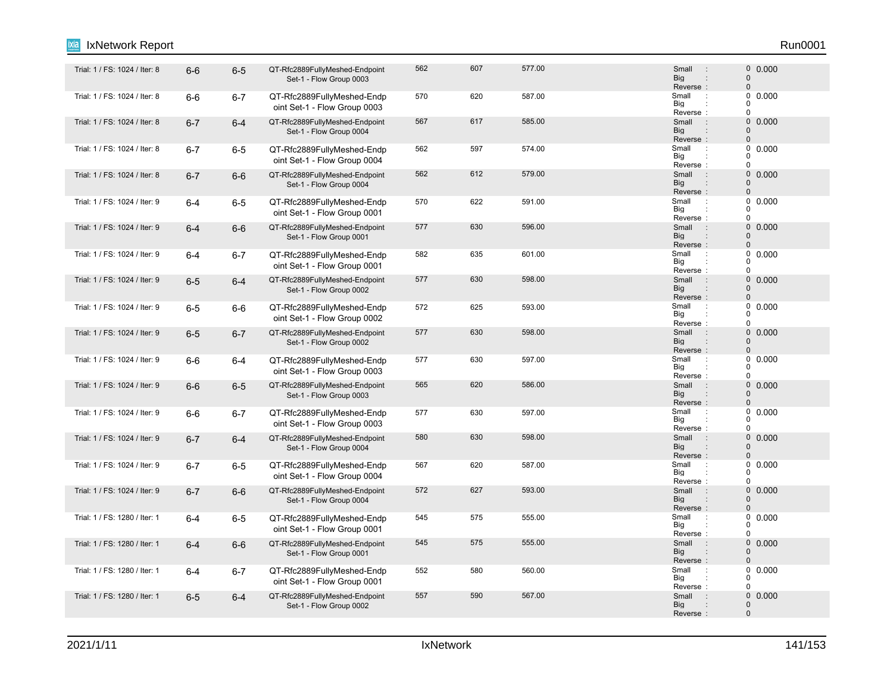#### 6-6 6-5 QT-Rfc2889FullyMeshed-Endpoint Trial: 1 / FS: 1024 / Iter: 8 : 0 Set-1 - Flow Group 0003 562 607 577.00 Small : 0 0.000 Reverse : Big Small 0 0 : : Trial: 1 / FS: 1024 / Iter: 8 **6-6 6-7 QT-Rfc2889FullyMeshed-Endp** 670 687.00 Small oint Set-1 - Flow Group 0003 570 620 587.00 Small : 0 0.000 Reverse Big  $\overline{0}$  $\overline{0}$  $\Omega$ : : Trial: 1 / FS: 1024 / Iter: 8 6-7 6-4 QT-Rfc2889FullyMeshed-Endpoint 567 617 585.00 Small : 0 Set-1 - Flow Group 0004 567 617 585.00 Small : 0 0.000 Big<br>Reverse : **Big** Small 0  $\Omega$ 6-7 6-5 QT-Rfc2889FullyMeshed-Endp Trial: 1 / FS: 1024 / Iter: 8 : oint Set-1 - Flow Group 0004 562 597 574.00 Small 0.000 Reverse Big  $\Omega$  $\begin{matrix}0\\0\end{matrix}$ 0 : : Trial: 1 / FS: 1024 / Iter: 8 6-7 6-6 QT-Rfc2889FullyMeshed-Endpoint 562 612 579.00 59.00 Small : 0 Set-1 - Flow Group 0004 562 612 579.00 **Small 562 50000 612 579.00** Reverse : Big Small 0 0 : : Trial: 1 / FS: 1024 / Iter: 9 6-4 6-5 QT-Rfc2889FullyMeshed-Endp 570 622 591.00 Small : oint Set-1 - Flow Group 0001 570 622 591.00 Small : 0 0.000 Reverse Big  $\Omega$  $\begin{matrix}0\\0\end{matrix}$  $\Omega$ : : Trial: 1 / FS: 1024 / Iter: 9 6**-4** 6-6 QT-Rfc2889FullyMeshed-Endpoint 577 630 596.00 Small : 0 Set-1 - Flow Group 0001 577 630 596.00 0.000 Reverse : Big Small  $\Omega$ 0 : : "Trial: 1 / FS: 1024 / Iter: 9 6-4 6-7 QT-Rfc2889FullyMeshed-Endp 582 635 601.00<br>Trial: 1 / FS: 1024 / Iter: 9 6-4 6-7 QT-Rfc2889FullyMeshed-Endp oint Set-1 - Flow Group 0001 582 635 601.00 Small 0.000 Reverse Big  $\Omega$  $\begin{matrix}0\\0\end{matrix}$  $\Omega$ : : Trial: 1 / FS: 1024 / Iter: 9 6-5 6-4 QT-Rfc2889FullyMeshed-Endpoint 577 630 598.00 Small : 0 Set-1 - Flow Group 0002 577 630 598.00 0.000 Reverse : Big Small  $\Omega$  $\Omega$ : : Trial: 1 / FS: 1024 / Iter: 9 6-5 6-6 QT-Rfc2889FullyMeshed-Endp 572 625 593.00 Small : oint Set-1 - Flow Group 0002 572 625 593.00 Small : 0 0.000 Big<br>Reverse : Big 0  $\Omega$  $\theta$ Trial: 1 / FS: 1024 / Iter: 9 6-5 6-7 QT-Rfc2889FullyMeshed-Endpoint 577 630 598.00 Small : 0 Set-1 - Flow Group 0002 577 630 598.00 0.000 Reverse Big Small 0  $\Omega$ : : : Trial: 1 / FS: 1024 / Iter: 9 6-6 6-4 QT-Rfc2889FullyMeshed-Endp 577 630 597.00 Small : oint Set-1 - Flow Group 0003 577 630 597.00 630 597.00 Small : 0 0.000 Reverse Big 0  $0$  $\Omega$ : : Trial: 1 / FS: 1024 / Iter: 9 6-6 6-5 QT-Rfc2889FullyMeshed-Endpoint 565 620 586.00 Small 0 Set-1 - Flow Group 0003 565 620 586.00 500 Small : 0 0.000 Reverse : Big Small  $\Omega$  $\Omega$ : : Trial: 1 / FS: 1024 / Iter: 9 6-6 6-7 QT-Rfc2889FullyMeshed-Endp 577 630 597.00 Small : oint Set-1 - Flow Group 0003 577 630 597.00 Small : 0 0.000 Reverse Big 0  $\begin{matrix}0\\0\end{matrix}$  $\overline{0}$ : : Trial: 1 / FS: 1024 / Iter: 9 6-7 6-4 QT-Rfc2889FullyMeshed-Endpoint 580 630 598.00 Small : 0 Set-1 - Flow Group 0004 580 630 598.00 0.000 Reverse<br>Small Big Small  $\Omega$ 0 : : : Trial: 1 / FS: 1024 / Iter: 9 **6-7 6-5 QT-Rfc2889FullyMeshed-Endp** 667 687.00 Small : oint Set-1 - Flow Group 0004 567 620 587.00 **Small 1 567 620 587.00** Reverse Big 0  $\Omega$ 0 : : Trial: 1 / FS: 1024 / Iter: 9 6-7 6-6 QT-Rfc2889FullyMeshed-Endpoint 572 627 593.00 Small : 0 Set-1 - Flow Group 0004 572 627 593.00 **Small** 9 5000 627 593.00 Reverse : Big Small  $\Omega$  $\Omega$ : : "Trial: 1 / FS: 1280 / Iter: 1 6-4 6-5 QT-Rfc2889FullyMeshed-Endp 545 575 555.00 Small oint Set-1 - Flow Group 0001 545 575 555.00 Small : 0 0.000 Reverse Big 0  $\Omega$  $\theta$ : : Trial: 1 / FS: 1280 / Iter: 1 6-4 6-6 QT-Rfc2889FullyMeshed-Endpoint 545 575 555.00 Small : 0 Set-1 - Flow Group 0001 545 575 555.00 Small : 0 0.000 Reverse : Big Small 0  $\Omega$ : : "Trial: 1 / FS: 1280 / Iter: 1 6-4 6-7 QT-Rfc2889FullyMeshed-Endp 552 560 560.00 Small oint Set-1 - Flow Group 0001 552 580 560.00 560.00 Small : 0 0.000 Reverse Big 0  $\begin{array}{c} 0 \\ 0 \end{array}$  0.000  $\Omega$ : : Trial: 1 / FS: 1280 / Iter: 1 6-5 6-4 QT-Rfc2889FullyMeshed-Endpoint 557 590 567.00 Small 0 Set-1 - Flow Group 0002 557 590 567.00 567.00 5 Small : 0 0.000 Reverse : Big Small  $\Omega$ 0 : IxNetwork Report Run0001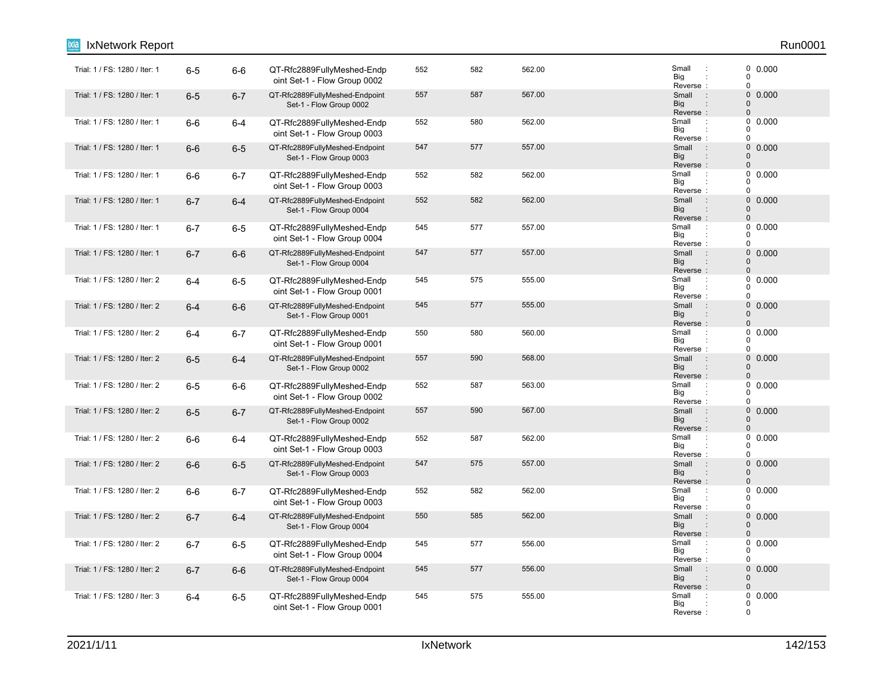| IxNetwork Report              |         |         |                                                            |     |     |        |                                                                                 | Run0001                                                             |
|-------------------------------|---------|---------|------------------------------------------------------------|-----|-----|--------|---------------------------------------------------------------------------------|---------------------------------------------------------------------|
| Trial: 1 / FS: 1280 / Iter: 1 | $6-5$   | $6-6$   | QT-Rfc2889FullyMeshed-Endp<br>oint Set-1 - Flow Group 0002 | 552 | 582 | 562.00 | Small<br>$\ddot{\phantom{a}}$<br>Big<br>Reverse:                                | $\begin{smallmatrix} 0 & 0.000 \ 0 & \end{smallmatrix}$<br>$\Omega$ |
| Trial: 1 / FS: 1280 / Iter: 1 | $6-5$   | $6 - 7$ | QT-Rfc2889FullyMeshed-Endpoint<br>Set-1 - Flow Group 0002  | 557 | 587 | 567.00 | Small<br>$\sim$ 1.<br><b>Big</b><br>Reverse:                                    | $\pmb{0}$<br>0.000<br>$\mathbf 0$<br>$\mathbf 0$                    |
| Trial: 1 / FS: 1280 / Iter: 1 | $6-6$   | $6-4$   | QT-Rfc2889FullyMeshed-Endp<br>oint Set-1 - Flow Group 0003 | 552 | 580 | 562.00 | Small<br>$\cdot$<br>Big<br>Reverse:                                             | 0<br>0.000<br>$\Omega$<br>$\Omega$                                  |
| Trial: 1 / FS: 1280 / Iter: 1 | $6-6$   | $6-5$   | QT-Rfc2889FullyMeshed-Endpoint<br>Set-1 - Flow Group 0003  | 547 | 577 | 557.00 | $\pm$<br>Small<br><b>Big</b><br>$\ddot{\phantom{a}}$<br>Reverse:                | $\pmb{0}$<br>0.000<br>$\mathbf 0$<br>$\Omega$                       |
| Trial: 1 / FS: 1280 / Iter: 1 | $6-6$   | $6-7$   | QT-Rfc2889FullyMeshed-Endp<br>oint Set-1 - Flow Group 0003 | 552 | 582 | 562.00 | Small<br>Big<br>Reverse:                                                        | $\mathbf 0$<br>0.000<br>$\Omega$<br>$\Omega$                        |
| Trial: 1 / FS: 1280 / Iter: 1 | $6 - 7$ | $6-4$   | QT-Rfc2889FullyMeshed-Endpoint<br>Set-1 - Flow Group 0004  | 552 | 582 | 562.00 | Small<br>$\ddot{\phantom{a}}$<br><b>Big</b><br>$\ddot{\phantom{a}}$<br>Reverse: | 0<br>0.000<br>$\mathbf 0$<br>$\Omega$                               |
| Trial: 1 / FS: 1280 / Iter: 1 | $6 - 7$ | $6-5$   | QT-Rfc2889FullyMeshed-Endp<br>oint Set-1 - Flow Group 0004 | 545 | 577 | 557.00 | Small<br>$\ddot{\phantom{a}}$<br>Big<br>Reverse:                                | 0<br>0.000<br>0<br>$\Omega$                                         |
| Trial: 1 / FS: 1280 / Iter: 1 | $6 - 7$ | $6-6$   | QT-Rfc2889FullyMeshed-Endpoint<br>Set-1 - Flow Group 0004  | 547 | 577 | 557.00 | Small<br>$\ddot{\phantom{a}}$<br><b>Big</b><br>Reverse:                         | $\pmb{0}$<br>0.000<br>$\mathbf 0$<br>$\Omega$                       |
| Trial: 1 / FS: 1280 / Iter: 2 | $6-4$   | $6-5$   | QT-Rfc2889FullyMeshed-Endp<br>oint Set-1 - Flow Group 0001 | 545 | 575 | 555.00 | Small<br>$\ddot{\phantom{a}}$<br>Big<br>Reverse:                                | 0<br>0.000<br>$\mathbf 0$<br>$\Omega$                               |
| Trial: 1 / FS: 1280 / Iter: 2 | $6-4$   | $6-6$   | QT-Rfc2889FullyMeshed-Endpoint<br>Set-1 - Flow Group 0001  | 545 | 577 | 555.00 | Small<br>$\therefore$<br>Big<br>Reverse:                                        | 0 0.000<br>$\Omega$<br>$\mathbf 0$                                  |
| Trial: 1 / FS: 1280 / Iter: 2 | $6 - 4$ | $6 - 7$ | QT-Rfc2889FullyMeshed-Endp<br>oint Set-1 - Flow Group 0001 | 550 | 580 | 560.00 | Small<br>$\ddot{\phantom{a}}$<br>Big<br>Reverse:                                | 0<br>0.000<br>0<br>$\mathbf 0$                                      |
| Trial: 1 / FS: 1280 / Iter: 2 | $6-5$   | $6-4$   | QT-Rfc2889FullyMeshed-Endpoint<br>Set-1 - Flow Group 0002  | 557 | 590 | 568.00 | Small<br>$\pm$<br>Big<br>$\vdots$<br>Reverse:                                   | 0<br>0.000<br>$\Omega$<br>$\mathbf 0$                               |
| Trial: 1 / FS: 1280 / Iter: 2 | $6-5$   | $6-6$   | QT-Rfc2889FullyMeshed-Endp<br>oint Set-1 - Flow Group 0002 | 552 | 587 | 563.00 | Small<br>$\cdot$<br>Big<br>Reverse:                                             | 0<br>0.000<br>$\Omega$<br>$\Omega$                                  |
| Trial: 1 / FS: 1280 / Iter: 2 | $6-5$   | $6 - 7$ | QT-Rfc2889FullyMeshed-Endpoint<br>Set-1 - Flow Group 0002  | 557 | 590 | 567.00 | Small<br>$\ddot{\phantom{a}}$<br><b>Big</b><br>Reverse:                         | 0<br>0.000<br>$\mathbf 0$<br>$\Omega$                               |
| Trial: 1 / FS: 1280 / Iter: 2 | $6-6$   | $6-4$   | QT-Rfc2889FullyMeshed-Endp<br>oint Set-1 - Flow Group 0003 | 552 | 587 | 562.00 | Small<br>÷<br>Big<br>Reverse:                                                   | 0<br>0.000<br>$\Omega$<br>$\mathbf 0$                               |
| Trial: 1 / FS: 1280 / Iter: 2 | $6-6$   | $6-5$   | QT-Rfc2889FullyMeshed-Endpoint<br>Set-1 - Flow Group 0003  | 547 | 575 | 557.00 | $\sim$ :<br>Small<br><b>Big</b><br>Reverse:                                     | $\pmb{0}$<br>0.000<br>$\mathbf 0$<br>$\mathbf 0$                    |
| Trial: 1 / FS: 1280 / Iter: 2 | $6-6$   | $6 - 7$ | QT-Rfc2889FullyMeshed-Endp<br>oint Set-1 - Flow Group 0003 | 552 | 582 | 562.00 | Small<br>$\mathcal{L}$<br>Big<br>Reverse:                                       | 0.000<br>0<br>$\Omega$<br>$\Omega$                                  |
| Trial: 1 / FS: 1280 / Iter: 2 | $6 - 7$ | $6 - 4$ | QT-Rfc2889FullyMeshed-Endpoint<br>Set-1 - Flow Group 0004  | 550 | 585 | 562.00 | $\pm$<br>Small<br><b>Big</b><br>$\ddot{\phantom{a}}$<br>Reverse:                | $\mathbf 0$<br>0.000<br>$\mathbf 0$<br>$\mathbf 0$                  |
| Trial: 1 / FS: 1280 / Iter: 2 | $6 - 7$ | $6-5$   | QT-Rfc2889FullyMeshed-Endp<br>oint Set-1 - Flow Group 0004 | 545 | 577 | 556.00 | Small<br>÷<br>Big<br>Reverse:                                                   | 0<br>0.000<br>$\Omega$<br>$\Omega$                                  |
| Trial: 1 / FS: 1280 / Iter: 2 | $6 - 7$ | $6-6$   | QT-Rfc2889FullyMeshed-Endpoint<br>Set-1 - Flow Group 0004  | 545 | 577 | 556.00 | Small<br>$\ddot{\phantom{a}}$<br>Big<br>Reverse:                                | 0<br>0.000<br>$\Omega$<br>$\mathbf 0$                               |
| Trial: 1 / FS: 1280 / Iter: 3 | $6 - 4$ | $6-5$   | QT-Rfc2889FullyMeshed-Endp<br>oint Set-1 - Flow Group 0001 | 545 | 575 | 555.00 | Small<br>Big<br>Reverse                                                         | 0<br>0.000<br>0<br>$\mathbf 0$                                      |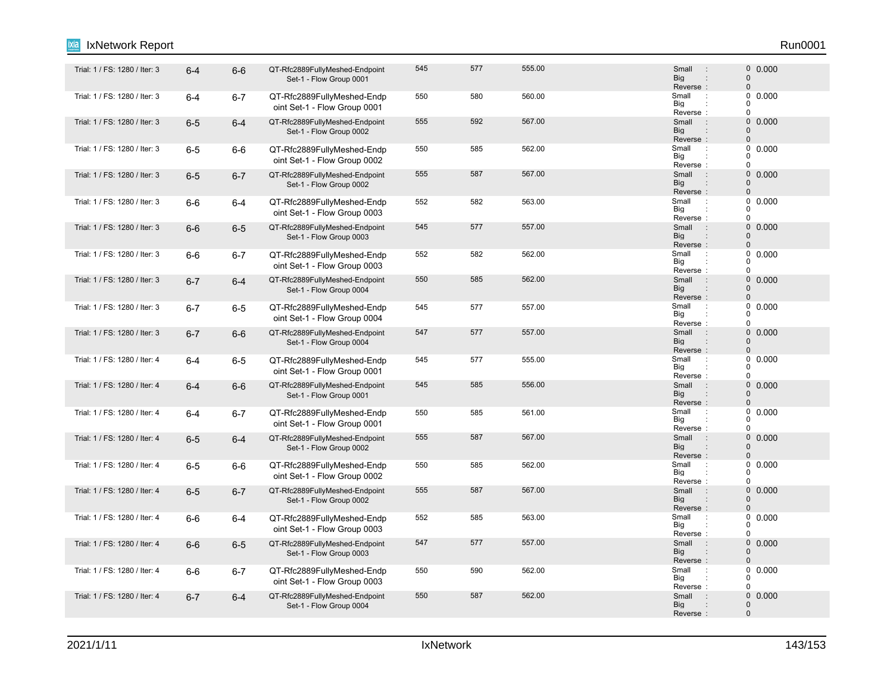#### 6-4 6-6 QT-Rfc2889FullyMeshed-Endpoint Trial: 1 / FS: 1280 / Iter: 3 : 0 Set-1 - Flow Group 0001 545 577 555.00 Small : 0 0.000 Reverse<br>Small Big Small 0 0 : : : Trial: 1 / FS: 1280 / Iter: 3 6-4 6-7 QT-Rfc2889FullyMeshed-Endp 550 560 560.00 Small : oint Set-1 - Flow Group 0001 550 580 560.00 560.00 Small : 0 0.000 Reverse Big  $\overline{0}$  $\overline{0}$  $\Omega$ : : Trial: 1 / FS: 1280 / Iter: 3 6-5 6-4 QT-Rfc2889FullyMeshed-Endpoint 555 592 567.00 Small : 0 Set-1 - Flow Group 0002 555 592 567.00 592 567.00 5mail 50000 5mail 50000 5mail 50000 5mail 50000 5mail 5 Big<br>Reverse : **Big** Small 0  $\Omega$ : "Trial: 1 / FS: 1280 / Iter: 3 6-5 6-6 QT-Rfc2889FullyMeshed-Endp 550 562.00 S<br>Trial: 1 / FS: 1280 / Iter: 3 6-5 6-6 QT-Rfc2889FullyMeshed-Endp oint Set-1 - Flow Group 0002 550 585 562.00 566 562.00 5 5mail : 0 0.000 Reverse Big  $\Omega$  $\begin{matrix}0\\0\end{matrix}$ 0 : : Trial: 1 / FS: 1280 / Iter: 3 6-5 6-7 QT-Rfc2889FullyMeshed-Endpoint 555 587 567.00 587 Small : 0 Set-1 - Flow Group 0002 555 587 567.00 587 567.00 5mail 3 0 0.000 Reverse : Big Small 0 0 : : Trial: 1 / FS: 1280 / Iter: 3 6-6 6-4 QT-Rfc2889FullyMeshed-Endp 552 562 563.00 Small : oint Set-1 - Flow Group 0003 552 582 563.00 582 563.00 Reverse Big  $\Omega$  $\begin{matrix}0\\0\end{matrix}$  $\Omega$ : : Trial: 1 / FS: 1280 / Iter: 3 6**-6** 6-5 QT-Rfc2889FullyMeshed-Endpoint 545 577 557.00 Small : 0 Set-1 - Flow Group 0003 545 577 557.00 Small : 0 0.000 Reverse : Big Small  $\Omega$ 0 : : "Trial: 1 / FS: 1280 / Iter: 3 6-6 6-7 QT-Rfc2889FullyMeshed-Endp 552 562.00 S<br>Trial: 1 / FS: 1280 / Iter: 3 6 -6 6 -7 QT-Rfc2889FullyMeshed-Endp oint Set-1 - Flow Group 0003 552 582 562.00 562.00 Small : 0 0.000 Reverse Big  $\Omega$  $\begin{matrix}0\\0\end{matrix}$  $\Omega$ : : Trial: 1 / FS: 1280 / Iter: 3 6 6-7 6-4 QT-Rfc2889FullyMeshed-Endpoint 550 585 562.00 Small : 0 1 Set-1 - Flow Group 0004 550 585 562.00 0.000 Reverse : Big Small  $\Omega$  $\Omega$ : : Trial: 1 / FS: 1280 / Iter: 3 6-7 6-5 QT-Rfc2889FullyMeshed-Endp 545 577 557.00 Small : oint Set-1 - Flow Group 0004 545 577 557.00 Small : 0 0.000 Big<br>Reverse : Big 0  $\Omega$  $\theta$ Trial: 1 / FS: 1280 / Iter: 3 6**-7** 6-6 QT-Rfc2889FullyMeshed-Endpoint 547 557.0 Small : 0 Set-1 - Flow Group 0004 547 577 557.00 Small : 0 0.000 Reverse Big Small 0  $\Omega$ : : 6-4 6-5 QT-Rfc2889FullyMeshed-Endp Trial: 1 / FS: 1280 / Iter: 4 : oint Set-1 - Flow Group 0001 545 577 555.00 Small : 0 0.000 Reverse Big 0  $0$  $\Omega$ : : Trial: 1 / FS: 1280 / Iter: 4 6-4 6-6 QT-Rfc2889FullyMeshed-Endpoint 545 585 556.00 Small 0 Set-1 - Flow Group 0001 545 585 556.00 Small : 0 0.000 Reverse : Big Small  $\Omega$  $\Omega$ : : "Trial: 1 / FS: 1280 / Iter: 4 **6-4 6-7 QT-Rfc2889FullyMeshed-Endp** 550 561.00 Small oint Set-1 - Flow Group 0001 550 585 561.00 Small : 0 0.000 Reverse Big 0  $\begin{matrix}0\\0\end{matrix}$  $\overline{0}$ : : Trial: 1 / FS: 1280 / Iter: 4 6**-5** 6-4 QT-Rfc2889FullyMeshed-Endpoint 555 567 567.00 Small : 0 Set-1 - Flow Group 0002 555 587 567.00 587 567.00 5mail 5 0 0.000 Reverse<br>Small Big Small  $\Omega$ 0 : : : "Trial: 1 / FS: 1280 / Iter: 4 : 6-5 6-6 QT-Rfc2889FullyMeshed-Endp 550 585 562.00 585 562.00 oint Set-1 - Flow Group 0002 550 585 562.00 Small 0.000 Reverse Big 0  $\Omega$ 0 : : Trial: 1 / FS: 1280 / Iter: 4 6-5 6-7 QT-Rfc2889FullyMeshed-Endpoint 555 567 567.00 Small 0 Set-1 - Flow Group 0002 555 587 567.00 567.00 5 58mail 5 0 0.000 Reverse : Big Small  $\Omega$  $\Omega$ : : "Trial: 1 / FS: 1280 / Iter: 4 6-6 6-4 QT-Rfc2889FullyMeshed-Endp 552 585 563.00 Small oint Set-1 - Flow Group 0003 552 585 563.00 Small : 0 0.000 Reverse Big 0  $\Omega$  $\theta$ : : Trial: 1 / FS: 1280 / Iter: 4 6**-6** 6-5 QT-Rfc2889FullyMeshed-Endpoint 547 577 557.00 Small : 0 Set-1 - Flow Group 0003 547 577 557.00 Small : 0 0.000 Reverse : Big Small 0  $\Omega$ : : "Trial: 1 / FS: 1280 / Iter: 4 6-6 6-7 QT-Rfc2889FullyMeshed-Endp 550 569 562.00 Small oint Set-1 - Flow Group 0003 550 590 562.00 562.00 Small : 0 0.000 Reverse Big 0  $\begin{array}{c} 0 \\ 0 \end{array}$  0.000  $\Omega$ : : Trial: 1 / FS: 1280 / Iter: 4 6-7 6-4 QT-Rfc2889FullyMeshed-Endpoint 550 587 562.00 1 - Small : 0 Set-1 - Flow Group 0004 550 587 562.00 562.00 568 568 568 57 562.00 5 587 562.00 5 587 588 598 598 598 59 Reverse : Big Small  $\Omega$ 0 : IxNetwork Report Run0001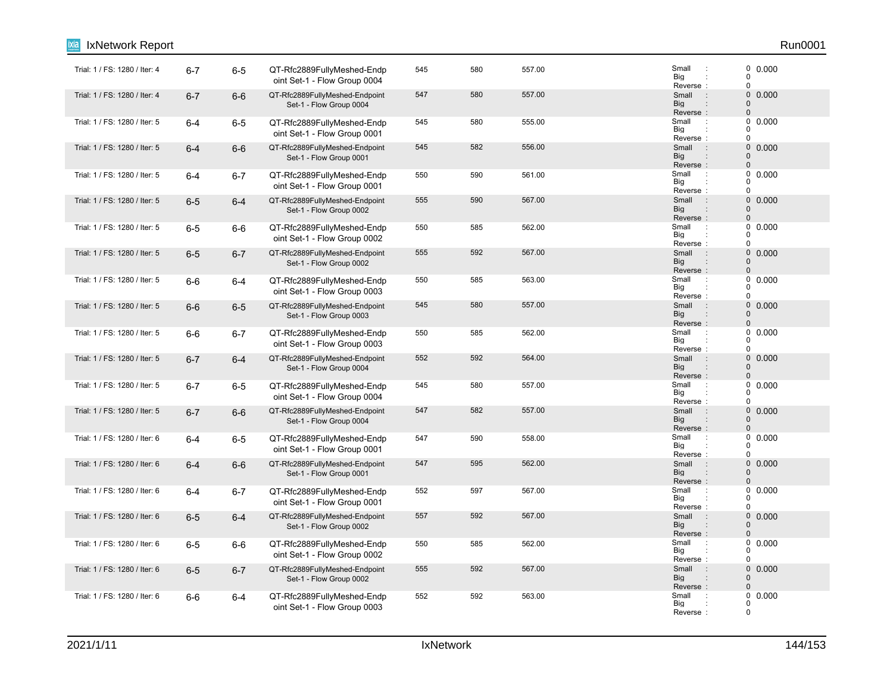| IxNetwork Report              |         |         |                                                            |     |     |        |                                                                      | Run0001                                                    |
|-------------------------------|---------|---------|------------------------------------------------------------|-----|-----|--------|----------------------------------------------------------------------|------------------------------------------------------------|
| Trial: 1 / FS: 1280 / Iter: 4 | $6 - 7$ | $6-5$   | QT-Rfc2889FullyMeshed-Endp<br>oint Set-1 - Flow Group 0004 | 545 | 580 | 557.00 | Small<br>$\ddot{\phantom{a}}$<br>Big<br>Reverse:                     | 0 0.000<br>$\pmb{0}$<br>$\mathbf 0$                        |
| Trial: 1 / FS: 1280 / Iter: 4 | $6 - 7$ | $6-6$   | QT-Rfc2889FullyMeshed-Endpoint<br>Set-1 - Flow Group 0004  | 547 | 580 | 557.00 | Small<br>$\sim$ 1<br><b>Big</b><br>Reverse:                          | $\mathsf{O}\xspace$<br>0.000<br>$\pmb{0}$<br>$\pmb{0}$     |
| Trial: 1 / FS: 1280 / Iter: 5 | $6 - 4$ | $6-5$   | QT-Rfc2889FullyMeshed-Endp<br>oint Set-1 - Flow Group 0001 | 545 | 580 | 555.00 | Small<br>$\cdot$ :<br>Big<br>Reverse:                                | 0<br>0.000<br>0<br>$\mathbf 0$                             |
| Trial: 1 / FS: 1280 / Iter: 5 | $6 - 4$ | $6-6$   | QT-Rfc2889FullyMeshed-Endpoint<br>Set-1 - Flow Group 0001  | 545 | 582 | 556.00 | $\sim$ 1.<br>Small<br><b>Big</b><br>$\ddot{\phantom{a}}$<br>Reverse: | $\mathsf{O}\xspace$<br>0.000<br>$\mathbf 0$<br>$\mathbf 0$ |
| Trial: 1 / FS: 1280 / Iter: 5 | $6 - 4$ | $6 - 7$ | QT-Rfc2889FullyMeshed-Endp<br>oint Set-1 - Flow Group 0001 | 550 | 590 | 561.00 | Small<br>$\cdot$ :<br>Big<br>Reverse:                                | $\mathbf 0$<br>0.000<br>0<br>$\mathbf 0$                   |
| Trial: 1 / FS: 1280 / Iter: 5 | $6-5$   | $6 - 4$ | QT-Rfc2889FullyMeshed-Endpoint<br>Set-1 - Flow Group 0002  | 555 | 590 | 567.00 | Small<br>$\pm$<br><b>Big</b><br>$\ddot{\phantom{a}}$<br>Reverse:     | $\mathbf 0$<br>0.000<br>$\mathbf 0$<br>$\pmb{0}$           |
| Trial: 1 / FS: 1280 / Iter: 5 | $6-5$   | $6-6$   | QT-Rfc2889FullyMeshed-Endp<br>oint Set-1 - Flow Group 0002 | 550 | 585 | 562.00 | Small<br>$\cdot$ :<br>Big<br>Reverse:                                | 0<br>0.000<br>0<br>$\pmb{0}$                               |
| Trial: 1 / FS: 1280 / Iter: 5 | $6-5$   | $6 - 7$ | QT-Rfc2889FullyMeshed-Endpoint<br>Set-1 - Flow Group 0002  | 555 | 592 | 567.00 | Small<br>$\cdot$<br>Big<br>Reverse:                                  | $\mathbf 0$<br>0.000<br>$\mathbf 0$<br>$\pmb{0}$           |
| Trial: 1 / FS: 1280 / Iter: 5 | $6-6$   | $6 - 4$ | QT-Rfc2889FullyMeshed-Endp<br>oint Set-1 - Flow Group 0003 | 550 | 585 | 563.00 | Small<br>$\ddot{\phantom{a}}$<br>Big<br>Reverse:                     | $\pmb{0}$<br>0.000<br>$\mathbf 0$<br>$\pmb{0}$             |
| Trial: 1 / FS: 1280 / Iter: 5 | $6-6$   | $6-5$   | QT-Rfc2889FullyMeshed-Endpoint<br>Set-1 - Flow Group 0003  | 545 | 580 | 557.00 | Small<br>$\sim$<br><b>Big</b><br>Reverse:                            | 0 0.000<br>$\mathbf 0$<br>$\Omega$                         |
| Trial: 1 / FS: 1280 / Iter: 5 | $6-6$   | $6 - 7$ | QT-Rfc2889FullyMeshed-Endp<br>oint Set-1 - Flow Group 0003 | 550 | 585 | 562.00 | Small<br>$\ddot{\phantom{a}}$<br>Big<br>Reverse:                     | $\pmb{0}$<br>0.000<br>0<br>$\pmb{0}$                       |
| Trial: 1 / FS: 1280 / Iter: 5 | $6 - 7$ | $6 - 4$ | QT-Rfc2889FullyMeshed-Endpoint<br>Set-1 - Flow Group 0004  | 552 | 592 | 564.00 | Small<br>$\cdot$ :<br><b>Big</b><br>$\ddot{\phantom{a}}$<br>Reverse: | 0<br>0.000<br>$\mathbf 0$<br>$\pmb{0}$                     |
| Trial: 1 / FS: 1280 / Iter: 5 | $6 - 7$ | $6-5$   | QT-Rfc2889FullyMeshed-Endp<br>oint Set-1 - Flow Group 0004 | 545 | 580 | 557.00 | Small<br>$\ddot{\phantom{a}}$<br>Big<br>Reverse:                     | 0.000<br>0<br>0<br>$\pmb{0}$                               |
| Trial: 1 / FS: 1280 / Iter: 5 | $6 - 7$ | $6-6$   | QT-Rfc2889FullyMeshed-Endpoint<br>Set-1 - Flow Group 0004  | 547 | 582 | 557.00 | Small<br>$\pm$<br>Big<br>Reverse:                                    | $\mathbf 0$<br>0.000<br>$\Omega$<br>$\pmb{0}$              |
| Trial: 1 / FS: 1280 / Iter: 6 | $6 - 4$ | $6-5$   | QT-Rfc2889FullyMeshed-Endp<br>oint Set-1 - Flow Group 0001 | 547 | 590 | 558.00 | Small<br>$\ddot{\phantom{a}}$<br>Big<br>Reverse:                     | $\pmb{0}$<br>0.000<br>0<br>$\mathbf 0$                     |
| Trial: 1 / FS: 1280 / Iter: 6 | $6 - 4$ | $6-6$   | QT-Rfc2889FullyMeshed-Endpoint<br>Set-1 - Flow Group 0001  | 547 | 595 | 562.00 | Small<br>$\sim$ 1.<br>Big<br>$\ddot{\phantom{a}}$<br>Reverse:        | 0<br>0.000<br>$\pmb{0}$<br>$\mathbf 0$                     |
| Trial: 1 / FS: 1280 / Iter: 6 | $6 - 4$ | $6 - 7$ | QT-Rfc2889FullyMeshed-Endp<br>oint Set-1 - Flow Group 0001 | 552 | 597 | 567.00 | Small<br>$\cdot$<br>Big<br>Reverse:                                  | 0.000<br>0<br>0<br>$\mathbf 0$                             |
| Trial: 1 / FS: 1280 / Iter: 6 | $6-5$   | $6 - 4$ | QT-Rfc2889FullyMeshed-Endpoint<br>Set-1 - Flow Group 0002  | 557 | 592 | 567.00 | $\sim$ 1.<br>Small<br>Big<br>$\ddot{\phantom{a}}$<br>Reverse:        | $\mathsf{O}\xspace$<br>0.000<br>0<br>$\pmb{0}$             |
| Trial: 1 / FS: 1280 / Iter: 6 | $6-5$   | $6-6$   | QT-Rfc2889FullyMeshed-Endp<br>oint Set-1 - Flow Group 0002 | 550 | 585 | 562.00 | Small<br>$\ddot{\phantom{a}}$<br>Big<br>Reverse:                     | 0<br>0.000<br>0<br>$\mathbf 0$                             |
| Trial: 1 / FS: 1280 / Iter: 6 | $6-5$   | $6 - 7$ | QT-Rfc2889FullyMeshed-Endpoint<br>Set-1 - Flow Group 0002  | 555 | 592 | 567.00 | Small<br>$\div$<br>Big<br>Reverse:                                   | $\mathbf 0$<br>0.000<br>0<br>$\mathbf{0}$                  |
| Trial: 1 / FS: 1280 / Iter: 6 | $6-6$   | $6 - 4$ | QT-Rfc2889FullyMeshed-Endp<br>oint Set-1 - Flow Group 0003 | 552 | 592 | 563.00 | Small<br>$\cdot$ :<br>Big<br>Reverse:                                | $\mathbf 0$<br>0.000<br>0<br>$\mathbf 0$                   |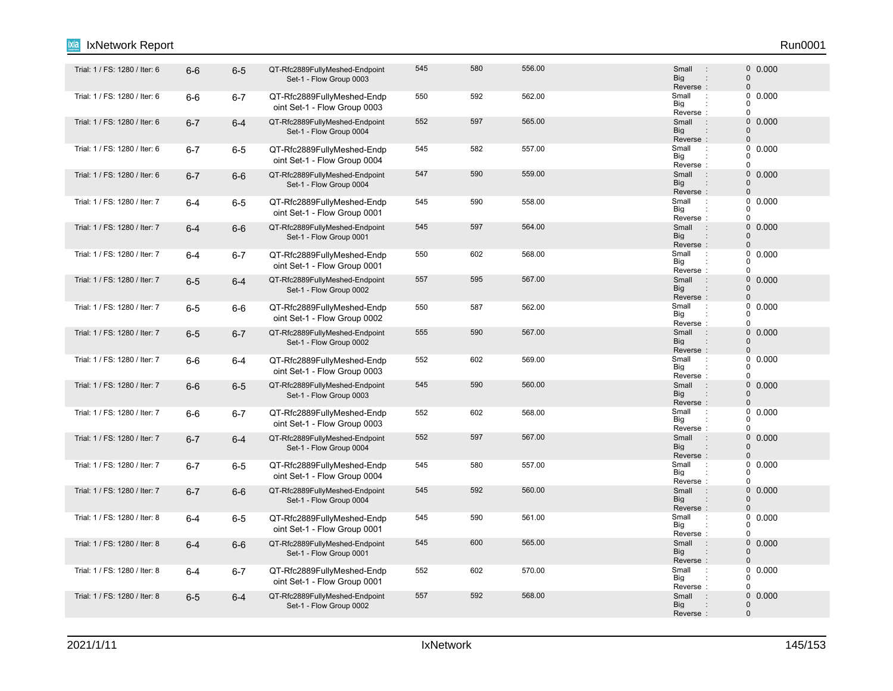### Trial: 1 / FS: 1280 / Iter: 6 6-6 6-5 QT-Rfc2889FullyMeshed-Endpoint 545 560 556.00 Small 0 Set-1 - Flow Group 0003 545 580 556.00 0.000 Reverse<br>Small Big Small 0 0 : : : "Trial: 1 / FS: 1280 / Iter: 6 **6-6 6-7 QT-Rfc2889FullyMeshed-Endp** 550 562.00 Small oint Set-1 - Flow Group 0003 550 592 562.00 592 562.00 Reverse Big  $\overline{0}$  $\overline{0}$  $\Omega$ : : Trial: 1 / FS: 1280 / Iter: 6 6-7 6-4 QT-Rfc2889FullyMeshed-Endpoint 552 567 565.00 Small : 0 Set-1 - Flow Group 0004 552 597 565.00 597 565.00 Big<br>Reverse : **Big** Small 0  $\Omega$ : "Trial: 1 / FS: 1280 / Iter: 6 6-7 6-5 QT-Rfc2889FullyMeshed-Endp 545 582 557.00 S<br>Trial: 1 / FS: 1280 / Iter: 6 6-7 6-5 QT-Rfc2889FullyMeshed-Endp oint Set-1 - Flow Group 0004 545 582 557.00 Small : 0 0.000 Reverse Big  $\Omega$  $\begin{matrix}0\\0\end{matrix}$ 0 : : Trial: 1 / FS: 1280 / Iter: 6 6-7 6-6 QT-Rfc2889FullyMeshed-Endpoint 547 590 559.00 Small : 0 Set-1 - Flow Group 0004 547 590 559.00 0.000 Reverse : Big Small 0 0 : : Trial: 1 / FS: 1280 / Iter: 7 6-4 6-5 QT-Rfc2889FullyMeshed-Endp 545 590 558.00 Small oint Set-1 - Flow Group 0001 545 590 558.00 558.00 Small : 0 0.000 Reverse Big 0  $\begin{matrix}0\\0\end{matrix}$  $\Omega$ : : Trial: 1 / FS: 1280 / Iter: 7 6**-4** 6-6 QT-Rfc2889FullyMeshed-Endpoint 545 597 564.00 Small : 0 Set-1 - Flow Group 0001 545 597 564.00 0.000 Reverse : Big Small  $\Omega$ 0 : : "Trial: 1 / FS: 1280 / Iter: 7 6-4 6-7 QT-Rfc2889FullyMeshed-Endp 550 602 568.00 S<br>Trial: 1 / FS: 1280 / Iter: 7 6-4 6-7 QT-Rfc2889FullyMeshed-Endp oint Set-1 - Flow Group 0001 550 602 568.00 602 568.00 5 Small 3 0 0.000 Reverse Big  $\Omega$  $\begin{matrix}0\\0\end{matrix}$  $\Omega$ : : 6-5 6-4 QT-Rfc2889FullyMeshed-Endpoint Trial: 1 / FS: 1280 / Iter: 7 : 0 Set-1 - Flow Group 0002 557 595 567.00 567.00 5 5mail : 0 0.000 Reverse : Big Small  $\Omega$  $\Omega$ : : Trial: 1 / FS: 1280 / Iter: 7 6-5 6-6 QT-Rfc2889FullyMeshed-Endp 550 567 562.00 Small : oint Set-1 - Flow Group 0002 550 587 562.00 587 562.00 Big<br>Reverse : Big 0  $\Omega$  $\theta$ Trial: 1 / FS: 1280 / Iter: 7 6-5 6-7 QT-Rfc2889FullyMeshed-Endpoint 555 590 567.00 Small : 0 Set-1 - Flow Group 0002 555 590 567.00 0.000 Reverse Big Small 0  $\Omega$ : : 6-6 6-4 QT-Rfc2889FullyMeshed-Endp Trial: 1 / FS: 1280 / Iter: 7 : oint Set-1 - Flow Group 0003 552 602 569.00 Small 0.000 Reverse Big 0  $0$  $\Omega$ : : Trial: 1 / FS: 1280 / Iter: 7 6-6 6-5 QT-Rfc2889FullyMeshed-Endpoint 545 590 560.00 Small 0 Set-1 - Flow Group 0003 545 590 560.00 500 500 Small : 0 0.000 Reverse : Big Small  $\Omega$  $\Omega$ : : "Trial: 1 / FS: 1280 / Iter: 7 6-6 6-7 QT-Rfc2889FullyMeshed-Endp 552 602 568.00 Small oint Set-1 - Flow Group 0003 552 602 568.00 **Small 1 568.00** 602 568.00 Reverse Big 0  $\begin{matrix}0\\0\end{matrix}$  $\overline{0}$ : : Trial: 1 / FS: 1280 / Iter: 7 6-7 6-4 QT-Rfc2889FullyMeshed-Endpoint 552 597 567.00 Small : 0 Set-1 - Flow Group 0004 552 597 567.00 597 567.00 5mail 50000 5mail 50000 5mail 50000 5mail 50000 5mail 5 Reverse<br>Small Big Small  $\Omega$ 0 : : : Trial: 1 / FS: 1280 / Iter: 7 **6-7 6-5 QT-Rfc2889FullyMeshed-Endp** 545 557.00 Small : oint Set-1 - Flow Group 0004 545 580 557.00 560 567.00 557.00 5 51 52 568 568 569 561 562 568 569 561 562 563 564 568 569 561 562 562 562 5 Reverse Big 0  $\Omega$ 0 : : 6-7 6-6 QT-Rfc2889FullyMeshed-Endpoint Trial: 1 / FS: 1280 / Iter: 7 : 0 Set-1 - Flow Group 0004 545 592 560.00 0.000 Reverse : Big Small  $\Omega$  $\Omega$ : : Trial: 1 / FS: 1280 / Iter: 8 6-4 6-5 QT-Rfc2889FullyMeshed-Endp 545 590 561.00 Small : oint Set-1 - Flow Group 0001 545 590 561.00 501 Small : 0 0.000 Reverse Big 0  $\Omega$  $\theta$ : : Trial: 1 / FS: 1280 / Iter: 8 6**-4** 6-6 QT-Rfc2889FullyMeshed-Endpoint 545 600 565.00 Small : 0 Set-1 - Flow Group 0001 545 600 565.00 0.000 Reverse : Big Small 0  $\Omega$ : 6-4 6-7 QT-Rfc2889FullyMeshed-Endp Trial: 1 / FS: 1280 / Iter: 8 : oint Set-1 - Flow Group 0001 552 602 570.00 602 570.00 5 Small 3 0 0.000 Reverse Big 0  $\begin{array}{c} 0 \\ 0 \end{array}$  0.000  $\Omega$ : : 6-5 6-4 QT-Rfc2889FullyMeshed-Endpoint Trial: 1 / FS: 1280 / Iter: 8 : 0 Set-1 - Flow Group 0002 557 592 568.00 500 5 Small : 0 0.000 Big Small 0 :

IxNetwork Report Run0001

Reverse :

 $\Omega$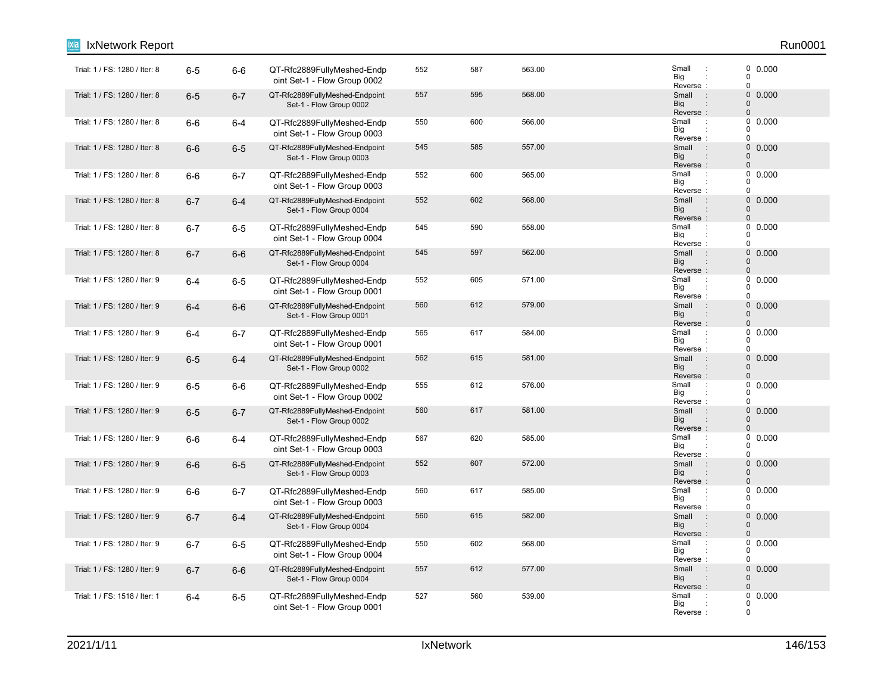| IxNetwork Report              |         |         |                                                            |     |     |        |                                                                           | Run0001                                                    |
|-------------------------------|---------|---------|------------------------------------------------------------|-----|-----|--------|---------------------------------------------------------------------------|------------------------------------------------------------|
| Trial: 1 / FS: 1280 / Iter: 8 | $6-5$   | $6-6$   | QT-Rfc2889FullyMeshed-Endp<br>oint Set-1 - Flow Group 0002 | 552 | 587 | 563.00 | Small<br>$\ddot{\phantom{a}}$<br>Big<br>Reverse:                          | 0 0.000<br>$\tilde{0}$<br>$\mathbf 0$                      |
| Trial: 1 / FS: 1280 / Iter: 8 | $6-5$   | $6 - 7$ | QT-Rfc2889FullyMeshed-Endpoint<br>Set-1 - Flow Group 0002  | 557 | 595 | 568.00 | Small<br>$\sim$ 1<br><b>Big</b><br>Reverse:                               | $\mathsf{O}\xspace$<br>0.000<br>$\pmb{0}$<br>$\pmb{0}$     |
| Trial: 1 / FS: 1280 / Iter: 8 | $6-6$   | $6-4$   | QT-Rfc2889FullyMeshed-Endp<br>oint Set-1 - Flow Group 0003 | 550 | 600 | 566.00 | Small<br>$\cdot$<br>Big<br>Reverse:                                       | 0<br>0.000<br>0<br>$\mathbf 0$                             |
| Trial: 1 / FS: 1280 / Iter: 8 | $6-6$   | $6-5$   | QT-Rfc2889FullyMeshed-Endpoint<br>Set-1 - Flow Group 0003  | 545 | 585 | 557.00 | $\mathbb{R}^n$<br>Small<br><b>Big</b><br>$\ddot{\phantom{a}}$<br>Reverse: | $\mathsf{O}\xspace$<br>0.000<br>$\mathbf 0$<br>$\mathbf 0$ |
| Trial: 1 / FS: 1280 / Iter: 8 | $6-6$   | $6 - 7$ | QT-Rfc2889FullyMeshed-Endp<br>oint Set-1 - Flow Group 0003 | 552 | 600 | 565.00 | Small<br>Big<br>Reverse:                                                  | $\mathbf 0$<br>0.000<br>0<br>$\mathbf 0$                   |
| Trial: 1 / FS: 1280 / Iter: 8 | $6 - 7$ | $6-4$   | QT-Rfc2889FullyMeshed-Endpoint<br>Set-1 - Flow Group 0004  | 552 | 602 | 568.00 | Small<br>$\therefore$<br><b>Big</b><br>$\vdots$<br>Reverse:               | 0<br>0.000<br>$\mathbf 0$<br>$\pmb{0}$                     |
| Trial: 1 / FS: 1280 / Iter: 8 | $6 - 7$ | $6-5$   | QT-Rfc2889FullyMeshed-Endp<br>oint Set-1 - Flow Group 0004 | 545 | 590 | 558.00 | Small<br>$\cdot$ :<br>Big<br>Reverse:                                     | 0<br>0.000<br>0<br>0                                       |
| Trial: 1 / FS: 1280 / Iter: 8 | $6 - 7$ | $6-6$   | QT-Rfc2889FullyMeshed-Endpoint<br>Set-1 - Flow Group 0004  | 545 | 597 | 562.00 | Small<br>$\pm$<br><b>Big</b><br>Reverse:                                  | $\mathbf 0$<br>0.000<br>$\mathbf 0$<br>$\pmb{0}$           |
| Trial: 1 / FS: 1280 / Iter: 9 | $6 - 4$ | $6-5$   | QT-Rfc2889FullyMeshed-Endp<br>oint Set-1 - Flow Group 0001 | 552 | 605 | 571.00 | Small<br>$\ddot{\phantom{a}}$<br>Big<br>Reverse:                          | 0<br>0.000<br>$\mathbf 0$<br>0                             |
| Trial: 1 / FS: 1280 / Iter: 9 | $6 - 4$ | $6-6$   | QT-Rfc2889FullyMeshed-Endpoint<br>Set-1 - Flow Group 0001  | 560 | 612 | 579.00 | Small<br>$\cdot$ :<br><b>Big</b><br>Reverse:                              | 0 0.000<br>$\pmb{0}$<br>0                                  |
| Trial: 1 / FS: 1280 / Iter: 9 | $6 - 4$ | $6 - 7$ | QT-Rfc2889FullyMeshed-Endp<br>oint Set-1 - Flow Group 0001 | 565 | 617 | 584.00 | Small<br>$\ddot{\phantom{a}}$<br>Big<br>Reverse:                          | 0<br>0.000<br>0<br>0                                       |
| Trial: 1 / FS: 1280 / Iter: 9 | $6-5$   | $6-4$   | QT-Rfc2889FullyMeshed-Endpoint<br>Set-1 - Flow Group 0002  | 562 | 615 | 581.00 | Small<br>$\cdot$ :<br><b>Big</b><br>$\vdots$<br>Reverse:                  | 0<br>0.000<br>$\mathbf 0$<br>$\pmb{0}$                     |
| Trial: 1 / FS: 1280 / Iter: 9 | $6-5$   | $6-6$   | QT-Rfc2889FullyMeshed-Endp<br>oint Set-1 - Flow Group 0002 | 555 | 612 | 576.00 | Small<br>$\cdot$<br>Big<br>Reverse:                                       | 0<br>0.000<br>0<br>0                                       |
| Trial: 1 / FS: 1280 / Iter: 9 | $6-5$   | $6 - 7$ | QT-Rfc2889FullyMeshed-Endpoint<br>Set-1 - Flow Group 0002  | 560 | 617 | 581.00 | Small<br>$\sim$ 1.<br><b>Big</b><br>Reverse:                              | $\mathbf 0$<br>0.000<br>$\pmb{0}$<br>$\pmb{0}$             |
| Trial: 1 / FS: 1280 / Iter: 9 | $6-6$   | $6-4$   | QT-Rfc2889FullyMeshed-Endp<br>oint Set-1 - Flow Group 0003 | 567 | 620 | 585.00 | Small<br>$\ddot{\phantom{a}}$<br>Big<br>Reverse:                          | 0<br>0.000<br>$\Omega$<br>$\mathbf 0$                      |
| Trial: 1 / FS: 1280 / Iter: 9 | $6-6$   | $6-5$   | QT-Rfc2889FullyMeshed-Endpoint<br>Set-1 - Flow Group 0003  | 552 | 607 | 572.00 | $\rightarrow$<br>Small<br><b>Big</b><br>$\ddot{\phantom{a}}$<br>Reverse:  | 0<br>0.000<br>$\pmb{0}$<br>$\mathbf 0$                     |
| Trial: 1 / FS: 1280 / Iter: 9 | $6-6$   | $6 - 7$ | QT-Rfc2889FullyMeshed-Endp<br>oint Set-1 - Flow Group 0003 | 560 | 617 | 585.00 | Small<br>$\cdot$ :<br>Big<br>Reverse:                                     | 0.000<br>0<br>0<br>$\mathbf 0$                             |
| Trial: 1 / FS: 1280 / Iter: 9 | $6 - 7$ | $6-4$   | QT-Rfc2889FullyMeshed-Endpoint<br>Set-1 - Flow Group 0004  | 560 | 615 | 582.00 | Small:<br><b>Big</b><br>Reverse:                                          | $\mathsf{O}\xspace$<br>0.000<br>0<br>$\pmb{0}$             |
| Trial: 1 / FS: 1280 / Iter: 9 | $6 - 7$ | $6-5$   | QT-Rfc2889FullyMeshed-Endp<br>oint Set-1 - Flow Group 0004 | 550 | 602 | 568.00 | Small<br>$\ddot{\phantom{a}}$<br>Big<br>Reverse:                          | 0<br>0.000<br>0<br>$\mathbf 0$                             |
| Trial: 1 / FS: 1280 / Iter: 9 | $6 - 7$ | $6-6$   | QT-Rfc2889FullyMeshed-Endpoint<br>Set-1 - Flow Group 0004  | 557 | 612 | 577.00 | Small<br>$\pm$<br><b>Big</b><br>Reverse:                                  | 0<br>0.000<br>$\mathbf 0$<br>$\mathbf{0}$                  |
| Trial: 1 / FS: 1518 / Iter: 1 | $6 - 4$ | $6-5$   | QT-Rfc2889FullyMeshed-Endp<br>oint Set-1 - Flow Group 0001 | 527 | 560 | 539.00 | Small<br>Big<br>Reverse:                                                  | 0<br>0.000<br>0<br>$\mathbf 0$                             |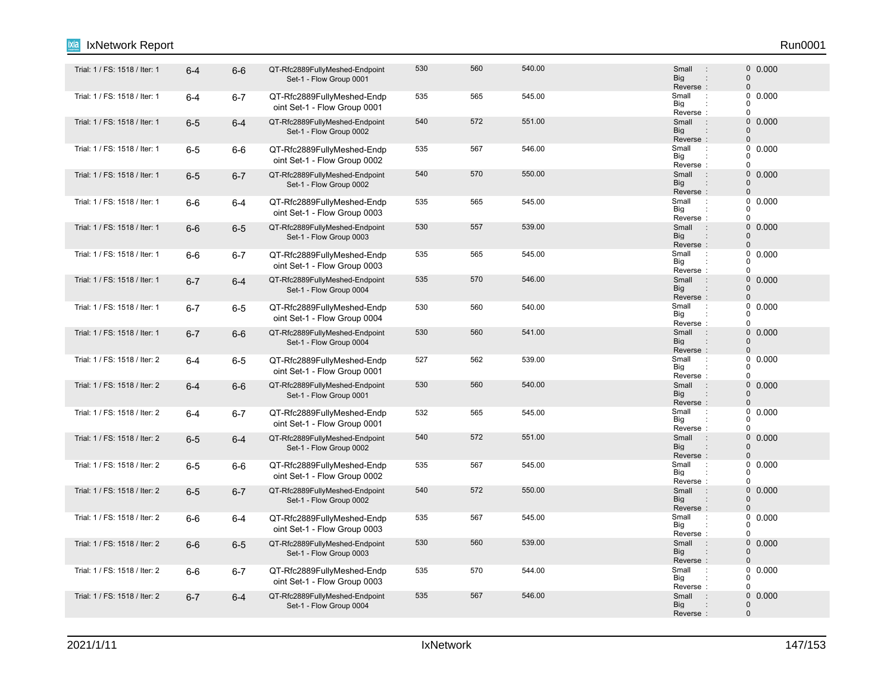## Trial: 1 / FS: 1518 / Iter: 1 6-4 6-6 QT-Rfc2889FullyMeshed-Endpoint 500 560 540.00 Small 0 Set-1 - Flow Group 0001 530 560 540.00 500 500 Small : 0 0.000 Reverse<br>Small Big Small 0 0 : : : Trial: 1 / FS: 1518 / Iter: 1 6-4 6-7 QT-Rfc2889FullyMeshed-Endp 535 565 545.00 Small oint Set-1 - Flow Group 0001 535 565 545.00 566 545.00 5 51 52 5 535 576 586 597 508 569 570 586 587 588 598 598 598 598 598 598 598 598 59 Reverse Big  $\overline{0}$  $\overline{0}$  $\Omega$ : : Trial: 1 / FS: 1518 / Iter: 1 6**-5** 6-4 QT-Rfc2889FullyMeshed-Endpoint 540 572 551.00 Small : 0 Set-1 - Flow Group 0002 540 572 551.00 Small : 0 0.000 Big<br>Reverse : **Big** Small 0  $\Omega$ : "Trial: 1 / FS: 1518 / Iter: 1 6-5 6-6 QT-Rfc2889FullyMeshed-Endp 535 567 546.00 Small oint Set-1 - Flow Group 0002 535 567 546.00 546.00 5 Small : 0 0.000 Reverse Big  $\Omega$  $\begin{matrix}0\\0\end{matrix}$ 0 : : Trial: 1 / FS: 1518 / Iter: 1 6-5 6-7 QT-Rfc2889FullyMeshed-Endpoint 540 570 550.00 Small 0 Set-1 - Flow Group 0002 540 570 550.00 0.000 Reverse : Big Small 0 0 : : "Trial: 1 / FS: 1518 / Iter: 1 6-6 6-4 QT-Rfc2889FullyMeshed-Endp 535 565 545.00 Small oint Set-1 - Flow Group 0003 535 565 545.00 566 545.00 5 51 52 5 535 576 586 597 508 569 570 586 587 588 598 598 598 598 598 598 598 598 59 Reverse Big  $\Omega$  $\begin{matrix}0\\0\end{matrix}$  $\Omega$ : : Trial: 1 / FS: 1518 / Iter: 1 6**-6** 6-5 QT-Rfc2889FullyMeshed-Endpoint 530 557 539.00 Small : 0 Set-1 - Flow Group 0003 530 557 539.00 569 569 569 569 569 57 Reverse : Big Small  $\Omega$ 0 : : "Trial: 1 / FS: 1518 / Iter: 1 6-6 6-7 QT-Rfc2889FullyMeshed-Endp 535 565 545.00 Small oint Set-1 - Flow Group 0003 535 565 545.00 546.00 Small : 0 0.000 Reverse Big  $\Omega$  $\begin{matrix}0\\0\end{matrix}$  $\Omega$ : : Trial: 1 / FS: 1518 / Iter: 1 6-7 6-4 QT-Rfc2889FullyMeshed-Endpoint 535 570 546.00 Small 0 Set-1 - Flow Group 0004 535 570 546.00 546.00 5 Small : 0 0.000 Reverse : Big Small  $\Omega$  $\Omega$ : : Trial: 1 / FS: 1518 / Iter: 1 6-7 6-5 QT-Rfc2889FullyMeshed-Endp 530 560 540.00 Small : oint Set-1 - Flow Group 0004 530 560 540.00 560 540.00 Small : 0 0.000 Big<br>Reverse : Big 0  $\Omega$  $\theta$ Trial: 1 / FS: 1518 / Iter: 1 6-7 6-6 QT-Rfc2889FullyMeshed-Endpoint 500 560 541.00 Small : 0 Set-1 - Flow Group 0004 530 560 541.00 Small : 0 0.000 Reverse Big Small 0  $\Omega$ : : : Trial: 1 / FS: 1518 / Iter: 2 : 6-4 6-5 QT-Rfc2889FullyMeshed-Endp 527 562 539.00 539.00 5 Small oint Set-1 - Flow Group 0001 527 562 539.00 539.00 Small : 0 0.000 Reverse Big 0  $\begin{matrix}0\\0\end{matrix}$  $\Omega$ : : 6-4 6-6 QT-Rfc2889FullyMeshed-Endpoint Trial: 1 / FS: 1518 / Iter: 2 : 0 Set-1 - Flow Group 0001 530 560 540.00 0.000 Reverse : Big Small  $\Omega$  $\Omega$ : : Trial: 1 / FS: 1518 / Iter: 2 6-4 6-7 QT-Rfc2889FullyMeshed-Endp 532 565 545.00 Small : oint Set-1 - Flow Group 0001 532 565 545.00 566 545.00 Reverse Big 0  $\begin{matrix}0\\0\end{matrix}$  $\overline{0}$ : : Trial: 1 / FS: 1518 / Iter: 2 6**-5** 6-4 QT-Rfc2889FullyMeshed-Endpoint 540 572 551.00 Small : 0 Set-1 - Flow Group 0002 540 572 551.00 Small : 0 0.000 Reverse<br>Small Big Small  $\Omega$ 0 : : 6-5 6-6 QT-Rfc2889FullyMeshed-Endp Trial: 1 / FS: 1518 / Iter: 2 : oint Set-1 - Flow Group 0002 535 567 545.00 546.00 Small : 0 0.000 Reverse Big 0  $\Omega$ 0 : : Trial: 1 / FS: 1518 / Iter: 2 6 6-7 QT-Rfc2889FullyMeshed-Endpoint 540 572 550.00 Small : 0 Set-1 - Flow Group 0002 540 572 550.00 572 550.00 512 550.00 512 512 513 514 514 515 516 517 518 518 518 51 Reverse : Big Small  $\Omega$  $\Omega$ : : "Trial: 1 / FS: 1518 / Iter: 2 6-6 6-4 QT-Rfc2889FullyMeshed-Endp 535 567 545.00 Small oint Set-1 - Flow Group 0003 535 567 545.00 567 545.00 Reverse Big 0  $\Omega$  $\theta$ : : Trial: 1 / FS: 1518 / Iter: 2 6-6 6-5 QT-Rfc2889FullyMeshed-Endpoint 530 560 539.00 Small : 0 Set-1 - Flow Group 0003 530 560 539.00 500 500 Small : 0 0.000 Reverse : Big Small 0  $\Omega$ : : Trial: 1 / FS: 1518 / Iter: 2 6-6 6-7 QT-Rfc2889FullyMeshed-Endp 535 570 544.00 Small : oint Set-1 - Flow Group 0003 535 570 544.00 Small : 0 0.000 Reverse Big 0  $\begin{array}{c} 0 \\ 0 \end{array}$  0.000  $\Omega$ : : 6-7 6-4 QT-Rfc2889FullyMeshed-Endpoint Trial: 1 / FS: 1518 / Iter: 2 : 0 Set-1 - Flow Group 0004 535 567 546.00 546.00 546.00 5 567 5 568 568 568 568 568 569 57 588 589 588 598 5 Reverse : Big Small 0 0 : IxNetwork Report Run0001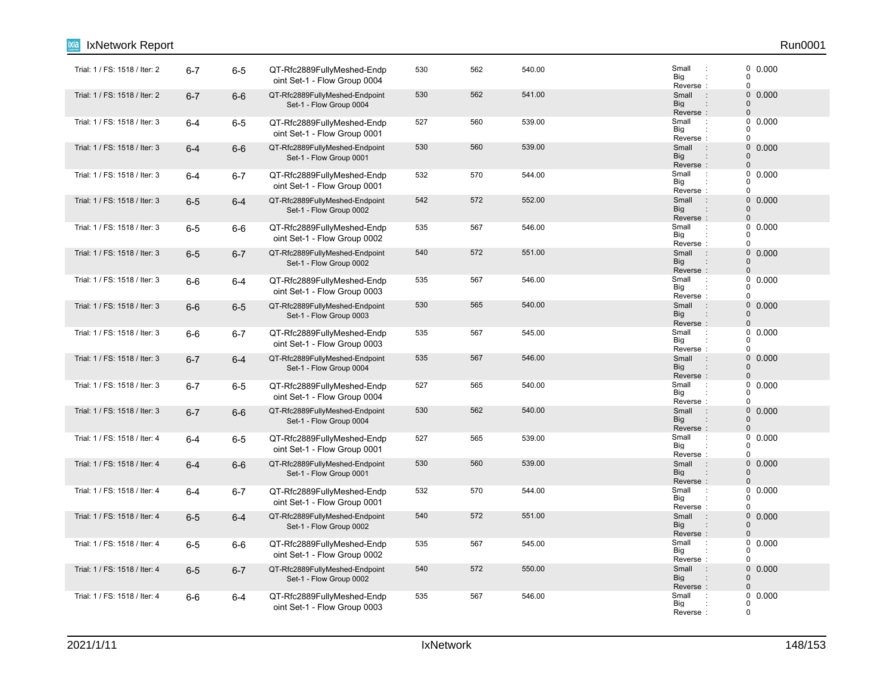| IxNetwork Report              |         |         |                                                            |     |     |        |                                                                          | Run0001                                                    |
|-------------------------------|---------|---------|------------------------------------------------------------|-----|-----|--------|--------------------------------------------------------------------------|------------------------------------------------------------|
| Trial: 1 / FS: 1518 / Iter: 2 | $6 - 7$ | $6-5$   | QT-Rfc2889FullyMeshed-Endp<br>oint Set-1 - Flow Group 0004 | 530 | 562 | 540.00 | Small<br>$\ddot{\phantom{a}}$<br>Big<br>Reverse:                         | 0 0.000<br>$\tilde{0}$<br>$\mathbf 0$                      |
| Trial: 1 / FS: 1518 / Iter: 2 | $6 - 7$ | $6-6$   | QT-Rfc2889FullyMeshed-Endpoint<br>Set-1 - Flow Group 0004  | 530 | 562 | 541.00 | Small<br>$\sim$ 1<br><b>Big</b><br>Reverse:                              | $\mathsf{O}\xspace$<br>0.000<br>$\pmb{0}$<br>$\pmb{0}$     |
| Trial: 1 / FS: 1518 / Iter: 3 | $6 - 4$ | $6-5$   | QT-Rfc2889FullyMeshed-Endp<br>oint Set-1 - Flow Group 0001 | 527 | 560 | 539.00 | Small<br>$\cdot$<br>Big<br>Reverse:                                      | 0<br>0.000<br>0<br>$\mathbf 0$                             |
| Trial: 1 / FS: 1518 / Iter: 3 | $6 - 4$ | $6-6$   | QT-Rfc2889FullyMeshed-Endpoint<br>Set-1 - Flow Group 0001  | 530 | 560 | 539.00 | Small<br>$\sim$ 1.<br><b>Big</b><br>$\ddot{\phantom{a}}$<br>Reverse:     | $\mathsf{O}\xspace$<br>0.000<br>$\mathbf 0$<br>$\mathbf 0$ |
| Trial: 1 / FS: 1518 / Iter: 3 | $6 - 4$ | $6 - 7$ | QT-Rfc2889FullyMeshed-Endp<br>oint Set-1 - Flow Group 0001 | 532 | 570 | 544.00 | Small<br>Big<br>Reverse:                                                 | 0<br>0.000<br>0<br>$\mathbf 0$                             |
| Trial: 1 / FS: 1518 / Iter: 3 | $6-5$   | $6-4$   | QT-Rfc2889FullyMeshed-Endpoint<br>Set-1 - Flow Group 0002  | 542 | 572 | 552.00 | Small<br>$\ddot{\phantom{a}}$ :<br><b>Big</b><br>$\vdots$<br>Reverse:    | 0<br>0.000<br>$\mathbf 0$<br>$\pmb{0}$                     |
| Trial: 1 / FS: 1518 / Iter: 3 | $6-5$   | $6-6$   | QT-Rfc2889FullyMeshed-Endp<br>oint Set-1 - Flow Group 0002 | 535 | 567 | 546.00 | Small<br>÷<br>Big<br>Reverse:                                            | 0<br>0.000<br>0<br>0                                       |
| Trial: 1 / FS: 1518 / Iter: 3 | $6-5$   | $6 - 7$ | QT-Rfc2889FullyMeshed-Endpoint<br>Set-1 - Flow Group 0002  | 540 | 572 | 551.00 | Small<br>$\pm$<br><b>Big</b><br>Reverse:                                 | $\mathbf 0$<br>0.000<br>$\mathbf 0$<br>$\pmb{0}$           |
| Trial: 1 / FS: 1518 / Iter: 3 | $6-6$   | $6-4$   | QT-Rfc2889FullyMeshed-Endp<br>oint Set-1 - Flow Group 0003 | 535 | 567 | 546.00 | Small<br>$\ddot{\phantom{a}}$<br>Big<br>Reverse:                         | 0<br>0.000<br>$\mathbf 0$<br>0                             |
| Trial: 1 / FS: 1518 / Iter: 3 | $6-6$   | $6-5$   | QT-Rfc2889FullyMeshed-Endpoint<br>Set-1 - Flow Group 0003  | 530 | 565 | 540.00 | Small<br>$\cdot$ :<br><b>Big</b><br>Reverse:                             | 0 0.000<br>$\pmb{0}$<br>0                                  |
| Trial: 1 / FS: 1518 / Iter: 3 | $6-6$   | $6 - 7$ | QT-Rfc2889FullyMeshed-Endp<br>oint Set-1 - Flow Group 0003 | 535 | 567 | 545.00 | Small<br>$\ddot{\phantom{a}}$<br>Big<br>Reverse:                         | 0<br>0.000<br>0<br>0                                       |
| Trial: 1 / FS: 1518 / Iter: 3 | $6 - 7$ | $6-4$   | QT-Rfc2889FullyMeshed-Endpoint<br>Set-1 - Flow Group 0004  | 535 | 567 | 546.00 | Small<br>$\cdot$ :<br><b>Big</b><br>$\vdots$<br>Reverse:                 | 0<br>0.000<br>$\pmb{0}$<br>$\pmb{0}$                       |
| Trial: 1 / FS: 1518 / Iter: 3 | $6 - 7$ | $6-5$   | QT-Rfc2889FullyMeshed-Endp<br>oint Set-1 - Flow Group 0004 | 527 | 565 | 540.00 | Small<br>$\cdot$<br>Big<br>Reverse:                                      | 0<br>0.000<br>0<br>0                                       |
| Trial: 1 / FS: 1518 / Iter: 3 | $6 - 7$ | $6-6$   | QT-Rfc2889FullyMeshed-Endpoint<br>Set-1 - Flow Group 0004  | 530 | 562 | 540.00 | Small<br>$\sim$ 1.<br><b>Big</b><br>Reverse:                             | $\mathbf 0$<br>0.000<br>$\pmb{0}$<br>$\pmb{0}$             |
| Trial: 1 / FS: 1518 / Iter: 4 | $6 - 4$ | $6-5$   | QT-Rfc2889FullyMeshed-Endp<br>oint Set-1 - Flow Group 0001 | 527 | 565 | 539.00 | Small<br>$\ddot{\phantom{a}}$<br>Big<br>Reverse:                         | 0<br>0.000<br>$\Omega$<br>$\mathbf 0$                      |
| Trial: 1 / FS: 1518 / Iter: 4 | $6 - 4$ | $6-6$   | QT-Rfc2889FullyMeshed-Endpoint<br>Set-1 - Flow Group 0001  | 530 | 560 | 539.00 | $\rightarrow$<br>Small<br><b>Big</b><br>$\ddot{\phantom{a}}$<br>Reverse: | 0<br>0.000<br>$\pmb{0}$<br>$\mathbf 0$                     |
| Trial: 1 / FS: 1518 / Iter: 4 | $6 - 4$ | $6 - 7$ | QT-Rfc2889FullyMeshed-Endp<br>oint Set-1 - Flow Group 0001 | 532 | 570 | 544.00 | Small<br>$\cdot$ :<br>Big<br>Reverse:                                    | 0.000<br>0<br>0<br>$\mathbf 0$                             |
| Trial: 1 / FS: 1518 / Iter: 4 | $6-5$   | $6-4$   | QT-Rfc2889FullyMeshed-Endpoint<br>Set-1 - Flow Group 0002  | 540 | 572 | 551.00 | Small:<br><b>Big</b><br>Reverse:                                         | $\mathsf{O}\xspace$<br>0.000<br>0<br>$\pmb{0}$             |
| Trial: 1 / FS: 1518 / Iter: 4 | $6-5$   | $6-6$   | QT-Rfc2889FullyMeshed-Endp<br>oint Set-1 - Flow Group 0002 | 535 | 567 | 545.00 | Small<br>$\cdot$ :<br>Big<br>Reverse:                                    | 0<br>0.000<br>0<br>$\mathbf 0$                             |
| Trial: 1 / FS: 1518 / Iter: 4 | $6-5$   | $6 - 7$ | QT-Rfc2889FullyMeshed-Endpoint<br>Set-1 - Flow Group 0002  | 540 | 572 | 550.00 | Small<br>$\ddot{\phantom{a}}$<br><b>Big</b><br>Reverse:                  | 0<br>0.000<br>$\mathbf 0$<br>$\mathbf{0}$                  |
| Trial: 1 / FS: 1518 / Iter: 4 | $6-6$   | $6-4$   | QT-Rfc2889FullyMeshed-Endp<br>oint Set-1 - Flow Group 0003 | 535 | 567 | 546.00 | Small<br>Big<br>Reverse:                                                 | 0<br>0.000<br>0<br>$\mathbf 0$                             |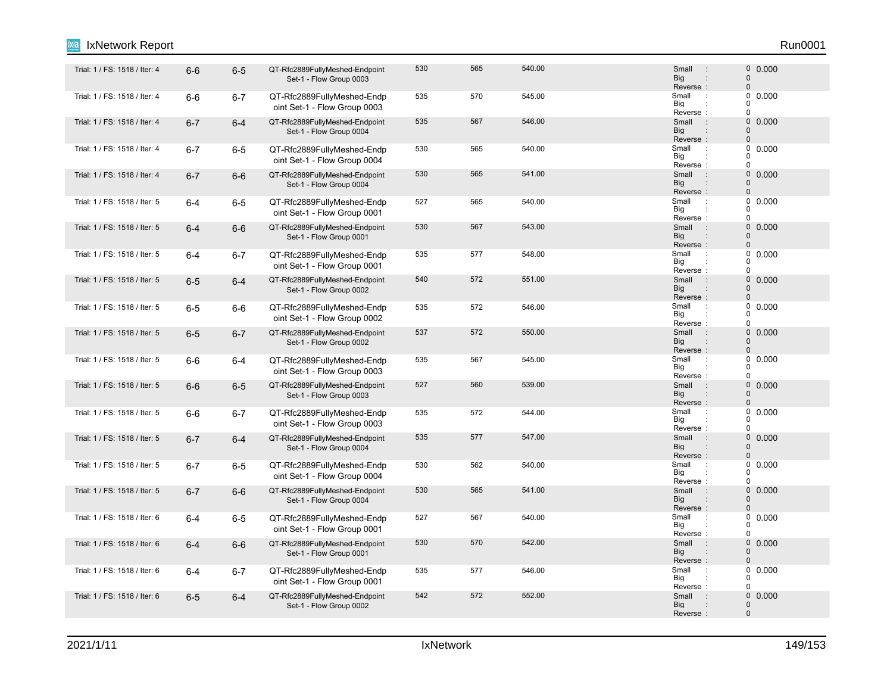## Trial: 1 / FS: 1518 / Iter: 4 6-6 6-5 QT-Rfc2889FullyMeshed-Endpoint 500 565 540.00 Small 0 Set-1 - Flow Group 0003 530 565 540.00 0.000 Reverse<br>Small Big Small 0 0 : : : "Trial: 1 / FS: 1518 / Iter: 4 6-6 6-7 QT-Rfc2889FullyMeshed-Endp 535 570 545.00 Small oint Set-1 - Flow Group 0003 535 570 545.00 570 595.00 570 570 570 570 570 570 570 571 571 572 572 572 572 572 572 572 572 572 57 Reverse Big  $\overline{0}$  $\overline{0}$  $\Omega$ : : Trial: 1 / FS: 1518 / Iter: 4 6**-7** 6-4 QT-Rfc2889FullyMeshed-Endpoint 535 567 546.00 Small : 0 Set-1 - Flow Group 0004 535 567 546.00 567 546.00 5 516 516 521 5 536 568 57 Big<br>Reverse : **Big** Small 0  $\Omega$ : "Trial: 1 / FS: 1518 / Iter: 4 : 6-7 6-5 QT-Rfc2889FullyMeshed-Endp 530 565 540.00 565 540.00 565 540.00 51 oint Set-1 - Flow Group 0004 530 565 540.00 565 540.00 5 Small 1 0.000 Reverse Big  $\Omega$  $\begin{matrix}0\\0\end{matrix}$ 0 : : Trial: 1 / FS: 1518 / Iter: 4 6-7 6-6 QT-Rfc2889FullyMeshed-Endpoint 500 565 541.00 Small 0 Set-1 - Flow Group 0004 530 565 541.00 Small : 0 0.000 Reverse : Big Small 0 0 : : Trial: 1 / FS: 1518 / Iter: 5 **6-4 6-5 QT-Rfc2889FullyMeshed-Endp** 527 565 540.00 Small : oint Set-1 - Flow Group 0001 527 565 540.00 Small : 0 0.000 Reverse Big  $\Omega$  $\begin{matrix}0\\0\end{matrix}$  $\Omega$ : : Trial: 1 / FS: 1518 / Iter: 5 6-4 6-6 QT-Rfc2889FullyMeshed-Endpoint 500 567 543.00 Small : 0 Set-1 - Flow Group 0001 530 567 543.00 0.000 Reverse : Big Small  $\Omega$ 0 : : "Trial: 1 / FS: 1518 / Iter: 5 : 6-4 6-7 QT-Rfc2889FullyMeshed-Endp 535 577 548.00 516 517 548.00 oint Set-1 - Flow Group 0001 535 577 548.00 Small : 0 0.000 Reverse Big  $\Omega$  $\begin{matrix}0\\0\end{matrix}$  $\Omega$ : : Trial: 1 / FS: 1518 / Iter: 5 6-6 6-4 QT-Rfc2889FullyMeshed-Endpoint 540 572 551.00 578 Small : 0 Set-1 - Flow Group 0002 540 572 551.00 579 561.00 5 Small : 0 0.000 Reverse : Big Small  $\Omega$  $\Omega$ : 6-5 6-6 QT-Rfc2889FullyMeshed-Endp Trial: 1 / FS: 1518 / Iter: 5 : oint Set-1 - Flow Group 0002 535 572 546.00 Small : 0 0.000 Big<br>Reverse : Big 0  $\Omega$  $\Omega$ Trial: 1 / FS: 1518 / Iter: 5 6-5 6-7 QT-Rfc2889FullyMeshed-Endpoint 537 572 550.00 Small : 0 Set-1 - Flow Group 0002 537 572 550.00 0.000 Reverse Big Small 0  $\Omega$ : : : Trial: 1 / FS: 1518 / Iter: 5 : 6-6 6-4 QT-Rfc2889FullyMeshed-Endp 535 567 545.00 545.00 5mall : oint Set-1 - Flow Group 0003 535 567 545.00 546.00 Small : 0 0.000 Reverse Big 0  $\begin{matrix}0\\0\end{matrix}$  $\Omega$ : : Trial: 1 / FS: 1518 / Iter: 5 : 6-6 6-5 QT-Rfc2889FullyMeshed-Endpoint 527 560 539.00 539.00 Small : 0 Set-1 - Flow Group 0003 527 560 539.00 539.00 5 Small : 0 0.000 Reverse : Big Small  $\Omega$  $\Omega$ : : Trial: 1 / FS: 1518 / Iter: 5 **6-6 6-7 QT-Rfc2889FullyMeshed-Endp** 535 544.00 Small oint Set-1 - Flow Group 0003 535 572 544.00 Small : 0 0.000 Reverse Big 0  $\begin{matrix}0\\0\end{matrix}$  $\overline{0}$ : : Trial: 1 / FS: 1518 / Iter: 5 6-7 6-4 QT-Rfc2889FullyMeshed-Endpoint 535 577 547.00 Small : 0 Set-1 - Flow Group 0004 535 577 547.00 Small : 0 0.000 Reverse<br>Small Big Small  $\Omega$ 0 : : 6-7 6-5 QT-Rfc2889FullyMeshed-Endp Trial: 1 / FS: 1518 / Iter: 5 : oint Set-1 - Flow Group 0004 530 562 540.00 562 540.00 5 562 540.00 Reverse Big 0  $\Omega$ 0 : : Trial: 1 / FS: 1518 / Iter: 5 : 6-7 6-6 QT-Rfc2889FullyMeshed-Endpoint 530 565 541.00 565 541.00 5mall : 0 Set-1 - Flow Group 0004 530 565 541.00 Small : 0 0.000 Reverse : Big Small  $\Omega$  $\Omega$ : : Trial: 1 / FS: 1518 / Iter: 6 **6-4 6-5 QT-Rfc2889FullyMeshed-Endp** 527 567 540.00 Small : oint Set-1 - Flow Group 0001 527 567 540.00 560 510 527 567 540.00 Reverse Big 0  $\Omega$  $\Omega$ : : Trial: 1 / FS: 1518 / Iter: 6 6-4 6-6 QT-Rfc2889FullyMeshed-Endpoint 530 570 542.00 Small : 0 Set-1 - Flow Group 0001 530 570 542.00 0.000 Reverse : Big Small 0  $\Omega$ : : Trial: 1 / FS: 1518 / Iter: 6 **6-4 6-7 QT-Rfc2889FullyMeshed-Endp** 535 577 546.00 Small : oint Set-1 - Flow Group 0001 535 577 546.00 Small : 0 0.000 Reverse Big 0  $\begin{array}{c} 0 \\ 0 \end{array}$  0.000  $\Omega$ : : 6-5 6-4 QT-Rfc2889FullyMeshed-Endpoint Trial: 1 / FS: 1518 / Iter: 6 : 0 Set-1 - Flow Group 0002 542 572 552.00 562.00 5 Small : 0 0.000 Reverse : Big Small  $\Omega$ 0 : IxNetwork Report Run0001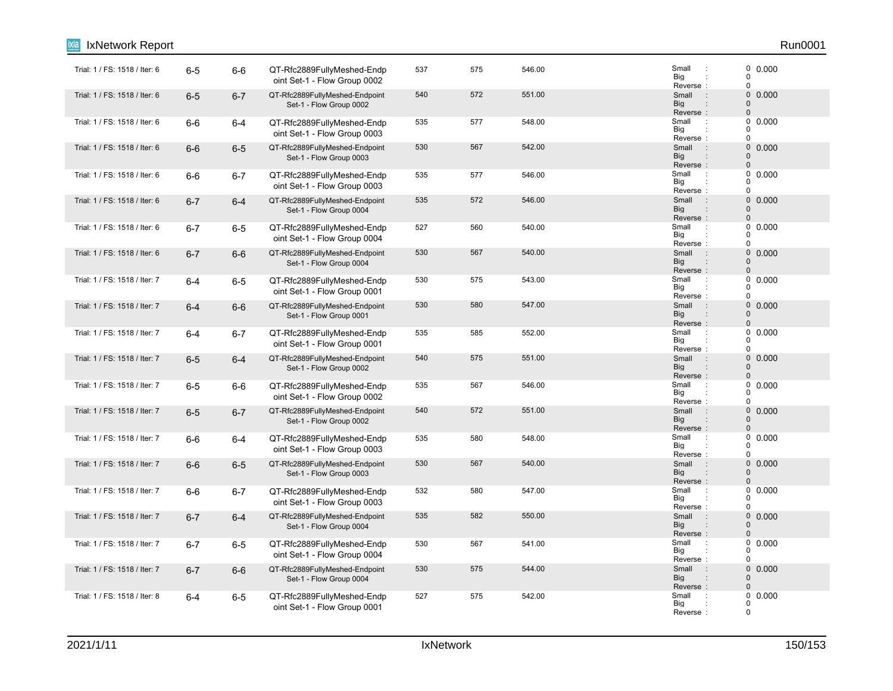| IxNetwork Report              |         |         |                                                            |     |     |        |                                                                                     | Run0001                                                    |
|-------------------------------|---------|---------|------------------------------------------------------------|-----|-----|--------|-------------------------------------------------------------------------------------|------------------------------------------------------------|
| Trial: 1 / FS: 1518 / Iter: 6 | $6-5$   | $6-6$   | QT-Rfc2889FullyMeshed-Endp<br>oint Set-1 - Flow Group 0002 | 537 | 575 | 546.00 | Small<br>$\ddot{\phantom{a}}$<br>Big<br>Reverse:                                    | 0 0.000<br>$\tilde{0}$<br>$\mathbf 0$                      |
| Trial: 1 / FS: 1518 / Iter: 6 | $6-5$   | $6 - 7$ | QT-Rfc2889FullyMeshed-Endpoint<br>Set-1 - Flow Group 0002  | 540 | 572 | 551.00 | Small<br>$\sim$ 1<br><b>Big</b><br>Reverse:                                         | $\mathsf{O}\xspace$<br>0.000<br>$\pmb{0}$<br>$\pmb{0}$     |
| Trial: 1 / FS: 1518 / Iter: 6 | $6-6$   | $6-4$   | QT-Rfc2889FullyMeshed-Endp<br>oint Set-1 - Flow Group 0003 | 535 | 577 | 548.00 | Small<br>$\cdot$<br>Big<br>Reverse:                                                 | 0<br>0.000<br>0<br>$\mathbf 0$                             |
| Trial: 1 / FS: 1518 / Iter: 6 | $6-6$   | $6-5$   | QT-Rfc2889FullyMeshed-Endpoint<br>Set-1 - Flow Group 0003  | 530 | 567 | 542.00 | $\overline{\mathcal{L}}$<br>Small<br><b>Big</b><br>$\ddot{\phantom{a}}$<br>Reverse: | $\mathsf{O}\xspace$<br>0.000<br>$\mathbf 0$<br>$\mathbf 0$ |
| Trial: 1 / FS: 1518 / Iter: 6 | $6-6$   | $6 - 7$ | QT-Rfc2889FullyMeshed-Endp<br>oint Set-1 - Flow Group 0003 | 535 | 577 | 546.00 | Small<br>Big<br>Reverse:                                                            | $\mathbf 0$<br>0.000<br>0<br>$\mathbf 0$                   |
| Trial: 1 / FS: 1518 / Iter: 6 | $6 - 7$ | $6-4$   | QT-Rfc2889FullyMeshed-Endpoint<br>Set-1 - Flow Group 0004  | 535 | 572 | 546.00 | Small<br>$\therefore$<br><b>Big</b><br>$\vdots$<br>Reverse:                         | 0<br>0.000<br>$\mathbf 0$<br>$\pmb{0}$                     |
| Trial: 1 / FS: 1518 / Iter: 6 | $6 - 7$ | $6-5$   | QT-Rfc2889FullyMeshed-Endp<br>oint Set-1 - Flow Group 0004 | 527 | 560 | 540.00 | Small<br>$\cdot$ :<br>Big<br>Reverse:                                               | 0<br>0.000<br>0<br>0                                       |
| Trial: 1 / FS: 1518 / Iter: 6 | $6 - 7$ | $6-6$   | QT-Rfc2889FullyMeshed-Endpoint<br>Set-1 - Flow Group 0004  | 530 | 567 | 540.00 | Small<br>$\pm$<br><b>Big</b><br>Reverse:                                            | $\mathbf 0$<br>0.000<br>$\mathbf 0$<br>$\pmb{0}$           |
| Trial: 1 / FS: 1518 / Iter: 7 | $6 - 4$ | $6-5$   | QT-Rfc2889FullyMeshed-Endp<br>oint Set-1 - Flow Group 0001 | 530 | 575 | 543.00 | Small<br>$\ddot{\phantom{a}}$<br>Big<br>Reverse:                                    | 0<br>0.000<br>$\mathbf 0$<br>0                             |
| Trial: 1 / FS: 1518 / Iter: 7 | $6 - 4$ | $6-6$   | QT-Rfc2889FullyMeshed-Endpoint<br>Set-1 - Flow Group 0001  | 530 | 580 | 547.00 | Small<br>$\cdot$ :<br><b>Big</b><br>Reverse:                                        | 0 0.000<br>$\pmb{0}$<br>0                                  |
| Trial: 1 / FS: 1518 / Iter: 7 | 6-4     | $6 - 7$ | QT-Rfc2889FullyMeshed-Endp<br>oint Set-1 - Flow Group 0001 | 535 | 585 | 552.00 | Small<br>$\ddot{\phantom{a}}$<br>Big<br>Reverse:                                    | 0<br>0.000<br>0<br>0                                       |
| Trial: 1 / FS: 1518 / Iter: 7 | $6-5$   | $6 - 4$ | QT-Rfc2889FullyMeshed-Endpoint<br>Set-1 - Flow Group 0002  | 540 | 575 | 551.00 | Small<br>$\cdot$ :<br><b>Big</b><br>$\vdots$<br>Reverse:                            | 0<br>0.000<br>$\pmb{0}$<br>$\pmb{0}$                       |
| Trial: 1 / FS: 1518 / Iter: 7 | $6-5$   | $6-6$   | QT-Rfc2889FullyMeshed-Endp<br>oint Set-1 - Flow Group 0002 | 535 | 567 | 546.00 | Small<br>$\cdot$<br>Big<br>Reverse:                                                 | 0<br>0.000<br>0<br>0                                       |
| Trial: 1 / FS: 1518 / Iter: 7 | $6-5$   | $6 - 7$ | QT-Rfc2889FullyMeshed-Endpoint<br>Set-1 - Flow Group 0002  | 540 | 572 | 551.00 | Small<br>$\sim$ 1.<br><b>Big</b><br>Reverse:                                        | $\mathbf 0$<br>0.000<br>$\pmb{0}$<br>$\pmb{0}$             |
| Trial: 1 / FS: 1518 / Iter: 7 | $6-6$   | $6-4$   | QT-Rfc2889FullyMeshed-Endp<br>oint Set-1 - Flow Group 0003 | 535 | 580 | 548.00 | Small<br>$\ddot{\phantom{a}}$<br>Big<br>Reverse:                                    | 0<br>0.000<br>$\Omega$<br>$\mathbf 0$                      |
| Trial: 1 / FS: 1518 / Iter: 7 | $6-6$   | $6-5$   | QT-Rfc2889FullyMeshed-Endpoint<br>Set-1 - Flow Group 0003  | 530 | 567 | 540.00 | $\rightarrow$<br>Small<br><b>Big</b><br>$\ddot{\phantom{a}}$<br>Reverse:            | 0<br>0.000<br>$\pmb{0}$<br>$\mathbf 0$                     |
| Trial: 1 / FS: 1518 / Iter: 7 | $6-6$   | $6 - 7$ | QT-Rfc2889FullyMeshed-Endp<br>oint Set-1 - Flow Group 0003 | 532 | 580 | 547.00 | Small<br>$\cdot$ :<br>Big<br>Reverse:                                               | 0.000<br>0<br>0<br>$\mathbf 0$                             |
| Trial: 1 / FS: 1518 / Iter: 7 | $6 - 7$ | $6-4$   | QT-Rfc2889FullyMeshed-Endpoint<br>Set-1 - Flow Group 0004  | 535 | 582 | 550.00 | Small:<br><b>Big</b><br>Reverse:                                                    | $\mathsf{O}\xspace$<br>0.000<br>0<br>$\pmb{0}$             |
| Trial: 1 / FS: 1518 / Iter: 7 | $6 - 7$ | $6-5$   | QT-Rfc2889FullyMeshed-Endp<br>oint Set-1 - Flow Group 0004 | 530 | 567 | 541.00 | Small<br>$\ddot{\phantom{a}}$<br>Big<br>Reverse:                                    | 0<br>0.000<br>0<br>$\mathbf 0$                             |
| Trial: 1 / FS: 1518 / Iter: 7 | $6 - 7$ | $6-6$   | QT-Rfc2889FullyMeshed-Endpoint<br>Set-1 - Flow Group 0004  | 530 | 575 | 544.00 | Small<br>$\pm$<br><b>Big</b><br>Reverse:                                            | 0<br>0.000<br>$\mathbf 0$<br>$\mathbf{0}$                  |
| Trial: 1 / FS: 1518 / Iter: 8 | $6 - 4$ | $6-5$   | QT-Rfc2889FullyMeshed-Endp<br>oint Set-1 - Flow Group 0001 | 527 | 575 | 542.00 | Small<br>Big<br>Reverse:                                                            | 0<br>0.000<br>0<br>$\mathbf 0$                             |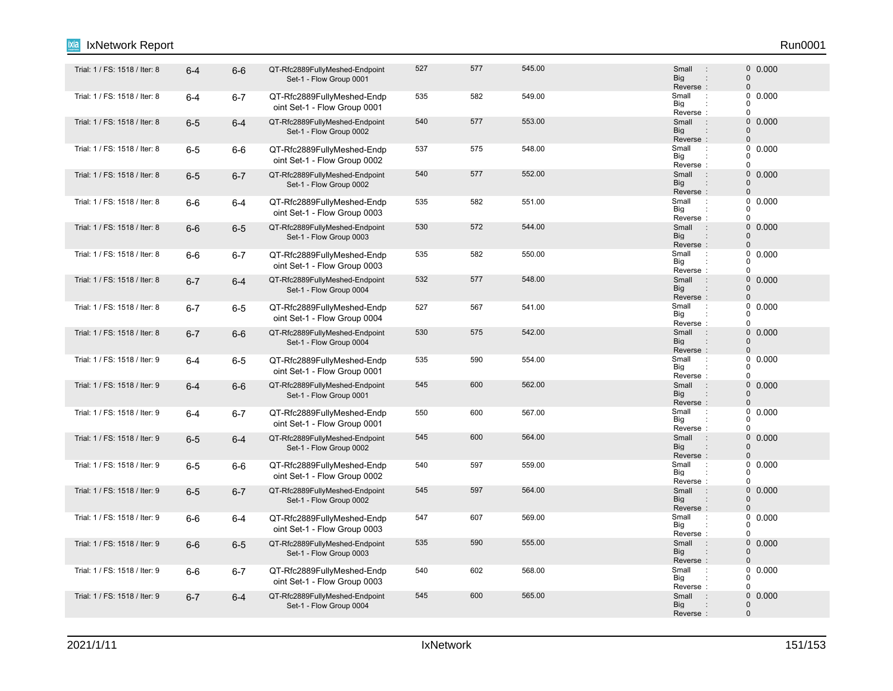## Trial: 1 / FS: 1518 / Iter: 8 6-4 6-6 QT-Rfc2889FullyMeshed-Endpoint 527 577 545.00 Small : 0 Set-1 - Flow Group 0001 527 577 545.00 Small : 0 0.000 Reverse<br>Small Big Small 0 0 : : : Trial: 1 / FS: 1518 / Iter: 8 6-4 6-7 QT-Rfc2889FullyMeshed-Endp 535 582 549.00 Small : oint Set-1 - Flow Group 0001 535 582 549.00 589 51 588 519.00 5 549.00 Reverse Big  $\overline{0}$  $\overline{0}$  $\Omega$ : : Trial: 1 / FS: 1518 / Iter: 8 6-5 6-4 QT-Rfc2889FullyMeshed-Endpoint 540 577 553.00 Small : 0 Set-1 - Flow Group 0002 540 577 553.00 Small : 0 0.000 Big<br>Reverse : **Big** Small 0  $\Omega$ 6-5 6-6 QT-Rfc2889FullyMeshed-Endp Trial: 1 / FS: 1518 / Iter: 8 : oint Set-1 - Flow Group 0002 537 575 548.00 548.00 Small : 0 0.000 Reverse Big  $\Omega$  $\begin{matrix}0\\0\end{matrix}$ 0 : : 6-5 6-7 QT-Rfc2889FullyMeshed-Endpoint Trial: 1 / FS: 1518 / Iter: 8 : 0 Set-1 - Flow Group 0002 540 577 552.00 Small : 0 0.000 Reverse : Big Small 0 0 : : Trial: 1 / FS: 1518 / Iter: 8 6-6 6-4 QT-Rfc2889FullyMeshed-Endp 535 582 551.00 Small oint Set-1 - Flow Group 0003 535 582 551.00 Small : 0 0.000 Reverse Big  $\Omega$  $\begin{matrix}0\\0\end{matrix}$  $\Omega$ : : Trial: 1 / FS: 1518 / Iter: 8 6-6 6-5 QT-Rfc2889FullyMeshed-Endpoint 530 572 544.00 Small : 0 Set-1 - Flow Group 0003 530 572 544.00 572 544.00 Reverse : Big Small  $\Omega$ 0 : : "Trial: 1 / FS: 1518 / Iter: 8 6-6 6-7 QT-Rfc2889FullyMeshed-Endp 535 582 550.00 Small oint Set-1 - Flow Group 0003 535 582 550.00 560 560 560 560 560 560 560 570 580 581 582 550.00 Reverse Big  $\Omega$  $\begin{matrix}0\\0\end{matrix}$  $\Omega$ : : Trial: 1 / FS: 1518 / Iter: 8 6-7 6-4 QT-Rfc2889FullyMeshed-Endpoint 532 577 548.00 Small : 0 Set-1 - Flow Group 0004 532 577 548.00 5 Small : 0 0.000 Reverse : Big Small  $\Omega$  $\Omega$ : : Trial: 1 / FS: 1518 / Iter: 8 6-7 6-5 QT-Rfc2889FullyMeshed-Endp 527 567 541.00 Small oint Set-1 - Flow Group 0004 527 567 541.00 Small : 0 0.000 Big<br>Reverse : Big 0  $\Omega$  $\theta$ Trial: 1 / FS: 1518 / Iter: 8 6-7 6-6 QT-Rfc2889FullyMeshed-Endpoint 530 575 542.00 Small : 0 Set-1 - Flow Group 0004 530 575 542.00 576 542.00 576 576 577 578 579 579 579 571 581 592 572 573 574 575 576 577 578 579 57 Reverse Big Small 0  $\Omega$ : : : Trial: 1 / FS: 1518 / Iter: 9 6-4 6-5 QT-Rfc2889FullyMeshed-Endp 535 590 554.00 Small : oint Set-1 - Flow Group 0001 535 590 554.00 554.00 Small : 0 0.000 Reverse Big 0  $\begin{matrix}0\\0\end{matrix}$  $\Omega$ : : Trial: 1 / FS: 1518 / Iter: 9 6-4 6-6 QT-Rfc2889FullyMeshed-Endpoint 545 600 562.00 Small 0 Set-1 - Flow Group 0001 545 600 562.00 0.000 Reverse : Big Small  $\Omega$  $\Omega$ : : Trial: 1 / FS: 1518 / Iter: 9 6-4 6-7 QT-Rfc2889FullyMeshed-Endp 550 600 567.00 Small : oint Set-1 - Flow Group 0001 550 600 567.00 **Small 1 567.00** 600 5 600 600 Reverse Big 0  $\begin{matrix}0\\0\end{matrix}$  $\overline{0}$ : : Trial: 1 / FS: 1518 / Iter: 9 6-5 6-4 QT-Rfc2889FullyMeshed-Endpoint 545 600 564.00 Small : 0 Set-1 - Flow Group 0002 545 600 564.00 0.000 Reverse<br>Small Big Small  $\Omega$ 0 : : : Trial: 1 / FS: 1518 / Iter: 9 6-5 6-6 QT-Rfc2889FullyMeshed-Endp 540 597 559.00 Small oint Set-1 - Flow Group 0002 540 597 559.00 500 5 Small : 0 0.000 Reverse Big 0  $\Omega$ 0 : : Trial: 1 / FS: 1518 / Iter: 9 6-5 6-7 QT-Rfc2889FullyMeshed-Endpoint 545 597 564.00 Small 0 Set-1 - Flow Group 0002 545 597 564.00 500 Small : 0 0.000 Reverse : Big Small  $\Omega$  $\Omega$ : : "Trial: 1 / FS: 1518 / Iter: 9 6-6 6-4 QT-Rfc2889FullyMeshed-Endp 547 607 569.00 oint Set-1 - Flow Group 0003 547 607 569.00 **Small 1 569.00** 607 569.00 Reverse Big 0  $\Omega$  $\theta$ : : Trial: 1 / FS: 1518 / Iter: 9 6-6 6-5 QT-Rfc2889FullyMeshed-Endpoint 535 590 555.00 Small : 0 Set-1 - Flow Group 0003 535 590 555.00 0.000 Reverse : Big Small 0  $\Omega$ : : Trial: 1 / FS: 1518 / Iter: 9 6-6 6-7 QT-Rfc2889FullyMeshed-Endp 540 568.00 Small oint Set-1 - Flow Group 0003 540 602 568.00 **Small 1 540** 602 568.00 Reverse Big 0  $\begin{array}{c} 0 \\ 0 \end{array}$  0.000  $\Omega$ : : Trial: 1 / FS: 1518 / Iter: 9 6-7 6-4 QT-Rfc2889FullyMeshed-Endpoint 545 600 565.00 Small : 0 Set-1 - Flow Group 0004 545 600 565.00 600 566.00 Reverse : Big Small  $\Omega$ 0 : IxNetwork Report Run0001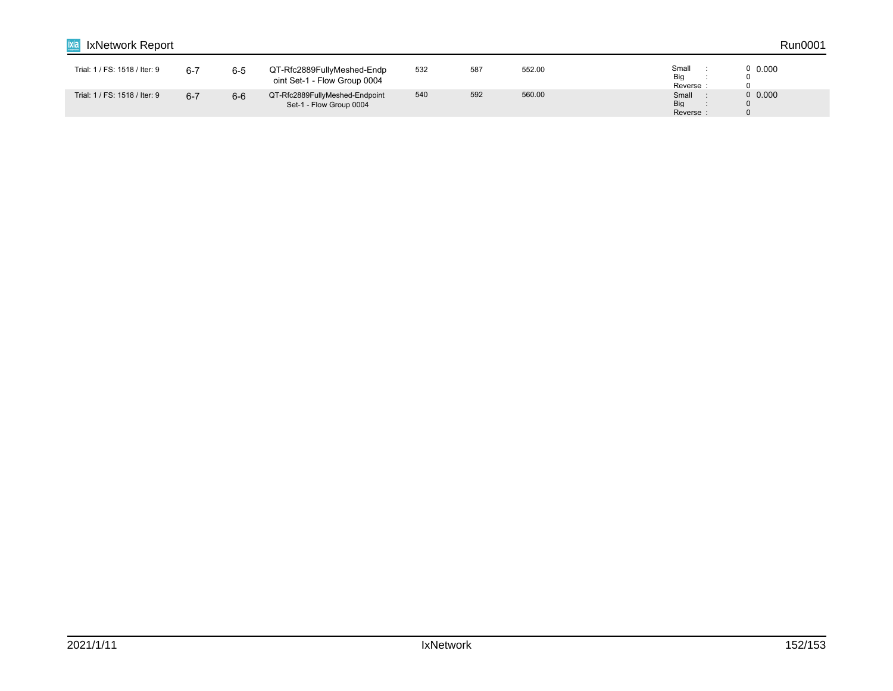| IxNetwork Report              |         |         |                                                            |     |     |        |                                | Run0001 |
|-------------------------------|---------|---------|------------------------------------------------------------|-----|-----|--------|--------------------------------|---------|
| Trial: 1 / FS: 1518 / Iter: 9 | 6-7     | $6 - 5$ | QT-Rfc2889FullyMeshed-Endp<br>oint Set-1 - Flow Group 0004 | 532 | 587 | 552.00 | Small<br>Big<br>Reverse        | 0,0.000 |
| Trial: 1 / FS: 1518 / Iter: 9 | $6 - 7$ | $6-6$   | QT-Rfc2889FullyMeshed-Endpoint<br>Set-1 - Flow Group 0004  | 540 | 592 | 560.00 | Small<br><b>Big</b><br>Reverse | 0,0.000 |